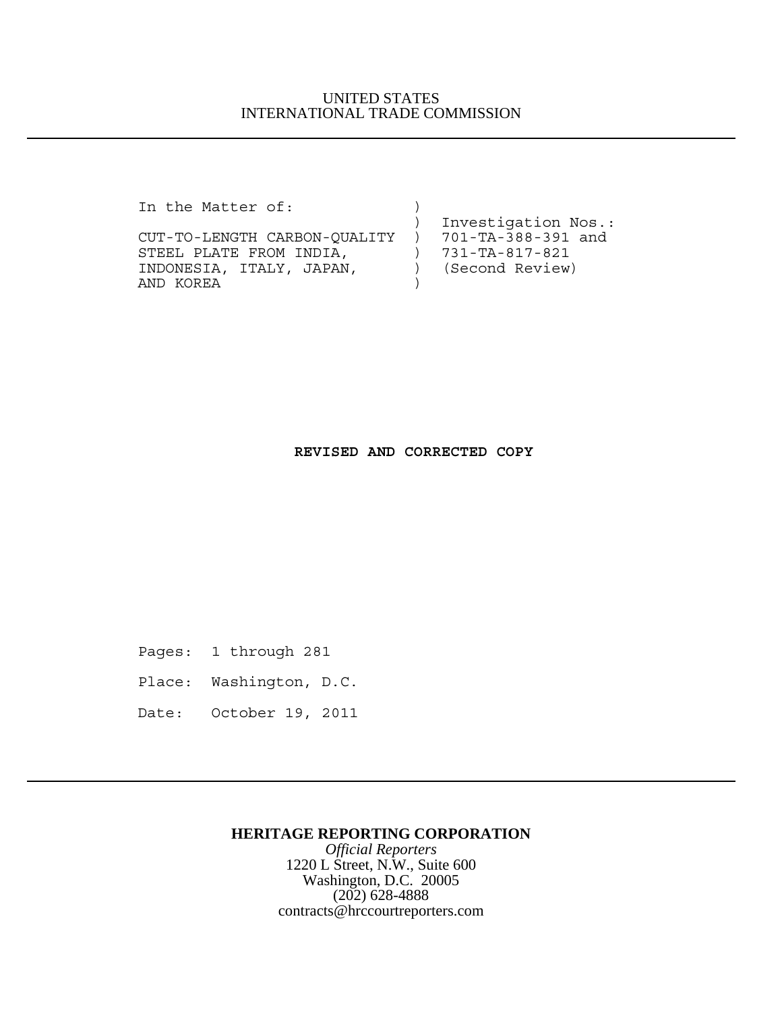## UNITED STATES INTERNATIONAL TRADE COMMISSION

In the Matter of:  $)$ 

CUT-TO-LENGTH CARBON-QUALITY ) 701-TA-388-391 and STEEL PLATE FROM INDIA,  $731-TA-817-821$ INDONESIA, ITALY, JAPAN, ) (Second Review) AND KOREA )

) Investigation Nos.:

## **REVISED AND CORRECTED COPY**

- Pages: 1 through 281
- Place: Washington, D.C.
- Date: October 19, 2011

### **HERITAGE REPORTING CORPORATION**

*Official Reporters* 1220 L Street, N.W., Suite 600 Washington, D.C. 20005 (202) 628-4888 contracts@hrccourtreporters.com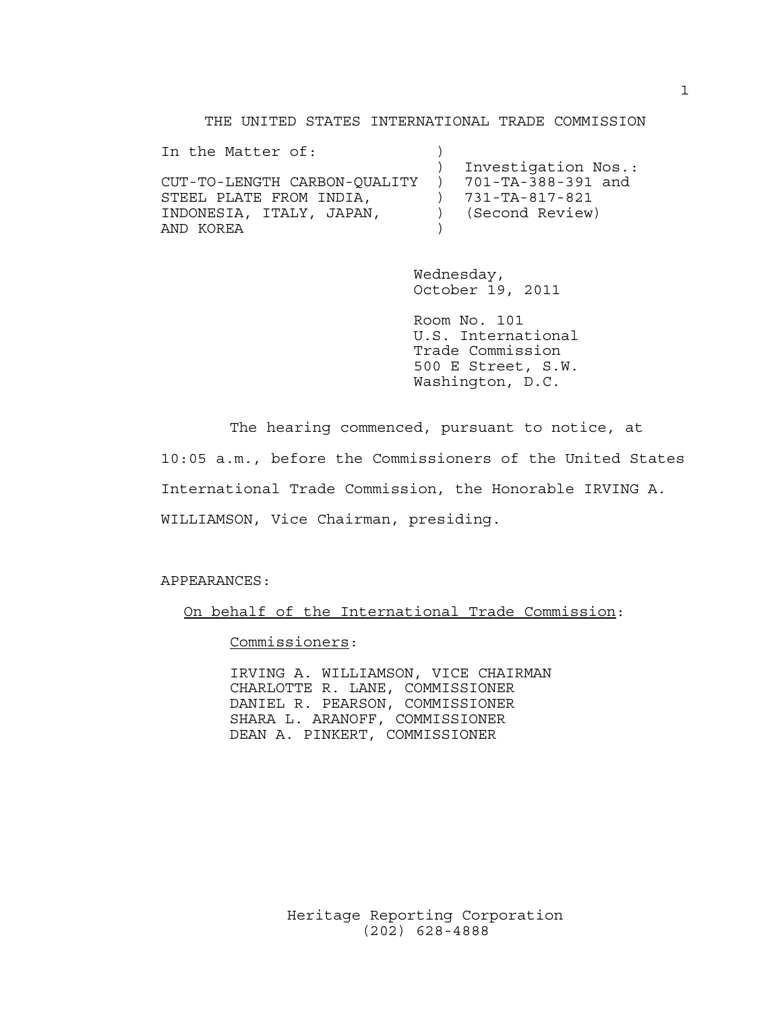#### THE UNITED STATES INTERNATIONAL TRADE COMMISSION

| In the Matter of:            |                          |                     |
|------------------------------|--------------------------|---------------------|
|                              |                          | Investigation Nos.: |
| CUT-TO-LENGTH CARBON-OUALITY | $\overline{\phantom{a}}$ | 701-TA-388-391 and  |
| STEEL PLATE FROM INDIA.      |                          | 731-TA-817-821      |
| INDONESIA, ITALY, JAPAN,     |                          | (Second Review)     |
| AND KOREA                    |                          |                     |

Wednesday, October 19, 2011

Room No. 101 U.S. International Trade Commission 500 E Street, S.W. Washington, D.C.

The hearing commenced, pursuant to notice, at 10:05 a.m., before the Commissioners of the United States International Trade Commission, the Honorable IRVING A. WILLIAMSON, Vice Chairman, presiding.

APPEARANCES:

On behalf of the International Trade Commission:

Commissioners:

IRVING A. WILLIAMSON, VICE CHAIRMAN CHARLOTTE R. LANE, COMMISSIONER DANIEL R. PEARSON, COMMISSIONER SHARA L. ARANOFF, COMMISSIONER DEAN A. PINKERT, COMMISSIONER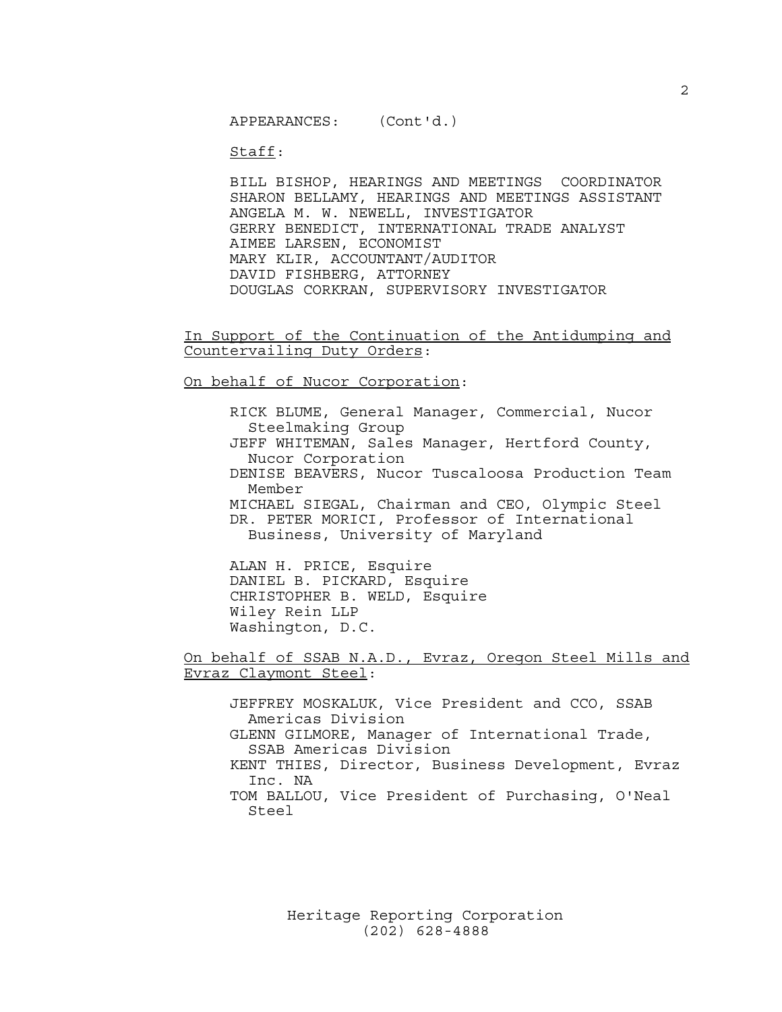Staff:

BILL BISHOP, HEARINGS AND MEETINGS COORDINATOR SHARON BELLAMY, HEARINGS AND MEETINGS ASSISTANT ANGELA M. W. NEWELL, INVESTIGATOR GERRY BENEDICT, INTERNATIONAL TRADE ANALYST AIMEE LARSEN, ECONOMIST MARY KLIR, ACCOUNTANT/AUDITOR DAVID FISHBERG, ATTORNEY DOUGLAS CORKRAN, SUPERVISORY INVESTIGATOR

In Support of the Continuation of the Antidumping and Countervailing Duty Orders:

On behalf of Nucor Corporation:

RICK BLUME, General Manager, Commercial, Nucor Steelmaking Group JEFF WHITEMAN, Sales Manager, Hertford County, Nucor Corporation DENISE BEAVERS, Nucor Tuscaloosa Production Team Member MICHAEL SIEGAL, Chairman and CEO, Olympic Steel DR. PETER MORICI, Professor of International Business, University of Maryland

ALAN H. PRICE, Esquire DANIEL B. PICKARD, Esquire CHRISTOPHER B. WELD, Esquire Wiley Rein LLP Washington, D.C.

On behalf of SSAB N.A.D., Evraz, Oregon Steel Mills and Evraz Claymont Steel:

JEFFREY MOSKALUK, Vice President and CCO, SSAB Americas Division GLENN GILMORE, Manager of International Trade, SSAB Americas Division KENT THIES, Director, Business Development, Evraz Inc. NA TOM BALLOU, Vice President of Purchasing, O'Neal Steel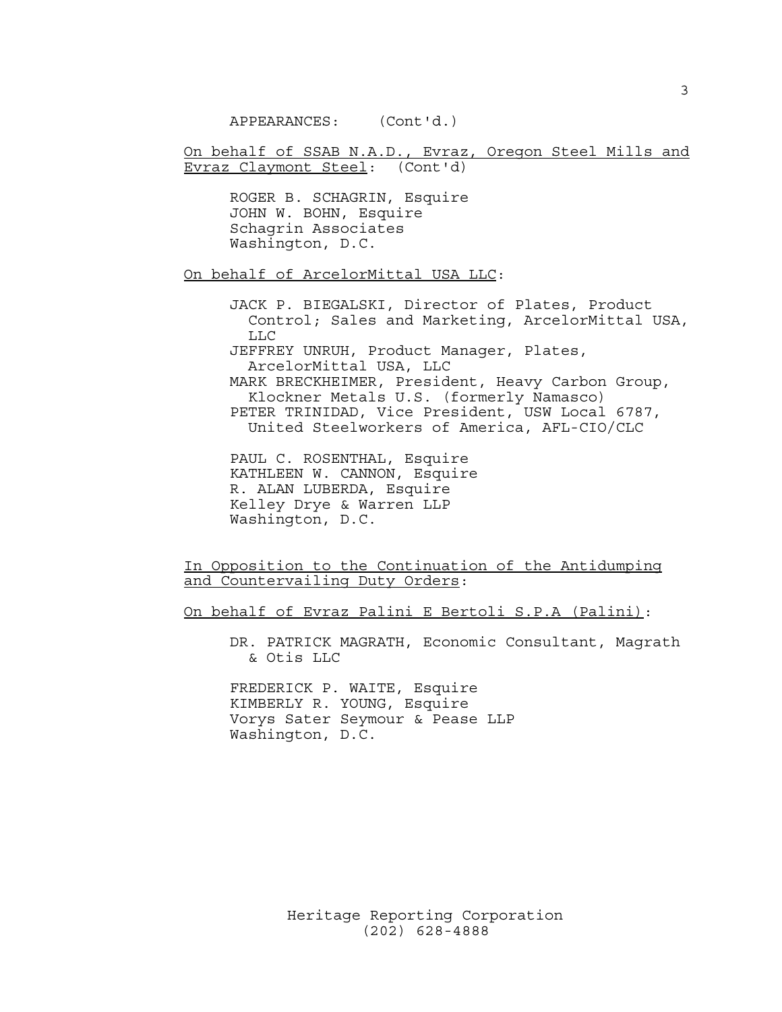APPEARANCES: (Cont'd.)

On behalf of SSAB N.A.D., Evraz, Oregon Steel Mills and Evraz Claymont Steel: (Cont'd)

ROGER B. SCHAGRIN, Esquire JOHN W. BOHN, Esquire Schagrin Associates Washington, D.C.

On behalf of ArcelorMittal USA LLC:

JACK P. BIEGALSKI, Director of Plates, Product Control; Sales and Marketing, ArcelorMittal USA, LLC JEFFREY UNRUH, Product Manager, Plates, ArcelorMittal USA, LLC MARK BRECKHEIMER, President, Heavy Carbon Group, Klockner Metals U.S. (formerly Namasco) PETER TRINIDAD, Vice President, USW Local 6787, United Steelworkers of America, AFL-CIO/CLC

PAUL C. ROSENTHAL, Esquire KATHLEEN W. CANNON, Esquire R. ALAN LUBERDA, Esquire Kelley Drye & Warren LLP Washington, D.C.

In Opposition to the Continuation of the Antidumping and Countervailing Duty Orders:

On behalf of Evraz Palini E Bertoli S.P.A (Palini):

DR. PATRICK MAGRATH, Economic Consultant, Magrath & Otis LLC

FREDERICK P. WAITE, Esquire KIMBERLY R. YOUNG, Esquire Vorys Sater Seymour & Pease LLP Washington, D.C.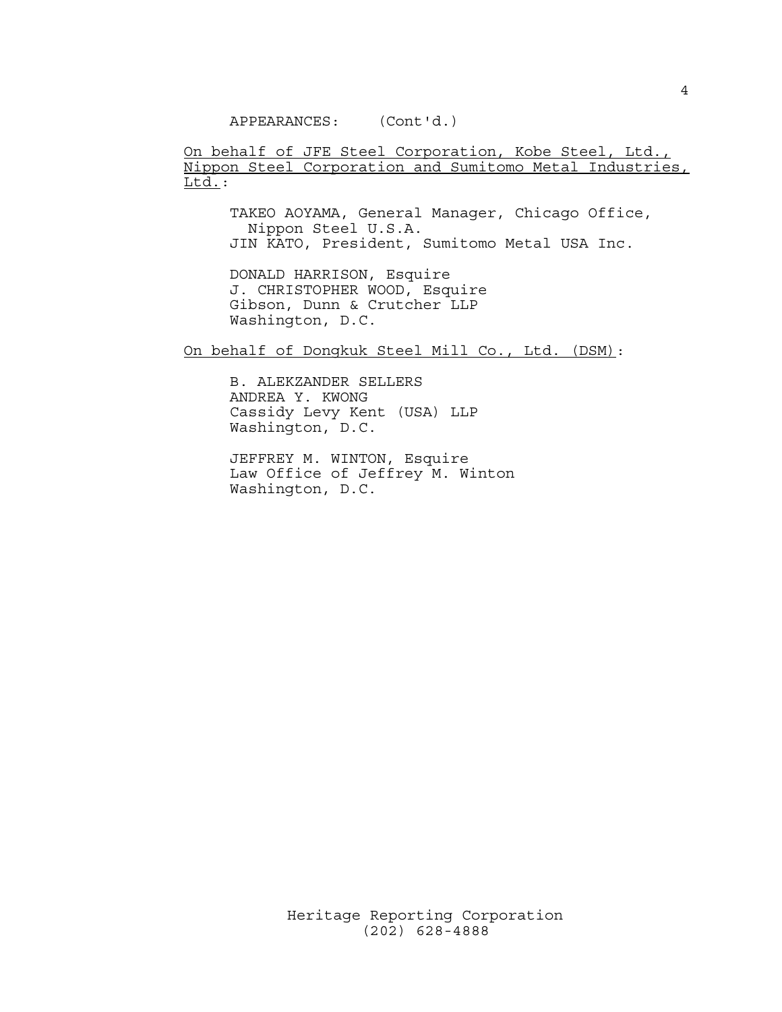APPEARANCES: (Cont'd.)

On behalf of JFE Steel Corporation, Kobe Steel, Ltd., Nippon Steel Corporation and Sumitomo Metal Industries,  $Ltd.$ :

TAKEO AOYAMA, General Manager, Chicago Office, Nippon Steel U.S.A. JIN KATO, President, Sumitomo Metal USA Inc.

DONALD HARRISON, Esquire J. CHRISTOPHER WOOD, Esquire Gibson, Dunn & Crutcher LLP Washington, D.C.

On behalf of Dongkuk Steel Mill Co., Ltd. (DSM):

B. ALEKZANDER SELLERS ANDREA Y. KWONG Cassidy Levy Kent (USA) LLP Washington, D.C.

JEFFREY M. WINTON, Esquire Law Office of Jeffrey M. Winton Washington, D.C.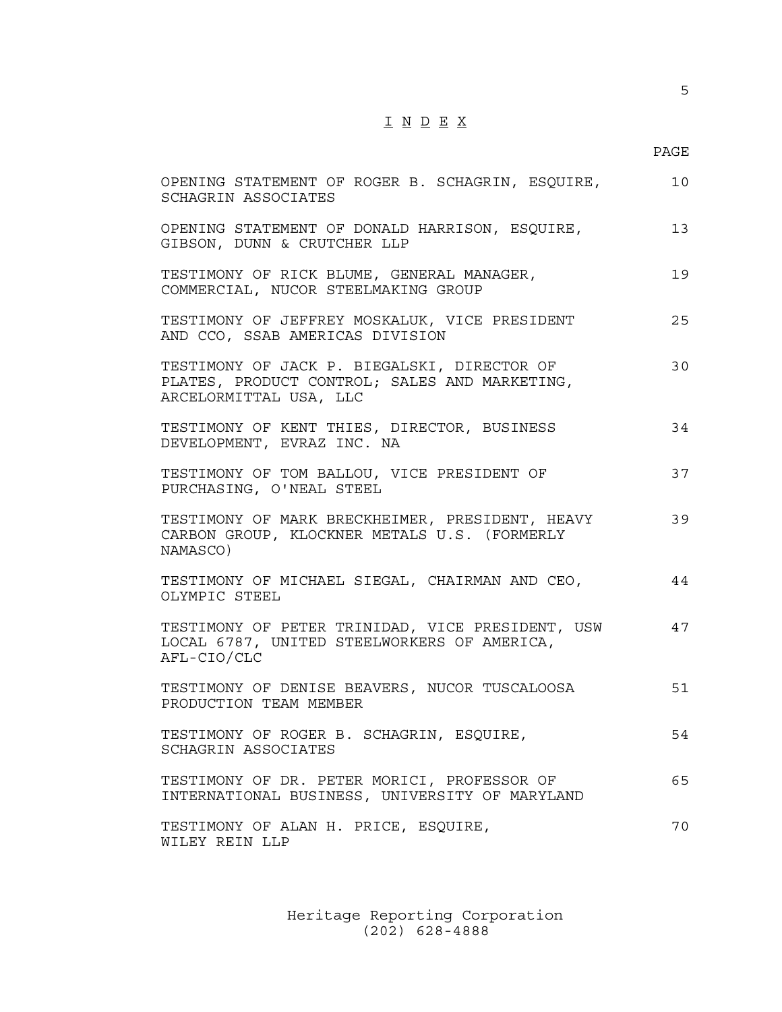# I N D E X

### PAGE

| OPENING STATEMENT OF ROGER B. SCHAGRIN, ESQUIRE,<br>SCHAGRIN ASSOCIATES                                                | 10 |
|------------------------------------------------------------------------------------------------------------------------|----|
| OPENING STATEMENT OF DONALD HARRISON, ESQUIRE,<br>GIBSON, DUNN & CRUTCHER LLP                                          | 13 |
| TESTIMONY OF RICK BLUME, GENERAL MANAGER,<br>COMMERCIAL, NUCOR STEELMAKING GROUP                                       | 19 |
| TESTIMONY OF JEFFREY MOSKALUK, VICE PRESIDENT<br>AND CCO, SSAB AMERICAS DIVISION                                       | 25 |
| TESTIMONY OF JACK P. BIEGALSKI, DIRECTOR OF<br>PLATES, PRODUCT CONTROL; SALES AND MARKETING,<br>ARCELORMITTAL USA, LLC | 30 |
| TESTIMONY OF KENT THIES, DIRECTOR, BUSINESS<br>DEVELOPMENT, EVRAZ INC. NA                                              | 34 |
| TESTIMONY OF TOM BALLOU, VICE PRESIDENT OF<br>PURCHASING, O'NEAL STEEL                                                 | 37 |
| TESTIMONY OF MARK BRECKHEIMER, PRESIDENT, HEAVY<br>CARBON GROUP, KLOCKNER METALS U.S. (FORMERLY<br>NAMASCO)            | 39 |
| TESTIMONY OF MICHAEL SIEGAL, CHAIRMAN AND CEO,<br>OLYMPIC STEEL                                                        | 44 |
| TESTIMONY OF PETER TRINIDAD, VICE PRESIDENT, USW<br>LOCAL 6787, UNITED STEELWORKERS OF AMERICA,<br>AFL-CIO/CLC         | 47 |
| TESTIMONY OF DENISE BEAVERS, NUCOR TUSCALOOSA<br>PRODUCTION TEAM MEMBER                                                | 51 |
| TESTIMONY OF ROGER B. SCHAGRIN, ESQUIRE,<br>SCHAGRIN ASSOCIATES                                                        | 54 |
| TESTIMONY OF DR. PETER MORICI, PROFESSOR OF<br>INTERNATIONAL BUSINESS, UNIVERSITY OF MARYLAND                          | 65 |
| TESTIMONY OF ALAN H. PRICE, ESQUIRE,<br>WILEY REIN LLP                                                                 | 70 |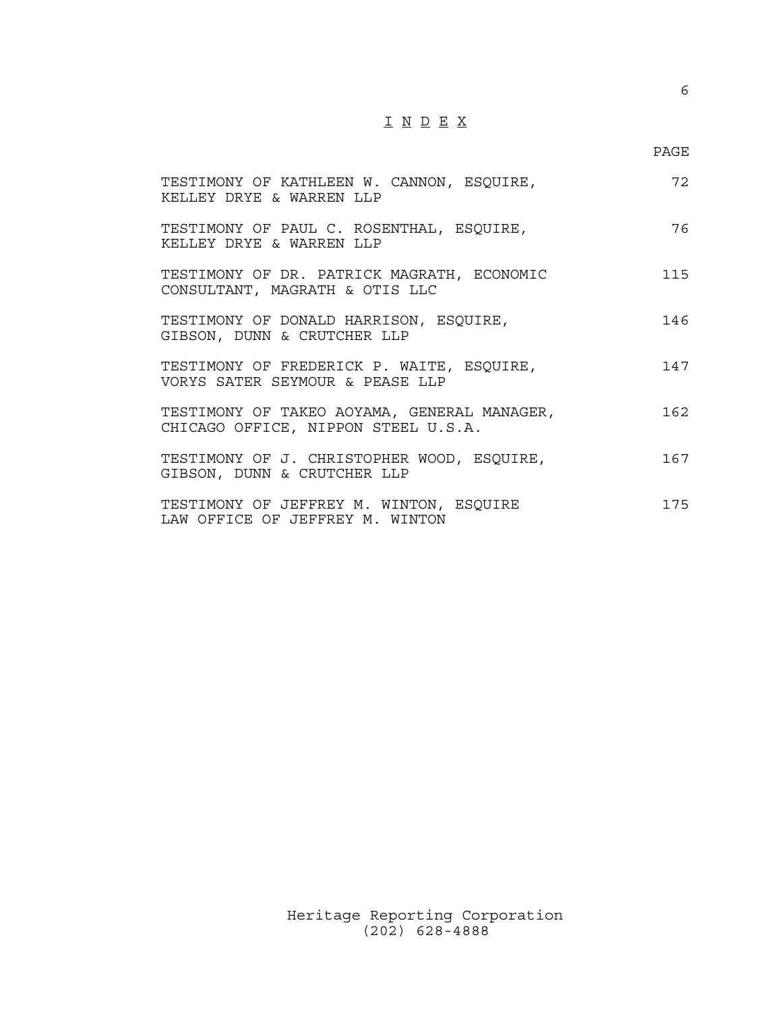# I N D E X

### PAGE

| TESTIMONY OF KATHLEEN W. CANNON, ESQUIRE,<br>KELLEY DRYE & WARREN LLP              | 72  |
|------------------------------------------------------------------------------------|-----|
| TESTIMONY OF PAUL C. ROSENTHAL, ESQUIRE,<br>KELLEY DRYE & WARREN LLP               | 76  |
| TESTIMONY OF DR. PATRICK MAGRATH, ECONOMIC<br>CONSULTANT, MAGRATH & OTIS LLC       | 115 |
| TESTIMONY OF DONALD HARRISON, ESQUIRE,<br>GIBSON, DUNN & CRUTCHER LLP              | 146 |
| TESTIMONY OF FREDERICK P. WAITE, ESQUIRE,<br>VORYS SATER SEYMOUR & PEASE LLP       | 147 |
| TESTIMONY OF TAKEO AOYAMA, GENERAL MANAGER,<br>CHICAGO OFFICE, NIPPON STEEL U.S.A. | 162 |
| TESTIMONY OF J. CHRISTOPHER WOOD, ESQUIRE,<br>GIBSON, DUNN & CRUTCHER LLP          | 167 |
| TESTIMONY OF JEFFREY M. WINTON, ESQUIRE<br>LAW OFFICE OF JEFFREY M. WINTON         | 175 |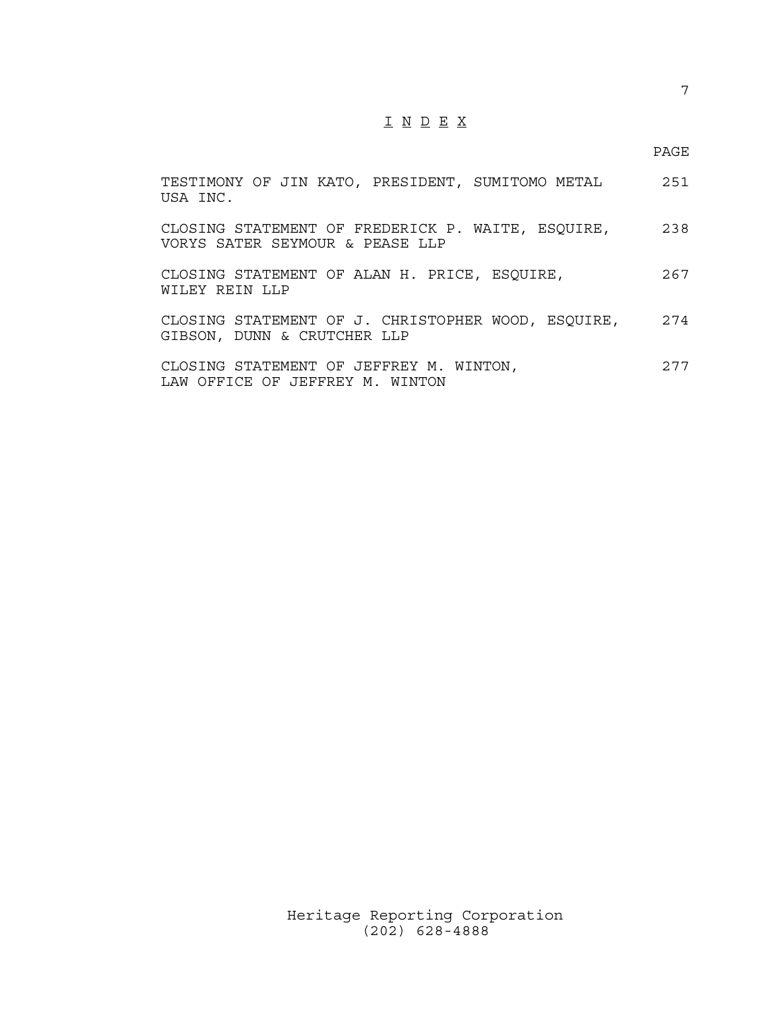# I N D E X

#### PAGE

| TESTIMONY OF JIN KATO, PRESIDENT, SUMITOMO METAL<br>USA INC.                         | 251  |
|--------------------------------------------------------------------------------------|------|
| CLOSING STATEMENT OF FREDERICK P. WAITE, ESQUIRE,<br>VORYS SATER SEYMOUR & PEASE LLP | 238  |
| CLOSING STATEMENT OF ALAN H. PRICE, ESQUIRE,<br>WILEY REIN LLP                       | 267  |
| CLOSING STATEMENT OF J. CHRISTOPHER WOOD, ESQUIRE,<br>GIBSON, DUNN & CRUTCHER LLP    | 274  |
| CLOSING STATEMENT OF JEFFREY M. WINTON,<br>LAW OFFICE OF JEFFREY M. WINTON           | 2.77 |

Heritage Reporting Corporation (202) 628-4888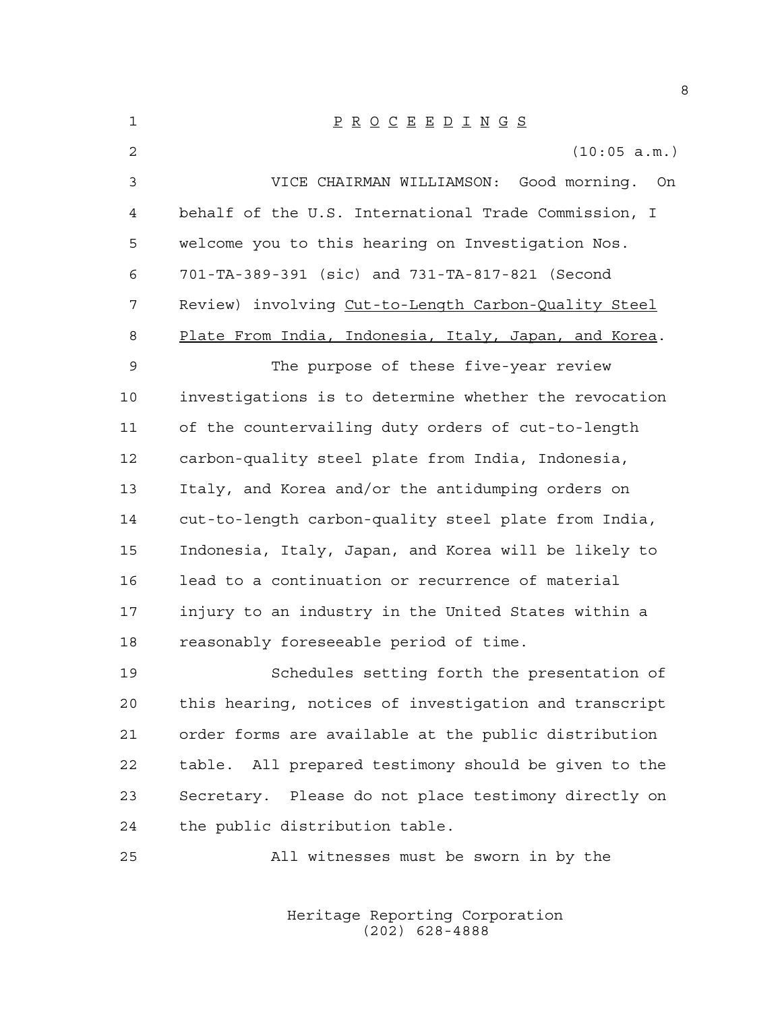| $\mathbf{1}$ | $\underline{P} \underline{R} \underline{O} \underline{C} \underline{E} \underline{E} \underline{D} \underline{I} \underline{N} \underline{G} \underline{S}$ |
|--------------|-------------------------------------------------------------------------------------------------------------------------------------------------------------|
| 2            | (10:05 a.m.)                                                                                                                                                |
| 3            | VICE CHAIRMAN WILLIAMSON: Good morning. On                                                                                                                  |
| 4            | behalf of the U.S. International Trade Commission, I                                                                                                        |
| 5            | welcome you to this hearing on Investigation Nos.                                                                                                           |
| 6            | 701-TA-389-391 (sic) and 731-TA-817-821 (Second                                                                                                             |
| 7            | Review) involving Cut-to-Length Carbon-Quality Steel                                                                                                        |
| 8            | Plate From India, Indonesia, Italy, Japan, and Korea.                                                                                                       |
| 9            | The purpose of these five-year review                                                                                                                       |
| 10           | investigations is to determine whether the revocation                                                                                                       |
| 11           | of the countervailing duty orders of cut-to-length                                                                                                          |
| 12           | carbon-quality steel plate from India, Indonesia,                                                                                                           |
| 13           | Italy, and Korea and/or the antidumping orders on                                                                                                           |
| 14           | cut-to-length carbon-quality steel plate from India,                                                                                                        |
| 15           | Indonesia, Italy, Japan, and Korea will be likely to                                                                                                        |
| 16           | lead to a continuation or recurrence of material                                                                                                            |
| 17           | injury to an industry in the United States within a                                                                                                         |
| 18           | reasonably foreseeable period of time.                                                                                                                      |
| 19           | Schedules setting forth the presentation of                                                                                                                 |
| 20           | this hearing, notices of investigation and transcript                                                                                                       |
| 21           | order forms are available at the public distribution                                                                                                        |
| 22           | table. All prepared testimony should be given to the                                                                                                        |
| 23           | Secretary. Please do not place testimony directly on                                                                                                        |
| 24           | the public distribution table.                                                                                                                              |
| 25           | All witnesses must be sworn in by the                                                                                                                       |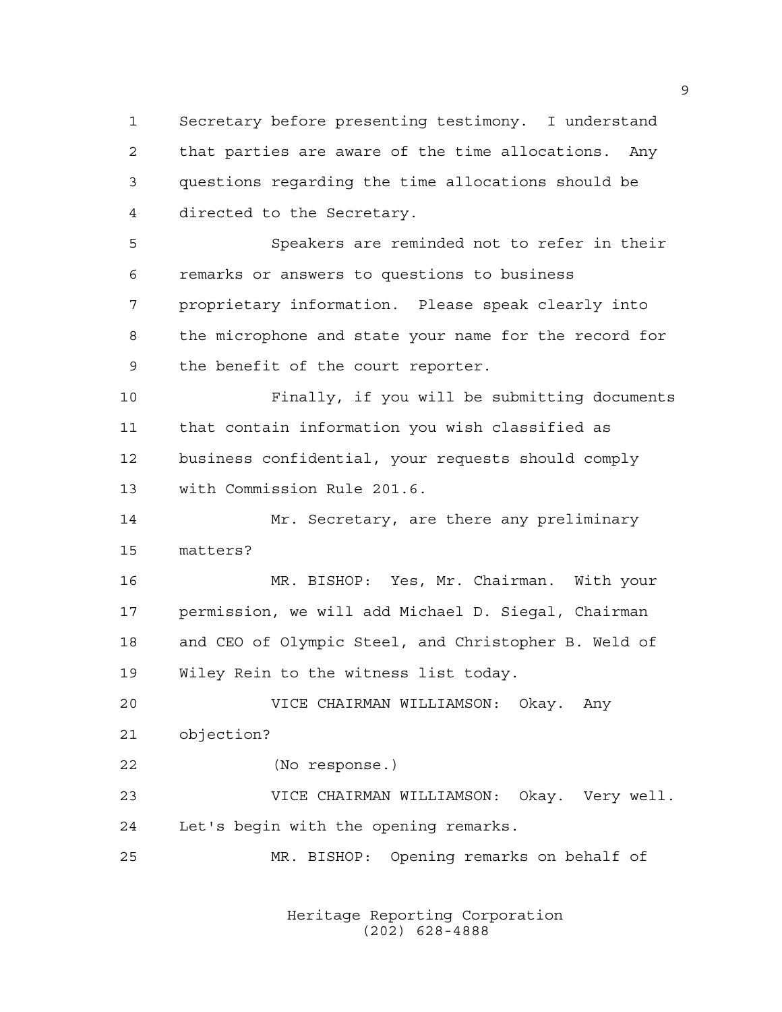Secretary before presenting testimony. I understand that parties are aware of the time allocations. Any questions regarding the time allocations should be directed to the Secretary.

 Speakers are reminded not to refer in their remarks or answers to questions to business proprietary information. Please speak clearly into the microphone and state your name for the record for the benefit of the court reporter.

 Finally, if you will be submitting documents that contain information you wish classified as business confidential, your requests should comply with Commission Rule 201.6.

 Mr. Secretary, are there any preliminary matters?

 MR. BISHOP: Yes, Mr. Chairman. With your permission, we will add Michael D. Siegal, Chairman and CEO of Olympic Steel, and Christopher B. Weld of Wiley Rein to the witness list today.

 VICE CHAIRMAN WILLIAMSON: Okay. Any objection?

(No response.)

 VICE CHAIRMAN WILLIAMSON: Okay. Very well. Let's begin with the opening remarks.

MR. BISHOP: Opening remarks on behalf of

Heritage Reporting Corporation (202) 628-4888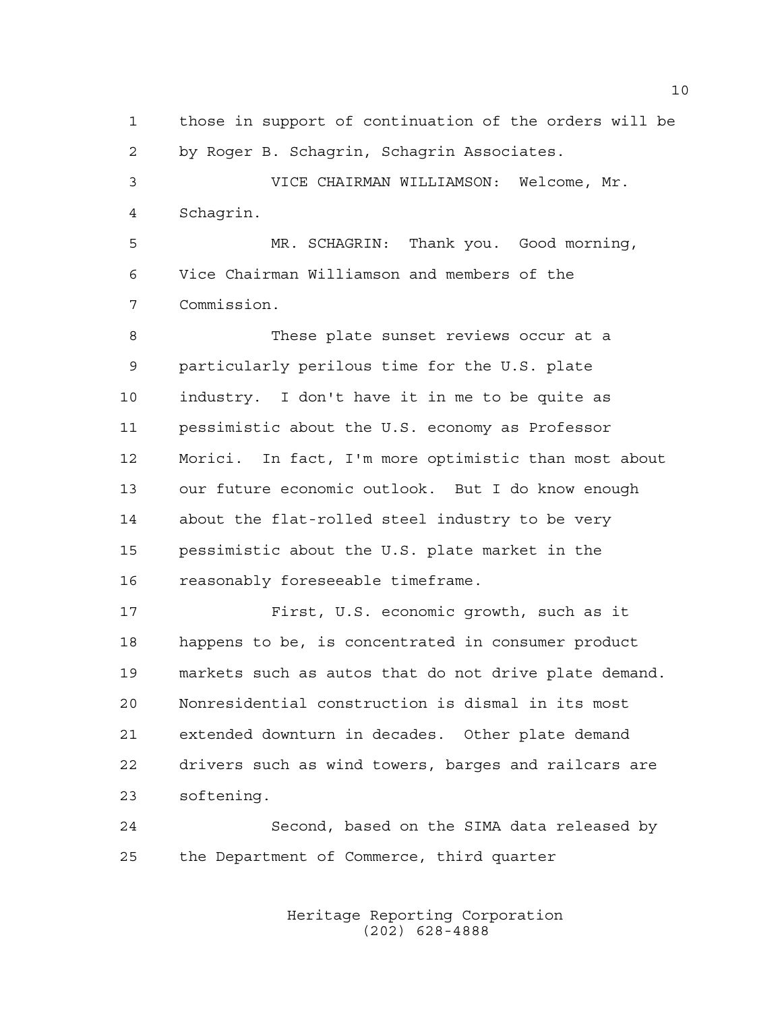those in support of continuation of the orders will be by Roger B. Schagrin, Schagrin Associates. VICE CHAIRMAN WILLIAMSON: Welcome, Mr. Schagrin. MR. SCHAGRIN: Thank you. Good morning, Vice Chairman Williamson and members of the Commission. These plate sunset reviews occur at a particularly perilous time for the U.S. plate industry. I don't have it in me to be quite as pessimistic about the U.S. economy as Professor Morici. In fact, I'm more optimistic than most about our future economic outlook. But I do know enough about the flat-rolled steel industry to be very pessimistic about the U.S. plate market in the reasonably foreseeable timeframe. First, U.S. economic growth, such as it happens to be, is concentrated in consumer product markets such as autos that do not drive plate demand. Nonresidential construction is dismal in its most extended downturn in decades. Other plate demand drivers such as wind towers, barges and railcars are softening. Second, based on the SIMA data released by the Department of Commerce, third quarter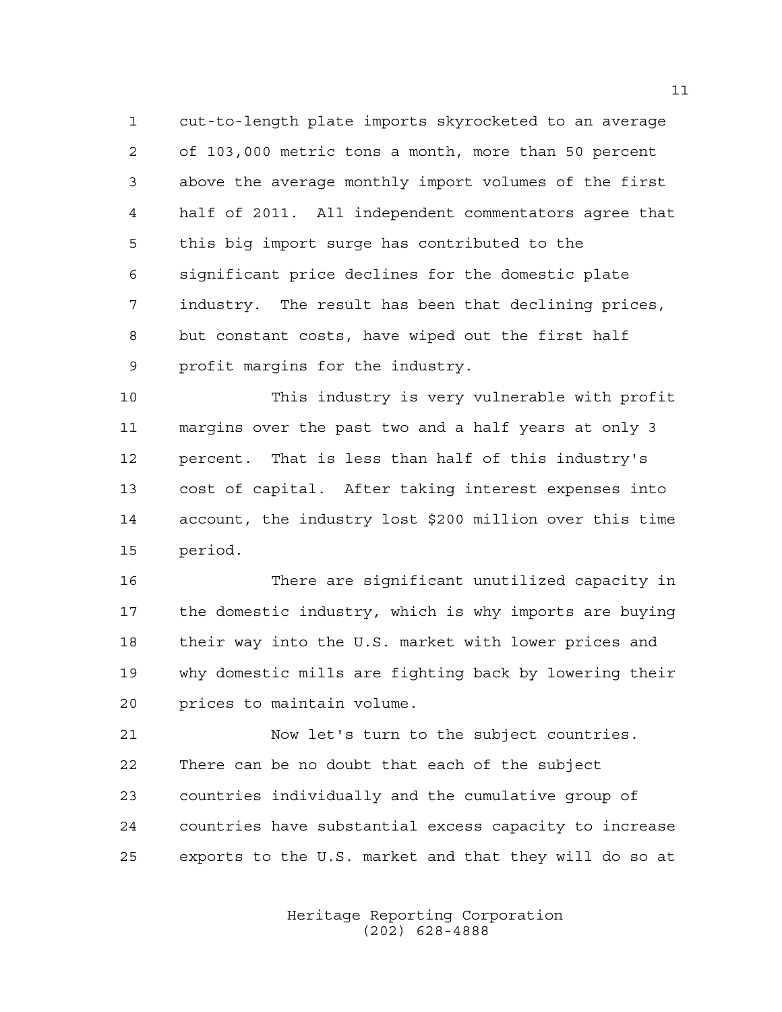cut-to-length plate imports skyrocketed to an average of 103,000 metric tons a month, more than 50 percent above the average monthly import volumes of the first half of 2011. All independent commentators agree that this big import surge has contributed to the significant price declines for the domestic plate industry. The result has been that declining prices, but constant costs, have wiped out the first half profit margins for the industry.

 This industry is very vulnerable with profit margins over the past two and a half years at only 3 percent. That is less than half of this industry's cost of capital. After taking interest expenses into account, the industry lost \$200 million over this time period.

 There are significant unutilized capacity in the domestic industry, which is why imports are buying their way into the U.S. market with lower prices and why domestic mills are fighting back by lowering their prices to maintain volume.

 Now let's turn to the subject countries. There can be no doubt that each of the subject countries individually and the cumulative group of countries have substantial excess capacity to increase exports to the U.S. market and that they will do so at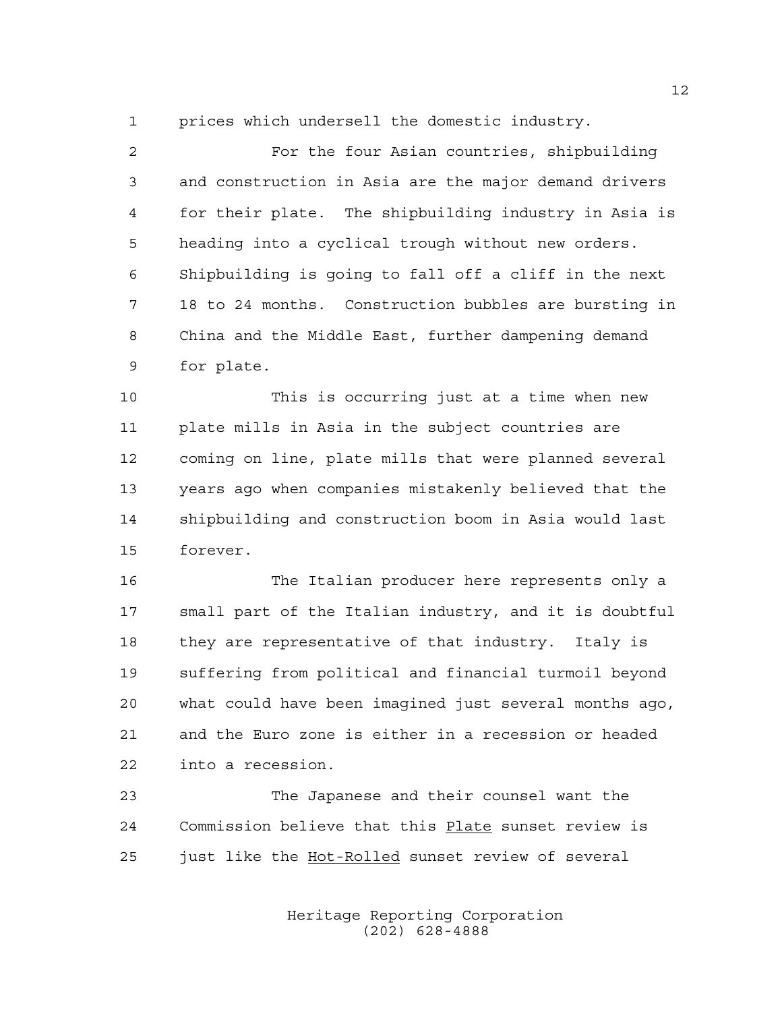prices which undersell the domestic industry.

 For the four Asian countries, shipbuilding and construction in Asia are the major demand drivers for their plate. The shipbuilding industry in Asia is heading into a cyclical trough without new orders. Shipbuilding is going to fall off a cliff in the next 18 to 24 months. Construction bubbles are bursting in China and the Middle East, further dampening demand for plate.

 This is occurring just at a time when new plate mills in Asia in the subject countries are coming on line, plate mills that were planned several years ago when companies mistakenly believed that the shipbuilding and construction boom in Asia would last forever.

 The Italian producer here represents only a small part of the Italian industry, and it is doubtful they are representative of that industry. Italy is suffering from political and financial turmoil beyond what could have been imagined just several months ago, and the Euro zone is either in a recession or headed into a recession.

 The Japanese and their counsel want the Commission believe that this Plate sunset review is 25 just like the Hot-Rolled sunset review of several

> Heritage Reporting Corporation (202) 628-4888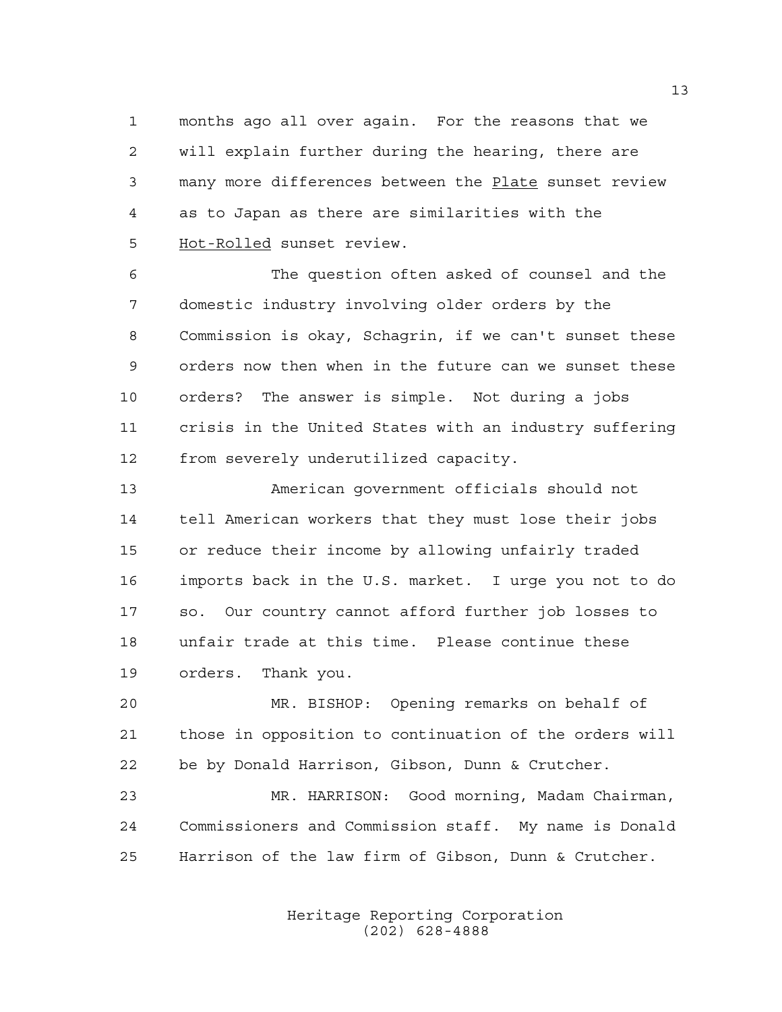months ago all over again. For the reasons that we will explain further during the hearing, there are many more differences between the Plate sunset review as to Japan as there are similarities with the Hot-Rolled sunset review.

 The question often asked of counsel and the domestic industry involving older orders by the Commission is okay, Schagrin, if we can't sunset these orders now then when in the future can we sunset these orders? The answer is simple. Not during a jobs crisis in the United States with an industry suffering from severely underutilized capacity.

 American government officials should not tell American workers that they must lose their jobs or reduce their income by allowing unfairly traded imports back in the U.S. market. I urge you not to do so. Our country cannot afford further job losses to unfair trade at this time. Please continue these orders. Thank you.

 MR. BISHOP: Opening remarks on behalf of those in opposition to continuation of the orders will be by Donald Harrison, Gibson, Dunn & Crutcher.

 MR. HARRISON: Good morning, Madam Chairman, Commissioners and Commission staff. My name is Donald Harrison of the law firm of Gibson, Dunn & Crutcher.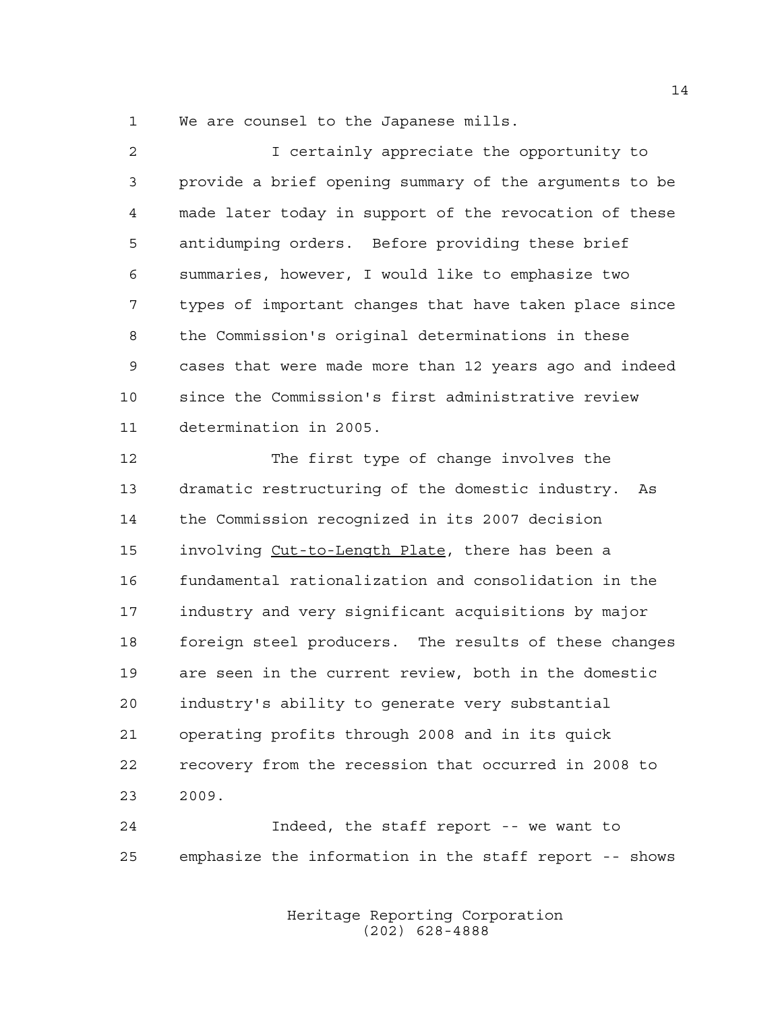We are counsel to the Japanese mills.

| $\overline{2}$ | I certainly appreciate the opportunity to              |
|----------------|--------------------------------------------------------|
| 3              | provide a brief opening summary of the arguments to be |
| $\overline{4}$ | made later today in support of the revocation of these |
| 5              | antidumping orders. Before providing these brief       |
| 6              | summaries, however, I would like to emphasize two      |
| 7              | types of important changes that have taken place since |
| 8              | the Commission's original determinations in these      |
| 9              | cases that were made more than 12 years ago and indeed |
| 10             | since the Commission's first administrative review     |
| 11             | determination in 2005.                                 |
| 12             | The first type of change involves the                  |
| 13             | dramatic restructuring of the domestic industry. As    |
| 14             | the Commission recognized in its 2007 decision         |
| 15             | involving Cut-to-Length Plate, there has been a        |
| 16             | fundamental rationalization and consolidation in the   |
| 17             | industry and very significant acquisitions by major    |
| 18             | foreign steel producers. The results of these changes  |
| 19             | are seen in the current review, both in the domestic   |
| 20             | industry's ability to generate very substantial        |
| 21             | operating profits through 2008 and in its quick        |

 recovery from the recession that occurred in 2008 to 2009.

 Indeed, the staff report -- we want to emphasize the information in the staff report -- shows

> Heritage Reporting Corporation (202) 628-4888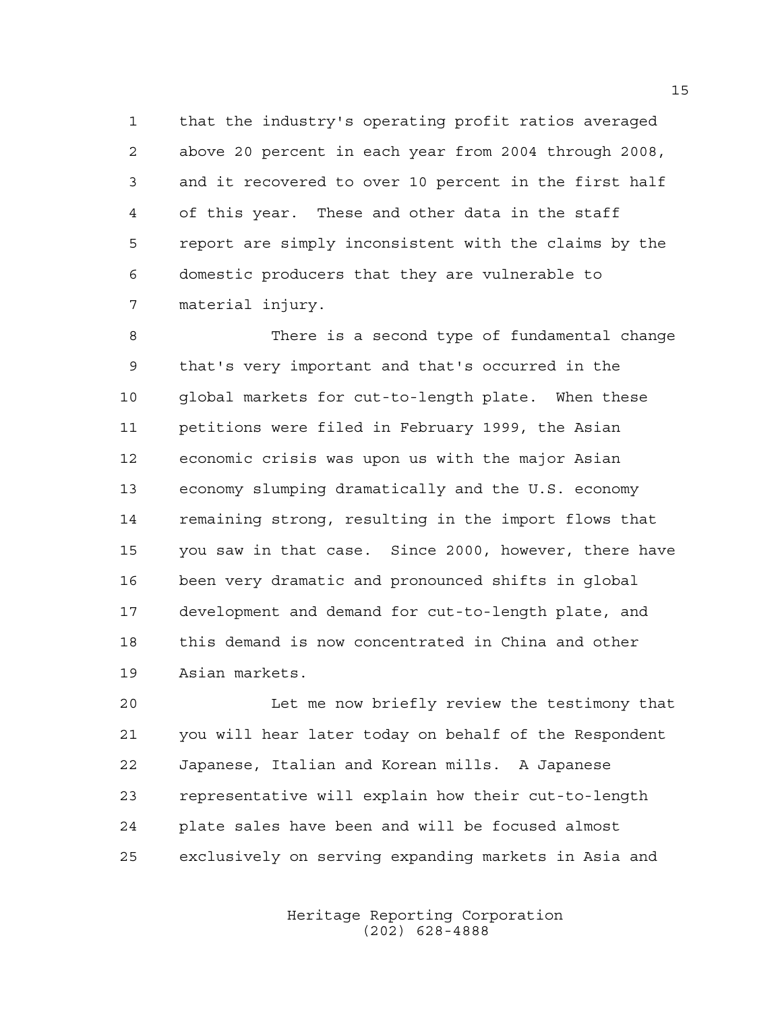that the industry's operating profit ratios averaged above 20 percent in each year from 2004 through 2008, and it recovered to over 10 percent in the first half of this year. These and other data in the staff report are simply inconsistent with the claims by the domestic producers that they are vulnerable to material injury.

 There is a second type of fundamental change that's very important and that's occurred in the global markets for cut-to-length plate. When these petitions were filed in February 1999, the Asian economic crisis was upon us with the major Asian economy slumping dramatically and the U.S. economy remaining strong, resulting in the import flows that you saw in that case. Since 2000, however, there have been very dramatic and pronounced shifts in global development and demand for cut-to-length plate, and this demand is now concentrated in China and other Asian markets.

 Let me now briefly review the testimony that you will hear later today on behalf of the Respondent Japanese, Italian and Korean mills. A Japanese representative will explain how their cut-to-length plate sales have been and will be focused almost exclusively on serving expanding markets in Asia and

> Heritage Reporting Corporation (202) 628-4888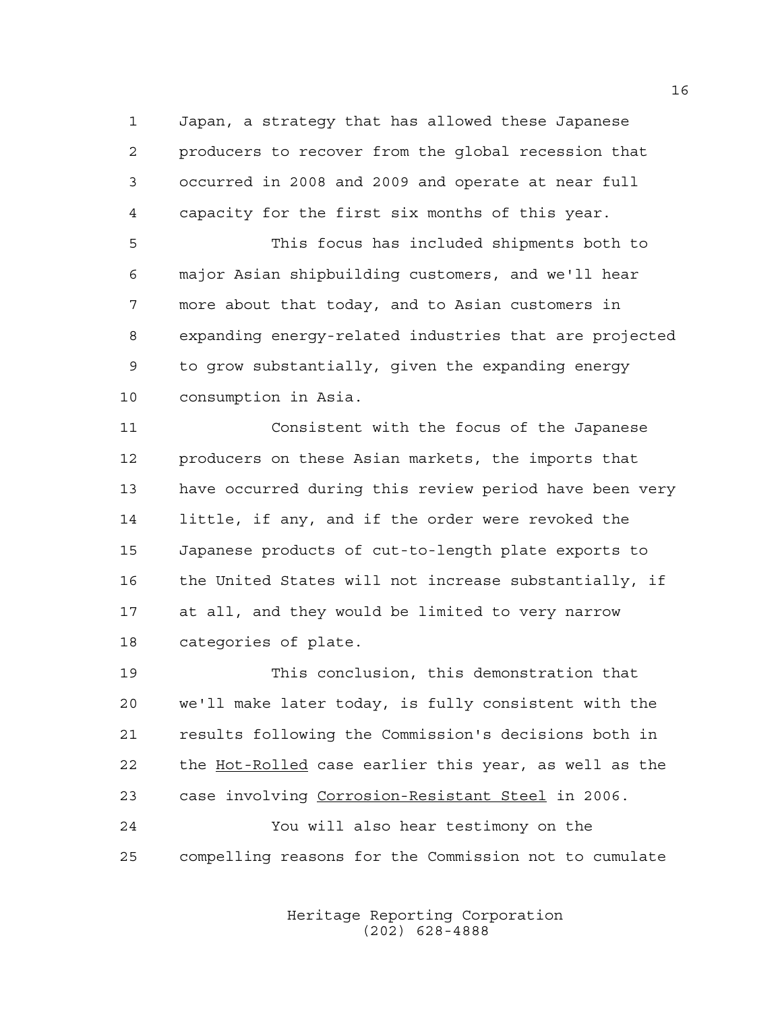Japan, a strategy that has allowed these Japanese producers to recover from the global recession that occurred in 2008 and 2009 and operate at near full capacity for the first six months of this year.

 This focus has included shipments both to major Asian shipbuilding customers, and we'll hear more about that today, and to Asian customers in expanding energy-related industries that are projected to grow substantially, given the expanding energy consumption in Asia.

 Consistent with the focus of the Japanese producers on these Asian markets, the imports that have occurred during this review period have been very little, if any, and if the order were revoked the Japanese products of cut-to-length plate exports to the United States will not increase substantially, if at all, and they would be limited to very narrow categories of plate.

 This conclusion, this demonstration that we'll make later today, is fully consistent with the results following the Commission's decisions both in 22 the Hot-Rolled case earlier this year, as well as the case involving Corrosion-Resistant Steel in 2006. You will also hear testimony on the compelling reasons for the Commission not to cumulate

> Heritage Reporting Corporation (202) 628-4888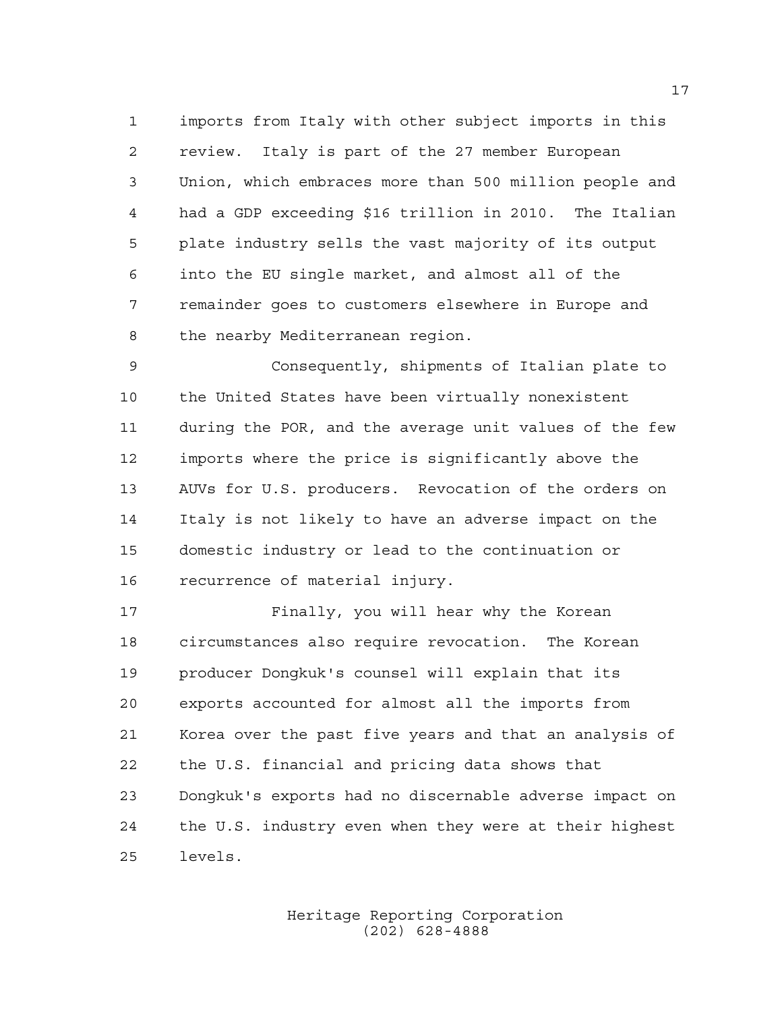imports from Italy with other subject imports in this review. Italy is part of the 27 member European Union, which embraces more than 500 million people and had a GDP exceeding \$16 trillion in 2010. The Italian plate industry sells the vast majority of its output into the EU single market, and almost all of the remainder goes to customers elsewhere in Europe and the nearby Mediterranean region.

 Consequently, shipments of Italian plate to the United States have been virtually nonexistent during the POR, and the average unit values of the few imports where the price is significantly above the AUVs for U.S. producers. Revocation of the orders on Italy is not likely to have an adverse impact on the domestic industry or lead to the continuation or recurrence of material injury.

 Finally, you will hear why the Korean circumstances also require revocation. The Korean producer Dongkuk's counsel will explain that its exports accounted for almost all the imports from Korea over the past five years and that an analysis of the U.S. financial and pricing data shows that Dongkuk's exports had no discernable adverse impact on the U.S. industry even when they were at their highest levels.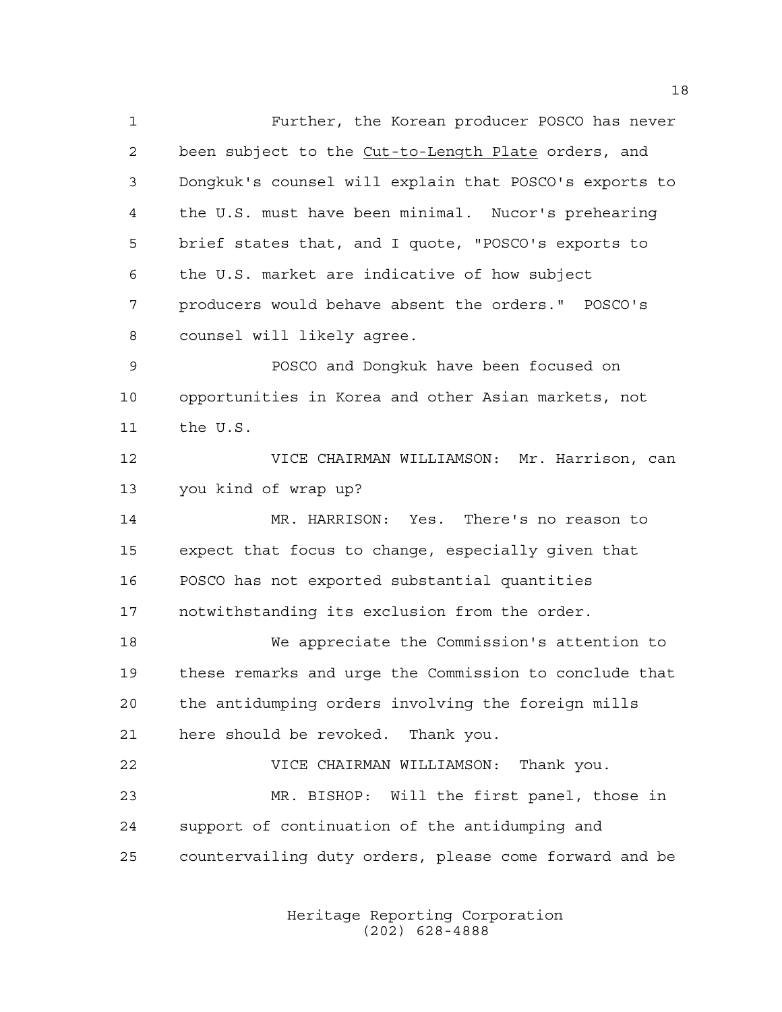Further, the Korean producer POSCO has never 2 been subject to the Cut-to-Length Plate orders, and Dongkuk's counsel will explain that POSCO's exports to the U.S. must have been minimal. Nucor's prehearing brief states that, and I quote, "POSCO's exports to the U.S. market are indicative of how subject producers would behave absent the orders." POSCO's counsel will likely agree. POSCO and Dongkuk have been focused on opportunities in Korea and other Asian markets, not the U.S. VICE CHAIRMAN WILLIAMSON: Mr. Harrison, can you kind of wrap up? MR. HARRISON: Yes. There's no reason to expect that focus to change, especially given that POSCO has not exported substantial quantities notwithstanding its exclusion from the order. We appreciate the Commission's attention to these remarks and urge the Commission to conclude that the antidumping orders involving the foreign mills here should be revoked. Thank you. VICE CHAIRMAN WILLIAMSON: Thank you. MR. BISHOP: Will the first panel, those in support of continuation of the antidumping and countervailing duty orders, please come forward and be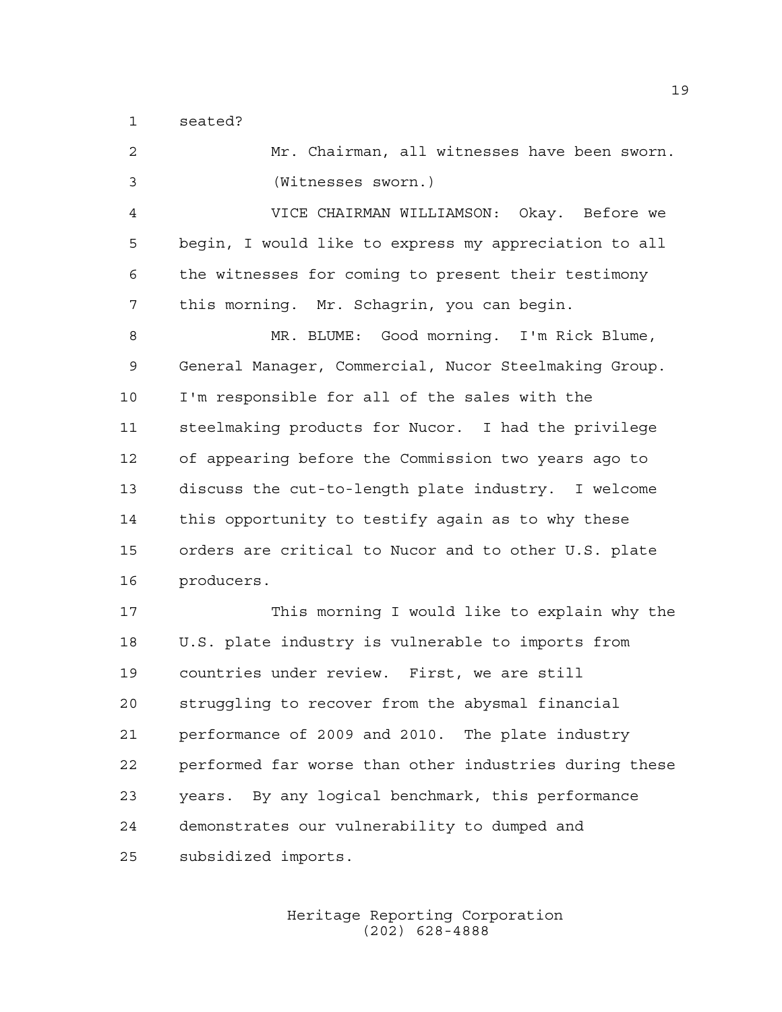seated?

 Mr. Chairman, all witnesses have been sworn. (Witnesses sworn.) VICE CHAIRMAN WILLIAMSON: Okay. Before we begin, I would like to express my appreciation to all the witnesses for coming to present their testimony this morning. Mr. Schagrin, you can begin. MR. BLUME: Good morning. I'm Rick Blume, General Manager, Commercial, Nucor Steelmaking Group. I'm responsible for all of the sales with the steelmaking products for Nucor. I had the privilege of appearing before the Commission two years ago to discuss the cut-to-length plate industry. I welcome this opportunity to testify again as to why these orders are critical to Nucor and to other U.S. plate producers. This morning I would like to explain why the U.S. plate industry is vulnerable to imports from countries under review. First, we are still struggling to recover from the abysmal financial performance of 2009 and 2010. The plate industry performed far worse than other industries during these years. By any logical benchmark, this performance demonstrates our vulnerability to dumped and subsidized imports.

> Heritage Reporting Corporation (202) 628-4888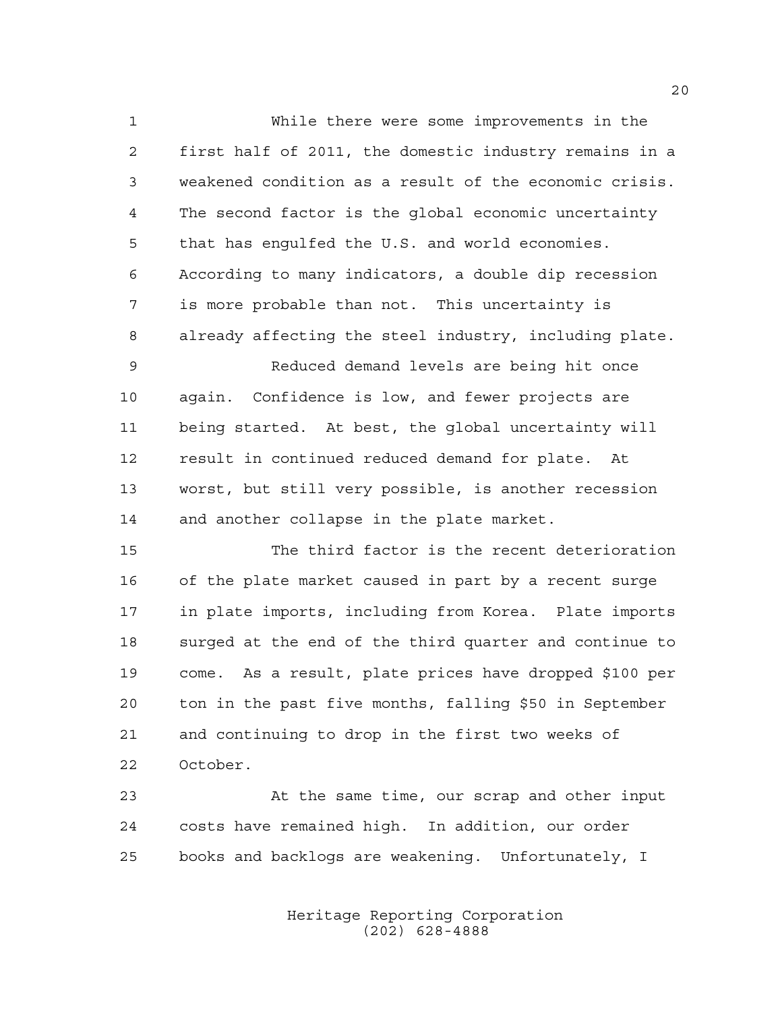While there were some improvements in the first half of 2011, the domestic industry remains in a weakened condition as a result of the economic crisis. The second factor is the global economic uncertainty that has engulfed the U.S. and world economies. According to many indicators, a double dip recession is more probable than not. This uncertainty is already affecting the steel industry, including plate. Reduced demand levels are being hit once again. Confidence is low, and fewer projects are being started. At best, the global uncertainty will result in continued reduced demand for plate. At worst, but still very possible, is another recession 14 and another collapse in the plate market.

 The third factor is the recent deterioration of the plate market caused in part by a recent surge in plate imports, including from Korea. Plate imports surged at the end of the third quarter and continue to come. As a result, plate prices have dropped \$100 per ton in the past five months, falling \$50 in September and continuing to drop in the first two weeks of October.

 At the same time, our scrap and other input costs have remained high. In addition, our order books and backlogs are weakening. Unfortunately, I

> Heritage Reporting Corporation (202) 628-4888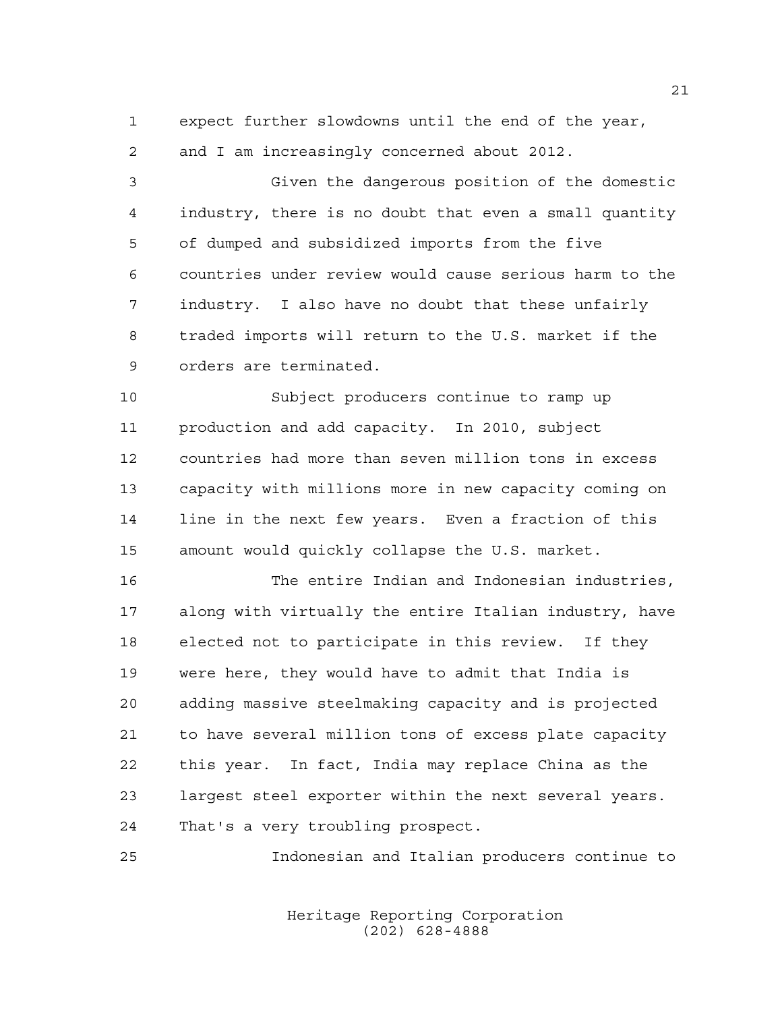expect further slowdowns until the end of the year,

and I am increasingly concerned about 2012.

 Given the dangerous position of the domestic industry, there is no doubt that even a small quantity of dumped and subsidized imports from the five countries under review would cause serious harm to the industry. I also have no doubt that these unfairly traded imports will return to the U.S. market if the orders are terminated.

 Subject producers continue to ramp up production and add capacity. In 2010, subject countries had more than seven million tons in excess capacity with millions more in new capacity coming on line in the next few years. Even a fraction of this amount would quickly collapse the U.S. market.

 The entire Indian and Indonesian industries, along with virtually the entire Italian industry, have elected not to participate in this review. If they were here, they would have to admit that India is adding massive steelmaking capacity and is projected to have several million tons of excess plate capacity this year. In fact, India may replace China as the largest steel exporter within the next several years. That's a very troubling prospect.

Indonesian and Italian producers continue to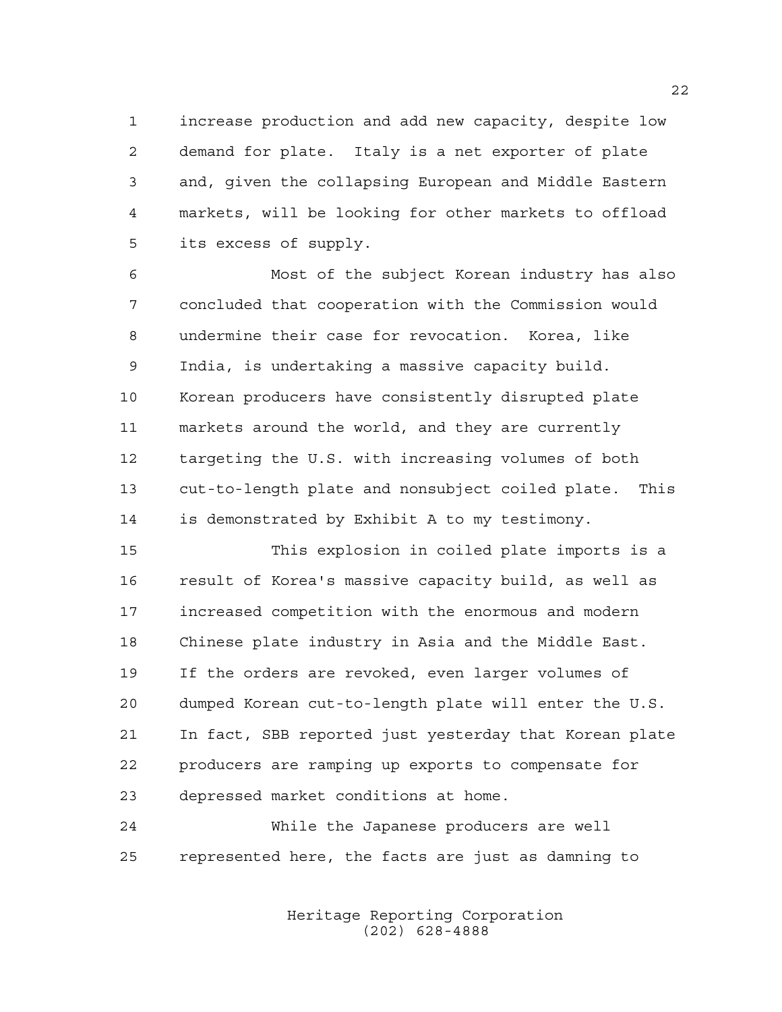increase production and add new capacity, despite low demand for plate. Italy is a net exporter of plate and, given the collapsing European and Middle Eastern markets, will be looking for other markets to offload its excess of supply.

 Most of the subject Korean industry has also concluded that cooperation with the Commission would undermine their case for revocation. Korea, like India, is undertaking a massive capacity build. Korean producers have consistently disrupted plate markets around the world, and they are currently targeting the U.S. with increasing volumes of both cut-to-length plate and nonsubject coiled plate. This is demonstrated by Exhibit A to my testimony.

 This explosion in coiled plate imports is a result of Korea's massive capacity build, as well as increased competition with the enormous and modern Chinese plate industry in Asia and the Middle East. If the orders are revoked, even larger volumes of dumped Korean cut-to-length plate will enter the U.S. In fact, SBB reported just yesterday that Korean plate producers are ramping up exports to compensate for depressed market conditions at home.

 While the Japanese producers are well represented here, the facts are just as damning to

> Heritage Reporting Corporation (202) 628-4888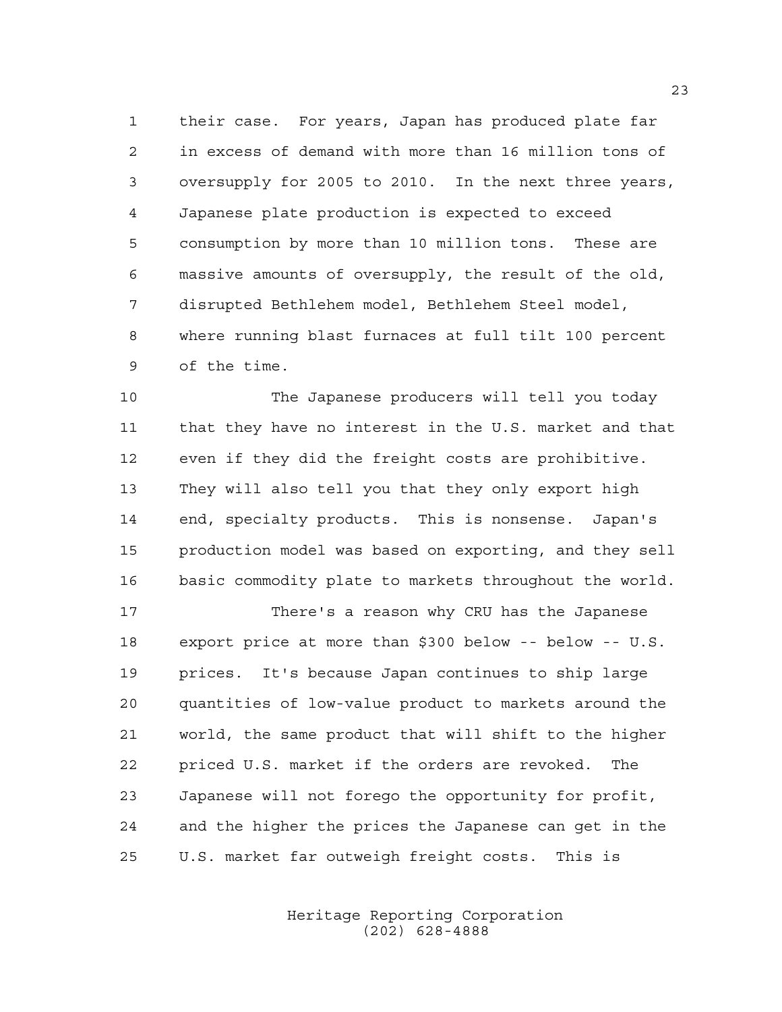their case. For years, Japan has produced plate far in excess of demand with more than 16 million tons of oversupply for 2005 to 2010. In the next three years, Japanese plate production is expected to exceed consumption by more than 10 million tons. These are massive amounts of oversupply, the result of the old, disrupted Bethlehem model, Bethlehem Steel model, where running blast furnaces at full tilt 100 percent of the time.

 The Japanese producers will tell you today that they have no interest in the U.S. market and that even if they did the freight costs are prohibitive. They will also tell you that they only export high end, specialty products. This is nonsense. Japan's production model was based on exporting, and they sell basic commodity plate to markets throughout the world.

 There's a reason why CRU has the Japanese export price at more than \$300 below -- below -- U.S. prices. It's because Japan continues to ship large quantities of low-value product to markets around the world, the same product that will shift to the higher priced U.S. market if the orders are revoked. The Japanese will not forego the opportunity for profit, and the higher the prices the Japanese can get in the U.S. market far outweigh freight costs. This is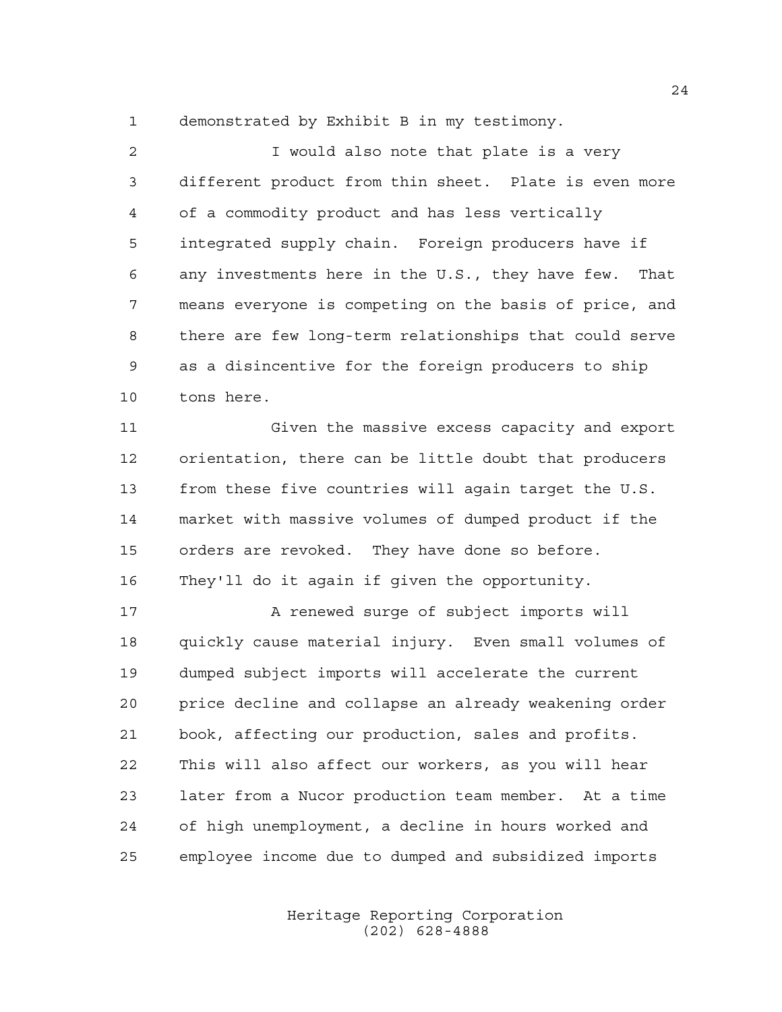demonstrated by Exhibit B in my testimony.

 I would also note that plate is a very different product from thin sheet. Plate is even more of a commodity product and has less vertically integrated supply chain. Foreign producers have if any investments here in the U.S., they have few. That means everyone is competing on the basis of price, and there are few long-term relationships that could serve as a disincentive for the foreign producers to ship tons here.

 Given the massive excess capacity and export orientation, there can be little doubt that producers from these five countries will again target the U.S. market with massive volumes of dumped product if the orders are revoked. They have done so before. They'll do it again if given the opportunity.

17 A renewed surge of subject imports will quickly cause material injury. Even small volumes of dumped subject imports will accelerate the current price decline and collapse an already weakening order book, affecting our production, sales and profits. This will also affect our workers, as you will hear later from a Nucor production team member. At a time of high unemployment, a decline in hours worked and employee income due to dumped and subsidized imports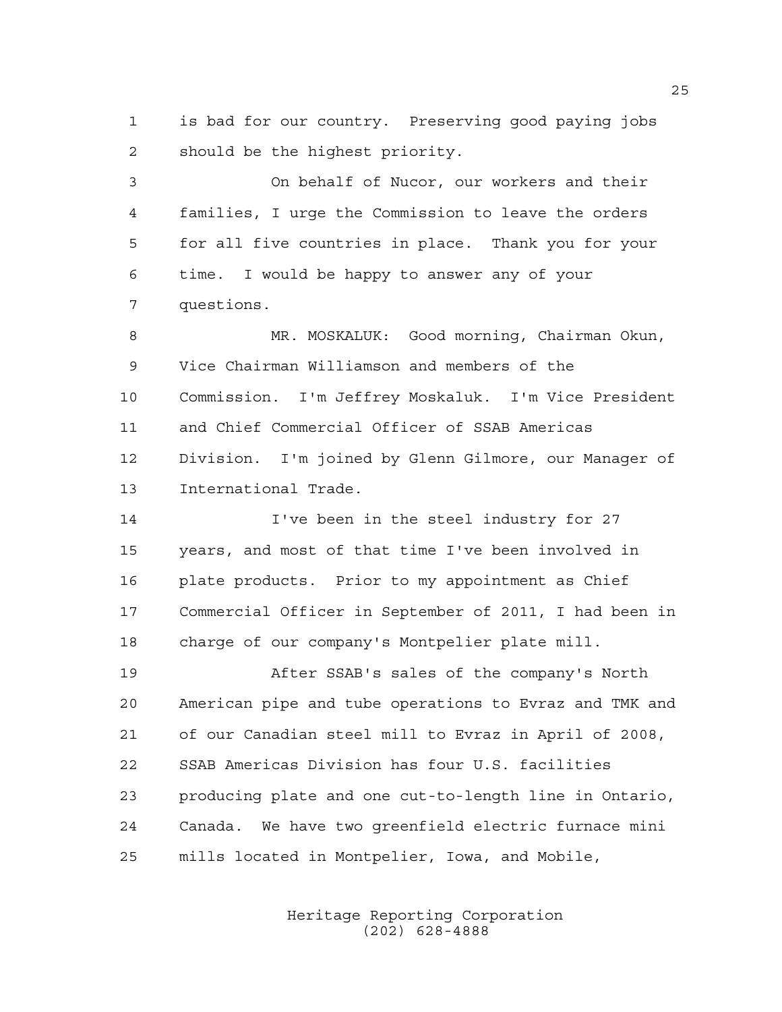is bad for our country. Preserving good paying jobs should be the highest priority.

 On behalf of Nucor, our workers and their families, I urge the Commission to leave the orders for all five countries in place. Thank you for your time. I would be happy to answer any of your questions.

 MR. MOSKALUK: Good morning, Chairman Okun, Vice Chairman Williamson and members of the Commission. I'm Jeffrey Moskaluk. I'm Vice President and Chief Commercial Officer of SSAB Americas Division. I'm joined by Glenn Gilmore, our Manager of International Trade.

 I've been in the steel industry for 27 years, and most of that time I've been involved in plate products. Prior to my appointment as Chief Commercial Officer in September of 2011, I had been in charge of our company's Montpelier plate mill.

 After SSAB's sales of the company's North American pipe and tube operations to Evraz and TMK and of our Canadian steel mill to Evraz in April of 2008, SSAB Americas Division has four U.S. facilities producing plate and one cut-to-length line in Ontario, Canada. We have two greenfield electric furnace mini mills located in Montpelier, Iowa, and Mobile,

> Heritage Reporting Corporation (202) 628-4888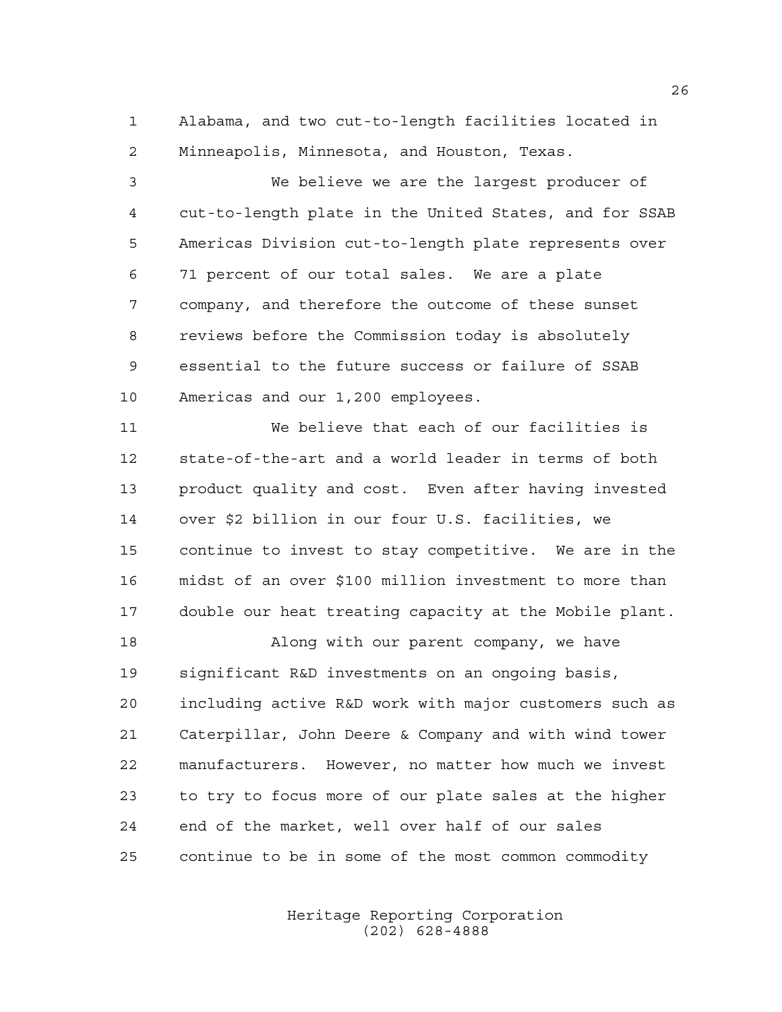Alabama, and two cut-to-length facilities located in Minneapolis, Minnesota, and Houston, Texas.

 We believe we are the largest producer of cut-to-length plate in the United States, and for SSAB Americas Division cut-to-length plate represents over 71 percent of our total sales. We are a plate company, and therefore the outcome of these sunset reviews before the Commission today is absolutely essential to the future success or failure of SSAB Americas and our 1,200 employees.

 We believe that each of our facilities is state-of-the-art and a world leader in terms of both product quality and cost. Even after having invested over \$2 billion in our four U.S. facilities, we continue to invest to stay competitive. We are in the midst of an over \$100 million investment to more than double our heat treating capacity at the Mobile plant.

 Along with our parent company, we have significant R&D investments on an ongoing basis, including active R&D work with major customers such as Caterpillar, John Deere & Company and with wind tower manufacturers. However, no matter how much we invest to try to focus more of our plate sales at the higher end of the market, well over half of our sales continue to be in some of the most common commodity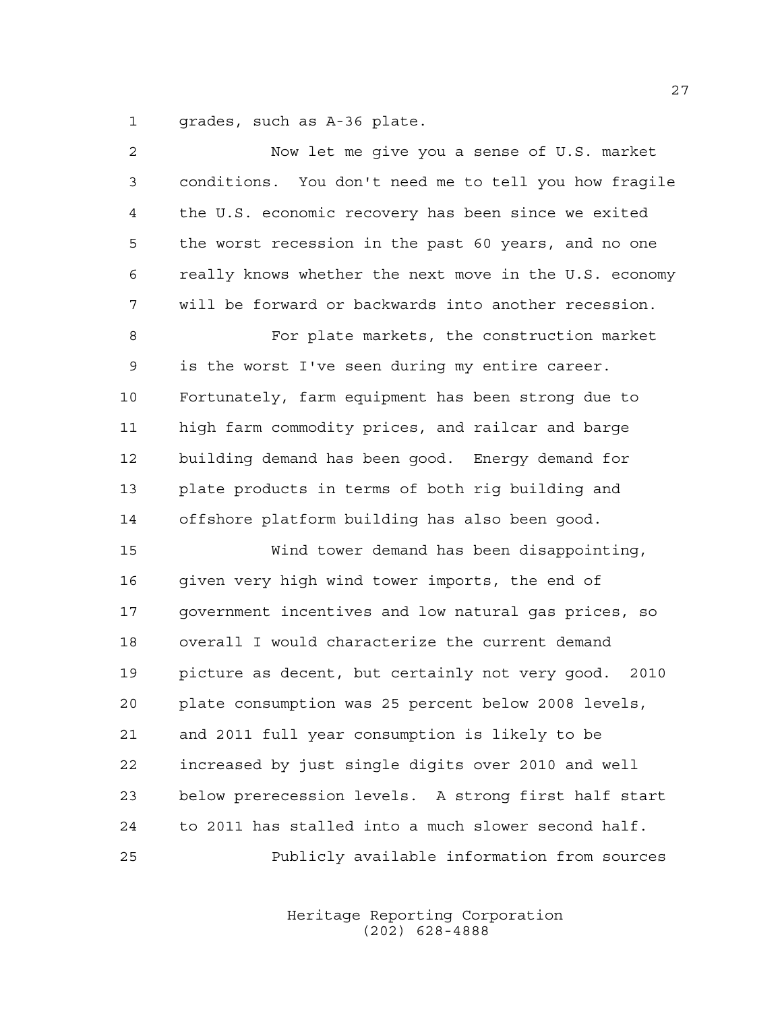grades, such as A-36 plate.

| $\overline{a}$ | Now let me give you a sense of U.S. market              |
|----------------|---------------------------------------------------------|
| 3              | conditions. You don't need me to tell you how fragile   |
| $\overline{4}$ | the U.S. economic recovery has been since we exited     |
| 5              | the worst recession in the past 60 years, and no one    |
| 6              | really knows whether the next move in the U.S. economy  |
| 7              | will be forward or backwards into another recession.    |
| 8              | For plate markets, the construction market              |
| 9              | is the worst I've seen during my entire career.         |
| 10             | Fortunately, farm equipment has been strong due to      |
| 11             | high farm commodity prices, and railcar and barge       |
| 12             | building demand has been good. Energy demand for        |
| 13             | plate products in terms of both rig building and        |
| 14             | offshore platform building has also been good.          |
| 15             | Wind tower demand has been disappointing,               |
| 16             | given very high wind tower imports, the end of          |
| 17             | government incentives and low natural gas prices, so    |
| 18             | overall I would characterize the current demand         |
| 19             | picture as decent, but certainly not very good.<br>2010 |
| 20             | plate consumption was 25 percent below 2008 levels,     |
| 21             | and 2011 full year consumption is likely to be          |
| 22             | increased by just single digits over 2010 and well      |
| 23             | below prerecession levels. A strong first half start    |
| 24             | to 2011 has stalled into a much slower second half.     |
| 25             | Publicly available information from sources             |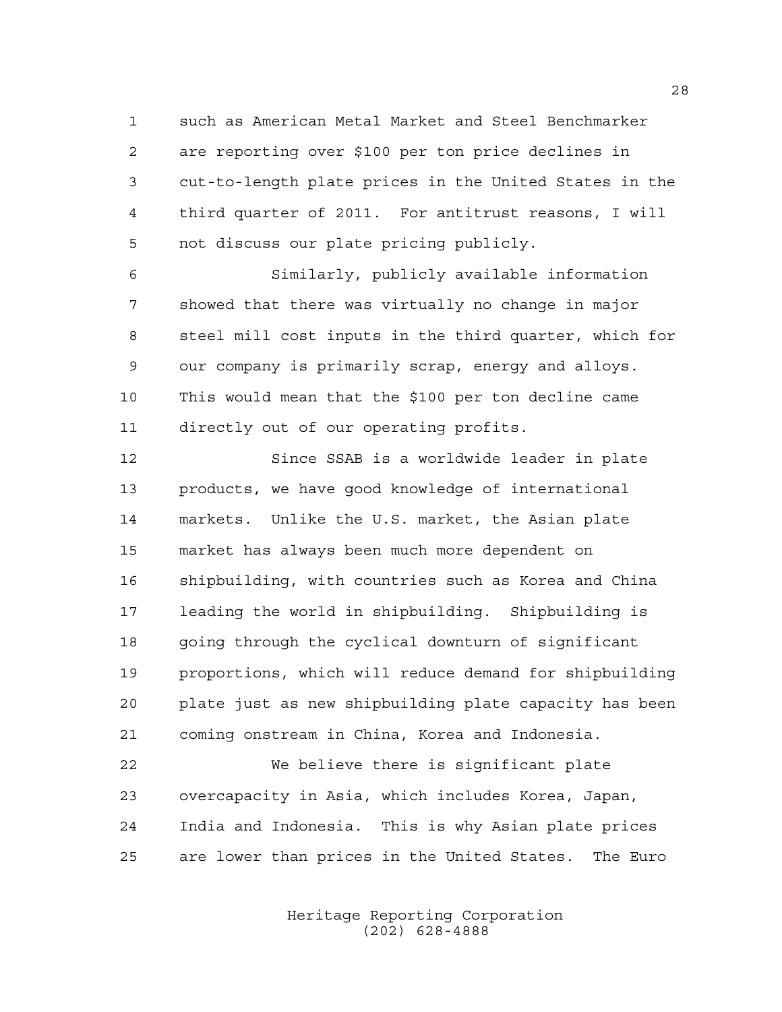such as American Metal Market and Steel Benchmarker are reporting over \$100 per ton price declines in cut-to-length plate prices in the United States in the third quarter of 2011. For antitrust reasons, I will not discuss our plate pricing publicly.

 Similarly, publicly available information showed that there was virtually no change in major steel mill cost inputs in the third quarter, which for our company is primarily scrap, energy and alloys. This would mean that the \$100 per ton decline came directly out of our operating profits.

 Since SSAB is a worldwide leader in plate products, we have good knowledge of international markets. Unlike the U.S. market, the Asian plate market has always been much more dependent on shipbuilding, with countries such as Korea and China leading the world in shipbuilding. Shipbuilding is going through the cyclical downturn of significant proportions, which will reduce demand for shipbuilding plate just as new shipbuilding plate capacity has been coming onstream in China, Korea and Indonesia.

 We believe there is significant plate overcapacity in Asia, which includes Korea, Japan, India and Indonesia. This is why Asian plate prices are lower than prices in the United States. The Euro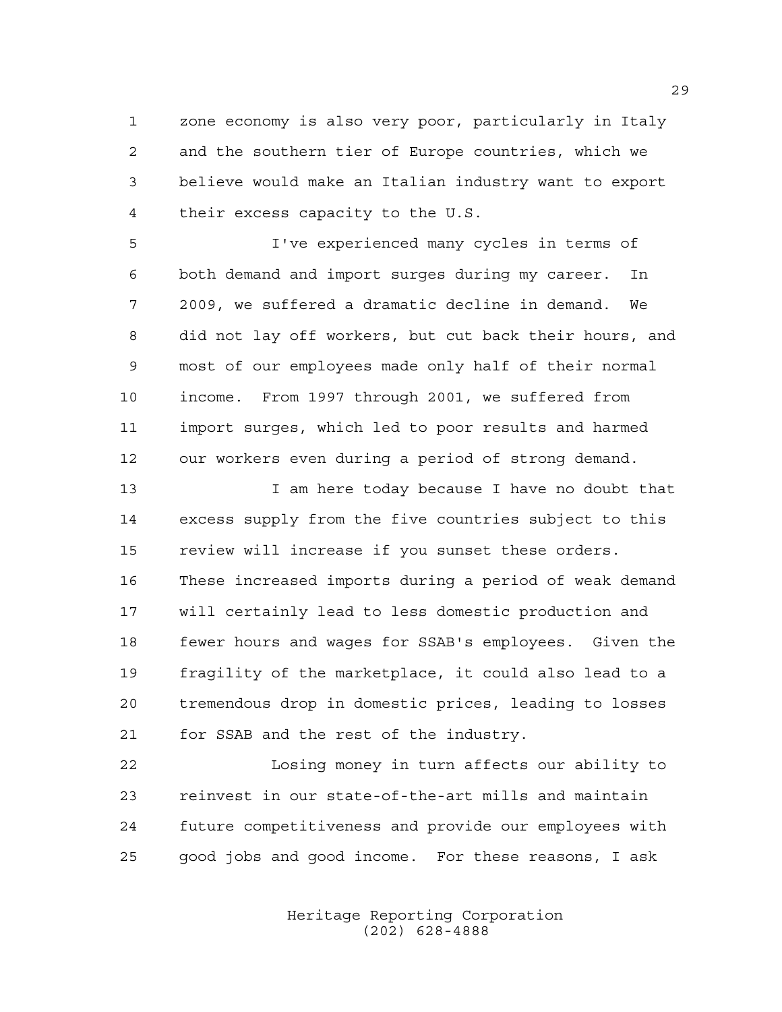zone economy is also very poor, particularly in Italy and the southern tier of Europe countries, which we believe would make an Italian industry want to export their excess capacity to the U.S.

 I've experienced many cycles in terms of both demand and import surges during my career. In 2009, we suffered a dramatic decline in demand. We did not lay off workers, but cut back their hours, and most of our employees made only half of their normal income. From 1997 through 2001, we suffered from import surges, which led to poor results and harmed our workers even during a period of strong demand.

 I am here today because I have no doubt that excess supply from the five countries subject to this review will increase if you sunset these orders. These increased imports during a period of weak demand will certainly lead to less domestic production and fewer hours and wages for SSAB's employees. Given the fragility of the marketplace, it could also lead to a tremendous drop in domestic prices, leading to losses for SSAB and the rest of the industry.

 Losing money in turn affects our ability to reinvest in our state-of-the-art mills and maintain future competitiveness and provide our employees with good jobs and good income. For these reasons, I ask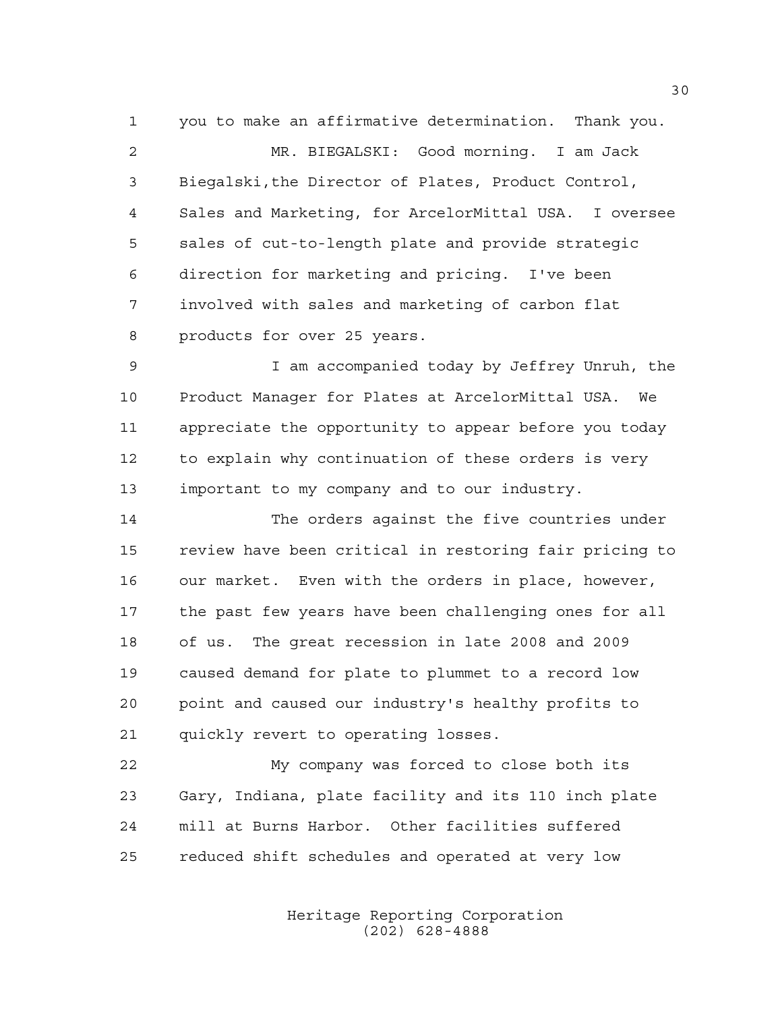you to make an affirmative determination. Thank you. MR. BIEGALSKI: Good morning. I am Jack Biegalski,the Director of Plates, Product Control, Sales and Marketing, for ArcelorMittal USA. I oversee sales of cut-to-length plate and provide strategic direction for marketing and pricing. I've been involved with sales and marketing of carbon flat products for over 25 years.

 I am accompanied today by Jeffrey Unruh, the Product Manager for Plates at ArcelorMittal USA. We appreciate the opportunity to appear before you today to explain why continuation of these orders is very important to my company and to our industry.

 The orders against the five countries under review have been critical in restoring fair pricing to our market. Even with the orders in place, however, the past few years have been challenging ones for all of us. The great recession in late 2008 and 2009 caused demand for plate to plummet to a record low point and caused our industry's healthy profits to quickly revert to operating losses.

 My company was forced to close both its Gary, Indiana, plate facility and its 110 inch plate mill at Burns Harbor. Other facilities suffered reduced shift schedules and operated at very low

> Heritage Reporting Corporation (202) 628-4888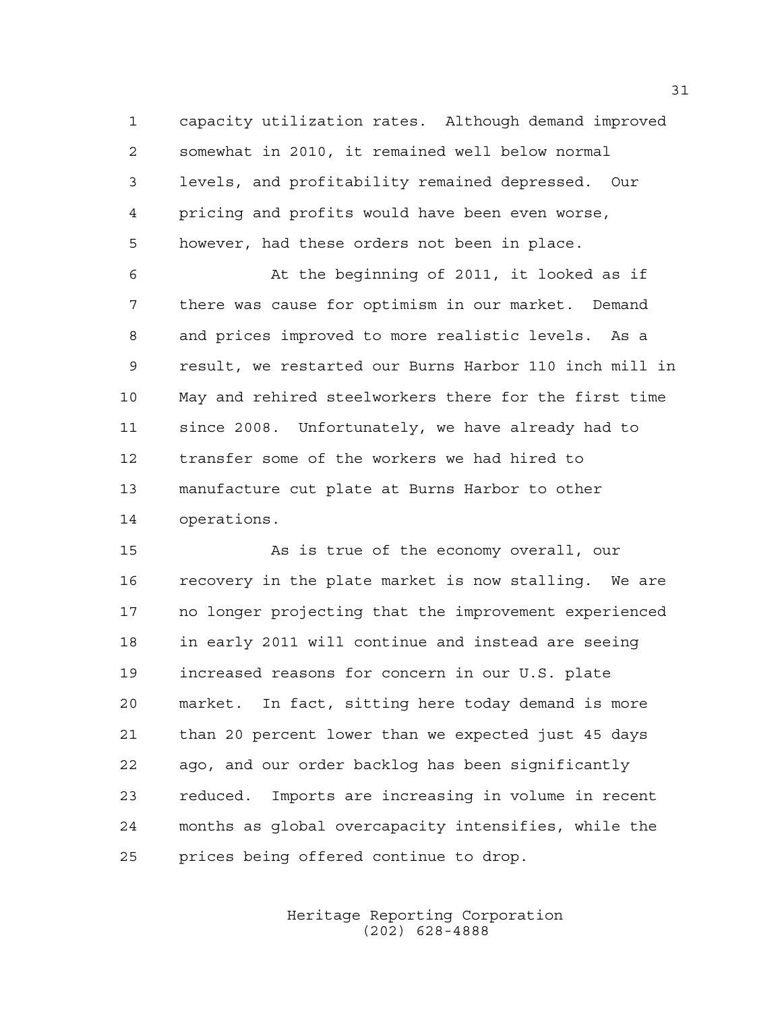capacity utilization rates. Although demand improved somewhat in 2010, it remained well below normal levels, and profitability remained depressed. Our pricing and profits would have been even worse, however, had these orders not been in place.

 At the beginning of 2011, it looked as if there was cause for optimism in our market. Demand and prices improved to more realistic levels. As a result, we restarted our Burns Harbor 110 inch mill in May and rehired steelworkers there for the first time since 2008. Unfortunately, we have already had to transfer some of the workers we had hired to manufacture cut plate at Burns Harbor to other operations.

 As is true of the economy overall, our recovery in the plate market is now stalling. We are no longer projecting that the improvement experienced in early 2011 will continue and instead are seeing increased reasons for concern in our U.S. plate market. In fact, sitting here today demand is more than 20 percent lower than we expected just 45 days ago, and our order backlog has been significantly reduced. Imports are increasing in volume in recent months as global overcapacity intensifies, while the prices being offered continue to drop.

> Heritage Reporting Corporation (202) 628-4888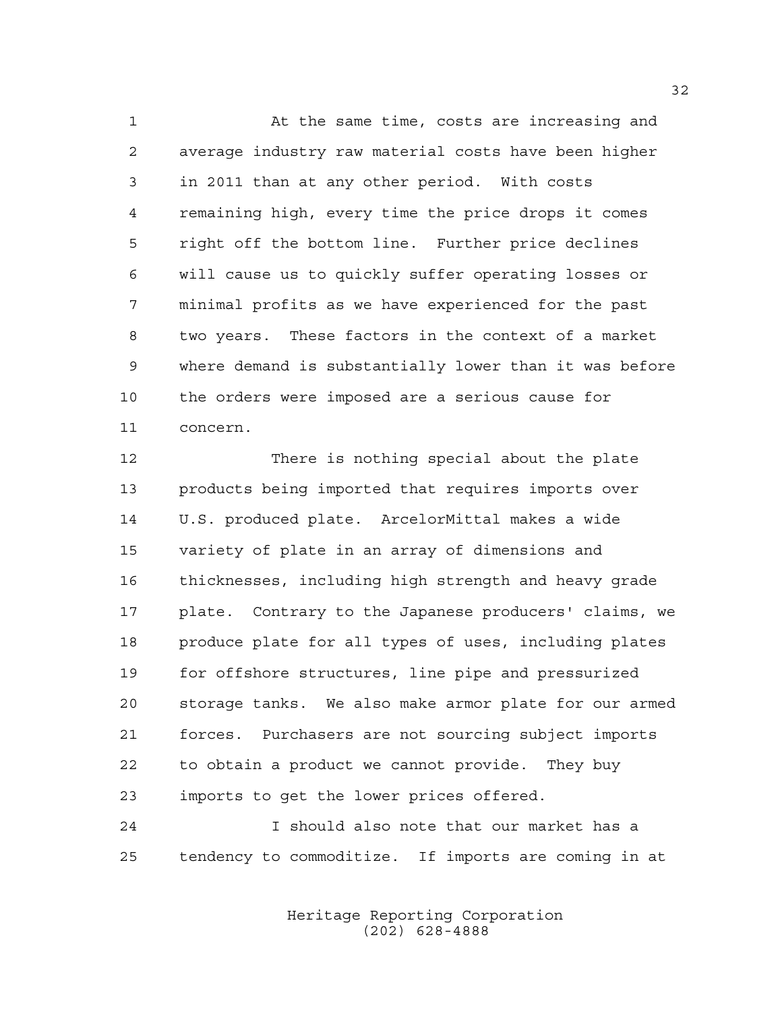At the same time, costs are increasing and average industry raw material costs have been higher in 2011 than at any other period. With costs remaining high, every time the price drops it comes right off the bottom line. Further price declines will cause us to quickly suffer operating losses or minimal profits as we have experienced for the past two years. These factors in the context of a market where demand is substantially lower than it was before the orders were imposed are a serious cause for concern.

 There is nothing special about the plate products being imported that requires imports over U.S. produced plate. ArcelorMittal makes a wide variety of plate in an array of dimensions and thicknesses, including high strength and heavy grade plate. Contrary to the Japanese producers' claims, we produce plate for all types of uses, including plates for offshore structures, line pipe and pressurized storage tanks. We also make armor plate for our armed forces. Purchasers are not sourcing subject imports to obtain a product we cannot provide. They buy imports to get the lower prices offered.

 I should also note that our market has a tendency to commoditize. If imports are coming in at

> Heritage Reporting Corporation (202) 628-4888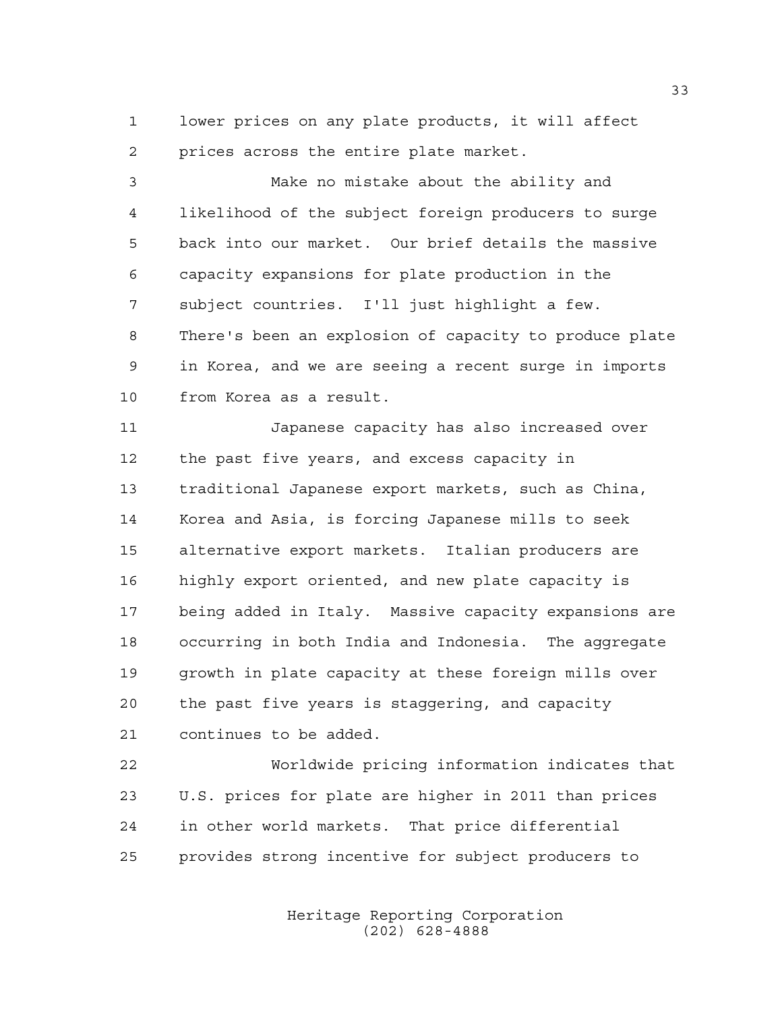lower prices on any plate products, it will affect prices across the entire plate market.

 Make no mistake about the ability and likelihood of the subject foreign producers to surge back into our market. Our brief details the massive capacity expansions for plate production in the subject countries. I'll just highlight a few. There's been an explosion of capacity to produce plate in Korea, and we are seeing a recent surge in imports from Korea as a result.

 Japanese capacity has also increased over the past five years, and excess capacity in traditional Japanese export markets, such as China, Korea and Asia, is forcing Japanese mills to seek alternative export markets. Italian producers are highly export oriented, and new plate capacity is being added in Italy. Massive capacity expansions are occurring in both India and Indonesia. The aggregate growth in plate capacity at these foreign mills over the past five years is staggering, and capacity continues to be added.

 Worldwide pricing information indicates that U.S. prices for plate are higher in 2011 than prices in other world markets. That price differential provides strong incentive for subject producers to

> Heritage Reporting Corporation (202) 628-4888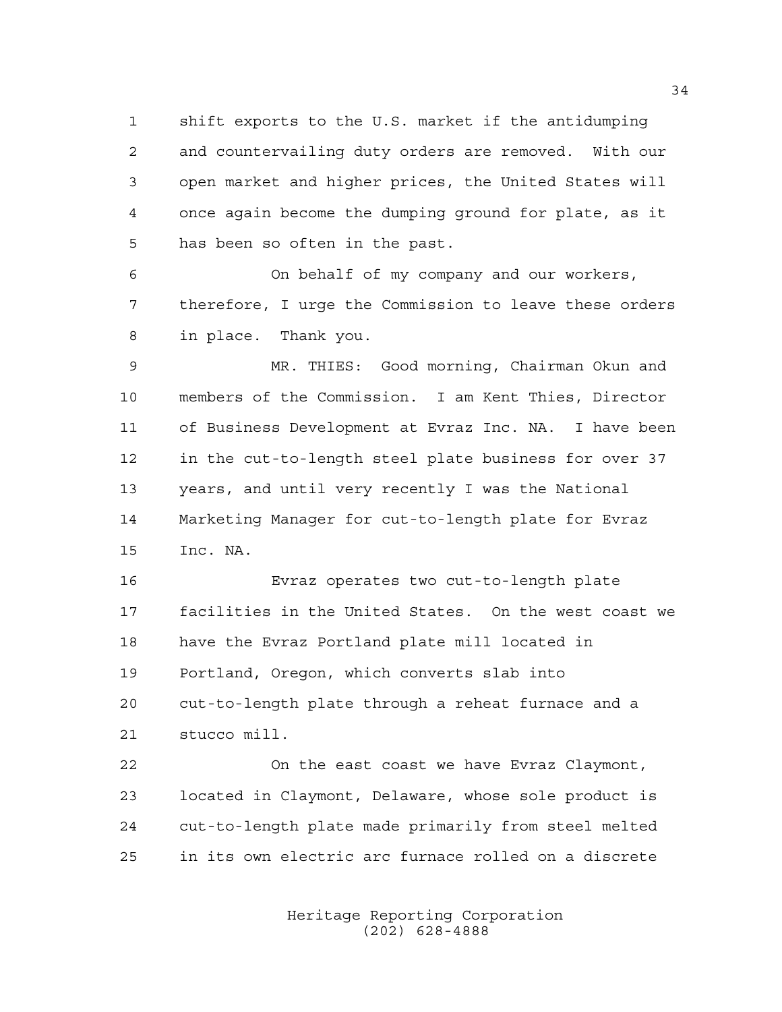shift exports to the U.S. market if the antidumping and countervailing duty orders are removed. With our open market and higher prices, the United States will once again become the dumping ground for plate, as it has been so often in the past.

 On behalf of my company and our workers, therefore, I urge the Commission to leave these orders in place. Thank you.

 MR. THIES: Good morning, Chairman Okun and members of the Commission. I am Kent Thies, Director of Business Development at Evraz Inc. NA. I have been in the cut-to-length steel plate business for over 37 years, and until very recently I was the National Marketing Manager for cut-to-length plate for Evraz Inc. NA.

 Evraz operates two cut-to-length plate facilities in the United States. On the west coast we have the Evraz Portland plate mill located in Portland, Oregon, which converts slab into cut-to-length plate through a reheat furnace and a stucco mill.

 On the east coast we have Evraz Claymont, located in Claymont, Delaware, whose sole product is cut-to-length plate made primarily from steel melted in its own electric arc furnace rolled on a discrete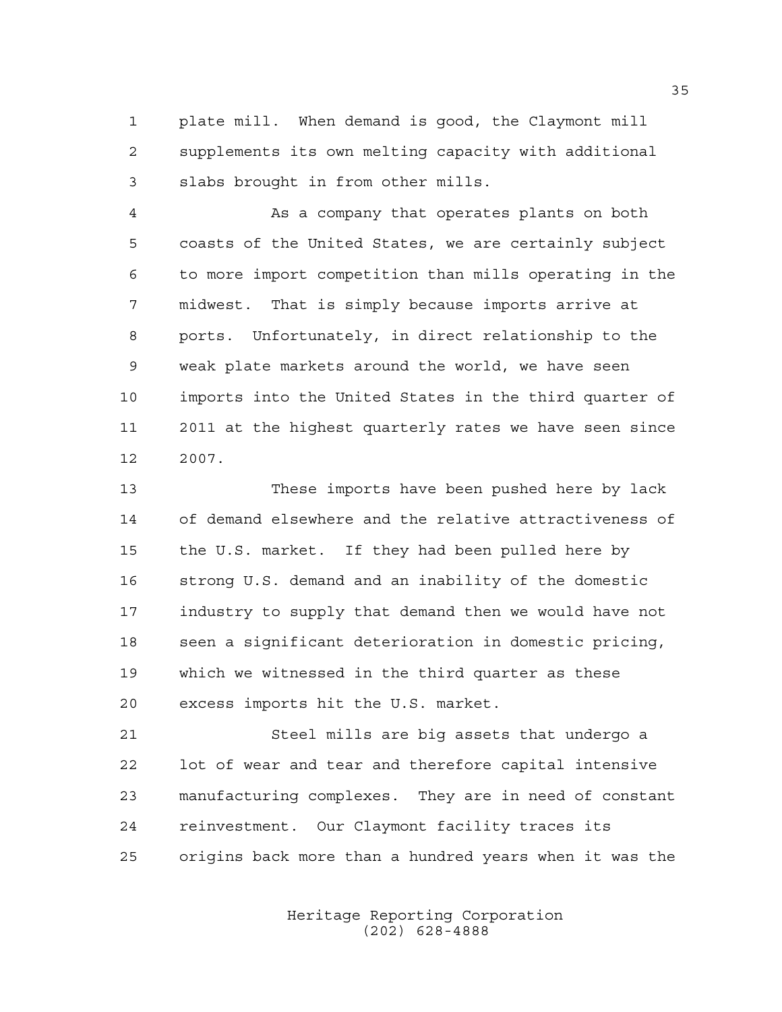plate mill. When demand is good, the Claymont mill supplements its own melting capacity with additional slabs brought in from other mills.

 As a company that operates plants on both coasts of the United States, we are certainly subject to more import competition than mills operating in the midwest. That is simply because imports arrive at ports. Unfortunately, in direct relationship to the weak plate markets around the world, we have seen imports into the United States in the third quarter of 2011 at the highest quarterly rates we have seen since 2007.

 These imports have been pushed here by lack of demand elsewhere and the relative attractiveness of the U.S. market. If they had been pulled here by strong U.S. demand and an inability of the domestic industry to supply that demand then we would have not seen a significant deterioration in domestic pricing, which we witnessed in the third quarter as these excess imports hit the U.S. market.

 Steel mills are big assets that undergo a lot of wear and tear and therefore capital intensive manufacturing complexes. They are in need of constant reinvestment. Our Claymont facility traces its origins back more than a hundred years when it was the

> Heritage Reporting Corporation (202) 628-4888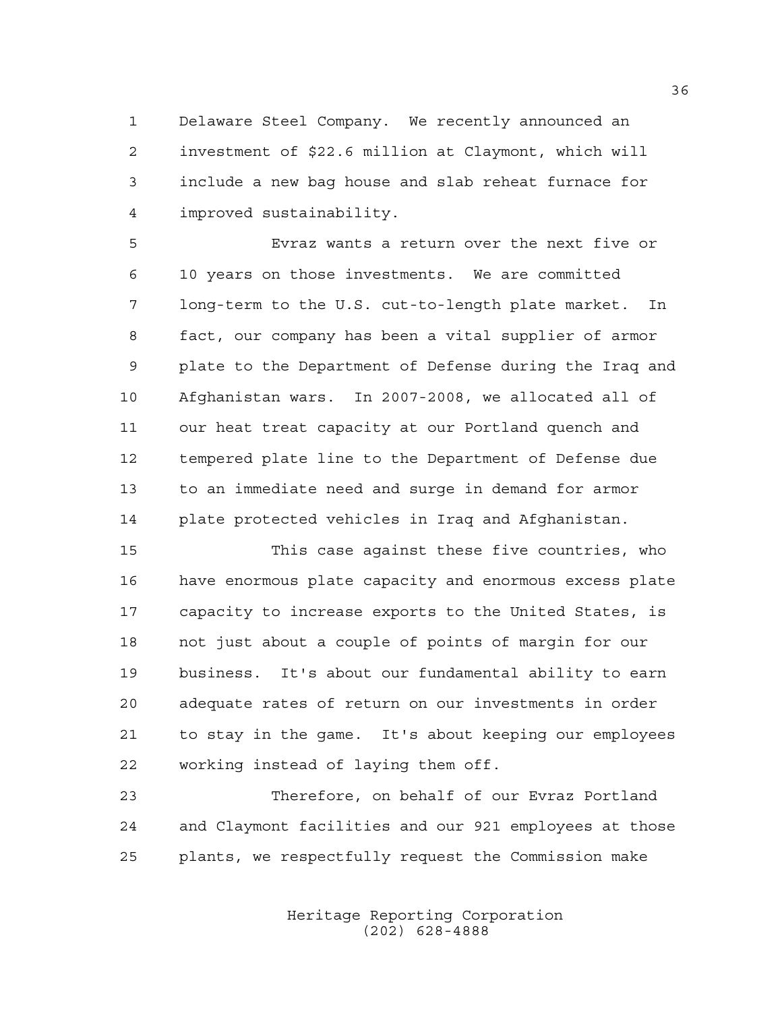Delaware Steel Company. We recently announced an investment of \$22.6 million at Claymont, which will include a new bag house and slab reheat furnace for improved sustainability.

 Evraz wants a return over the next five or 10 years on those investments. We are committed long-term to the U.S. cut-to-length plate market. In fact, our company has been a vital supplier of armor plate to the Department of Defense during the Iraq and Afghanistan wars. In 2007-2008, we allocated all of our heat treat capacity at our Portland quench and tempered plate line to the Department of Defense due to an immediate need and surge in demand for armor plate protected vehicles in Iraq and Afghanistan.

 This case against these five countries, who have enormous plate capacity and enormous excess plate capacity to increase exports to the United States, is not just about a couple of points of margin for our business. It's about our fundamental ability to earn adequate rates of return on our investments in order to stay in the game. It's about keeping our employees working instead of laying them off.

 Therefore, on behalf of our Evraz Portland and Claymont facilities and our 921 employees at those plants, we respectfully request the Commission make

> Heritage Reporting Corporation (202) 628-4888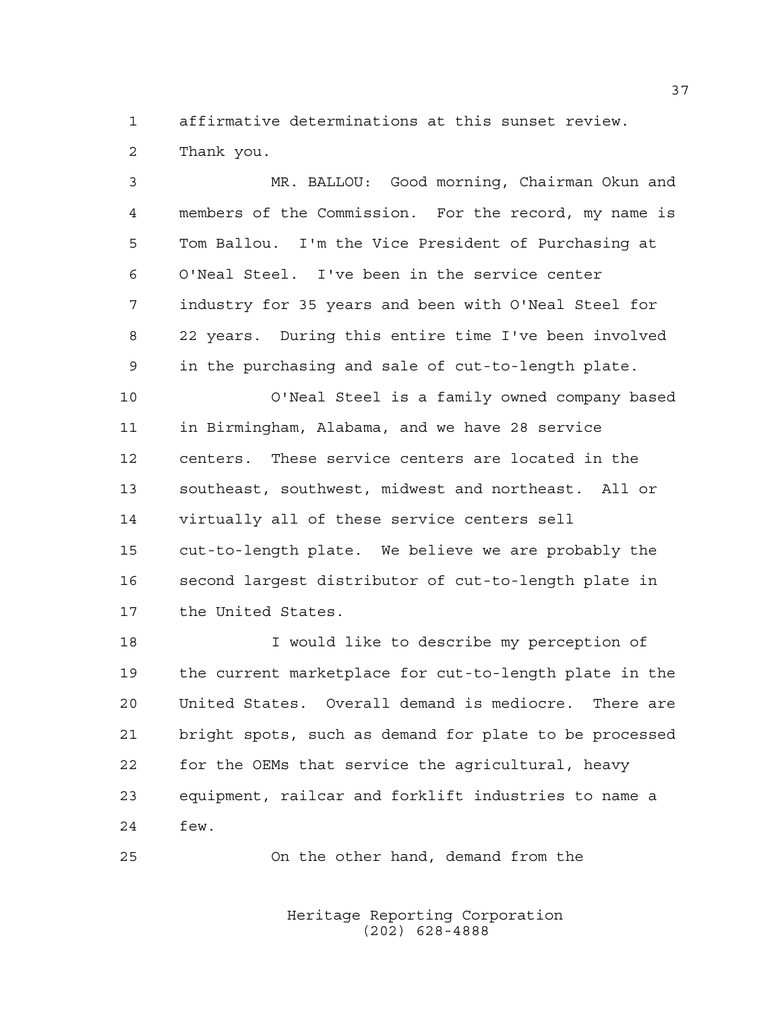affirmative determinations at this sunset review.

Thank you.

 MR. BALLOU: Good morning, Chairman Okun and members of the Commission. For the record, my name is Tom Ballou. I'm the Vice President of Purchasing at O'Neal Steel. I've been in the service center industry for 35 years and been with O'Neal Steel for 22 years. During this entire time I've been involved in the purchasing and sale of cut-to-length plate. O'Neal Steel is a family owned company based in Birmingham, Alabama, and we have 28 service centers. These service centers are located in the southeast, southwest, midwest and northeast. All or virtually all of these service centers sell cut-to-length plate. We believe we are probably the second largest distributor of cut-to-length plate in the United States. I would like to describe my perception of the current marketplace for cut-to-length plate in the United States. Overall demand is mediocre. There are bright spots, such as demand for plate to be processed for the OEMs that service the agricultural, heavy equipment, railcar and forklift industries to name a few.

On the other hand, demand from the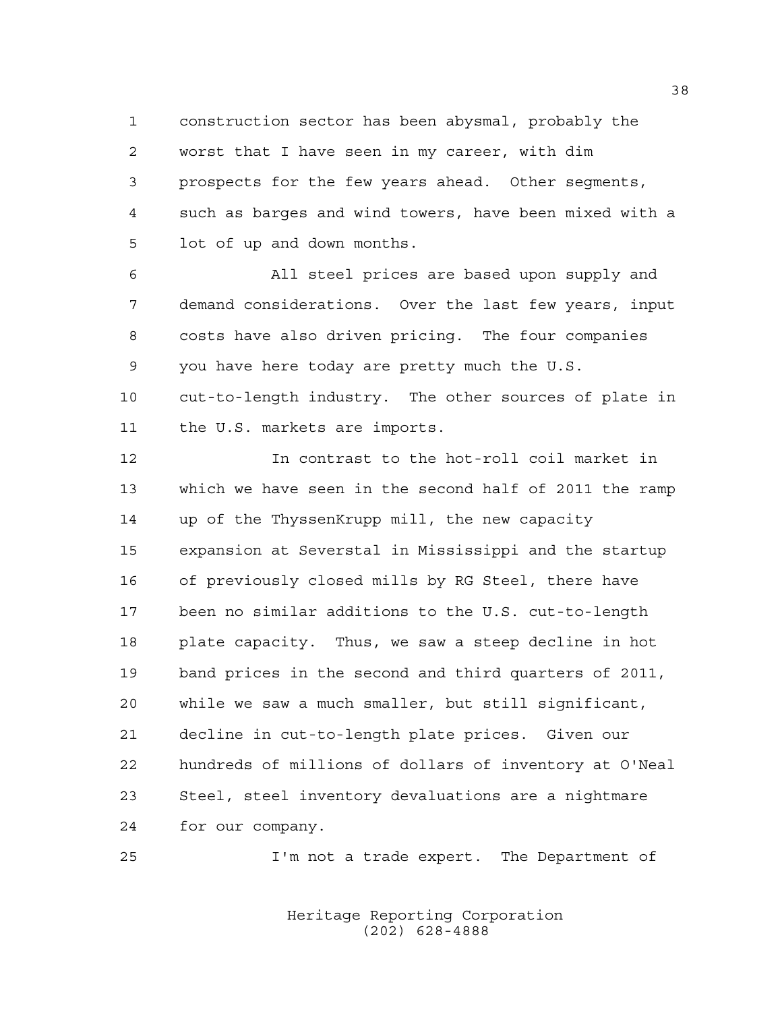construction sector has been abysmal, probably the worst that I have seen in my career, with dim prospects for the few years ahead. Other segments, such as barges and wind towers, have been mixed with a lot of up and down months.

 All steel prices are based upon supply and demand considerations. Over the last few years, input costs have also driven pricing. The four companies you have here today are pretty much the U.S. cut-to-length industry. The other sources of plate in the U.S. markets are imports.

 In contrast to the hot-roll coil market in which we have seen in the second half of 2011 the ramp up of the ThyssenKrupp mill, the new capacity expansion at Severstal in Mississippi and the startup of previously closed mills by RG Steel, there have been no similar additions to the U.S. cut-to-length plate capacity. Thus, we saw a steep decline in hot band prices in the second and third quarters of 2011, while we saw a much smaller, but still significant, decline in cut-to-length plate prices. Given our hundreds of millions of dollars of inventory at O'Neal Steel, steel inventory devaluations are a nightmare for our company.

I'm not a trade expert. The Department of

Heritage Reporting Corporation (202) 628-4888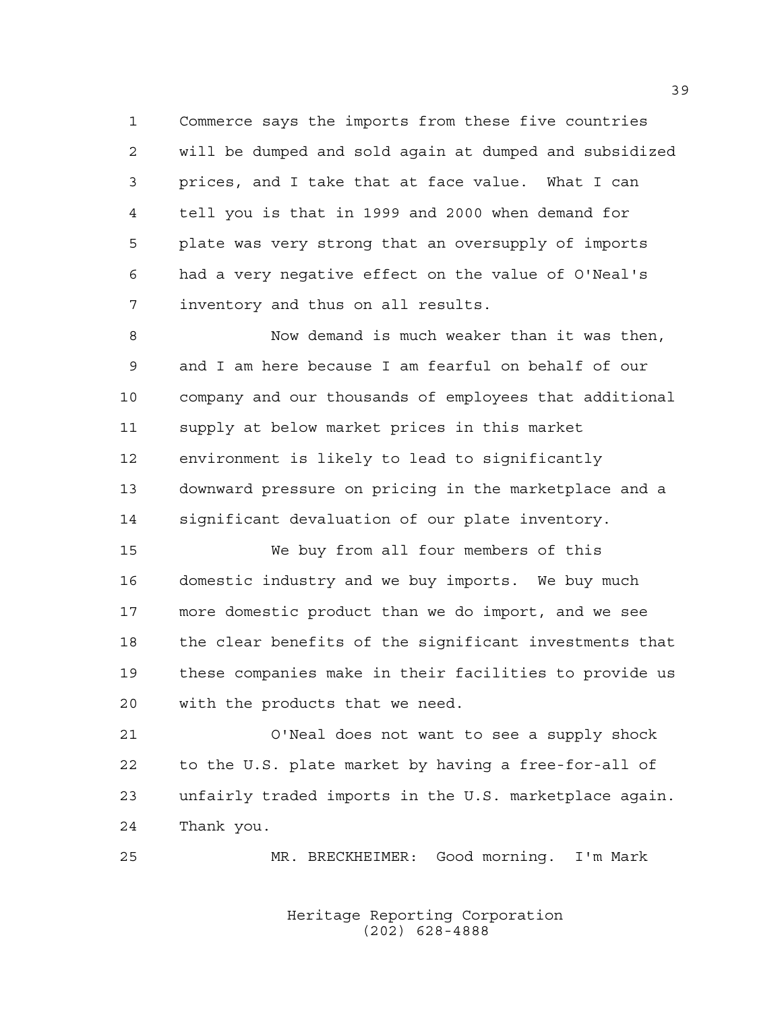Commerce says the imports from these five countries will be dumped and sold again at dumped and subsidized prices, and I take that at face value. What I can tell you is that in 1999 and 2000 when demand for plate was very strong that an oversupply of imports had a very negative effect on the value of O'Neal's inventory and thus on all results.

 Now demand is much weaker than it was then, and I am here because I am fearful on behalf of our company and our thousands of employees that additional supply at below market prices in this market environment is likely to lead to significantly downward pressure on pricing in the marketplace and a significant devaluation of our plate inventory.

 We buy from all four members of this domestic industry and we buy imports. We buy much more domestic product than we do import, and we see the clear benefits of the significant investments that these companies make in their facilities to provide us with the products that we need.

 O'Neal does not want to see a supply shock to the U.S. plate market by having a free-for-all of unfairly traded imports in the U.S. marketplace again. Thank you.

MR. BRECKHEIMER: Good morning. I'm Mark

Heritage Reporting Corporation (202) 628-4888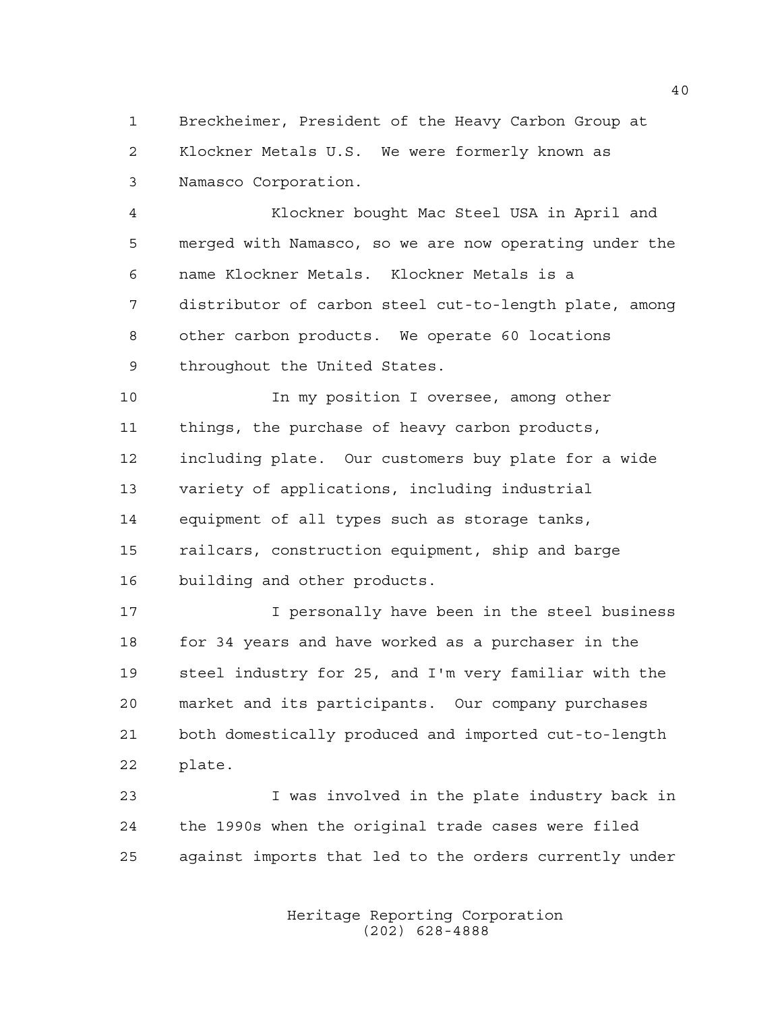Breckheimer, President of the Heavy Carbon Group at Klockner Metals U.S. We were formerly known as Namasco Corporation.

 Klockner bought Mac Steel USA in April and merged with Namasco, so we are now operating under the name Klockner Metals. Klockner Metals is a distributor of carbon steel cut-to-length plate, among other carbon products. We operate 60 locations throughout the United States.

10 10 In my position I oversee, among other things, the purchase of heavy carbon products, including plate. Our customers buy plate for a wide variety of applications, including industrial equipment of all types such as storage tanks, railcars, construction equipment, ship and barge building and other products.

**I** personally have been in the steel business for 34 years and have worked as a purchaser in the steel industry for 25, and I'm very familiar with the market and its participants. Our company purchases both domestically produced and imported cut-to-length plate.

 I was involved in the plate industry back in the 1990s when the original trade cases were filed against imports that led to the orders currently under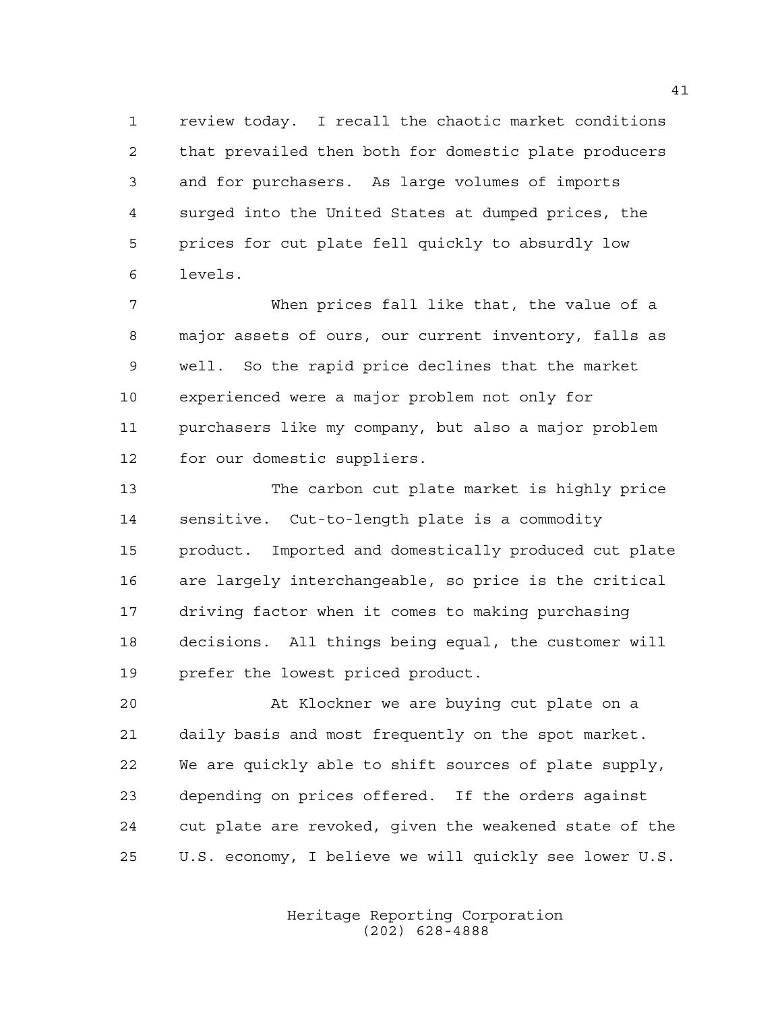review today. I recall the chaotic market conditions that prevailed then both for domestic plate producers and for purchasers. As large volumes of imports surged into the United States at dumped prices, the prices for cut plate fell quickly to absurdly low levels.

 When prices fall like that, the value of a major assets of ours, our current inventory, falls as well. So the rapid price declines that the market experienced were a major problem not only for purchasers like my company, but also a major problem for our domestic suppliers.

 The carbon cut plate market is highly price sensitive. Cut-to-length plate is a commodity product. Imported and domestically produced cut plate are largely interchangeable, so price is the critical driving factor when it comes to making purchasing decisions. All things being equal, the customer will prefer the lowest priced product.

 At Klockner we are buying cut plate on a daily basis and most frequently on the spot market. We are quickly able to shift sources of plate supply, depending on prices offered. If the orders against cut plate are revoked, given the weakened state of the U.S. economy, I believe we will quickly see lower U.S.

> Heritage Reporting Corporation (202) 628-4888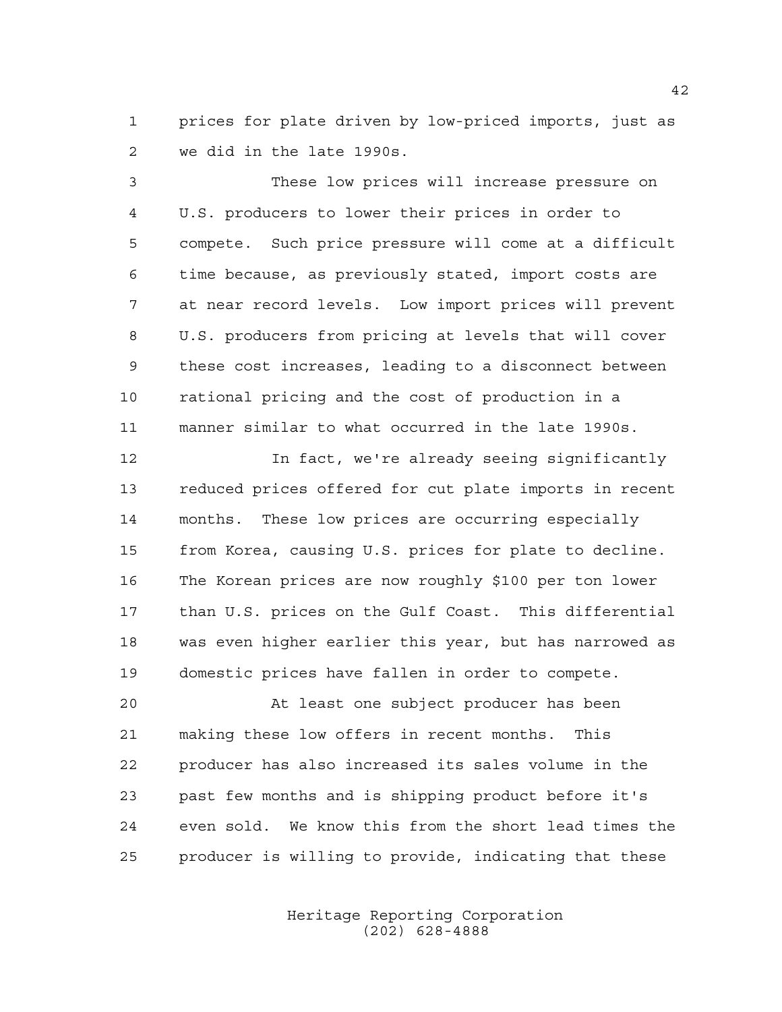prices for plate driven by low-priced imports, just as we did in the late 1990s.

 These low prices will increase pressure on U.S. producers to lower their prices in order to compete. Such price pressure will come at a difficult time because, as previously stated, import costs are at near record levels. Low import prices will prevent U.S. producers from pricing at levels that will cover these cost increases, leading to a disconnect between rational pricing and the cost of production in a manner similar to what occurred in the late 1990s.

 In fact, we're already seeing significantly reduced prices offered for cut plate imports in recent months. These low prices are occurring especially from Korea, causing U.S. prices for plate to decline. The Korean prices are now roughly \$100 per ton lower than U.S. prices on the Gulf Coast. This differential was even higher earlier this year, but has narrowed as domestic prices have fallen in order to compete.

 At least one subject producer has been making these low offers in recent months. This producer has also increased its sales volume in the past few months and is shipping product before it's even sold. We know this from the short lead times the producer is willing to provide, indicating that these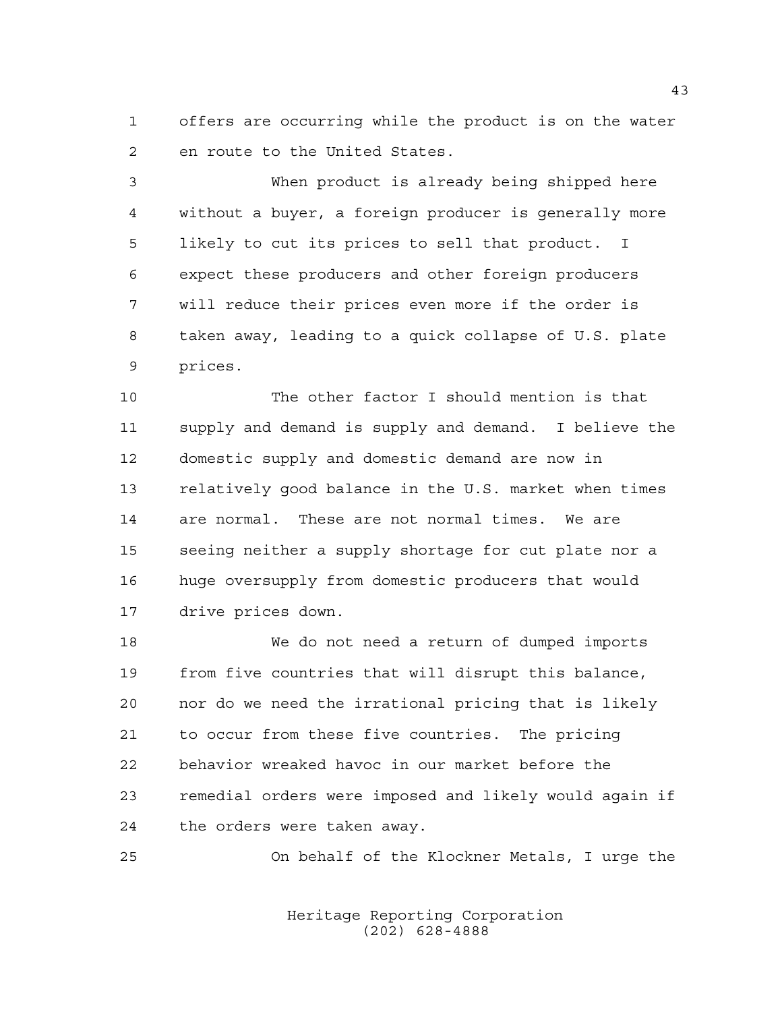offers are occurring while the product is on the water en route to the United States.

 When product is already being shipped here without a buyer, a foreign producer is generally more likely to cut its prices to sell that product. I expect these producers and other foreign producers will reduce their prices even more if the order is taken away, leading to a quick collapse of U.S. plate prices.

 The other factor I should mention is that supply and demand is supply and demand. I believe the domestic supply and domestic demand are now in relatively good balance in the U.S. market when times are normal. These are not normal times. We are seeing neither a supply shortage for cut plate nor a huge oversupply from domestic producers that would drive prices down.

 We do not need a return of dumped imports from five countries that will disrupt this balance, nor do we need the irrational pricing that is likely to occur from these five countries. The pricing behavior wreaked havoc in our market before the remedial orders were imposed and likely would again if the orders were taken away.

On behalf of the Klockner Metals, I urge the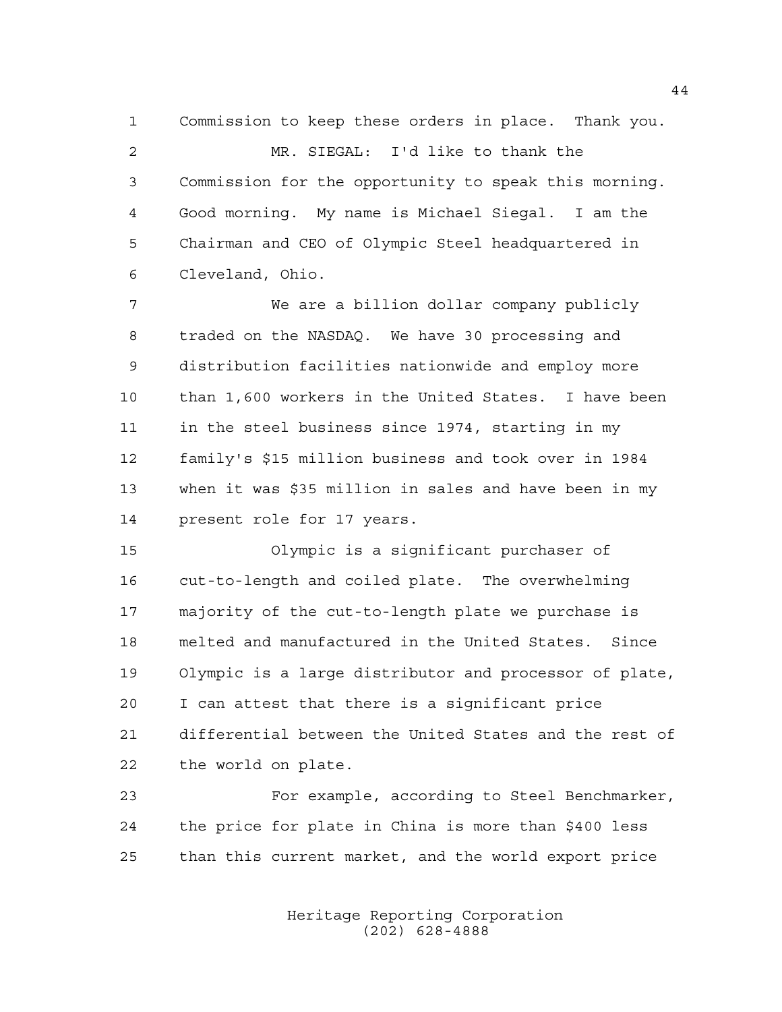Commission to keep these orders in place. Thank you. MR. SIEGAL: I'd like to thank the Commission for the opportunity to speak this morning. Good morning. My name is Michael Siegal. I am the Chairman and CEO of Olympic Steel headquartered in Cleveland, Ohio.

 We are a billion dollar company publicly traded on the NASDAQ. We have 30 processing and distribution facilities nationwide and employ more than 1,600 workers in the United States. I have been in the steel business since 1974, starting in my family's \$15 million business and took over in 1984 when it was \$35 million in sales and have been in my present role for 17 years.

 Olympic is a significant purchaser of cut-to-length and coiled plate. The overwhelming majority of the cut-to-length plate we purchase is melted and manufactured in the United States. Since Olympic is a large distributor and processor of plate, I can attest that there is a significant price differential between the United States and the rest of the world on plate.

 For example, according to Steel Benchmarker, the price for plate in China is more than \$400 less than this current market, and the world export price

> Heritage Reporting Corporation (202) 628-4888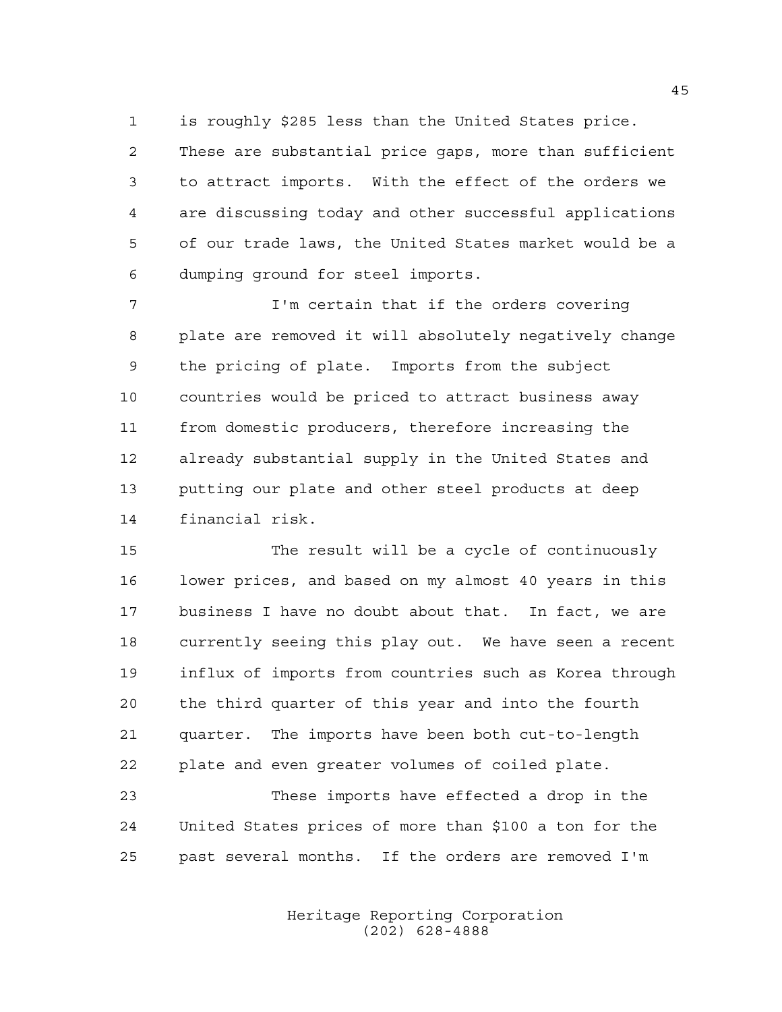is roughly \$285 less than the United States price.

 These are substantial price gaps, more than sufficient to attract imports. With the effect of the orders we are discussing today and other successful applications of our trade laws, the United States market would be a dumping ground for steel imports.

 I'm certain that if the orders covering plate are removed it will absolutely negatively change the pricing of plate. Imports from the subject countries would be priced to attract business away from domestic producers, therefore increasing the already substantial supply in the United States and putting our plate and other steel products at deep financial risk.

 The result will be a cycle of continuously lower prices, and based on my almost 40 years in this business I have no doubt about that. In fact, we are currently seeing this play out. We have seen a recent influx of imports from countries such as Korea through the third quarter of this year and into the fourth quarter. The imports have been both cut-to-length plate and even greater volumes of coiled plate.

 These imports have effected a drop in the United States prices of more than \$100 a ton for the past several months. If the orders are removed I'm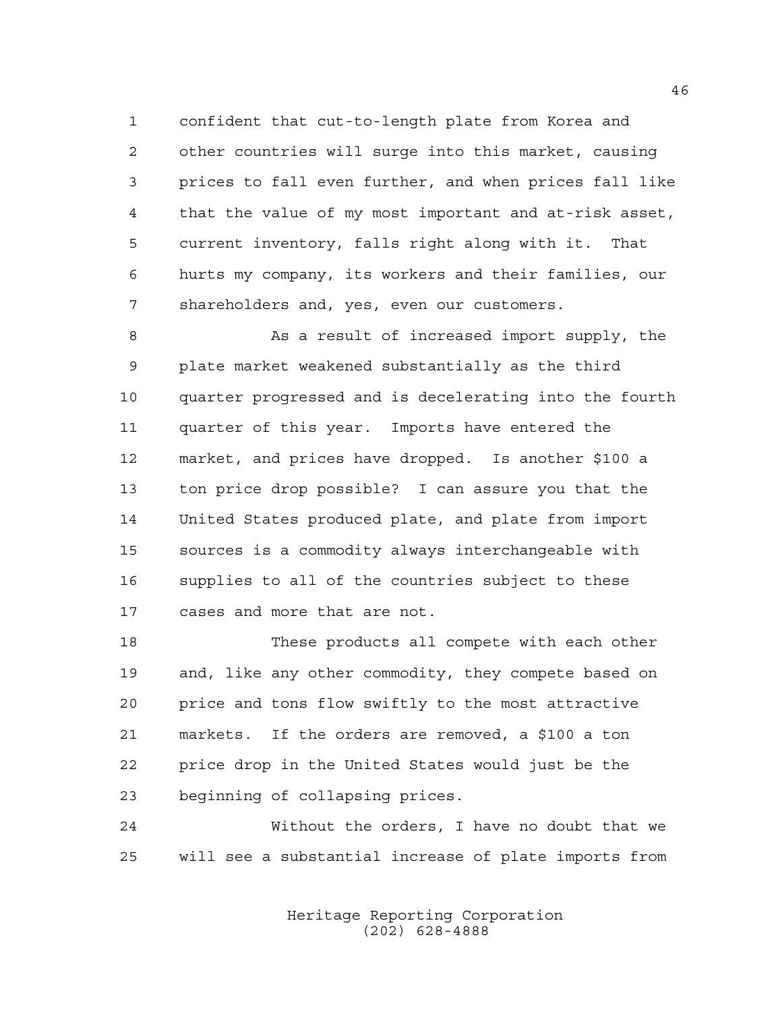confident that cut-to-length plate from Korea and other countries will surge into this market, causing prices to fall even further, and when prices fall like that the value of my most important and at-risk asset, current inventory, falls right along with it. That hurts my company, its workers and their families, our shareholders and, yes, even our customers.

8 As a result of increased import supply, the plate market weakened substantially as the third quarter progressed and is decelerating into the fourth quarter of this year. Imports have entered the market, and prices have dropped. Is another \$100 a ton price drop possible? I can assure you that the United States produced plate, and plate from import sources is a commodity always interchangeable with supplies to all of the countries subject to these cases and more that are not.

 These products all compete with each other and, like any other commodity, they compete based on price and tons flow swiftly to the most attractive markets. If the orders are removed, a \$100 a ton price drop in the United States would just be the beginning of collapsing prices.

 Without the orders, I have no doubt that we will see a substantial increase of plate imports from

> Heritage Reporting Corporation (202) 628-4888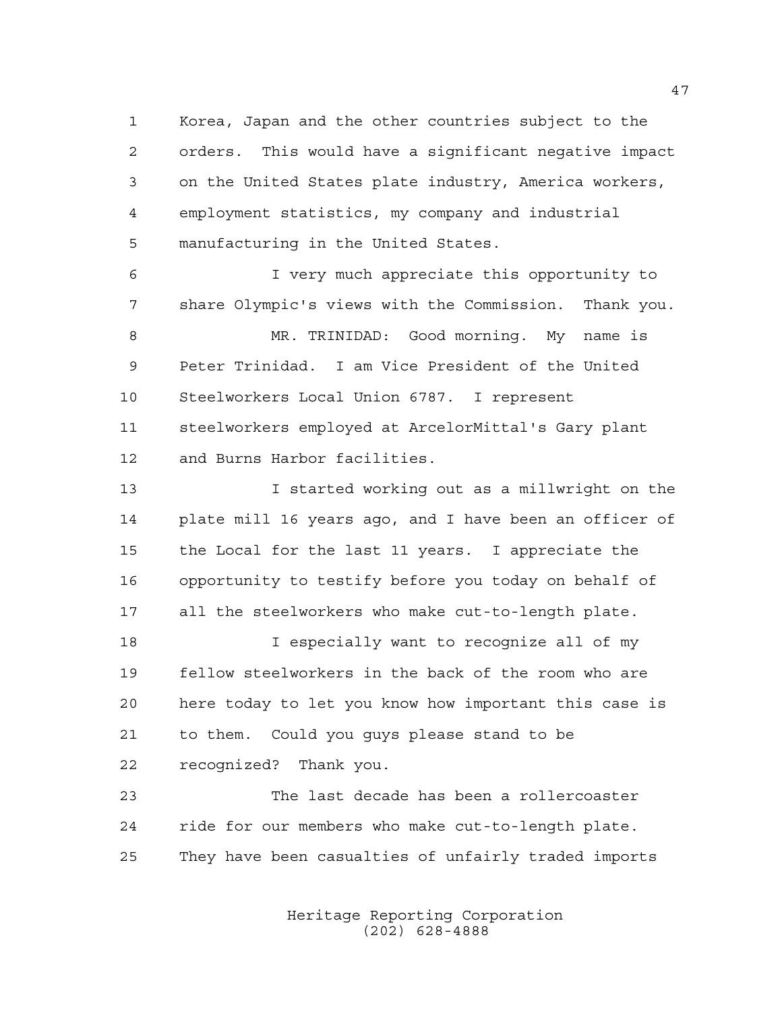Korea, Japan and the other countries subject to the orders. This would have a significant negative impact on the United States plate industry, America workers, employment statistics, my company and industrial manufacturing in the United States.

 I very much appreciate this opportunity to share Olympic's views with the Commission. Thank you. MR. TRINIDAD: Good morning. My name is Peter Trinidad. I am Vice President of the United Steelworkers Local Union 6787. I represent steelworkers employed at ArcelorMittal's Gary plant and Burns Harbor facilities.

 I started working out as a millwright on the plate mill 16 years ago, and I have been an officer of the Local for the last 11 years. I appreciate the opportunity to testify before you today on behalf of all the steelworkers who make cut-to-length plate.

 I especially want to recognize all of my fellow steelworkers in the back of the room who are here today to let you know how important this case is to them. Could you guys please stand to be recognized? Thank you.

 The last decade has been a rollercoaster ride for our members who make cut-to-length plate. They have been casualties of unfairly traded imports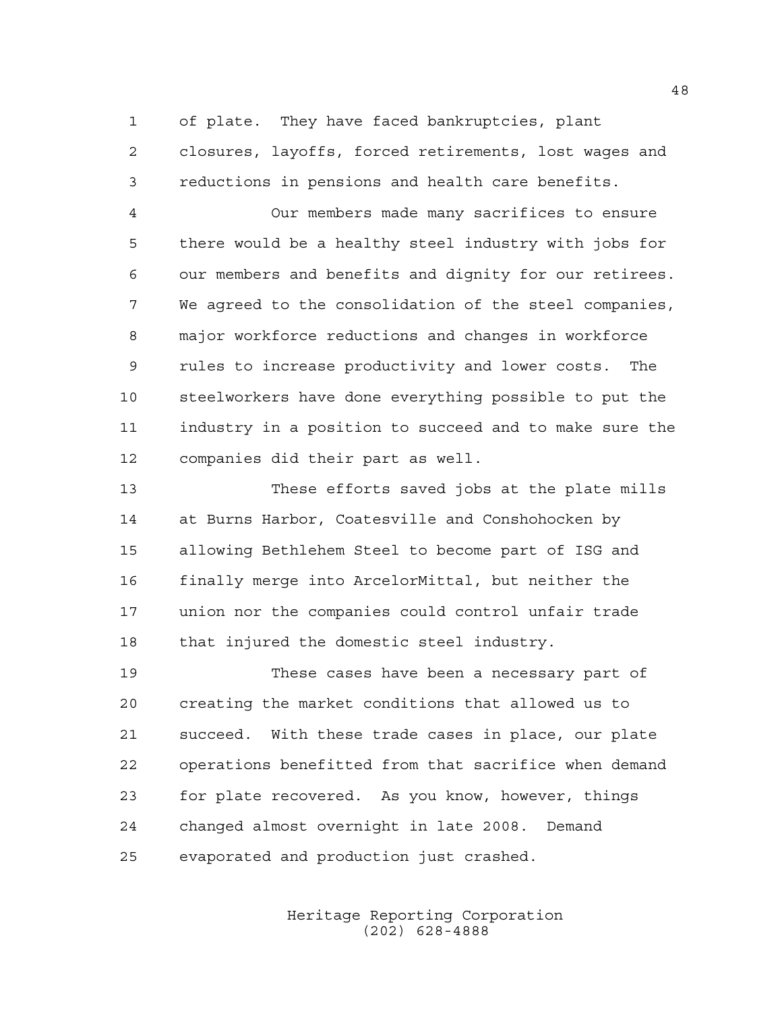of plate. They have faced bankruptcies, plant closures, layoffs, forced retirements, lost wages and reductions in pensions and health care benefits.

 Our members made many sacrifices to ensure there would be a healthy steel industry with jobs for our members and benefits and dignity for our retirees. We agreed to the consolidation of the steel companies, major workforce reductions and changes in workforce rules to increase productivity and lower costs. The steelworkers have done everything possible to put the industry in a position to succeed and to make sure the companies did their part as well.

 These efforts saved jobs at the plate mills at Burns Harbor, Coatesville and Conshohocken by allowing Bethlehem Steel to become part of ISG and finally merge into ArcelorMittal, but neither the union nor the companies could control unfair trade that injured the domestic steel industry.

 These cases have been a necessary part of creating the market conditions that allowed us to succeed. With these trade cases in place, our plate operations benefitted from that sacrifice when demand for plate recovered. As you know, however, things changed almost overnight in late 2008. Demand evaporated and production just crashed.

> Heritage Reporting Corporation (202) 628-4888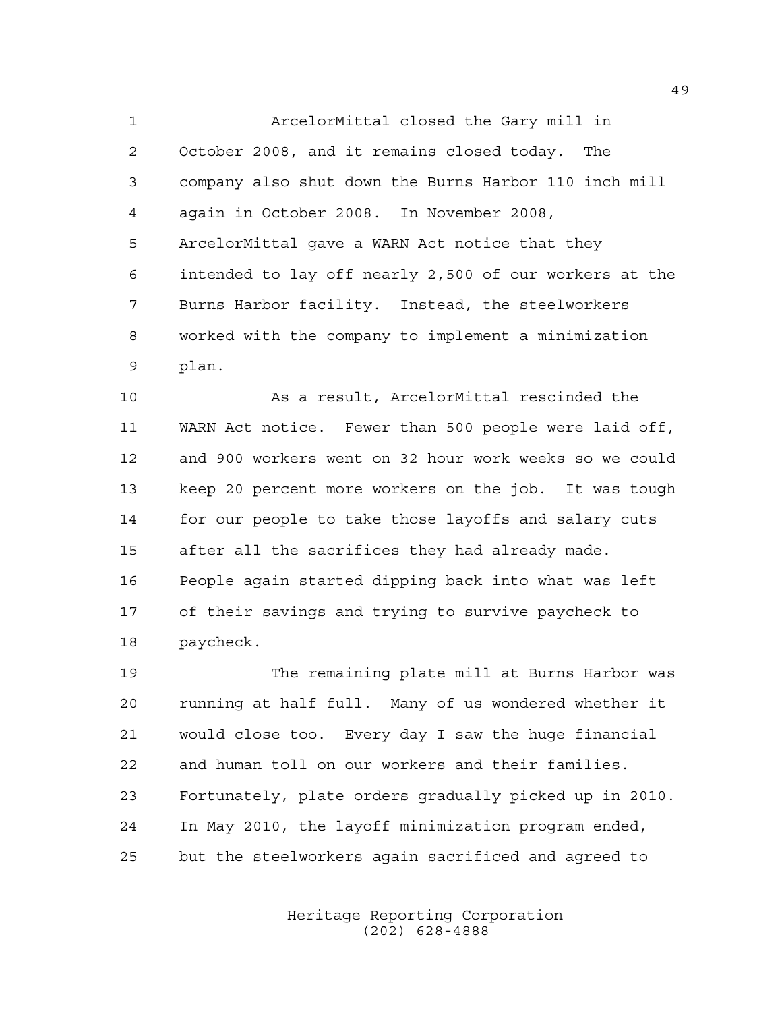ArcelorMittal closed the Gary mill in October 2008, and it remains closed today. The company also shut down the Burns Harbor 110 inch mill again in October 2008. In November 2008, ArcelorMittal gave a WARN Act notice that they intended to lay off nearly 2,500 of our workers at the Burns Harbor facility. Instead, the steelworkers worked with the company to implement a minimization plan.

 As a result, ArcelorMittal rescinded the WARN Act notice. Fewer than 500 people were laid off, and 900 workers went on 32 hour work weeks so we could keep 20 percent more workers on the job. It was tough for our people to take those layoffs and salary cuts after all the sacrifices they had already made. People again started dipping back into what was left of their savings and trying to survive paycheck to paycheck.

 The remaining plate mill at Burns Harbor was running at half full. Many of us wondered whether it would close too. Every day I saw the huge financial and human toll on our workers and their families. Fortunately, plate orders gradually picked up in 2010. In May 2010, the layoff minimization program ended, but the steelworkers again sacrificed and agreed to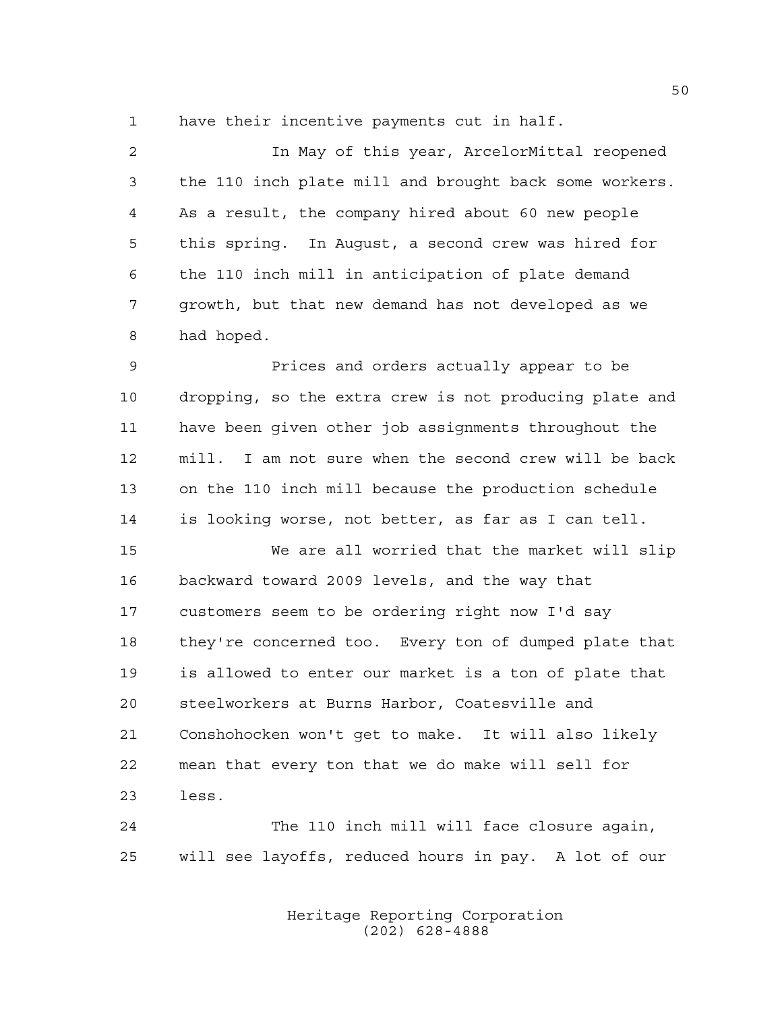have their incentive payments cut in half.

 In May of this year, ArcelorMittal reopened the 110 inch plate mill and brought back some workers. As a result, the company hired about 60 new people this spring. In August, a second crew was hired for the 110 inch mill in anticipation of plate demand growth, but that new demand has not developed as we had hoped.

 Prices and orders actually appear to be dropping, so the extra crew is not producing plate and have been given other job assignments throughout the mill. I am not sure when the second crew will be back on the 110 inch mill because the production schedule is looking worse, not better, as far as I can tell.

 We are all worried that the market will slip backward toward 2009 levels, and the way that customers seem to be ordering right now I'd say they're concerned too. Every ton of dumped plate that is allowed to enter our market is a ton of plate that steelworkers at Burns Harbor, Coatesville and Conshohocken won't get to make. It will also likely mean that every ton that we do make will sell for less.

 The 110 inch mill will face closure again, will see layoffs, reduced hours in pay. A lot of our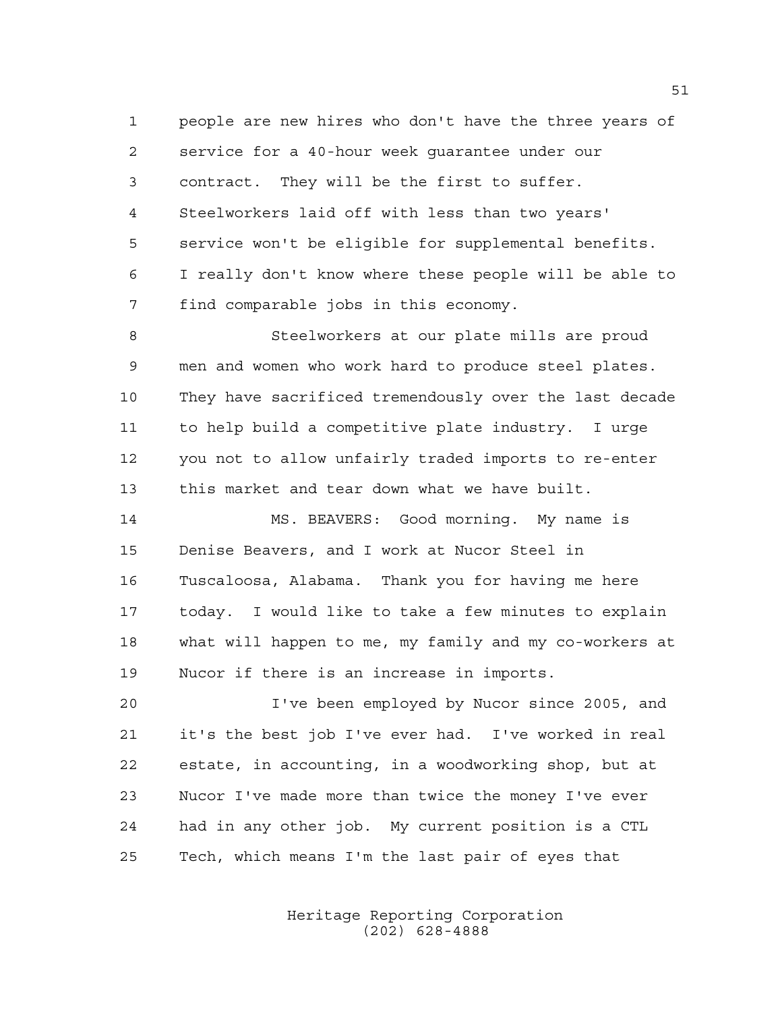people are new hires who don't have the three years of service for a 40-hour week guarantee under our contract. They will be the first to suffer. Steelworkers laid off with less than two years' service won't be eligible for supplemental benefits. I really don't know where these people will be able to find comparable jobs in this economy.

 Steelworkers at our plate mills are proud men and women who work hard to produce steel plates. They have sacrificed tremendously over the last decade to help build a competitive plate industry. I urge you not to allow unfairly traded imports to re-enter this market and tear down what we have built.

 MS. BEAVERS: Good morning. My name is Denise Beavers, and I work at Nucor Steel in Tuscaloosa, Alabama. Thank you for having me here today. I would like to take a few minutes to explain what will happen to me, my family and my co-workers at Nucor if there is an increase in imports.

 I've been employed by Nucor since 2005, and it's the best job I've ever had. I've worked in real estate, in accounting, in a woodworking shop, but at Nucor I've made more than twice the money I've ever had in any other job. My current position is a CTL Tech, which means I'm the last pair of eyes that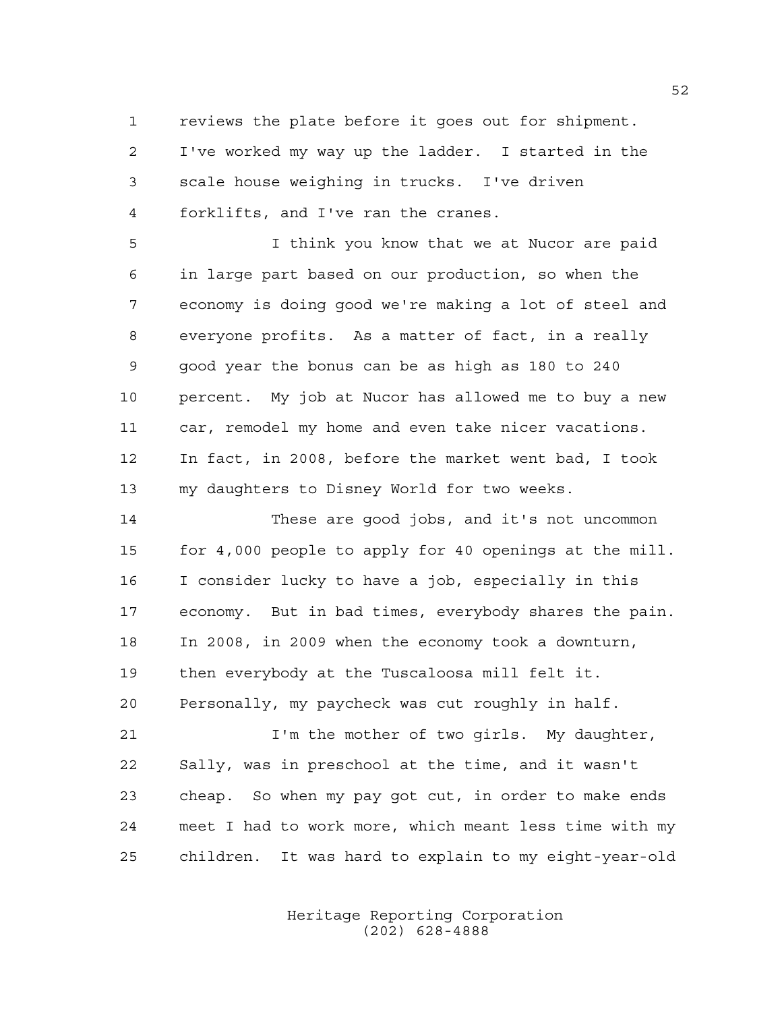reviews the plate before it goes out for shipment. I've worked my way up the ladder. I started in the scale house weighing in trucks. I've driven forklifts, and I've ran the cranes.

 I think you know that we at Nucor are paid in large part based on our production, so when the economy is doing good we're making a lot of steel and everyone profits. As a matter of fact, in a really good year the bonus can be as high as 180 to 240 percent. My job at Nucor has allowed me to buy a new car, remodel my home and even take nicer vacations. In fact, in 2008, before the market went bad, I took my daughters to Disney World for two weeks.

 These are good jobs, and it's not uncommon for 4,000 people to apply for 40 openings at the mill. I consider lucky to have a job, especially in this economy. But in bad times, everybody shares the pain. In 2008, in 2009 when the economy took a downturn, then everybody at the Tuscaloosa mill felt it. Personally, my paycheck was cut roughly in half.

 I'm the mother of two girls. My daughter, Sally, was in preschool at the time, and it wasn't cheap. So when my pay got cut, in order to make ends meet I had to work more, which meant less time with my children. It was hard to explain to my eight-year-old

> Heritage Reporting Corporation (202) 628-4888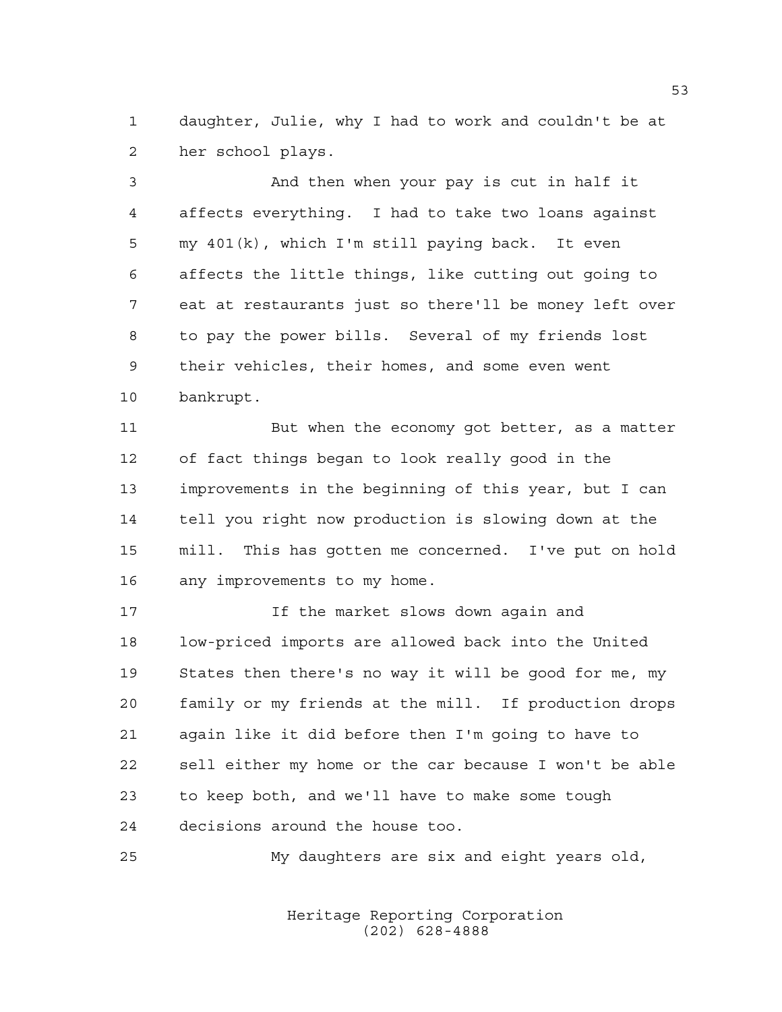daughter, Julie, why I had to work and couldn't be at her school plays.

 And then when your pay is cut in half it affects everything. I had to take two loans against my 401(k), which I'm still paying back. It even affects the little things, like cutting out going to eat at restaurants just so there'll be money left over to pay the power bills. Several of my friends lost their vehicles, their homes, and some even went bankrupt.

11 But when the economy got better, as a matter of fact things began to look really good in the improvements in the beginning of this year, but I can tell you right now production is slowing down at the mill. This has gotten me concerned. I've put on hold any improvements to my home.

 If the market slows down again and low-priced imports are allowed back into the United States then there's no way it will be good for me, my family or my friends at the mill. If production drops again like it did before then I'm going to have to sell either my home or the car because I won't be able to keep both, and we'll have to make some tough decisions around the house too.

My daughters are six and eight years old,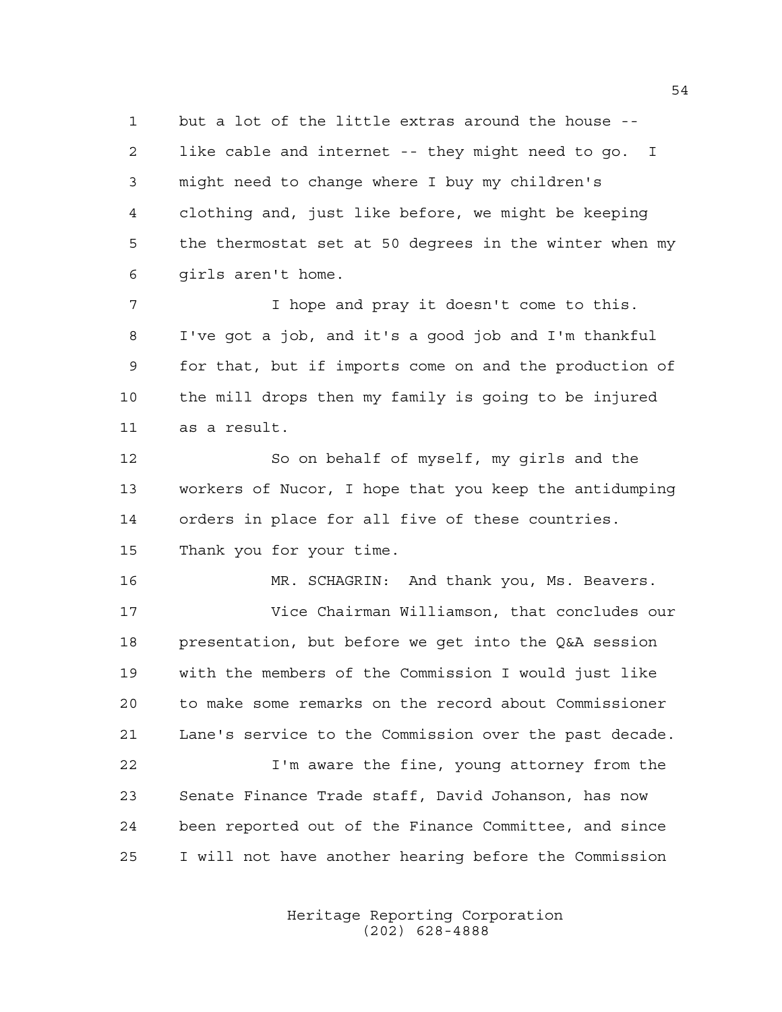but a lot of the little extras around the house -- like cable and internet -- they might need to go. I might need to change where I buy my children's clothing and, just like before, we might be keeping the thermostat set at 50 degrees in the winter when my girls aren't home.

 I hope and pray it doesn't come to this. I've got a job, and it's a good job and I'm thankful for that, but if imports come on and the production of the mill drops then my family is going to be injured as a result.

 So on behalf of myself, my girls and the workers of Nucor, I hope that you keep the antidumping orders in place for all five of these countries. Thank you for your time.

 MR. SCHAGRIN: And thank you, Ms. Beavers. Vice Chairman Williamson, that concludes our presentation, but before we get into the Q&A session with the members of the Commission I would just like to make some remarks on the record about Commissioner Lane's service to the Commission over the past decade.

 I'm aware the fine, young attorney from the Senate Finance Trade staff, David Johanson, has now been reported out of the Finance Committee, and since I will not have another hearing before the Commission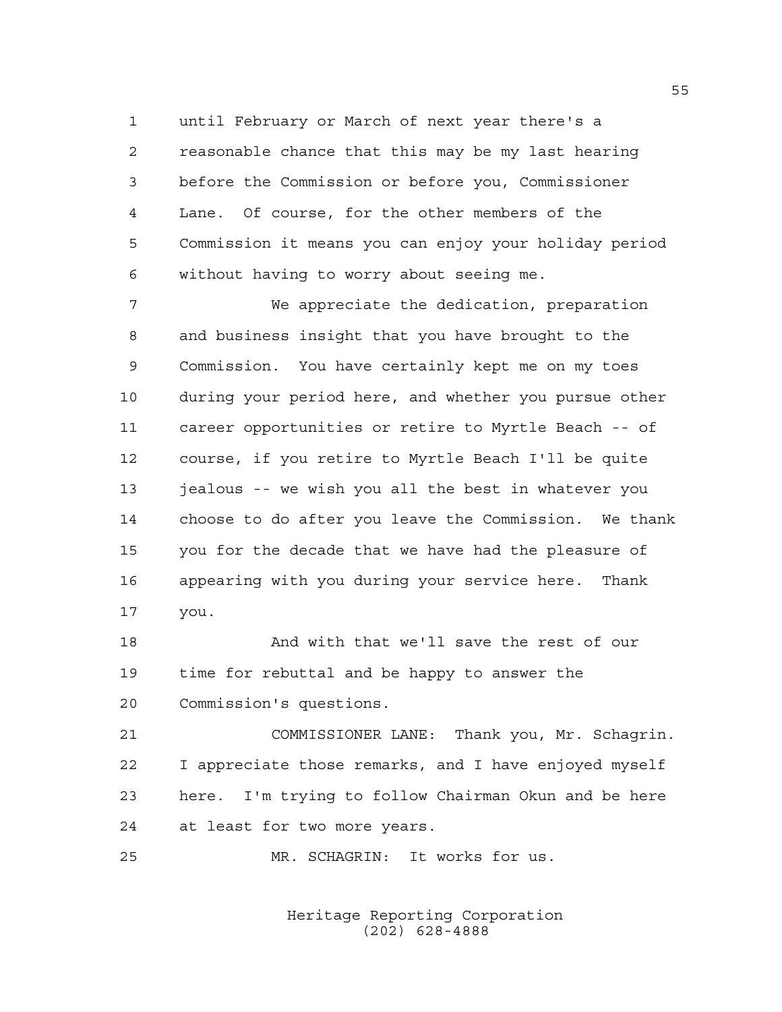until February or March of next year there's a reasonable chance that this may be my last hearing before the Commission or before you, Commissioner Lane. Of course, for the other members of the Commission it means you can enjoy your holiday period without having to worry about seeing me.

 We appreciate the dedication, preparation and business insight that you have brought to the Commission. You have certainly kept me on my toes during your period here, and whether you pursue other career opportunities or retire to Myrtle Beach -- of course, if you retire to Myrtle Beach I'll be quite 13 jealous -- we wish you all the best in whatever you choose to do after you leave the Commission. We thank you for the decade that we have had the pleasure of appearing with you during your service here. Thank you.

 And with that we'll save the rest of our time for rebuttal and be happy to answer the Commission's questions.

 COMMISSIONER LANE: Thank you, Mr. Schagrin. I appreciate those remarks, and I have enjoyed myself here. I'm trying to follow Chairman Okun and be here at least for two more years.

MR. SCHAGRIN: It works for us.

Heritage Reporting Corporation (202) 628-4888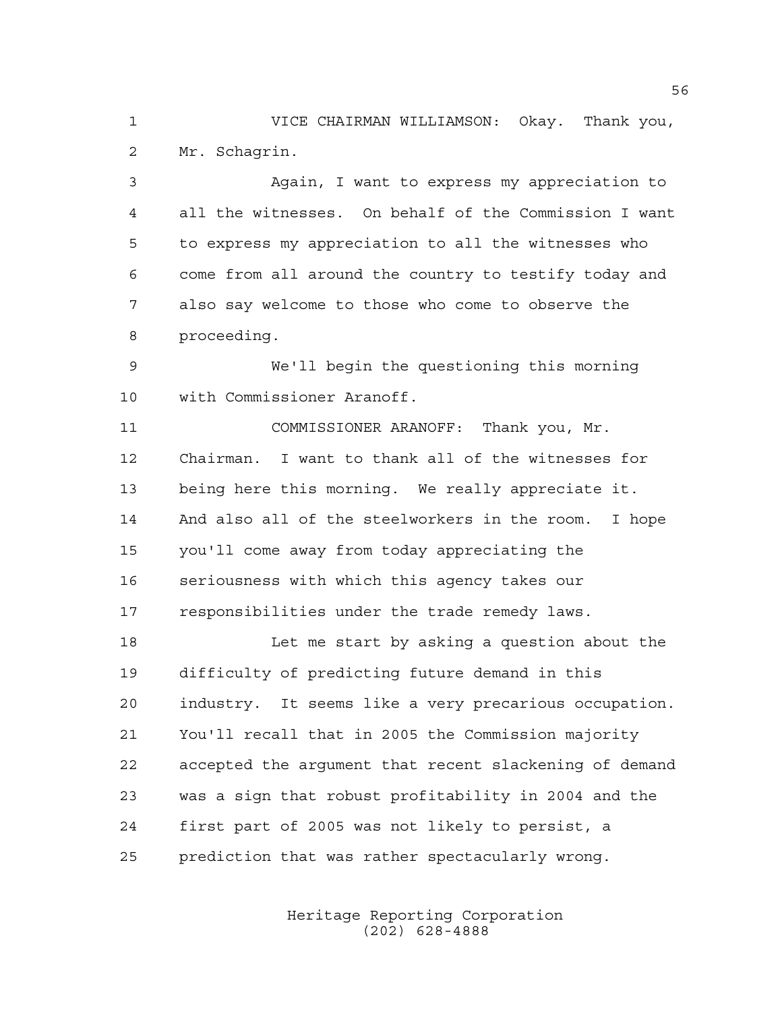VICE CHAIRMAN WILLIAMSON: Okay. Thank you, Mr. Schagrin.

 Again, I want to express my appreciation to all the witnesses. On behalf of the Commission I want to express my appreciation to all the witnesses who come from all around the country to testify today and also say welcome to those who come to observe the proceeding.

 We'll begin the questioning this morning with Commissioner Aranoff.

 COMMISSIONER ARANOFF: Thank you, Mr. Chairman. I want to thank all of the witnesses for being here this morning. We really appreciate it. And also all of the steelworkers in the room. I hope you'll come away from today appreciating the seriousness with which this agency takes our responsibilities under the trade remedy laws.

 Let me start by asking a question about the difficulty of predicting future demand in this industry. It seems like a very precarious occupation. You'll recall that in 2005 the Commission majority accepted the argument that recent slackening of demand was a sign that robust profitability in 2004 and the first part of 2005 was not likely to persist, a prediction that was rather spectacularly wrong.

> Heritage Reporting Corporation (202) 628-4888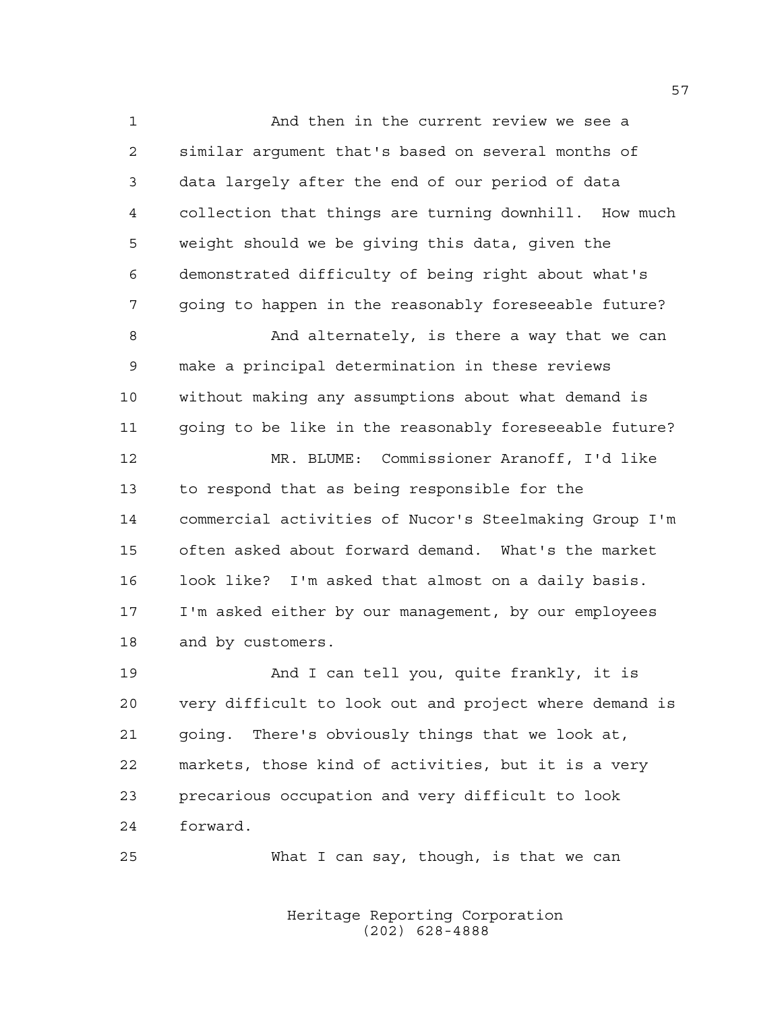And then in the current review we see a similar argument that's based on several months of data largely after the end of our period of data collection that things are turning downhill. How much weight should we be giving this data, given the demonstrated difficulty of being right about what's going to happen in the reasonably foreseeable future? 8 And alternately, is there a way that we can make a principal determination in these reviews without making any assumptions about what demand is going to be like in the reasonably foreseeable future? MR. BLUME: Commissioner Aranoff, I'd like to respond that as being responsible for the commercial activities of Nucor's Steelmaking Group I'm often asked about forward demand. What's the market look like? I'm asked that almost on a daily basis. I'm asked either by our management, by our employees and by customers.

 And I can tell you, quite frankly, it is very difficult to look out and project where demand is going. There's obviously things that we look at, markets, those kind of activities, but it is a very precarious occupation and very difficult to look forward.

What I can say, though, is that we can

Heritage Reporting Corporation (202) 628-4888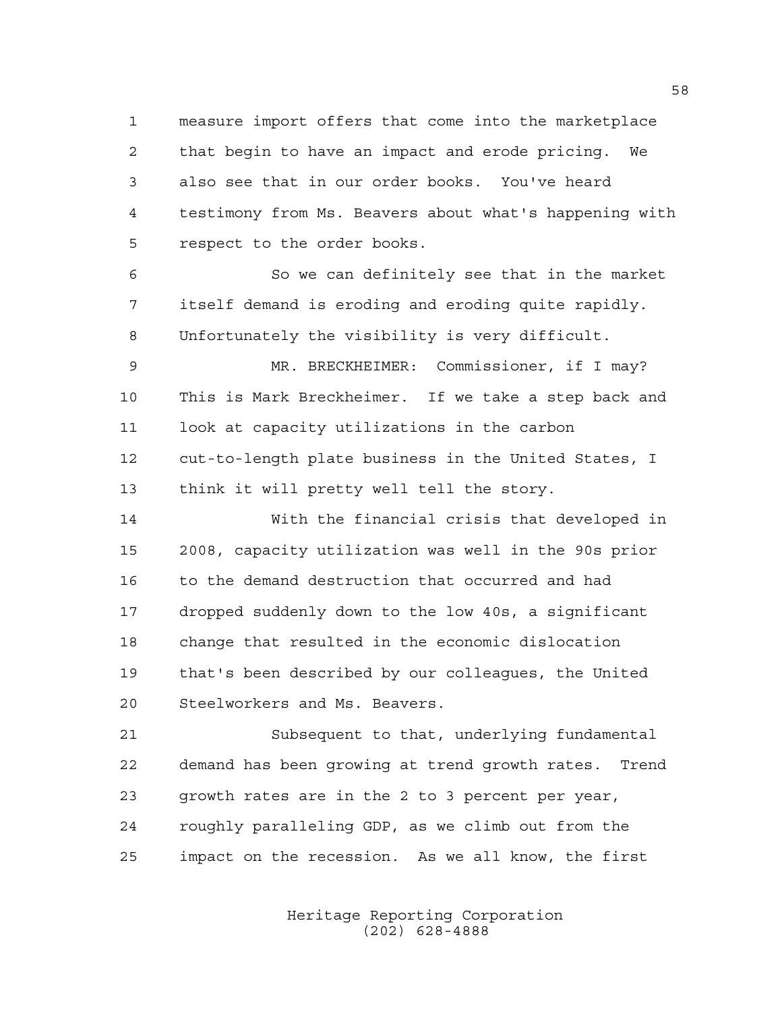measure import offers that come into the marketplace that begin to have an impact and erode pricing. We also see that in our order books. You've heard testimony from Ms. Beavers about what's happening with respect to the order books.

 So we can definitely see that in the market itself demand is eroding and eroding quite rapidly. Unfortunately the visibility is very difficult.

 MR. BRECKHEIMER: Commissioner, if I may? This is Mark Breckheimer. If we take a step back and look at capacity utilizations in the carbon cut-to-length plate business in the United States, I think it will pretty well tell the story.

 With the financial crisis that developed in 2008, capacity utilization was well in the 90s prior to the demand destruction that occurred and had dropped suddenly down to the low 40s, a significant change that resulted in the economic dislocation that's been described by our colleagues, the United Steelworkers and Ms. Beavers.

 Subsequent to that, underlying fundamental demand has been growing at trend growth rates. Trend growth rates are in the 2 to 3 percent per year, roughly paralleling GDP, as we climb out from the impact on the recession. As we all know, the first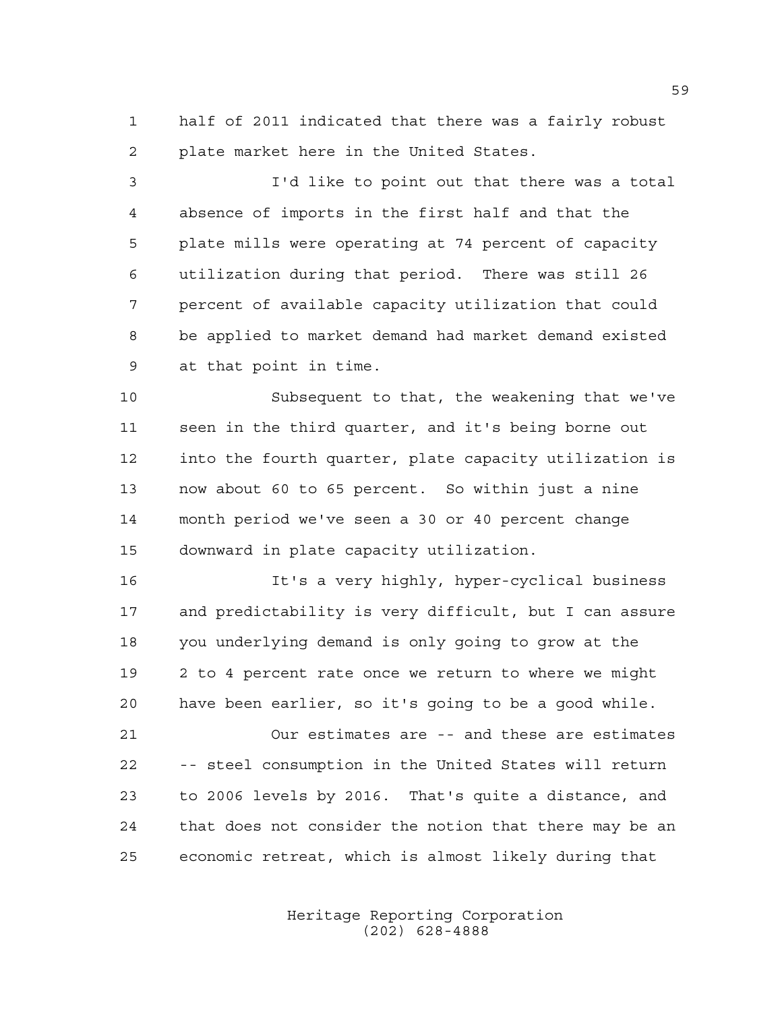half of 2011 indicated that there was a fairly robust plate market here in the United States.

 I'd like to point out that there was a total absence of imports in the first half and that the plate mills were operating at 74 percent of capacity utilization during that period. There was still 26 percent of available capacity utilization that could be applied to market demand had market demand existed at that point in time.

 Subsequent to that, the weakening that we've seen in the third quarter, and it's being borne out into the fourth quarter, plate capacity utilization is now about 60 to 65 percent. So within just a nine month period we've seen a 30 or 40 percent change downward in plate capacity utilization.

 It's a very highly, hyper-cyclical business and predictability is very difficult, but I can assure you underlying demand is only going to grow at the 2 to 4 percent rate once we return to where we might have been earlier, so it's going to be a good while.

 Our estimates are -- and these are estimates -- steel consumption in the United States will return to 2006 levels by 2016. That's quite a distance, and that does not consider the notion that there may be an economic retreat, which is almost likely during that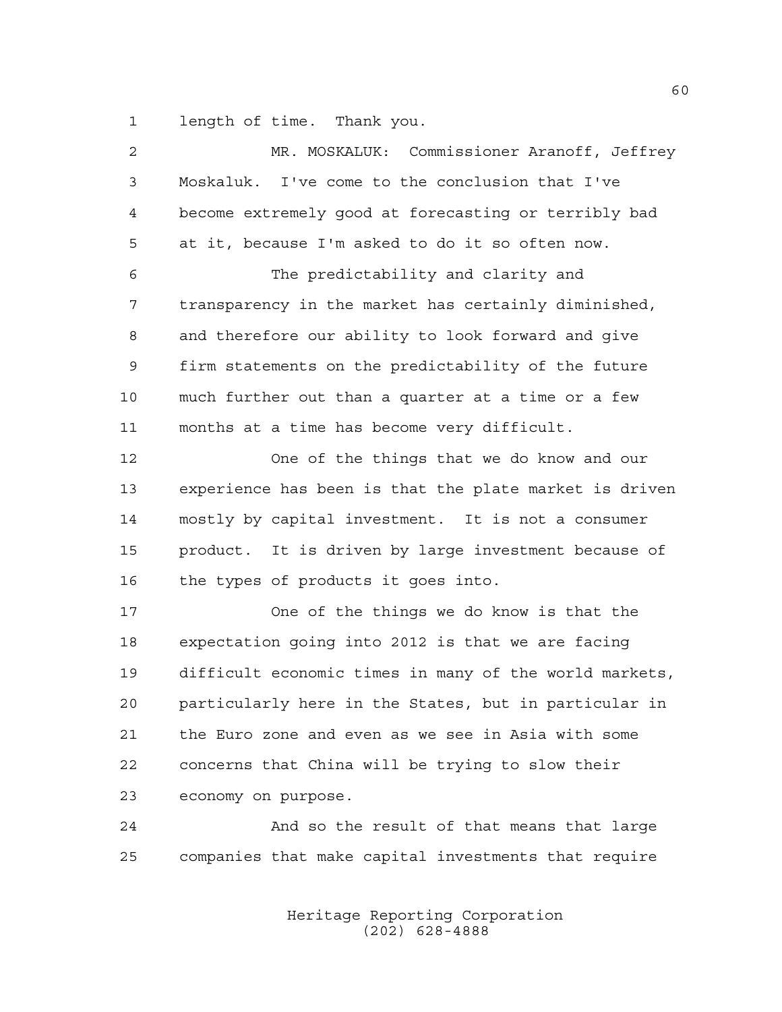length of time. Thank you.

| 2  | MR. MOSKALUK: Commissioner Aranoff, Jeffrey            |
|----|--------------------------------------------------------|
| 3  | Moskaluk. I've come to the conclusion that I've        |
| 4  | become extremely good at forecasting or terribly bad   |
| 5  | at it, because I'm asked to do it so often now.        |
| 6  | The predictability and clarity and                     |
| 7  | transparency in the market has certainly diminished,   |
| 8  | and therefore our ability to look forward and give     |
| 9  | firm statements on the predictability of the future    |
| 10 | much further out than a quarter at a time or a few     |
| 11 | months at a time has become very difficult.            |
| 12 | One of the things that we do know and our              |
| 13 | experience has been is that the plate market is driven |
| 14 | mostly by capital investment. It is not a consumer     |
| 15 | product. It is driven by large investment because of   |
| 16 | the types of products it goes into.                    |
| 17 | One of the things we do know is that the               |
| 18 | expectation going into 2012 is that we are facing      |
| 19 | difficult economic times in many of the world markets, |
| 20 | particularly here in the States, but in particular in  |
| 21 | the Euro zone and even as we see in Asia with some     |
| 22 | concerns that China will be trying to slow their       |
| 23 | economy on purpose.                                    |
| 24 | And so the result of that means that large             |
| 25 | companies that make capital investments that require   |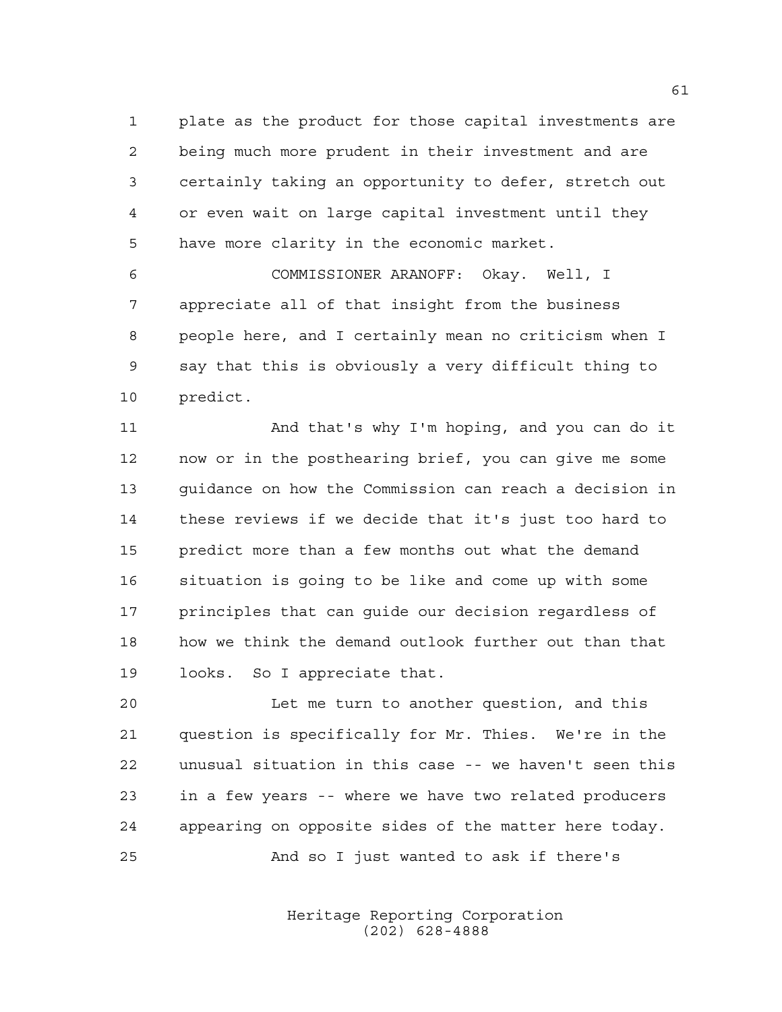plate as the product for those capital investments are being much more prudent in their investment and are certainly taking an opportunity to defer, stretch out or even wait on large capital investment until they have more clarity in the economic market.

 COMMISSIONER ARANOFF: Okay. Well, I appreciate all of that insight from the business people here, and I certainly mean no criticism when I say that this is obviously a very difficult thing to predict.

 And that's why I'm hoping, and you can do it now or in the posthearing brief, you can give me some guidance on how the Commission can reach a decision in these reviews if we decide that it's just too hard to predict more than a few months out what the demand situation is going to be like and come up with some principles that can guide our decision regardless of how we think the demand outlook further out than that looks. So I appreciate that.

 Let me turn to another question, and this question is specifically for Mr. Thies. We're in the unusual situation in this case -- we haven't seen this in a few years -- where we have two related producers appearing on opposite sides of the matter here today. And so I just wanted to ask if there's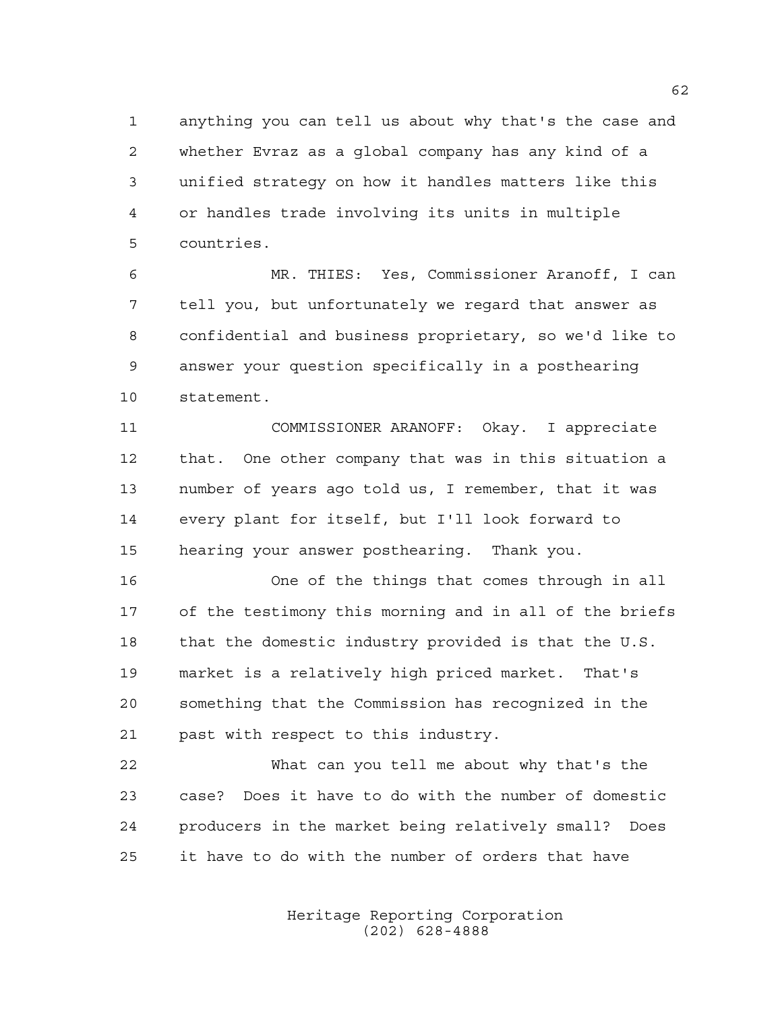anything you can tell us about why that's the case and whether Evraz as a global company has any kind of a unified strategy on how it handles matters like this or handles trade involving its units in multiple countries.

 MR. THIES: Yes, Commissioner Aranoff, I can tell you, but unfortunately we regard that answer as confidential and business proprietary, so we'd like to answer your question specifically in a posthearing statement.

 COMMISSIONER ARANOFF: Okay. I appreciate that. One other company that was in this situation a number of years ago told us, I remember, that it was every plant for itself, but I'll look forward to hearing your answer posthearing. Thank you.

 One of the things that comes through in all of the testimony this morning and in all of the briefs that the domestic industry provided is that the U.S. market is a relatively high priced market. That's something that the Commission has recognized in the past with respect to this industry.

 What can you tell me about why that's the case? Does it have to do with the number of domestic producers in the market being relatively small? Does it have to do with the number of orders that have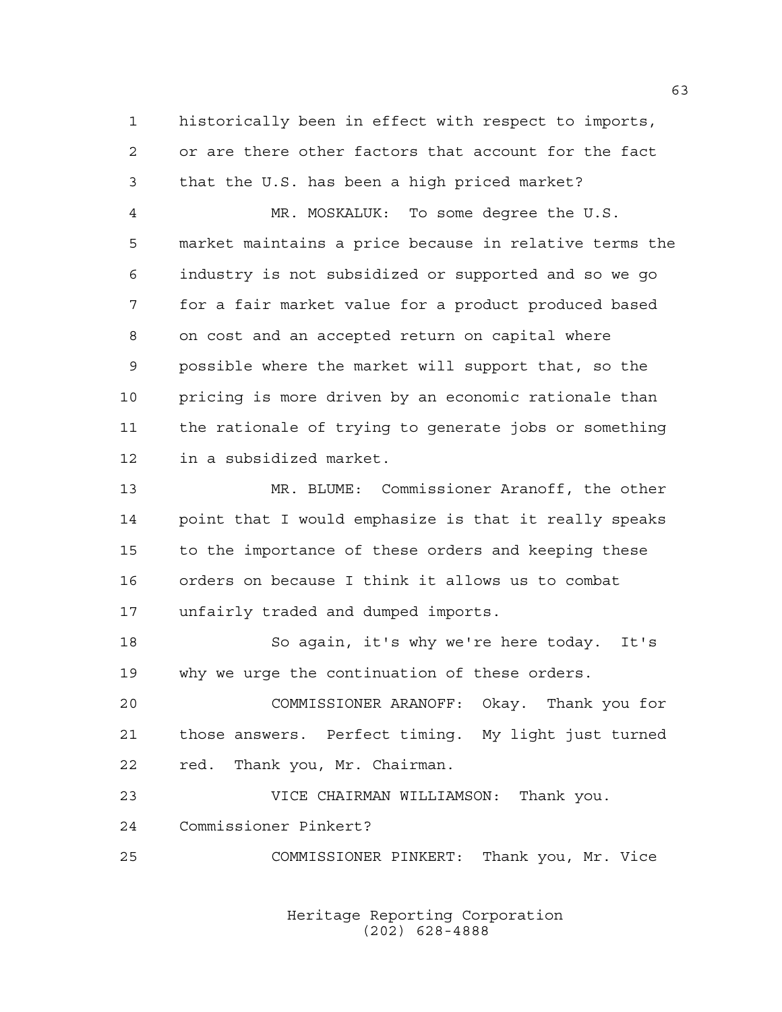historically been in effect with respect to imports, or are there other factors that account for the fact that the U.S. has been a high priced market?

 MR. MOSKALUK: To some degree the U.S. market maintains a price because in relative terms the industry is not subsidized or supported and so we go for a fair market value for a product produced based on cost and an accepted return on capital where possible where the market will support that, so the pricing is more driven by an economic rationale than the rationale of trying to generate jobs or something in a subsidized market.

 MR. BLUME: Commissioner Aranoff, the other point that I would emphasize is that it really speaks to the importance of these orders and keeping these orders on because I think it allows us to combat unfairly traded and dumped imports.

 So again, it's why we're here today. It's why we urge the continuation of these orders.

 COMMISSIONER ARANOFF: Okay. Thank you for those answers. Perfect timing. My light just turned red. Thank you, Mr. Chairman.

 VICE CHAIRMAN WILLIAMSON: Thank you. Commissioner Pinkert?

COMMISSIONER PINKERT: Thank you, Mr. Vice

Heritage Reporting Corporation (202) 628-4888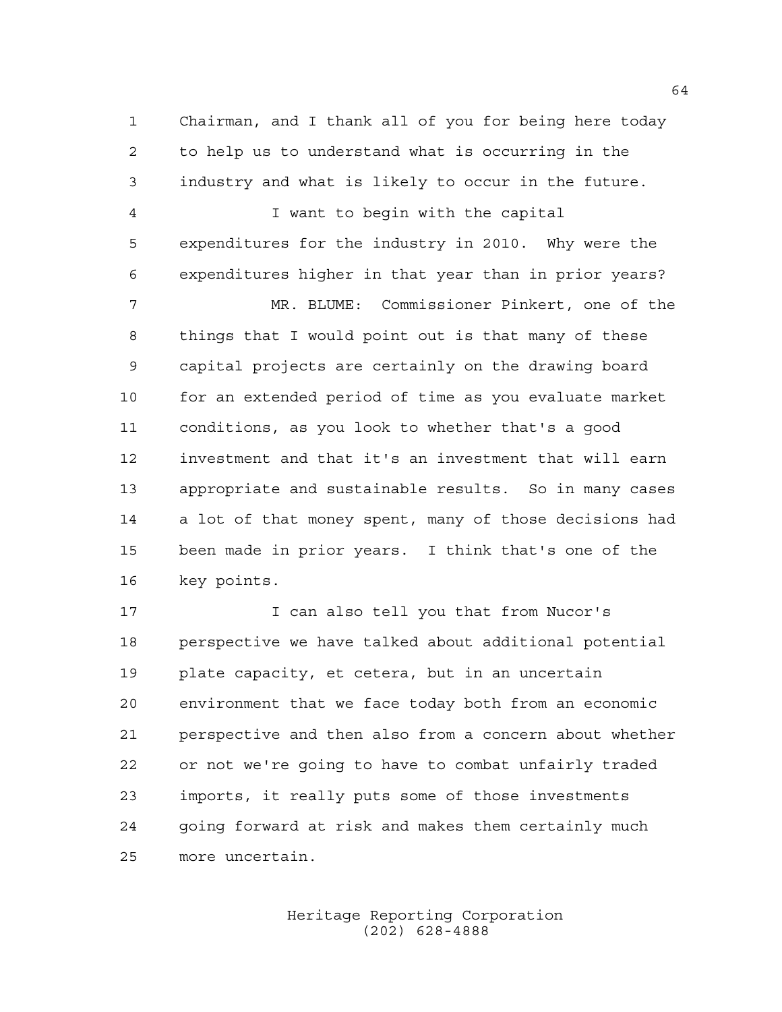Chairman, and I thank all of you for being here today to help us to understand what is occurring in the industry and what is likely to occur in the future.

 I want to begin with the capital expenditures for the industry in 2010. Why were the expenditures higher in that year than in prior years? MR. BLUME: Commissioner Pinkert, one of the things that I would point out is that many of these capital projects are certainly on the drawing board for an extended period of time as you evaluate market conditions, as you look to whether that's a good investment and that it's an investment that will earn appropriate and sustainable results. So in many cases a lot of that money spent, many of those decisions had been made in prior years. I think that's one of the key points.

17 17 I can also tell you that from Nucor's perspective we have talked about additional potential plate capacity, et cetera, but in an uncertain environment that we face today both from an economic perspective and then also from a concern about whether or not we're going to have to combat unfairly traded imports, it really puts some of those investments going forward at risk and makes them certainly much more uncertain.

> Heritage Reporting Corporation (202) 628-4888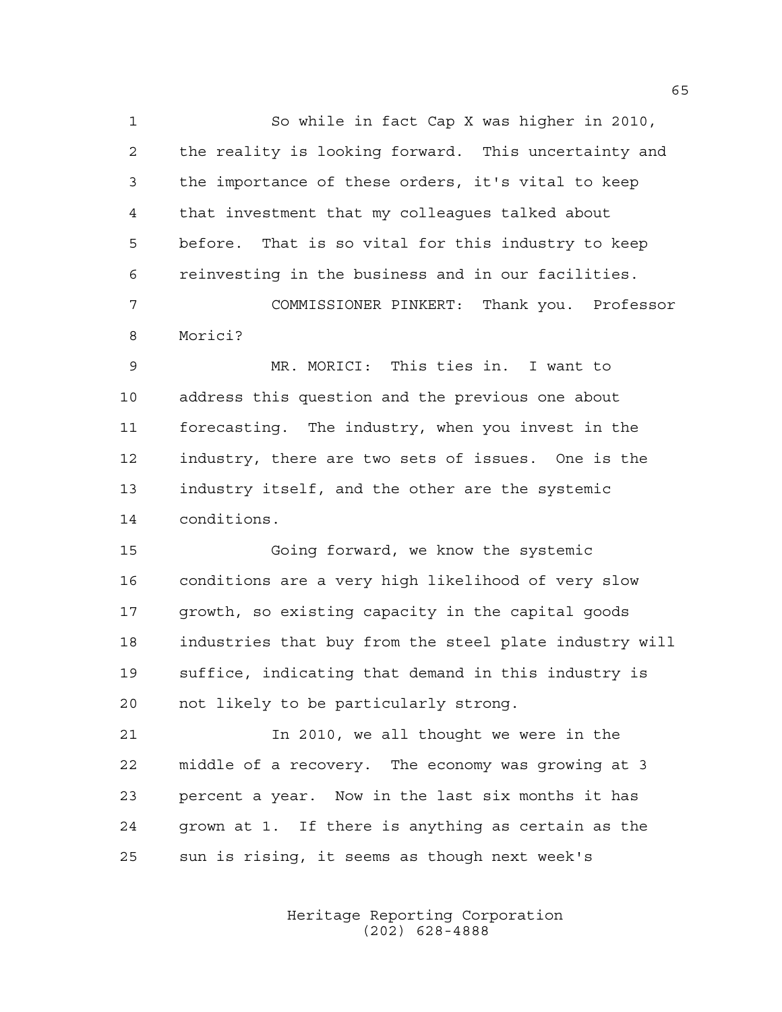So while in fact Cap X was higher in 2010, the reality is looking forward. This uncertainty and the importance of these orders, it's vital to keep that investment that my colleagues talked about before. That is so vital for this industry to keep reinvesting in the business and in our facilities.

 COMMISSIONER PINKERT: Thank you. Professor Morici?

 MR. MORICI: This ties in. I want to address this question and the previous one about forecasting. The industry, when you invest in the industry, there are two sets of issues. One is the industry itself, and the other are the systemic conditions.

 Going forward, we know the systemic conditions are a very high likelihood of very slow growth, so existing capacity in the capital goods industries that buy from the steel plate industry will suffice, indicating that demand in this industry is not likely to be particularly strong.

 In 2010, we all thought we were in the middle of a recovery. The economy was growing at 3 percent a year. Now in the last six months it has grown at 1. If there is anything as certain as the sun is rising, it seems as though next week's

> Heritage Reporting Corporation (202) 628-4888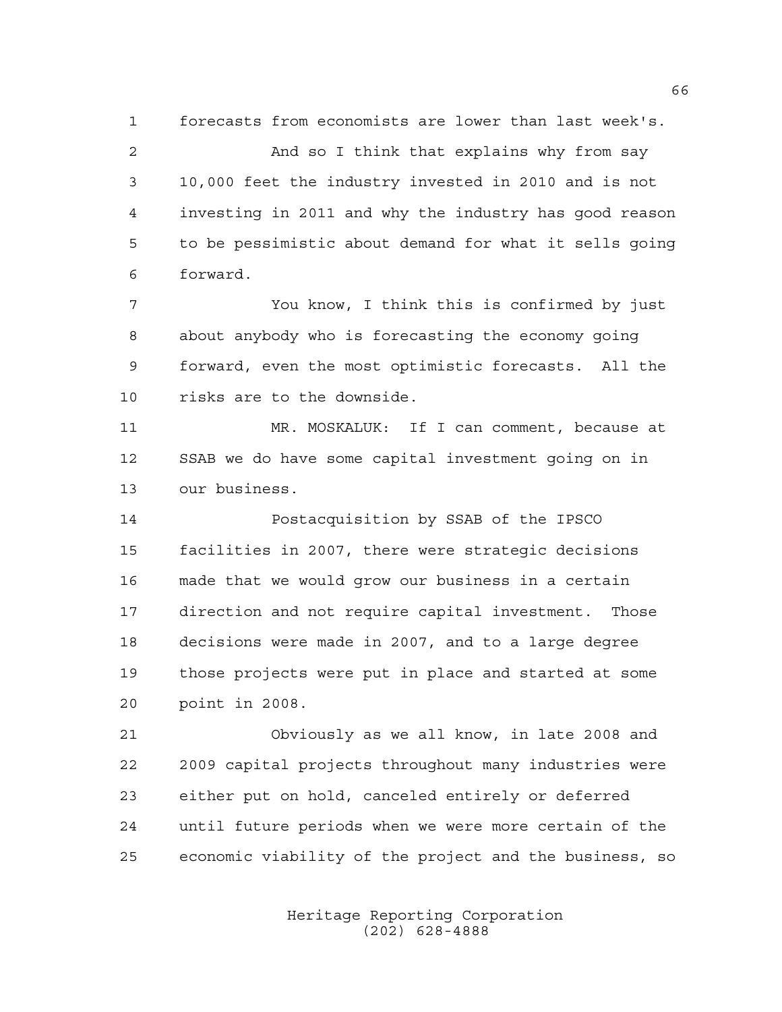forecasts from economists are lower than last week's.

 And so I think that explains why from say 10,000 feet the industry invested in 2010 and is not investing in 2011 and why the industry has good reason to be pessimistic about demand for what it sells going forward.

 You know, I think this is confirmed by just about anybody who is forecasting the economy going forward, even the most optimistic forecasts. All the risks are to the downside.

 MR. MOSKALUK: If I can comment, because at SSAB we do have some capital investment going on in our business.

 Postacquisition by SSAB of the IPSCO facilities in 2007, there were strategic decisions made that we would grow our business in a certain direction and not require capital investment. Those decisions were made in 2007, and to a large degree those projects were put in place and started at some point in 2008.

 Obviously as we all know, in late 2008 and 2009 capital projects throughout many industries were either put on hold, canceled entirely or deferred until future periods when we were more certain of the economic viability of the project and the business, so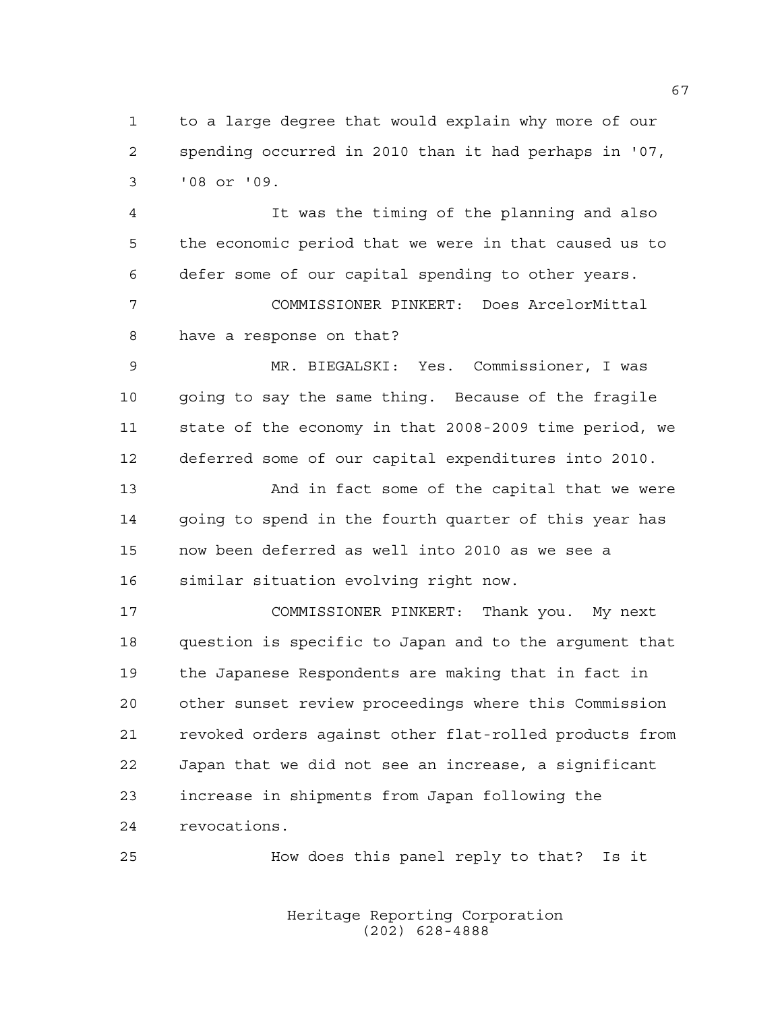to a large degree that would explain why more of our spending occurred in 2010 than it had perhaps in '07, '08 or '09.

 It was the timing of the planning and also the economic period that we were in that caused us to defer some of our capital spending to other years.

 COMMISSIONER PINKERT: Does ArcelorMittal have a response on that?

 MR. BIEGALSKI: Yes. Commissioner, I was going to say the same thing. Because of the fragile state of the economy in that 2008-2009 time period, we deferred some of our capital expenditures into 2010.

 And in fact some of the capital that we were going to spend in the fourth quarter of this year has now been deferred as well into 2010 as we see a similar situation evolving right now.

 COMMISSIONER PINKERT: Thank you. My next question is specific to Japan and to the argument that the Japanese Respondents are making that in fact in other sunset review proceedings where this Commission revoked orders against other flat-rolled products from Japan that we did not see an increase, a significant increase in shipments from Japan following the revocations.

How does this panel reply to that? Is it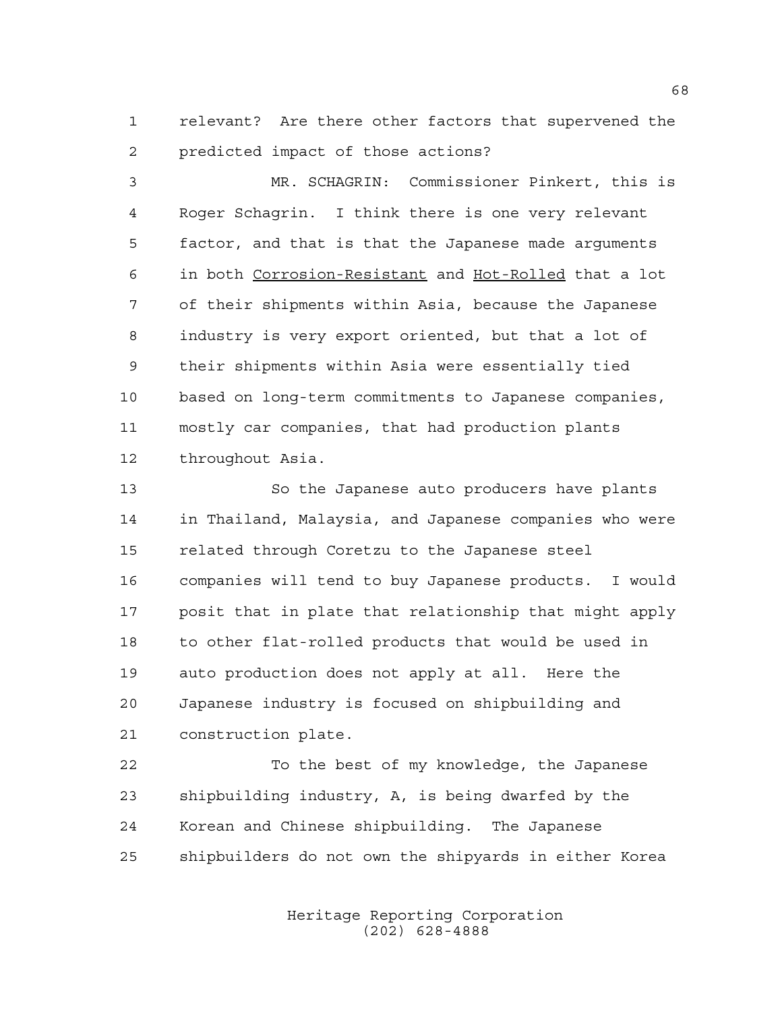relevant? Are there other factors that supervened the predicted impact of those actions?

 MR. SCHAGRIN: Commissioner Pinkert, this is Roger Schagrin. I think there is one very relevant factor, and that is that the Japanese made arguments in both Corrosion-Resistant and Hot-Rolled that a lot of their shipments within Asia, because the Japanese industry is very export oriented, but that a lot of their shipments within Asia were essentially tied based on long-term commitments to Japanese companies, mostly car companies, that had production plants throughout Asia.

 So the Japanese auto producers have plants in Thailand, Malaysia, and Japanese companies who were related through Coretzu to the Japanese steel companies will tend to buy Japanese products. I would posit that in plate that relationship that might apply to other flat-rolled products that would be used in auto production does not apply at all. Here the Japanese industry is focused on shipbuilding and construction plate.

 To the best of my knowledge, the Japanese shipbuilding industry, A, is being dwarfed by the Korean and Chinese shipbuilding. The Japanese shipbuilders do not own the shipyards in either Korea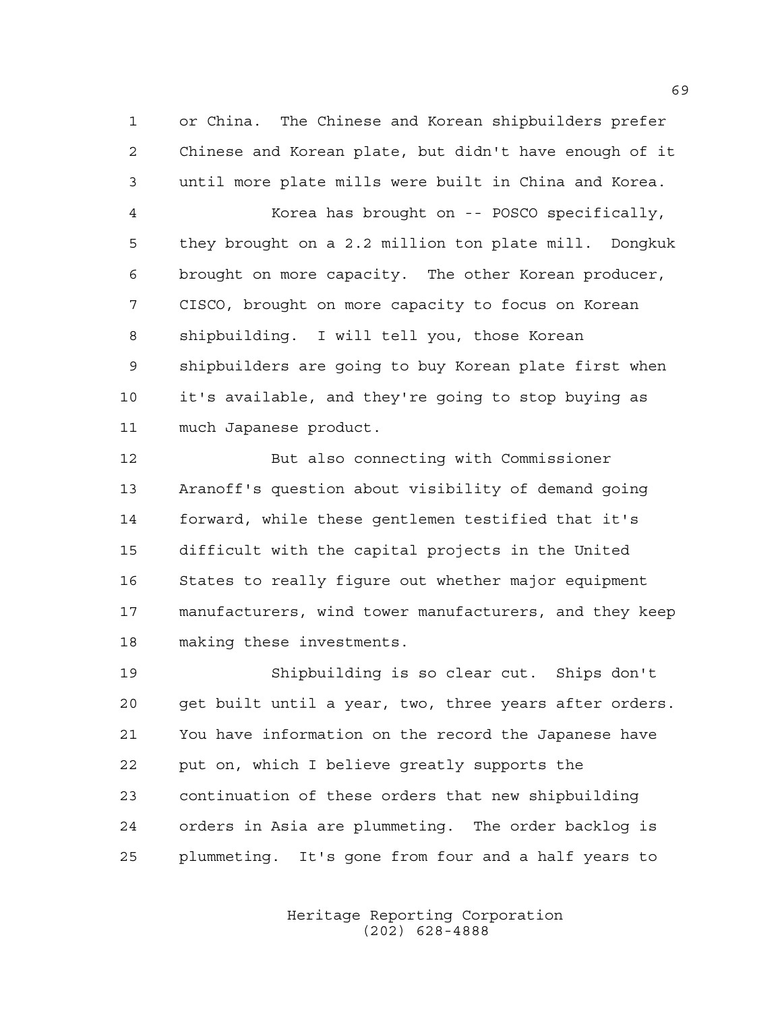or China. The Chinese and Korean shipbuilders prefer Chinese and Korean plate, but didn't have enough of it until more plate mills were built in China and Korea.

 Korea has brought on -- POSCO specifically, they brought on a 2.2 million ton plate mill. Dongkuk brought on more capacity. The other Korean producer, CISCO, brought on more capacity to focus on Korean shipbuilding. I will tell you, those Korean shipbuilders are going to buy Korean plate first when it's available, and they're going to stop buying as much Japanese product.

 But also connecting with Commissioner Aranoff's question about visibility of demand going forward, while these gentlemen testified that it's difficult with the capital projects in the United States to really figure out whether major equipment manufacturers, wind tower manufacturers, and they keep making these investments.

 Shipbuilding is so clear cut. Ships don't get built until a year, two, three years after orders. You have information on the record the Japanese have put on, which I believe greatly supports the continuation of these orders that new shipbuilding orders in Asia are plummeting. The order backlog is plummeting. It's gone from four and a half years to

> Heritage Reporting Corporation (202) 628-4888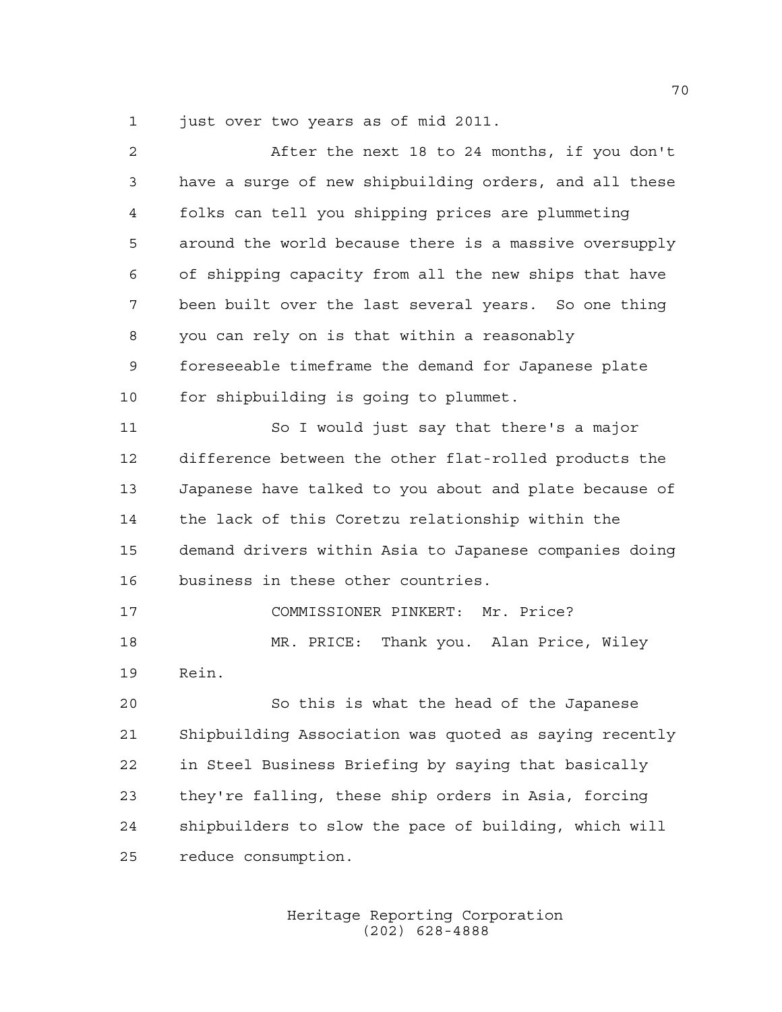just over two years as of mid 2011.

| $\overline{2}$ | After the next 18 to 24 months, if you don't           |
|----------------|--------------------------------------------------------|
| 3              | have a surge of new shipbuilding orders, and all these |
| 4              | folks can tell you shipping prices are plummeting      |
| 5              | around the world because there is a massive oversupply |
| 6              | of shipping capacity from all the new ships that have  |
| 7              | been built over the last several years. So one thing   |
| 8              | you can rely on is that within a reasonably            |
| 9              | foreseeable timeframe the demand for Japanese plate    |
| 10             | for shipbuilding is going to plummet.                  |
| 11             | So I would just say that there's a major               |
| 12             | difference between the other flat-rolled products the  |
| 13             | Japanese have talked to you about and plate because of |
| 14             | the lack of this Coretzu relationship within the       |
| 15             | demand drivers within Asia to Japanese companies doing |
| 16             | business in these other countries.                     |
| 17             | COMMISSIONER PINKERT: Mr. Price?                       |
| 18             | MR. PRICE: Thank you. Alan Price, Wiley                |
| 19             | Rein.                                                  |
| 20             | So this is what the head of the Japanese               |
| 21             | Shipbuilding Association was quoted as saying recently |
| 22             | in Steel Business Briefing by saying that basically    |
| 23             | they're falling, these ship orders in Asia, forcing    |
| 24             | shipbuilders to slow the pace of building, which will  |
| 25             | reduce consumption.                                    |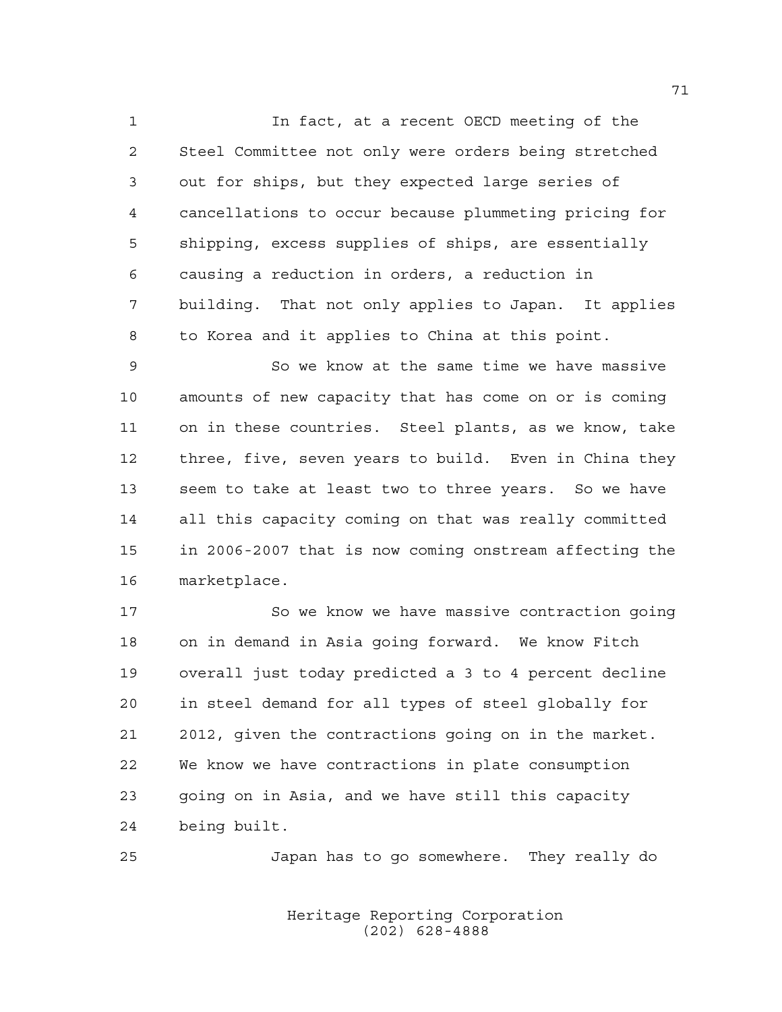In fact, at a recent OECD meeting of the Steel Committee not only were orders being stretched out for ships, but they expected large series of cancellations to occur because plummeting pricing for shipping, excess supplies of ships, are essentially causing a reduction in orders, a reduction in building. That not only applies to Japan. It applies to Korea and it applies to China at this point.

 So we know at the same time we have massive amounts of new capacity that has come on or is coming on in these countries. Steel plants, as we know, take three, five, seven years to build. Even in China they seem to take at least two to three years. So we have all this capacity coming on that was really committed in 2006-2007 that is now coming onstream affecting the marketplace.

 So we know we have massive contraction going on in demand in Asia going forward. We know Fitch overall just today predicted a 3 to 4 percent decline in steel demand for all types of steel globally for 2012, given the contractions going on in the market. We know we have contractions in plate consumption going on in Asia, and we have still this capacity being built.

Japan has to go somewhere. They really do

Heritage Reporting Corporation (202) 628-4888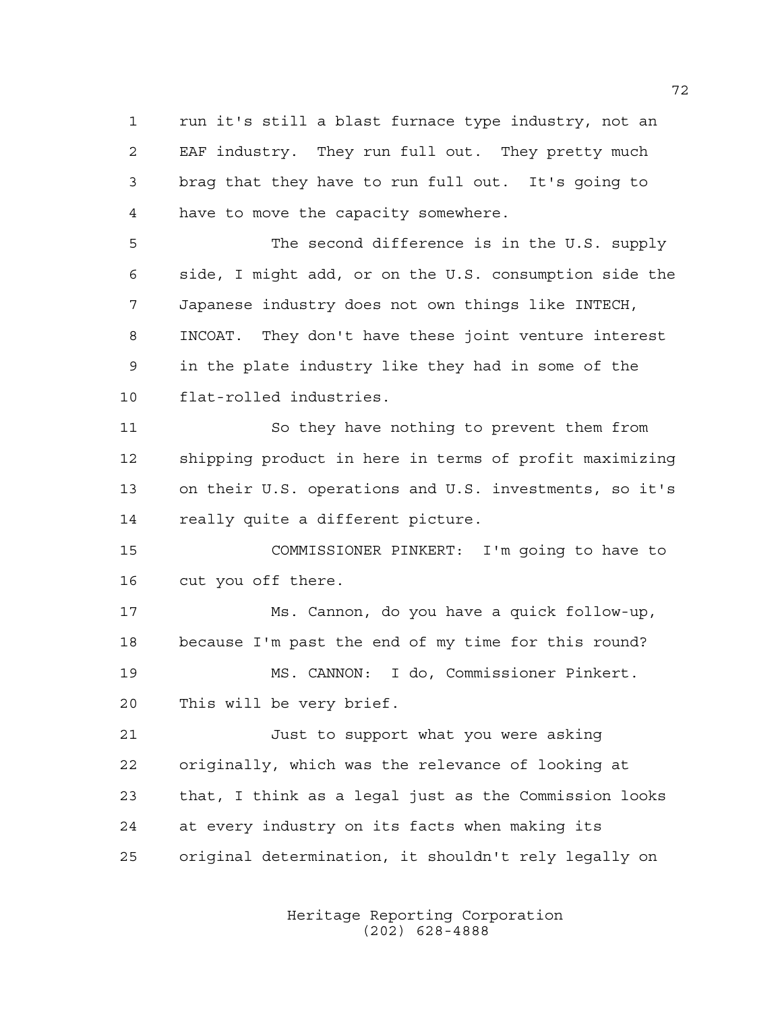run it's still a blast furnace type industry, not an EAF industry. They run full out. They pretty much brag that they have to run full out. It's going to have to move the capacity somewhere.

 The second difference is in the U.S. supply side, I might add, or on the U.S. consumption side the Japanese industry does not own things like INTECH, INCOAT. They don't have these joint venture interest in the plate industry like they had in some of the flat-rolled industries.

 So they have nothing to prevent them from shipping product in here in terms of profit maximizing on their U.S. operations and U.S. investments, so it's really quite a different picture.

 COMMISSIONER PINKERT: I'm going to have to cut you off there.

 Ms. Cannon, do you have a quick follow-up, because I'm past the end of my time for this round? MS. CANNON: I do, Commissioner Pinkert. This will be very brief.

 Just to support what you were asking originally, which was the relevance of looking at that, I think as a legal just as the Commission looks at every industry on its facts when making its original determination, it shouldn't rely legally on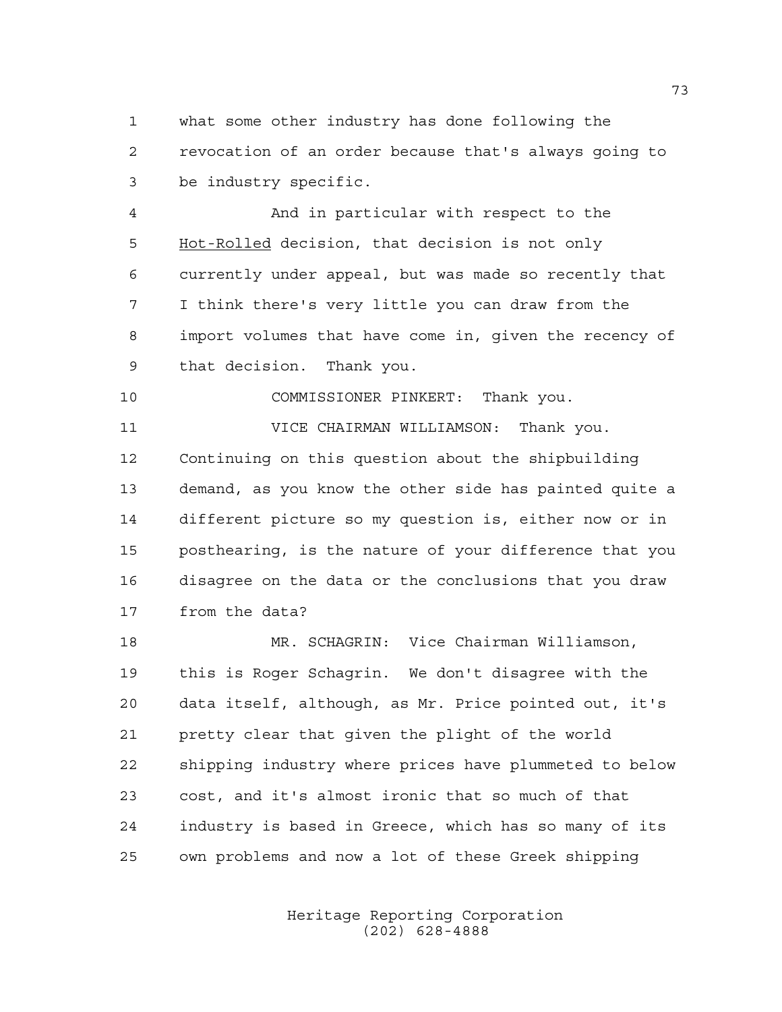what some other industry has done following the revocation of an order because that's always going to be industry specific.

 And in particular with respect to the Hot-Rolled decision, that decision is not only currently under appeal, but was made so recently that I think there's very little you can draw from the import volumes that have come in, given the recency of that decision. Thank you.

COMMISSIONER PINKERT: Thank you.

 VICE CHAIRMAN WILLIAMSON: Thank you. Continuing on this question about the shipbuilding demand, as you know the other side has painted quite a different picture so my question is, either now or in posthearing, is the nature of your difference that you disagree on the data or the conclusions that you draw from the data?

 MR. SCHAGRIN: Vice Chairman Williamson, this is Roger Schagrin. We don't disagree with the data itself, although, as Mr. Price pointed out, it's pretty clear that given the plight of the world shipping industry where prices have plummeted to below cost, and it's almost ironic that so much of that industry is based in Greece, which has so many of its own problems and now a lot of these Greek shipping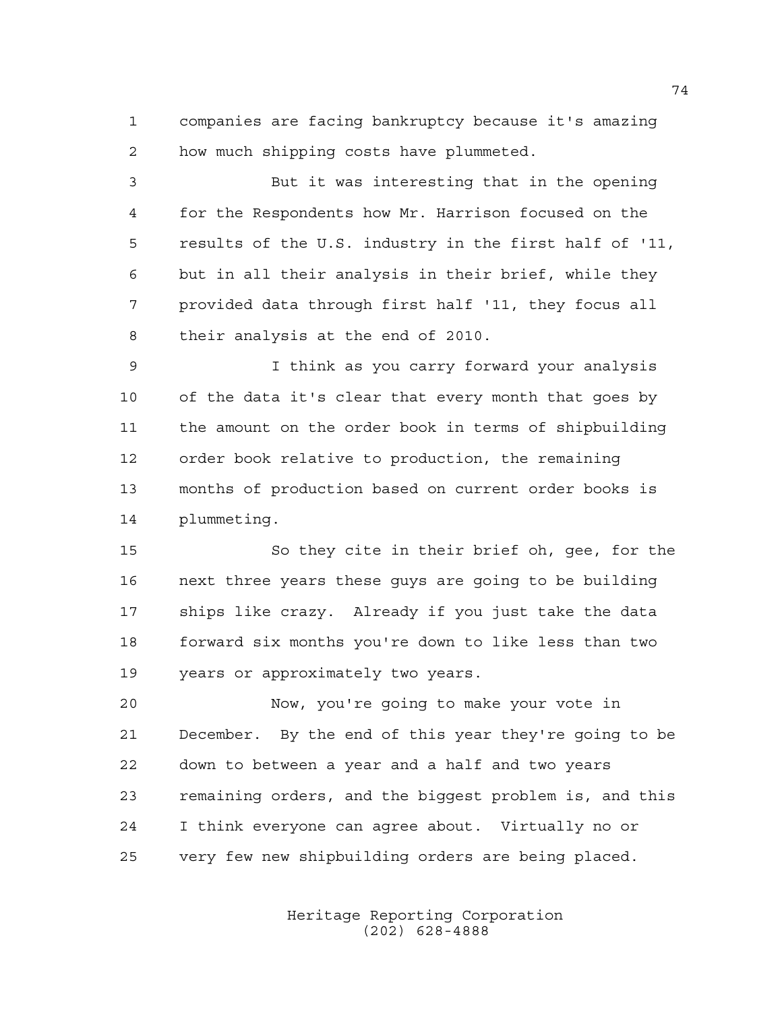companies are facing bankruptcy because it's amazing how much shipping costs have plummeted.

 But it was interesting that in the opening for the Respondents how Mr. Harrison focused on the results of the U.S. industry in the first half of '11, but in all their analysis in their brief, while they provided data through first half '11, they focus all their analysis at the end of 2010.

 I think as you carry forward your analysis of the data it's clear that every month that goes by the amount on the order book in terms of shipbuilding order book relative to production, the remaining months of production based on current order books is plummeting.

 So they cite in their brief oh, gee, for the next three years these guys are going to be building ships like crazy. Already if you just take the data forward six months you're down to like less than two years or approximately two years.

 Now, you're going to make your vote in December. By the end of this year they're going to be down to between a year and a half and two years remaining orders, and the biggest problem is, and this I think everyone can agree about. Virtually no or very few new shipbuilding orders are being placed.

> Heritage Reporting Corporation (202) 628-4888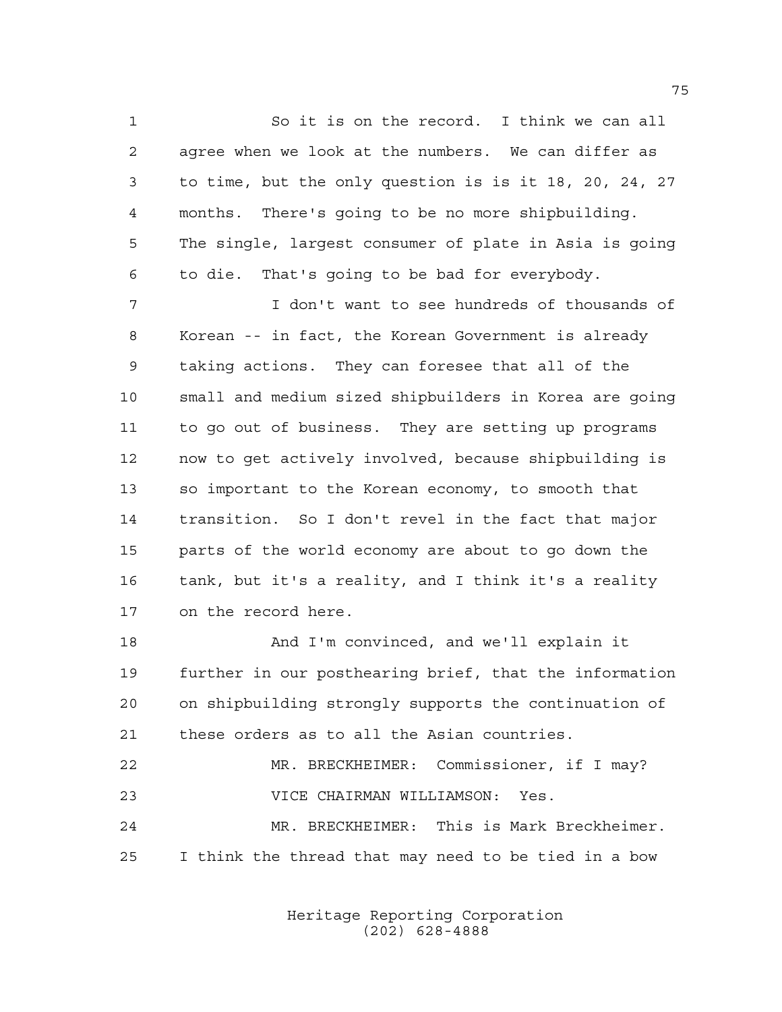So it is on the record. I think we can all agree when we look at the numbers. We can differ as to time, but the only question is is it 18, 20, 24, 27 months. There's going to be no more shipbuilding. The single, largest consumer of plate in Asia is going to die. That's going to be bad for everybody.

 I don't want to see hundreds of thousands of Korean -- in fact, the Korean Government is already taking actions. They can foresee that all of the small and medium sized shipbuilders in Korea are going to go out of business. They are setting up programs now to get actively involved, because shipbuilding is so important to the Korean economy, to smooth that transition. So I don't revel in the fact that major parts of the world economy are about to go down the tank, but it's a reality, and I think it's a reality on the record here.

 And I'm convinced, and we'll explain it further in our posthearing brief, that the information on shipbuilding strongly supports the continuation of these orders as to all the Asian countries.

 MR. BRECKHEIMER: Commissioner, if I may? VICE CHAIRMAN WILLIAMSON: Yes. MR. BRECKHEIMER: This is Mark Breckheimer. I think the thread that may need to be tied in a bow

> Heritage Reporting Corporation (202) 628-4888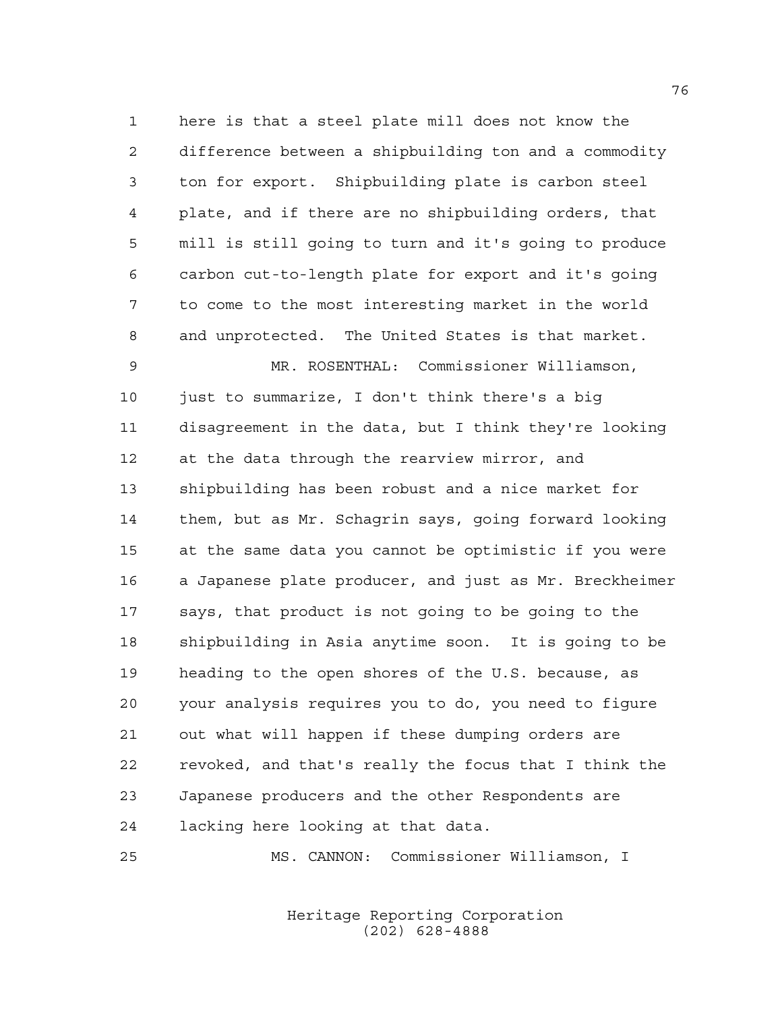here is that a steel plate mill does not know the difference between a shipbuilding ton and a commodity ton for export. Shipbuilding plate is carbon steel plate, and if there are no shipbuilding orders, that mill is still going to turn and it's going to produce carbon cut-to-length plate for export and it's going to come to the most interesting market in the world and unprotected. The United States is that market. MR. ROSENTHAL: Commissioner Williamson, 10 just to summarize, I don't think there's a big disagreement in the data, but I think they're looking at the data through the rearview mirror, and shipbuilding has been robust and a nice market for them, but as Mr. Schagrin says, going forward looking at the same data you cannot be optimistic if you were a Japanese plate producer, and just as Mr. Breckheimer says, that product is not going to be going to the shipbuilding in Asia anytime soon. It is going to be heading to the open shores of the U.S. because, as your analysis requires you to do, you need to figure out what will happen if these dumping orders are revoked, and that's really the focus that I think the Japanese producers and the other Respondents are lacking here looking at that data.

MS. CANNON: Commissioner Williamson, I

Heritage Reporting Corporation (202) 628-4888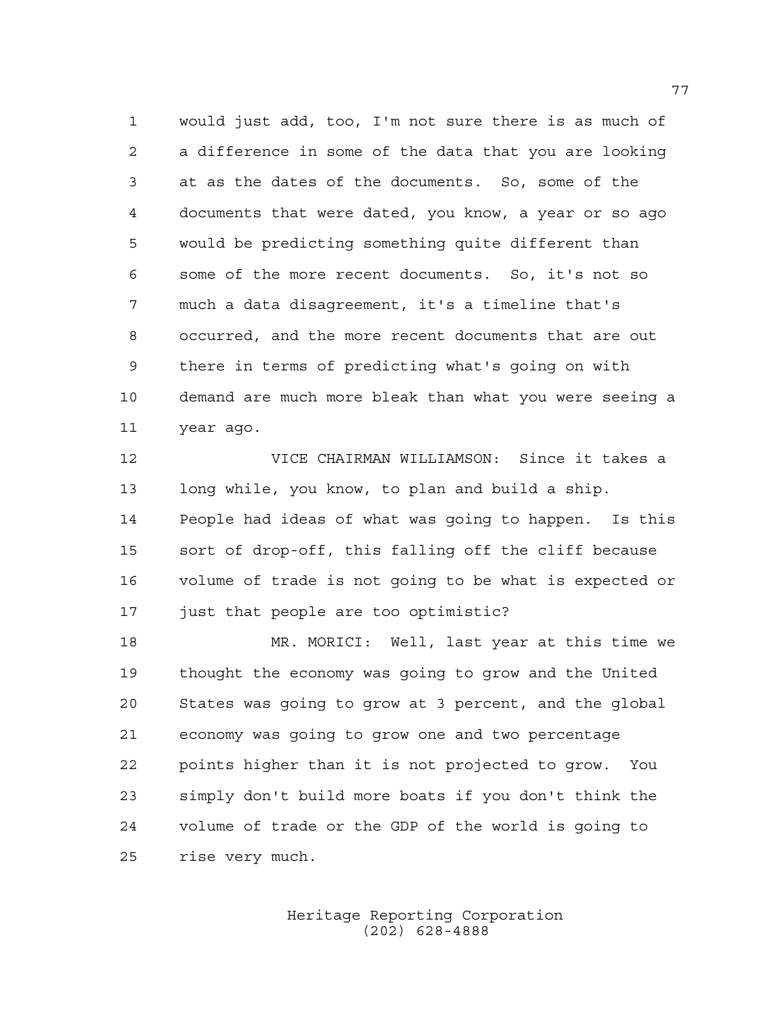would just add, too, I'm not sure there is as much of a difference in some of the data that you are looking at as the dates of the documents. So, some of the documents that were dated, you know, a year or so ago would be predicting something quite different than some of the more recent documents. So, it's not so much a data disagreement, it's a timeline that's occurred, and the more recent documents that are out there in terms of predicting what's going on with demand are much more bleak than what you were seeing a year ago.

 VICE CHAIRMAN WILLIAMSON: Since it takes a long while, you know, to plan and build a ship. People had ideas of what was going to happen. Is this sort of drop-off, this falling off the cliff because volume of trade is not going to be what is expected or just that people are too optimistic?

 MR. MORICI: Well, last year at this time we thought the economy was going to grow and the United States was going to grow at 3 percent, and the global economy was going to grow one and two percentage points higher than it is not projected to grow. You simply don't build more boats if you don't think the volume of trade or the GDP of the world is going to rise very much.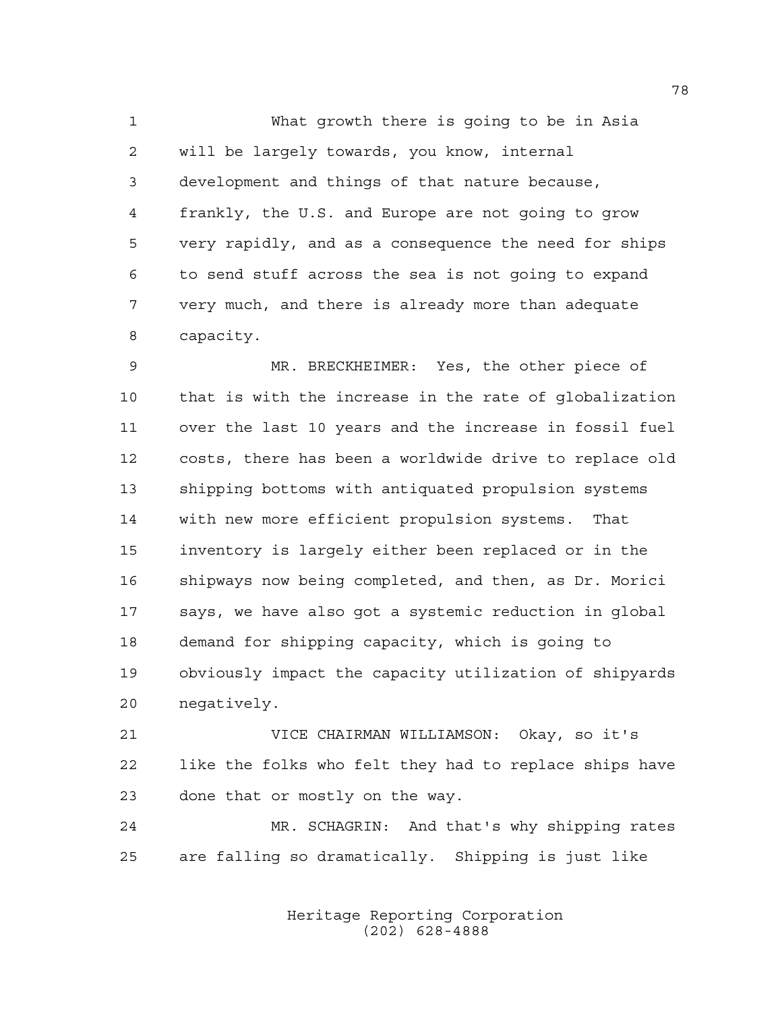What growth there is going to be in Asia will be largely towards, you know, internal development and things of that nature because, frankly, the U.S. and Europe are not going to grow very rapidly, and as a consequence the need for ships to send stuff across the sea is not going to expand very much, and there is already more than adequate capacity.

 MR. BRECKHEIMER: Yes, the other piece of that is with the increase in the rate of globalization over the last 10 years and the increase in fossil fuel costs, there has been a worldwide drive to replace old shipping bottoms with antiquated propulsion systems with new more efficient propulsion systems. That inventory is largely either been replaced or in the shipways now being completed, and then, as Dr. Morici says, we have also got a systemic reduction in global demand for shipping capacity, which is going to obviously impact the capacity utilization of shipyards negatively.

 VICE CHAIRMAN WILLIAMSON: Okay, so it's like the folks who felt they had to replace ships have done that or mostly on the way.

 MR. SCHAGRIN: And that's why shipping rates are falling so dramatically. Shipping is just like

> Heritage Reporting Corporation (202) 628-4888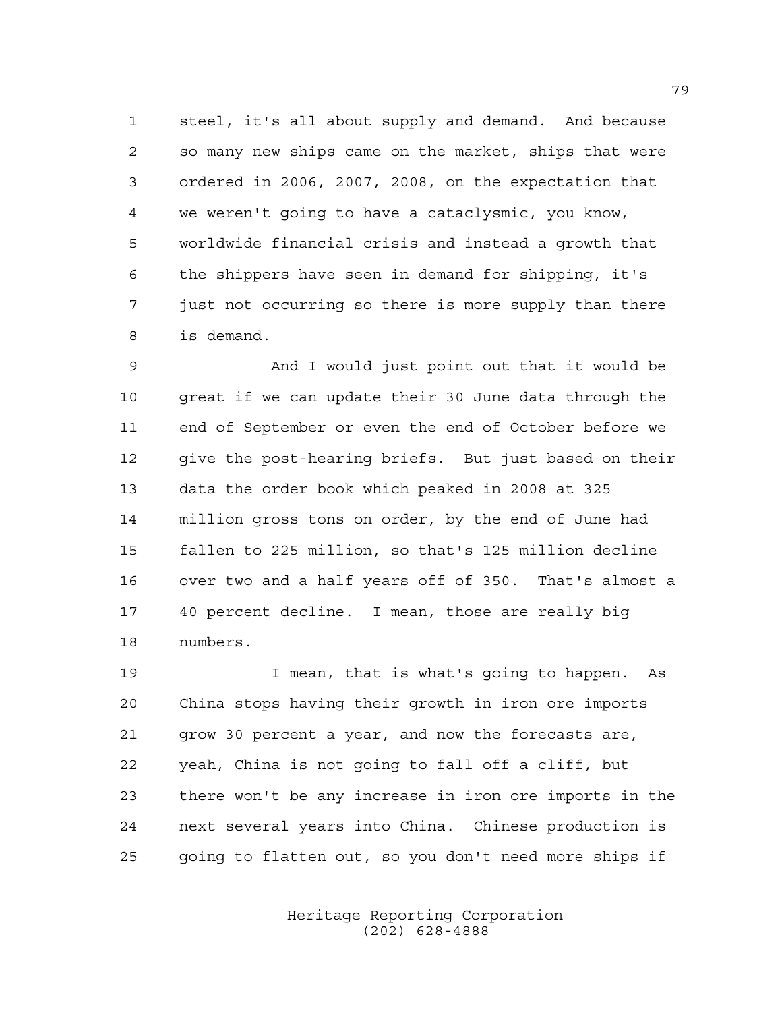steel, it's all about supply and demand. And because so many new ships came on the market, ships that were ordered in 2006, 2007, 2008, on the expectation that we weren't going to have a cataclysmic, you know, worldwide financial crisis and instead a growth that the shippers have seen in demand for shipping, it's just not occurring so there is more supply than there is demand.

 And I would just point out that it would be great if we can update their 30 June data through the end of September or even the end of October before we give the post-hearing briefs. But just based on their data the order book which peaked in 2008 at 325 million gross tons on order, by the end of June had fallen to 225 million, so that's 125 million decline over two and a half years off of 350. That's almost a 40 percent decline. I mean, those are really big numbers.

 I mean, that is what's going to happen. As China stops having their growth in iron ore imports grow 30 percent a year, and now the forecasts are, yeah, China is not going to fall off a cliff, but there won't be any increase in iron ore imports in the next several years into China. Chinese production is going to flatten out, so you don't need more ships if

> Heritage Reporting Corporation (202) 628-4888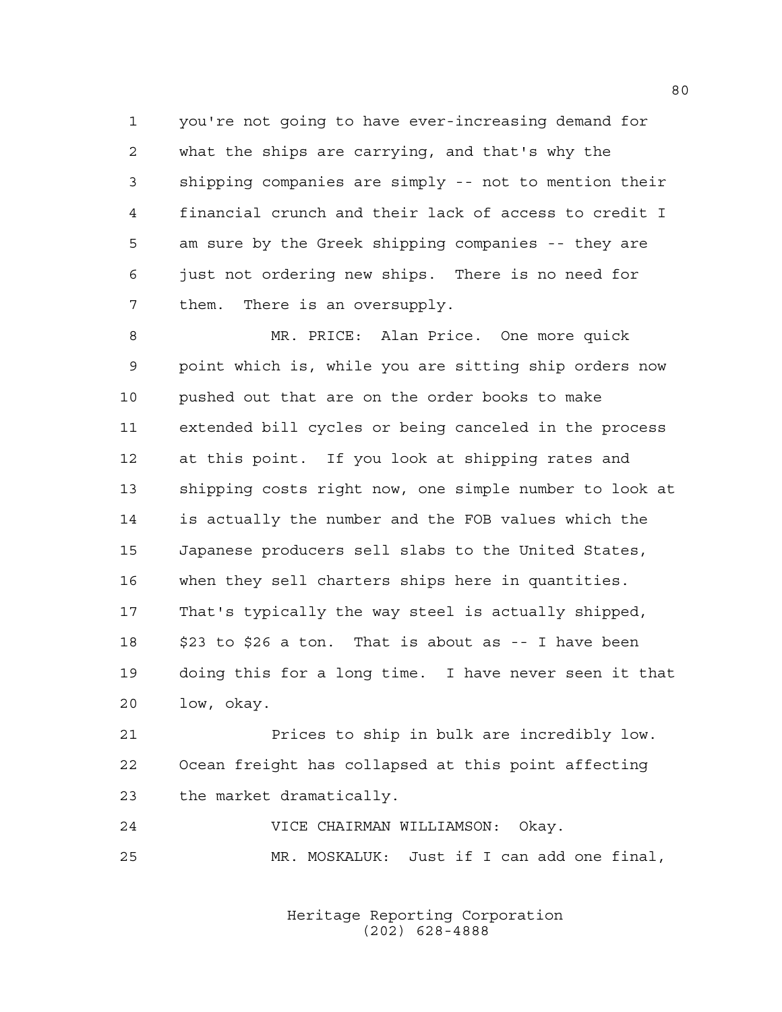you're not going to have ever-increasing demand for what the ships are carrying, and that's why the shipping companies are simply -- not to mention their financial crunch and their lack of access to credit I am sure by the Greek shipping companies -- they are just not ordering new ships. There is no need for them. There is an oversupply.

 MR. PRICE: Alan Price. One more quick point which is, while you are sitting ship orders now pushed out that are on the order books to make extended bill cycles or being canceled in the process at this point. If you look at shipping rates and shipping costs right now, one simple number to look at is actually the number and the FOB values which the Japanese producers sell slabs to the United States, when they sell charters ships here in quantities. That's typically the way steel is actually shipped, \$23 to \$26 a ton. That is about as -- I have been doing this for a long time. I have never seen it that low, okay.

 Prices to ship in bulk are incredibly low. Ocean freight has collapsed at this point affecting the market dramatically.

 VICE CHAIRMAN WILLIAMSON: Okay. MR. MOSKALUK: Just if I can add one final,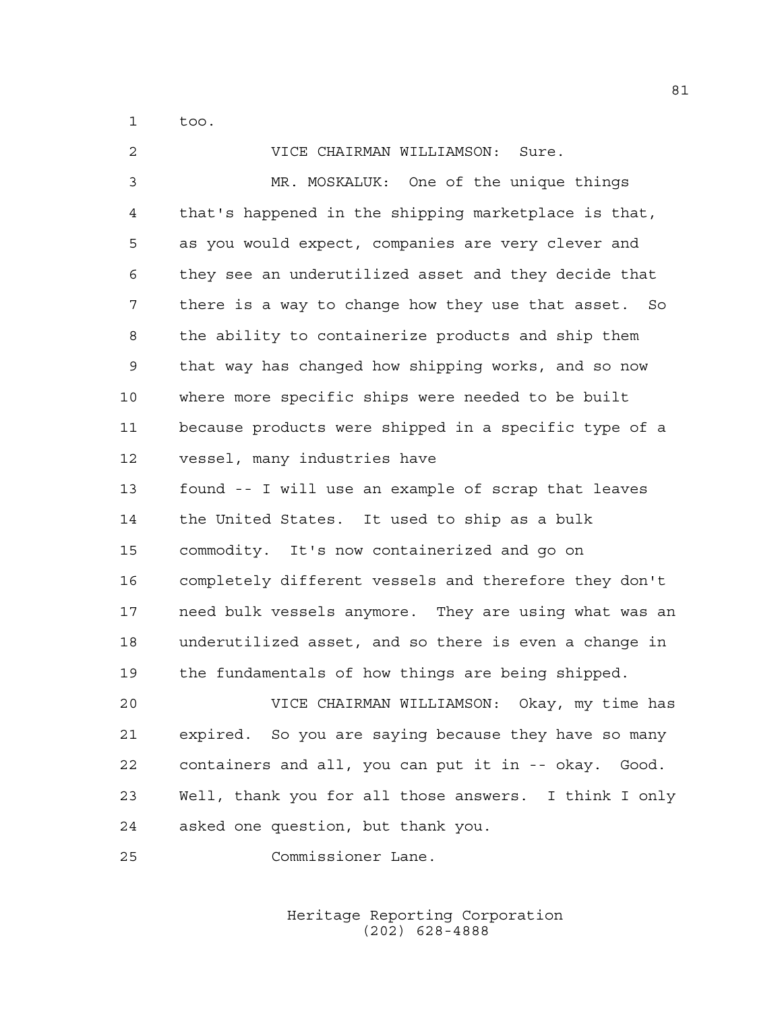too.

| 2  | VICE CHAIRMAN WILLIAMSON:<br>Sure.                    |
|----|-------------------------------------------------------|
| 3  | MR. MOSKALUK: One of the unique things                |
| 4  | that's happened in the shipping marketplace is that,  |
| 5  | as you would expect, companies are very clever and    |
| 6  | they see an underutilized asset and they decide that  |
| 7  | there is a way to change how they use that asset. So  |
| 8  | the ability to containerize products and ship them    |
| 9  | that way has changed how shipping works, and so now   |
| 10 | where more specific ships were needed to be built     |
| 11 | because products were shipped in a specific type of a |
| 12 | vessel, many industries have                          |
| 13 | found -- I will use an example of scrap that leaves   |
| 14 | the United States. It used to ship as a bulk          |
| 15 | commodity. It's now containerized and go on           |
| 16 | completely different vessels and therefore they don't |
| 17 | need bulk vessels anymore. They are using what was an |
| 18 | underutilized asset, and so there is even a change in |
| 19 | the fundamentals of how things are being shipped.     |
| 20 | VICE CHAIRMAN WILLIAMSON: Okay, my time has           |
| 21 | expired. So you are saying because they have so many  |
| 22 | containers and all, you can put it in -- okay. Good.  |
| 23 | Well, thank you for all those answers. I think I only |
| 24 | asked one question, but thank you.                    |
| 25 | Commissioner Lane.                                    |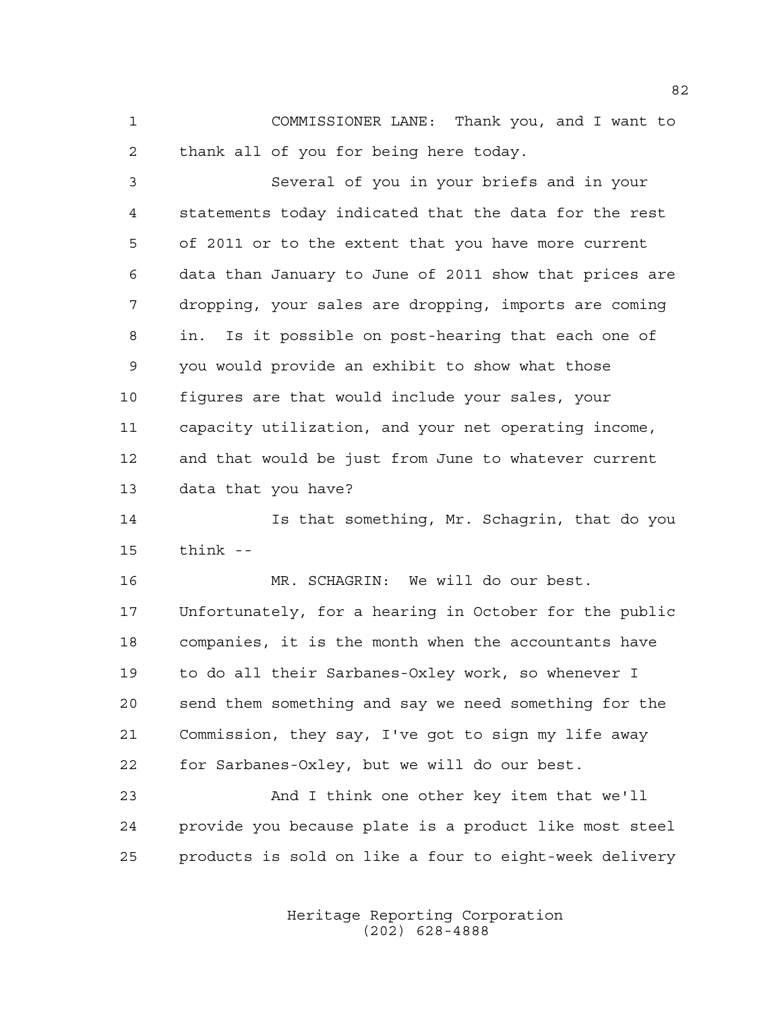COMMISSIONER LANE: Thank you, and I want to thank all of you for being here today.

 Several of you in your briefs and in your statements today indicated that the data for the rest of 2011 or to the extent that you have more current data than January to June of 2011 show that prices are dropping, your sales are dropping, imports are coming in. Is it possible on post-hearing that each one of you would provide an exhibit to show what those figures are that would include your sales, your capacity utilization, and your net operating income, and that would be just from June to whatever current data that you have?

 Is that something, Mr. Schagrin, that do you think --

 MR. SCHAGRIN: We will do our best. Unfortunately, for a hearing in October for the public companies, it is the month when the accountants have to do all their Sarbanes-Oxley work, so whenever I send them something and say we need something for the Commission, they say, I've got to sign my life away for Sarbanes-Oxley, but we will do our best.

 And I think one other key item that we'll provide you because plate is a product like most steel products is sold on like a four to eight-week delivery

> Heritage Reporting Corporation (202) 628-4888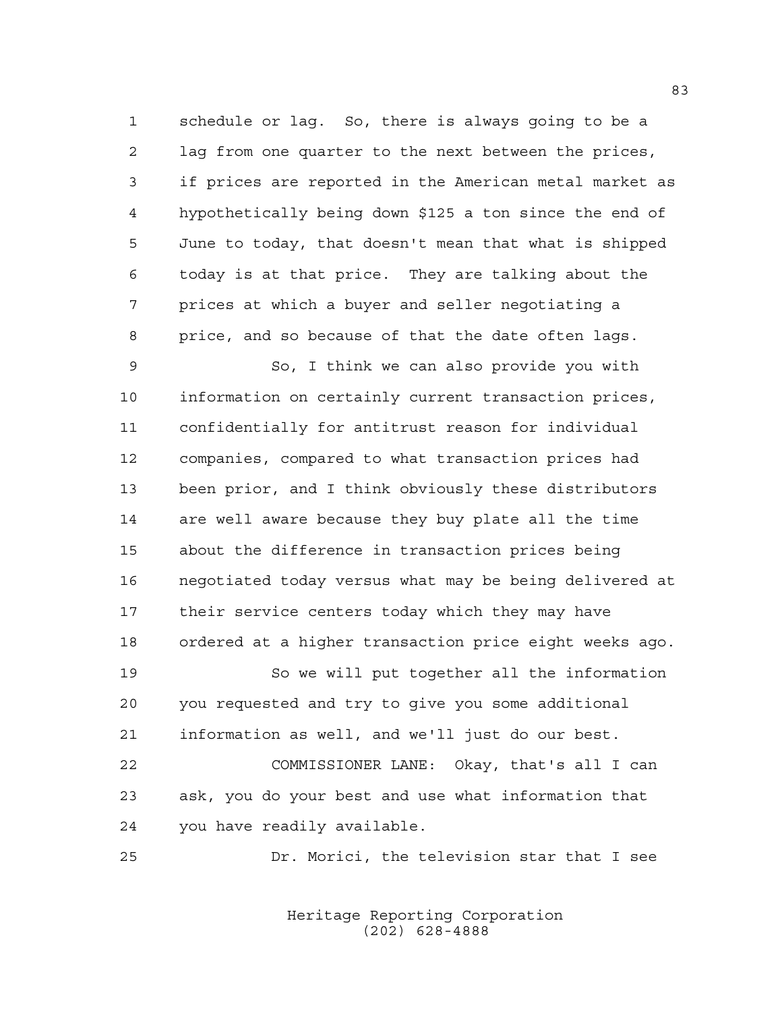schedule or lag. So, there is always going to be a lag from one quarter to the next between the prices, if prices are reported in the American metal market as hypothetically being down \$125 a ton since the end of June to today, that doesn't mean that what is shipped today is at that price. They are talking about the prices at which a buyer and seller negotiating a price, and so because of that the date often lags.

 So, I think we can also provide you with information on certainly current transaction prices, confidentially for antitrust reason for individual companies, compared to what transaction prices had been prior, and I think obviously these distributors are well aware because they buy plate all the time about the difference in transaction prices being negotiated today versus what may be being delivered at their service centers today which they may have ordered at a higher transaction price eight weeks ago.

 So we will put together all the information you requested and try to give you some additional information as well, and we'll just do our best.

 COMMISSIONER LANE: Okay, that's all I can ask, you do your best and use what information that you have readily available.

Dr. Morici, the television star that I see

Heritage Reporting Corporation (202) 628-4888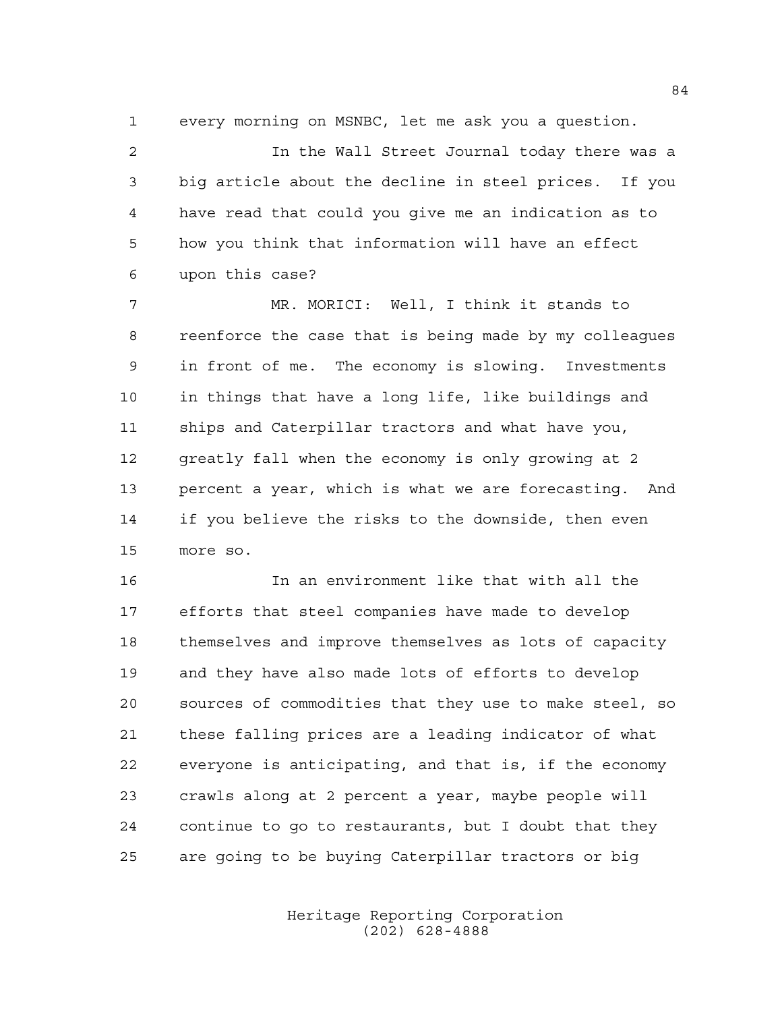every morning on MSNBC, let me ask you a question.

 In the Wall Street Journal today there was a big article about the decline in steel prices. If you have read that could you give me an indication as to how you think that information will have an effect upon this case?

 MR. MORICI: Well, I think it stands to reenforce the case that is being made by my colleagues in front of me. The economy is slowing. Investments in things that have a long life, like buildings and ships and Caterpillar tractors and what have you, 12 greatly fall when the economy is only growing at 2 percent a year, which is what we are forecasting. And if you believe the risks to the downside, then even more so.

 In an environment like that with all the efforts that steel companies have made to develop themselves and improve themselves as lots of capacity and they have also made lots of efforts to develop sources of commodities that they use to make steel, so these falling prices are a leading indicator of what everyone is anticipating, and that is, if the economy crawls along at 2 percent a year, maybe people will continue to go to restaurants, but I doubt that they are going to be buying Caterpillar tractors or big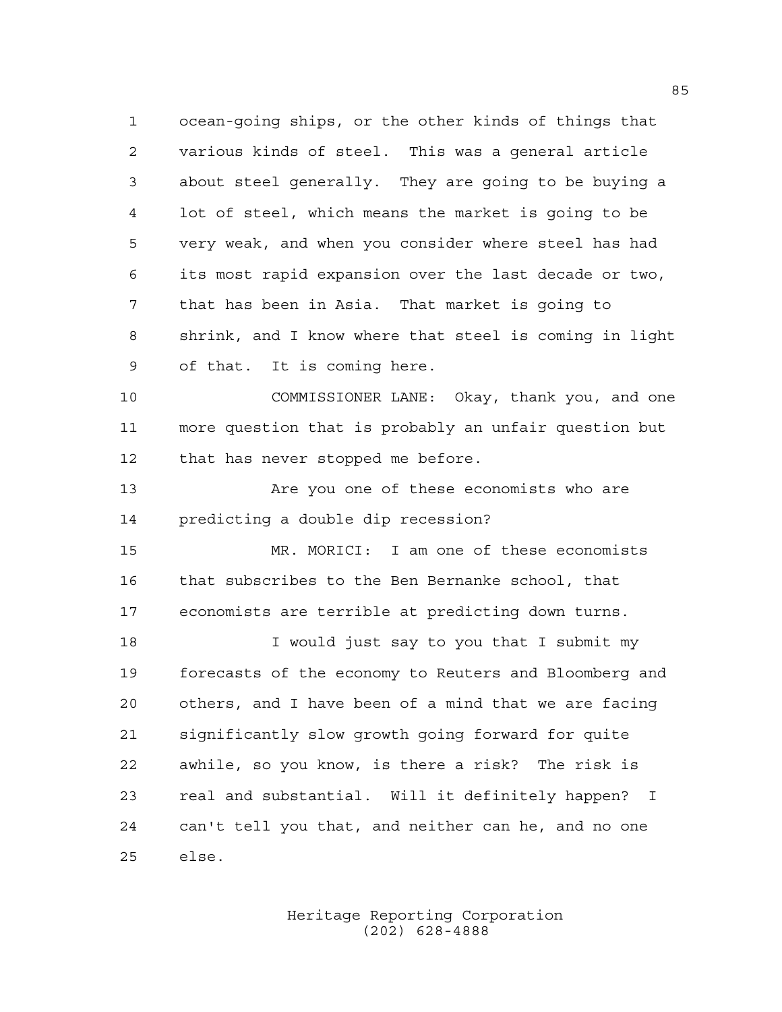ocean-going ships, or the other kinds of things that various kinds of steel. This was a general article about steel generally. They are going to be buying a lot of steel, which means the market is going to be very weak, and when you consider where steel has had its most rapid expansion over the last decade or two, that has been in Asia. That market is going to shrink, and I know where that steel is coming in light of that. It is coming here.

 COMMISSIONER LANE: Okay, thank you, and one more question that is probably an unfair question but that has never stopped me before.

13 Are you one of these economists who are predicting a double dip recession?

 MR. MORICI: I am one of these economists that subscribes to the Ben Bernanke school, that economists are terrible at predicting down turns.

 I would just say to you that I submit my forecasts of the economy to Reuters and Bloomberg and others, and I have been of a mind that we are facing significantly slow growth going forward for quite awhile, so you know, is there a risk? The risk is real and substantial. Will it definitely happen? I can't tell you that, and neither can he, and no one else.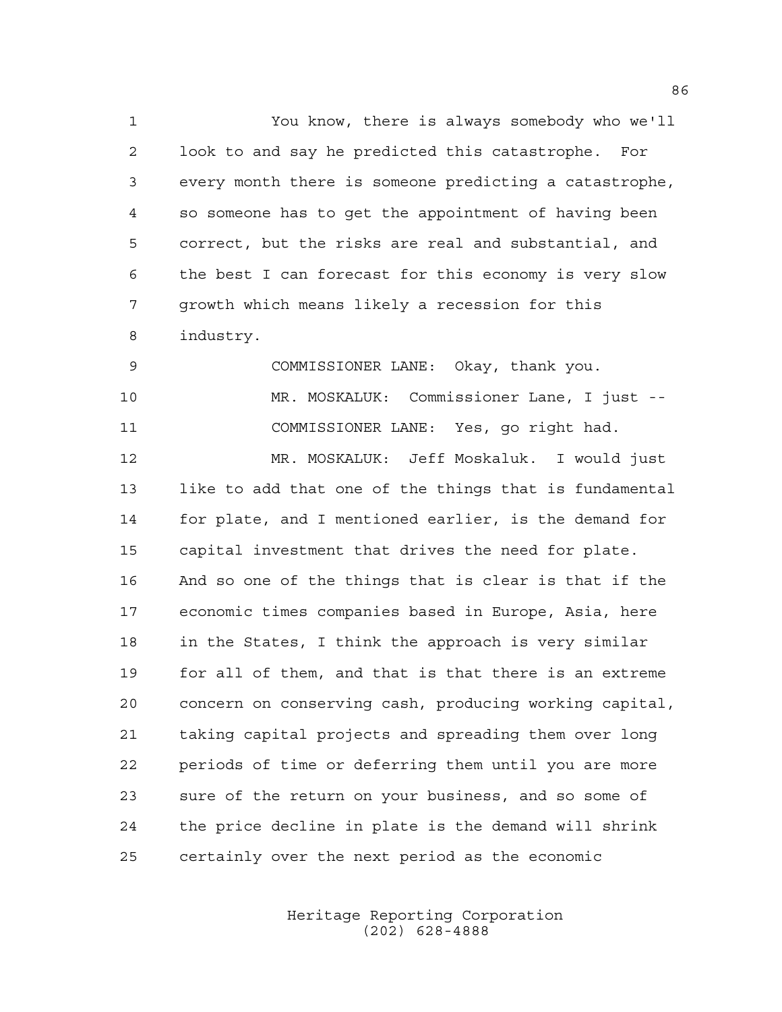You know, there is always somebody who we'll look to and say he predicted this catastrophe. For every month there is someone predicting a catastrophe, so someone has to get the appointment of having been correct, but the risks are real and substantial, and the best I can forecast for this economy is very slow growth which means likely a recession for this industry.

 COMMISSIONER LANE: Okay, thank you. MR. MOSKALUK: Commissioner Lane, I just -- COMMISSIONER LANE: Yes, go right had. MR. MOSKALUK: Jeff Moskaluk. I would just like to add that one of the things that is fundamental for plate, and I mentioned earlier, is the demand for capital investment that drives the need for plate. And so one of the things that is clear is that if the economic times companies based in Europe, Asia, here in the States, I think the approach is very similar for all of them, and that is that there is an extreme concern on conserving cash, producing working capital, taking capital projects and spreading them over long periods of time or deferring them until you are more sure of the return on your business, and so some of the price decline in plate is the demand will shrink certainly over the next period as the economic

> Heritage Reporting Corporation (202) 628-4888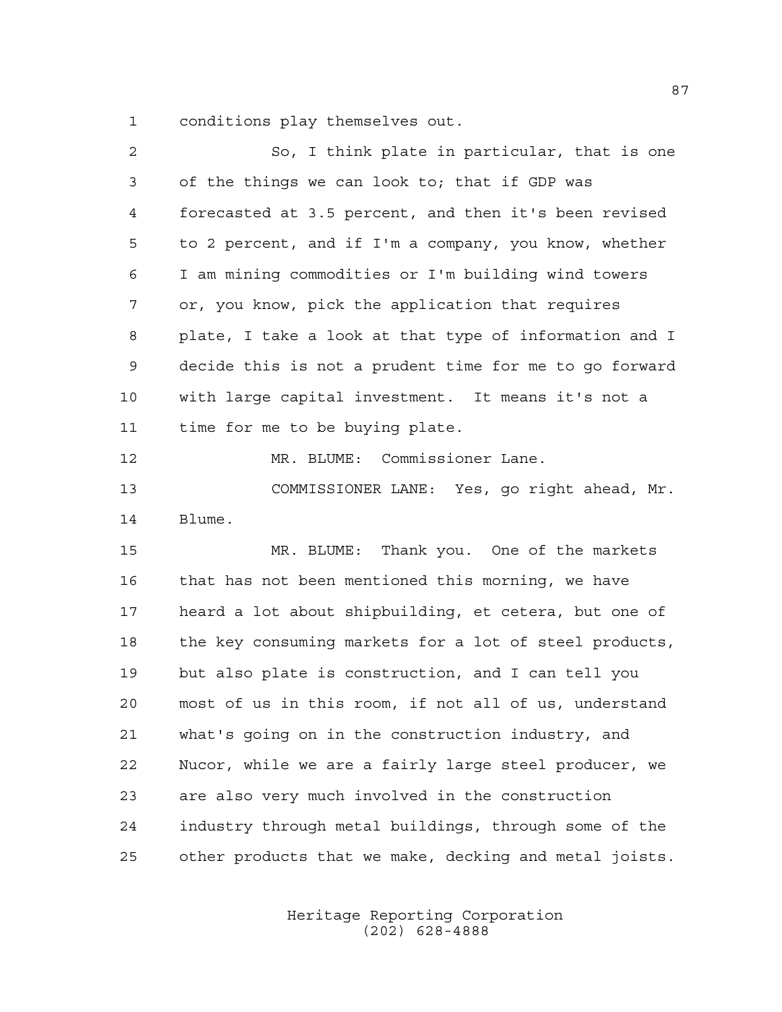conditions play themselves out.

| $\overline{a}$ | So, I think plate in particular, that is one           |
|----------------|--------------------------------------------------------|
| 3              | of the things we can look to; that if GDP was          |
| 4              | forecasted at 3.5 percent, and then it's been revised  |
| 5              | to 2 percent, and if I'm a company, you know, whether  |
| 6              | I am mining commodities or I'm building wind towers    |
| 7              | or, you know, pick the application that requires       |
| 8              | plate, I take a look at that type of information and I |
| 9              | decide this is not a prudent time for me to go forward |
| 10             | with large capital investment. It means it's not a     |
| 11             | time for me to be buying plate.                        |
| 12             | MR. BLUME: Commissioner Lane.                          |
| 13             | COMMISSIONER LANE: Yes, go right ahead, Mr.            |
| 14             | Blume.                                                 |
| 15             | MR. BLUME: Thank you. One of the markets               |
| 16             | that has not been mentioned this morning, we have      |
| 17             | heard a lot about shipbuilding, et cetera, but one of  |
| 18             | the key consuming markets for a lot of steel products, |
| 19             | but also plate is construction, and I can tell you     |
| 20             | most of us in this room, if not all of us, understand  |
| 21             | what's going on in the construction industry, and      |
| 22             | Nucor, while we are a fairly large steel producer, we  |
| 23             | are also very much involved in the construction        |
| 24             | industry through metal buildings, through some of the  |
| 25             | other products that we make, decking and metal joists. |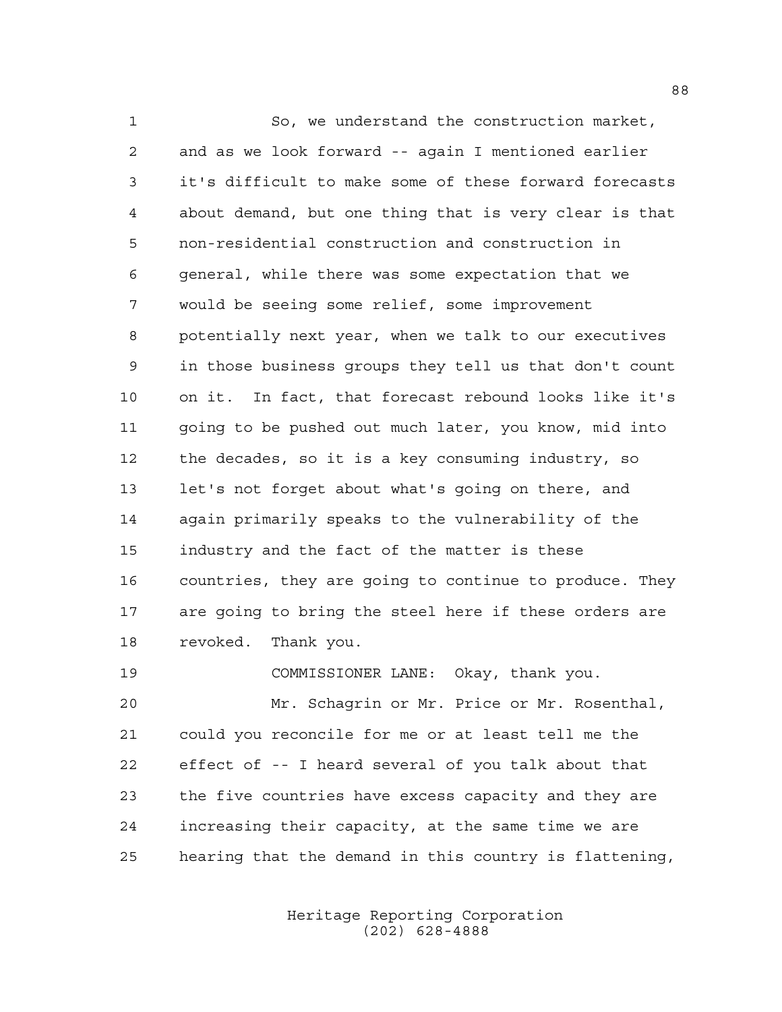So, we understand the construction market, and as we look forward -- again I mentioned earlier it's difficult to make some of these forward forecasts about demand, but one thing that is very clear is that non-residential construction and construction in general, while there was some expectation that we would be seeing some relief, some improvement potentially next year, when we talk to our executives in those business groups they tell us that don't count on it. In fact, that forecast rebound looks like it's going to be pushed out much later, you know, mid into the decades, so it is a key consuming industry, so let's not forget about what's going on there, and again primarily speaks to the vulnerability of the industry and the fact of the matter is these countries, they are going to continue to produce. They are going to bring the steel here if these orders are revoked. Thank you. COMMISSIONER LANE: Okay, thank you.

 Mr. Schagrin or Mr. Price or Mr. Rosenthal, could you reconcile for me or at least tell me the effect of -- I heard several of you talk about that the five countries have excess capacity and they are increasing their capacity, at the same time we are hearing that the demand in this country is flattening,

> Heritage Reporting Corporation (202) 628-4888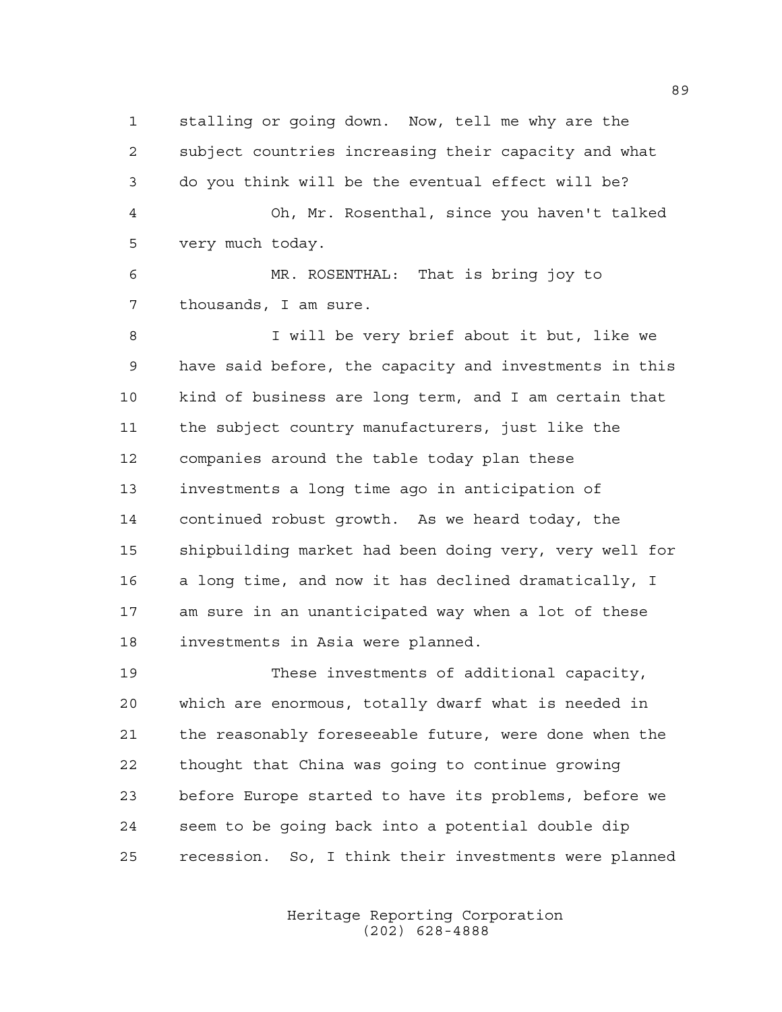stalling or going down. Now, tell me why are the subject countries increasing their capacity and what do you think will be the eventual effect will be? Oh, Mr. Rosenthal, since you haven't talked very much today. MR. ROSENTHAL: That is bring joy to

thousands, I am sure.

 I will be very brief about it but, like we have said before, the capacity and investments in this kind of business are long term, and I am certain that the subject country manufacturers, just like the companies around the table today plan these investments a long time ago in anticipation of continued robust growth. As we heard today, the shipbuilding market had been doing very, very well for a long time, and now it has declined dramatically, I am sure in an unanticipated way when a lot of these investments in Asia were planned.

 These investments of additional capacity, which are enormous, totally dwarf what is needed in the reasonably foreseeable future, were done when the thought that China was going to continue growing before Europe started to have its problems, before we seem to be going back into a potential double dip recession. So, I think their investments were planned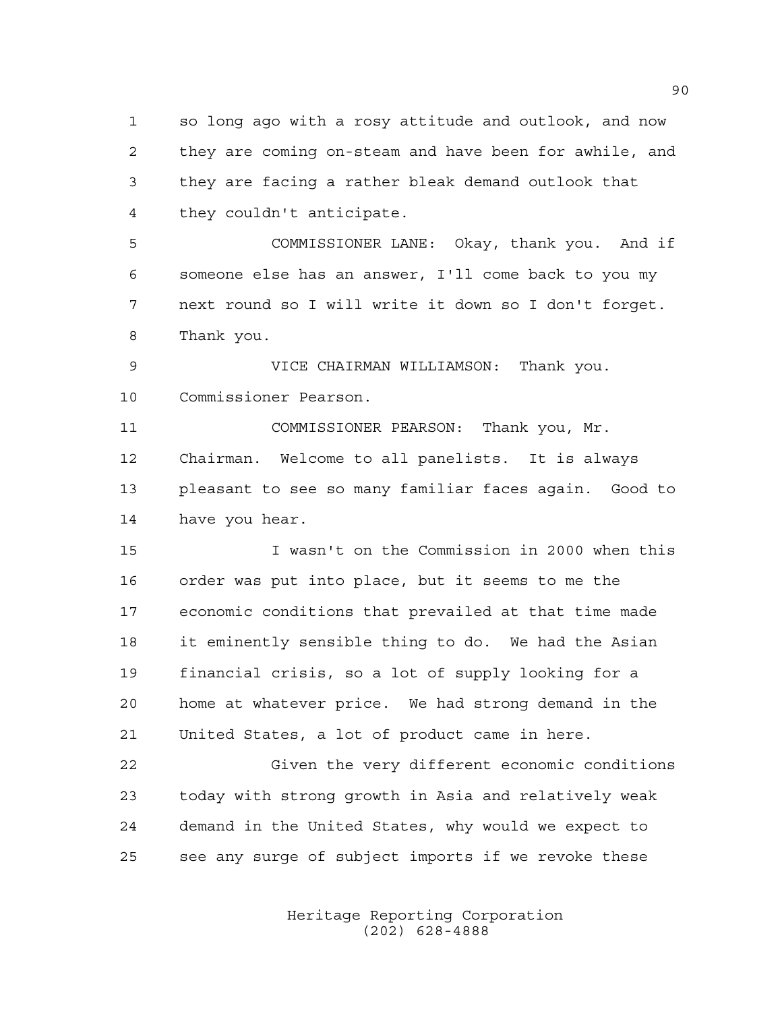so long ago with a rosy attitude and outlook, and now they are coming on-steam and have been for awhile, and they are facing a rather bleak demand outlook that they couldn't anticipate.

 COMMISSIONER LANE: Okay, thank you. And if someone else has an answer, I'll come back to you my next round so I will write it down so I don't forget. Thank you.

 VICE CHAIRMAN WILLIAMSON: Thank you. Commissioner Pearson.

 COMMISSIONER PEARSON: Thank you, Mr. Chairman. Welcome to all panelists. It is always pleasant to see so many familiar faces again. Good to have you hear.

 I wasn't on the Commission in 2000 when this order was put into place, but it seems to me the economic conditions that prevailed at that time made it eminently sensible thing to do. We had the Asian financial crisis, so a lot of supply looking for a home at whatever price. We had strong demand in the United States, a lot of product came in here.

 Given the very different economic conditions today with strong growth in Asia and relatively weak demand in the United States, why would we expect to see any surge of subject imports if we revoke these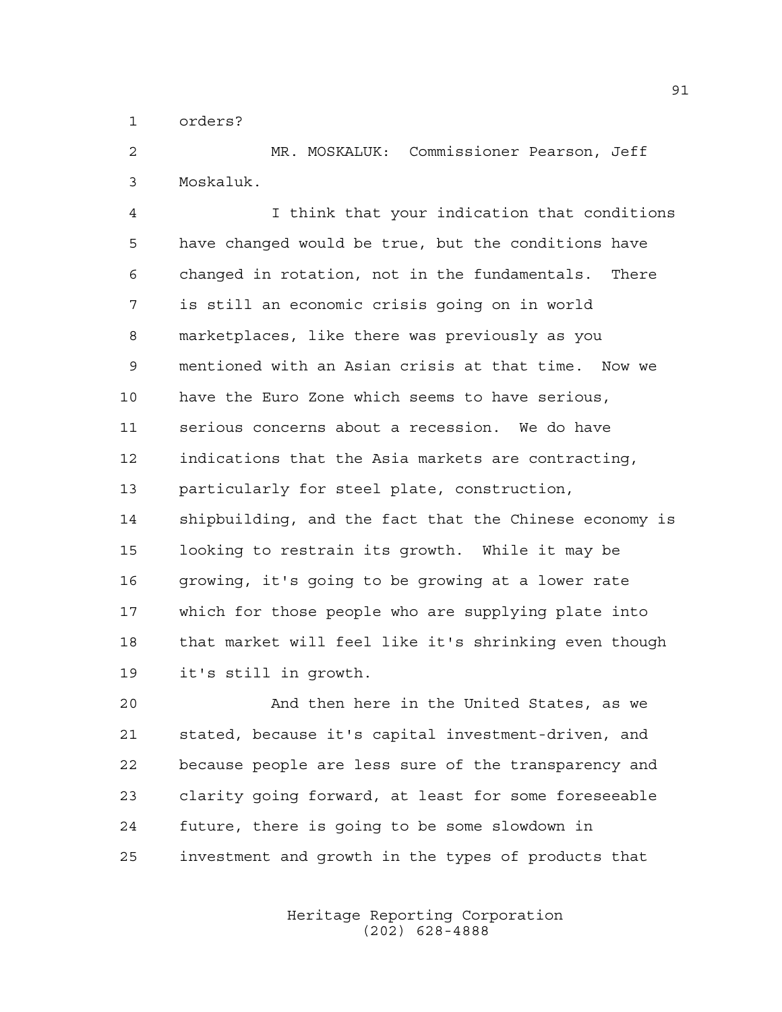orders?

 MR. MOSKALUK: Commissioner Pearson, Jeff Moskaluk.

 I think that your indication that conditions have changed would be true, but the conditions have changed in rotation, not in the fundamentals. There is still an economic crisis going on in world marketplaces, like there was previously as you mentioned with an Asian crisis at that time. Now we have the Euro Zone which seems to have serious, serious concerns about a recession. We do have indications that the Asia markets are contracting, particularly for steel plate, construction, shipbuilding, and the fact that the Chinese economy is looking to restrain its growth. While it may be growing, it's going to be growing at a lower rate which for those people who are supplying plate into that market will feel like it's shrinking even though it's still in growth.

 And then here in the United States, as we stated, because it's capital investment-driven, and because people are less sure of the transparency and clarity going forward, at least for some foreseeable future, there is going to be some slowdown in investment and growth in the types of products that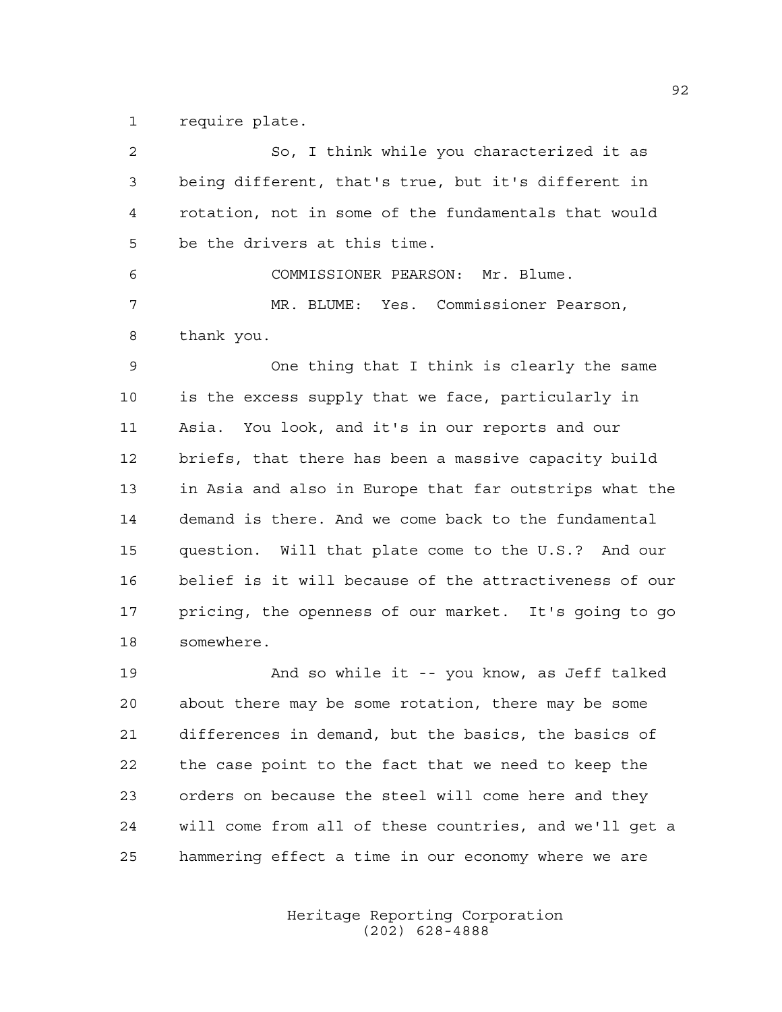require plate.

| 2  | So, I think while you characterized it as              |
|----|--------------------------------------------------------|
| 3  | being different, that's true, but it's different in    |
| 4  | rotation, not in some of the fundamentals that would   |
| 5  | be the drivers at this time.                           |
| 6  | COMMISSIONER PEARSON: Mr. Blume.                       |
| 7  | MR. BLUME: Yes. Commissioner Pearson,                  |
| 8  | thank you.                                             |
| 9  | One thing that I think is clearly the same             |
| 10 | is the excess supply that we face, particularly in     |
| 11 | Asia. You look, and it's in our reports and our        |
| 12 | briefs, that there has been a massive capacity build   |
| 13 | in Asia and also in Europe that far outstrips what the |
| 14 | demand is there. And we come back to the fundamental   |
| 15 | question. Will that plate come to the U.S.? And our    |
| 16 | belief is it will because of the attractiveness of our |
| 17 | pricing, the openness of our market. It's going to go  |
| 18 | somewhere.                                             |
| 19 | And so while it -- you know, as Jeff talked            |
| 20 | about there may be some rotation, there may be some    |
| 21 | differences in demand, but the basics, the basics of   |
| 22 | the case point to the fact that we need to keep the    |
| 23 | orders on because the steel will come here and they    |
| 24 | will come from all of these countries, and we'll get a |
| 25 | hammering effect a time in our economy where we are    |
|    |                                                        |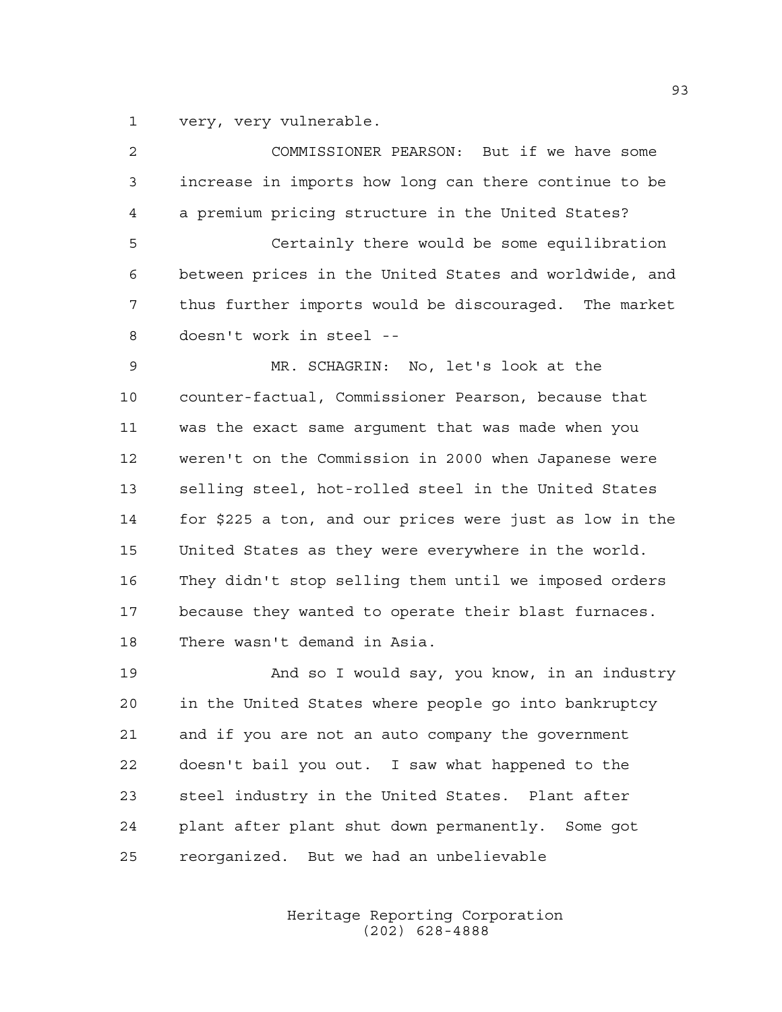very, very vulnerable.

| $\overline{a}$ | COMMISSIONER PEARSON: But if we have some               |
|----------------|---------------------------------------------------------|
| 3              | increase in imports how long can there continue to be   |
| 4              | a premium pricing structure in the United States?       |
| 5              | Certainly there would be some equilibration             |
| 6              | between prices in the United States and worldwide, and  |
| 7              | thus further imports would be discouraged. The market   |
| 8              | doesn't work in steel --                                |
| 9              | MR. SCHAGRIN: No, let's look at the                     |
| 10             | counter-factual, Commissioner Pearson, because that     |
| 11             | was the exact same argument that was made when you      |
| 12             | weren't on the Commission in 2000 when Japanese were    |
| 13             | selling steel, hot-rolled steel in the United States    |
| 14             | for \$225 a ton, and our prices were just as low in the |
| 15             | United States as they were everywhere in the world.     |
| 16             | They didn't stop selling them until we imposed orders   |
| 17             | because they wanted to operate their blast furnaces.    |
| 18             | There wasn't demand in Asia.                            |
| 19             | And so I would say, you know, in an industry            |
| 20             | in the United States where people go into bankruptcy    |
| 21             | and if you are not an auto company the government       |
| 22             | doesn't bail you out. I saw what happened to the        |
| 23             | steel industry in the United States. Plant after        |
| 24             | plant after plant shut down permanently. Some got       |

reorganized. But we had an unbelievable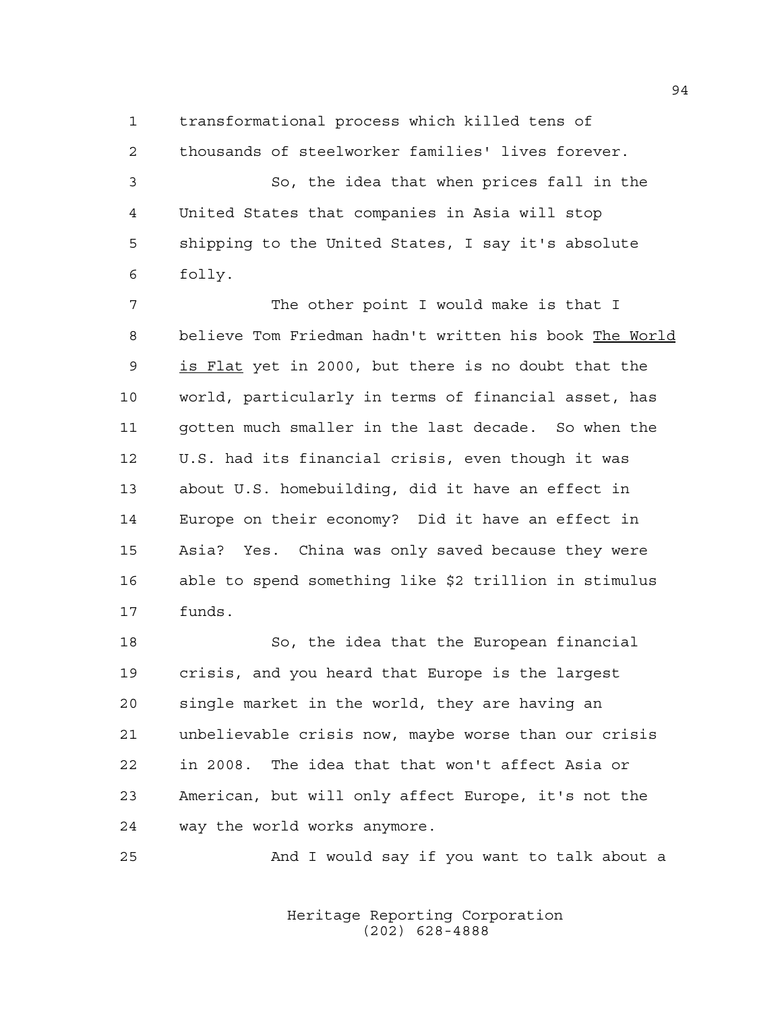transformational process which killed tens of thousands of steelworker families' lives forever.

 So, the idea that when prices fall in the United States that companies in Asia will stop shipping to the United States, I say it's absolute folly.

 The other point I would make is that I believe Tom Friedman hadn't written his book The World is Flat yet in 2000, but there is no doubt that the world, particularly in terms of financial asset, has gotten much smaller in the last decade. So when the U.S. had its financial crisis, even though it was about U.S. homebuilding, did it have an effect in Europe on their economy? Did it have an effect in Asia? Yes. China was only saved because they were able to spend something like \$2 trillion in stimulus funds.

 So, the idea that the European financial crisis, and you heard that Europe is the largest single market in the world, they are having an unbelievable crisis now, maybe worse than our crisis in 2008. The idea that that won't affect Asia or American, but will only affect Europe, it's not the way the world works anymore.

And I would say if you want to talk about a

Heritage Reporting Corporation (202) 628-4888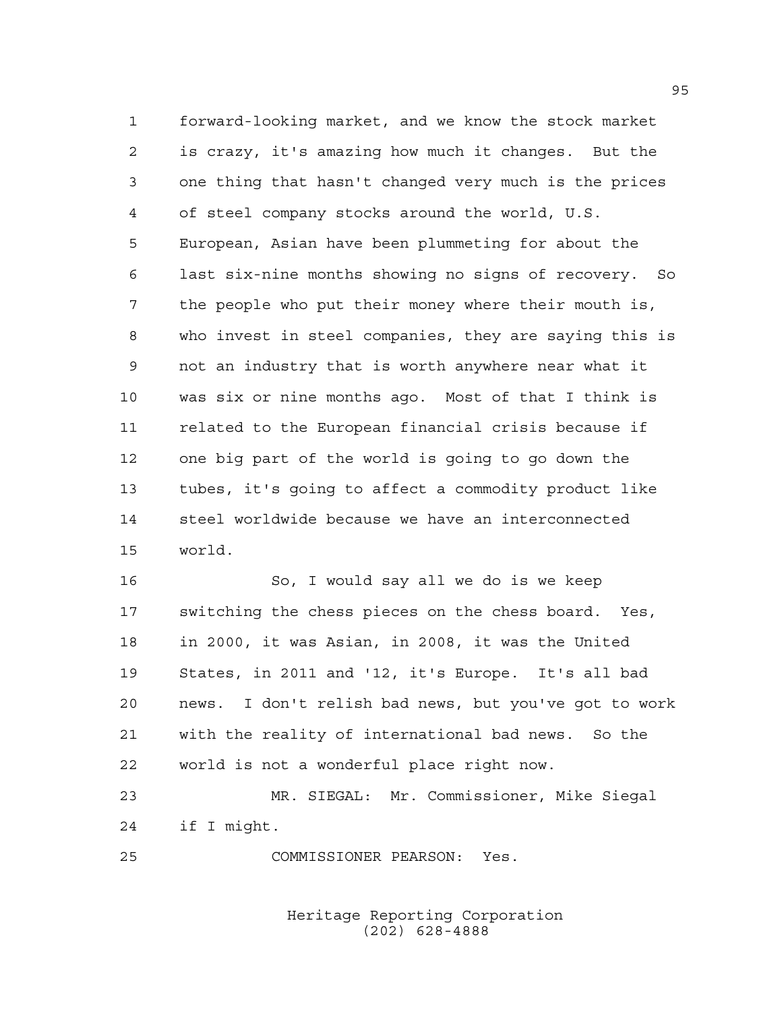forward-looking market, and we know the stock market is crazy, it's amazing how much it changes. But the one thing that hasn't changed very much is the prices of steel company stocks around the world, U.S. European, Asian have been plummeting for about the last six-nine months showing no signs of recovery. So the people who put their money where their mouth is, who invest in steel companies, they are saying this is not an industry that is worth anywhere near what it was six or nine months ago. Most of that I think is related to the European financial crisis because if one big part of the world is going to go down the tubes, it's going to affect a commodity product like steel worldwide because we have an interconnected world.

 So, I would say all we do is we keep switching the chess pieces on the chess board. Yes, in 2000, it was Asian, in 2008, it was the United States, in 2011 and '12, it's Europe. It's all bad news. I don't relish bad news, but you've got to work with the reality of international bad news. So the world is not a wonderful place right now.

 MR. SIEGAL: Mr. Commissioner, Mike Siegal if I might.

COMMISSIONER PEARSON: Yes.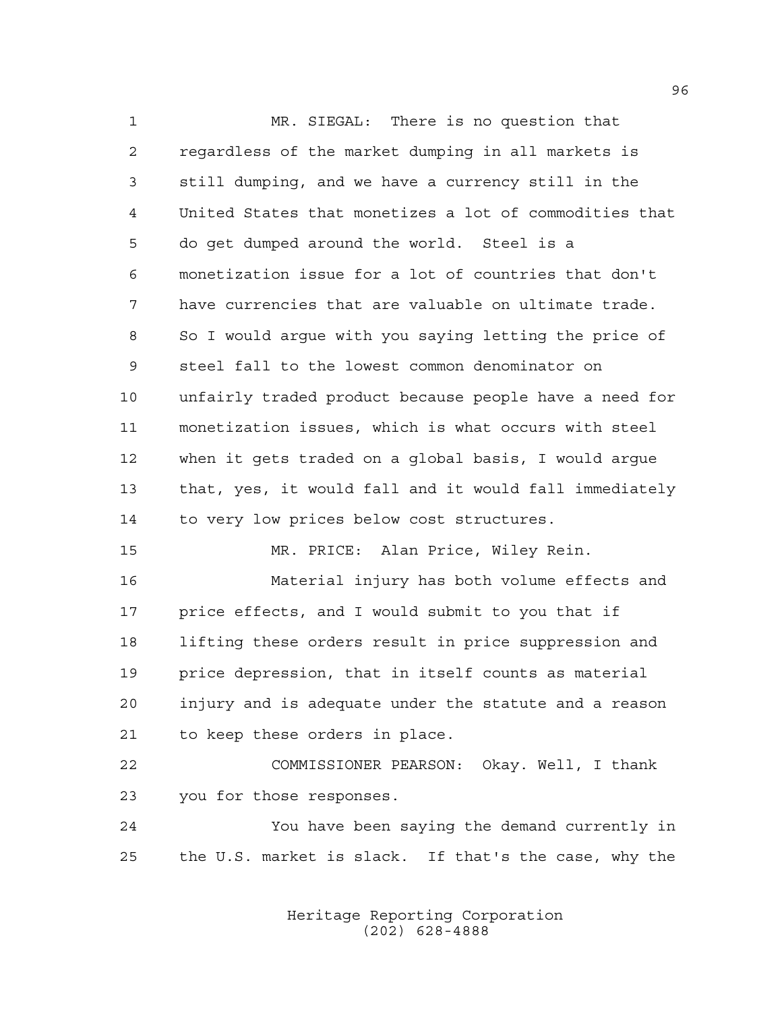MR. SIEGAL: There is no question that regardless of the market dumping in all markets is still dumping, and we have a currency still in the United States that monetizes a lot of commodities that do get dumped around the world. Steel is a monetization issue for a lot of countries that don't have currencies that are valuable on ultimate trade. So I would argue with you saying letting the price of steel fall to the lowest common denominator on unfairly traded product because people have a need for monetization issues, which is what occurs with steel when it gets traded on a global basis, I would argue that, yes, it would fall and it would fall immediately to very low prices below cost structures. MR. PRICE: Alan Price, Wiley Rein. Material injury has both volume effects and price effects, and I would submit to you that if lifting these orders result in price suppression and price depression, that in itself counts as material injury and is adequate under the statute and a reason to keep these orders in place. COMMISSIONER PEARSON: Okay. Well, I thank you for those responses. You have been saying the demand currently in

> Heritage Reporting Corporation (202) 628-4888

the U.S. market is slack. If that's the case, why the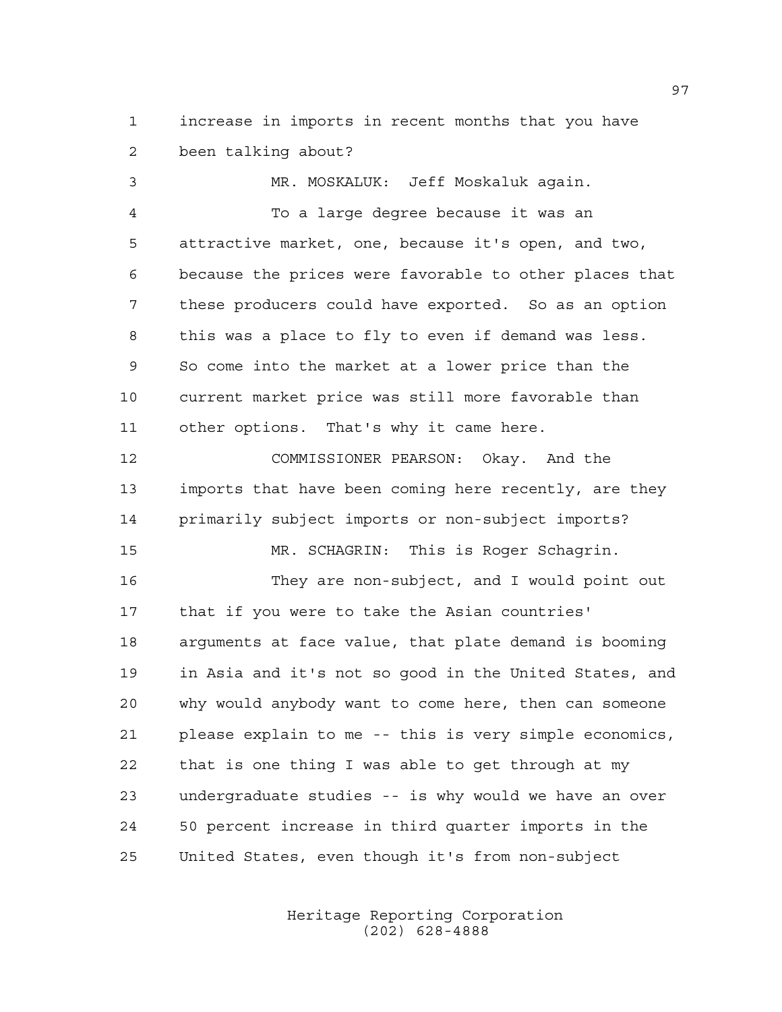increase in imports in recent months that you have been talking about?

 MR. MOSKALUK: Jeff Moskaluk again. To a large degree because it was an attractive market, one, because it's open, and two, because the prices were favorable to other places that these producers could have exported. So as an option this was a place to fly to even if demand was less. So come into the market at a lower price than the current market price was still more favorable than other options. That's why it came here. COMMISSIONER PEARSON: Okay. And the imports that have been coming here recently, are they primarily subject imports or non-subject imports? MR. SCHAGRIN: This is Roger Schagrin. They are non-subject, and I would point out that if you were to take the Asian countries' arguments at face value, that plate demand is booming in Asia and it's not so good in the United States, and why would anybody want to come here, then can someone please explain to me -- this is very simple economics,

 that is one thing I was able to get through at my undergraduate studies -- is why would we have an over 50 percent increase in third quarter imports in the United States, even though it's from non-subject

> Heritage Reporting Corporation (202) 628-4888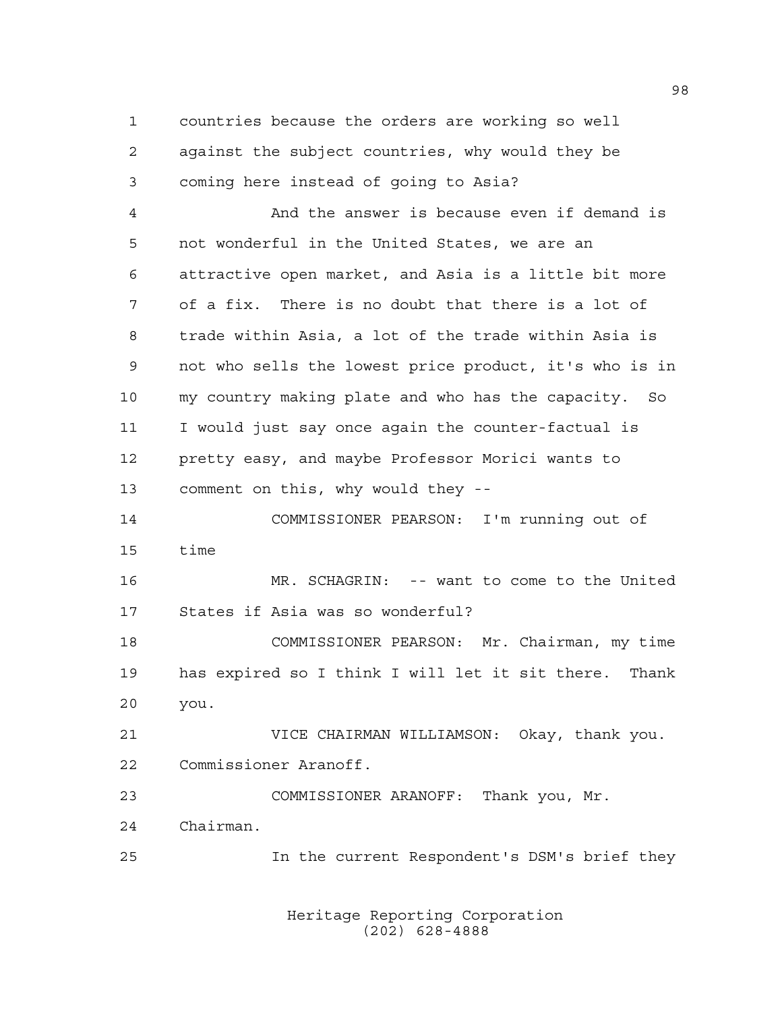countries because the orders are working so well against the subject countries, why would they be coming here instead of going to Asia?

 And the answer is because even if demand is not wonderful in the United States, we are an attractive open market, and Asia is a little bit more of a fix. There is no doubt that there is a lot of trade within Asia, a lot of the trade within Asia is not who sells the lowest price product, it's who is in my country making plate and who has the capacity. So I would just say once again the counter-factual is pretty easy, and maybe Professor Morici wants to comment on this, why would they --

 COMMISSIONER PEARSON: I'm running out of time

 MR. SCHAGRIN: -- want to come to the United States if Asia was so wonderful?

 COMMISSIONER PEARSON: Mr. Chairman, my time has expired so I think I will let it sit there. Thank you.

 VICE CHAIRMAN WILLIAMSON: Okay, thank you. Commissioner Aranoff.

 COMMISSIONER ARANOFF: Thank you, Mr. Chairman.

In the current Respondent's DSM's brief they

Heritage Reporting Corporation (202) 628-4888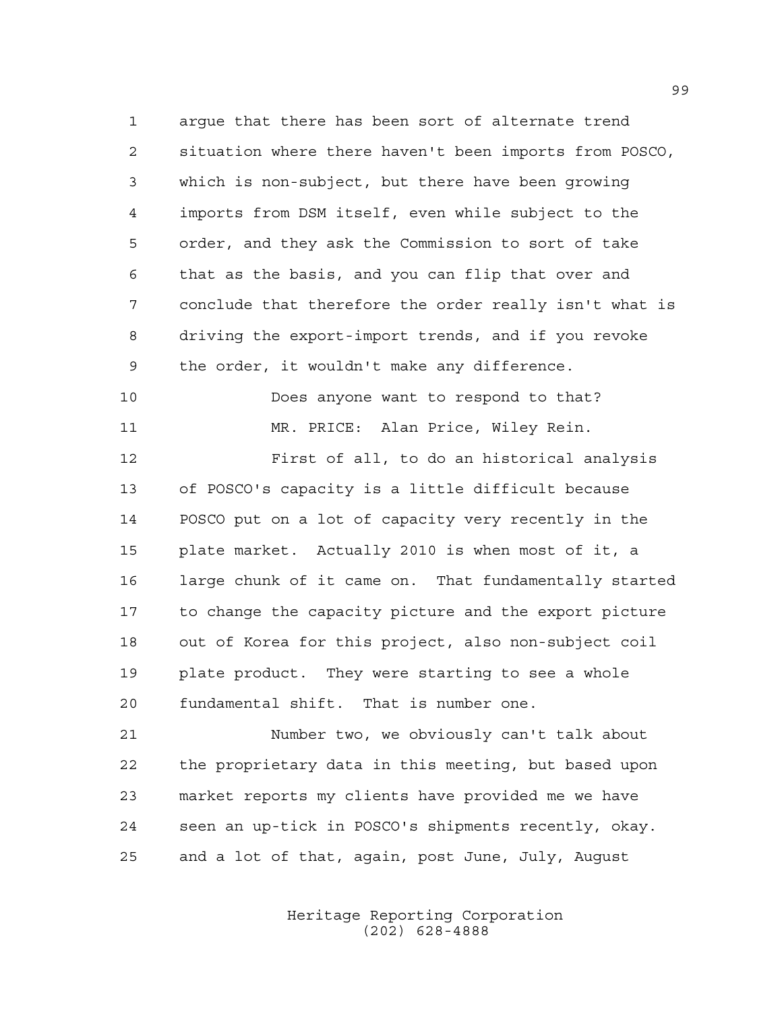argue that there has been sort of alternate trend situation where there haven't been imports from POSCO, which is non-subject, but there have been growing imports from DSM itself, even while subject to the order, and they ask the Commission to sort of take that as the basis, and you can flip that over and conclude that therefore the order really isn't what is driving the export-import trends, and if you revoke the order, it wouldn't make any difference.

Does anyone want to respond to that?

 MR. PRICE: Alan Price, Wiley Rein. First of all, to do an historical analysis of POSCO's capacity is a little difficult because POSCO put on a lot of capacity very recently in the plate market. Actually 2010 is when most of it, a large chunk of it came on. That fundamentally started to change the capacity picture and the export picture out of Korea for this project, also non-subject coil plate product. They were starting to see a whole fundamental shift. That is number one.

 Number two, we obviously can't talk about the proprietary data in this meeting, but based upon market reports my clients have provided me we have seen an up-tick in POSCO's shipments recently, okay. and a lot of that, again, post June, July, August

> Heritage Reporting Corporation (202) 628-4888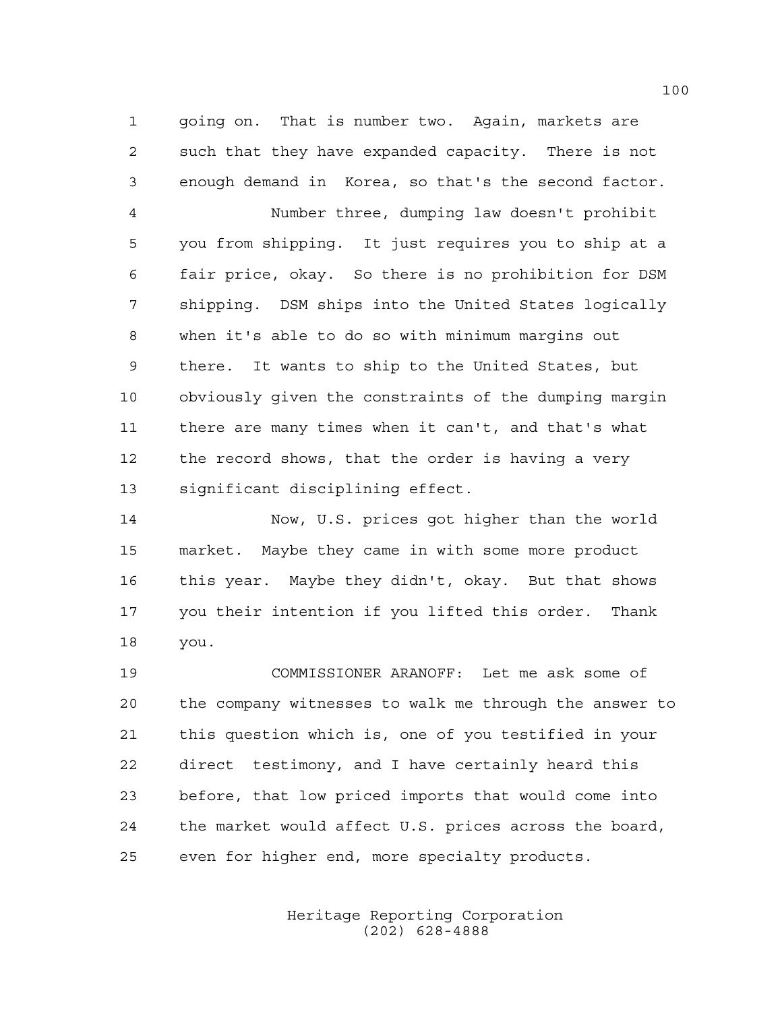going on. That is number two. Again, markets are such that they have expanded capacity. There is not enough demand in Korea, so that's the second factor.

 Number three, dumping law doesn't prohibit you from shipping. It just requires you to ship at a fair price, okay. So there is no prohibition for DSM shipping. DSM ships into the United States logically when it's able to do so with minimum margins out there. It wants to ship to the United States, but obviously given the constraints of the dumping margin there are many times when it can't, and that's what the record shows, that the order is having a very significant disciplining effect.

 Now, U.S. prices got higher than the world market. Maybe they came in with some more product this year. Maybe they didn't, okay. But that shows you their intention if you lifted this order. Thank you.

 COMMISSIONER ARANOFF: Let me ask some of the company witnesses to walk me through the answer to this question which is, one of you testified in your direct testimony, and I have certainly heard this before, that low priced imports that would come into the market would affect U.S. prices across the board, even for higher end, more specialty products.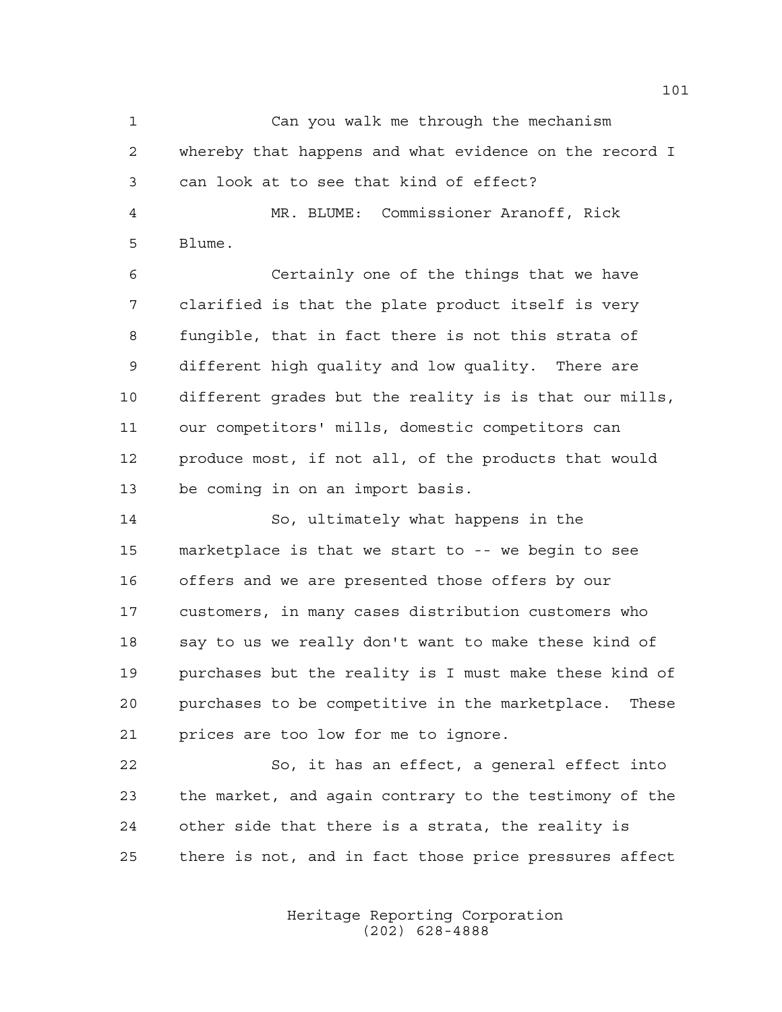Can you walk me through the mechanism whereby that happens and what evidence on the record I can look at to see that kind of effect? MR. BLUME: Commissioner Aranoff, Rick Blume. Certainly one of the things that we have clarified is that the plate product itself is very

 fungible, that in fact there is not this strata of different high quality and low quality. There are different grades but the reality is is that our mills, our competitors' mills, domestic competitors can produce most, if not all, of the products that would be coming in on an import basis.

 So, ultimately what happens in the marketplace is that we start to -- we begin to see offers and we are presented those offers by our customers, in many cases distribution customers who say to us we really don't want to make these kind of purchases but the reality is I must make these kind of purchases to be competitive in the marketplace. These prices are too low for me to ignore.

 So, it has an effect, a general effect into the market, and again contrary to the testimony of the other side that there is a strata, the reality is there is not, and in fact those price pressures affect

> Heritage Reporting Corporation (202) 628-4888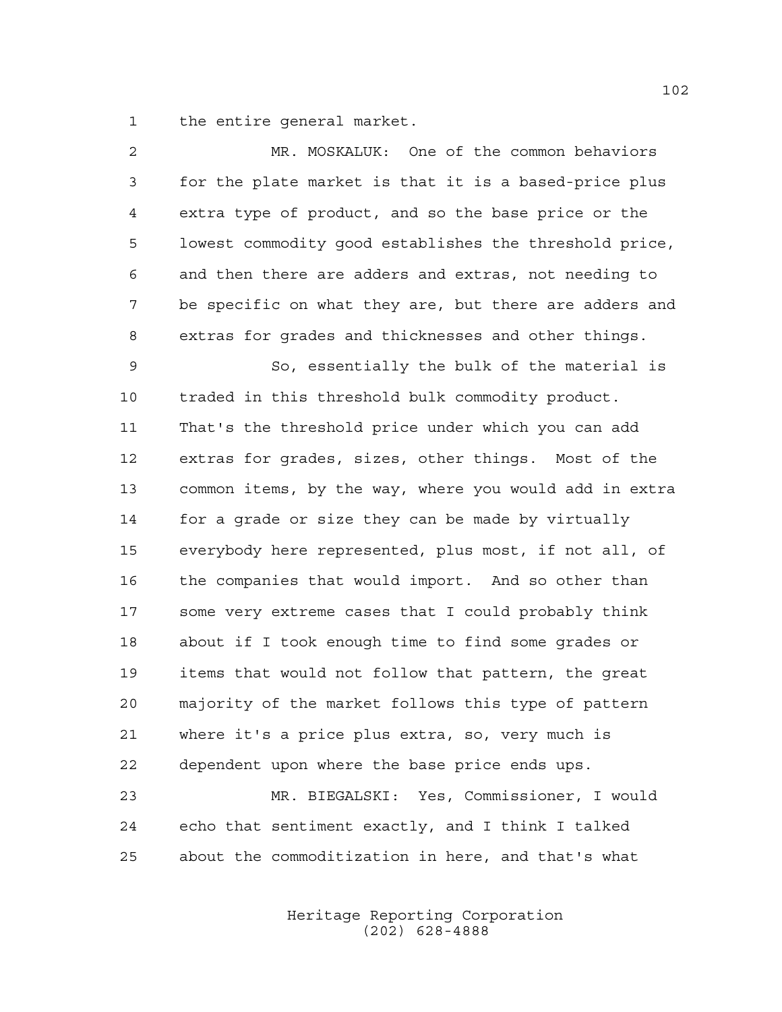the entire general market.

| $\overline{2}$ | MR. MOSKALUK: One of the common behaviors              |
|----------------|--------------------------------------------------------|
| 3              | for the plate market is that it is a based-price plus  |
| 4              | extra type of product, and so the base price or the    |
| 5              | lowest commodity good establishes the threshold price, |
| 6              | and then there are adders and extras, not needing to   |
| 7              | be specific on what they are, but there are adders and |
| 8              | extras for grades and thicknesses and other things.    |
| 9              | So, essentially the bulk of the material is            |
| 10             | traded in this threshold bulk commodity product.       |
| 11             | That's the threshold price under which you can add     |
| 12             | extras for grades, sizes, other things. Most of the    |
| 13             | common items, by the way, where you would add in extra |
| 14             | for a grade or size they can be made by virtually      |
| 15             | everybody here represented, plus most, if not all, of  |
| 16             | the companies that would import. And so other than     |
| 17             | some very extreme cases that I could probably think    |
| 18             | about if I took enough time to find some grades or     |
| 19             | items that would not follow that pattern, the great    |
| 20             | majority of the market follows this type of pattern    |
| 21             | where it's a price plus extra, so, very much is        |
| 22             | dependent upon where the base price ends ups.          |
| 23             | MR. BIEGALSKI: Yes, Commissioner, I would              |
| 24             | echo that sentiment exactly, and I think I talked      |
| 25             | about the commoditization in here, and that's what     |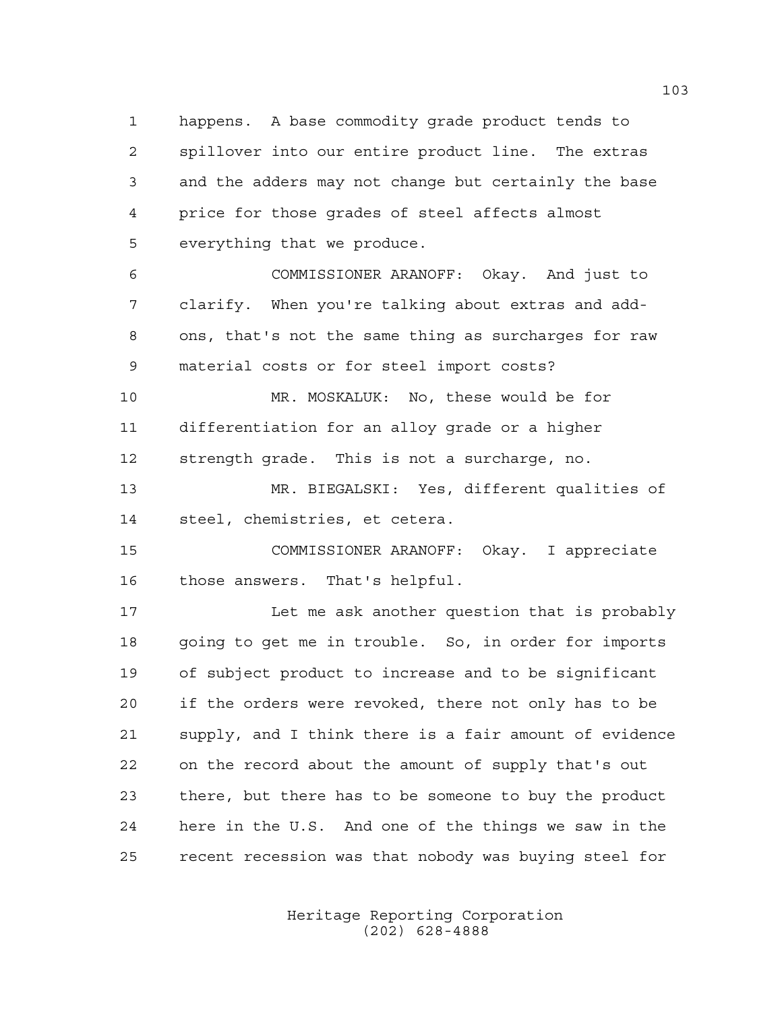happens. A base commodity grade product tends to spillover into our entire product line. The extras and the adders may not change but certainly the base price for those grades of steel affects almost everything that we produce.

 COMMISSIONER ARANOFF: Okay. And just to clarify. When you're talking about extras and add- ons, that's not the same thing as surcharges for raw material costs or for steel import costs?

 MR. MOSKALUK: No, these would be for differentiation for an alloy grade or a higher strength grade. This is not a surcharge, no.

 MR. BIEGALSKI: Yes, different qualities of steel, chemistries, et cetera.

 COMMISSIONER ARANOFF: Okay. I appreciate those answers. That's helpful.

 Let me ask another question that is probably going to get me in trouble. So, in order for imports of subject product to increase and to be significant if the orders were revoked, there not only has to be supply, and I think there is a fair amount of evidence on the record about the amount of supply that's out there, but there has to be someone to buy the product here in the U.S. And one of the things we saw in the recent recession was that nobody was buying steel for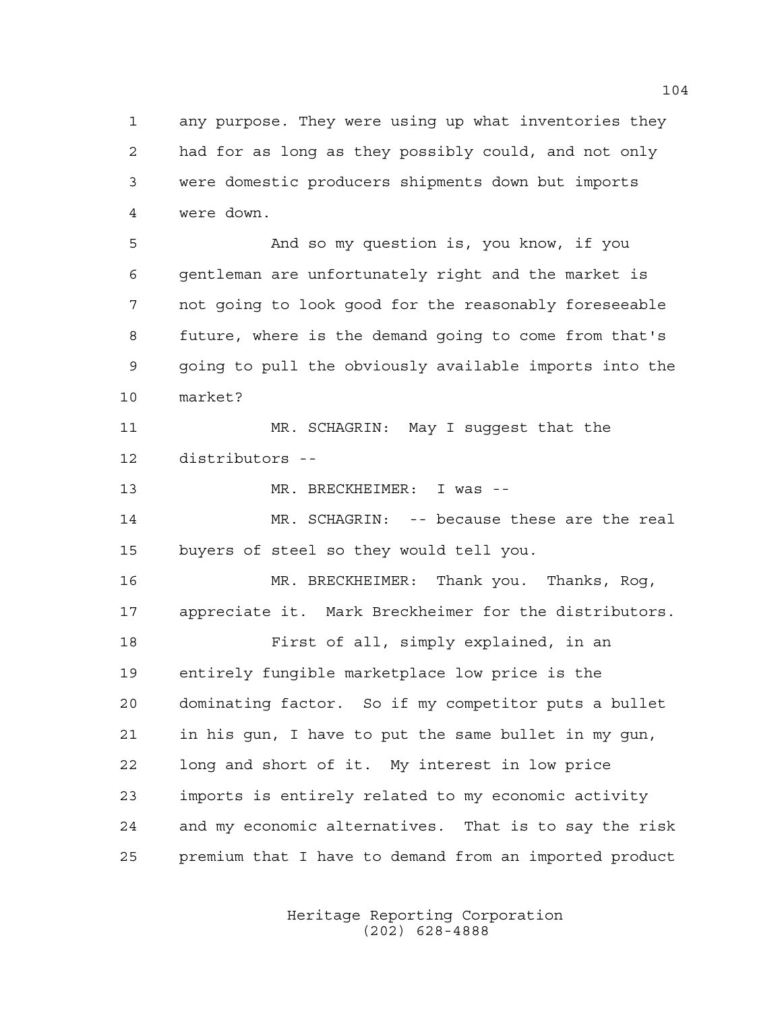any purpose. They were using up what inventories they had for as long as they possibly could, and not only were domestic producers shipments down but imports were down.

 And so my question is, you know, if you gentleman are unfortunately right and the market is not going to look good for the reasonably foreseeable future, where is the demand going to come from that's going to pull the obviously available imports into the market?

 MR. SCHAGRIN: May I suggest that the distributors --

MR. BRECKHEIMER: I was --

 MR. SCHAGRIN: -- because these are the real buyers of steel so they would tell you.

 MR. BRECKHEIMER: Thank you. Thanks, Rog, appreciate it. Mark Breckheimer for the distributors. First of all, simply explained, in an entirely fungible marketplace low price is the dominating factor. So if my competitor puts a bullet in his gun, I have to put the same bullet in my gun, long and short of it. My interest in low price imports is entirely related to my economic activity and my economic alternatives. That is to say the risk premium that I have to demand from an imported product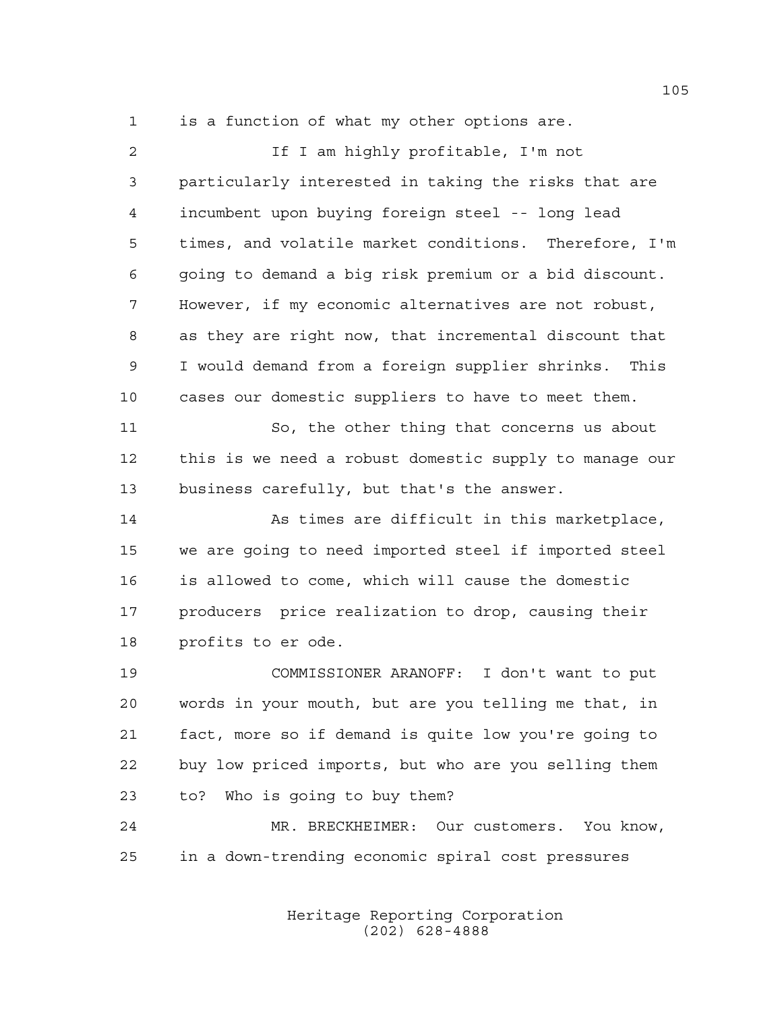is a function of what my other options are.

2 15 I am highly profitable, I'm not particularly interested in taking the risks that are incumbent upon buying foreign steel -- long lead times, and volatile market conditions. Therefore, I'm going to demand a big risk premium or a bid discount. However, if my economic alternatives are not robust, as they are right now, that incremental discount that I would demand from a foreign supplier shrinks. This cases our domestic suppliers to have to meet them. So, the other thing that concerns us about this is we need a robust domestic supply to manage our business carefully, but that's the answer. As times are difficult in this marketplace, we are going to need imported steel if imported steel is allowed to come, which will cause the domestic producers price realization to drop, causing their profits to er ode. COMMISSIONER ARANOFF: I don't want to put words in your mouth, but are you telling me that, in fact, more so if demand is quite low you're going to buy low priced imports, but who are you selling them to? Who is going to buy them? MR. BRECKHEIMER: Our customers. You know, in a down-trending economic spiral cost pressures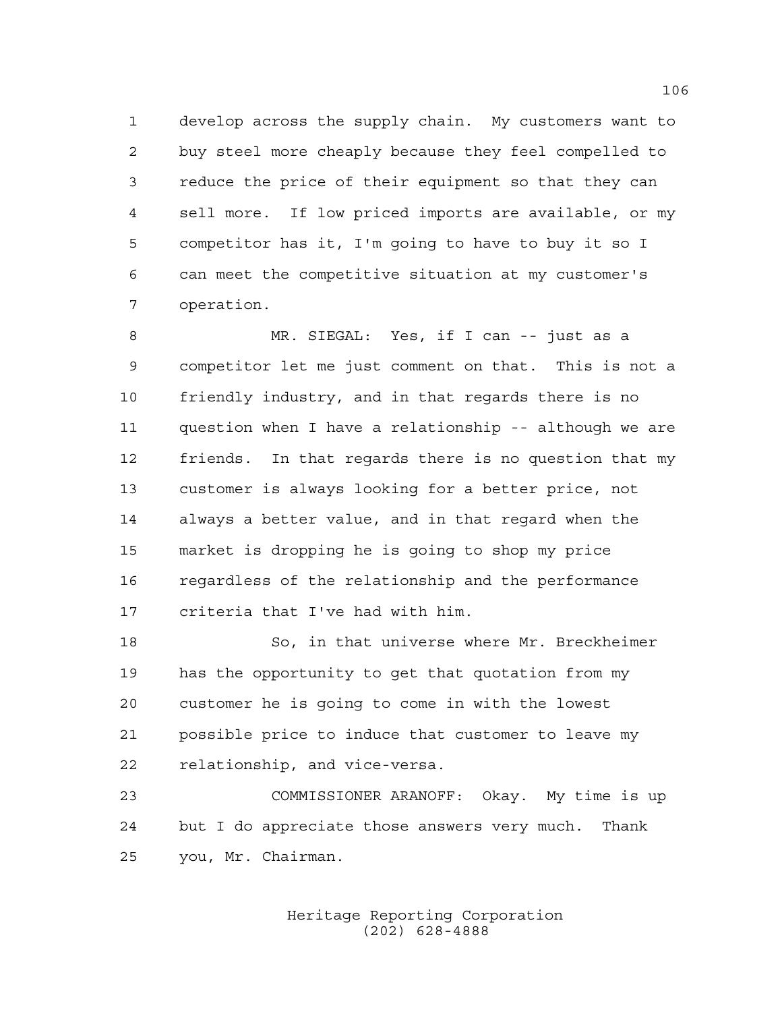develop across the supply chain. My customers want to buy steel more cheaply because they feel compelled to reduce the price of their equipment so that they can sell more. If low priced imports are available, or my competitor has it, I'm going to have to buy it so I can meet the competitive situation at my customer's operation.

 MR. SIEGAL: Yes, if I can -- just as a competitor let me just comment on that. This is not a friendly industry, and in that regards there is no question when I have a relationship -- although we are friends. In that regards there is no question that my customer is always looking for a better price, not always a better value, and in that regard when the market is dropping he is going to shop my price regardless of the relationship and the performance criteria that I've had with him.

 So, in that universe where Mr. Breckheimer has the opportunity to get that quotation from my customer he is going to come in with the lowest possible price to induce that customer to leave my relationship, and vice-versa.

 COMMISSIONER ARANOFF: Okay. My time is up but I do appreciate those answers very much. Thank you, Mr. Chairman.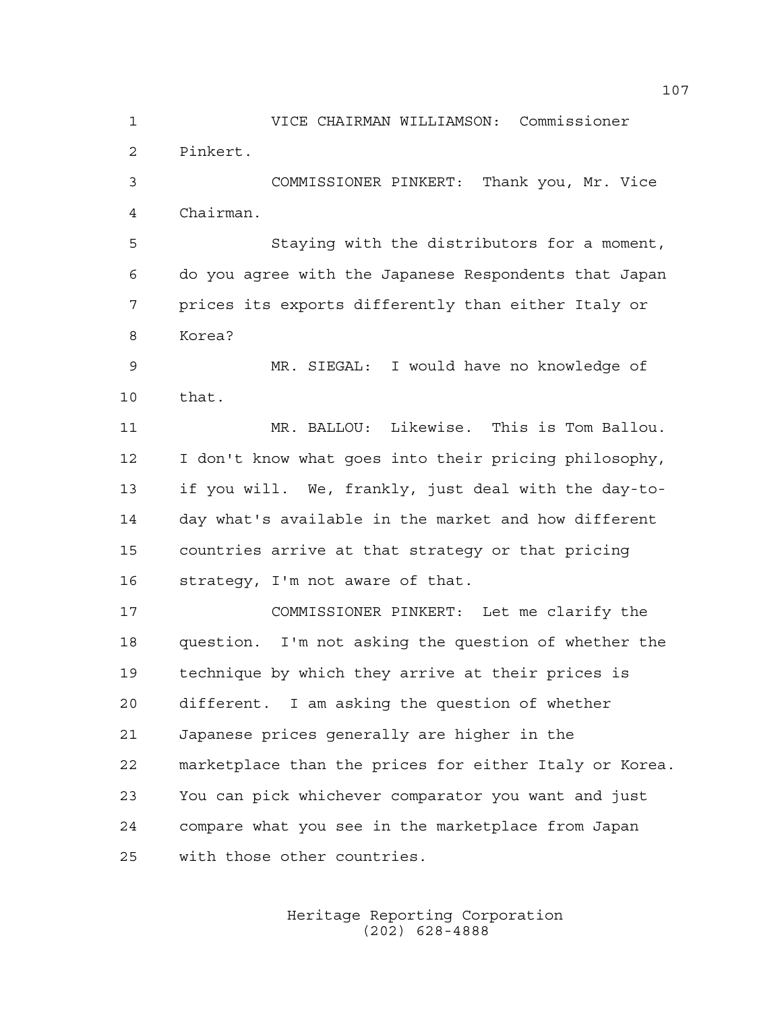VICE CHAIRMAN WILLIAMSON: Commissioner Pinkert. COMMISSIONER PINKERT: Thank you, Mr. Vice

Chairman.

 Staying with the distributors for a moment, do you agree with the Japanese Respondents that Japan prices its exports differently than either Italy or Korea?

 MR. SIEGAL: I would have no knowledge of that.

 MR. BALLOU: Likewise. This is Tom Ballou. I don't know what goes into their pricing philosophy, if you will. We, frankly, just deal with the day-to- day what's available in the market and how different countries arrive at that strategy or that pricing strategy, I'm not aware of that.

 COMMISSIONER PINKERT: Let me clarify the question. I'm not asking the question of whether the technique by which they arrive at their prices is different. I am asking the question of whether Japanese prices generally are higher in the marketplace than the prices for either Italy or Korea. You can pick whichever comparator you want and just compare what you see in the marketplace from Japan with those other countries.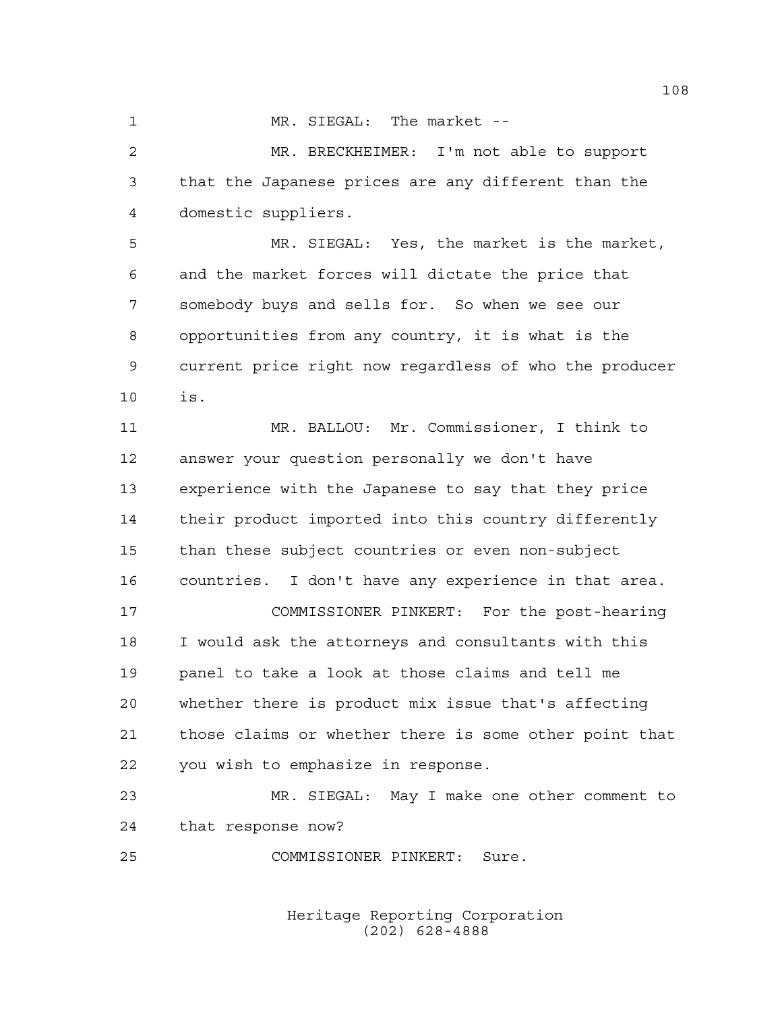1 MR. SIEGAL: The market --

 MR. BRECKHEIMER: I'm not able to support that the Japanese prices are any different than the domestic suppliers.

 MR. SIEGAL: Yes, the market is the market, and the market forces will dictate the price that somebody buys and sells for. So when we see our opportunities from any country, it is what is the current price right now regardless of who the producer is.

 MR. BALLOU: Mr. Commissioner, I think to answer your question personally we don't have experience with the Japanese to say that they price their product imported into this country differently than these subject countries or even non-subject countries. I don't have any experience in that area.

 COMMISSIONER PINKERT: For the post-hearing I would ask the attorneys and consultants with this panel to take a look at those claims and tell me whether there is product mix issue that's affecting those claims or whether there is some other point that you wish to emphasize in response.

 MR. SIEGAL: May I make one other comment to that response now?

COMMISSIONER PINKERT: Sure.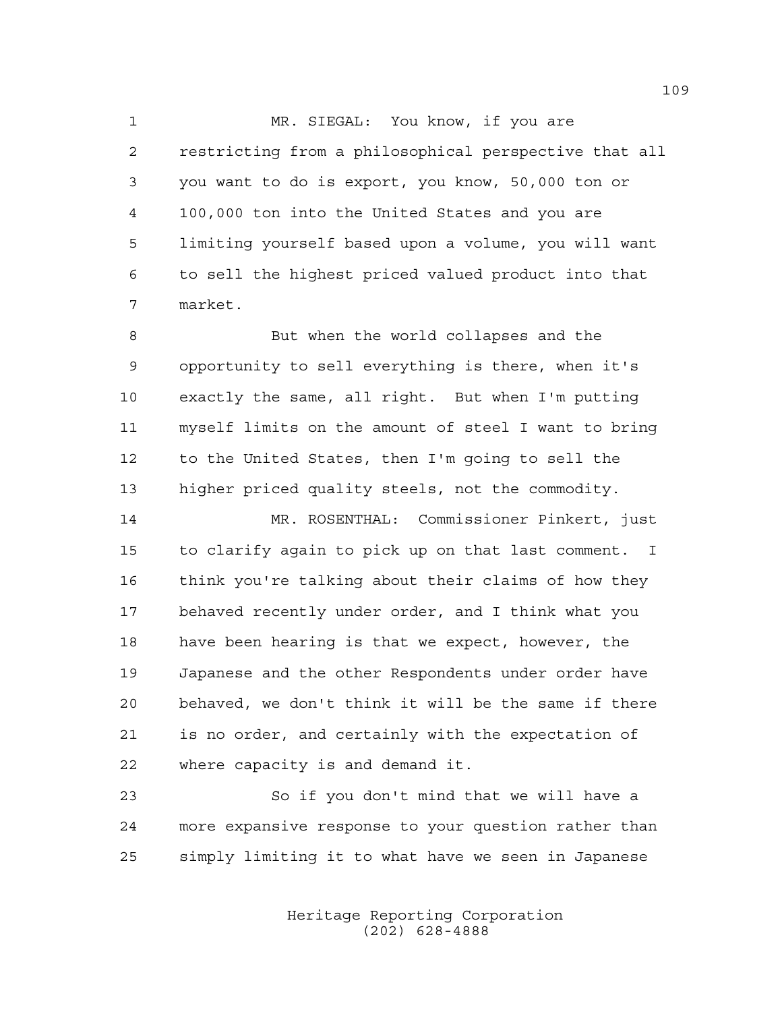1 MR. SIEGAL: You know, if you are restricting from a philosophical perspective that all you want to do is export, you know, 50,000 ton or 100,000 ton into the United States and you are limiting yourself based upon a volume, you will want to sell the highest priced valued product into that market.

 But when the world collapses and the opportunity to sell everything is there, when it's exactly the same, all right. But when I'm putting myself limits on the amount of steel I want to bring to the United States, then I'm going to sell the higher priced quality steels, not the commodity.

 MR. ROSENTHAL: Commissioner Pinkert, just to clarify again to pick up on that last comment. I think you're talking about their claims of how they behaved recently under order, and I think what you have been hearing is that we expect, however, the Japanese and the other Respondents under order have behaved, we don't think it will be the same if there is no order, and certainly with the expectation of where capacity is and demand it.

 So if you don't mind that we will have a more expansive response to your question rather than simply limiting it to what have we seen in Japanese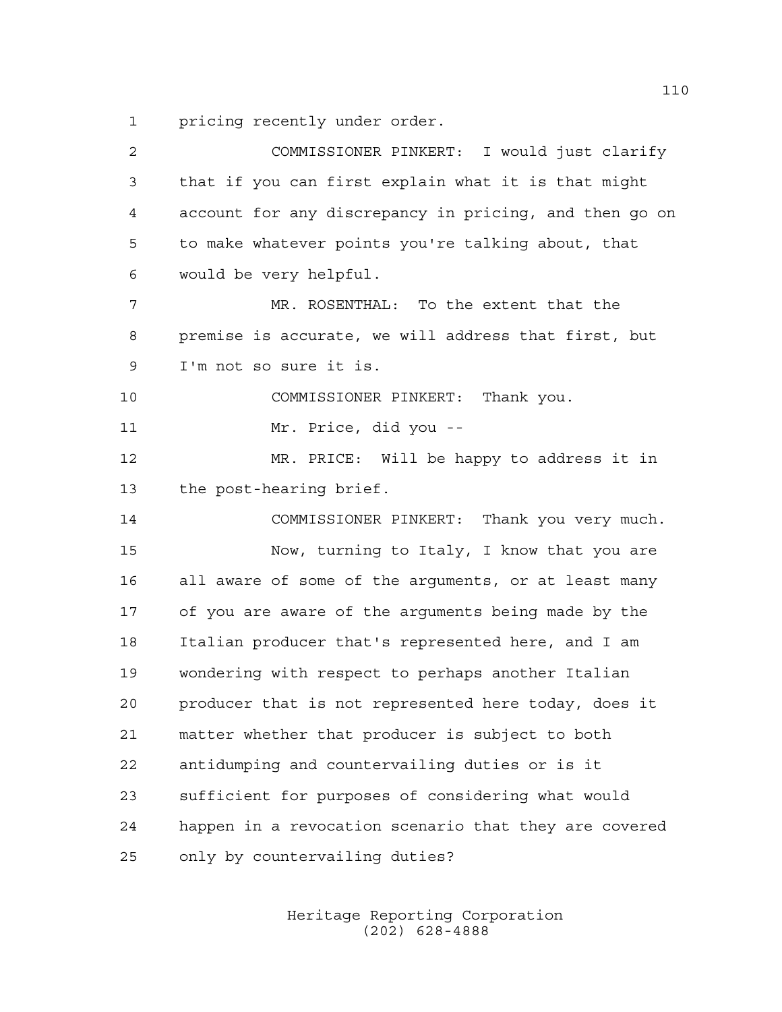pricing recently under order.

| 2  | COMMISSIONER PINKERT: I would just clarify             |
|----|--------------------------------------------------------|
| 3  | that if you can first explain what it is that might    |
| 4  | account for any discrepancy in pricing, and then go on |
| 5  | to make whatever points you're talking about, that     |
| 6  | would be very helpful.                                 |
| 7  | MR. ROSENTHAL: To the extent that the                  |
| 8  | premise is accurate, we will address that first, but   |
| 9  | I'm not so sure it is.                                 |
| 10 | COMMISSIONER PINKERT: Thank you.                       |
| 11 | Mr. Price, did you --                                  |
| 12 | MR. PRICE: Will be happy to address it in              |
| 13 | the post-hearing brief.                                |
| 14 | COMMISSIONER PINKERT: Thank you very much.             |
| 15 | Now, turning to Italy, I know that you are             |
| 16 | all aware of some of the arguments, or at least many   |
| 17 | of you are aware of the arguments being made by the    |
| 18 | Italian producer that's represented here, and I am     |
| 19 | wondering with respect to perhaps another Italian      |
| 20 | producer that is not represented here today, does it   |
| 21 | matter whether that producer is subject to both        |
| 22 | antidumping and countervailing duties or is it         |
| 23 | sufficient for purposes of considering what would      |
| 24 | happen in a revocation scenario that they are covered  |
| 25 | only by countervailing duties?                         |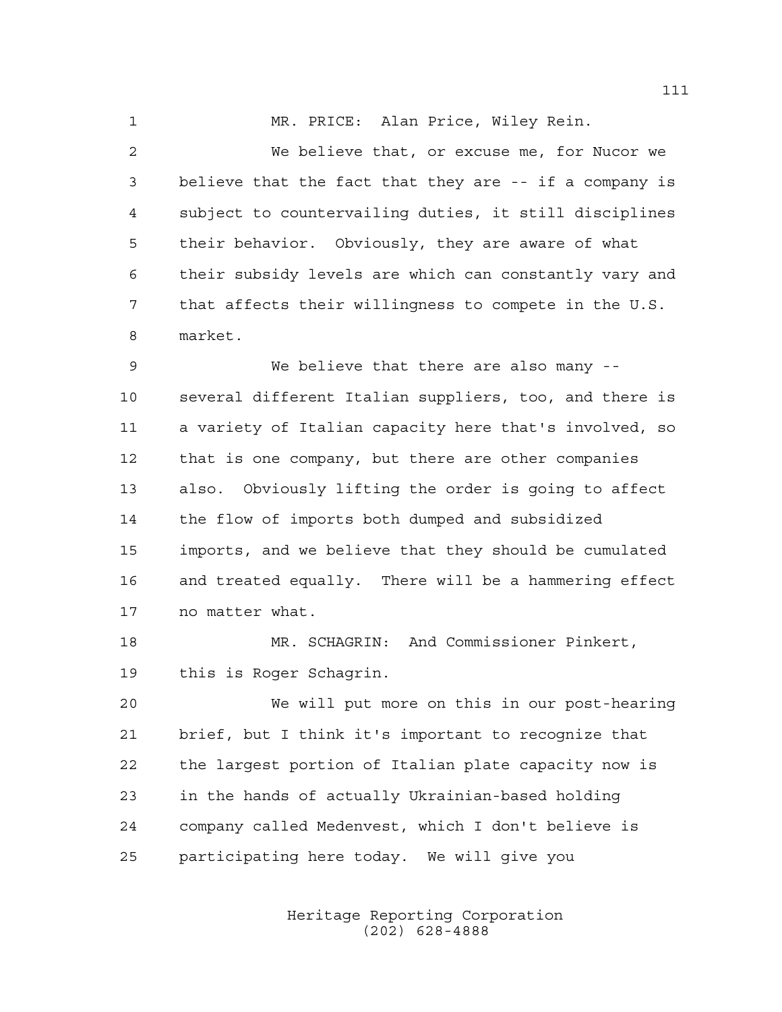MR. PRICE: Alan Price, Wiley Rein.

 We believe that, or excuse me, for Nucor we believe that the fact that they are -- if a company is subject to countervailing duties, it still disciplines their behavior. Obviously, they are aware of what their subsidy levels are which can constantly vary and that affects their willingness to compete in the U.S. market.

 We believe that there are also many -- several different Italian suppliers, too, and there is a variety of Italian capacity here that's involved, so that is one company, but there are other companies also. Obviously lifting the order is going to affect the flow of imports both dumped and subsidized imports, and we believe that they should be cumulated and treated equally. There will be a hammering effect no matter what.

 MR. SCHAGRIN: And Commissioner Pinkert, this is Roger Schagrin.

 We will put more on this in our post-hearing brief, but I think it's important to recognize that the largest portion of Italian plate capacity now is in the hands of actually Ukrainian-based holding company called Medenvest, which I don't believe is participating here today. We will give you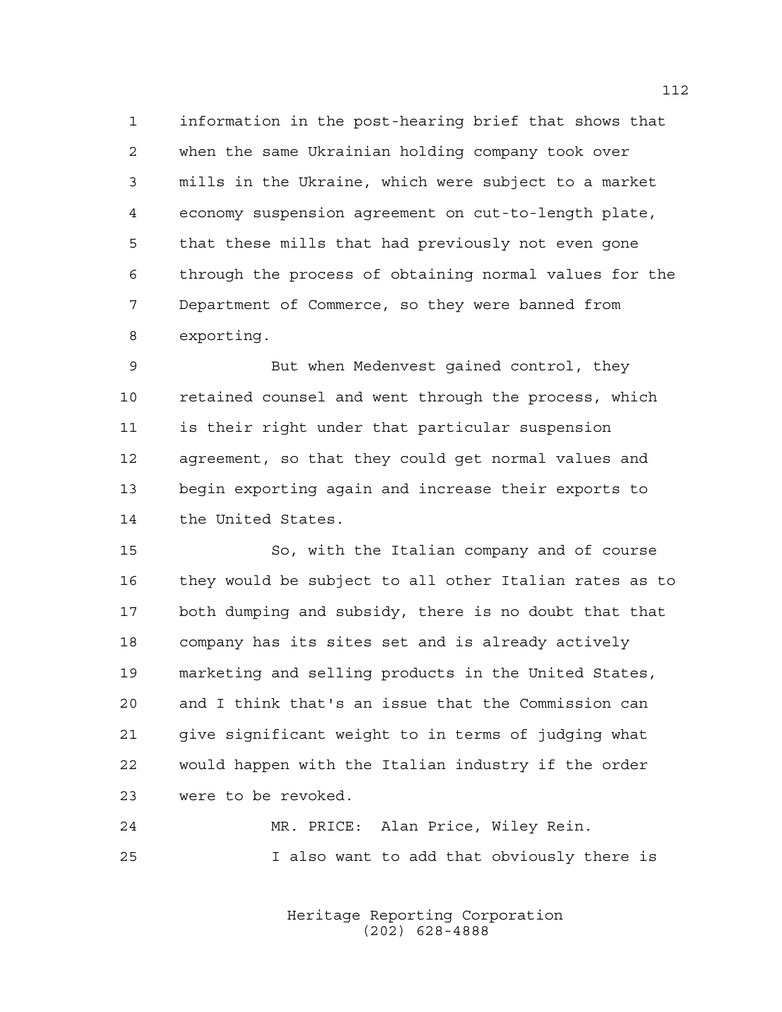information in the post-hearing brief that shows that when the same Ukrainian holding company took over mills in the Ukraine, which were subject to a market economy suspension agreement on cut-to-length plate, that these mills that had previously not even gone through the process of obtaining normal values for the Department of Commerce, so they were banned from exporting.

 But when Medenvest gained control, they retained counsel and went through the process, which is their right under that particular suspension agreement, so that they could get normal values and begin exporting again and increase their exports to the United States.

 So, with the Italian company and of course they would be subject to all other Italian rates as to both dumping and subsidy, there is no doubt that that company has its sites set and is already actively marketing and selling products in the United States, and I think that's an issue that the Commission can give significant weight to in terms of judging what would happen with the Italian industry if the order were to be revoked.

 MR. PRICE: Alan Price, Wiley Rein. I also want to add that obviously there is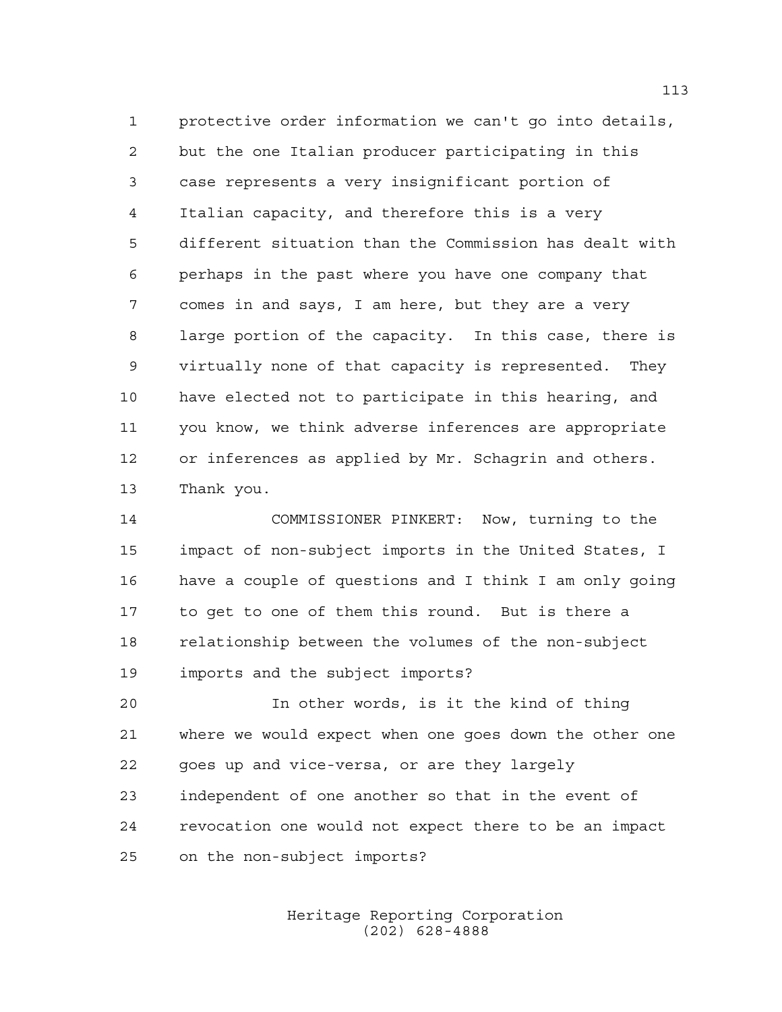protective order information we can't go into details, but the one Italian producer participating in this case represents a very insignificant portion of Italian capacity, and therefore this is a very different situation than the Commission has dealt with perhaps in the past where you have one company that comes in and says, I am here, but they are a very large portion of the capacity. In this case, there is virtually none of that capacity is represented. They have elected not to participate in this hearing, and you know, we think adverse inferences are appropriate or inferences as applied by Mr. Schagrin and others. Thank you.

 COMMISSIONER PINKERT: Now, turning to the impact of non-subject imports in the United States, I have a couple of questions and I think I am only going to get to one of them this round. But is there a relationship between the volumes of the non-subject imports and the subject imports?

 In other words, is it the kind of thing where we would expect when one goes down the other one goes up and vice-versa, or are they largely independent of one another so that in the event of revocation one would not expect there to be an impact on the non-subject imports?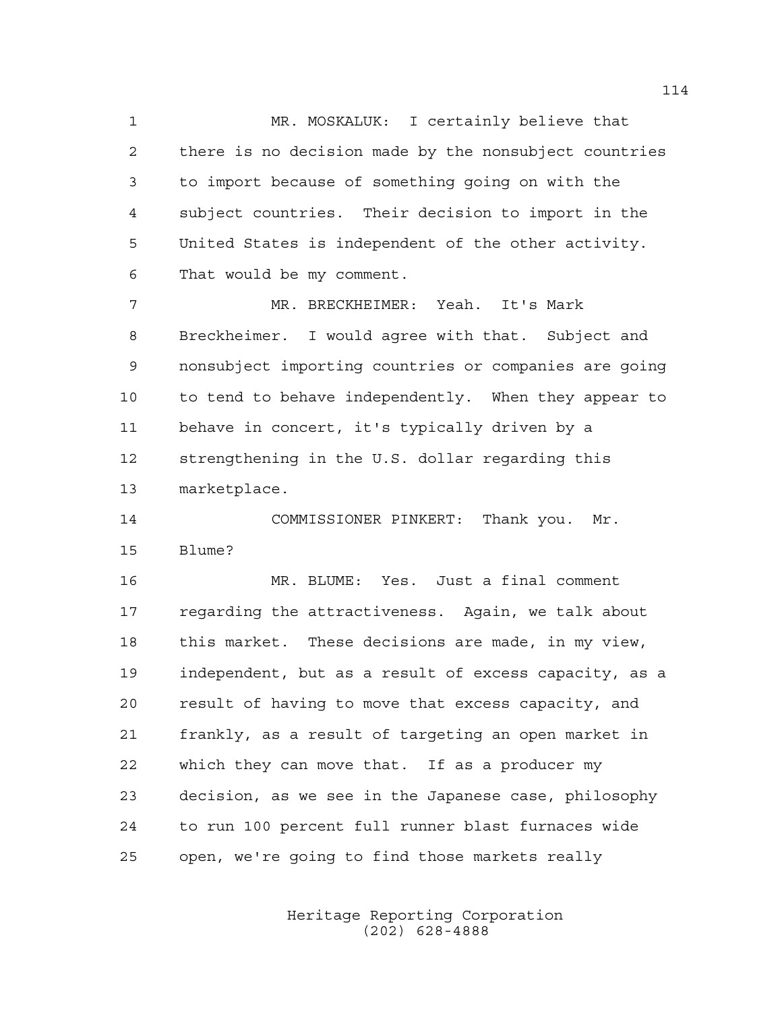MR. MOSKALUK: I certainly believe that there is no decision made by the nonsubject countries to import because of something going on with the subject countries. Their decision to import in the United States is independent of the other activity. That would be my comment.

 MR. BRECKHEIMER: Yeah. It's Mark Breckheimer. I would agree with that. Subject and nonsubject importing countries or companies are going to tend to behave independently. When they appear to behave in concert, it's typically driven by a strengthening in the U.S. dollar regarding this marketplace.

 COMMISSIONER PINKERT: Thank you. Mr. Blume?

 MR. BLUME: Yes. Just a final comment regarding the attractiveness. Again, we talk about this market. These decisions are made, in my view, independent, but as a result of excess capacity, as a result of having to move that excess capacity, and frankly, as a result of targeting an open market in which they can move that. If as a producer my decision, as we see in the Japanese case, philosophy to run 100 percent full runner blast furnaces wide open, we're going to find those markets really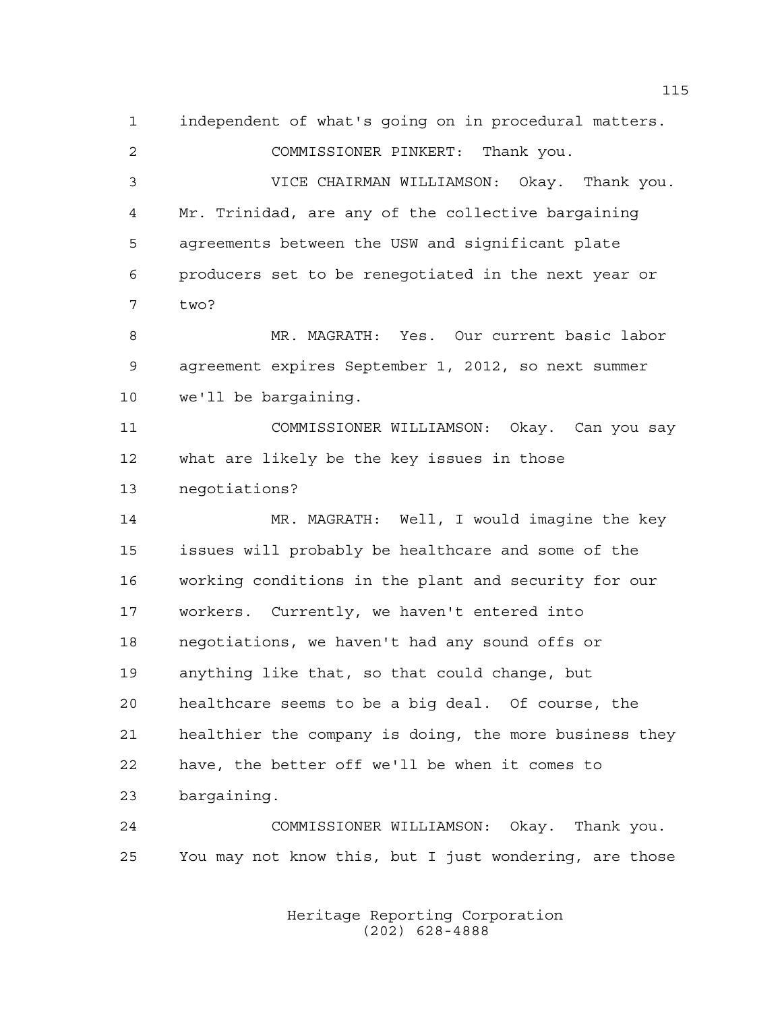independent of what's going on in procedural matters. COMMISSIONER PINKERT: Thank you. VICE CHAIRMAN WILLIAMSON: Okay. Thank you. Mr. Trinidad, are any of the collective bargaining agreements between the USW and significant plate producers set to be renegotiated in the next year or two? MR. MAGRATH: Yes. Our current basic labor agreement expires September 1, 2012, so next summer we'll be bargaining. COMMISSIONER WILLIAMSON: Okay. Can you say what are likely be the key issues in those negotiations? MR. MAGRATH: Well, I would imagine the key issues will probably be healthcare and some of the working conditions in the plant and security for our workers. Currently, we haven't entered into negotiations, we haven't had any sound offs or anything like that, so that could change, but healthcare seems to be a big deal. Of course, the healthier the company is doing, the more business they have, the better off we'll be when it comes to bargaining. COMMISSIONER WILLIAMSON: Okay. Thank you. You may not know this, but I just wondering, are those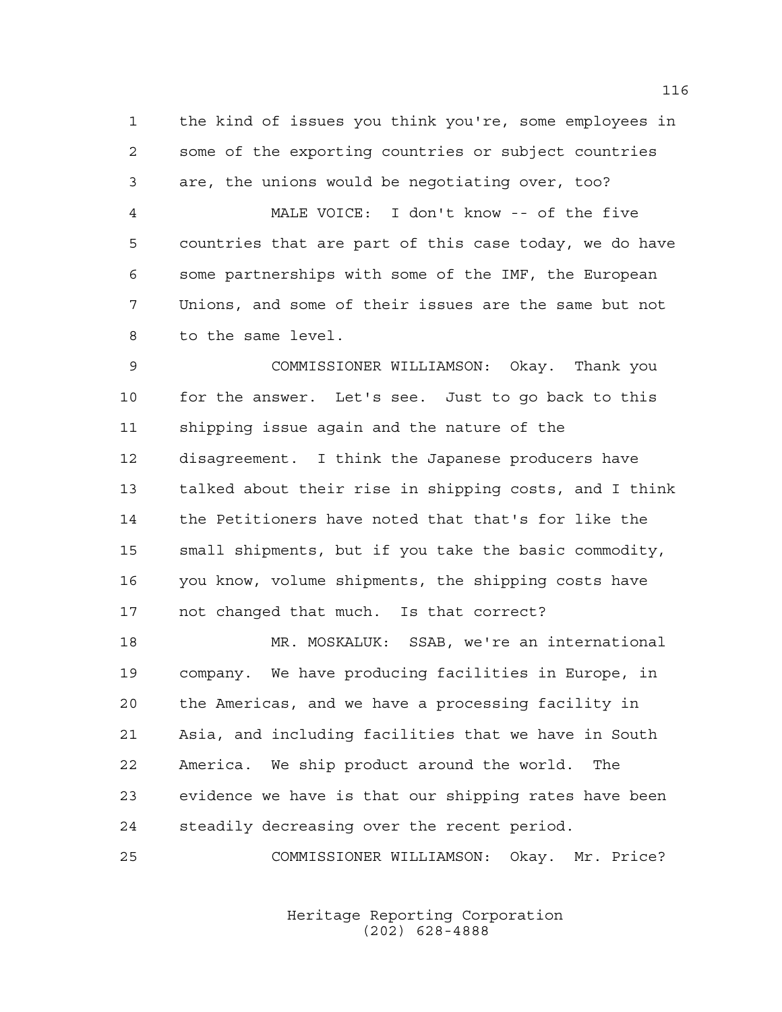the kind of issues you think you're, some employees in some of the exporting countries or subject countries are, the unions would be negotiating over, too?

 MALE VOICE: I don't know -- of the five countries that are part of this case today, we do have some partnerships with some of the IMF, the European Unions, and some of their issues are the same but not to the same level.

 COMMISSIONER WILLIAMSON: Okay. Thank you for the answer. Let's see. Just to go back to this shipping issue again and the nature of the disagreement. I think the Japanese producers have talked about their rise in shipping costs, and I think the Petitioners have noted that that's for like the small shipments, but if you take the basic commodity, you know, volume shipments, the shipping costs have not changed that much. Is that correct?

 MR. MOSKALUK: SSAB, we're an international company. We have producing facilities in Europe, in the Americas, and we have a processing facility in Asia, and including facilities that we have in South America. We ship product around the world. The evidence we have is that our shipping rates have been steadily decreasing over the recent period.

COMMISSIONER WILLIAMSON: Okay. Mr. Price?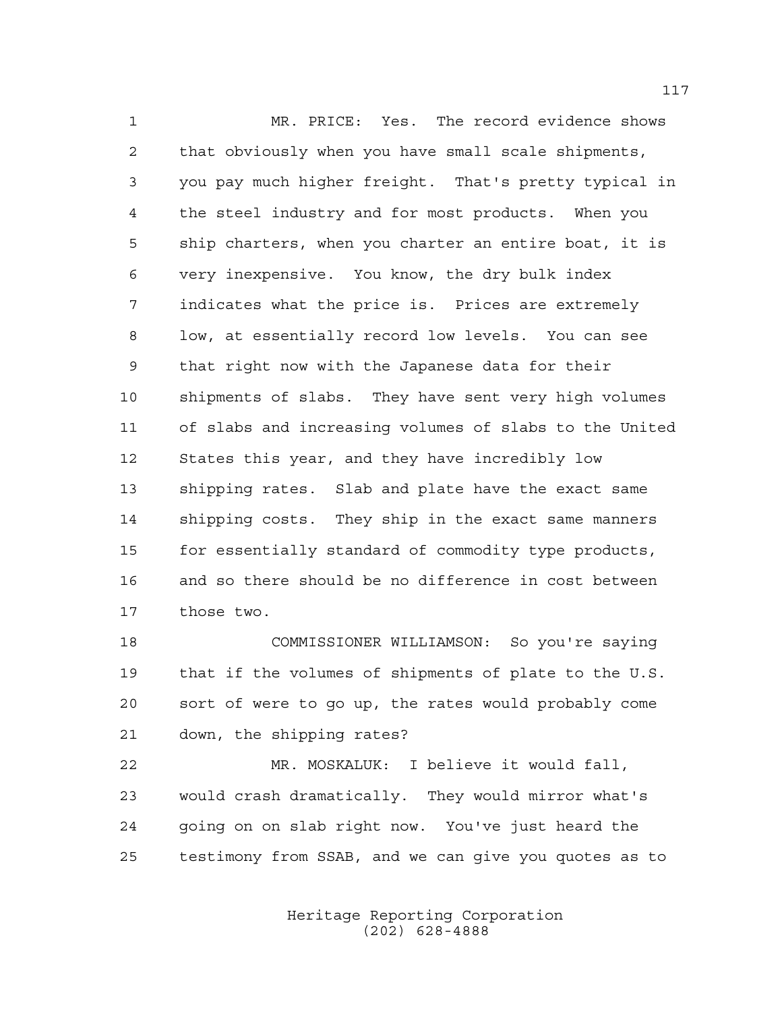MR. PRICE: Yes. The record evidence shows that obviously when you have small scale shipments, you pay much higher freight. That's pretty typical in the steel industry and for most products. When you ship charters, when you charter an entire boat, it is very inexpensive. You know, the dry bulk index indicates what the price is. Prices are extremely low, at essentially record low levels. You can see that right now with the Japanese data for their shipments of slabs. They have sent very high volumes of slabs and increasing volumes of slabs to the United States this year, and they have incredibly low shipping rates. Slab and plate have the exact same shipping costs. They ship in the exact same manners for essentially standard of commodity type products, and so there should be no difference in cost between those two.

 COMMISSIONER WILLIAMSON: So you're saying that if the volumes of shipments of plate to the U.S. sort of were to go up, the rates would probably come down, the shipping rates?

 MR. MOSKALUK: I believe it would fall, would crash dramatically. They would mirror what's going on on slab right now. You've just heard the testimony from SSAB, and we can give you quotes as to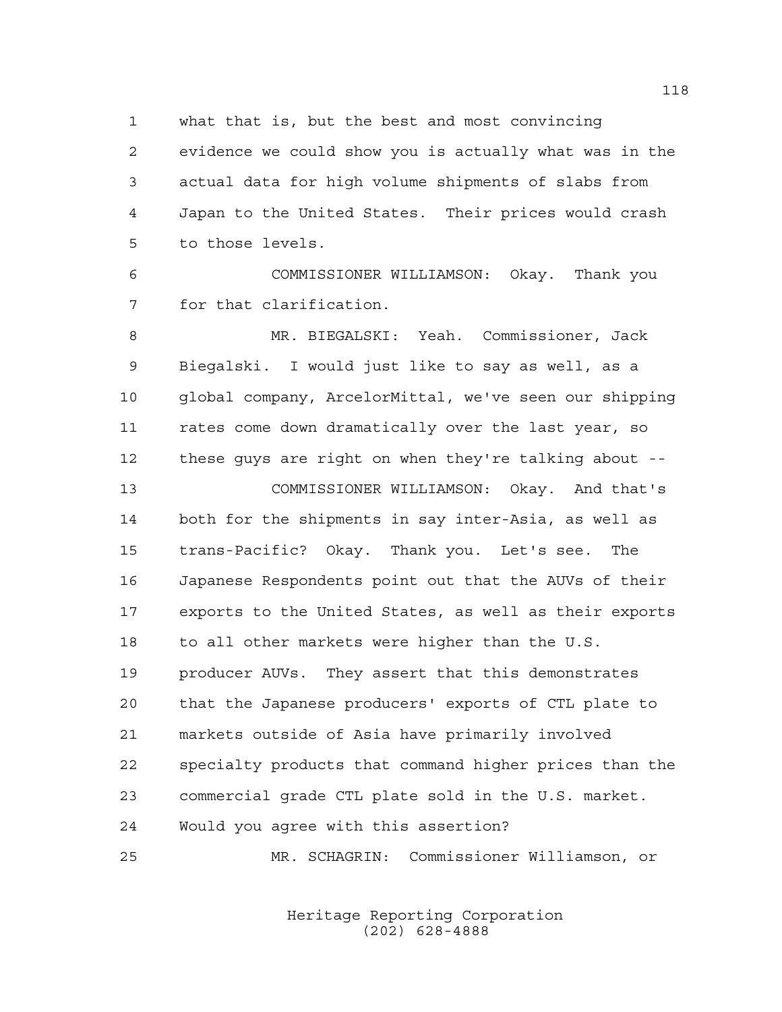what that is, but the best and most convincing

 evidence we could show you is actually what was in the actual data for high volume shipments of slabs from Japan to the United States. Their prices would crash to those levels.

 COMMISSIONER WILLIAMSON: Okay. Thank you for that clarification.

 MR. BIEGALSKI: Yeah. Commissioner, Jack Biegalski. I would just like to say as well, as a global company, ArcelorMittal, we've seen our shipping rates come down dramatically over the last year, so these guys are right on when they're talking about --

 COMMISSIONER WILLIAMSON: Okay. And that's both for the shipments in say inter-Asia, as well as trans-Pacific? Okay. Thank you. Let's see. The Japanese Respondents point out that the AUVs of their exports to the United States, as well as their exports to all other markets were higher than the U.S. producer AUVs. They assert that this demonstrates that the Japanese producers' exports of CTL plate to markets outside of Asia have primarily involved specialty products that command higher prices than the commercial grade CTL plate sold in the U.S. market. Would you agree with this assertion?

MR. SCHAGRIN: Commissioner Williamson, or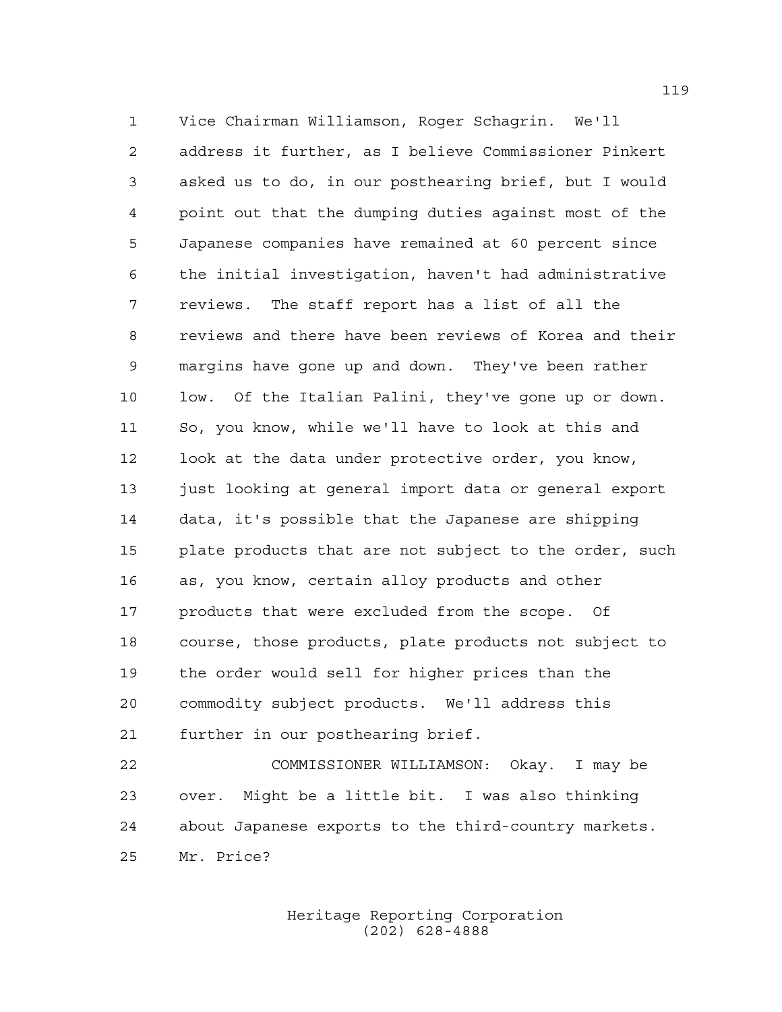Vice Chairman Williamson, Roger Schagrin. We'll address it further, as I believe Commissioner Pinkert asked us to do, in our posthearing brief, but I would point out that the dumping duties against most of the Japanese companies have remained at 60 percent since the initial investigation, haven't had administrative reviews. The staff report has a list of all the reviews and there have been reviews of Korea and their margins have gone up and down. They've been rather low. Of the Italian Palini, they've gone up or down. So, you know, while we'll have to look at this and look at the data under protective order, you know, 13 just looking at general import data or general export data, it's possible that the Japanese are shipping plate products that are not subject to the order, such as, you know, certain alloy products and other products that were excluded from the scope. Of course, those products, plate products not subject to the order would sell for higher prices than the commodity subject products. We'll address this further in our posthearing brief.

 COMMISSIONER WILLIAMSON: Okay. I may be over. Might be a little bit. I was also thinking about Japanese exports to the third-country markets. Mr. Price?

> Heritage Reporting Corporation (202) 628-4888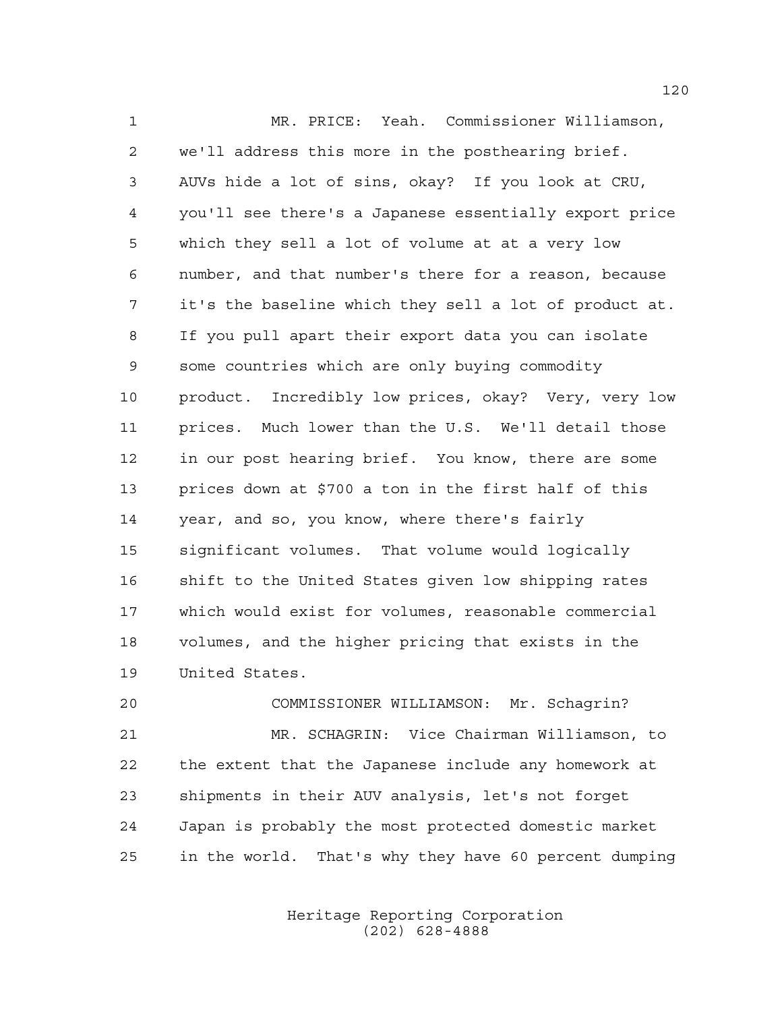MR. PRICE: Yeah. Commissioner Williamson, we'll address this more in the posthearing brief. AUVs hide a lot of sins, okay? If you look at CRU, you'll see there's a Japanese essentially export price which they sell a lot of volume at at a very low number, and that number's there for a reason, because it's the baseline which they sell a lot of product at. If you pull apart their export data you can isolate some countries which are only buying commodity product. Incredibly low prices, okay? Very, very low prices. Much lower than the U.S. We'll detail those in our post hearing brief. You know, there are some prices down at \$700 a ton in the first half of this year, and so, you know, where there's fairly significant volumes. That volume would logically shift to the United States given low shipping rates which would exist for volumes, reasonable commercial volumes, and the higher pricing that exists in the United States.

 COMMISSIONER WILLIAMSON: Mr. Schagrin? MR. SCHAGRIN: Vice Chairman Williamson, to the extent that the Japanese include any homework at shipments in their AUV analysis, let's not forget Japan is probably the most protected domestic market in the world. That's why they have 60 percent dumping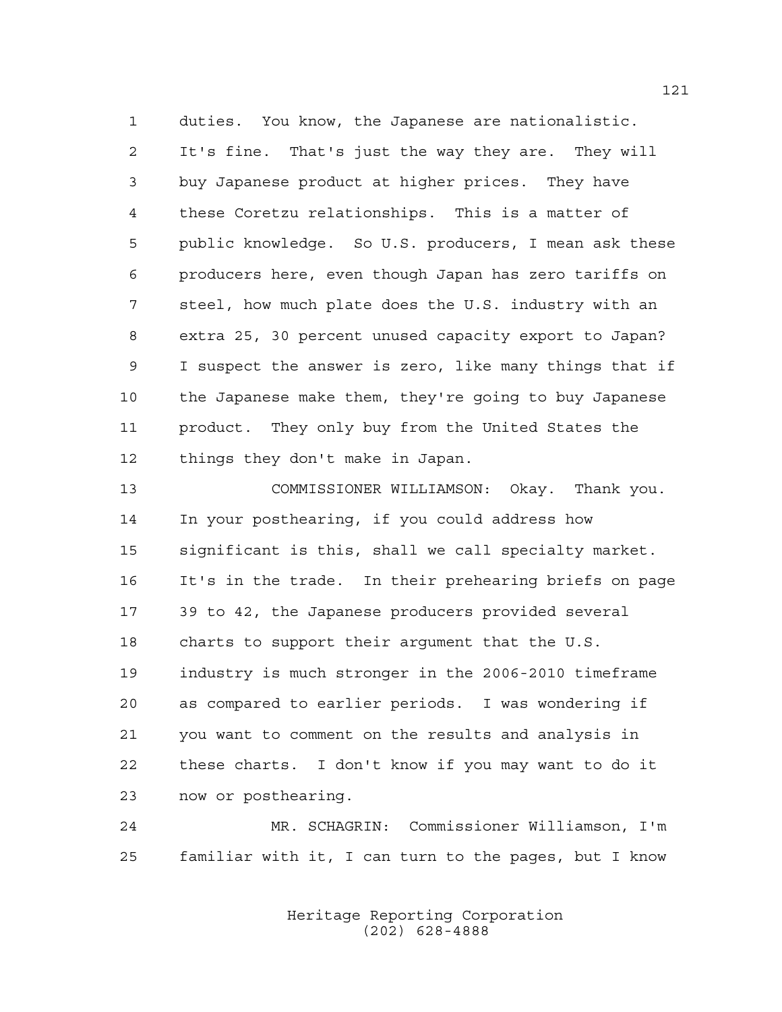duties. You know, the Japanese are nationalistic. It's fine. That's just the way they are. They will buy Japanese product at higher prices. They have these Coretzu relationships. This is a matter of public knowledge. So U.S. producers, I mean ask these producers here, even though Japan has zero tariffs on steel, how much plate does the U.S. industry with an extra 25, 30 percent unused capacity export to Japan? I suspect the answer is zero, like many things that if the Japanese make them, they're going to buy Japanese product. They only buy from the United States the things they don't make in Japan.

 COMMISSIONER WILLIAMSON: Okay. Thank you. In your posthearing, if you could address how significant is this, shall we call specialty market. It's in the trade. In their prehearing briefs on page 39 to 42, the Japanese producers provided several charts to support their argument that the U.S. industry is much stronger in the 2006-2010 timeframe as compared to earlier periods. I was wondering if you want to comment on the results and analysis in these charts. I don't know if you may want to do it now or posthearing.

 MR. SCHAGRIN: Commissioner Williamson, I'm familiar with it, I can turn to the pages, but I know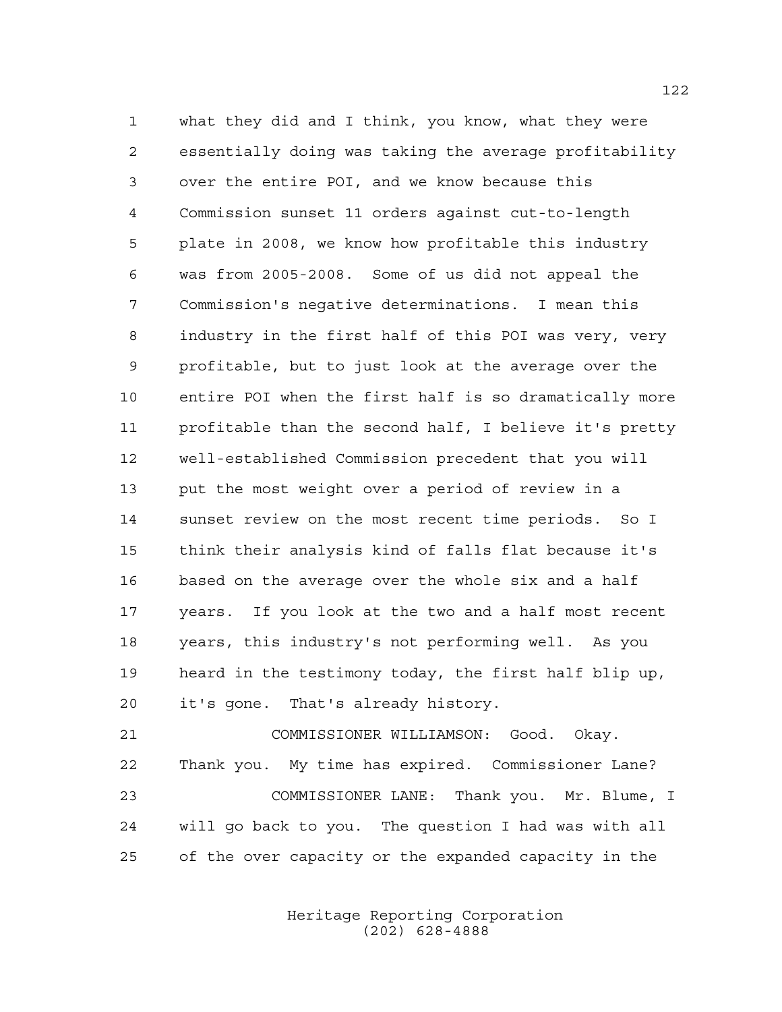what they did and I think, you know, what they were essentially doing was taking the average profitability over the entire POI, and we know because this Commission sunset 11 orders against cut-to-length plate in 2008, we know how profitable this industry was from 2005-2008. Some of us did not appeal the Commission's negative determinations. I mean this industry in the first half of this POI was very, very profitable, but to just look at the average over the entire POI when the first half is so dramatically more profitable than the second half, I believe it's pretty well-established Commission precedent that you will put the most weight over a period of review in a sunset review on the most recent time periods. So I think their analysis kind of falls flat because it's based on the average over the whole six and a half years. If you look at the two and a half most recent years, this industry's not performing well. As you heard in the testimony today, the first half blip up, it's gone. That's already history.

 COMMISSIONER WILLIAMSON: Good. Okay. Thank you. My time has expired. Commissioner Lane? COMMISSIONER LANE: Thank you. Mr. Blume, I will go back to you. The question I had was with all of the over capacity or the expanded capacity in the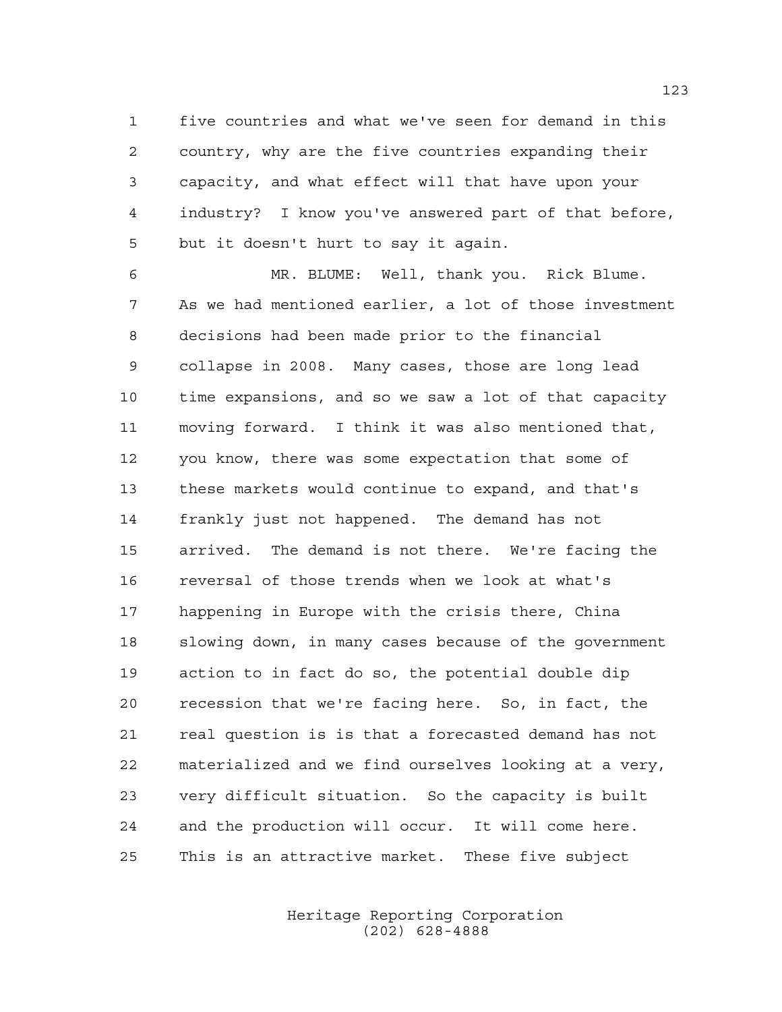five countries and what we've seen for demand in this country, why are the five countries expanding their capacity, and what effect will that have upon your industry? I know you've answered part of that before, but it doesn't hurt to say it again.

 MR. BLUME: Well, thank you. Rick Blume. As we had mentioned earlier, a lot of those investment decisions had been made prior to the financial collapse in 2008. Many cases, those are long lead time expansions, and so we saw a lot of that capacity moving forward. I think it was also mentioned that, you know, there was some expectation that some of these markets would continue to expand, and that's frankly just not happened. The demand has not arrived. The demand is not there. We're facing the reversal of those trends when we look at what's happening in Europe with the crisis there, China slowing down, in many cases because of the government action to in fact do so, the potential double dip recession that we're facing here. So, in fact, the real question is is that a forecasted demand has not materialized and we find ourselves looking at a very, very difficult situation. So the capacity is built and the production will occur. It will come here. This is an attractive market. These five subject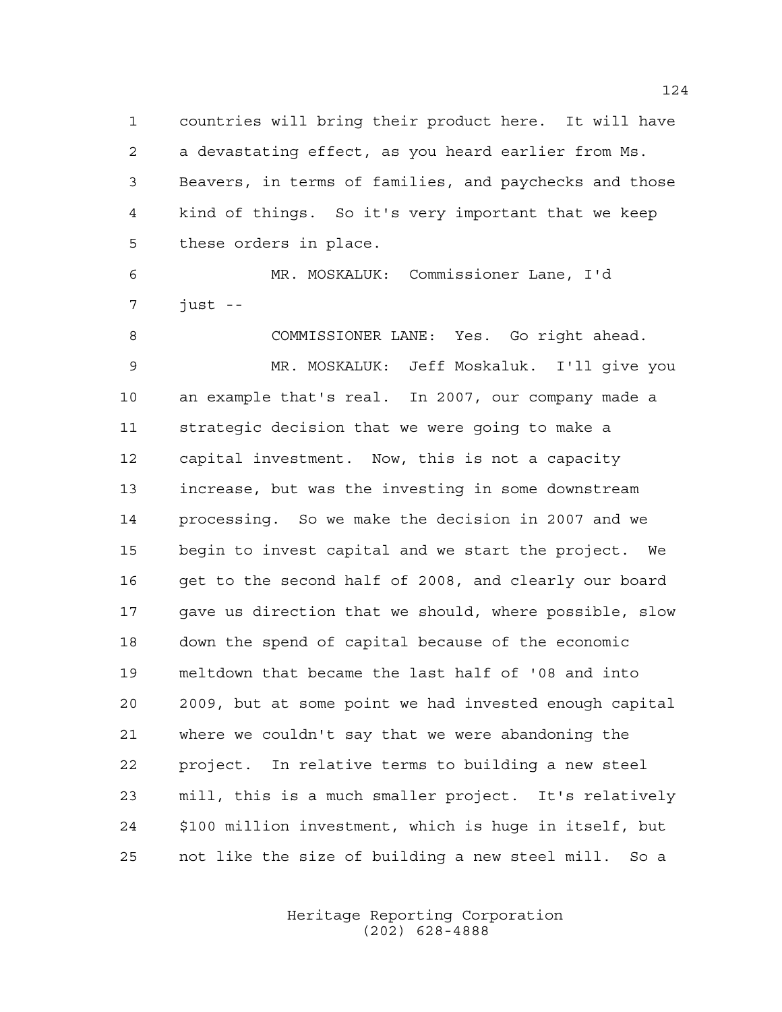countries will bring their product here. It will have a devastating effect, as you heard earlier from Ms. Beavers, in terms of families, and paychecks and those kind of things. So it's very important that we keep these orders in place.

 MR. MOSKALUK: Commissioner Lane, I'd just --

 COMMISSIONER LANE: Yes. Go right ahead. MR. MOSKALUK: Jeff Moskaluk. I'll give you an example that's real. In 2007, our company made a strategic decision that we were going to make a capital investment. Now, this is not a capacity increase, but was the investing in some downstream processing. So we make the decision in 2007 and we begin to invest capital and we start the project. We get to the second half of 2008, and clearly our board gave us direction that we should, where possible, slow down the spend of capital because of the economic meltdown that became the last half of '08 and into 2009, but at some point we had invested enough capital where we couldn't say that we were abandoning the project. In relative terms to building a new steel mill, this is a much smaller project. It's relatively \$100 million investment, which is huge in itself, but not like the size of building a new steel mill. So a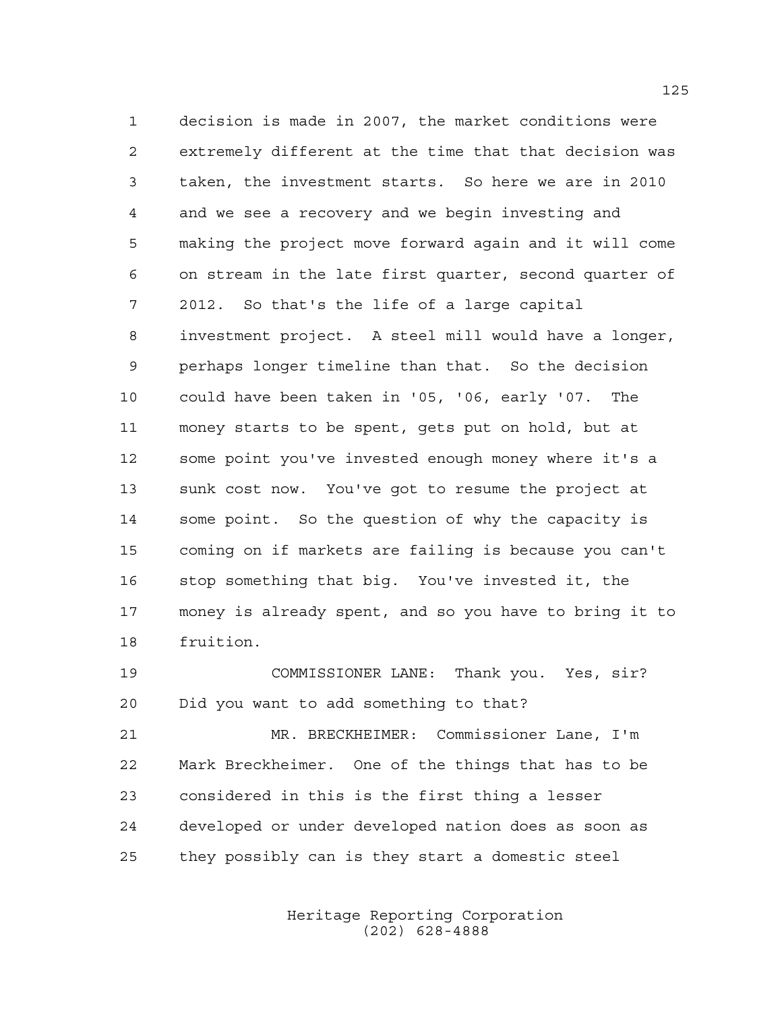decision is made in 2007, the market conditions were extremely different at the time that that decision was taken, the investment starts. So here we are in 2010 and we see a recovery and we begin investing and making the project move forward again and it will come on stream in the late first quarter, second quarter of 2012. So that's the life of a large capital investment project. A steel mill would have a longer, perhaps longer timeline than that. So the decision could have been taken in '05, '06, early '07. The money starts to be spent, gets put on hold, but at some point you've invested enough money where it's a sunk cost now. You've got to resume the project at some point. So the question of why the capacity is coming on if markets are failing is because you can't stop something that big. You've invested it, the money is already spent, and so you have to bring it to fruition.

 COMMISSIONER LANE: Thank you. Yes, sir? Did you want to add something to that?

 MR. BRECKHEIMER: Commissioner Lane, I'm Mark Breckheimer. One of the things that has to be considered in this is the first thing a lesser developed or under developed nation does as soon as they possibly can is they start a domestic steel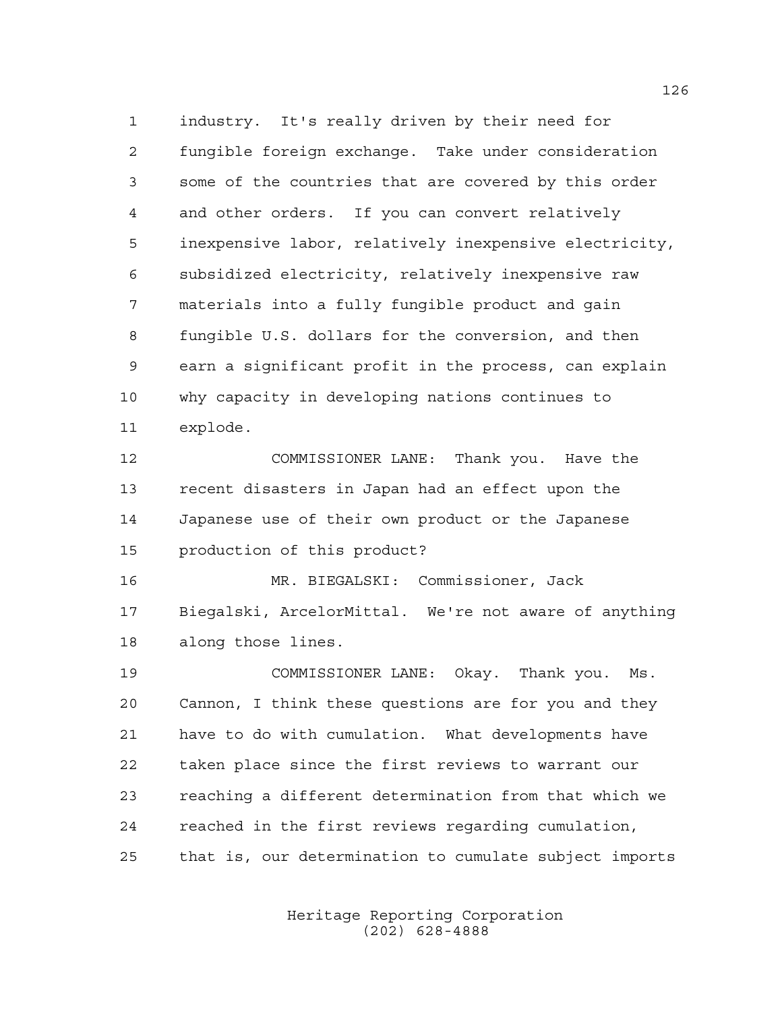industry. It's really driven by their need for fungible foreign exchange. Take under consideration some of the countries that are covered by this order and other orders. If you can convert relatively inexpensive labor, relatively inexpensive electricity, subsidized electricity, relatively inexpensive raw materials into a fully fungible product and gain fungible U.S. dollars for the conversion, and then earn a significant profit in the process, can explain why capacity in developing nations continues to explode.

 COMMISSIONER LANE: Thank you. Have the recent disasters in Japan had an effect upon the Japanese use of their own product or the Japanese production of this product?

 MR. BIEGALSKI: Commissioner, Jack Biegalski, ArcelorMittal. We're not aware of anything along those lines.

 COMMISSIONER LANE: Okay. Thank you. Ms. Cannon, I think these questions are for you and they have to do with cumulation. What developments have taken place since the first reviews to warrant our reaching a different determination from that which we reached in the first reviews regarding cumulation, that is, our determination to cumulate subject imports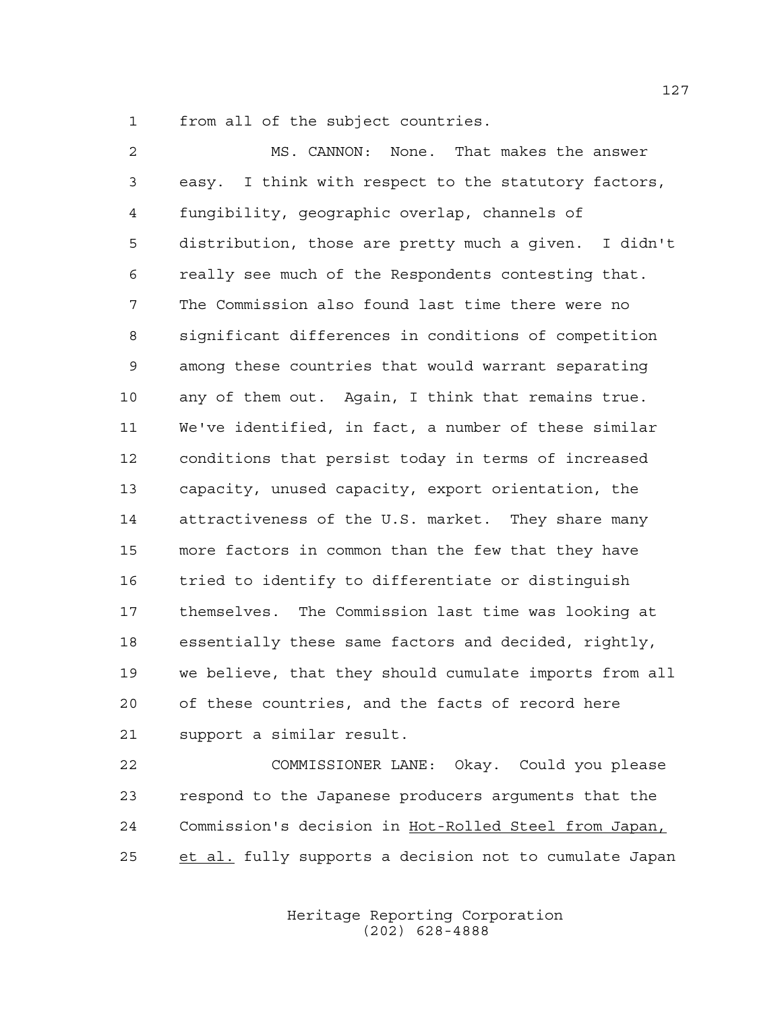from all of the subject countries.

 MS. CANNON: None. That makes the answer easy. I think with respect to the statutory factors, fungibility, geographic overlap, channels of distribution, those are pretty much a given. I didn't really see much of the Respondents contesting that. The Commission also found last time there were no significant differences in conditions of competition among these countries that would warrant separating any of them out. Again, I think that remains true. We've identified, in fact, a number of these similar conditions that persist today in terms of increased capacity, unused capacity, export orientation, the attractiveness of the U.S. market. They share many more factors in common than the few that they have tried to identify to differentiate or distinguish themselves. The Commission last time was looking at essentially these same factors and decided, rightly, we believe, that they should cumulate imports from all of these countries, and the facts of record here support a similar result.

 COMMISSIONER LANE: Okay. Could you please respond to the Japanese producers arguments that the Commission's decision in Hot-Rolled Steel from Japan, 25 et al. fully supports a decision not to cumulate Japan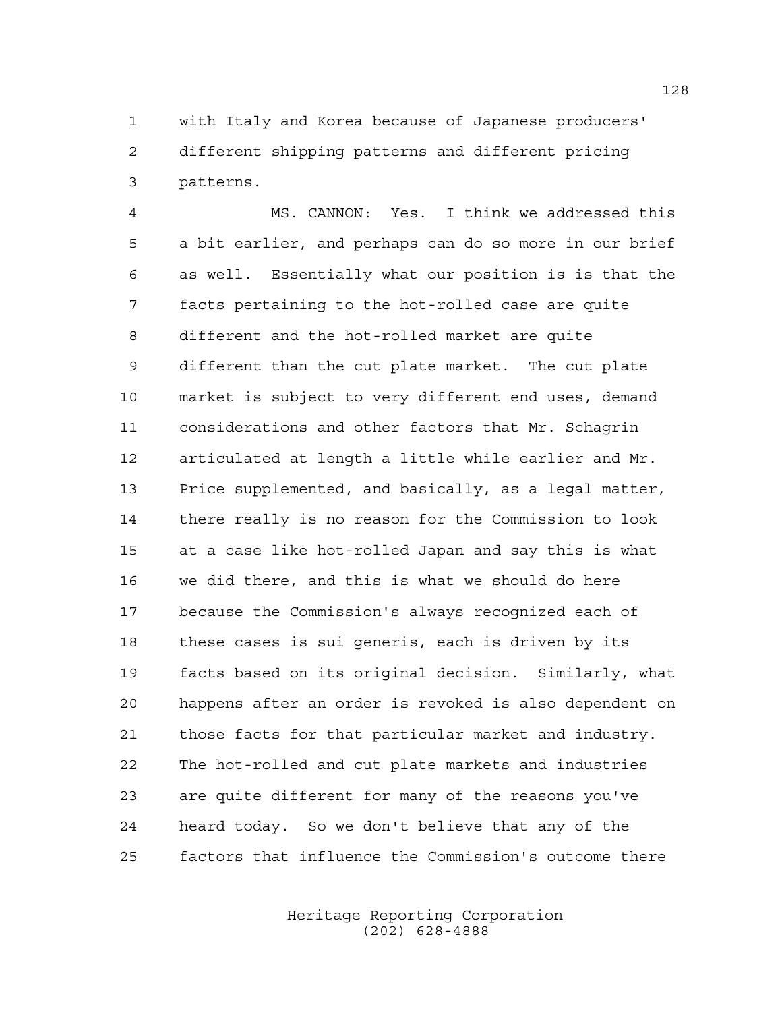with Italy and Korea because of Japanese producers' different shipping patterns and different pricing patterns.

 MS. CANNON: Yes. I think we addressed this a bit earlier, and perhaps can do so more in our brief as well. Essentially what our position is is that the facts pertaining to the hot-rolled case are quite different and the hot-rolled market are quite different than the cut plate market. The cut plate market is subject to very different end uses, demand considerations and other factors that Mr. Schagrin articulated at length a little while earlier and Mr. Price supplemented, and basically, as a legal matter, there really is no reason for the Commission to look at a case like hot-rolled Japan and say this is what we did there, and this is what we should do here because the Commission's always recognized each of these cases is sui generis, each is driven by its facts based on its original decision. Similarly, what happens after an order is revoked is also dependent on those facts for that particular market and industry. The hot-rolled and cut plate markets and industries are quite different for many of the reasons you've heard today. So we don't believe that any of the factors that influence the Commission's outcome there

> Heritage Reporting Corporation (202) 628-4888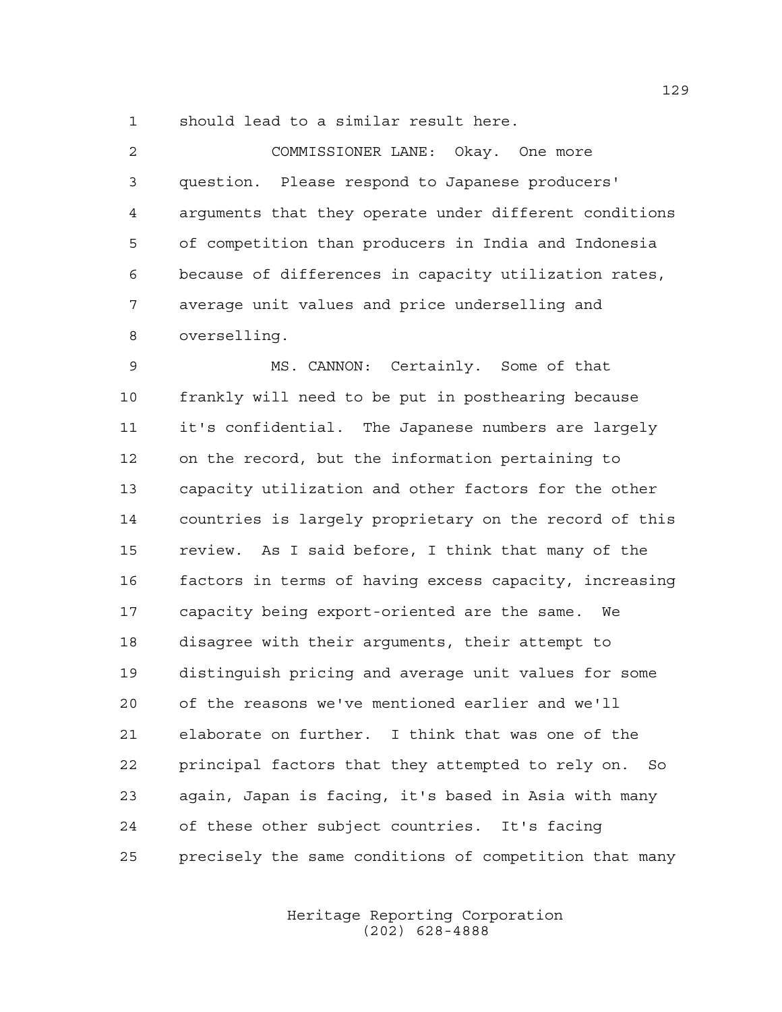should lead to a similar result here.

 COMMISSIONER LANE: Okay. One more question. Please respond to Japanese producers' arguments that they operate under different conditions of competition than producers in India and Indonesia because of differences in capacity utilization rates, average unit values and price underselling and overselling.

 MS. CANNON: Certainly. Some of that frankly will need to be put in posthearing because it's confidential. The Japanese numbers are largely on the record, but the information pertaining to capacity utilization and other factors for the other countries is largely proprietary on the record of this review. As I said before, I think that many of the factors in terms of having excess capacity, increasing capacity being export-oriented are the same. We disagree with their arguments, their attempt to distinguish pricing and average unit values for some of the reasons we've mentioned earlier and we'll elaborate on further. I think that was one of the principal factors that they attempted to rely on. So again, Japan is facing, it's based in Asia with many of these other subject countries. It's facing precisely the same conditions of competition that many

> Heritage Reporting Corporation (202) 628-4888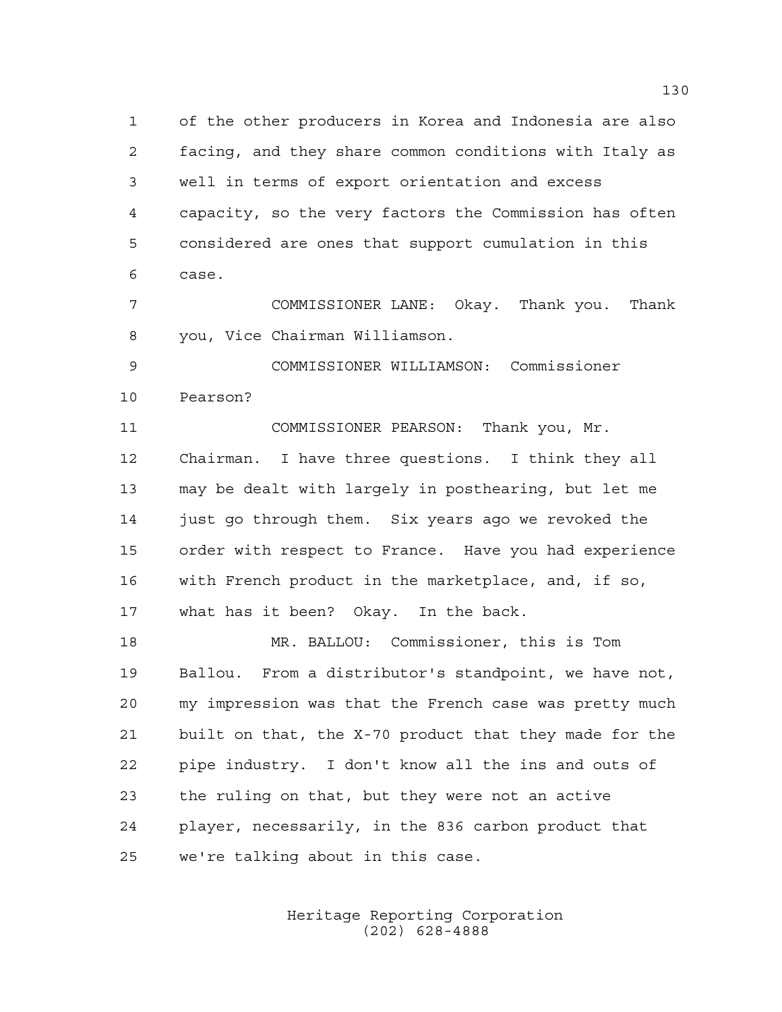of the other producers in Korea and Indonesia are also facing, and they share common conditions with Italy as well in terms of export orientation and excess capacity, so the very factors the Commission has often considered are ones that support cumulation in this case.

 COMMISSIONER LANE: Okay. Thank you. Thank you, Vice Chairman Williamson.

 COMMISSIONER WILLIAMSON: Commissioner Pearson?

 COMMISSIONER PEARSON: Thank you, Mr. Chairman. I have three questions. I think they all may be dealt with largely in posthearing, but let me just go through them. Six years ago we revoked the order with respect to France. Have you had experience with French product in the marketplace, and, if so, what has it been? Okay. In the back.

 MR. BALLOU: Commissioner, this is Tom Ballou. From a distributor's standpoint, we have not, my impression was that the French case was pretty much built on that, the X-70 product that they made for the pipe industry. I don't know all the ins and outs of the ruling on that, but they were not an active player, necessarily, in the 836 carbon product that we're talking about in this case.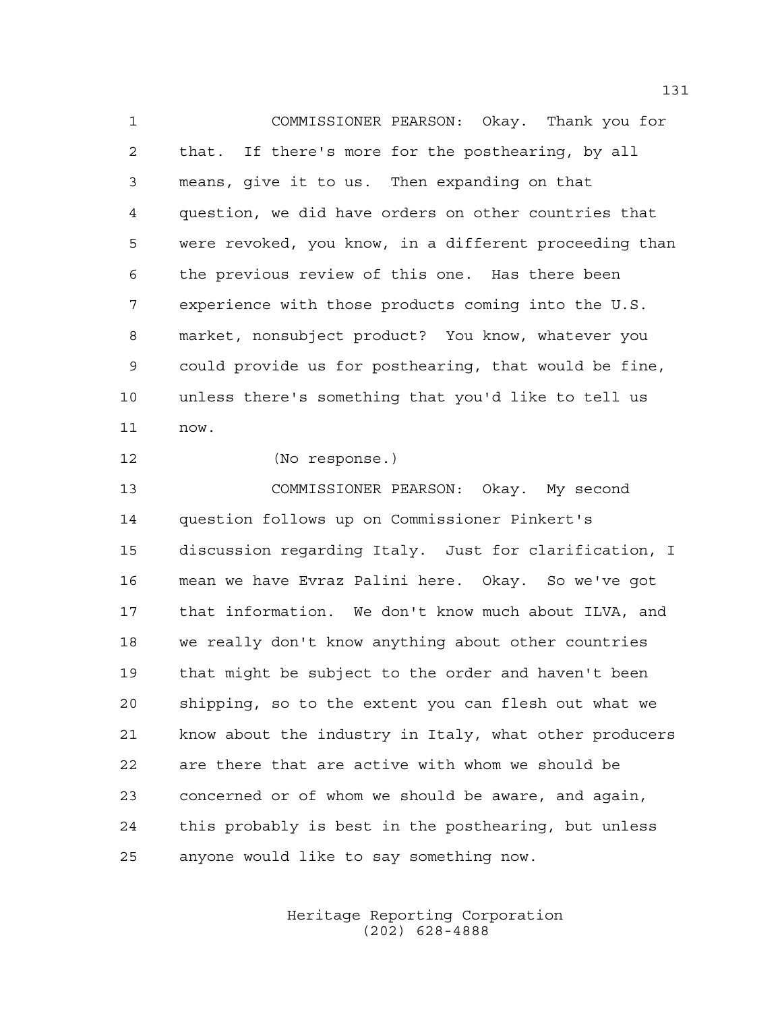COMMISSIONER PEARSON: Okay. Thank you for that. If there's more for the posthearing, by all means, give it to us. Then expanding on that question, we did have orders on other countries that were revoked, you know, in a different proceeding than the previous review of this one. Has there been experience with those products coming into the U.S. market, nonsubject product? You know, whatever you could provide us for posthearing, that would be fine, unless there's something that you'd like to tell us now.

(No response.)

 COMMISSIONER PEARSON: Okay. My second question follows up on Commissioner Pinkert's discussion regarding Italy. Just for clarification, I mean we have Evraz Palini here. Okay. So we've got that information. We don't know much about ILVA, and we really don't know anything about other countries that might be subject to the order and haven't been shipping, so to the extent you can flesh out what we know about the industry in Italy, what other producers are there that are active with whom we should be concerned or of whom we should be aware, and again, this probably is best in the posthearing, but unless anyone would like to say something now.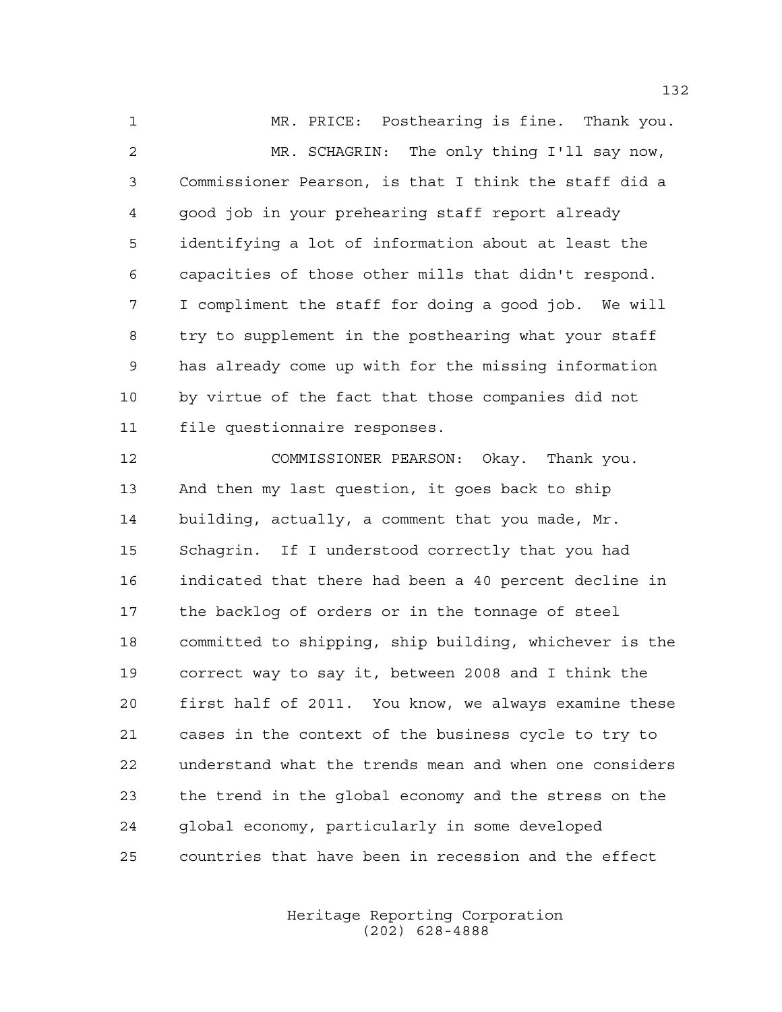MR. PRICE: Posthearing is fine. Thank you. MR. SCHAGRIN: The only thing I'll say now, Commissioner Pearson, is that I think the staff did a good job in your prehearing staff report already identifying a lot of information about at least the capacities of those other mills that didn't respond. I compliment the staff for doing a good job. We will try to supplement in the posthearing what your staff has already come up with for the missing information by virtue of the fact that those companies did not file questionnaire responses.

 COMMISSIONER PEARSON: Okay. Thank you. And then my last question, it goes back to ship building, actually, a comment that you made, Mr. Schagrin. If I understood correctly that you had indicated that there had been a 40 percent decline in the backlog of orders or in the tonnage of steel committed to shipping, ship building, whichever is the correct way to say it, between 2008 and I think the first half of 2011. You know, we always examine these cases in the context of the business cycle to try to understand what the trends mean and when one considers the trend in the global economy and the stress on the global economy, particularly in some developed countries that have been in recession and the effect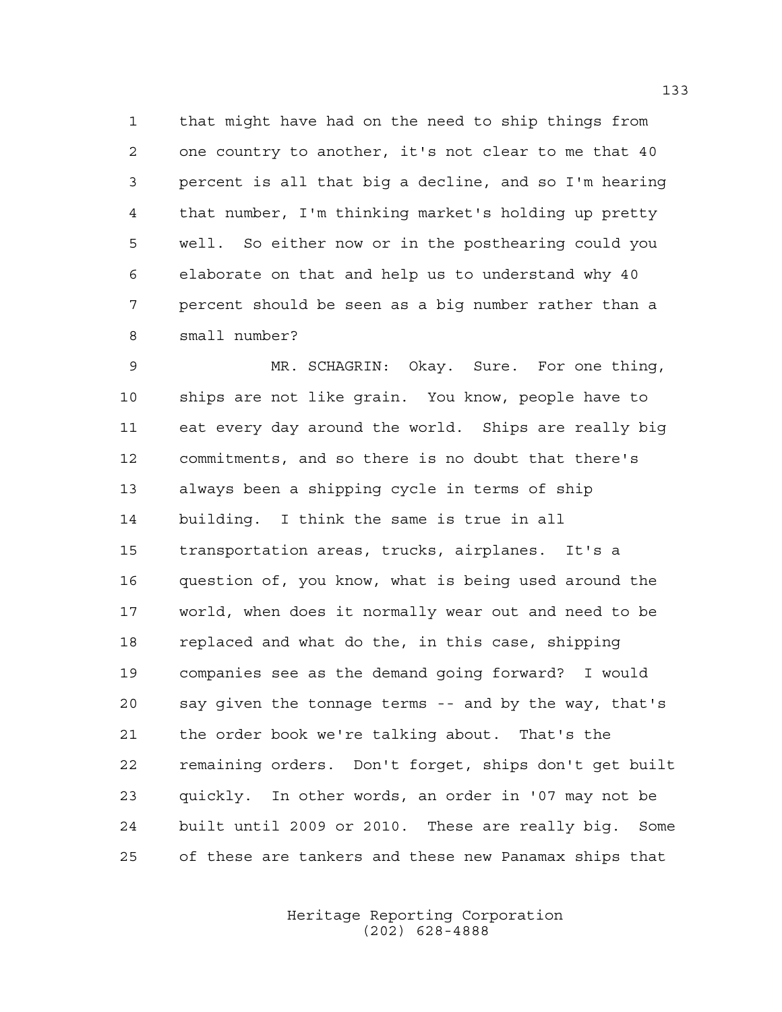that might have had on the need to ship things from one country to another, it's not clear to me that 40 percent is all that big a decline, and so I'm hearing that number, I'm thinking market's holding up pretty well. So either now or in the posthearing could you elaborate on that and help us to understand why 40 percent should be seen as a big number rather than a small number?

 MR. SCHAGRIN: Okay. Sure. For one thing, ships are not like grain. You know, people have to eat every day around the world. Ships are really big commitments, and so there is no doubt that there's always been a shipping cycle in terms of ship building. I think the same is true in all transportation areas, trucks, airplanes. It's a question of, you know, what is being used around the world, when does it normally wear out and need to be replaced and what do the, in this case, shipping companies see as the demand going forward? I would say given the tonnage terms -- and by the way, that's the order book we're talking about. That's the remaining orders. Don't forget, ships don't get built quickly. In other words, an order in '07 may not be built until 2009 or 2010. These are really big. Some of these are tankers and these new Panamax ships that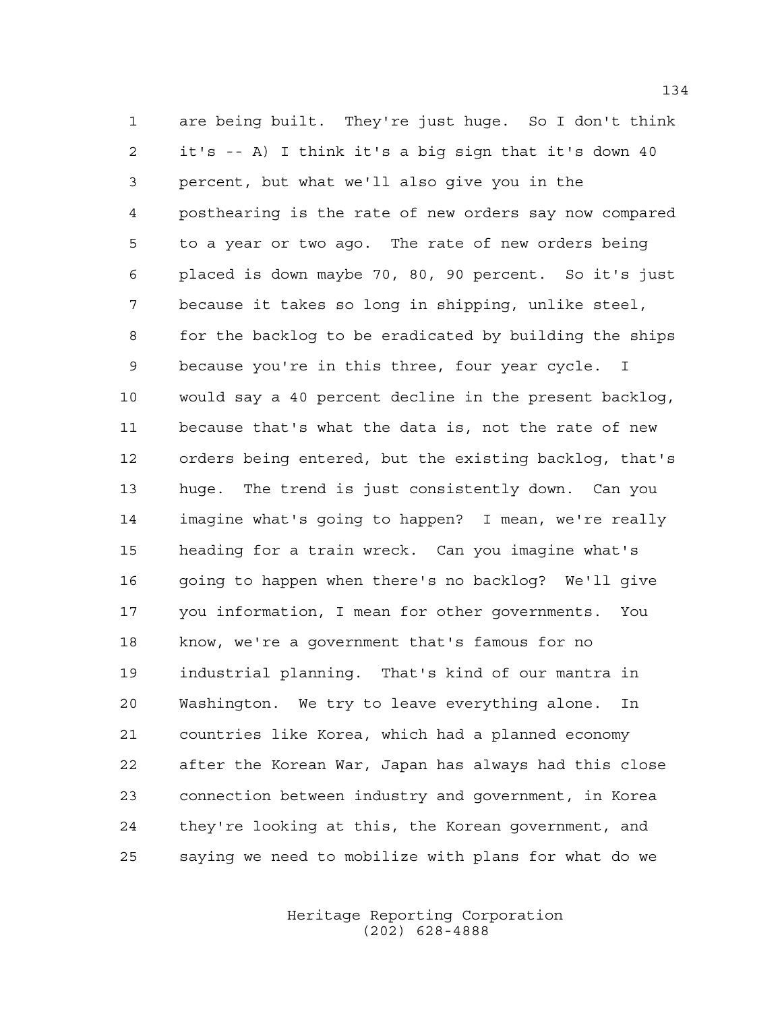are being built. They're just huge. So I don't think it's -- A) I think it's a big sign that it's down 40 percent, but what we'll also give you in the posthearing is the rate of new orders say now compared to a year or two ago. The rate of new orders being placed is down maybe 70, 80, 90 percent. So it's just because it takes so long in shipping, unlike steel, for the backlog to be eradicated by building the ships because you're in this three, four year cycle. I would say a 40 percent decline in the present backlog, because that's what the data is, not the rate of new orders being entered, but the existing backlog, that's huge. The trend is just consistently down. Can you imagine what's going to happen? I mean, we're really heading for a train wreck. Can you imagine what's going to happen when there's no backlog? We'll give you information, I mean for other governments. You know, we're a government that's famous for no industrial planning. That's kind of our mantra in Washington. We try to leave everything alone. In countries like Korea, which had a planned economy after the Korean War, Japan has always had this close connection between industry and government, in Korea they're looking at this, the Korean government, and saying we need to mobilize with plans for what do we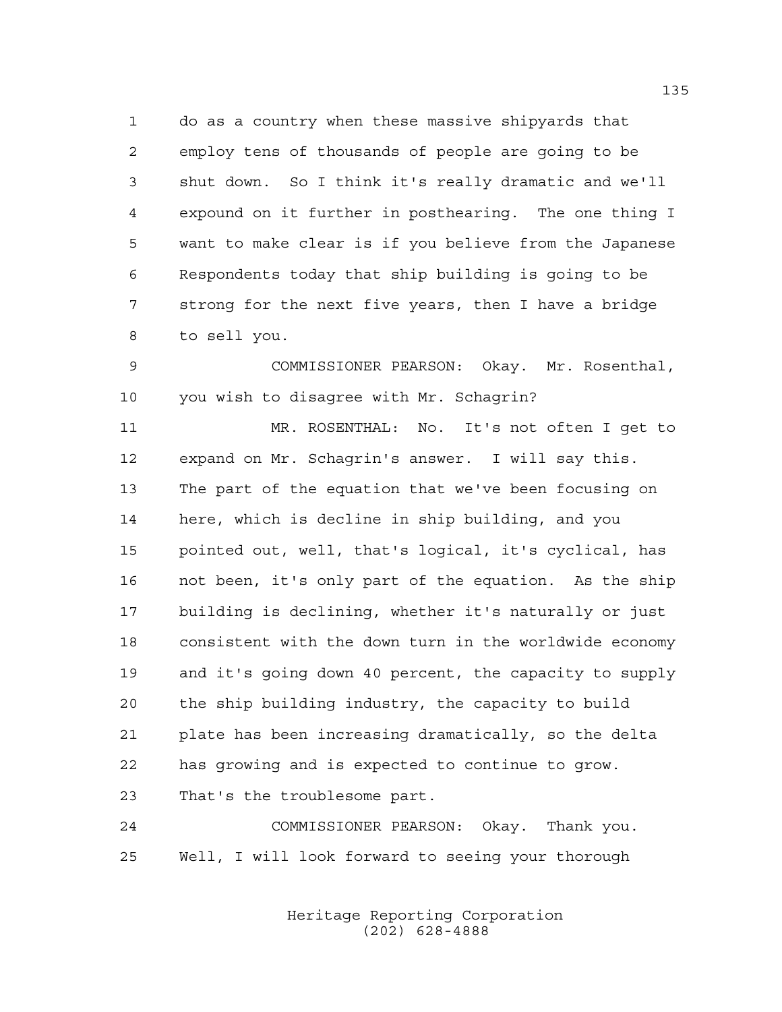do as a country when these massive shipyards that employ tens of thousands of people are going to be shut down. So I think it's really dramatic and we'll expound on it further in posthearing. The one thing I want to make clear is if you believe from the Japanese Respondents today that ship building is going to be strong for the next five years, then I have a bridge to sell you.

 COMMISSIONER PEARSON: Okay. Mr. Rosenthal, 10 you wish to disagree with Mr. Schagrin?

 MR. ROSENTHAL: No. It's not often I get to expand on Mr. Schagrin's answer. I will say this. The part of the equation that we've been focusing on here, which is decline in ship building, and you pointed out, well, that's logical, it's cyclical, has not been, it's only part of the equation. As the ship building is declining, whether it's naturally or just consistent with the down turn in the worldwide economy and it's going down 40 percent, the capacity to supply the ship building industry, the capacity to build plate has been increasing dramatically, so the delta has growing and is expected to continue to grow. That's the troublesome part.

 COMMISSIONER PEARSON: Okay. Thank you. Well, I will look forward to seeing your thorough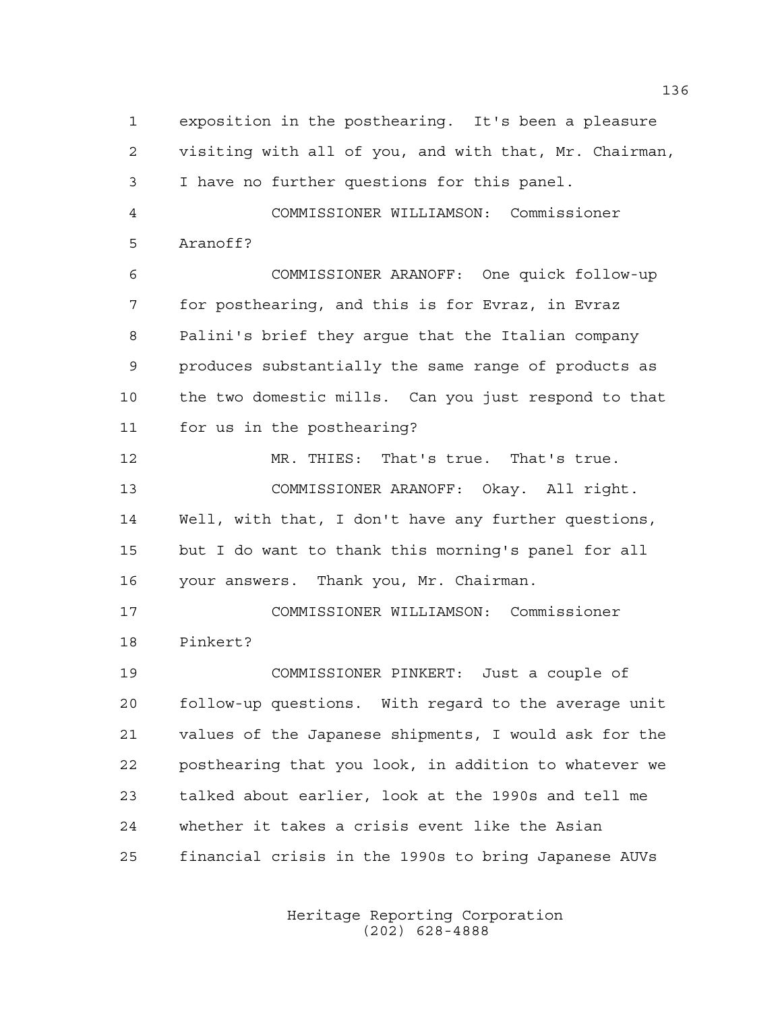exposition in the posthearing. It's been a pleasure visiting with all of you, and with that, Mr. Chairman, I have no further questions for this panel. COMMISSIONER WILLIAMSON: Commissioner Aranoff? COMMISSIONER ARANOFF: One quick follow-up for posthearing, and this is for Evraz, in Evraz Palini's brief they argue that the Italian company produces substantially the same range of products as the two domestic mills. Can you just respond to that for us in the posthearing? MR. THIES: That's true. That's true. COMMISSIONER ARANOFF: Okay. All right. Well, with that, I don't have any further questions, but I do want to thank this morning's panel for all your answers. Thank you, Mr. Chairman. COMMISSIONER WILLIAMSON: Commissioner Pinkert? COMMISSIONER PINKERT: Just a couple of follow-up questions. With regard to the average unit values of the Japanese shipments, I would ask for the posthearing that you look, in addition to whatever we talked about earlier, look at the 1990s and tell me whether it takes a crisis event like the Asian financial crisis in the 1990s to bring Japanese AUVs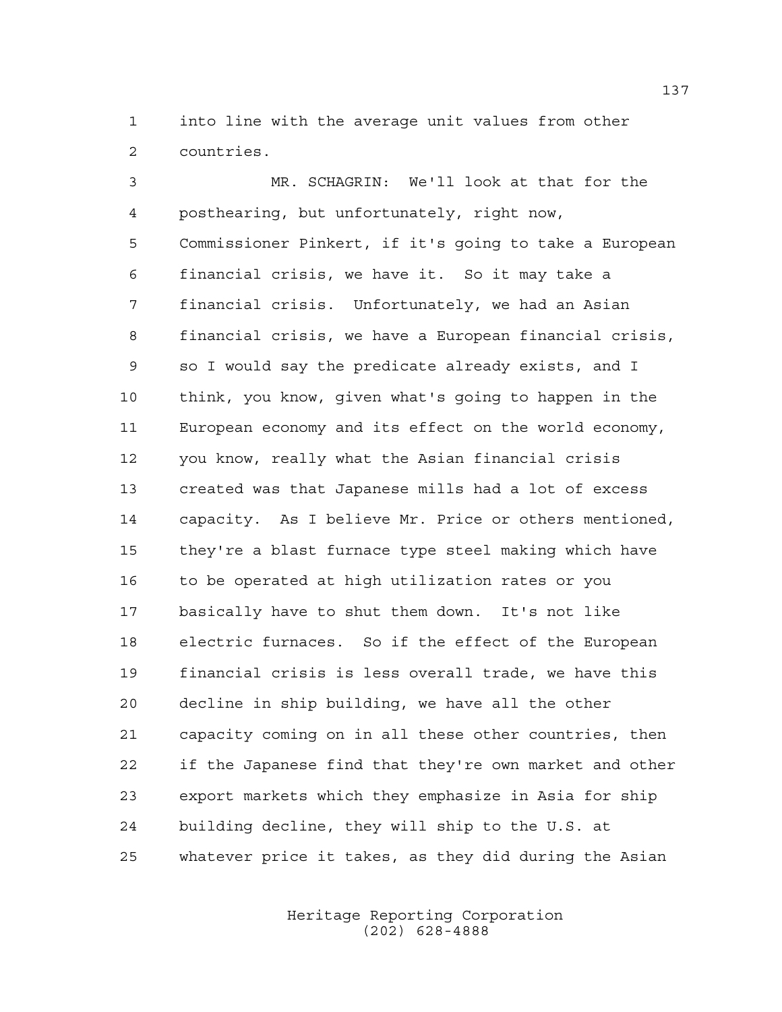into line with the average unit values from other countries.

 MR. SCHAGRIN: We'll look at that for the posthearing, but unfortunately, right now, Commissioner Pinkert, if it's going to take a European financial crisis, we have it. So it may take a financial crisis. Unfortunately, we had an Asian financial crisis, we have a European financial crisis, so I would say the predicate already exists, and I think, you know, given what's going to happen in the European economy and its effect on the world economy, you know, really what the Asian financial crisis created was that Japanese mills had a lot of excess capacity. As I believe Mr. Price or others mentioned, they're a blast furnace type steel making which have to be operated at high utilization rates or you basically have to shut them down. It's not like electric furnaces. So if the effect of the European financial crisis is less overall trade, we have this decline in ship building, we have all the other capacity coming on in all these other countries, then if the Japanese find that they're own market and other export markets which they emphasize in Asia for ship building decline, they will ship to the U.S. at whatever price it takes, as they did during the Asian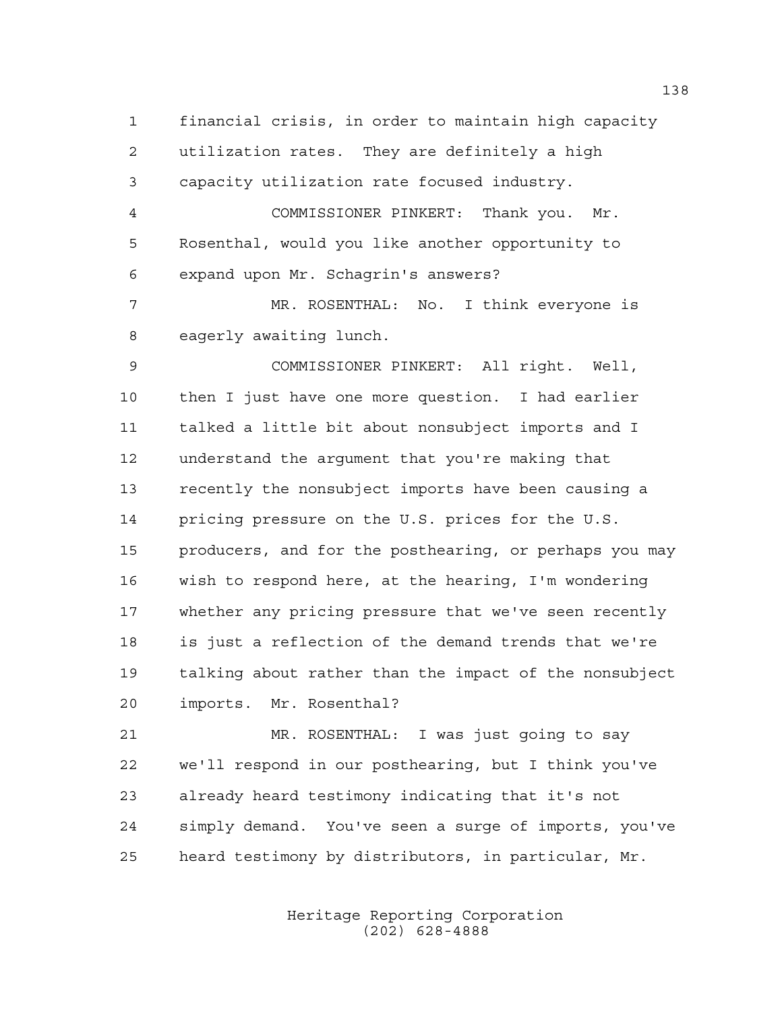financial crisis, in order to maintain high capacity utilization rates. They are definitely a high capacity utilization rate focused industry. COMMISSIONER PINKERT: Thank you. Mr. Rosenthal, would you like another opportunity to expand upon Mr. Schagrin's answers? MR. ROSENTHAL: No. I think everyone is eagerly awaiting lunch. COMMISSIONER PINKERT: All right. Well, then I just have one more question. I had earlier talked a little bit about nonsubject imports and I understand the argument that you're making that recently the nonsubject imports have been causing a pricing pressure on the U.S. prices for the U.S. producers, and for the posthearing, or perhaps you may wish to respond here, at the hearing, I'm wondering whether any pricing pressure that we've seen recently is just a reflection of the demand trends that we're talking about rather than the impact of the nonsubject imports. Mr. Rosenthal?

 MR. ROSENTHAL: I was just going to say we'll respond in our posthearing, but I think you've already heard testimony indicating that it's not simply demand. You've seen a surge of imports, you've heard testimony by distributors, in particular, Mr.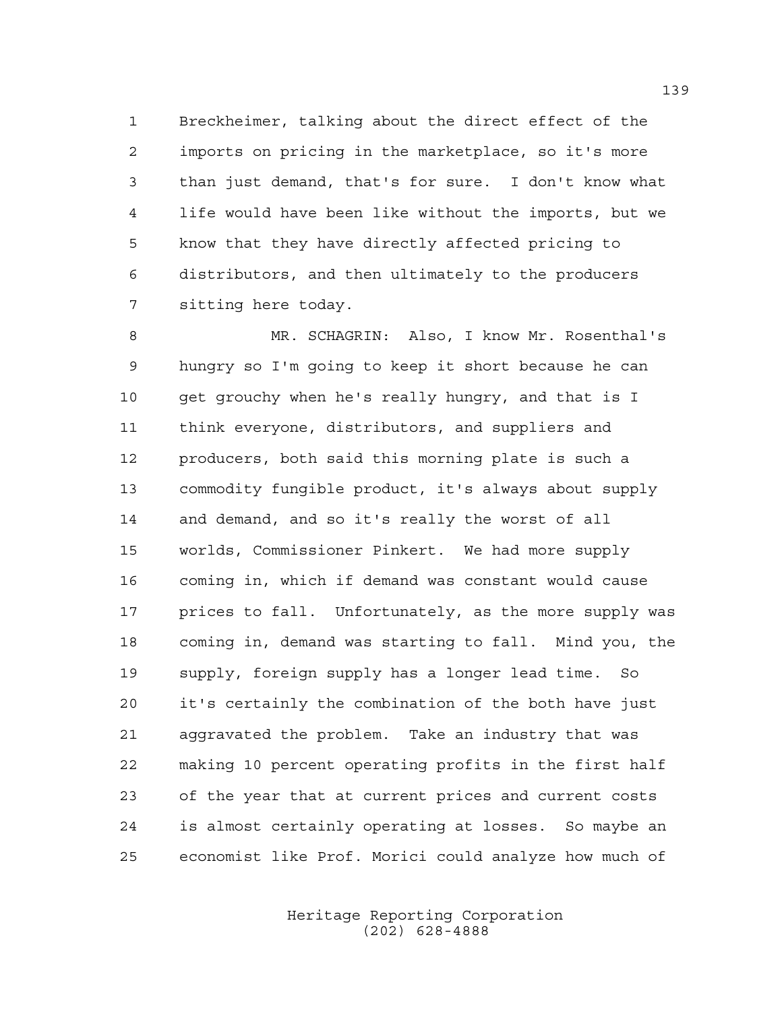Breckheimer, talking about the direct effect of the imports on pricing in the marketplace, so it's more than just demand, that's for sure. I don't know what life would have been like without the imports, but we know that they have directly affected pricing to distributors, and then ultimately to the producers sitting here today.

 MR. SCHAGRIN: Also, I know Mr. Rosenthal's hungry so I'm going to keep it short because he can get grouchy when he's really hungry, and that is I think everyone, distributors, and suppliers and producers, both said this morning plate is such a commodity fungible product, it's always about supply and demand, and so it's really the worst of all worlds, Commissioner Pinkert. We had more supply coming in, which if demand was constant would cause prices to fall. Unfortunately, as the more supply was coming in, demand was starting to fall. Mind you, the supply, foreign supply has a longer lead time. So it's certainly the combination of the both have just aggravated the problem. Take an industry that was making 10 percent operating profits in the first half of the year that at current prices and current costs is almost certainly operating at losses. So maybe an economist like Prof. Morici could analyze how much of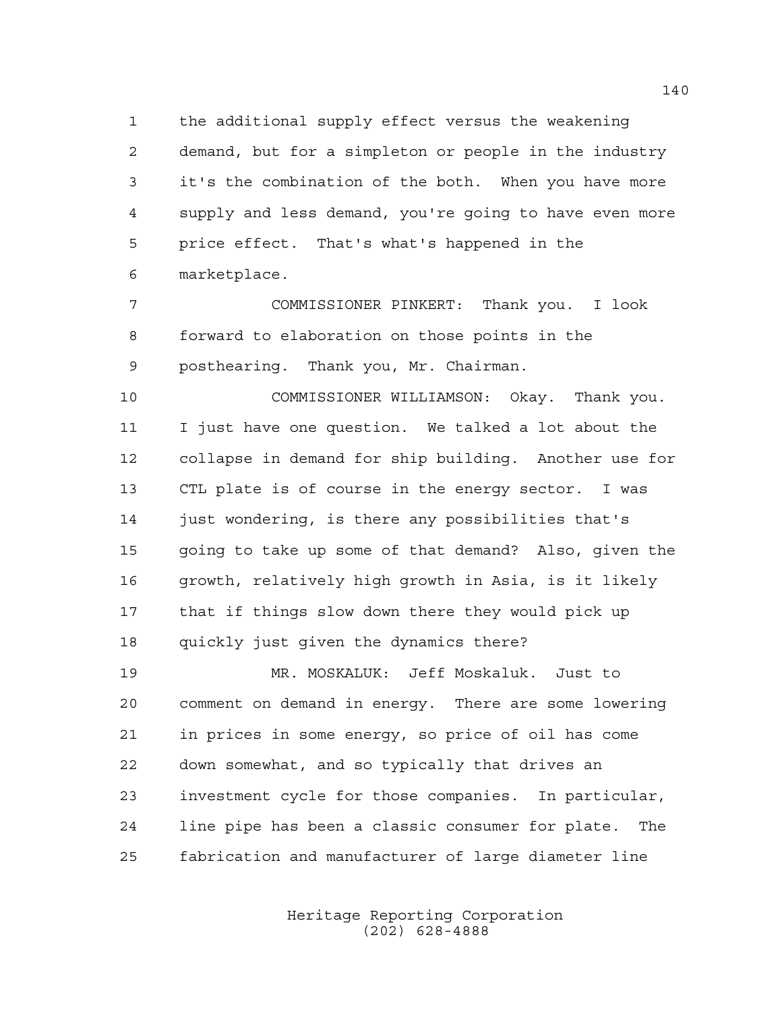the additional supply effect versus the weakening demand, but for a simpleton or people in the industry it's the combination of the both. When you have more supply and less demand, you're going to have even more price effect. That's what's happened in the marketplace.

 COMMISSIONER PINKERT: Thank you. I look forward to elaboration on those points in the posthearing. Thank you, Mr. Chairman.

 COMMISSIONER WILLIAMSON: Okay. Thank you. I just have one question. We talked a lot about the collapse in demand for ship building. Another use for CTL plate is of course in the energy sector. I was just wondering, is there any possibilities that's going to take up some of that demand? Also, given the growth, relatively high growth in Asia, is it likely that if things slow down there they would pick up quickly just given the dynamics there?

 MR. MOSKALUK: Jeff Moskaluk. Just to comment on demand in energy. There are some lowering in prices in some energy, so price of oil has come down somewhat, and so typically that drives an investment cycle for those companies. In particular, line pipe has been a classic consumer for plate. The fabrication and manufacturer of large diameter line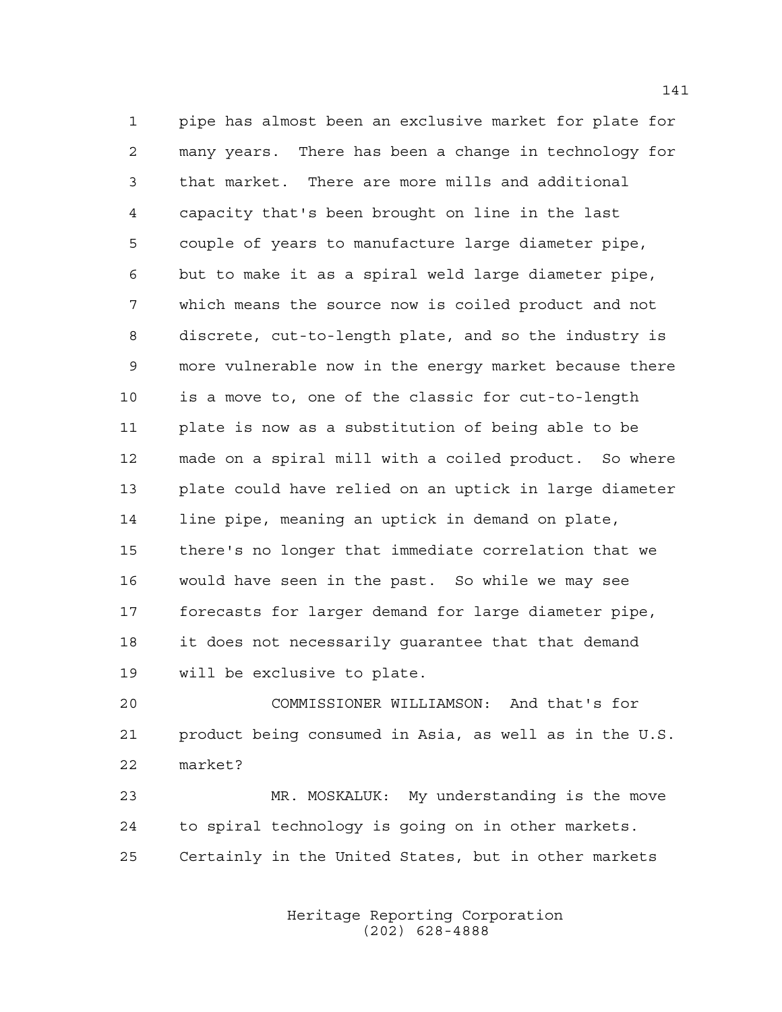pipe has almost been an exclusive market for plate for many years. There has been a change in technology for that market. There are more mills and additional capacity that's been brought on line in the last couple of years to manufacture large diameter pipe, but to make it as a spiral weld large diameter pipe, which means the source now is coiled product and not discrete, cut-to-length plate, and so the industry is more vulnerable now in the energy market because there is a move to, one of the classic for cut-to-length plate is now as a substitution of being able to be made on a spiral mill with a coiled product. So where plate could have relied on an uptick in large diameter line pipe, meaning an uptick in demand on plate, there's no longer that immediate correlation that we would have seen in the past. So while we may see forecasts for larger demand for large diameter pipe, it does not necessarily guarantee that that demand will be exclusive to plate.

 COMMISSIONER WILLIAMSON: And that's for product being consumed in Asia, as well as in the U.S. market?

 MR. MOSKALUK: My understanding is the move to spiral technology is going on in other markets. Certainly in the United States, but in other markets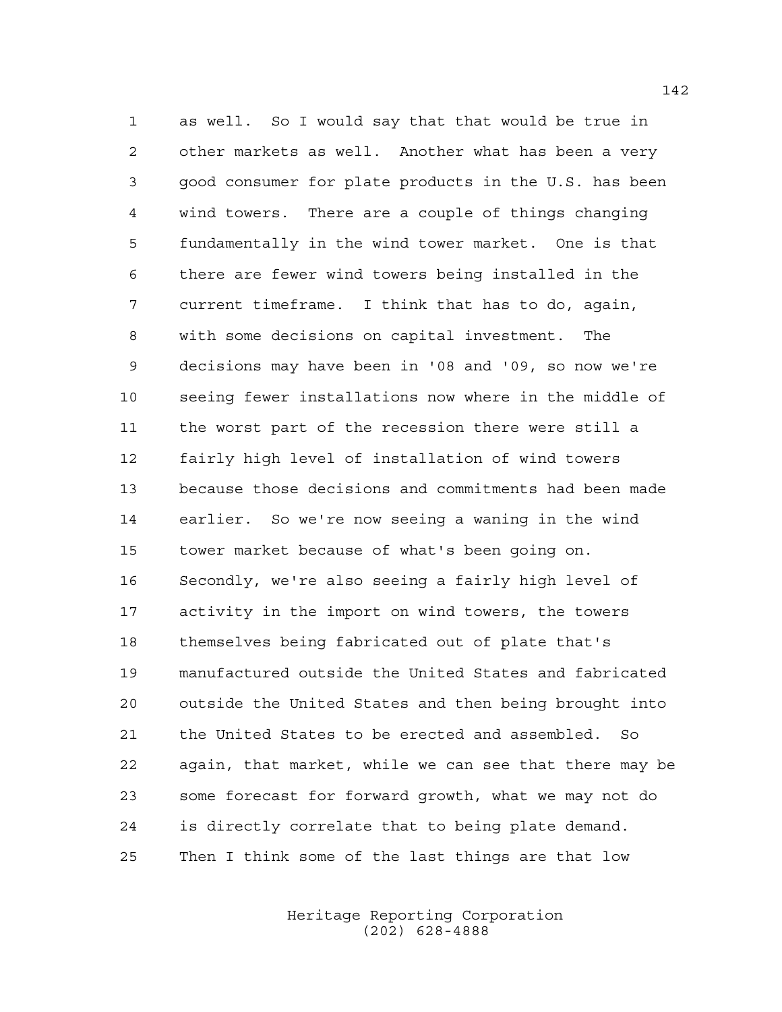as well. So I would say that that would be true in other markets as well. Another what has been a very good consumer for plate products in the U.S. has been wind towers. There are a couple of things changing fundamentally in the wind tower market. One is that there are fewer wind towers being installed in the current timeframe. I think that has to do, again, with some decisions on capital investment. The decisions may have been in '08 and '09, so now we're seeing fewer installations now where in the middle of the worst part of the recession there were still a fairly high level of installation of wind towers because those decisions and commitments had been made earlier. So we're now seeing a waning in the wind tower market because of what's been going on. Secondly, we're also seeing a fairly high level of activity in the import on wind towers, the towers themselves being fabricated out of plate that's manufactured outside the United States and fabricated outside the United States and then being brought into the United States to be erected and assembled. So again, that market, while we can see that there may be some forecast for forward growth, what we may not do is directly correlate that to being plate demand. Then I think some of the last things are that low

> Heritage Reporting Corporation (202) 628-4888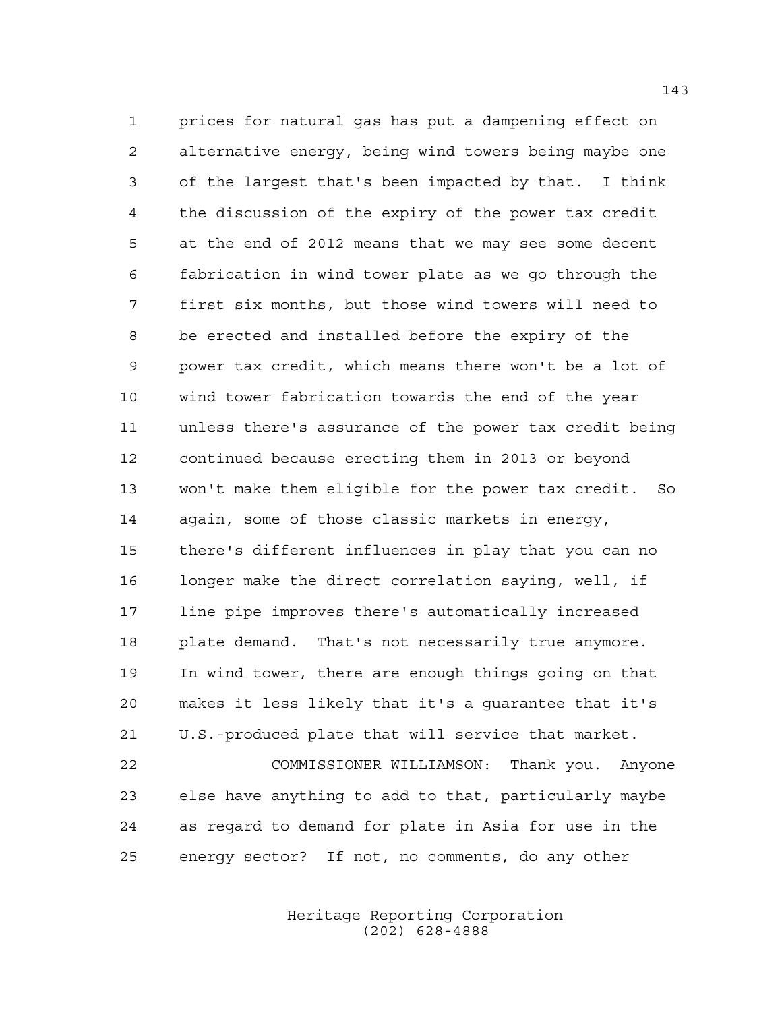prices for natural gas has put a dampening effect on alternative energy, being wind towers being maybe one of the largest that's been impacted by that. I think the discussion of the expiry of the power tax credit at the end of 2012 means that we may see some decent fabrication in wind tower plate as we go through the first six months, but those wind towers will need to be erected and installed before the expiry of the power tax credit, which means there won't be a lot of wind tower fabrication towards the end of the year unless there's assurance of the power tax credit being continued because erecting them in 2013 or beyond won't make them eligible for the power tax credit. So again, some of those classic markets in energy, there's different influences in play that you can no longer make the direct correlation saying, well, if line pipe improves there's automatically increased plate demand. That's not necessarily true anymore. In wind tower, there are enough things going on that makes it less likely that it's a guarantee that it's U.S.-produced plate that will service that market. COMMISSIONER WILLIAMSON: Thank you. Anyone

 else have anything to add to that, particularly maybe as regard to demand for plate in Asia for use in the energy sector? If not, no comments, do any other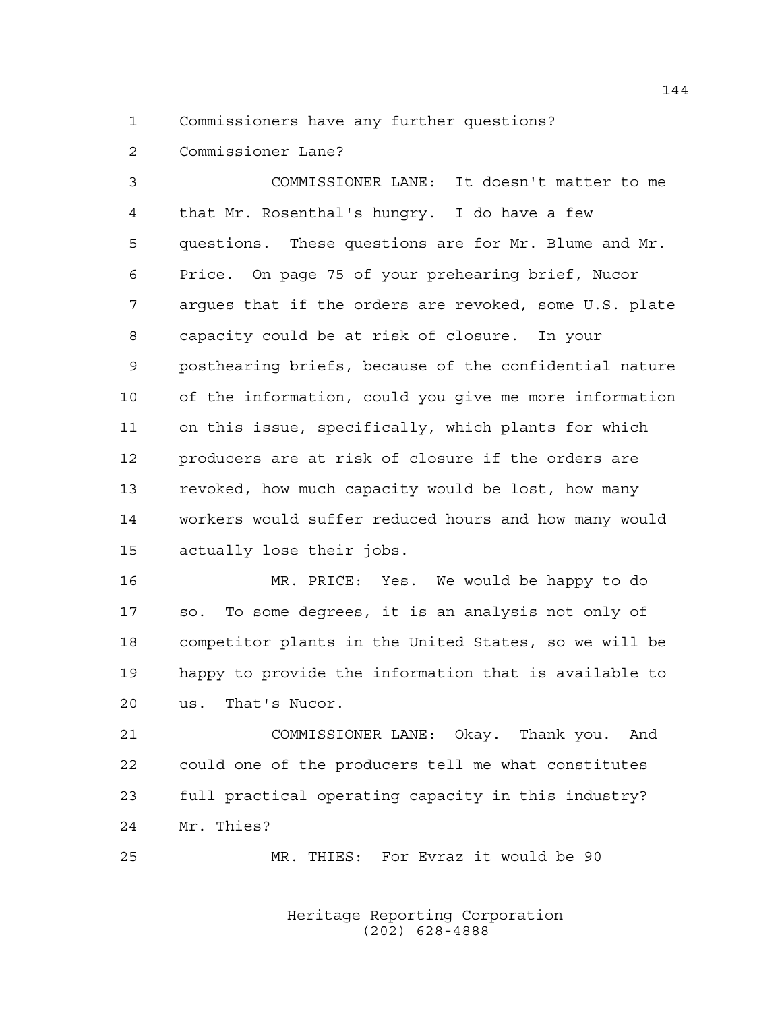Commissioners have any further questions?

Commissioner Lane?

 COMMISSIONER LANE: It doesn't matter to me that Mr. Rosenthal's hungry. I do have a few questions. These questions are for Mr. Blume and Mr. Price. On page 75 of your prehearing brief, Nucor argues that if the orders are revoked, some U.S. plate capacity could be at risk of closure. In your posthearing briefs, because of the confidential nature of the information, could you give me more information on this issue, specifically, which plants for which producers are at risk of closure if the orders are revoked, how much capacity would be lost, how many workers would suffer reduced hours and how many would actually lose their jobs.

 MR. PRICE: Yes. We would be happy to do so. To some degrees, it is an analysis not only of competitor plants in the United States, so we will be happy to provide the information that is available to us. That's Nucor.

 COMMISSIONER LANE: Okay. Thank you. And could one of the producers tell me what constitutes full practical operating capacity in this industry? Mr. Thies?

MR. THIES: For Evraz it would be 90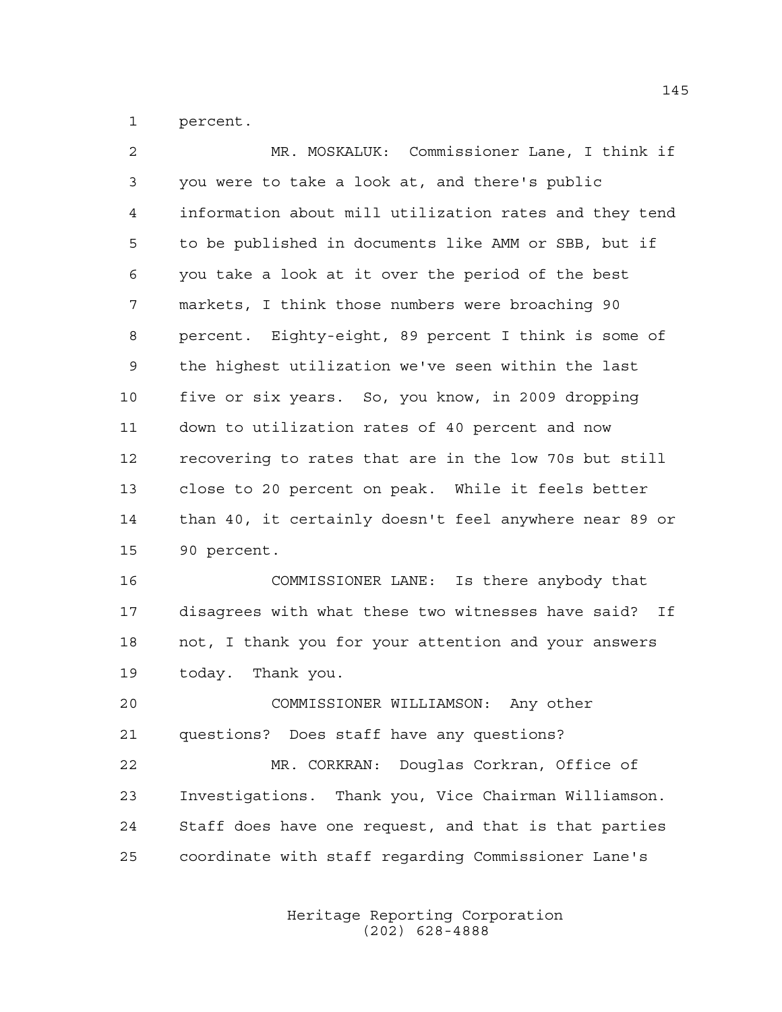percent.

| $\overline{2}$ | MR. MOSKALUK: Commissioner Lane, I think if            |
|----------------|--------------------------------------------------------|
| 3              | you were to take a look at, and there's public         |
| 4              | information about mill utilization rates and they tend |
| 5              | to be published in documents like AMM or SBB, but if   |
| 6              | you take a look at it over the period of the best      |
| 7              | markets, I think those numbers were broaching 90       |
| 8              | percent. Eighty-eight, 89 percent I think is some of   |
| 9              | the highest utilization we've seen within the last     |
| 10             | five or six years. So, you know, in 2009 dropping      |
| 11             | down to utilization rates of 40 percent and now        |
| 12             | recovering to rates that are in the low 70s but still  |
| 13             | close to 20 percent on peak. While it feels better     |
| 14             | than 40, it certainly doesn't feel anywhere near 89 or |
| 15             | 90 percent.                                            |
| 16             | COMMISSIONER LANE: Is there anybody that               |
| 17             | disagrees with what these two witnesses have said? If  |
| 18             | not, I thank you for your attention and your answers   |
| 19             | today. Thank you.                                      |
| 20             | COMMISSIONER WILLIAMSON:<br>Any other                  |
| 21             | questions? Does staff have any questions?              |
| 22             | MR. CORKRAN: Douglas Corkran, Office of                |
| 23             | Investigations. Thank you, Vice Chairman Williamson.   |
| 24             | Staff does have one request, and that is that parties  |
| 25             | coordinate with staff regarding Commissioner Lane's    |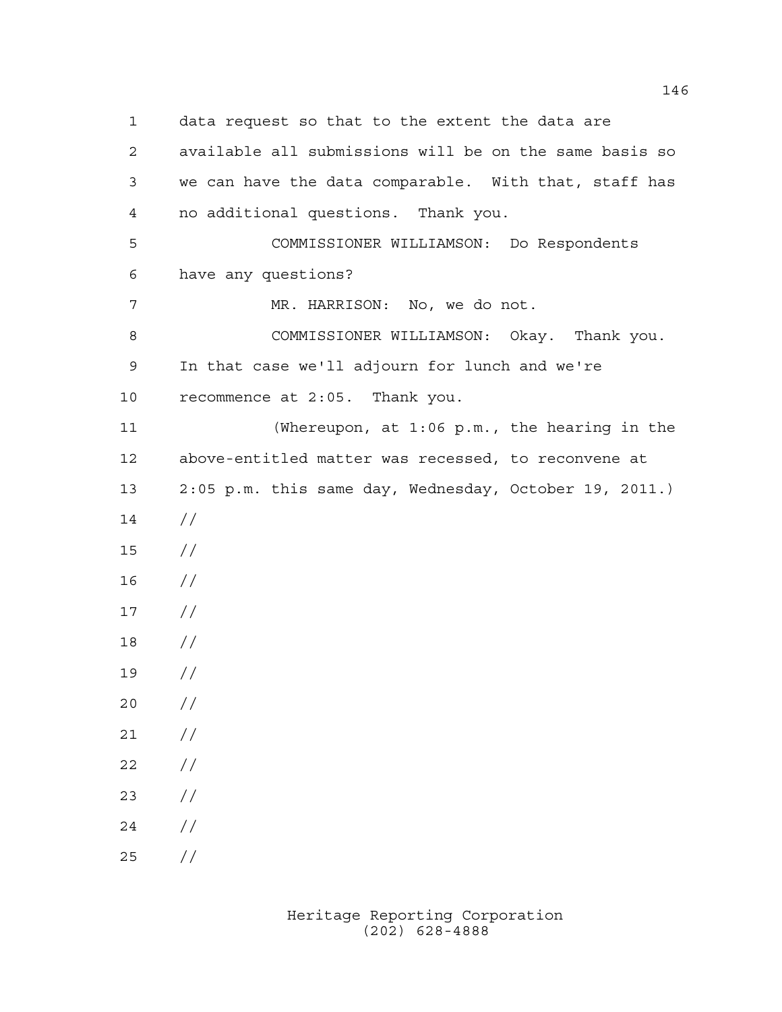data request so that to the extent the data are available all submissions will be on the same basis so we can have the data comparable. With that, staff has no additional questions. Thank you. COMMISSIONER WILLIAMSON: Do Respondents have any questions? MR. HARRISON: No, we do not. COMMISSIONER WILLIAMSON: Okay. Thank you. In that case we'll adjourn for lunch and we're recommence at 2:05. Thank you. (Whereupon, at 1:06 p.m., the hearing in the above-entitled matter was recessed, to reconvene at 2:05 p.m. this same day, Wednesday, October 19, 2011.)  $14 /$  // //  $17 /$  // //  $20 /$  $21 /$  $22 / /$  //  $24 /$  $25 / /$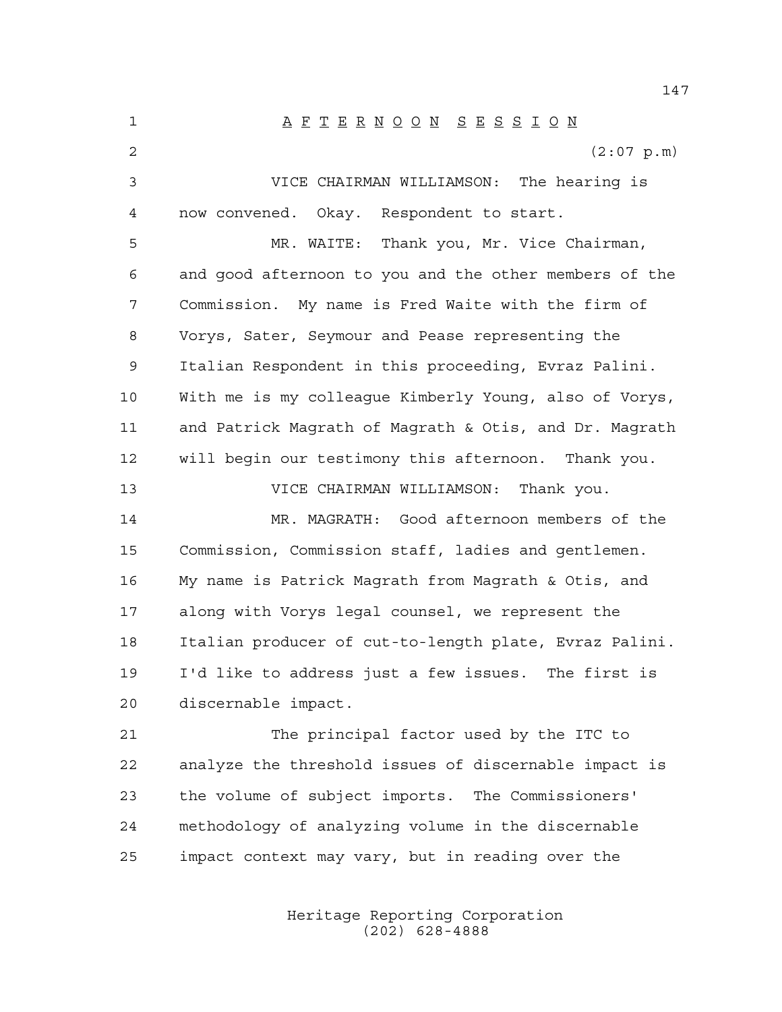A F T E R N O O N S E S S I O N  $(2:07 \text{ p.m})$  VICE CHAIRMAN WILLIAMSON: The hearing is now convened. Okay. Respondent to start. MR. WAITE: Thank you, Mr. Vice Chairman, and good afternoon to you and the other members of the Commission. My name is Fred Waite with the firm of Vorys, Sater, Seymour and Pease representing the Italian Respondent in this proceeding, Evraz Palini. With me is my colleague Kimberly Young, also of Vorys, and Patrick Magrath of Magrath & Otis, and Dr. Magrath will begin our testimony this afternoon. Thank you. VICE CHAIRMAN WILLIAMSON: Thank you. MR. MAGRATH: Good afternoon members of the Commission, Commission staff, ladies and gentlemen. My name is Patrick Magrath from Magrath & Otis, and along with Vorys legal counsel, we represent the Italian producer of cut-to-length plate, Evraz Palini. I'd like to address just a few issues. The first is discernable impact. The principal factor used by the ITC to analyze the threshold issues of discernable impact is the volume of subject imports. The Commissioners' methodology of analyzing volume in the discernable impact context may vary, but in reading over the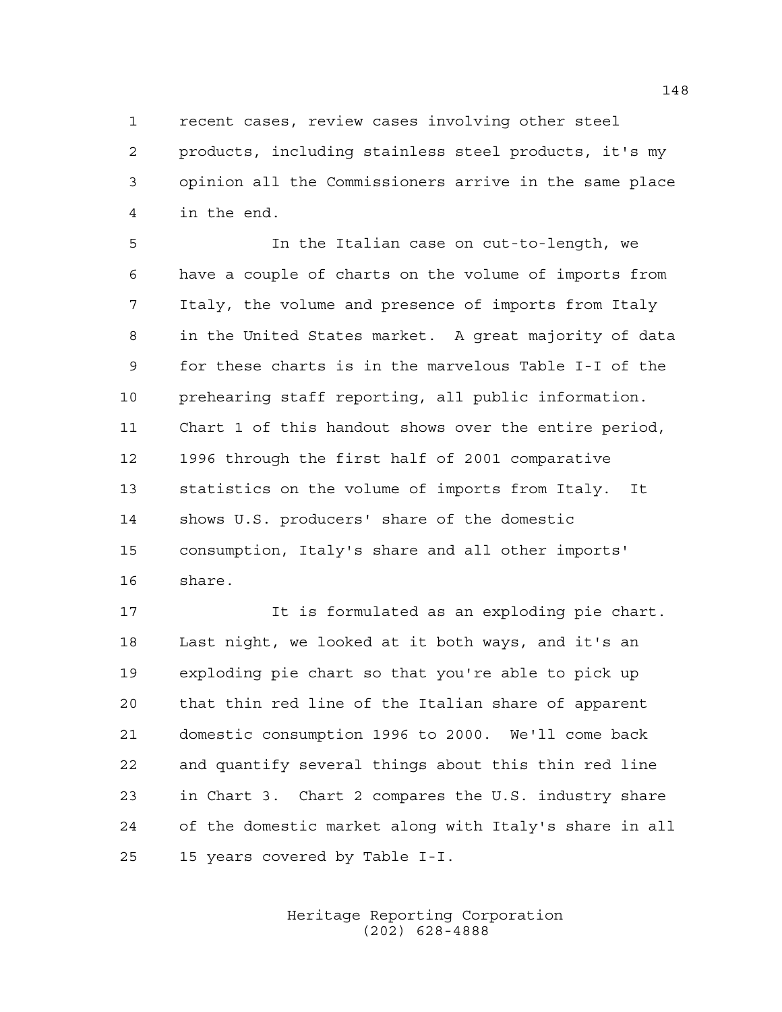recent cases, review cases involving other steel

 products, including stainless steel products, it's my opinion all the Commissioners arrive in the same place in the end.

 In the Italian case on cut-to-length, we have a couple of charts on the volume of imports from Italy, the volume and presence of imports from Italy in the United States market. A great majority of data for these charts is in the marvelous Table I-I of the prehearing staff reporting, all public information. Chart 1 of this handout shows over the entire period, 1996 through the first half of 2001 comparative statistics on the volume of imports from Italy. It shows U.S. producers' share of the domestic consumption, Italy's share and all other imports' share.

 It is formulated as an exploding pie chart. Last night, we looked at it both ways, and it's an exploding pie chart so that you're able to pick up that thin red line of the Italian share of apparent domestic consumption 1996 to 2000. We'll come back and quantify several things about this thin red line in Chart 3. Chart 2 compares the U.S. industry share of the domestic market along with Italy's share in all 15 years covered by Table I-I.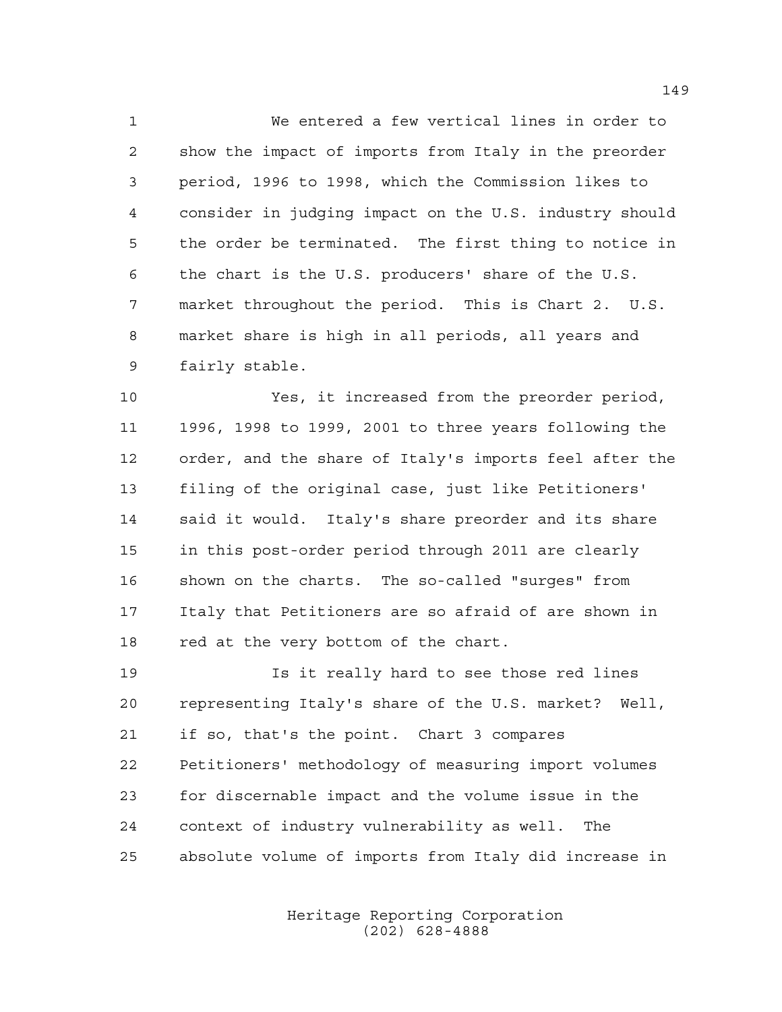We entered a few vertical lines in order to show the impact of imports from Italy in the preorder period, 1996 to 1998, which the Commission likes to consider in judging impact on the U.S. industry should the order be terminated. The first thing to notice in the chart is the U.S. producers' share of the U.S. market throughout the period. This is Chart 2. U.S. market share is high in all periods, all years and fairly stable.

 Yes, it increased from the preorder period, 1996, 1998 to 1999, 2001 to three years following the order, and the share of Italy's imports feel after the filing of the original case, just like Petitioners' said it would. Italy's share preorder and its share in this post-order period through 2011 are clearly shown on the charts. The so-called "surges" from Italy that Petitioners are so afraid of are shown in 18 red at the very bottom of the chart.

 Is it really hard to see those red lines representing Italy's share of the U.S. market? Well, if so, that's the point. Chart 3 compares Petitioners' methodology of measuring import volumes for discernable impact and the volume issue in the context of industry vulnerability as well. The absolute volume of imports from Italy did increase in

> Heritage Reporting Corporation (202) 628-4888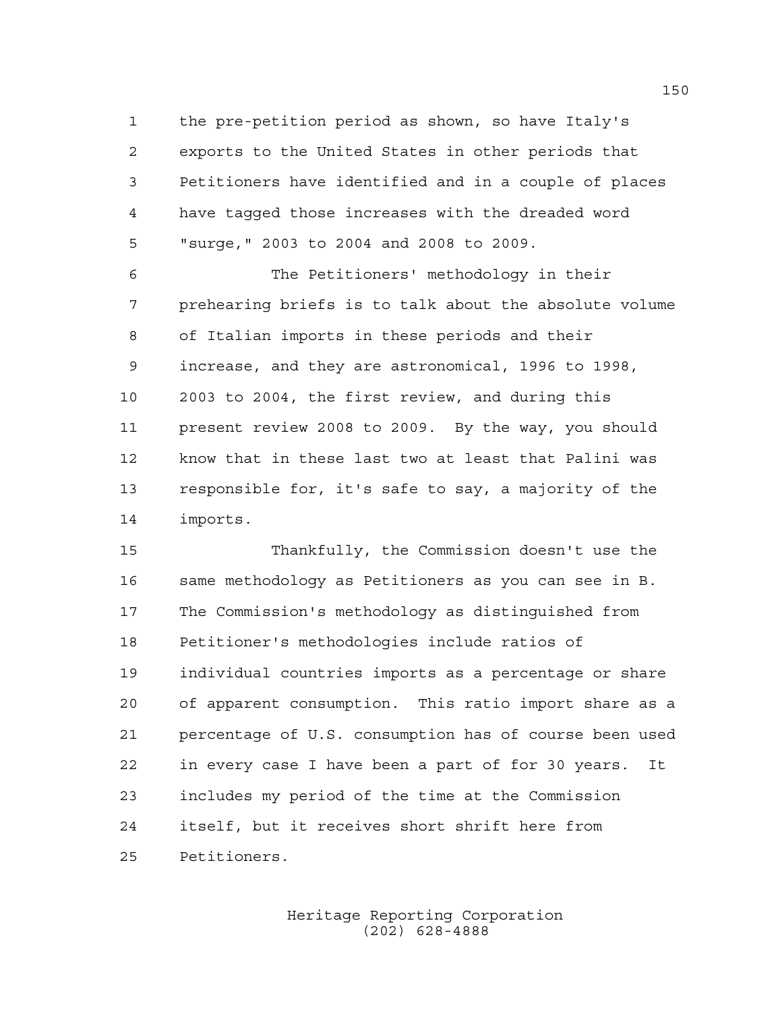the pre-petition period as shown, so have Italy's exports to the United States in other periods that Petitioners have identified and in a couple of places have tagged those increases with the dreaded word "surge," 2003 to 2004 and 2008 to 2009.

 The Petitioners' methodology in their prehearing briefs is to talk about the absolute volume of Italian imports in these periods and their increase, and they are astronomical, 1996 to 1998, 2003 to 2004, the first review, and during this present review 2008 to 2009. By the way, you should know that in these last two at least that Palini was responsible for, it's safe to say, a majority of the imports.

 Thankfully, the Commission doesn't use the same methodology as Petitioners as you can see in B. The Commission's methodology as distinguished from Petitioner's methodologies include ratios of individual countries imports as a percentage or share of apparent consumption. This ratio import share as a percentage of U.S. consumption has of course been used in every case I have been a part of for 30 years. It includes my period of the time at the Commission itself, but it receives short shrift here from Petitioners.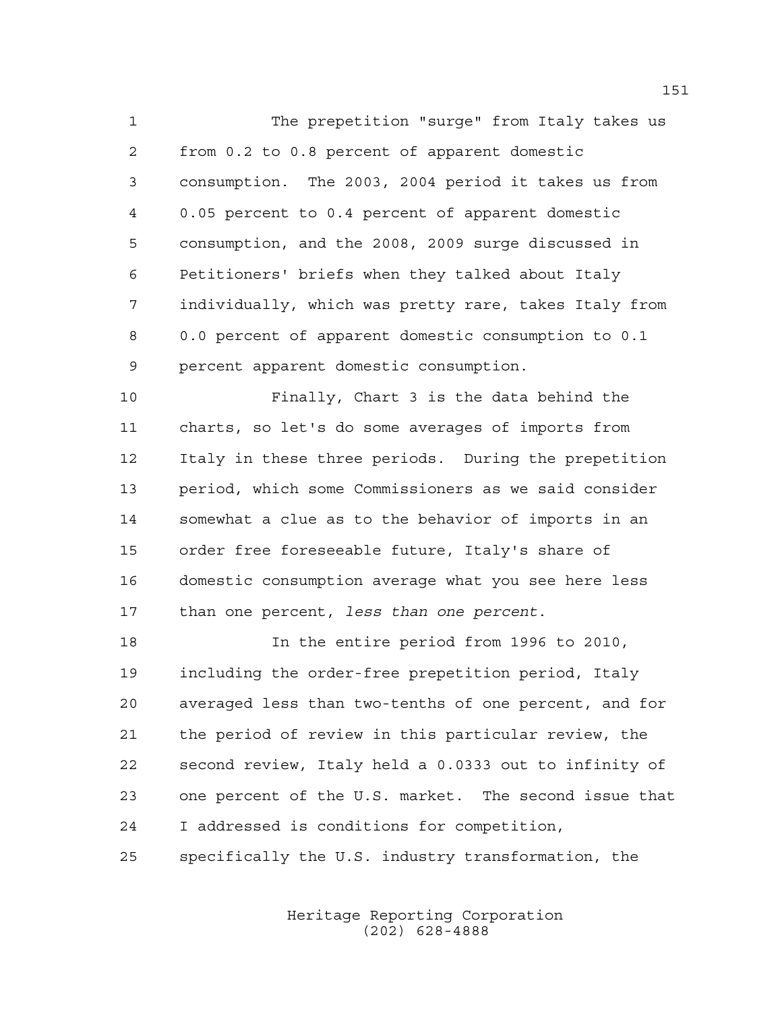The prepetition "surge" from Italy takes us from 0.2 to 0.8 percent of apparent domestic consumption. The 2003, 2004 period it takes us from 0.05 percent to 0.4 percent of apparent domestic consumption, and the 2008, 2009 surge discussed in Petitioners' briefs when they talked about Italy individually, which was pretty rare, takes Italy from 0.0 percent of apparent domestic consumption to 0.1 percent apparent domestic consumption.

 Finally, Chart 3 is the data behind the charts, so let's do some averages of imports from Italy in these three periods. During the prepetition period, which some Commissioners as we said consider somewhat a clue as to the behavior of imports in an order free foreseeable future, Italy's share of domestic consumption average what you see here less than one percent, *less than one percent*.

 In the entire period from 1996 to 2010, including the order-free prepetition period, Italy averaged less than two-tenths of one percent, and for the period of review in this particular review, the second review, Italy held a 0.0333 out to infinity of one percent of the U.S. market. The second issue that I addressed is conditions for competition, specifically the U.S. industry transformation, the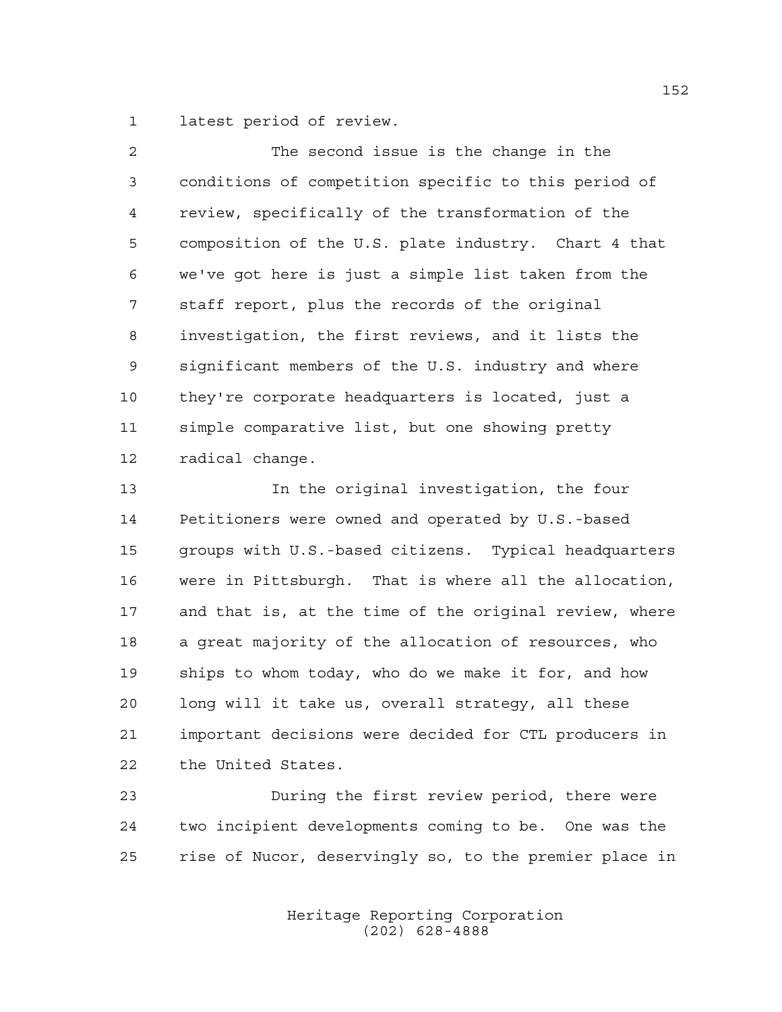latest period of review.

| $\overline{2}$ | The second issue is the change in the                  |
|----------------|--------------------------------------------------------|
| 3              | conditions of competition specific to this period of   |
| $\overline{4}$ | review, specifically of the transformation of the      |
| 5              | composition of the U.S. plate industry. Chart 4 that   |
| 6              | we've got here is just a simple list taken from the    |
| 7              | staff report, plus the records of the original         |
| 8              | investigation, the first reviews, and it lists the     |
| 9              | significant members of the U.S. industry and where     |
| 10             | they're corporate headquarters is located, just a      |
| 11             | simple comparative list, but one showing pretty        |
| 12             | radical change.                                        |
| 13             | In the original investigation, the four                |
| 14             | Petitioners were owned and operated by U.S.-based      |
| 15             | groups with U.S.-based citizens. Typical headquarters  |
| 16             | were in Pittsburgh. That is where all the allocation,  |
| 17             | and that is, at the time of the original review, where |
| 18             | a great majority of the allocation of resources, who   |
| 19             | ships to whom today, who do we make it for, and how    |
| 20             | long will it take us, overall strategy, all these      |

 important decisions were decided for CTL producers in the United States.

 During the first review period, there were two incipient developments coming to be. One was the rise of Nucor, deservingly so, to the premier place in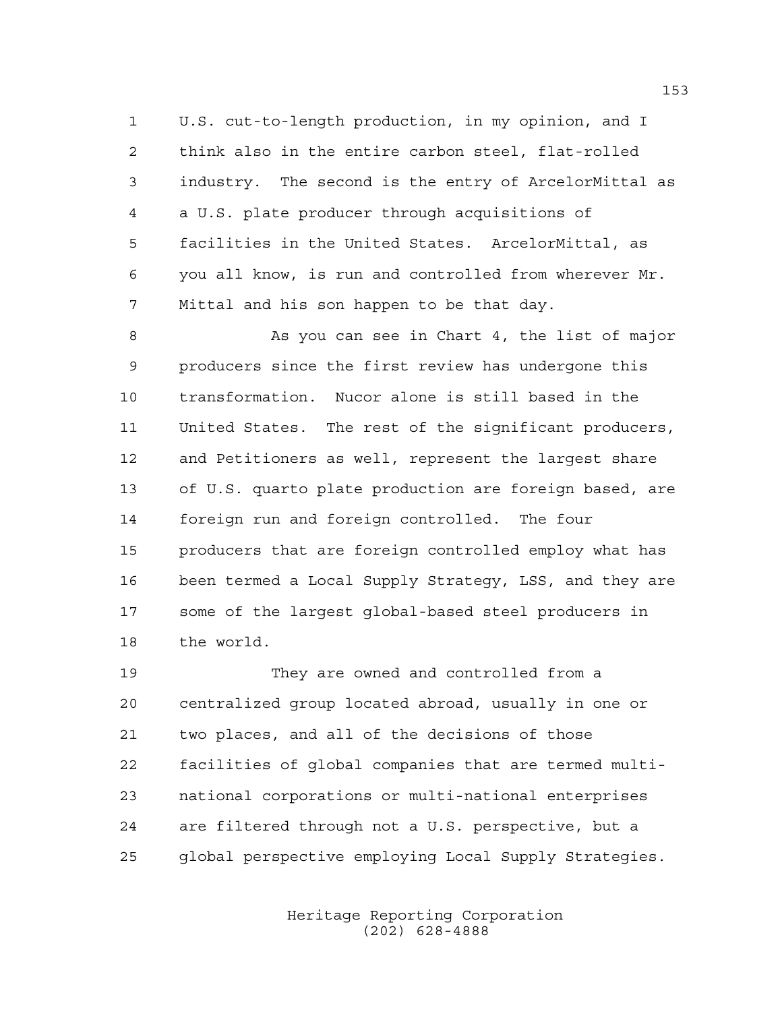U.S. cut-to-length production, in my opinion, and I think also in the entire carbon steel, flat-rolled industry. The second is the entry of ArcelorMittal as a U.S. plate producer through acquisitions of facilities in the United States. ArcelorMittal, as you all know, is run and controlled from wherever Mr. Mittal and his son happen to be that day.

8 As you can see in Chart 4, the list of major producers since the first review has undergone this transformation. Nucor alone is still based in the United States. The rest of the significant producers, and Petitioners as well, represent the largest share of U.S. quarto plate production are foreign based, are foreign run and foreign controlled. The four producers that are foreign controlled employ what has been termed a Local Supply Strategy, LSS, and they are some of the largest global-based steel producers in the world.

 They are owned and controlled from a centralized group located abroad, usually in one or two places, and all of the decisions of those facilities of global companies that are termed multi- national corporations or multi-national enterprises are filtered through not a U.S. perspective, but a global perspective employing Local Supply Strategies.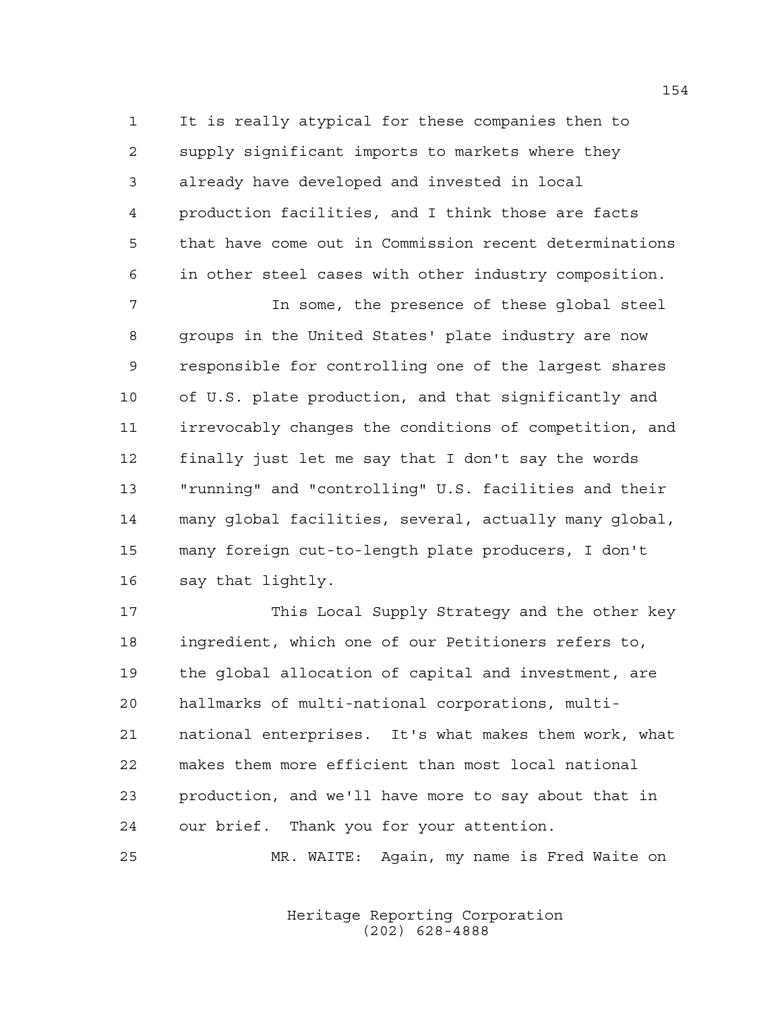It is really atypical for these companies then to supply significant imports to markets where they already have developed and invested in local production facilities, and I think those are facts that have come out in Commission recent determinations in other steel cases with other industry composition.

 In some, the presence of these global steel groups in the United States' plate industry are now responsible for controlling one of the largest shares of U.S. plate production, and that significantly and irrevocably changes the conditions of competition, and finally just let me say that I don't say the words "running" and "controlling" U.S. facilities and their many global facilities, several, actually many global, many foreign cut-to-length plate producers, I don't say that lightly.

 This Local Supply Strategy and the other key ingredient, which one of our Petitioners refers to, the global allocation of capital and investment, are hallmarks of multi-national corporations, multi- national enterprises. It's what makes them work, what makes them more efficient than most local national production, and we'll have more to say about that in our brief. Thank you for your attention.

MR. WAITE: Again, my name is Fred Waite on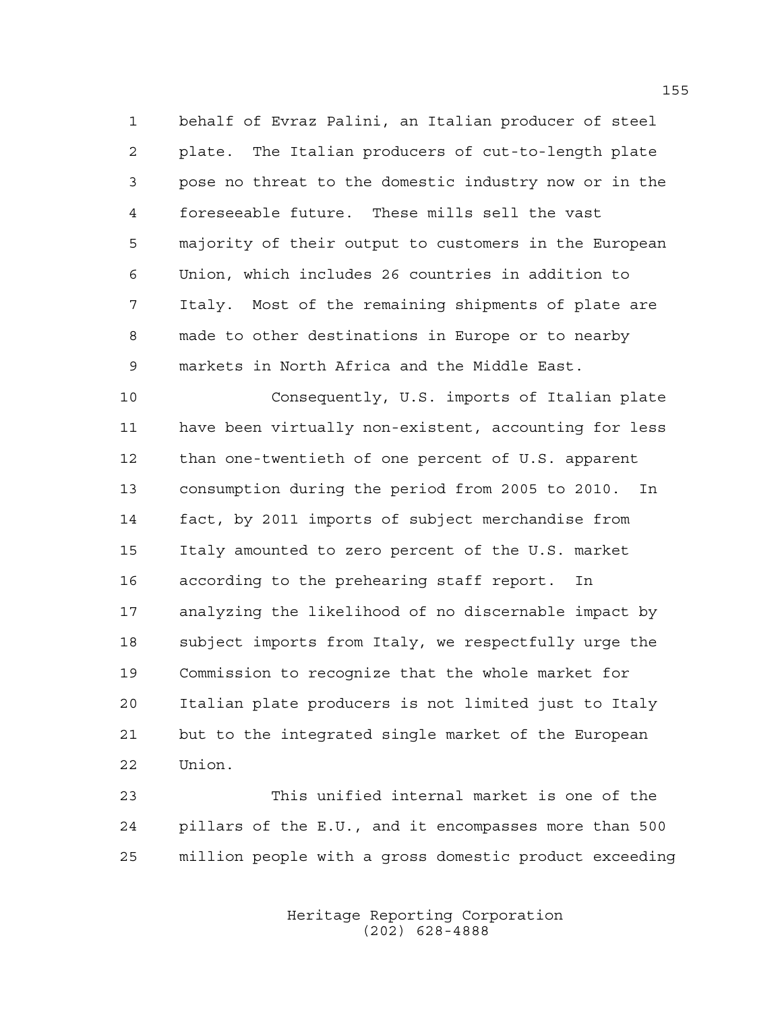behalf of Evraz Palini, an Italian producer of steel plate. The Italian producers of cut-to-length plate pose no threat to the domestic industry now or in the foreseeable future. These mills sell the vast majority of their output to customers in the European Union, which includes 26 countries in addition to Italy. Most of the remaining shipments of plate are made to other destinations in Europe or to nearby markets in North Africa and the Middle East.

 Consequently, U.S. imports of Italian plate have been virtually non-existent, accounting for less than one-twentieth of one percent of U.S. apparent consumption during the period from 2005 to 2010. In fact, by 2011 imports of subject merchandise from Italy amounted to zero percent of the U.S. market according to the prehearing staff report. In analyzing the likelihood of no discernable impact by subject imports from Italy, we respectfully urge the Commission to recognize that the whole market for Italian plate producers is not limited just to Italy but to the integrated single market of the European Union.

 This unified internal market is one of the pillars of the E.U., and it encompasses more than 500 million people with a gross domestic product exceeding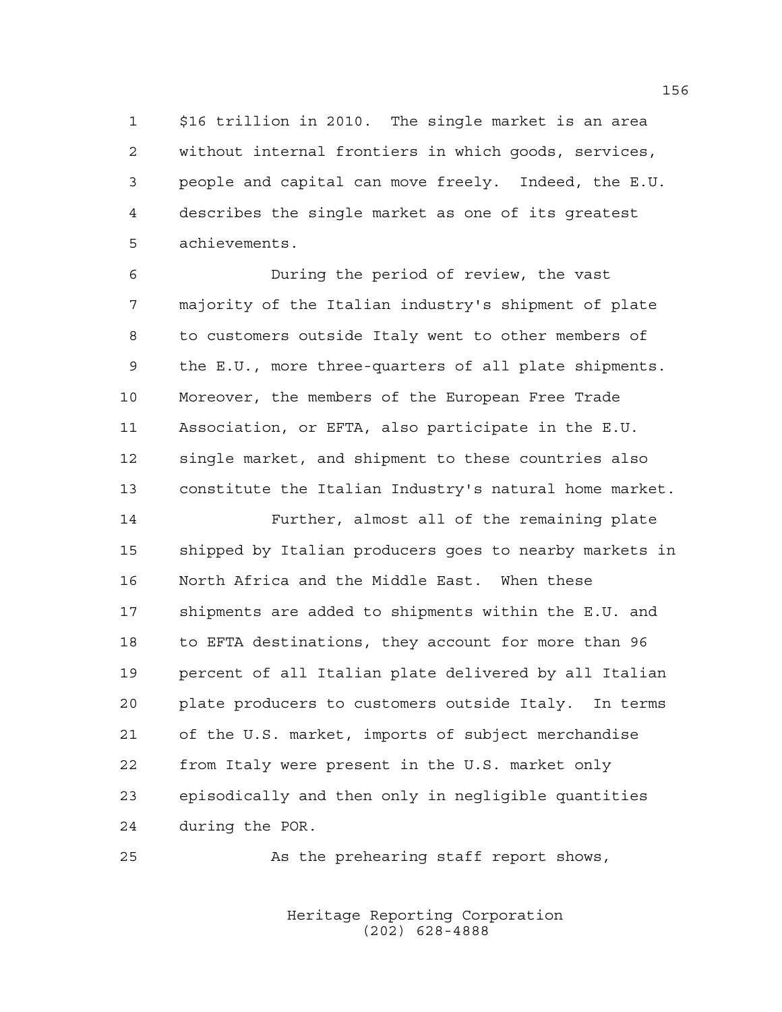\$16 trillion in 2010. The single market is an area without internal frontiers in which goods, services, people and capital can move freely. Indeed, the E.U. describes the single market as one of its greatest achievements.

 During the period of review, the vast majority of the Italian industry's shipment of plate to customers outside Italy went to other members of the E.U., more three-quarters of all plate shipments. Moreover, the members of the European Free Trade Association, or EFTA, also participate in the E.U. single market, and shipment to these countries also constitute the Italian Industry's natural home market.

 Further, almost all of the remaining plate shipped by Italian producers goes to nearby markets in North Africa and the Middle East. When these shipments are added to shipments within the E.U. and to EFTA destinations, they account for more than 96 percent of all Italian plate delivered by all Italian plate producers to customers outside Italy. In terms of the U.S. market, imports of subject merchandise from Italy were present in the U.S. market only episodically and then only in negligible quantities during the POR.

As the prehearing staff report shows,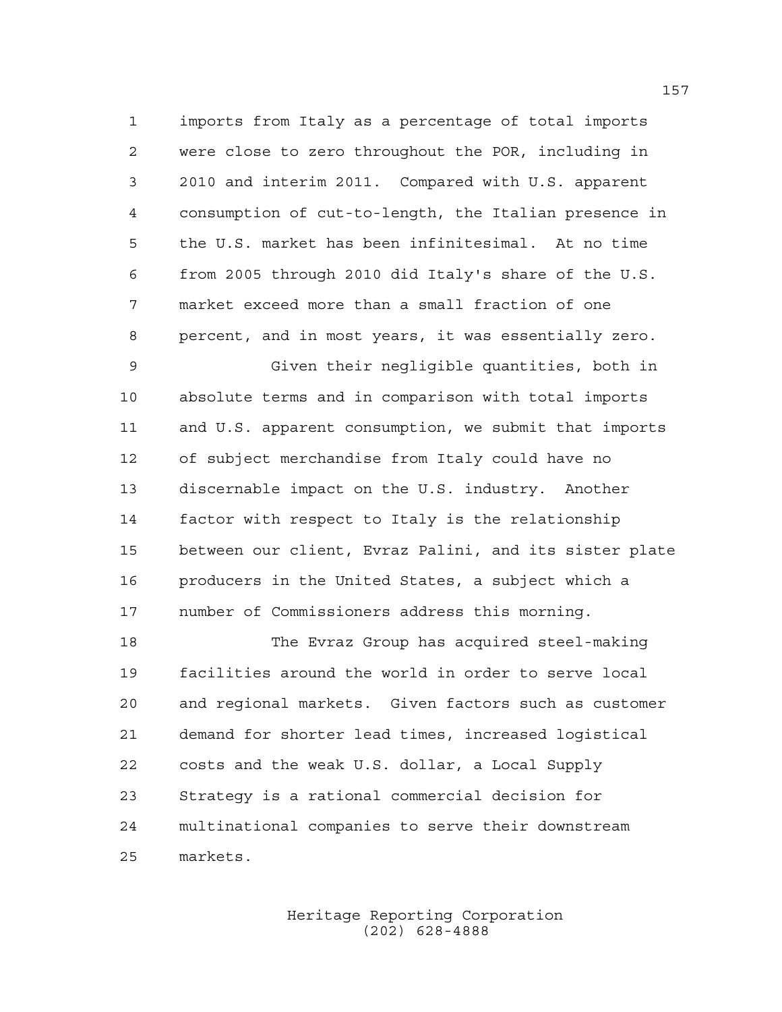imports from Italy as a percentage of total imports were close to zero throughout the POR, including in 2010 and interim 2011. Compared with U.S. apparent consumption of cut-to-length, the Italian presence in the U.S. market has been infinitesimal. At no time from 2005 through 2010 did Italy's share of the U.S. market exceed more than a small fraction of one percent, and in most years, it was essentially zero.

 Given their negligible quantities, both in absolute terms and in comparison with total imports and U.S. apparent consumption, we submit that imports of subject merchandise from Italy could have no discernable impact on the U.S. industry. Another factor with respect to Italy is the relationship between our client, Evraz Palini, and its sister plate producers in the United States, a subject which a number of Commissioners address this morning.

 The Evraz Group has acquired steel-making facilities around the world in order to serve local and regional markets. Given factors such as customer demand for shorter lead times, increased logistical costs and the weak U.S. dollar, a Local Supply Strategy is a rational commercial decision for multinational companies to serve their downstream markets.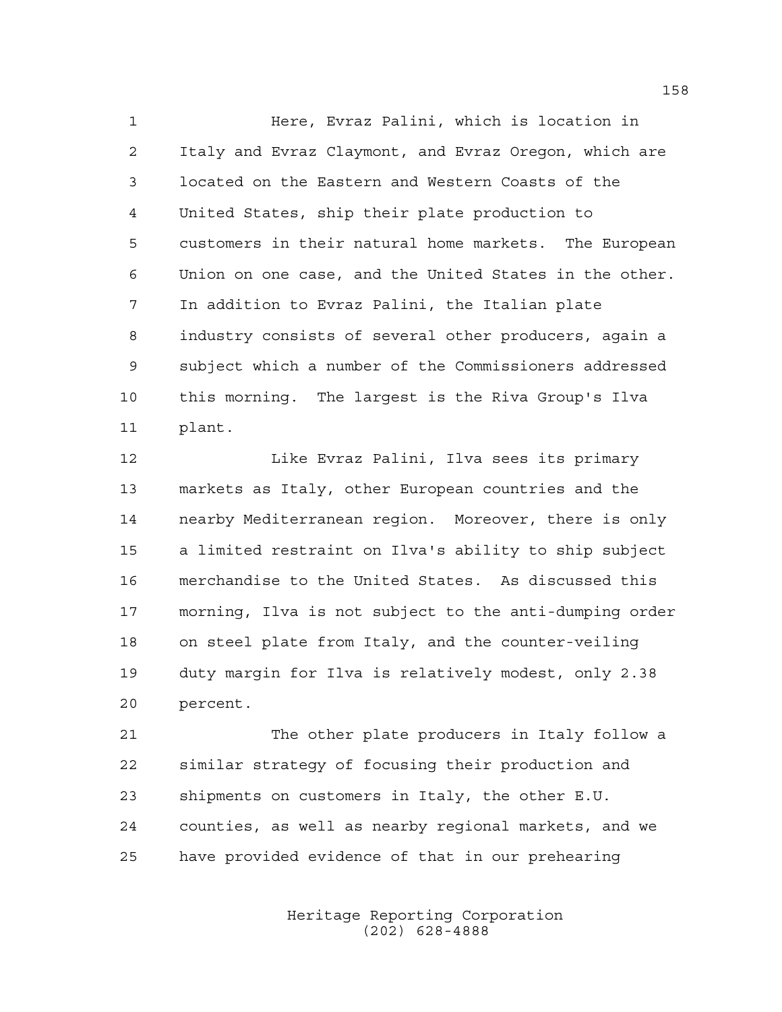Here, Evraz Palini, which is location in Italy and Evraz Claymont, and Evraz Oregon, which are located on the Eastern and Western Coasts of the United States, ship their plate production to customers in their natural home markets. The European Union on one case, and the United States in the other. In addition to Evraz Palini, the Italian plate industry consists of several other producers, again a subject which a number of the Commissioners addressed this morning. The largest is the Riva Group's Ilva plant.

 Like Evraz Palini, Ilva sees its primary markets as Italy, other European countries and the nearby Mediterranean region. Moreover, there is only a limited restraint on Ilva's ability to ship subject merchandise to the United States. As discussed this morning, Ilva is not subject to the anti-dumping order on steel plate from Italy, and the counter-veiling duty margin for Ilva is relatively modest, only 2.38 percent.

 The other plate producers in Italy follow a similar strategy of focusing their production and shipments on customers in Italy, the other E.U. counties, as well as nearby regional markets, and we have provided evidence of that in our prehearing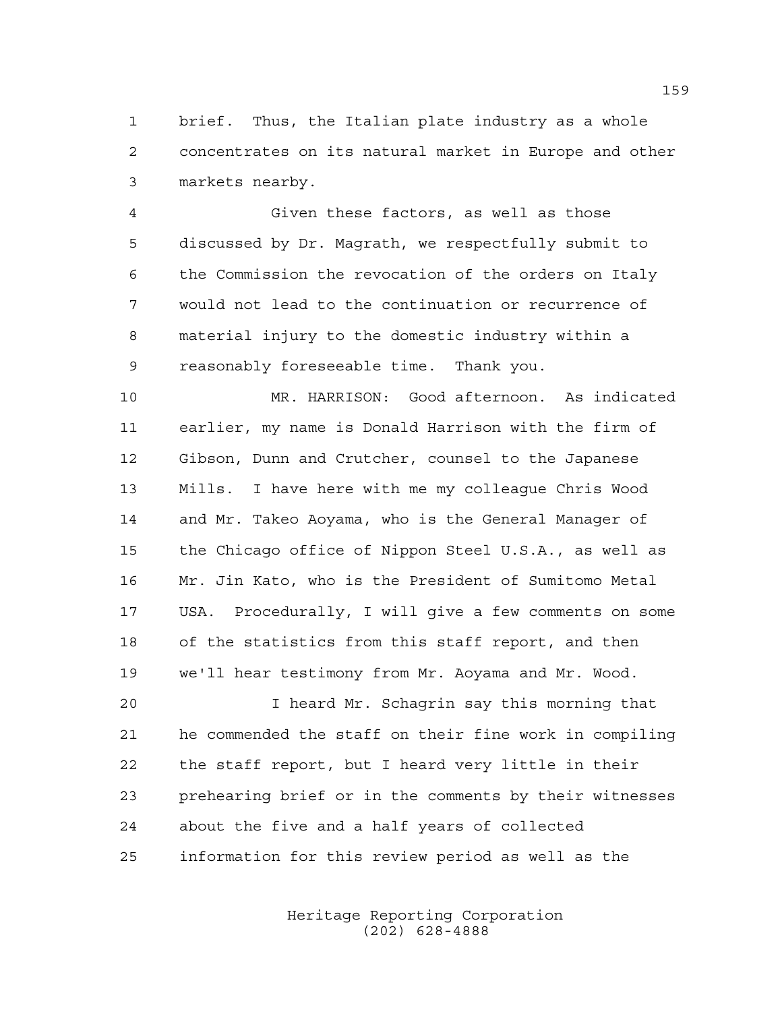brief. Thus, the Italian plate industry as a whole concentrates on its natural market in Europe and other markets nearby.

 Given these factors, as well as those discussed by Dr. Magrath, we respectfully submit to the Commission the revocation of the orders on Italy would not lead to the continuation or recurrence of material injury to the domestic industry within a reasonably foreseeable time. Thank you.

 MR. HARRISON: Good afternoon. As indicated earlier, my name is Donald Harrison with the firm of Gibson, Dunn and Crutcher, counsel to the Japanese Mills. I have here with me my colleague Chris Wood and Mr. Takeo Aoyama, who is the General Manager of the Chicago office of Nippon Steel U.S.A., as well as Mr. Jin Kato, who is the President of Sumitomo Metal USA. Procedurally, I will give a few comments on some of the statistics from this staff report, and then we'll hear testimony from Mr. Aoyama and Mr. Wood.

 I heard Mr. Schagrin say this morning that he commended the staff on their fine work in compiling the staff report, but I heard very little in their prehearing brief or in the comments by their witnesses about the five and a half years of collected information for this review period as well as the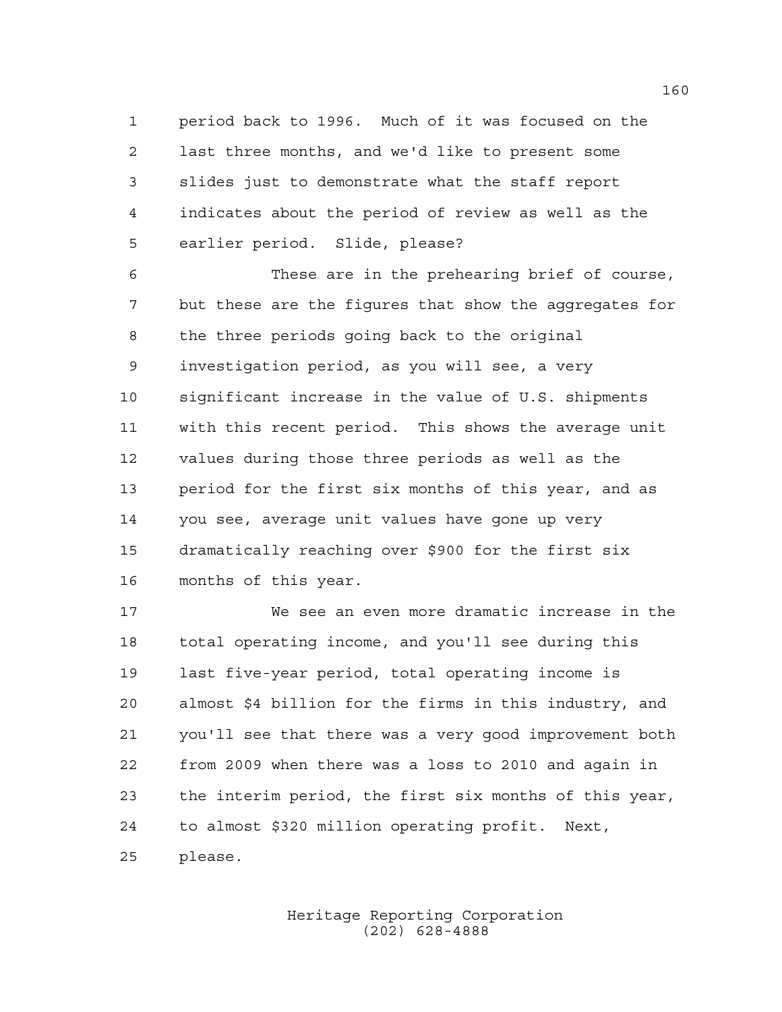period back to 1996. Much of it was focused on the last three months, and we'd like to present some slides just to demonstrate what the staff report indicates about the period of review as well as the earlier period. Slide, please?

 These are in the prehearing brief of course, but these are the figures that show the aggregates for the three periods going back to the original investigation period, as you will see, a very significant increase in the value of U.S. shipments with this recent period. This shows the average unit values during those three periods as well as the period for the first six months of this year, and as you see, average unit values have gone up very dramatically reaching over \$900 for the first six months of this year.

 We see an even more dramatic increase in the total operating income, and you'll see during this last five-year period, total operating income is almost \$4 billion for the firms in this industry, and you'll see that there was a very good improvement both from 2009 when there was a loss to 2010 and again in the interim period, the first six months of this year, to almost \$320 million operating profit. Next, please.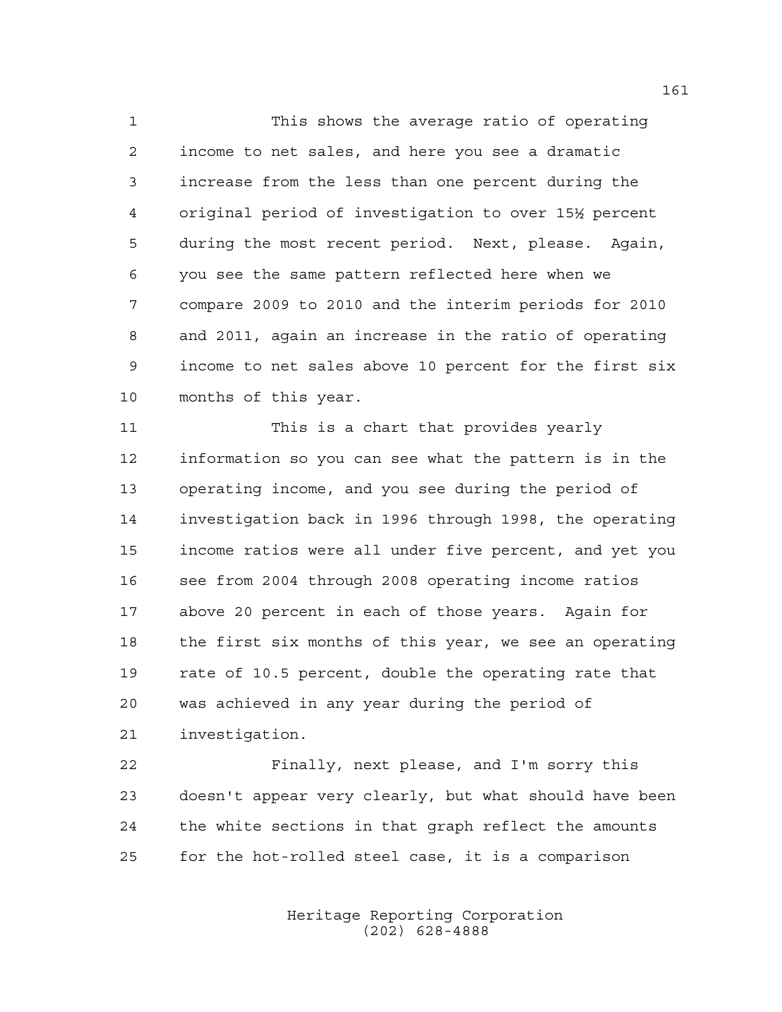This shows the average ratio of operating income to net sales, and here you see a dramatic increase from the less than one percent during the original period of investigation to over 15½ percent during the most recent period. Next, please. Again, you see the same pattern reflected here when we compare 2009 to 2010 and the interim periods for 2010 and 2011, again an increase in the ratio of operating income to net sales above 10 percent for the first six months of this year.

11 This is a chart that provides yearly information so you can see what the pattern is in the operating income, and you see during the period of investigation back in 1996 through 1998, the operating income ratios were all under five percent, and yet you see from 2004 through 2008 operating income ratios above 20 percent in each of those years. Again for the first six months of this year, we see an operating rate of 10.5 percent, double the operating rate that was achieved in any year during the period of investigation.

 Finally, next please, and I'm sorry this doesn't appear very clearly, but what should have been the white sections in that graph reflect the amounts for the hot-rolled steel case, it is a comparison

> Heritage Reporting Corporation (202) 628-4888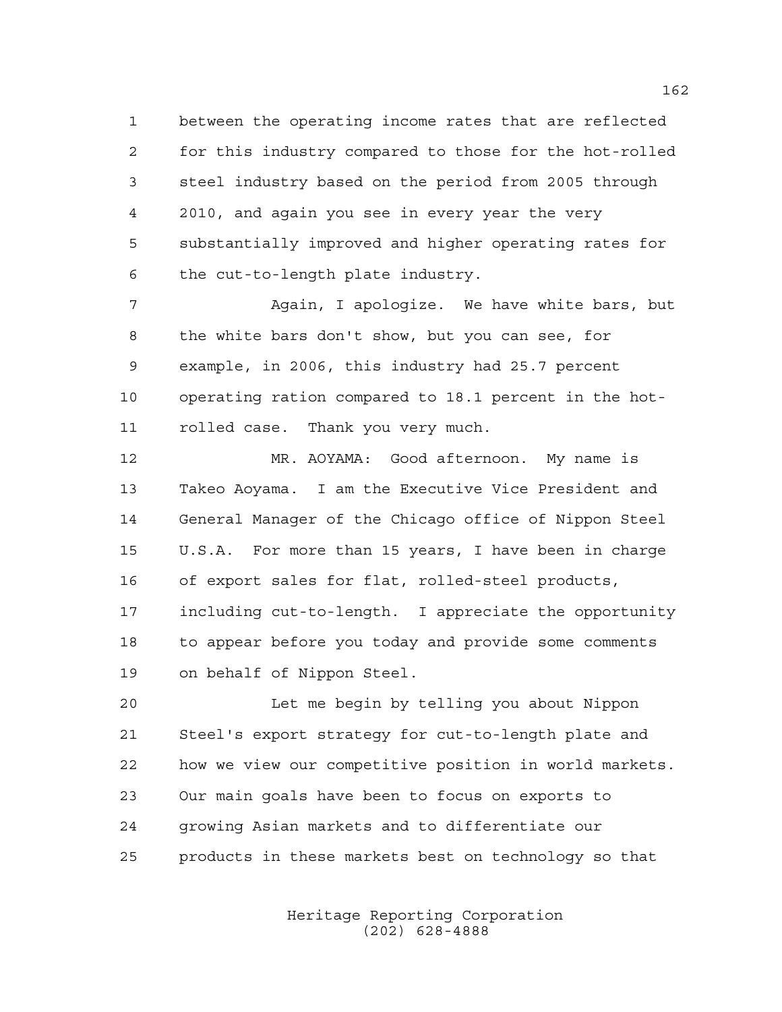between the operating income rates that are reflected for this industry compared to those for the hot-rolled steel industry based on the period from 2005 through 2010, and again you see in every year the very substantially improved and higher operating rates for the cut-to-length plate industry.

 Again, I apologize. We have white bars, but the white bars don't show, but you can see, for example, in 2006, this industry had 25.7 percent operating ration compared to 18.1 percent in the hot-rolled case. Thank you very much.

 MR. AOYAMA: Good afternoon. My name is Takeo Aoyama. I am the Executive Vice President and General Manager of the Chicago office of Nippon Steel U.S.A. For more than 15 years, I have been in charge of export sales for flat, rolled-steel products, including cut-to-length. I appreciate the opportunity to appear before you today and provide some comments on behalf of Nippon Steel.

 Let me begin by telling you about Nippon Steel's export strategy for cut-to-length plate and how we view our competitive position in world markets. Our main goals have been to focus on exports to growing Asian markets and to differentiate our products in these markets best on technology so that

> Heritage Reporting Corporation (202) 628-4888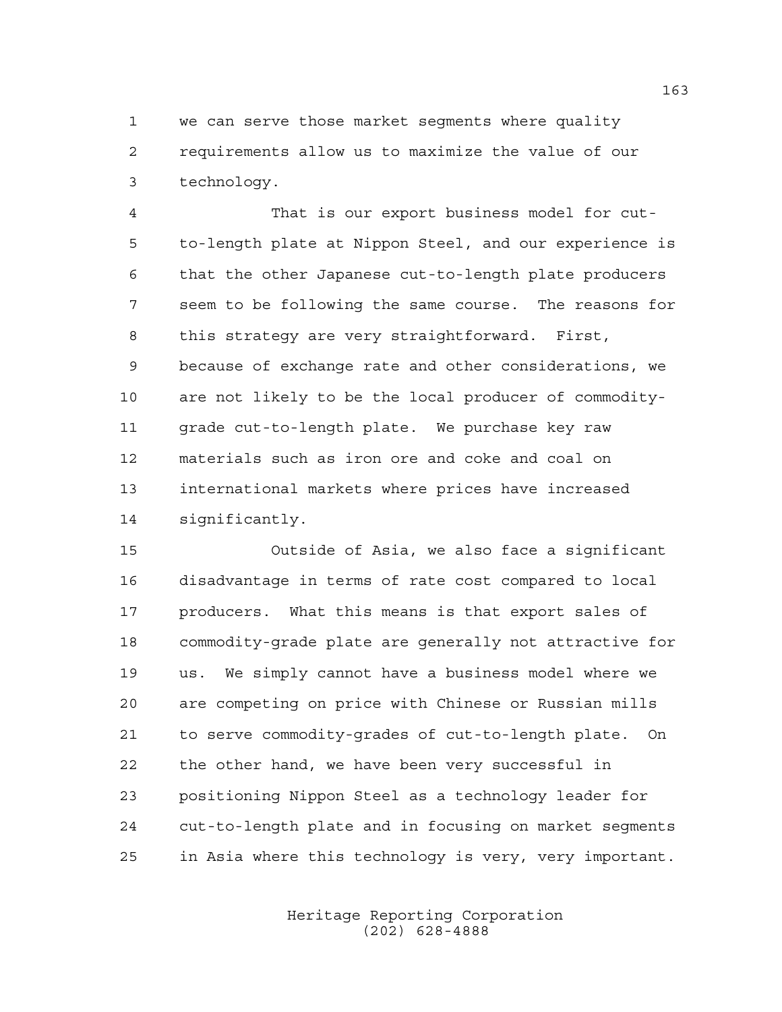we can serve those market segments where quality requirements allow us to maximize the value of our technology.

 That is our export business model for cut- to-length plate at Nippon Steel, and our experience is that the other Japanese cut-to-length plate producers seem to be following the same course. The reasons for this strategy are very straightforward. First, because of exchange rate and other considerations, we are not likely to be the local producer of commodity- grade cut-to-length plate. We purchase key raw materials such as iron ore and coke and coal on international markets where prices have increased significantly.

 Outside of Asia, we also face a significant disadvantage in terms of rate cost compared to local producers. What this means is that export sales of commodity-grade plate are generally not attractive for us. We simply cannot have a business model where we are competing on price with Chinese or Russian mills to serve commodity-grades of cut-to-length plate. On the other hand, we have been very successful in positioning Nippon Steel as a technology leader for cut-to-length plate and in focusing on market segments in Asia where this technology is very, very important.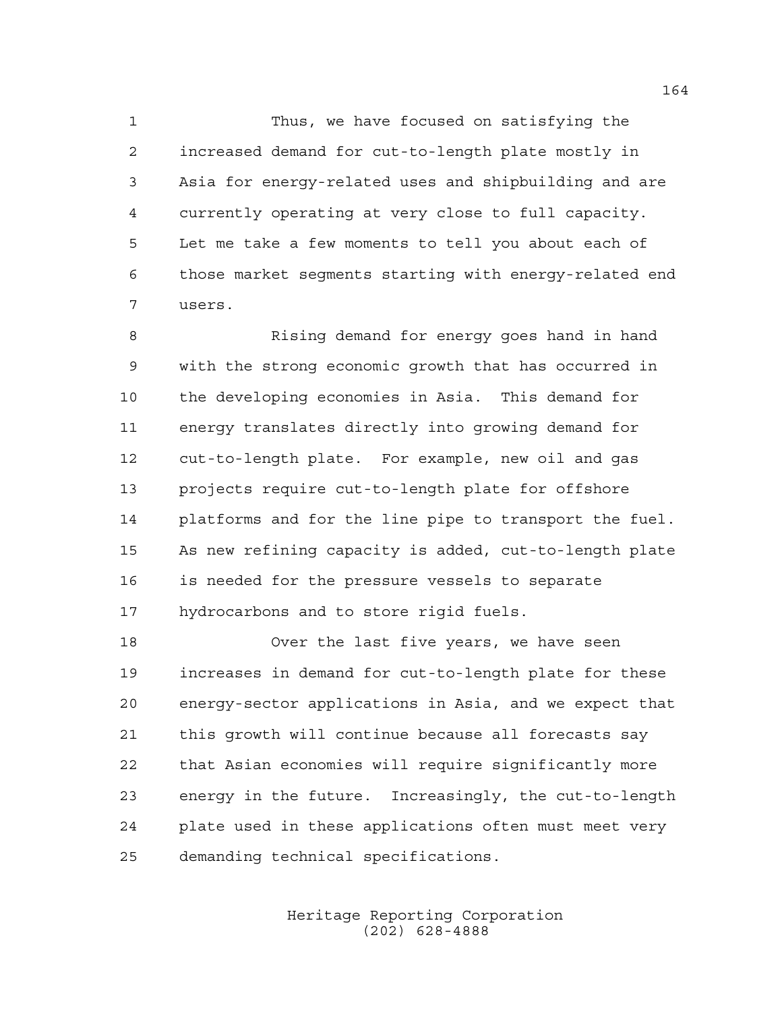Thus, we have focused on satisfying the increased demand for cut-to-length plate mostly in Asia for energy-related uses and shipbuilding and are currently operating at very close to full capacity. Let me take a few moments to tell you about each of those market segments starting with energy-related end users.

 Rising demand for energy goes hand in hand with the strong economic growth that has occurred in the developing economies in Asia. This demand for energy translates directly into growing demand for cut-to-length plate. For example, new oil and gas projects require cut-to-length plate for offshore platforms and for the line pipe to transport the fuel. As new refining capacity is added, cut-to-length plate is needed for the pressure vessels to separate hydrocarbons and to store rigid fuels.

 Over the last five years, we have seen increases in demand for cut-to-length plate for these energy-sector applications in Asia, and we expect that this growth will continue because all forecasts say that Asian economies will require significantly more energy in the future. Increasingly, the cut-to-length plate used in these applications often must meet very demanding technical specifications.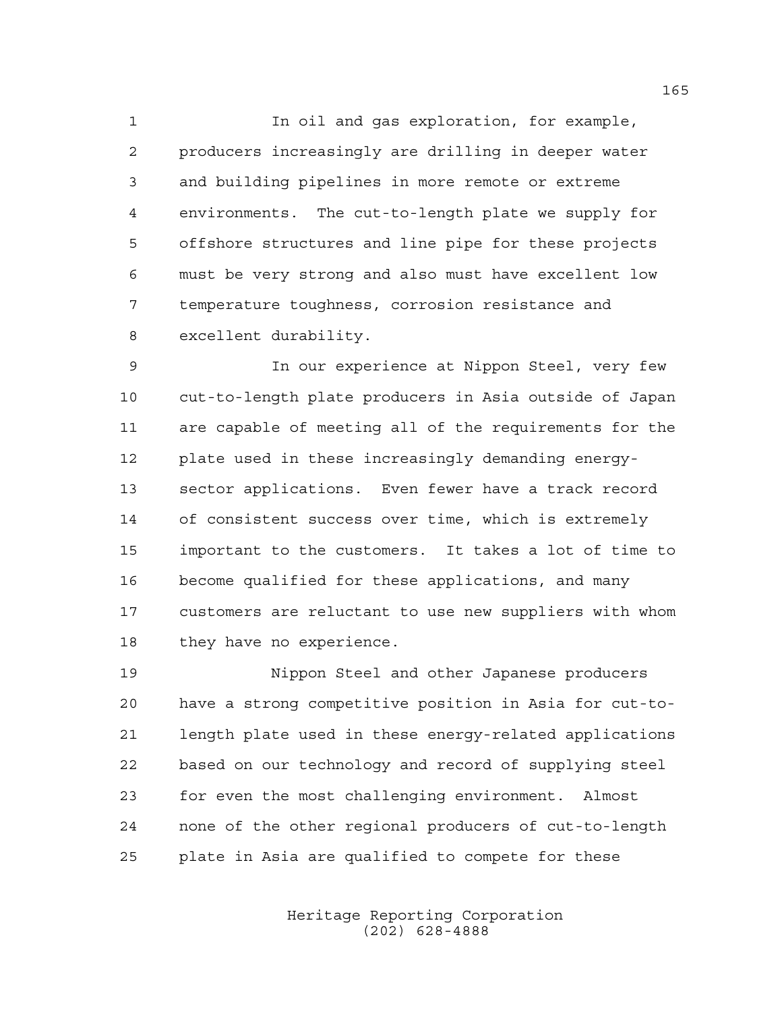In oil and gas exploration, for example, producers increasingly are drilling in deeper water and building pipelines in more remote or extreme environments. The cut-to-length plate we supply for offshore structures and line pipe for these projects must be very strong and also must have excellent low temperature toughness, corrosion resistance and excellent durability.

 In our experience at Nippon Steel, very few cut-to-length plate producers in Asia outside of Japan are capable of meeting all of the requirements for the plate used in these increasingly demanding energy- sector applications. Even fewer have a track record of consistent success over time, which is extremely important to the customers. It takes a lot of time to become qualified for these applications, and many customers are reluctant to use new suppliers with whom they have no experience.

 Nippon Steel and other Japanese producers have a strong competitive position in Asia for cut-to- length plate used in these energy-related applications based on our technology and record of supplying steel for even the most challenging environment. Almost none of the other regional producers of cut-to-length plate in Asia are qualified to compete for these

> Heritage Reporting Corporation (202) 628-4888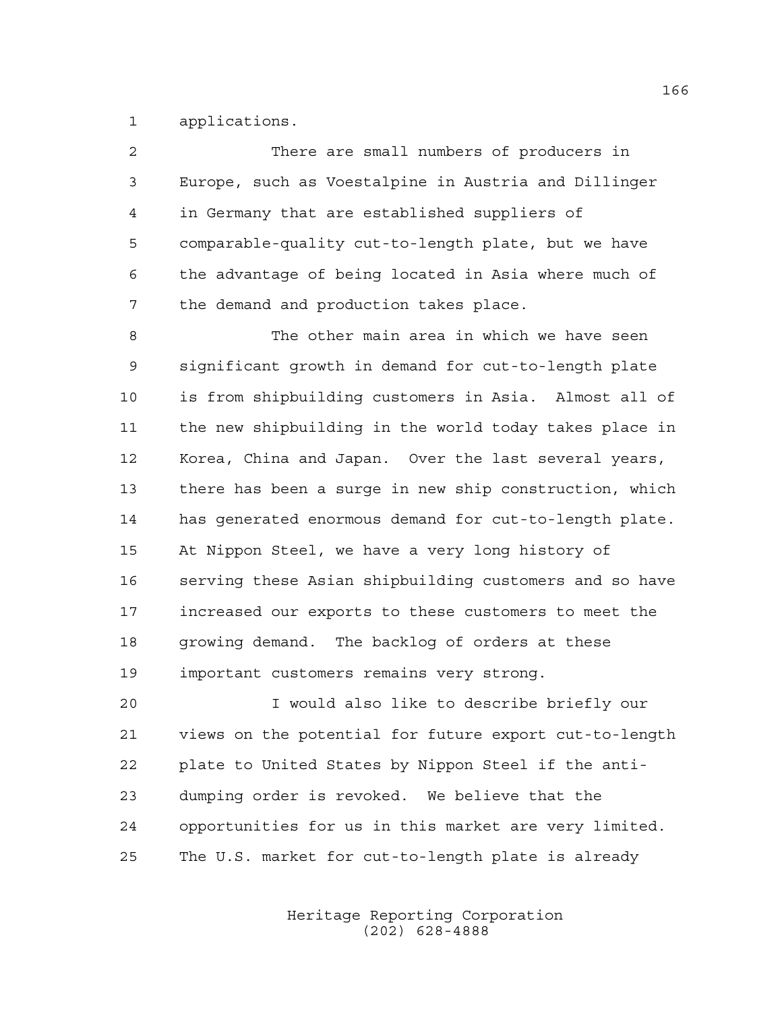applications.

| $\overline{2}$ | There are small numbers of producers in                |
|----------------|--------------------------------------------------------|
| 3              | Europe, such as Voestalpine in Austria and Dillinger   |
| 4              | in Germany that are established suppliers of           |
| 5              | comparable-quality cut-to-length plate, but we have    |
| 6              | the advantage of being located in Asia where much of   |
| 7              | the demand and production takes place.                 |
| 8              | The other main area in which we have seen              |
| 9              | significant growth in demand for cut-to-length plate   |
| 10             | is from shipbuilding customers in Asia. Almost all of  |
| 11             | the new shipbuilding in the world today takes place in |
| 12             | Korea, China and Japan. Over the last several years,   |
| 13             | there has been a surge in new ship construction, which |
| 14             | has generated enormous demand for cut-to-length plate. |
| 15             | At Nippon Steel, we have a very long history of        |
| 16             | serving these Asian shipbuilding customers and so have |
| 17             | increased our exports to these customers to meet the   |
| 18             | growing demand. The backlog of orders at these         |
| 19             | important customers remains very strong.               |
| 20             | I would also like to describe briefly our              |
| 21             | views on the potential for future export cut-to-length |
| 22             | plate to United States by Nippon Steel if the anti-    |
| 23             | dumping order is revoked. We believe that the          |

The U.S. market for cut-to-length plate is already

opportunities for us in this market are very limited.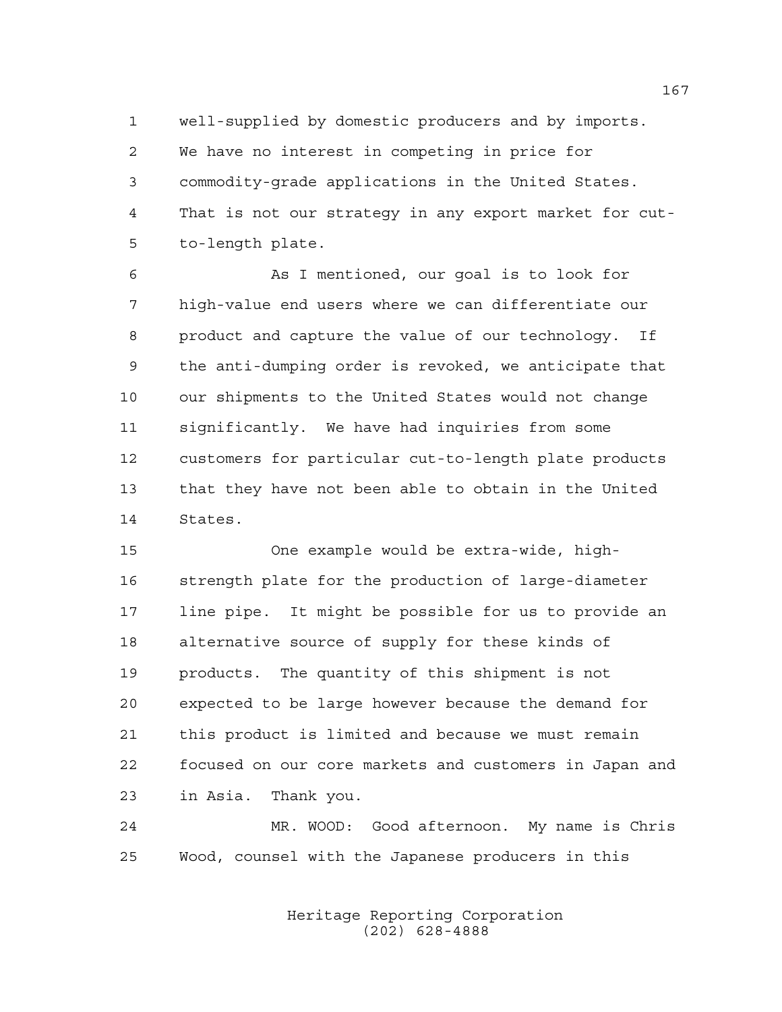well-supplied by domestic producers and by imports. We have no interest in competing in price for commodity-grade applications in the United States. That is not our strategy in any export market for cut-to-length plate.

 As I mentioned, our goal is to look for high-value end users where we can differentiate our product and capture the value of our technology. If the anti-dumping order is revoked, we anticipate that our shipments to the United States would not change significantly. We have had inquiries from some customers for particular cut-to-length plate products that they have not been able to obtain in the United States.

 One example would be extra-wide, high- strength plate for the production of large-diameter line pipe. It might be possible for us to provide an alternative source of supply for these kinds of products. The quantity of this shipment is not expected to be large however because the demand for this product is limited and because we must remain focused on our core markets and customers in Japan and in Asia. Thank you.

 MR. WOOD: Good afternoon. My name is Chris Wood, counsel with the Japanese producers in this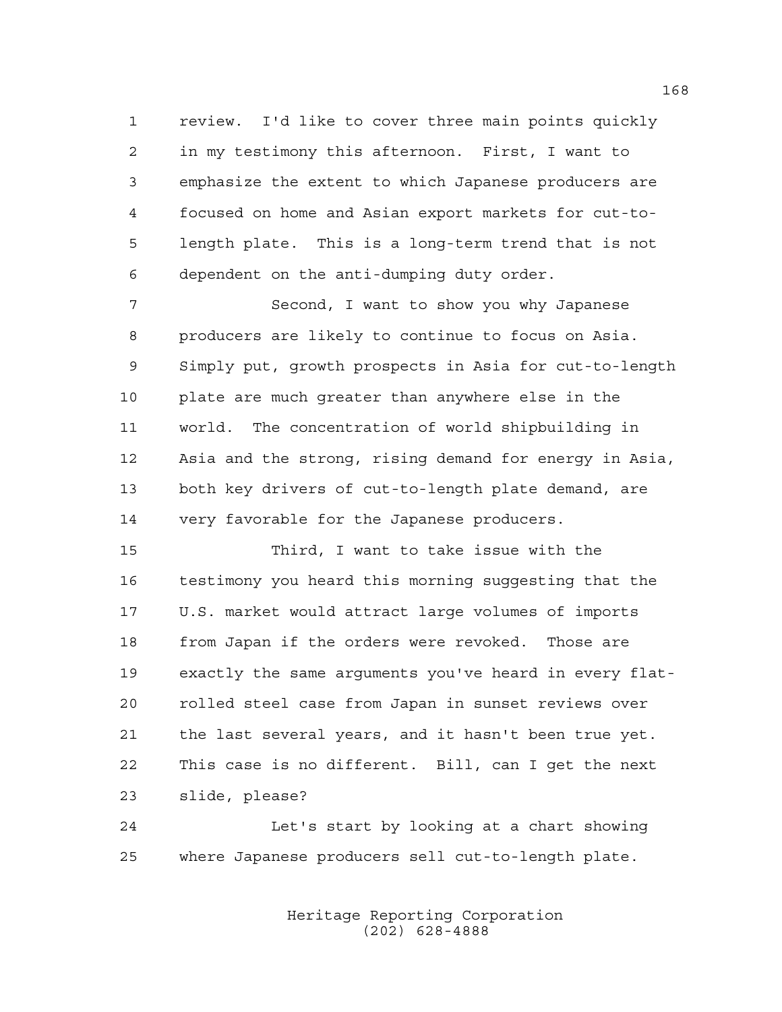review. I'd like to cover three main points quickly in my testimony this afternoon. First, I want to emphasize the extent to which Japanese producers are focused on home and Asian export markets for cut-to- length plate. This is a long-term trend that is not dependent on the anti-dumping duty order.

 Second, I want to show you why Japanese producers are likely to continue to focus on Asia. Simply put, growth prospects in Asia for cut-to-length plate are much greater than anywhere else in the world. The concentration of world shipbuilding in Asia and the strong, rising demand for energy in Asia, both key drivers of cut-to-length plate demand, are very favorable for the Japanese producers.

 Third, I want to take issue with the testimony you heard this morning suggesting that the U.S. market would attract large volumes of imports from Japan if the orders were revoked. Those are exactly the same arguments you've heard in every flat- rolled steel case from Japan in sunset reviews over the last several years, and it hasn't been true yet. This case is no different. Bill, can I get the next slide, please?

 Let's start by looking at a chart showing where Japanese producers sell cut-to-length plate.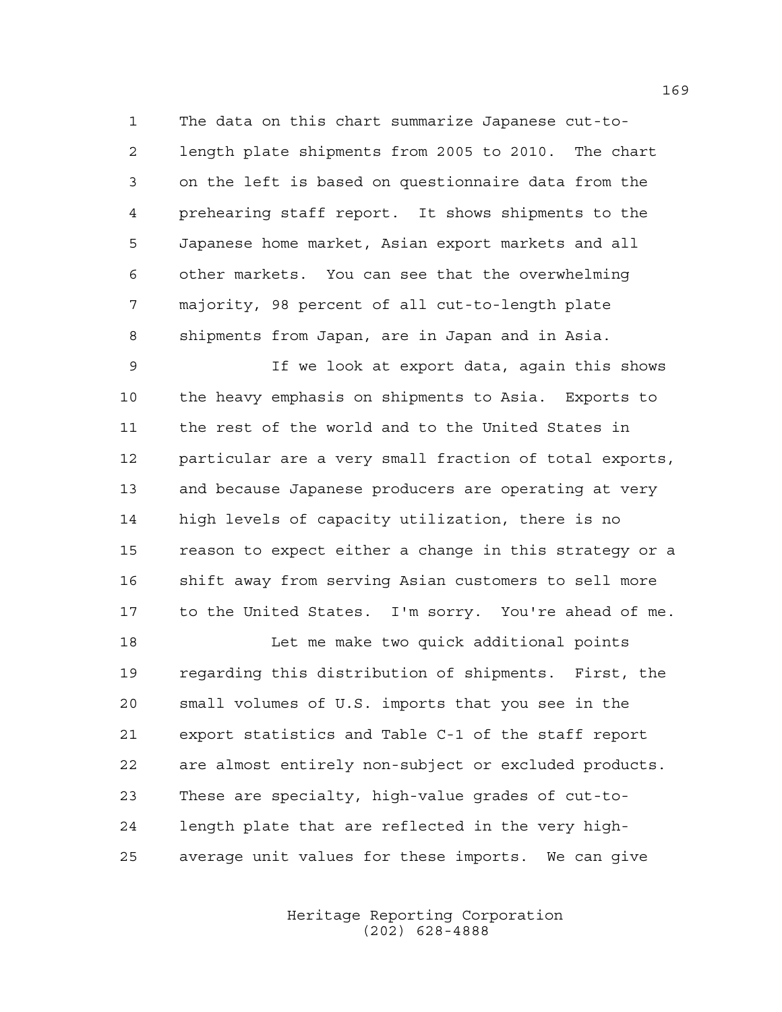The data on this chart summarize Japanese cut-to- length plate shipments from 2005 to 2010. The chart on the left is based on questionnaire data from the prehearing staff report. It shows shipments to the Japanese home market, Asian export markets and all other markets. You can see that the overwhelming majority, 98 percent of all cut-to-length plate shipments from Japan, are in Japan and in Asia.

 If we look at export data, again this shows the heavy emphasis on shipments to Asia. Exports to the rest of the world and to the United States in particular are a very small fraction of total exports, and because Japanese producers are operating at very high levels of capacity utilization, there is no reason to expect either a change in this strategy or a shift away from serving Asian customers to sell more to the United States. I'm sorry. You're ahead of me.

 Let me make two quick additional points regarding this distribution of shipments. First, the small volumes of U.S. imports that you see in the export statistics and Table C-1 of the staff report are almost entirely non-subject or excluded products. These are specialty, high-value grades of cut-to- length plate that are reflected in the very high-average unit values for these imports. We can give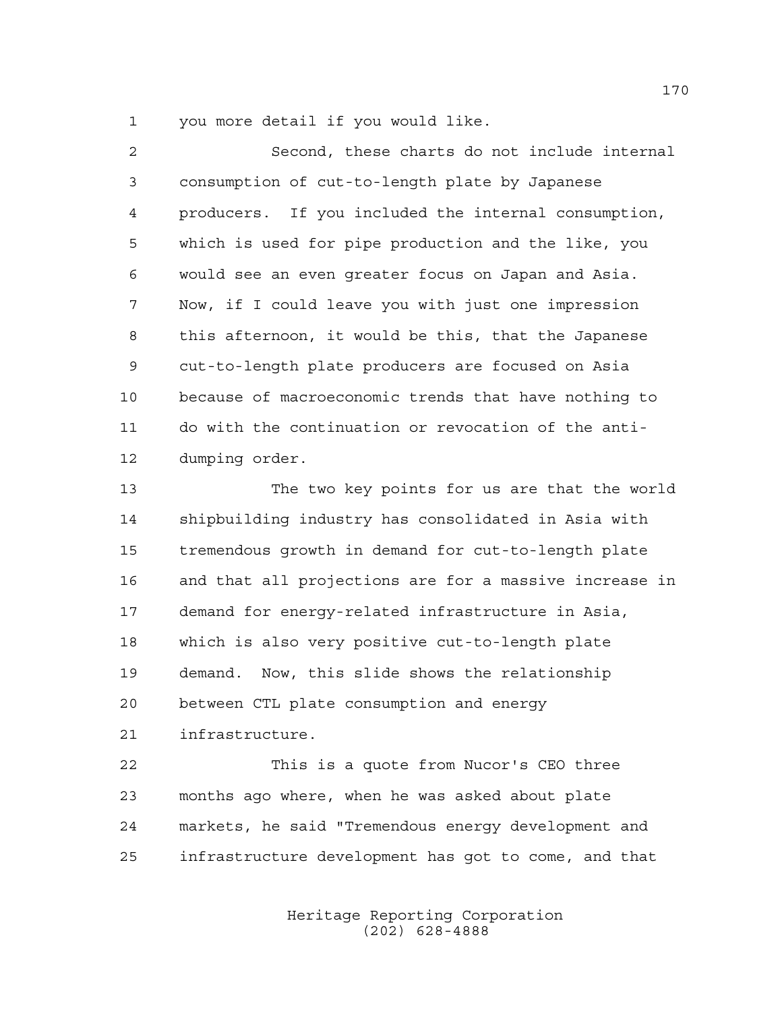you more detail if you would like.

| $\overline{a}$ | Second, these charts do not include internal           |
|----------------|--------------------------------------------------------|
| 3              | consumption of cut-to-length plate by Japanese         |
| 4              | producers. If you included the internal consumption,   |
| 5              | which is used for pipe production and the like, you    |
| 6              | would see an even greater focus on Japan and Asia.     |
| 7              | Now, if I could leave you with just one impression     |
| 8              | this afternoon, it would be this, that the Japanese    |
| 9              | cut-to-length plate producers are focused on Asia      |
| 10             | because of macroeconomic trends that have nothing to   |
| 11             | do with the continuation or revocation of the anti-    |
| 12             | dumping order.                                         |
| 13             | The two key points for us are that the world           |
| 14             | shipbuilding industry has consolidated in Asia with    |
| 15             | tremendous growth in demand for cut-to-length plate    |
| 16             | and that all projections are for a massive increase in |
| 17             | demand for energy-related infrastructure in Asia,      |
| 18             | which is also very positive cut-to-length plate        |
| 19             | demand. Now, this slide shows the relationship         |
| 20             | between CTL plate consumption and energy               |
| 21             | infrastructure.                                        |
| 22             | This is a quote from Nucor's CEO three                 |
| 23             | months ago where, when he was asked about plate        |
| 24             | markets, he said "Tremendous energy development and    |
| 25             | infrastructure development has got to come, and that   |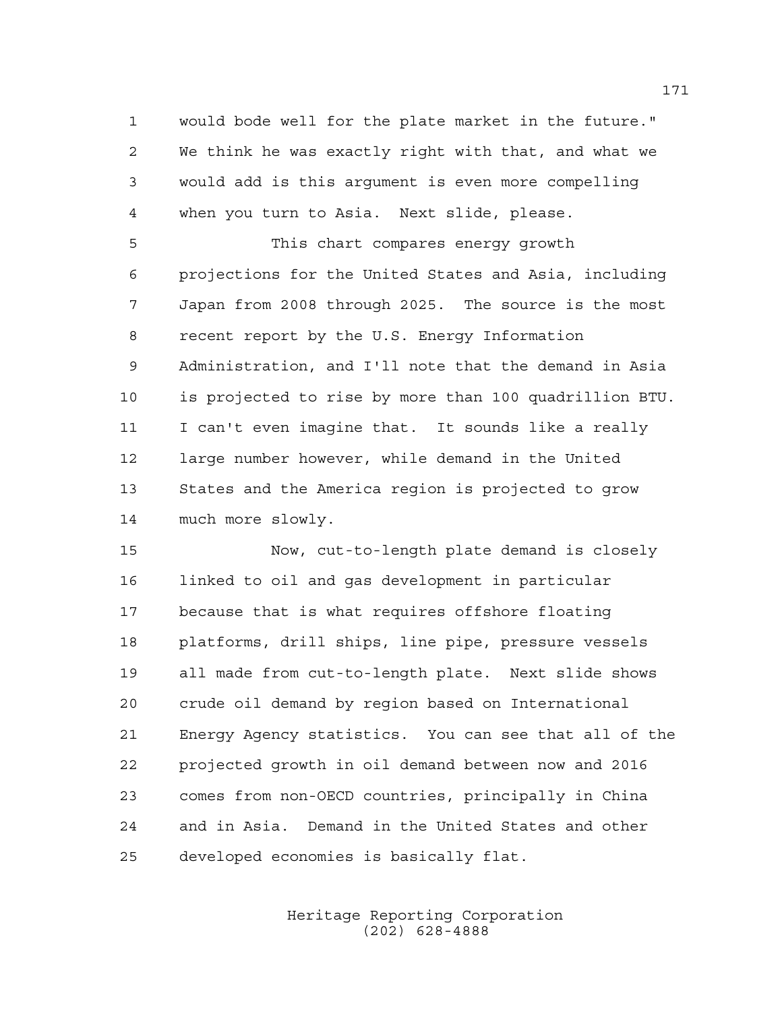would bode well for the plate market in the future." We think he was exactly right with that, and what we would add is this argument is even more compelling when you turn to Asia. Next slide, please.

 This chart compares energy growth projections for the United States and Asia, including Japan from 2008 through 2025. The source is the most recent report by the U.S. Energy Information Administration, and I'll note that the demand in Asia is projected to rise by more than 100 quadrillion BTU. I can't even imagine that. It sounds like a really large number however, while demand in the United States and the America region is projected to grow much more slowly.

 Now, cut-to-length plate demand is closely linked to oil and gas development in particular because that is what requires offshore floating platforms, drill ships, line pipe, pressure vessels all made from cut-to-length plate. Next slide shows crude oil demand by region based on International Energy Agency statistics. You can see that all of the projected growth in oil demand between now and 2016 comes from non-OECD countries, principally in China and in Asia. Demand in the United States and other developed economies is basically flat.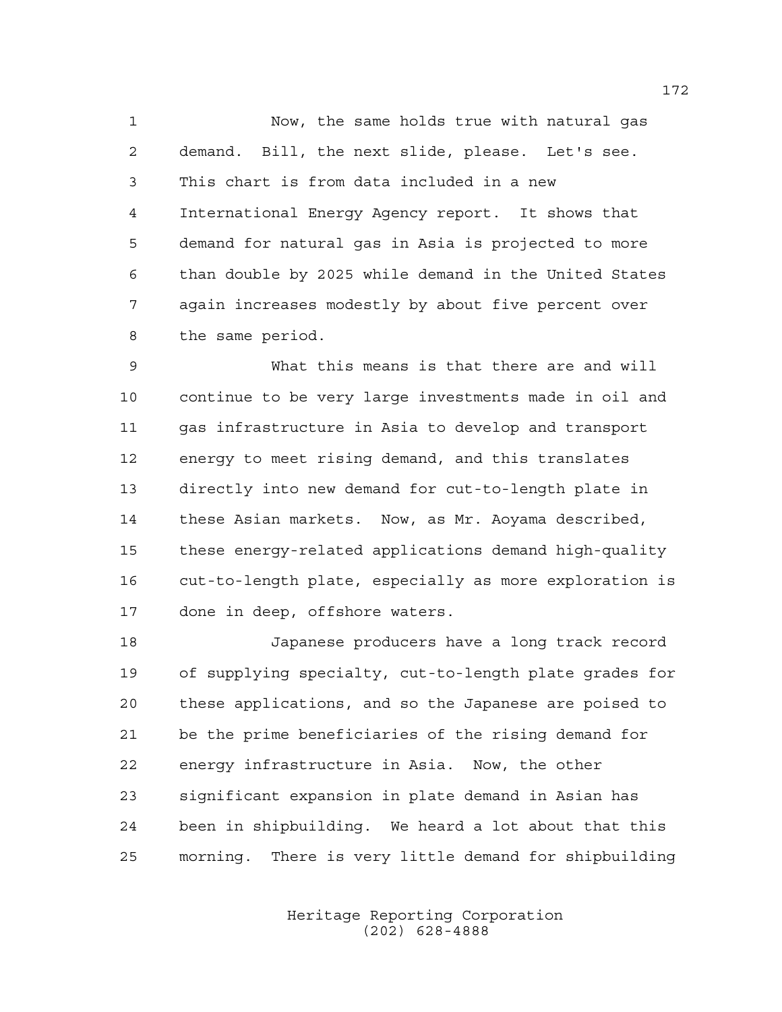Now, the same holds true with natural gas demand. Bill, the next slide, please. Let's see. This chart is from data included in a new International Energy Agency report. It shows that demand for natural gas in Asia is projected to more than double by 2025 while demand in the United States again increases modestly by about five percent over the same period.

 What this means is that there are and will continue to be very large investments made in oil and gas infrastructure in Asia to develop and transport energy to meet rising demand, and this translates directly into new demand for cut-to-length plate in these Asian markets. Now, as Mr. Aoyama described, these energy-related applications demand high-quality cut-to-length plate, especially as more exploration is done in deep, offshore waters.

 Japanese producers have a long track record of supplying specialty, cut-to-length plate grades for these applications, and so the Japanese are poised to be the prime beneficiaries of the rising demand for energy infrastructure in Asia. Now, the other significant expansion in plate demand in Asian has been in shipbuilding. We heard a lot about that this morning. There is very little demand for shipbuilding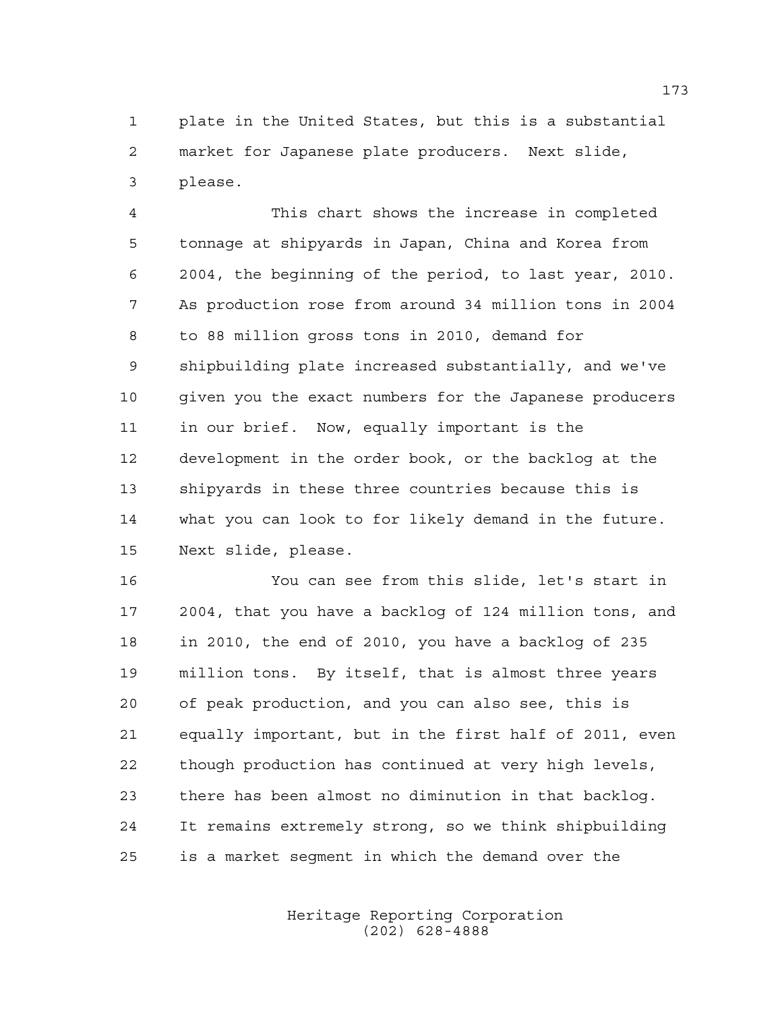plate in the United States, but this is a substantial market for Japanese plate producers. Next slide, please.

 This chart shows the increase in completed tonnage at shipyards in Japan, China and Korea from 2004, the beginning of the period, to last year, 2010. As production rose from around 34 million tons in 2004 to 88 million gross tons in 2010, demand for shipbuilding plate increased substantially, and we've given you the exact numbers for the Japanese producers in our brief. Now, equally important is the development in the order book, or the backlog at the shipyards in these three countries because this is what you can look to for likely demand in the future. Next slide, please.

 You can see from this slide, let's start in 2004, that you have a backlog of 124 million tons, and in 2010, the end of 2010, you have a backlog of 235 million tons. By itself, that is almost three years of peak production, and you can also see, this is equally important, but in the first half of 2011, even though production has continued at very high levels, there has been almost no diminution in that backlog. It remains extremely strong, so we think shipbuilding is a market segment in which the demand over the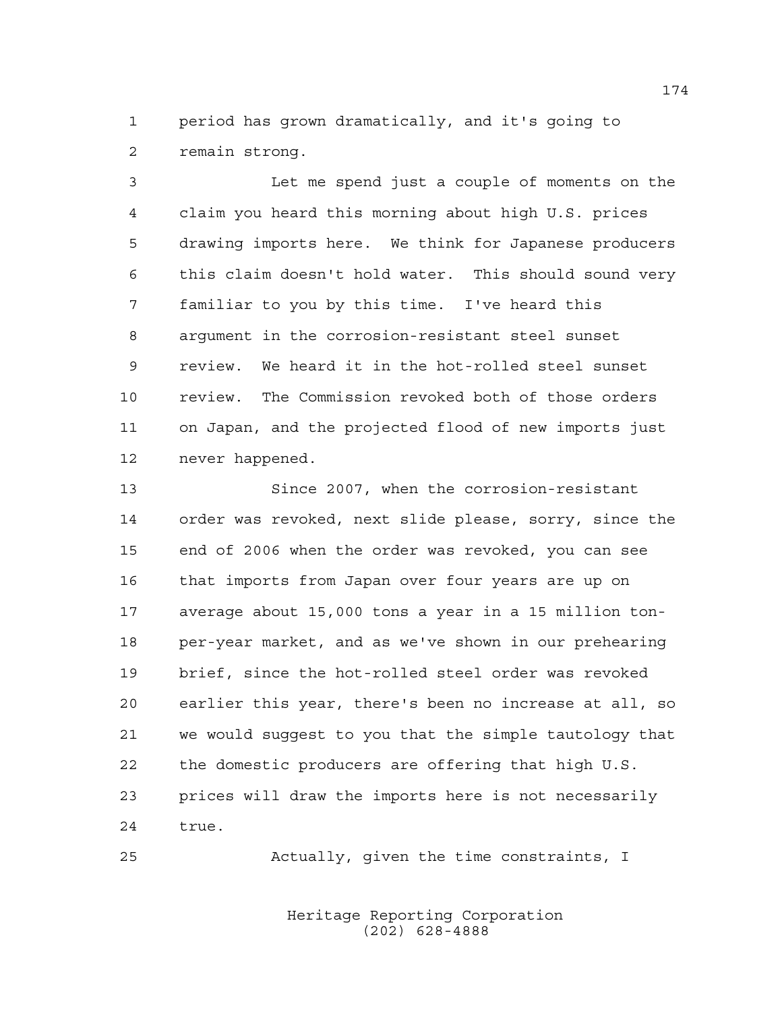period has grown dramatically, and it's going to remain strong.

 Let me spend just a couple of moments on the claim you heard this morning about high U.S. prices drawing imports here. We think for Japanese producers this claim doesn't hold water. This should sound very familiar to you by this time. I've heard this argument in the corrosion-resistant steel sunset review. We heard it in the hot-rolled steel sunset review. The Commission revoked both of those orders on Japan, and the projected flood of new imports just never happened.

 Since 2007, when the corrosion-resistant order was revoked, next slide please, sorry, since the end of 2006 when the order was revoked, you can see that imports from Japan over four years are up on average about 15,000 tons a year in a 15 million ton- per-year market, and as we've shown in our prehearing brief, since the hot-rolled steel order was revoked earlier this year, there's been no increase at all, so we would suggest to you that the simple tautology that the domestic producers are offering that high U.S. prices will draw the imports here is not necessarily true.

Actually, given the time constraints, I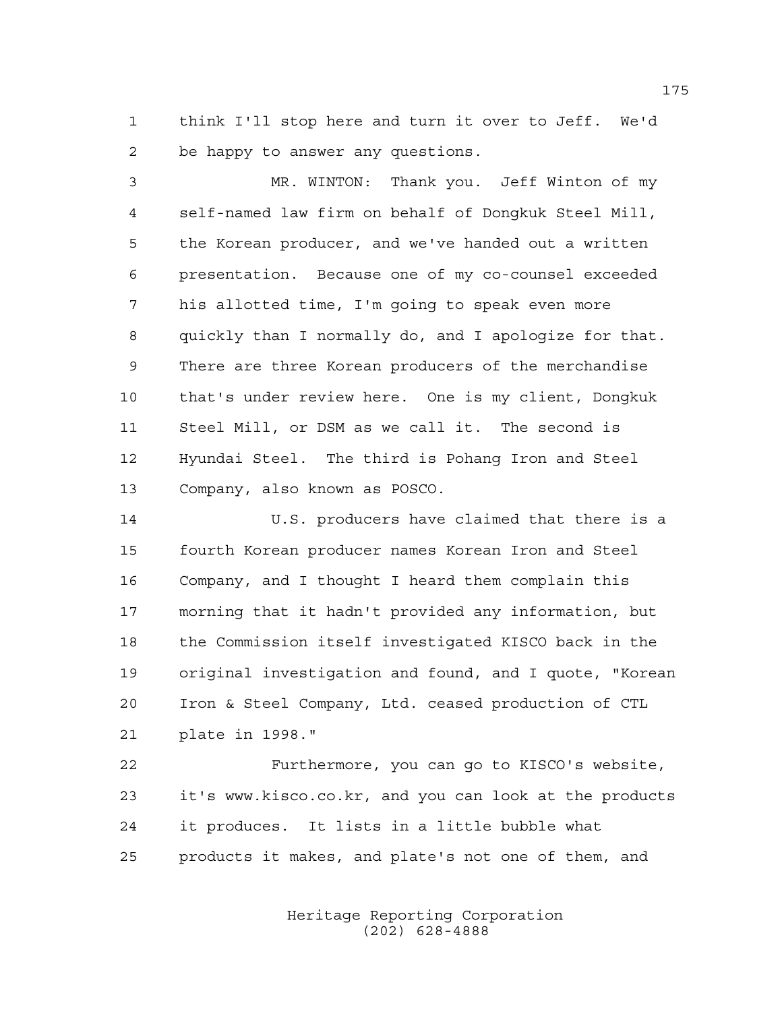think I'll stop here and turn it over to Jeff. We'd be happy to answer any questions.

 MR. WINTON: Thank you. Jeff Winton of my self-named law firm on behalf of Dongkuk Steel Mill, the Korean producer, and we've handed out a written presentation. Because one of my co-counsel exceeded his allotted time, I'm going to speak even more quickly than I normally do, and I apologize for that. There are three Korean producers of the merchandise that's under review here. One is my client, Dongkuk Steel Mill, or DSM as we call it. The second is Hyundai Steel. The third is Pohang Iron and Steel Company, also known as POSCO.

 U.S. producers have claimed that there is a fourth Korean producer names Korean Iron and Steel Company, and I thought I heard them complain this morning that it hadn't provided any information, but the Commission itself investigated KISCO back in the original investigation and found, and I quote, "Korean Iron & Steel Company, Ltd. ceased production of CTL plate in 1998."

 Furthermore, you can go to KISCO's website, it's www.kisco.co.kr, and you can look at the products it produces. It lists in a little bubble what products it makes, and plate's not one of them, and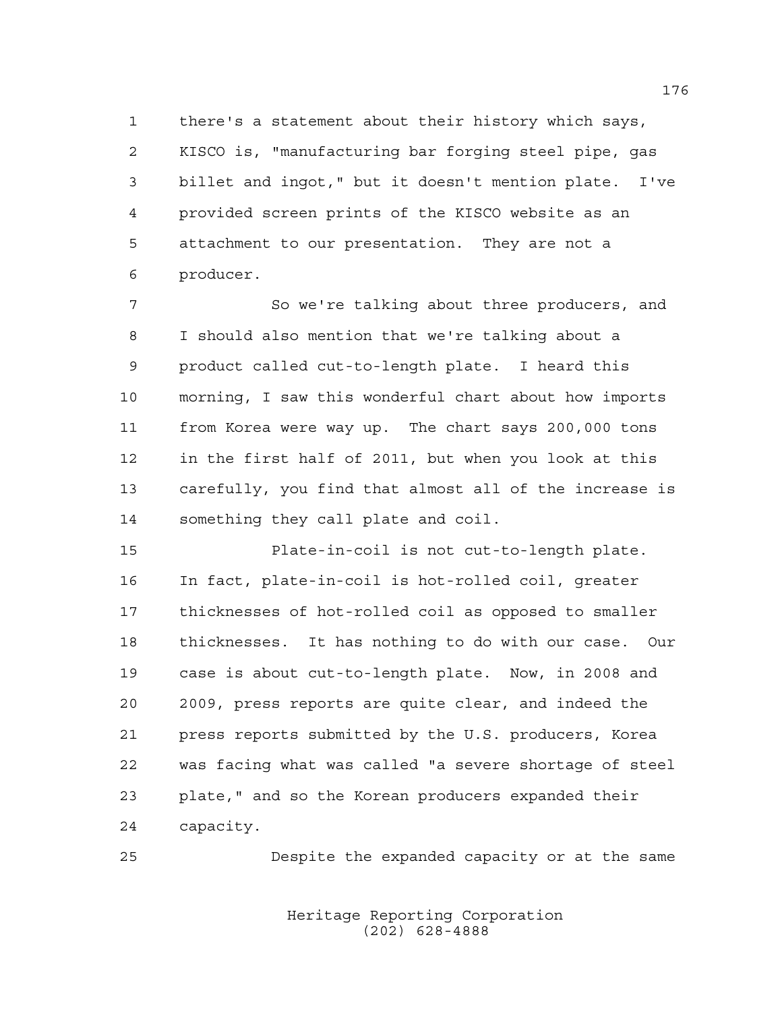there's a statement about their history which says, KISCO is, "manufacturing bar forging steel pipe, gas billet and ingot," but it doesn't mention plate. I've provided screen prints of the KISCO website as an attachment to our presentation. They are not a producer.

 So we're talking about three producers, and I should also mention that we're talking about a product called cut-to-length plate. I heard this morning, I saw this wonderful chart about how imports from Korea were way up. The chart says 200,000 tons in the first half of 2011, but when you look at this carefully, you find that almost all of the increase is something they call plate and coil.

 Plate-in-coil is not cut-to-length plate. In fact, plate-in-coil is hot-rolled coil, greater thicknesses of hot-rolled coil as opposed to smaller thicknesses. It has nothing to do with our case. Our case is about cut-to-length plate. Now, in 2008 and 2009, press reports are quite clear, and indeed the press reports submitted by the U.S. producers, Korea was facing what was called "a severe shortage of steel plate," and so the Korean producers expanded their capacity.

Despite the expanded capacity or at the same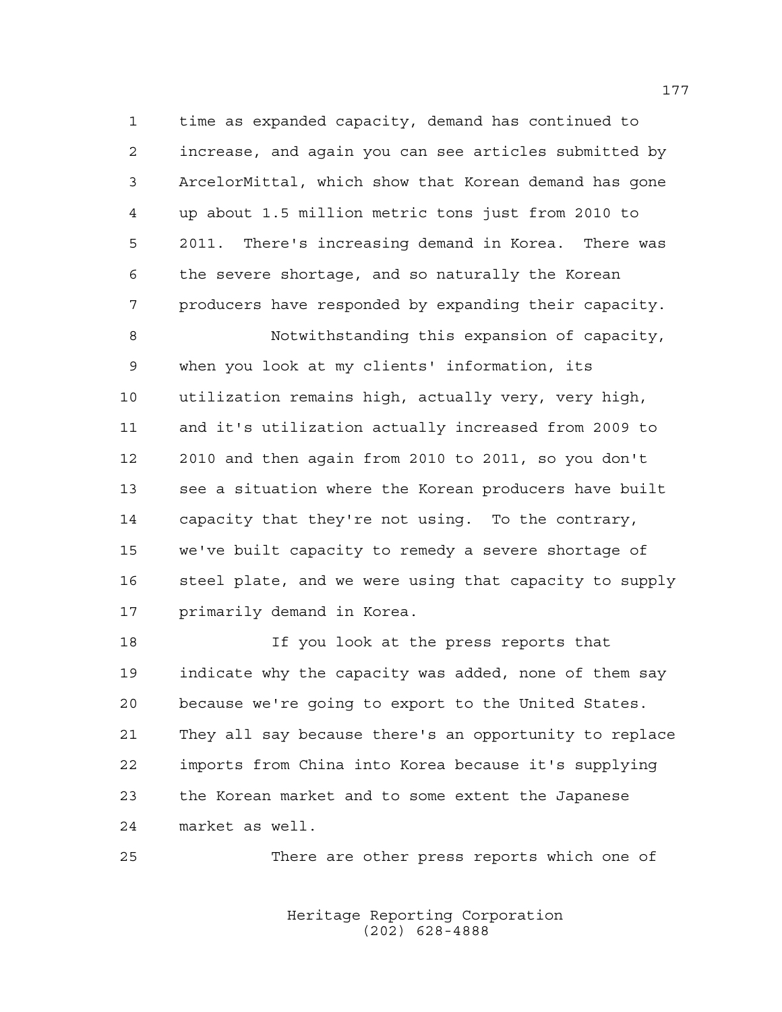time as expanded capacity, demand has continued to increase, and again you can see articles submitted by ArcelorMittal, which show that Korean demand has gone up about 1.5 million metric tons just from 2010 to 2011. There's increasing demand in Korea. There was the severe shortage, and so naturally the Korean producers have responded by expanding their capacity.

 Notwithstanding this expansion of capacity, when you look at my clients' information, its utilization remains high, actually very, very high, and it's utilization actually increased from 2009 to 2010 and then again from 2010 to 2011, so you don't see a situation where the Korean producers have built capacity that they're not using. To the contrary, we've built capacity to remedy a severe shortage of 16 steel plate, and we were using that capacity to supply primarily demand in Korea.

 If you look at the press reports that indicate why the capacity was added, none of them say because we're going to export to the United States. They all say because there's an opportunity to replace imports from China into Korea because it's supplying the Korean market and to some extent the Japanese market as well.

There are other press reports which one of

Heritage Reporting Corporation (202) 628-4888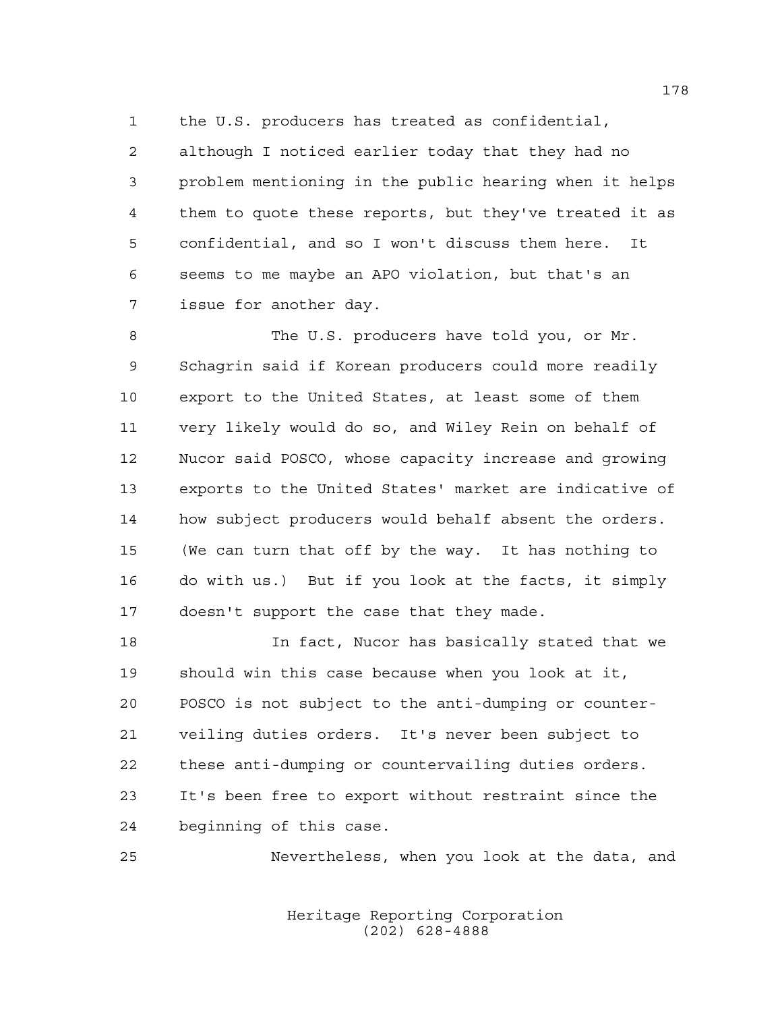the U.S. producers has treated as confidential,

 although I noticed earlier today that they had no problem mentioning in the public hearing when it helps them to quote these reports, but they've treated it as confidential, and so I won't discuss them here. It seems to me maybe an APO violation, but that's an issue for another day.

8 The U.S. producers have told you, or Mr. Schagrin said if Korean producers could more readily export to the United States, at least some of them very likely would do so, and Wiley Rein on behalf of Nucor said POSCO, whose capacity increase and growing exports to the United States' market are indicative of how subject producers would behalf absent the orders. (We can turn that off by the way. It has nothing to do with us.) But if you look at the facts, it simply doesn't support the case that they made.

 In fact, Nucor has basically stated that we should win this case because when you look at it, POSCO is not subject to the anti-dumping or counter- veiling duties orders. It's never been subject to these anti-dumping or countervailing duties orders. It's been free to export without restraint since the beginning of this case.

Nevertheless, when you look at the data, and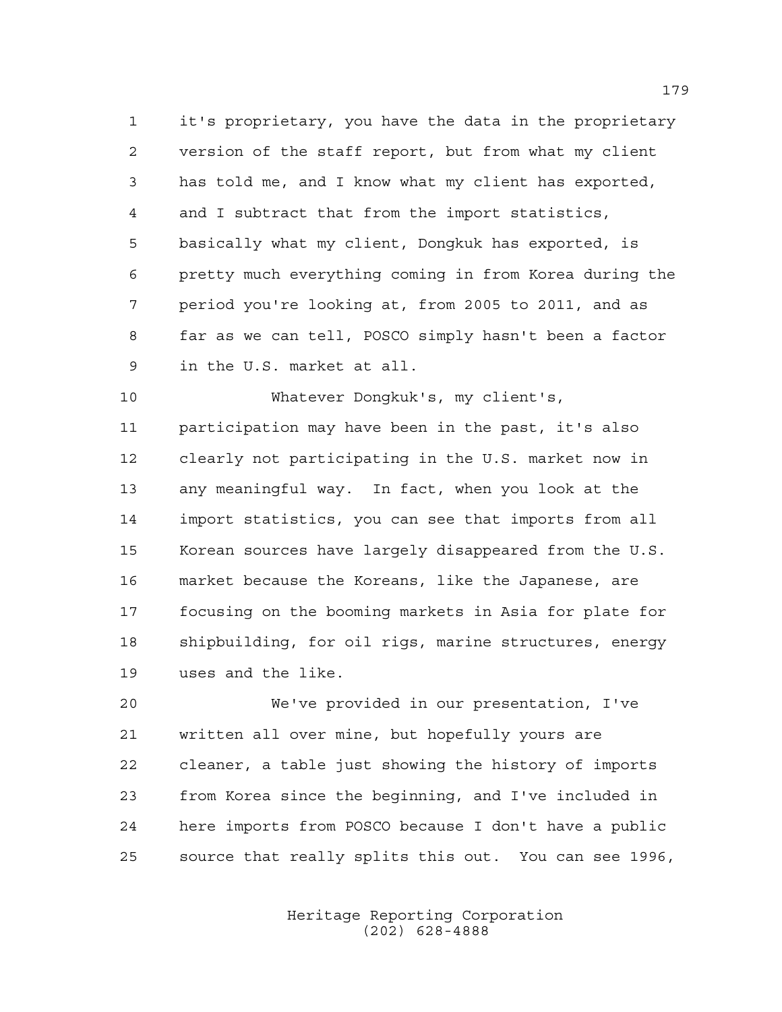it's proprietary, you have the data in the proprietary version of the staff report, but from what my client has told me, and I know what my client has exported, and I subtract that from the import statistics, basically what my client, Dongkuk has exported, is pretty much everything coming in from Korea during the period you're looking at, from 2005 to 2011, and as far as we can tell, POSCO simply hasn't been a factor in the U.S. market at all.

 Whatever Dongkuk's, my client's, participation may have been in the past, it's also clearly not participating in the U.S. market now in any meaningful way. In fact, when you look at the import statistics, you can see that imports from all Korean sources have largely disappeared from the U.S. market because the Koreans, like the Japanese, are focusing on the booming markets in Asia for plate for shipbuilding, for oil rigs, marine structures, energy uses and the like.

 We've provided in our presentation, I've written all over mine, but hopefully yours are cleaner, a table just showing the history of imports from Korea since the beginning, and I've included in here imports from POSCO because I don't have a public source that really splits this out. You can see 1996,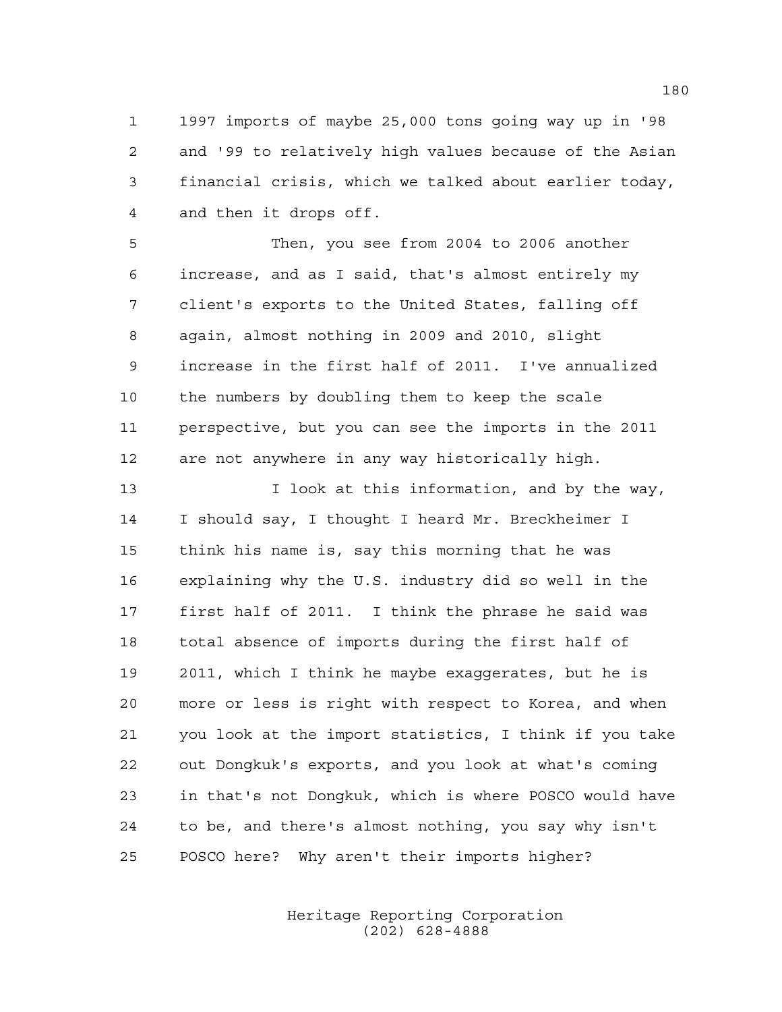1997 imports of maybe 25,000 tons going way up in '98 and '99 to relatively high values because of the Asian financial crisis, which we talked about earlier today, and then it drops off.

 Then, you see from 2004 to 2006 another increase, and as I said, that's almost entirely my client's exports to the United States, falling off again, almost nothing in 2009 and 2010, slight increase in the first half of 2011. I've annualized the numbers by doubling them to keep the scale perspective, but you can see the imports in the 2011 are not anywhere in any way historically high.

 I look at this information, and by the way, I should say, I thought I heard Mr. Breckheimer I think his name is, say this morning that he was explaining why the U.S. industry did so well in the first half of 2011. I think the phrase he said was total absence of imports during the first half of 2011, which I think he maybe exaggerates, but he is more or less is right with respect to Korea, and when you look at the import statistics, I think if you take out Dongkuk's exports, and you look at what's coming in that's not Dongkuk, which is where POSCO would have to be, and there's almost nothing, you say why isn't POSCO here? Why aren't their imports higher?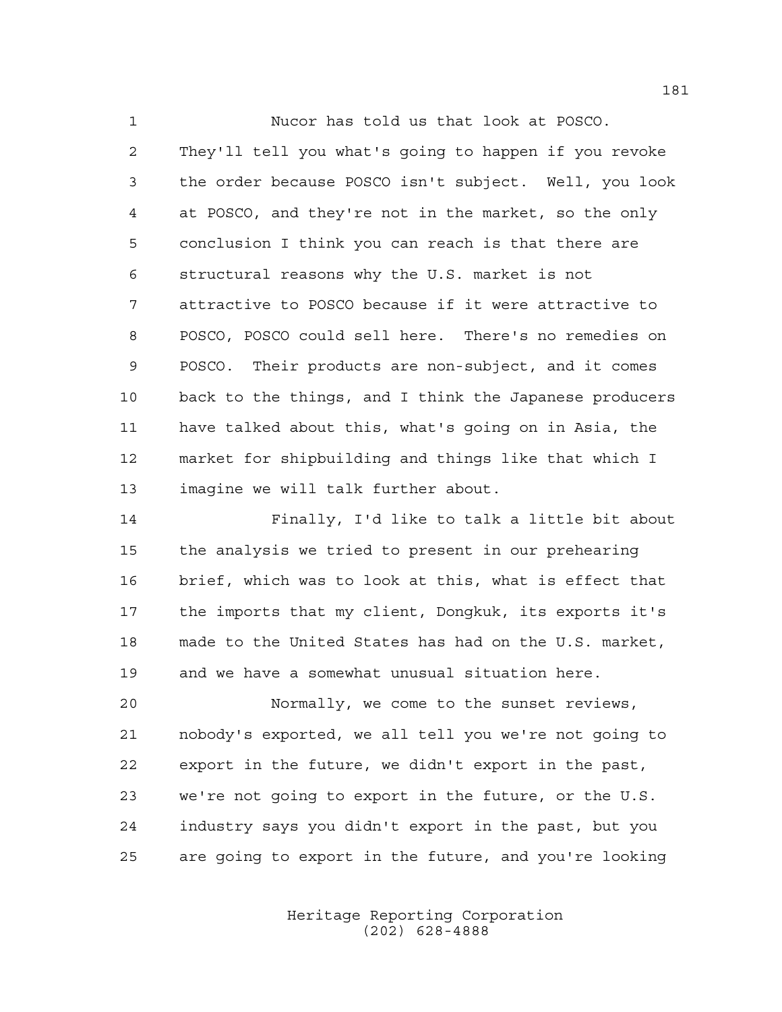Nucor has told us that look at POSCO. They'll tell you what's going to happen if you revoke the order because POSCO isn't subject. Well, you look at POSCO, and they're not in the market, so the only conclusion I think you can reach is that there are structural reasons why the U.S. market is not attractive to POSCO because if it were attractive to POSCO, POSCO could sell here. There's no remedies on POSCO. Their products are non-subject, and it comes back to the things, and I think the Japanese producers have talked about this, what's going on in Asia, the market for shipbuilding and things like that which I imagine we will talk further about.

 Finally, I'd like to talk a little bit about the analysis we tried to present in our prehearing brief, which was to look at this, what is effect that the imports that my client, Dongkuk, its exports it's made to the United States has had on the U.S. market, and we have a somewhat unusual situation here.

 Normally, we come to the sunset reviews, nobody's exported, we all tell you we're not going to export in the future, we didn't export in the past, we're not going to export in the future, or the U.S. industry says you didn't export in the past, but you are going to export in the future, and you're looking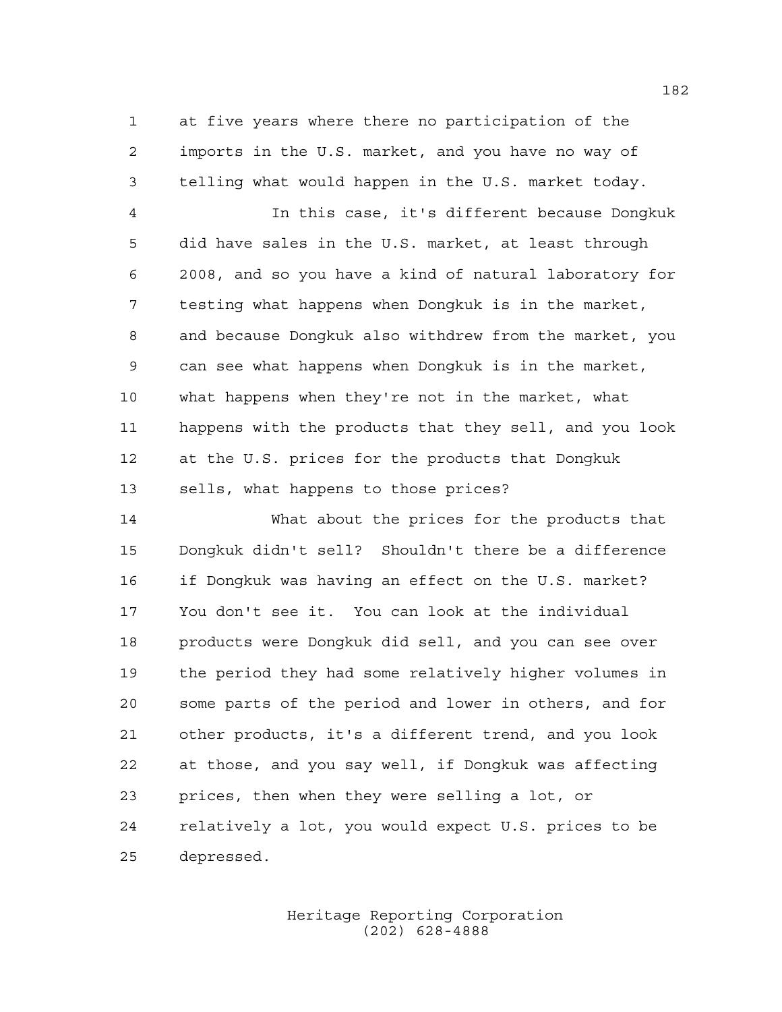at five years where there no participation of the imports in the U.S. market, and you have no way of telling what would happen in the U.S. market today.

 In this case, it's different because Dongkuk did have sales in the U.S. market, at least through 2008, and so you have a kind of natural laboratory for testing what happens when Dongkuk is in the market, and because Dongkuk also withdrew from the market, you can see what happens when Dongkuk is in the market, what happens when they're not in the market, what happens with the products that they sell, and you look at the U.S. prices for the products that Dongkuk sells, what happens to those prices?

 What about the prices for the products that Dongkuk didn't sell? Shouldn't there be a difference if Dongkuk was having an effect on the U.S. market? You don't see it. You can look at the individual products were Dongkuk did sell, and you can see over the period they had some relatively higher volumes in some parts of the period and lower in others, and for other products, it's a different trend, and you look at those, and you say well, if Dongkuk was affecting prices, then when they were selling a lot, or relatively a lot, you would expect U.S. prices to be depressed.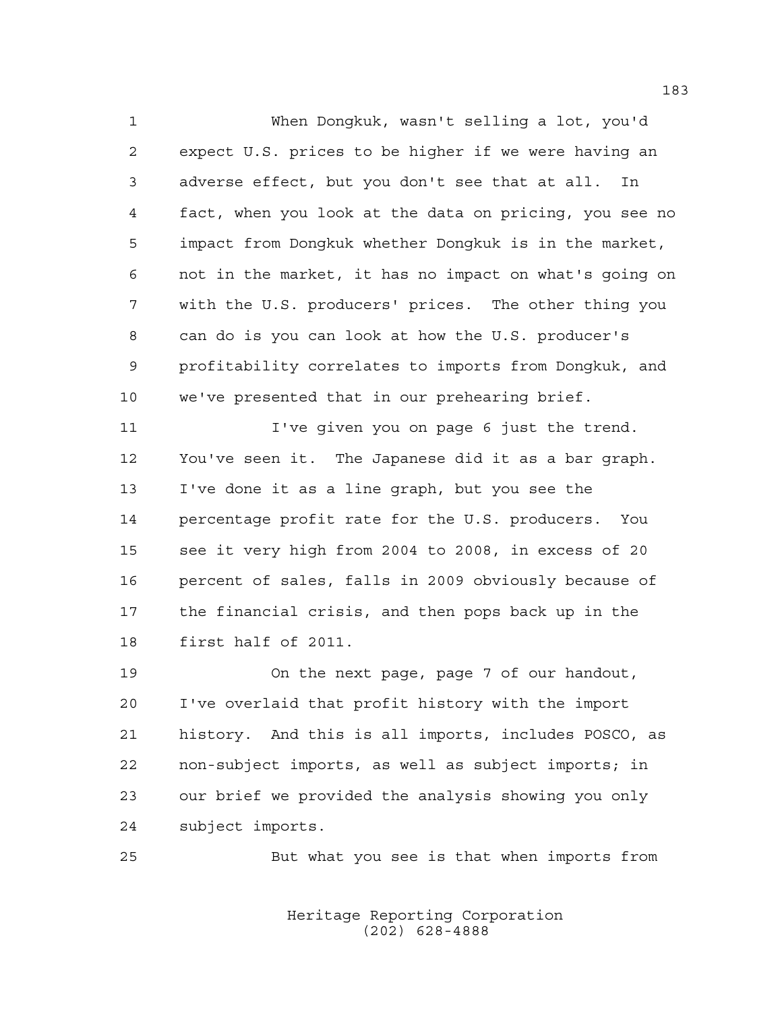When Dongkuk, wasn't selling a lot, you'd expect U.S. prices to be higher if we were having an adverse effect, but you don't see that at all. In fact, when you look at the data on pricing, you see no impact from Dongkuk whether Dongkuk is in the market, not in the market, it has no impact on what's going on with the U.S. producers' prices. The other thing you can do is you can look at how the U.S. producer's profitability correlates to imports from Dongkuk, and we've presented that in our prehearing brief.

 I've given you on page 6 just the trend. You've seen it. The Japanese did it as a bar graph. I've done it as a line graph, but you see the percentage profit rate for the U.S. producers. You see it very high from 2004 to 2008, in excess of 20 percent of sales, falls in 2009 obviously because of the financial crisis, and then pops back up in the first half of 2011.

 On the next page, page 7 of our handout, I've overlaid that profit history with the import history. And this is all imports, includes POSCO, as non-subject imports, as well as subject imports; in our brief we provided the analysis showing you only subject imports.

But what you see is that when imports from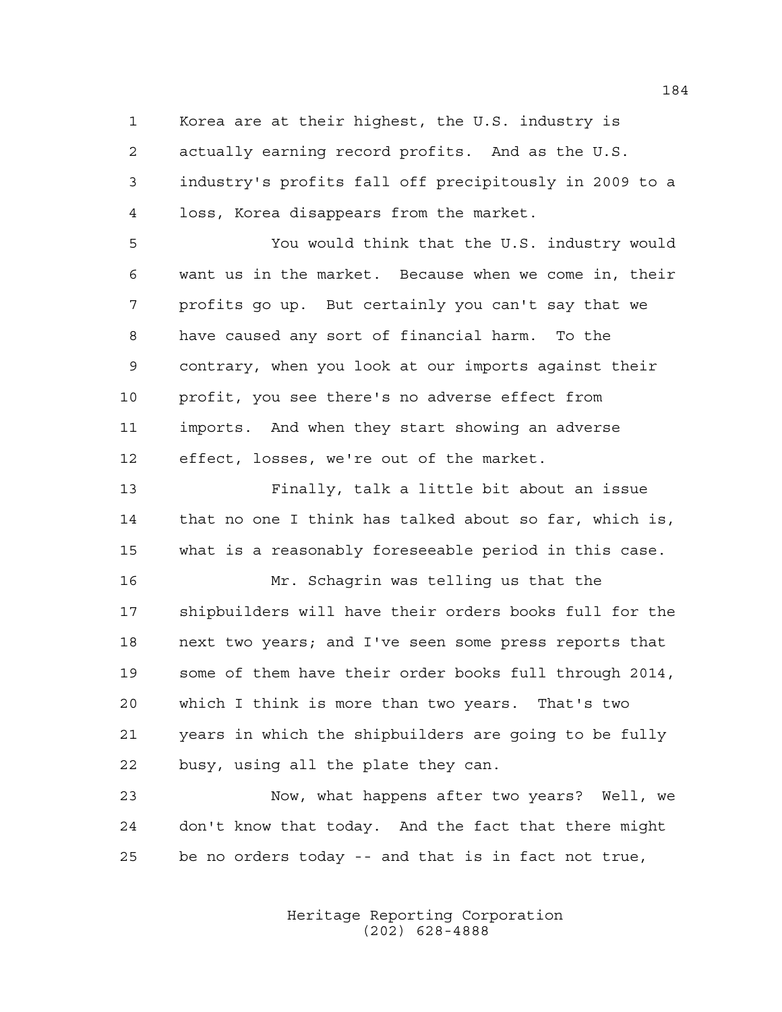Korea are at their highest, the U.S. industry is actually earning record profits. And as the U.S. industry's profits fall off precipitously in 2009 to a

loss, Korea disappears from the market.

 You would think that the U.S. industry would want us in the market. Because when we come in, their profits go up. But certainly you can't say that we have caused any sort of financial harm. To the contrary, when you look at our imports against their profit, you see there's no adverse effect from imports. And when they start showing an adverse effect, losses, we're out of the market.

 Finally, talk a little bit about an issue that no one I think has talked about so far, which is, what is a reasonably foreseeable period in this case.

 Mr. Schagrin was telling us that the shipbuilders will have their orders books full for the next two years; and I've seen some press reports that some of them have their order books full through 2014, which I think is more than two years. That's two years in which the shipbuilders are going to be fully busy, using all the plate they can.

 Now, what happens after two years? Well, we don't know that today. And the fact that there might be no orders today -- and that is in fact not true,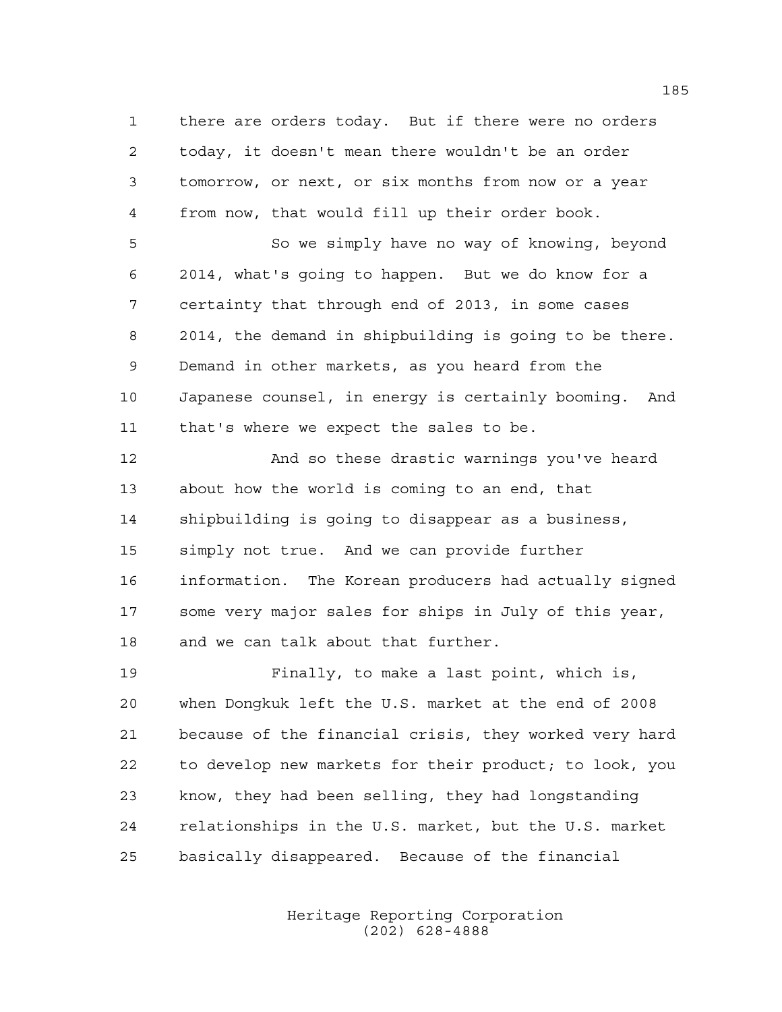there are orders today. But if there were no orders today, it doesn't mean there wouldn't be an order tomorrow, or next, or six months from now or a year from now, that would fill up their order book.

 So we simply have no way of knowing, beyond 2014, what's going to happen. But we do know for a certainty that through end of 2013, in some cases 2014, the demand in shipbuilding is going to be there. Demand in other markets, as you heard from the Japanese counsel, in energy is certainly booming. And that's where we expect the sales to be.

 And so these drastic warnings you've heard about how the world is coming to an end, that shipbuilding is going to disappear as a business, simply not true. And we can provide further information. The Korean producers had actually signed some very major sales for ships in July of this year, and we can talk about that further.

 Finally, to make a last point, which is, when Dongkuk left the U.S. market at the end of 2008 because of the financial crisis, they worked very hard to develop new markets for their product; to look, you know, they had been selling, they had longstanding relationships in the U.S. market, but the U.S. market basically disappeared. Because of the financial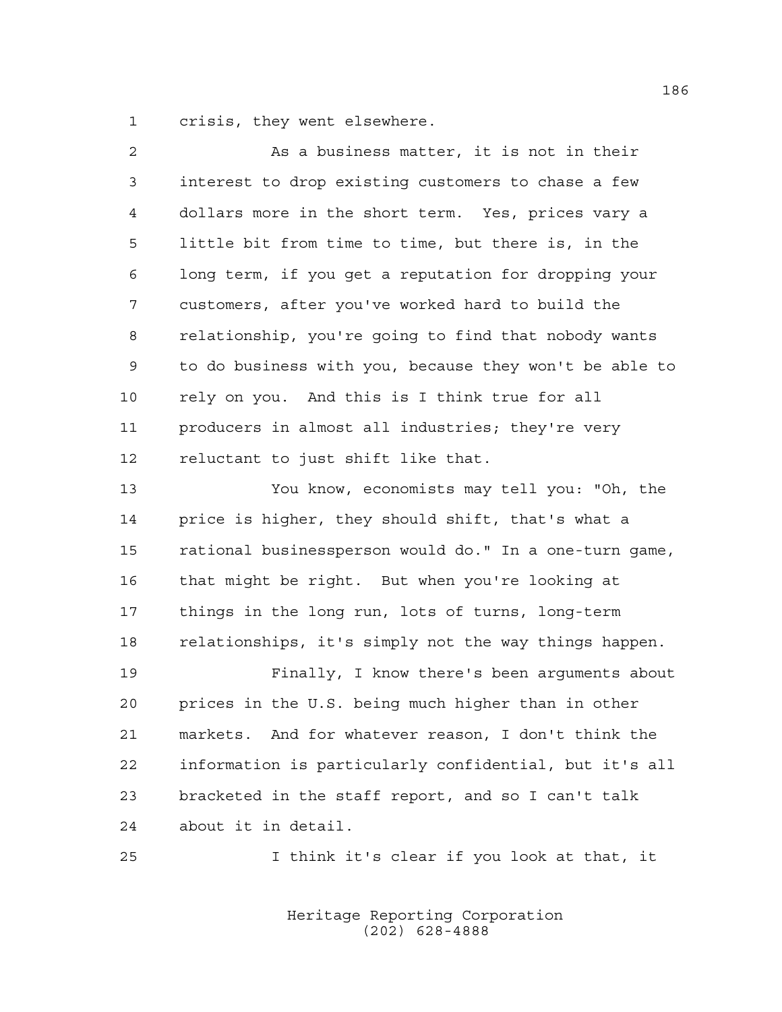crisis, they went elsewhere.

| $\overline{a}$ | As a business matter, it is not in their               |
|----------------|--------------------------------------------------------|
| 3              | interest to drop existing customers to chase a few     |
| 4              | dollars more in the short term. Yes, prices vary a     |
| 5              | little bit from time to time, but there is, in the     |
| 6              | long term, if you get a reputation for dropping your   |
| 7              | customers, after you've worked hard to build the       |
| 8              | relationship, you're going to find that nobody wants   |
| 9              | to do business with you, because they won't be able to |
| 10             | rely on you. And this is I think true for all          |
| 11             | producers in almost all industries; they're very       |
| 12             | reluctant to just shift like that.                     |
| 13             | You know, economists may tell you: "Oh, the            |
| 14             | price is higher, they should shift, that's what a      |
| 15             | rational businessperson would do." In a one-turn game, |
| 16             | that might be right. But when you're looking at        |
| 17             | things in the long run, lots of turns, long-term       |
| 18             | relationships, it's simply not the way things happen.  |
| 19             | Finally, I know there's been arguments about           |
| 20             | prices in the U.S. being much higher than in other     |
| 21             | markets. And for whatever reason, I don't think the    |
| 22             | information is particularly confidential, but it's all |
| 23             | bracketed in the staff report, and so I can't talk     |
| 24             | about it in detail.                                    |
| 25             | I think it's clear if you look at that, it             |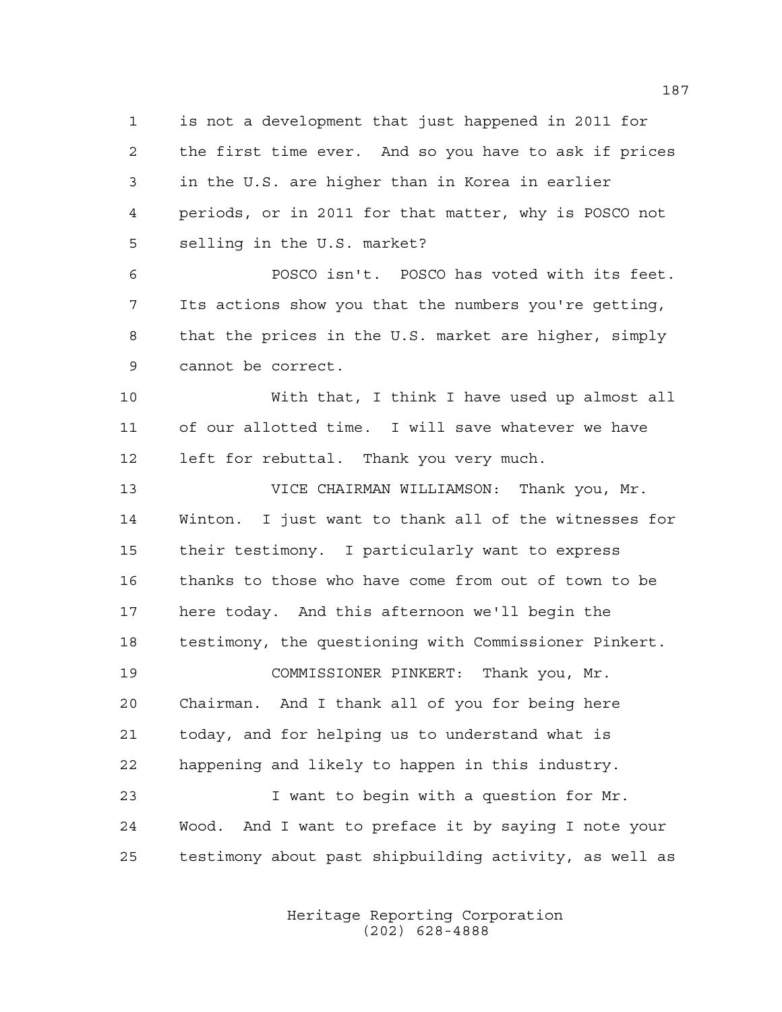is not a development that just happened in 2011 for the first time ever. And so you have to ask if prices in the U.S. are higher than in Korea in earlier periods, or in 2011 for that matter, why is POSCO not selling in the U.S. market?

 POSCO isn't. POSCO has voted with its feet. Its actions show you that the numbers you're getting, that the prices in the U.S. market are higher, simply cannot be correct.

 With that, I think I have used up almost all of our allotted time. I will save whatever we have left for rebuttal. Thank you very much.

 VICE CHAIRMAN WILLIAMSON: Thank you, Mr. Winton. I just want to thank all of the witnesses for their testimony. I particularly want to express thanks to those who have come from out of town to be here today. And this afternoon we'll begin the testimony, the questioning with Commissioner Pinkert. COMMISSIONER PINKERT: Thank you, Mr. Chairman. And I thank all of you for being here today, and for helping us to understand what is

 I want to begin with a question for Mr. Wood. And I want to preface it by saying I note your testimony about past shipbuilding activity, as well as

happening and likely to happen in this industry.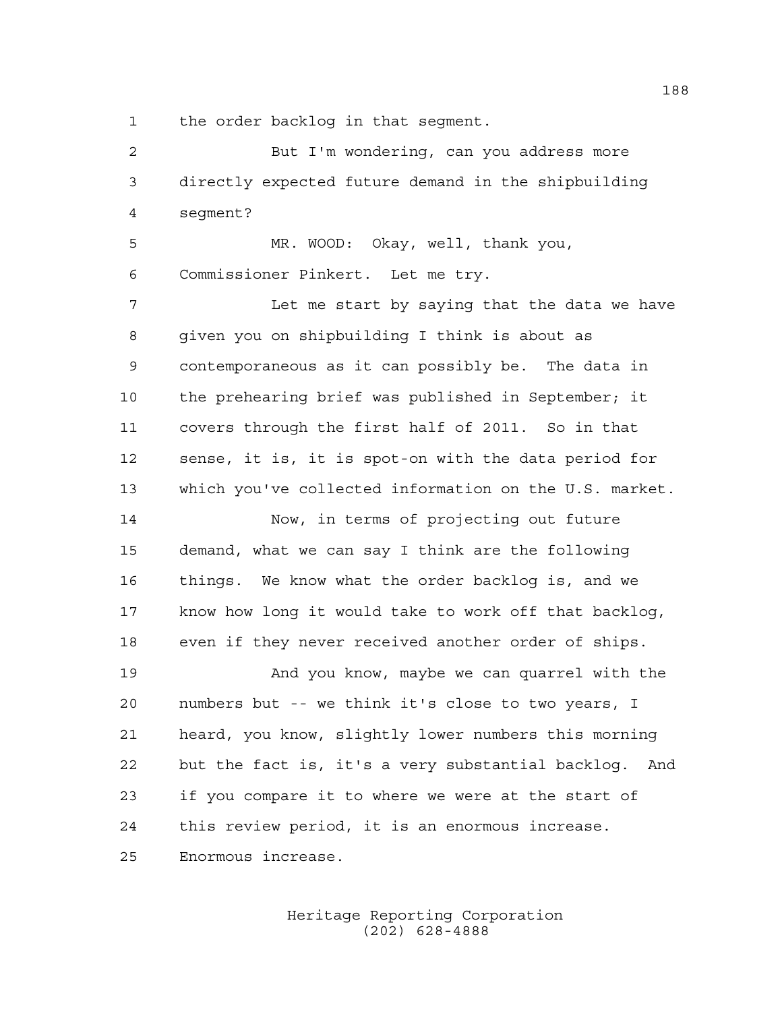the order backlog in that segment.

 But I'm wondering, can you address more directly expected future demand in the shipbuilding segment? MR. WOOD: Okay, well, thank you, Commissioner Pinkert. Let me try. Let me start by saying that the data we have given you on shipbuilding I think is about as contemporaneous as it can possibly be. The data in the prehearing brief was published in September; it covers through the first half of 2011. So in that sense, it is, it is spot-on with the data period for which you've collected information on the U.S. market. Now, in terms of projecting out future demand, what we can say I think are the following things. We know what the order backlog is, and we know how long it would take to work off that backlog, even if they never received another order of ships. And you know, maybe we can quarrel with the numbers but -- we think it's close to two years, I heard, you know, slightly lower numbers this morning but the fact is, it's a very substantial backlog. And if you compare it to where we were at the start of this review period, it is an enormous increase. Enormous increase.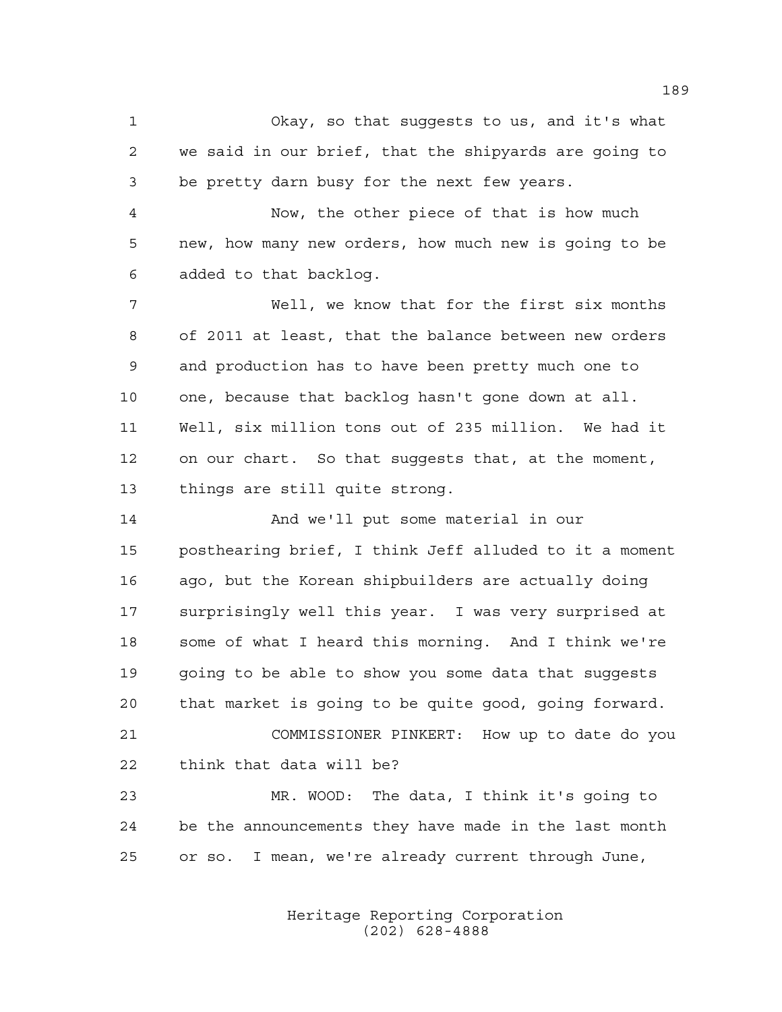Okay, so that suggests to us, and it's what we said in our brief, that the shipyards are going to be pretty darn busy for the next few years.

 Now, the other piece of that is how much new, how many new orders, how much new is going to be added to that backlog.

 Well, we know that for the first six months of 2011 at least, that the balance between new orders and production has to have been pretty much one to one, because that backlog hasn't gone down at all. Well, six million tons out of 235 million. We had it on our chart. So that suggests that, at the moment, things are still quite strong.

 And we'll put some material in our posthearing brief, I think Jeff alluded to it a moment ago, but the Korean shipbuilders are actually doing surprisingly well this year. I was very surprised at some of what I heard this morning. And I think we're going to be able to show you some data that suggests that market is going to be quite good, going forward. COMMISSIONER PINKERT: How up to date do you

think that data will be?

 MR. WOOD: The data, I think it's going to be the announcements they have made in the last month or so. I mean, we're already current through June,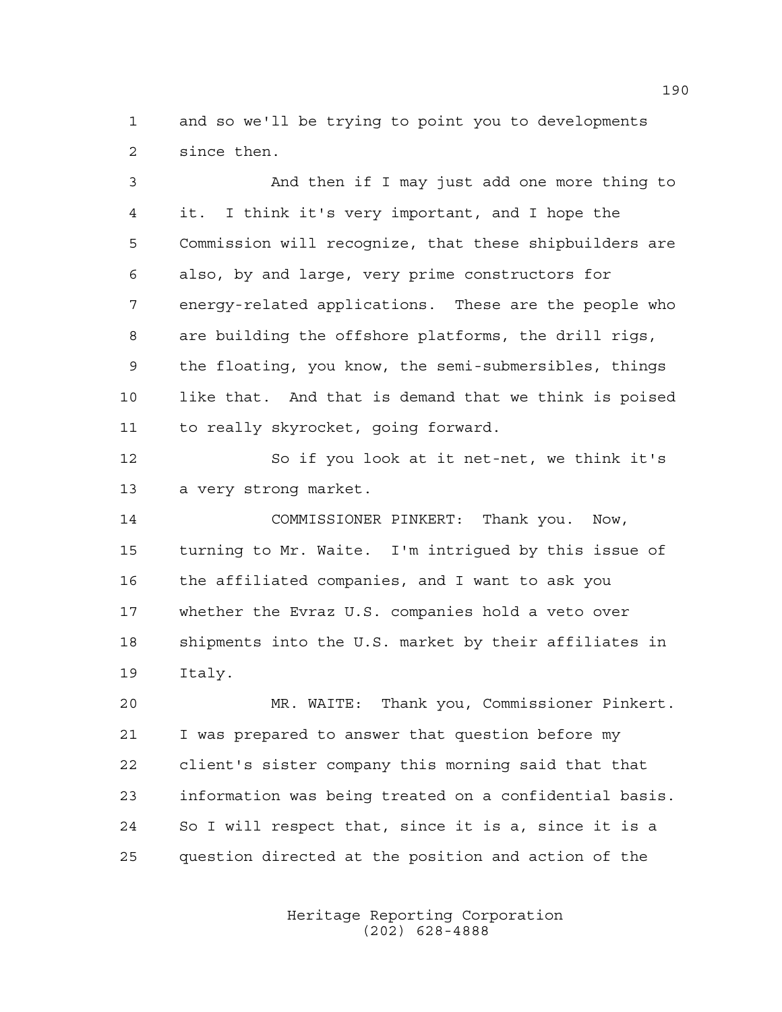and so we'll be trying to point you to developments since then.

 And then if I may just add one more thing to it. I think it's very important, and I hope the Commission will recognize, that these shipbuilders are also, by and large, very prime constructors for energy-related applications. These are the people who are building the offshore platforms, the drill rigs, the floating, you know, the semi-submersibles, things like that. And that is demand that we think is poised to really skyrocket, going forward. So if you look at it net-net, we think it's

a very strong market.

 COMMISSIONER PINKERT: Thank you. Now, turning to Mr. Waite. I'm intrigued by this issue of the affiliated companies, and I want to ask you whether the Evraz U.S. companies hold a veto over shipments into the U.S. market by their affiliates in Italy.

 MR. WAITE: Thank you, Commissioner Pinkert. I was prepared to answer that question before my client's sister company this morning said that that information was being treated on a confidential basis. So I will respect that, since it is a, since it is a question directed at the position and action of the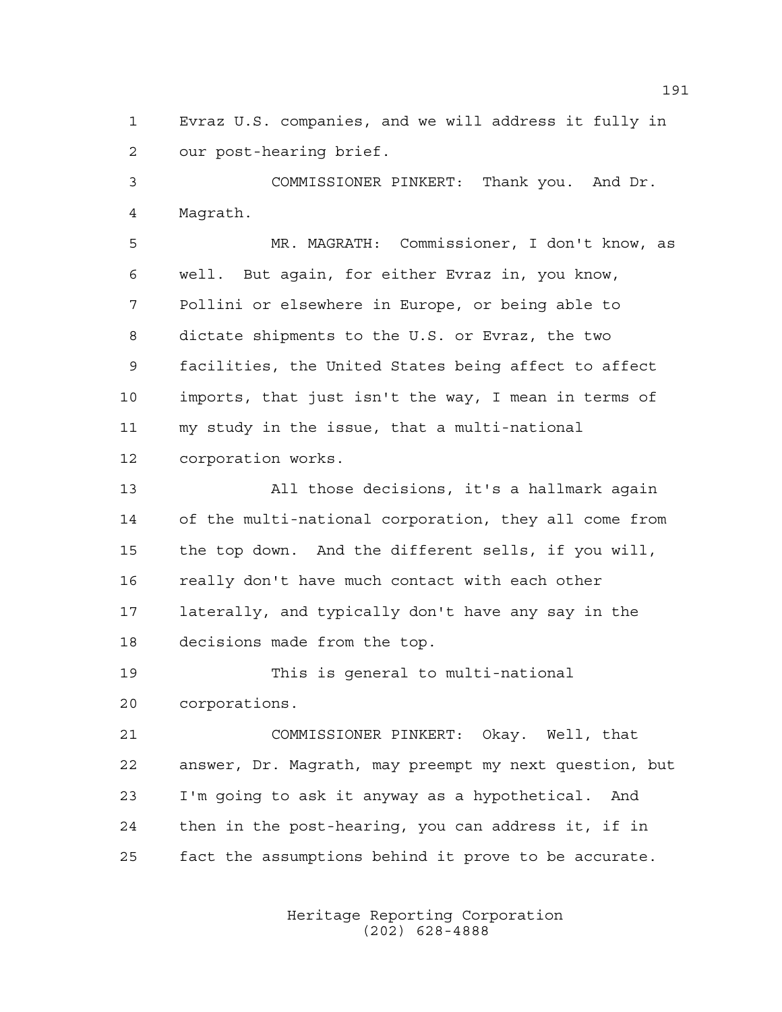Evraz U.S. companies, and we will address it fully in our post-hearing brief.

 COMMISSIONER PINKERT: Thank you. And Dr. Magrath.

 MR. MAGRATH: Commissioner, I don't know, as well. But again, for either Evraz in, you know, Pollini or elsewhere in Europe, or being able to dictate shipments to the U.S. or Evraz, the two facilities, the United States being affect to affect imports, that just isn't the way, I mean in terms of my study in the issue, that a multi-national corporation works.

 All those decisions, it's a hallmark again of the multi-national corporation, they all come from the top down. And the different sells, if you will, really don't have much contact with each other laterally, and typically don't have any say in the decisions made from the top.

 This is general to multi-national corporations.

 COMMISSIONER PINKERT: Okay. Well, that answer, Dr. Magrath, may preempt my next question, but I'm going to ask it anyway as a hypothetical. And then in the post-hearing, you can address it, if in fact the assumptions behind it prove to be accurate.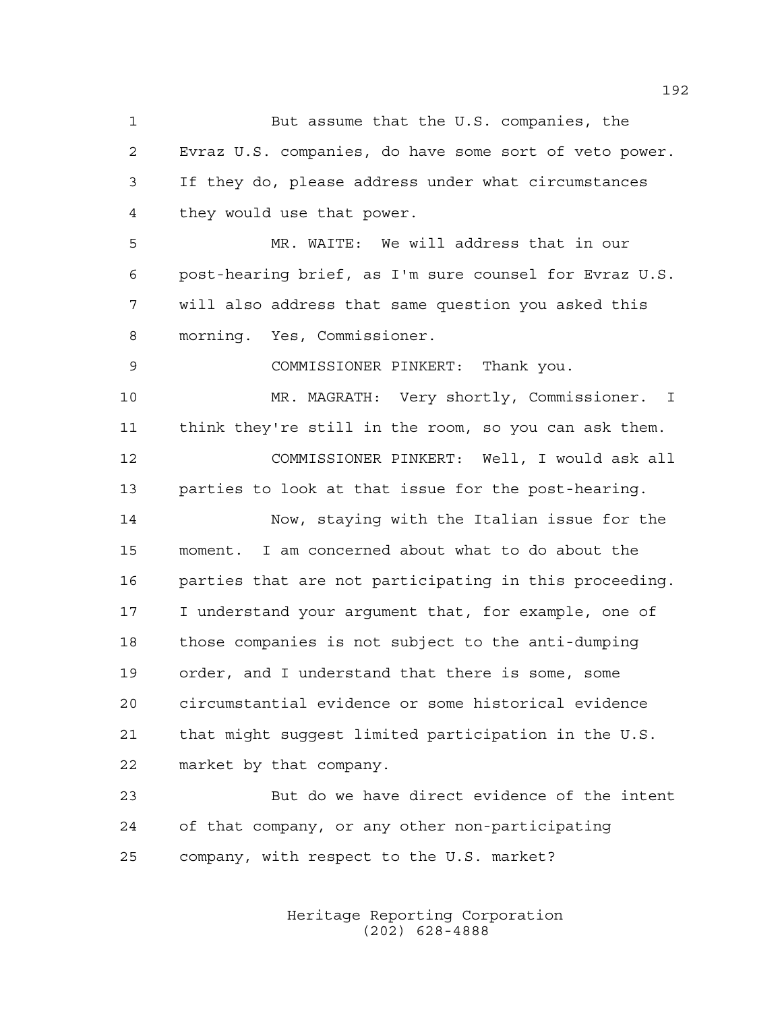But assume that the U.S. companies, the Evraz U.S. companies, do have some sort of veto power. If they do, please address under what circumstances they would use that power. MR. WAITE: We will address that in our post-hearing brief, as I'm sure counsel for Evraz U.S. will also address that same question you asked this morning. Yes, Commissioner. COMMISSIONER PINKERT: Thank you. MR. MAGRATH: Very shortly, Commissioner. I think they're still in the room, so you can ask them. COMMISSIONER PINKERT: Well, I would ask all parties to look at that issue for the post-hearing. Now, staying with the Italian issue for the moment. I am concerned about what to do about the parties that are not participating in this proceeding. I understand your argument that, for example, one of those companies is not subject to the anti-dumping order, and I understand that there is some, some circumstantial evidence or some historical evidence that might suggest limited participation in the U.S. market by that company. But do we have direct evidence of the intent of that company, or any other non-participating company, with respect to the U.S. market?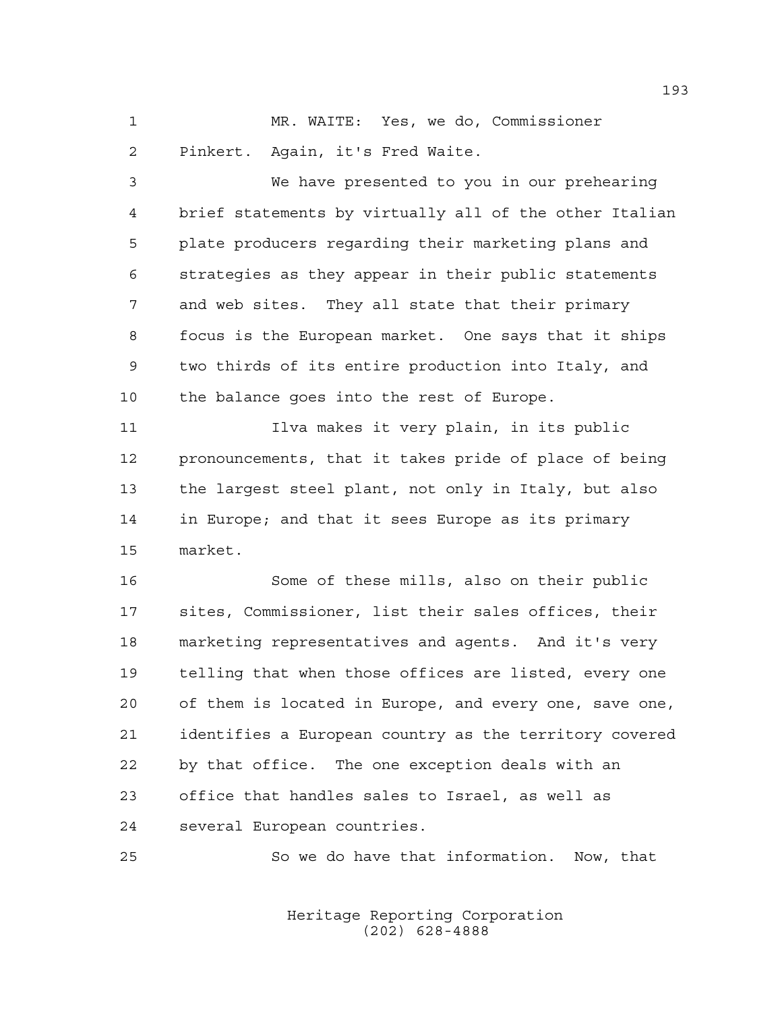MR. WAITE: Yes, we do, Commissioner Pinkert. Again, it's Fred Waite.

 We have presented to you in our prehearing brief statements by virtually all of the other Italian plate producers regarding their marketing plans and strategies as they appear in their public statements and web sites. They all state that their primary focus is the European market. One says that it ships two thirds of its entire production into Italy, and the balance goes into the rest of Europe.

 Ilva makes it very plain, in its public pronouncements, that it takes pride of place of being the largest steel plant, not only in Italy, but also in Europe; and that it sees Europe as its primary market.

 Some of these mills, also on their public sites, Commissioner, list their sales offices, their marketing representatives and agents. And it's very telling that when those offices are listed, every one of them is located in Europe, and every one, save one, identifies a European country as the territory covered by that office. The one exception deals with an office that handles sales to Israel, as well as several European countries.

So we do have that information. Now, that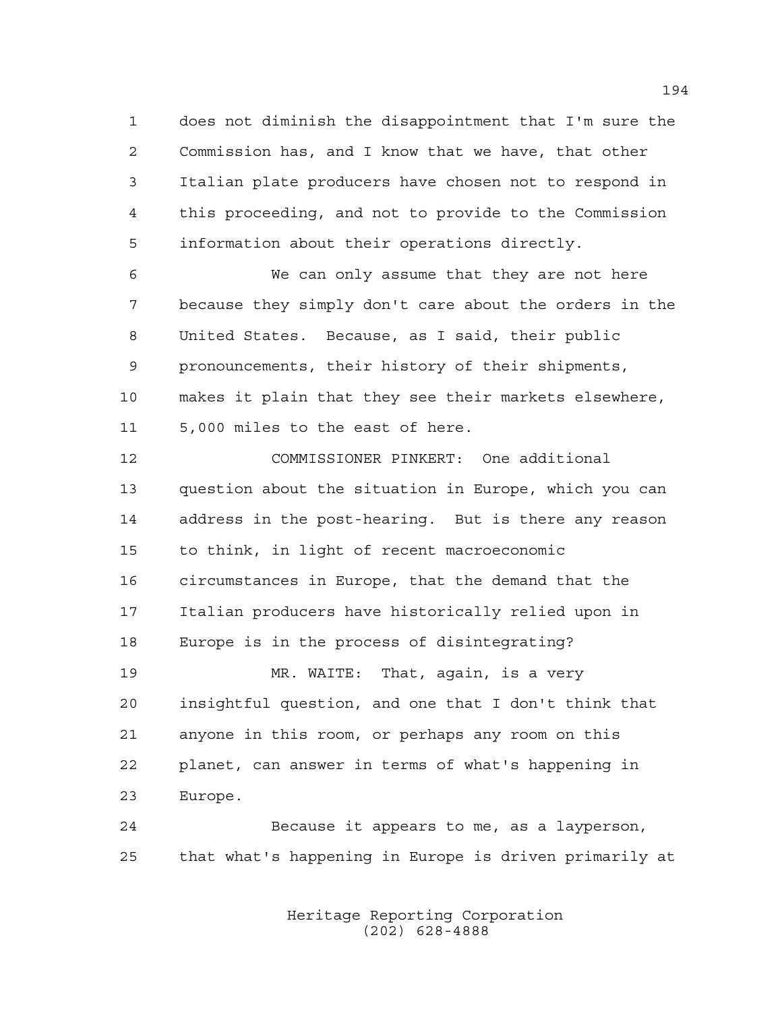does not diminish the disappointment that I'm sure the Commission has, and I know that we have, that other Italian plate producers have chosen not to respond in this proceeding, and not to provide to the Commission information about their operations directly.

 We can only assume that they are not here because they simply don't care about the orders in the United States. Because, as I said, their public pronouncements, their history of their shipments, makes it plain that they see their markets elsewhere, 5,000 miles to the east of here.

 COMMISSIONER PINKERT: One additional question about the situation in Europe, which you can address in the post-hearing. But is there any reason to think, in light of recent macroeconomic circumstances in Europe, that the demand that the Italian producers have historically relied upon in Europe is in the process of disintegrating? MR. WAITE: That, again, is a very insightful question, and one that I don't think that

 anyone in this room, or perhaps any room on this planet, can answer in terms of what's happening in Europe.

 Because it appears to me, as a layperson, that what's happening in Europe is driven primarily at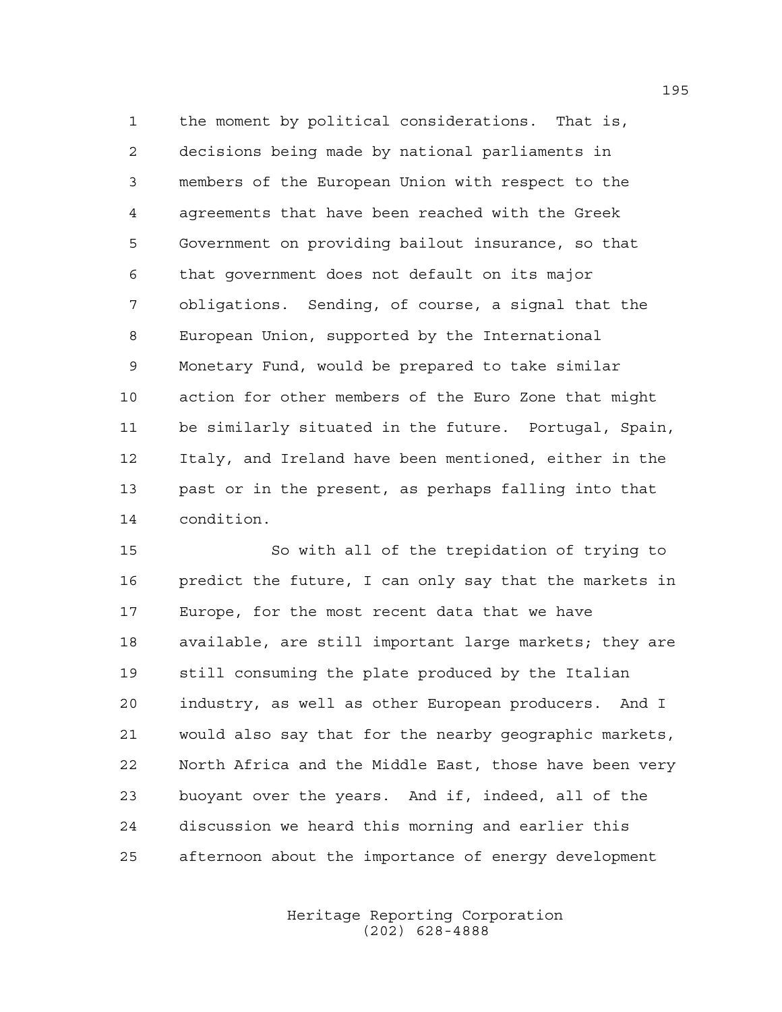the moment by political considerations. That is, decisions being made by national parliaments in members of the European Union with respect to the agreements that have been reached with the Greek Government on providing bailout insurance, so that that government does not default on its major obligations. Sending, of course, a signal that the European Union, supported by the International Monetary Fund, would be prepared to take similar action for other members of the Euro Zone that might be similarly situated in the future. Portugal, Spain, Italy, and Ireland have been mentioned, either in the past or in the present, as perhaps falling into that condition.

 So with all of the trepidation of trying to predict the future, I can only say that the markets in Europe, for the most recent data that we have available, are still important large markets; they are still consuming the plate produced by the Italian industry, as well as other European producers. And I would also say that for the nearby geographic markets, North Africa and the Middle East, those have been very buoyant over the years. And if, indeed, all of the discussion we heard this morning and earlier this afternoon about the importance of energy development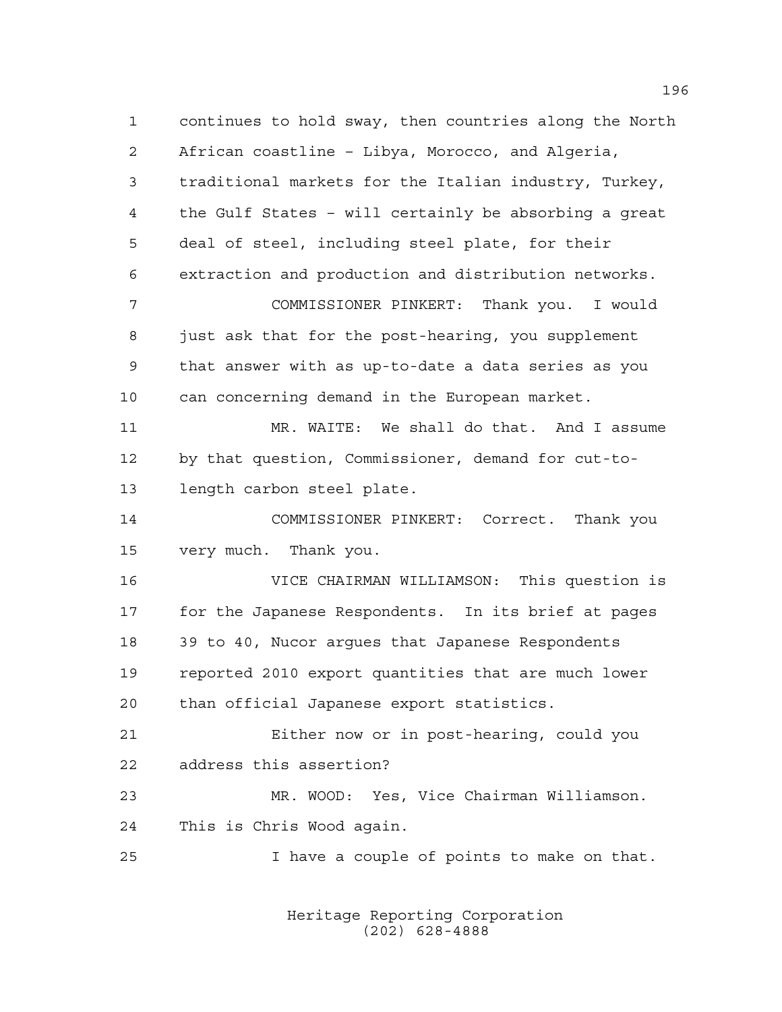continues to hold sway, then countries along the North African coastline – Libya, Morocco, and Algeria, traditional markets for the Italian industry, Turkey, the Gulf States – will certainly be absorbing a great deal of steel, including steel plate, for their extraction and production and distribution networks. COMMISSIONER PINKERT: Thank you. I would just ask that for the post-hearing, you supplement that answer with as up-to-date a data series as you can concerning demand in the European market. MR. WAITE: We shall do that. And I assume by that question, Commissioner, demand for cut-to- length carbon steel plate. COMMISSIONER PINKERT: Correct. Thank you very much. Thank you. VICE CHAIRMAN WILLIAMSON: This question is for the Japanese Respondents. In its brief at pages 39 to 40, Nucor argues that Japanese Respondents reported 2010 export quantities that are much lower than official Japanese export statistics. Either now or in post-hearing, could you address this assertion? MR. WOOD: Yes, Vice Chairman Williamson. This is Chris Wood again. I have a couple of points to make on that.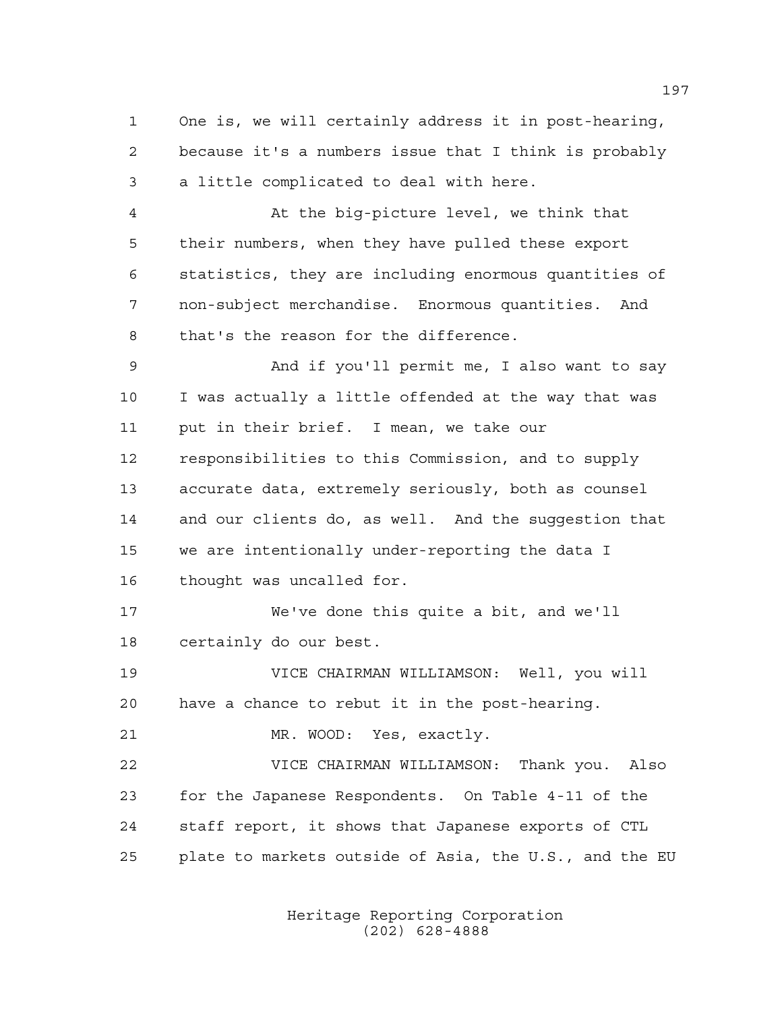One is, we will certainly address it in post-hearing, because it's a numbers issue that I think is probably a little complicated to deal with here.

 At the big-picture level, we think that their numbers, when they have pulled these export statistics, they are including enormous quantities of non-subject merchandise. Enormous quantities. And that's the reason for the difference.

 And if you'll permit me, I also want to say I was actually a little offended at the way that was put in their brief. I mean, we take our responsibilities to this Commission, and to supply accurate data, extremely seriously, both as counsel and our clients do, as well. And the suggestion that we are intentionally under-reporting the data I thought was uncalled for.

 We've done this quite a bit, and we'll certainly do our best.

 VICE CHAIRMAN WILLIAMSON: Well, you will have a chance to rebut it in the post-hearing.

MR. WOOD: Yes, exactly.

 VICE CHAIRMAN WILLIAMSON: Thank you. Also for the Japanese Respondents. On Table 4-11 of the staff report, it shows that Japanese exports of CTL plate to markets outside of Asia, the U.S., and the EU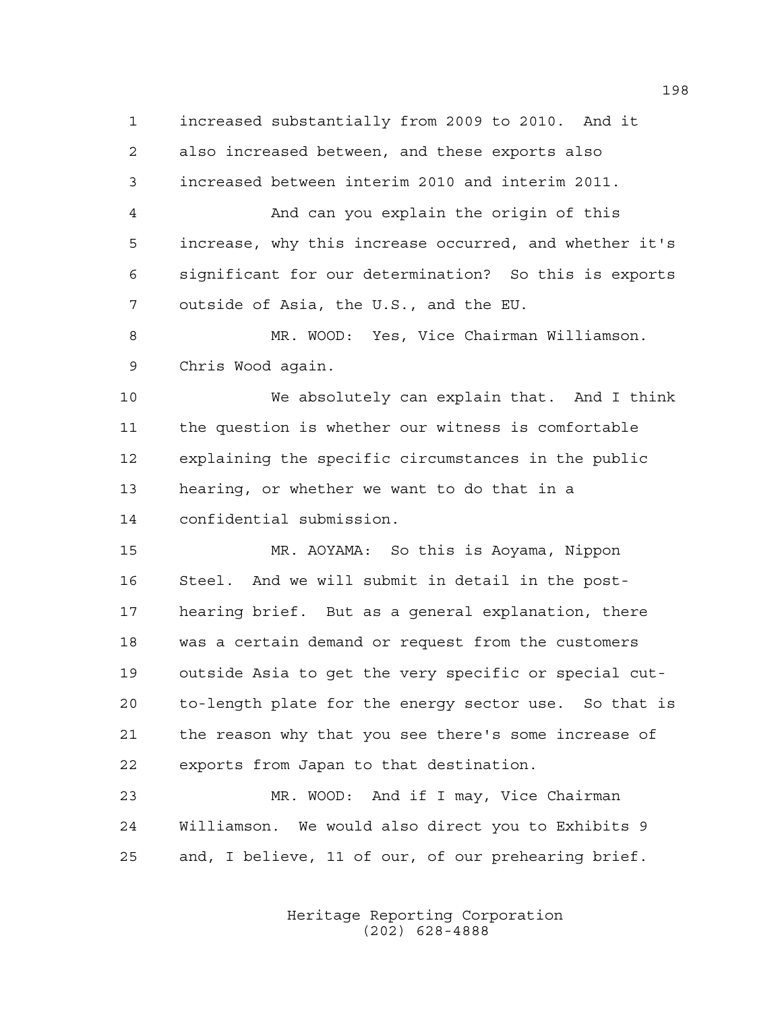increased substantially from 2009 to 2010. And it also increased between, and these exports also increased between interim 2010 and interim 2011.

 And can you explain the origin of this increase, why this increase occurred, and whether it's significant for our determination? So this is exports outside of Asia, the U.S., and the EU.

 MR. WOOD: Yes, Vice Chairman Williamson. Chris Wood again.

 We absolutely can explain that. And I think the question is whether our witness is comfortable explaining the specific circumstances in the public hearing, or whether we want to do that in a confidential submission.

 MR. AOYAMA: So this is Aoyama, Nippon Steel. And we will submit in detail in the post- hearing brief. But as a general explanation, there was a certain demand or request from the customers outside Asia to get the very specific or special cut- to-length plate for the energy sector use. So that is the reason why that you see there's some increase of exports from Japan to that destination.

 MR. WOOD: And if I may, Vice Chairman Williamson. We would also direct you to Exhibits 9 and, I believe, 11 of our, of our prehearing brief.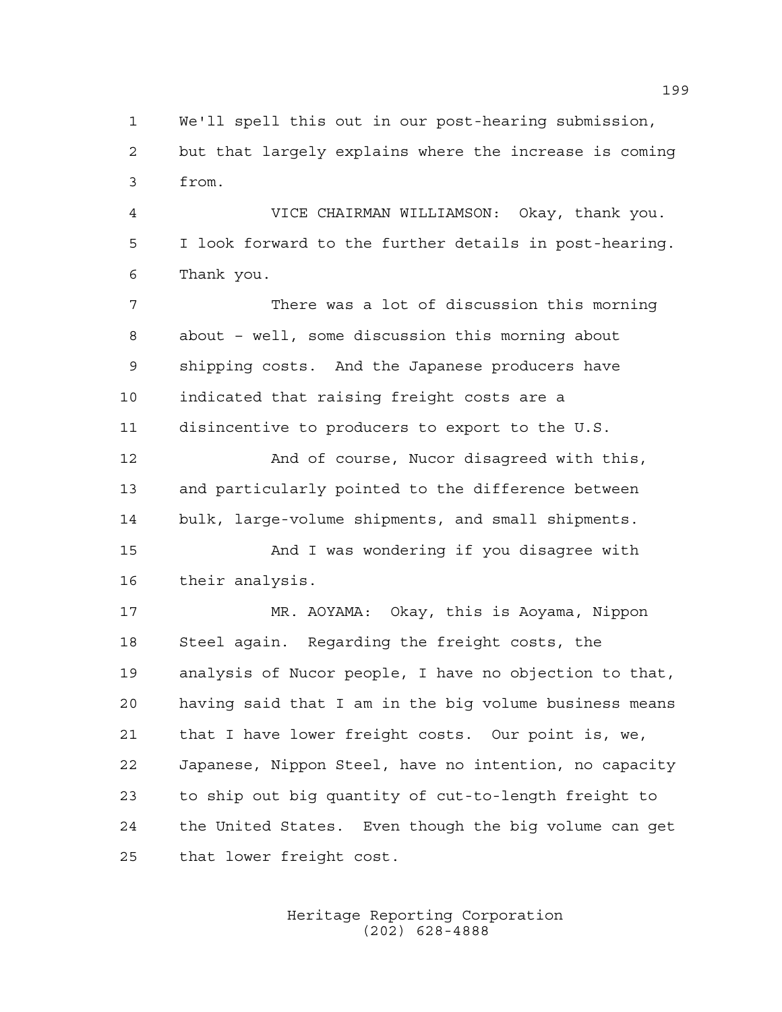We'll spell this out in our post-hearing submission, but that largely explains where the increase is coming from.

 VICE CHAIRMAN WILLIAMSON: Okay, thank you. I look forward to the further details in post-hearing. Thank you.

 There was a lot of discussion this morning about – well, some discussion this morning about shipping costs. And the Japanese producers have indicated that raising freight costs are a disincentive to producers to export to the U.S.

 And of course, Nucor disagreed with this, and particularly pointed to the difference between bulk, large-volume shipments, and small shipments.

 And I was wondering if you disagree with their analysis.

 MR. AOYAMA: Okay, this is Aoyama, Nippon Steel again. Regarding the freight costs, the analysis of Nucor people, I have no objection to that, having said that I am in the big volume business means that I have lower freight costs. Our point is, we, Japanese, Nippon Steel, have no intention, no capacity to ship out big quantity of cut-to-length freight to the United States. Even though the big volume can get that lower freight cost.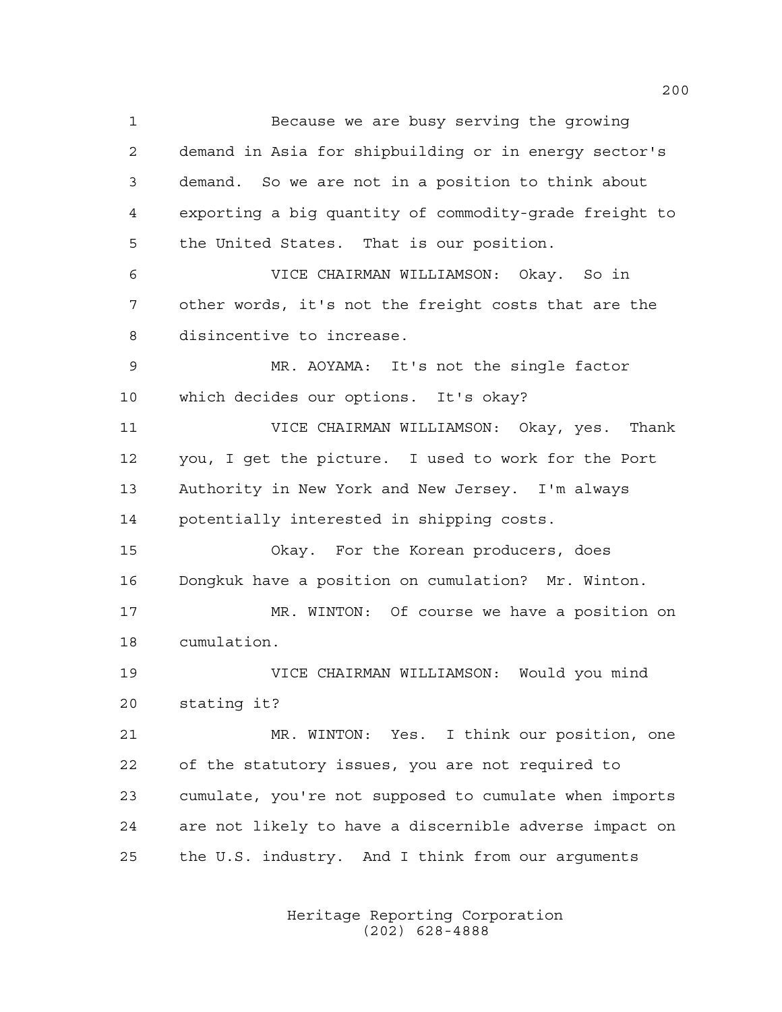Because we are busy serving the growing demand in Asia for shipbuilding or in energy sector's demand. So we are not in a position to think about exporting a big quantity of commodity-grade freight to the United States. That is our position. VICE CHAIRMAN WILLIAMSON: Okay. So in other words, it's not the freight costs that are the disincentive to increase. MR. AOYAMA: It's not the single factor which decides our options. It's okay? VICE CHAIRMAN WILLIAMSON: Okay, yes. Thank you, I get the picture. I used to work for the Port Authority in New York and New Jersey. I'm always potentially interested in shipping costs. Okay. For the Korean producers, does Dongkuk have a position on cumulation? Mr. Winton. MR. WINTON: Of course we have a position on cumulation. VICE CHAIRMAN WILLIAMSON: Would you mind stating it? MR. WINTON: Yes. I think our position, one of the statutory issues, you are not required to cumulate, you're not supposed to cumulate when imports are not likely to have a discernible adverse impact on the U.S. industry. And I think from our arguments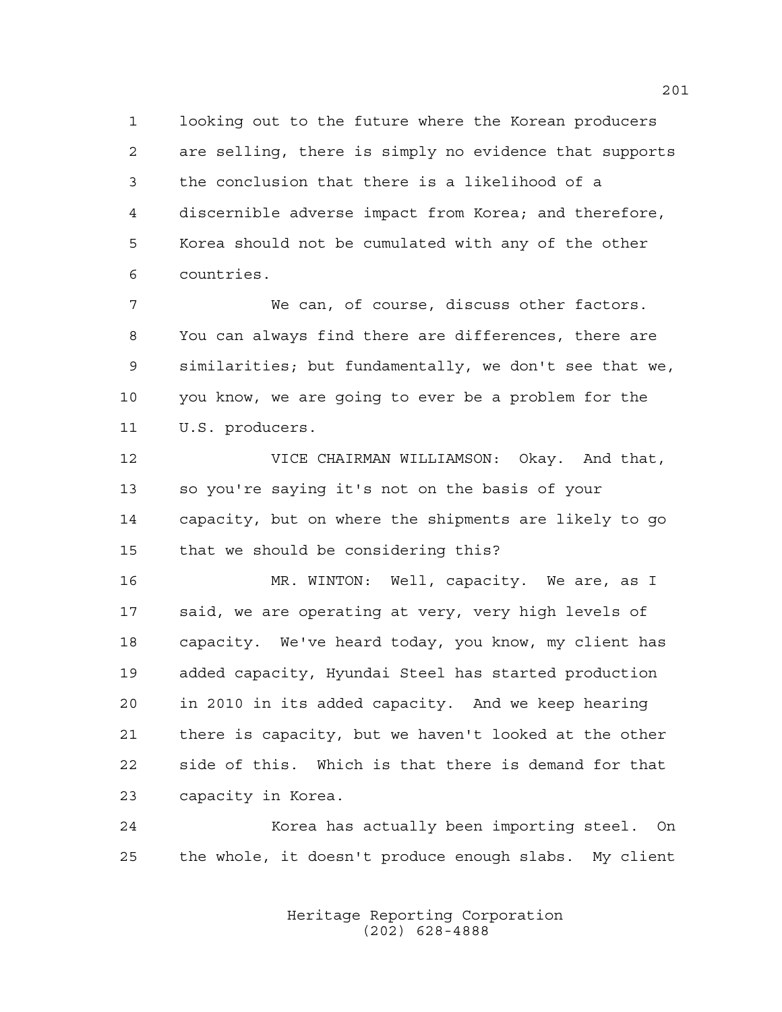looking out to the future where the Korean producers are selling, there is simply no evidence that supports the conclusion that there is a likelihood of a discernible adverse impact from Korea; and therefore, Korea should not be cumulated with any of the other countries.

 We can, of course, discuss other factors. You can always find there are differences, there are similarities; but fundamentally, we don't see that we, you know, we are going to ever be a problem for the U.S. producers.

 VICE CHAIRMAN WILLIAMSON: Okay. And that, so you're saying it's not on the basis of your capacity, but on where the shipments are likely to go that we should be considering this?

 MR. WINTON: Well, capacity. We are, as I said, we are operating at very, very high levels of capacity. We've heard today, you know, my client has added capacity, Hyundai Steel has started production in 2010 in its added capacity. And we keep hearing there is capacity, but we haven't looked at the other side of this. Which is that there is demand for that capacity in Korea.

 Korea has actually been importing steel. On the whole, it doesn't produce enough slabs. My client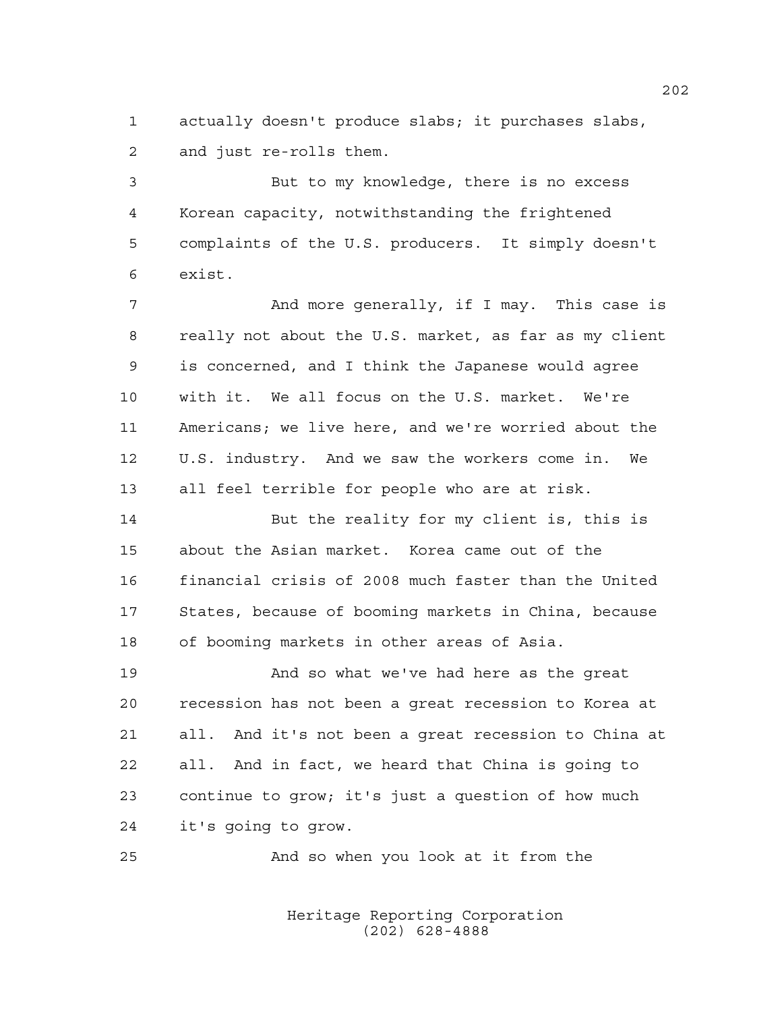actually doesn't produce slabs; it purchases slabs, and just re-rolls them.

 But to my knowledge, there is no excess Korean capacity, notwithstanding the frightened complaints of the U.S. producers. It simply doesn't exist.

 And more generally, if I may. This case is really not about the U.S. market, as far as my client is concerned, and I think the Japanese would agree with it. We all focus on the U.S. market. We're Americans; we live here, and we're worried about the U.S. industry. And we saw the workers come in. We all feel terrible for people who are at risk.

 But the reality for my client is, this is about the Asian market. Korea came out of the financial crisis of 2008 much faster than the United States, because of booming markets in China, because of booming markets in other areas of Asia.

 And so what we've had here as the great recession has not been a great recession to Korea at all. And it's not been a great recession to China at all. And in fact, we heard that China is going to continue to grow; it's just a question of how much it's going to grow.

And so when you look at it from the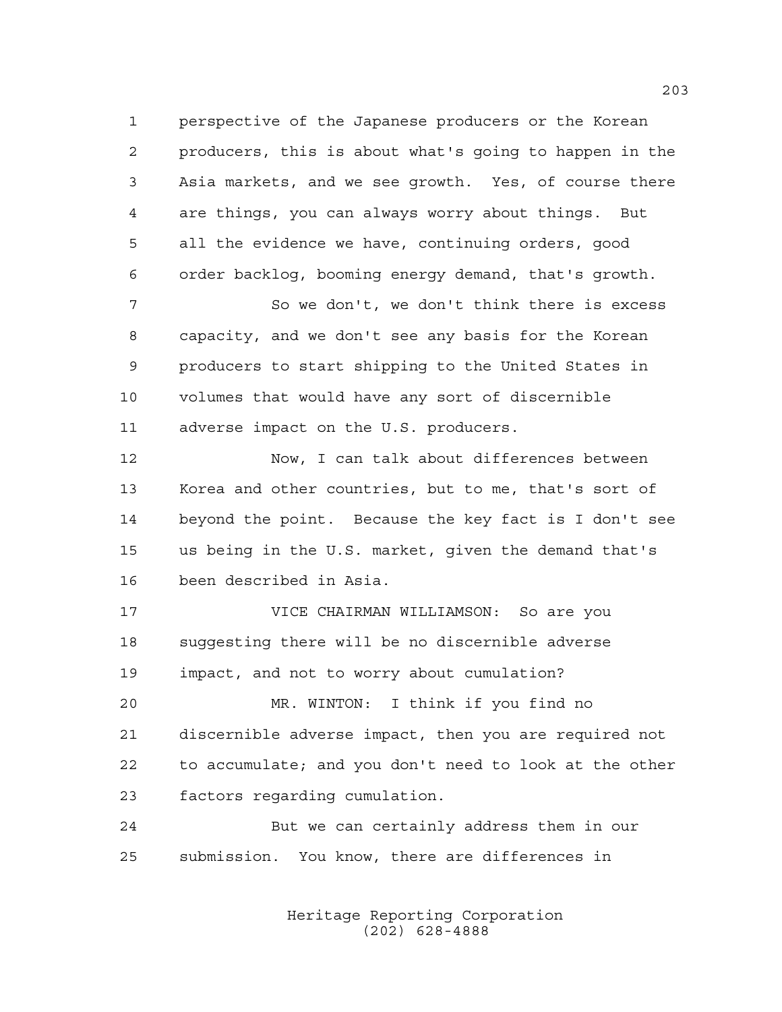perspective of the Japanese producers or the Korean producers, this is about what's going to happen in the Asia markets, and we see growth. Yes, of course there are things, you can always worry about things. But all the evidence we have, continuing orders, good order backlog, booming energy demand, that's growth.

 So we don't, we don't think there is excess capacity, and we don't see any basis for the Korean producers to start shipping to the United States in volumes that would have any sort of discernible adverse impact on the U.S. producers.

 Now, I can talk about differences between Korea and other countries, but to me, that's sort of beyond the point. Because the key fact is I don't see us being in the U.S. market, given the demand that's been described in Asia.

 VICE CHAIRMAN WILLIAMSON: So are you suggesting there will be no discernible adverse impact, and not to worry about cumulation?

 MR. WINTON: I think if you find no discernible adverse impact, then you are required not to accumulate; and you don't need to look at the other factors regarding cumulation.

 But we can certainly address them in our submission. You know, there are differences in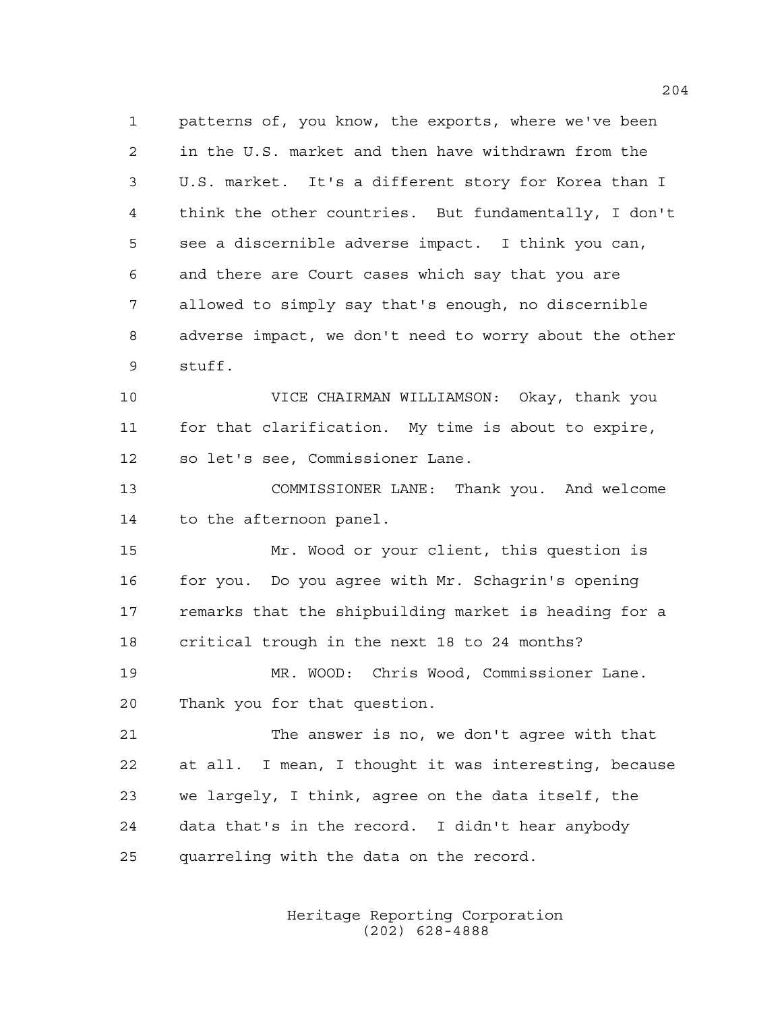patterns of, you know, the exports, where we've been in the U.S. market and then have withdrawn from the U.S. market. It's a different story for Korea than I think the other countries. But fundamentally, I don't see a discernible adverse impact. I think you can, and there are Court cases which say that you are allowed to simply say that's enough, no discernible adverse impact, we don't need to worry about the other stuff.

 VICE CHAIRMAN WILLIAMSON: Okay, thank you for that clarification. My time is about to expire, so let's see, Commissioner Lane.

 COMMISSIONER LANE: Thank you. And welcome to the afternoon panel.

 Mr. Wood or your client, this question is for you. Do you agree with Mr. Schagrin's opening remarks that the shipbuilding market is heading for a critical trough in the next 18 to 24 months?

 MR. WOOD: Chris Wood, Commissioner Lane. Thank you for that question.

 The answer is no, we don't agree with that at all. I mean, I thought it was interesting, because we largely, I think, agree on the data itself, the data that's in the record. I didn't hear anybody quarreling with the data on the record.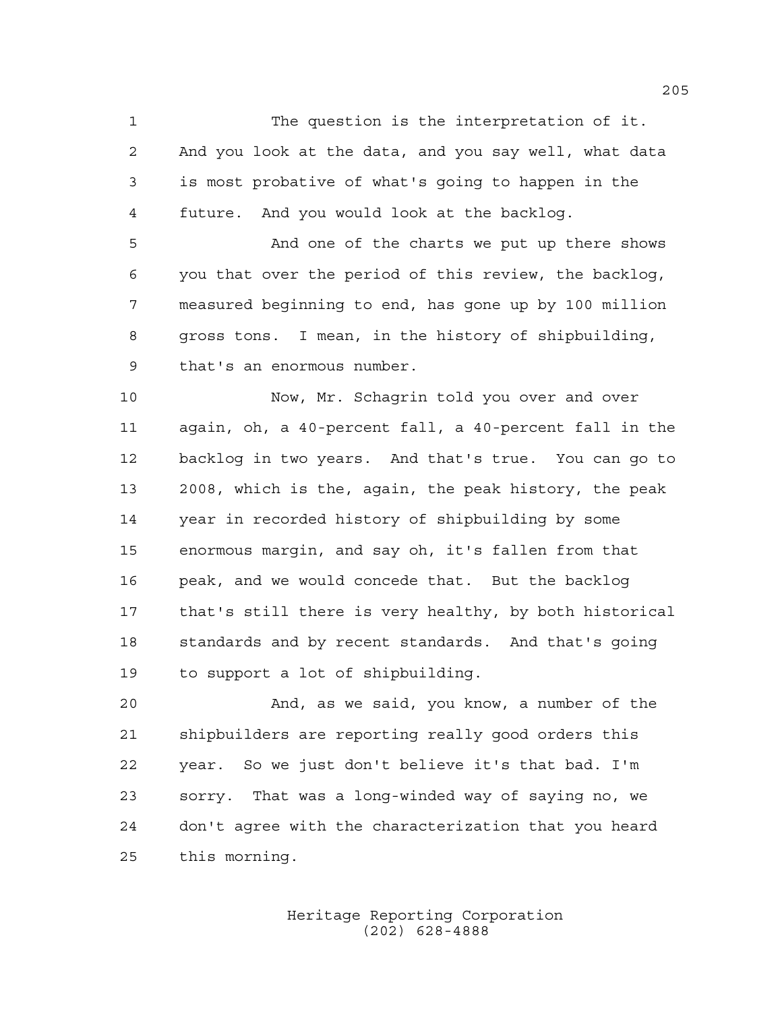The question is the interpretation of it. And you look at the data, and you say well, what data is most probative of what's going to happen in the future. And you would look at the backlog.

 And one of the charts we put up there shows you that over the period of this review, the backlog, measured beginning to end, has gone up by 100 million gross tons. I mean, in the history of shipbuilding, that's an enormous number.

 Now, Mr. Schagrin told you over and over again, oh, a 40-percent fall, a 40-percent fall in the backlog in two years. And that's true. You can go to 2008, which is the, again, the peak history, the peak year in recorded history of shipbuilding by some enormous margin, and say oh, it's fallen from that peak, and we would concede that. But the backlog that's still there is very healthy, by both historical standards and by recent standards. And that's going to support a lot of shipbuilding.

 And, as we said, you know, a number of the shipbuilders are reporting really good orders this year. So we just don't believe it's that bad. I'm sorry. That was a long-winded way of saying no, we don't agree with the characterization that you heard this morning.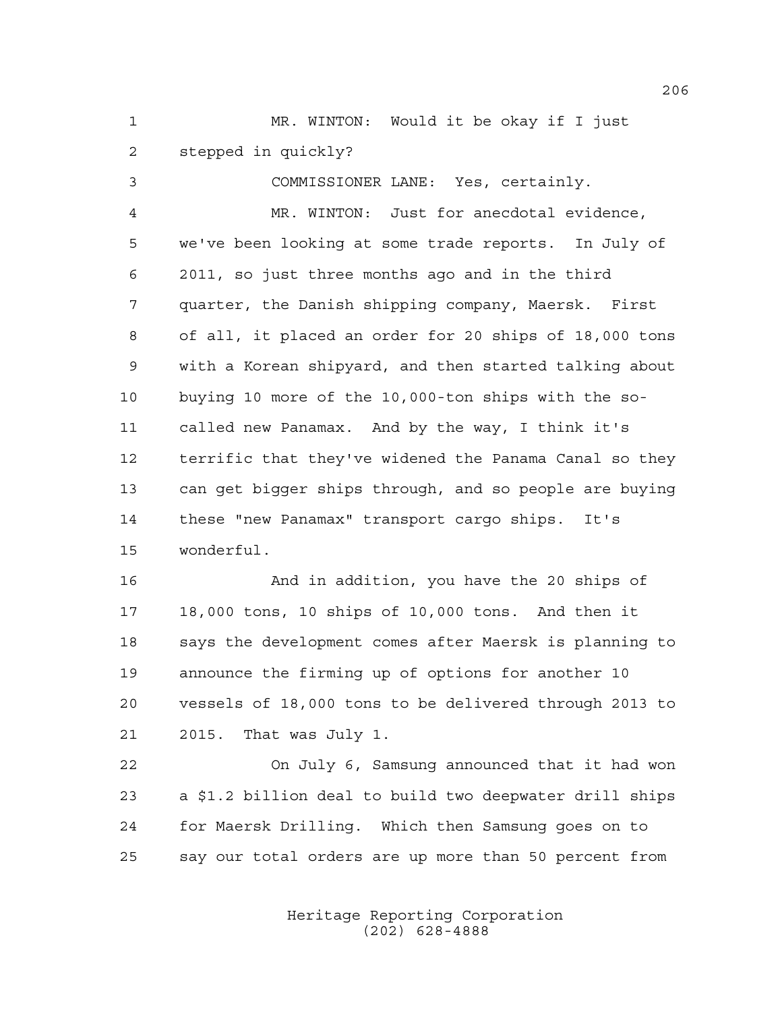MR. WINTON: Would it be okay if I just stepped in quickly?

COMMISSIONER LANE: Yes, certainly.

 MR. WINTON: Just for anecdotal evidence, we've been looking at some trade reports. In July of 2011, so just three months ago and in the third quarter, the Danish shipping company, Maersk. First of all, it placed an order for 20 ships of 18,000 tons with a Korean shipyard, and then started talking about buying 10 more of the 10,000-ton ships with the so- called new Panamax. And by the way, I think it's terrific that they've widened the Panama Canal so they can get bigger ships through, and so people are buying these "new Panamax" transport cargo ships. It's wonderful.

 And in addition, you have the 20 ships of 18,000 tons, 10 ships of 10,000 tons. And then it says the development comes after Maersk is planning to announce the firming up of options for another 10 vessels of 18,000 tons to be delivered through 2013 to 2015. That was July 1.

 On July 6, Samsung announced that it had won a \$1.2 billion deal to build two deepwater drill ships for Maersk Drilling. Which then Samsung goes on to say our total orders are up more than 50 percent from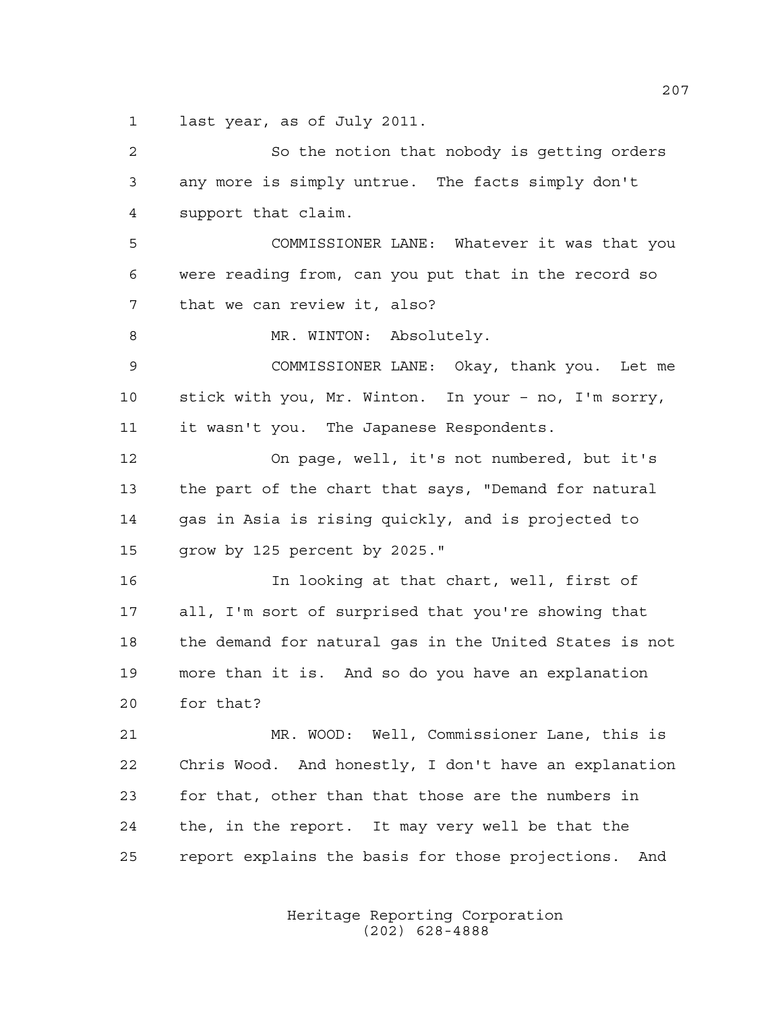last year, as of July 2011.

 So the notion that nobody is getting orders any more is simply untrue. The facts simply don't support that claim. COMMISSIONER LANE: Whatever it was that you were reading from, can you put that in the record so that we can review it, also? 8 MR. WINTON: Absolutely. COMMISSIONER LANE: Okay, thank you. Let me stick with you, Mr. Winton. In your – no, I'm sorry, it wasn't you. The Japanese Respondents. On page, well, it's not numbered, but it's the part of the chart that says, "Demand for natural gas in Asia is rising quickly, and is projected to grow by 125 percent by 2025." In looking at that chart, well, first of all, I'm sort of surprised that you're showing that the demand for natural gas in the United States is not more than it is. And so do you have an explanation for that? MR. WOOD: Well, Commissioner Lane, this is Chris Wood. And honestly, I don't have an explanation for that, other than that those are the numbers in the, in the report. It may very well be that the report explains the basis for those projections. And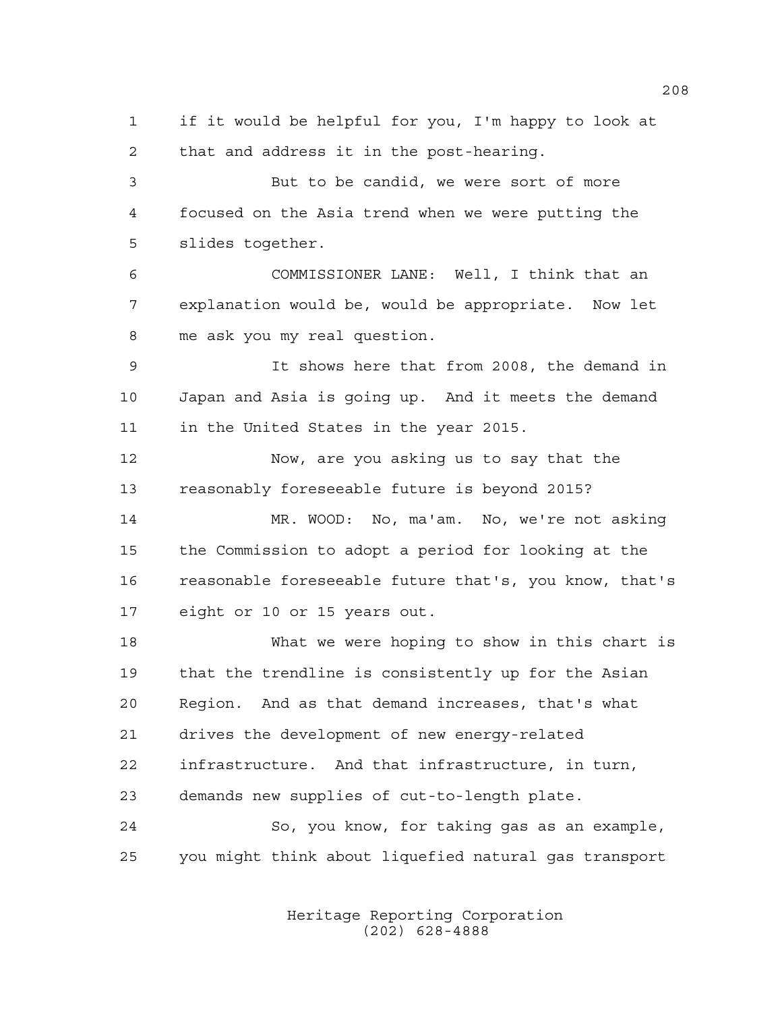if it would be helpful for you, I'm happy to look at that and address it in the post-hearing. But to be candid, we were sort of more focused on the Asia trend when we were putting the

slides together.

 COMMISSIONER LANE: Well, I think that an explanation would be, would be appropriate. Now let me ask you my real question.

 It shows here that from 2008, the demand in Japan and Asia is going up. And it meets the demand in the United States in the year 2015.

 Now, are you asking us to say that the reasonably foreseeable future is beyond 2015?

 MR. WOOD: No, ma'am. No, we're not asking the Commission to adopt a period for looking at the reasonable foreseeable future that's, you know, that's eight or 10 or 15 years out.

 What we were hoping to show in this chart is that the trendline is consistently up for the Asian Region. And as that demand increases, that's what drives the development of new energy-related infrastructure. And that infrastructure, in turn, demands new supplies of cut-to-length plate. So, you know, for taking gas as an example,

you might think about liquefied natural gas transport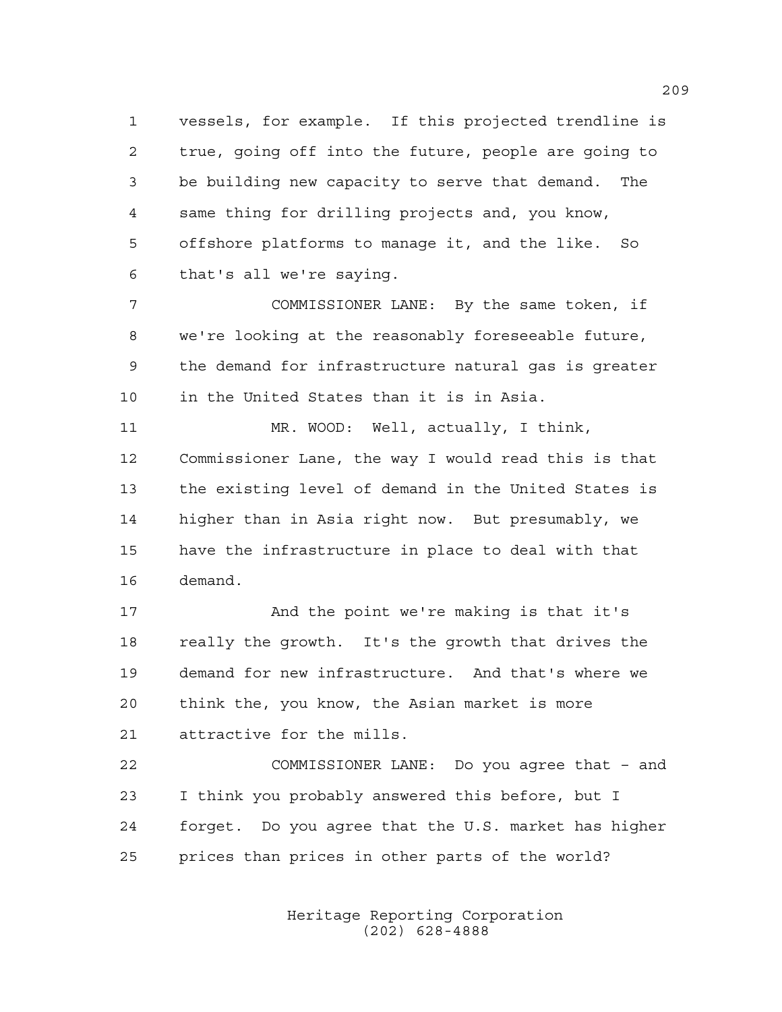vessels, for example. If this projected trendline is true, going off into the future, people are going to be building new capacity to serve that demand. The same thing for drilling projects and, you know, offshore platforms to manage it, and the like. So that's all we're saying.

 COMMISSIONER LANE: By the same token, if we're looking at the reasonably foreseeable future, the demand for infrastructure natural gas is greater in the United States than it is in Asia.

 MR. WOOD: Well, actually, I think, Commissioner Lane, the way I would read this is that the existing level of demand in the United States is higher than in Asia right now. But presumably, we have the infrastructure in place to deal with that demand.

 And the point we're making is that it's really the growth. It's the growth that drives the demand for new infrastructure. And that's where we think the, you know, the Asian market is more attractive for the mills.

 COMMISSIONER LANE: Do you agree that – and I think you probably answered this before, but I forget. Do you agree that the U.S. market has higher prices than prices in other parts of the world?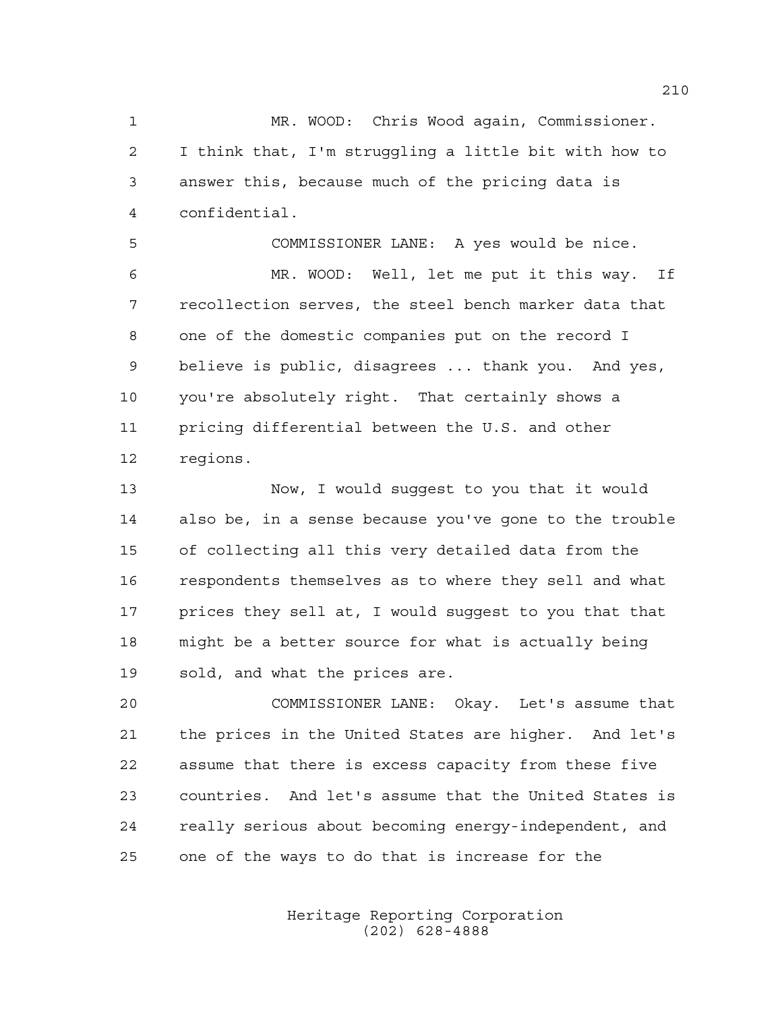MR. WOOD: Chris Wood again, Commissioner. I think that, I'm struggling a little bit with how to answer this, because much of the pricing data is confidential.

 COMMISSIONER LANE: A yes would be nice. MR. WOOD: Well, let me put it this way. If recollection serves, the steel bench marker data that one of the domestic companies put on the record I believe is public, disagrees ... thank you. And yes, you're absolutely right. That certainly shows a pricing differential between the U.S. and other regions.

 Now, I would suggest to you that it would also be, in a sense because you've gone to the trouble of collecting all this very detailed data from the respondents themselves as to where they sell and what prices they sell at, I would suggest to you that that might be a better source for what is actually being sold, and what the prices are.

 COMMISSIONER LANE: Okay. Let's assume that the prices in the United States are higher. And let's assume that there is excess capacity from these five countries. And let's assume that the United States is really serious about becoming energy-independent, and one of the ways to do that is increase for the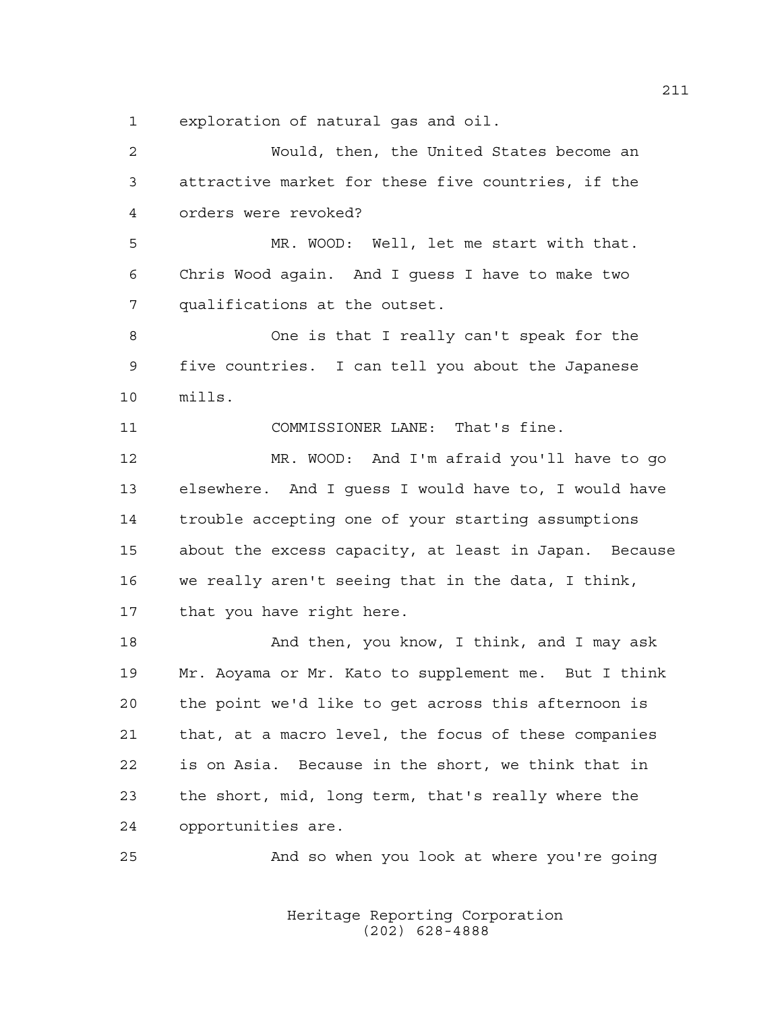exploration of natural gas and oil.

 Would, then, the United States become an attractive market for these five countries, if the orders were revoked? MR. WOOD: Well, let me start with that. Chris Wood again. And I guess I have to make two qualifications at the outset. One is that I really can't speak for the five countries. I can tell you about the Japanese mills. COMMISSIONER LANE: That's fine. MR. WOOD: And I'm afraid you'll have to go elsewhere. And I guess I would have to, I would have trouble accepting one of your starting assumptions about the excess capacity, at least in Japan. Because we really aren't seeing that in the data, I think, that you have right here. 18 And then, you know, I think, and I may ask Mr. Aoyama or Mr. Kato to supplement me. But I think the point we'd like to get across this afternoon is that, at a macro level, the focus of these companies is on Asia. Because in the short, we think that in the short, mid, long term, that's really where the opportunities are. And so when you look at where you're going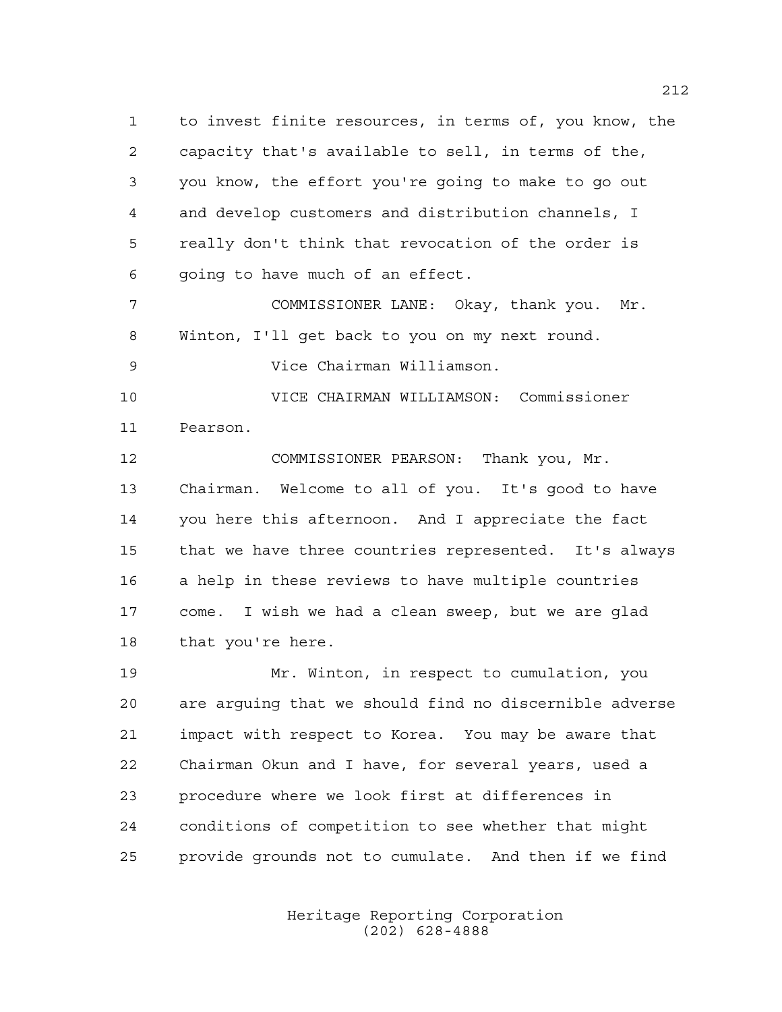to invest finite resources, in terms of, you know, the capacity that's available to sell, in terms of the, you know, the effort you're going to make to go out and develop customers and distribution channels, I really don't think that revocation of the order is going to have much of an effect.

 COMMISSIONER LANE: Okay, thank you. Mr. Winton, I'll get back to you on my next round. Vice Chairman Williamson.

 VICE CHAIRMAN WILLIAMSON: Commissioner Pearson.

 COMMISSIONER PEARSON: Thank you, Mr. Chairman. Welcome to all of you. It's good to have you here this afternoon. And I appreciate the fact that we have three countries represented. It's always a help in these reviews to have multiple countries come. I wish we had a clean sweep, but we are glad 18 that you're here.

 Mr. Winton, in respect to cumulation, you are arguing that we should find no discernible adverse impact with respect to Korea. You may be aware that Chairman Okun and I have, for several years, used a procedure where we look first at differences in conditions of competition to see whether that might provide grounds not to cumulate. And then if we find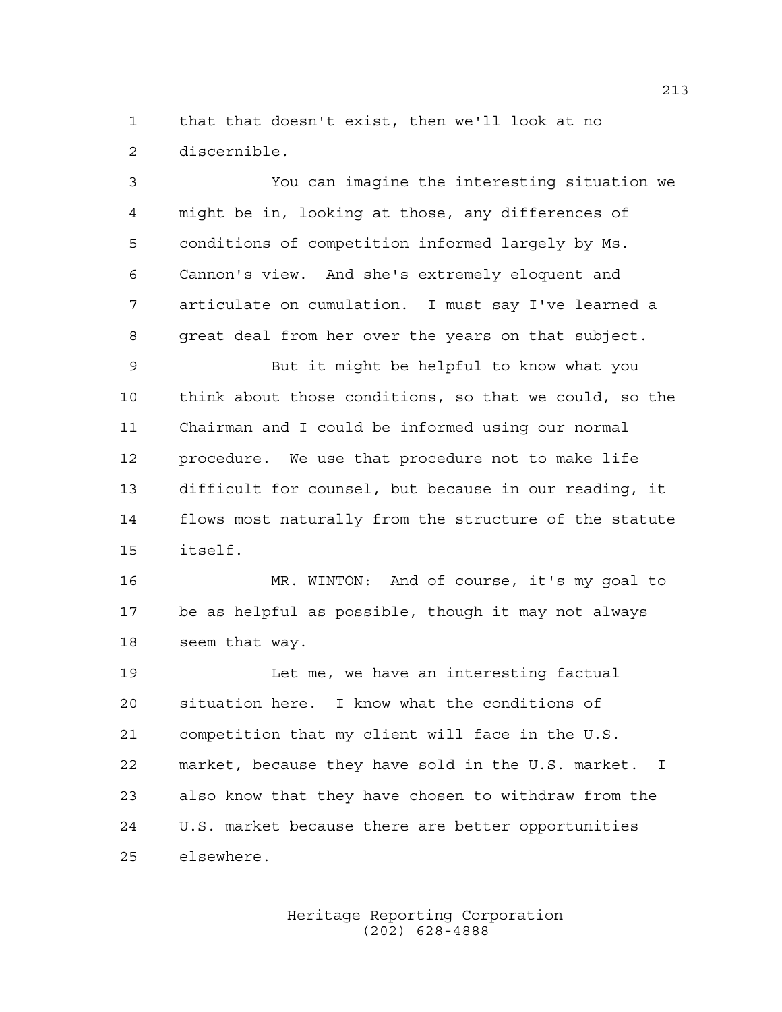that that doesn't exist, then we'll look at no discernible.

 You can imagine the interesting situation we might be in, looking at those, any differences of conditions of competition informed largely by Ms. Cannon's view. And she's extremely eloquent and articulate on cumulation. I must say I've learned a great deal from her over the years on that subject. But it might be helpful to know what you think about those conditions, so that we could, so the Chairman and I could be informed using our normal procedure. We use that procedure not to make life difficult for counsel, but because in our reading, it flows most naturally from the structure of the statute itself. MR. WINTON: And of course, it's my goal to be as helpful as possible, though it may not always seem that way. Let me, we have an interesting factual situation here. I know what the conditions of competition that my client will face in the U.S. market, because they have sold in the U.S. market. I also know that they have chosen to withdraw from the U.S. market because there are better opportunities elsewhere.

> Heritage Reporting Corporation (202) 628-4888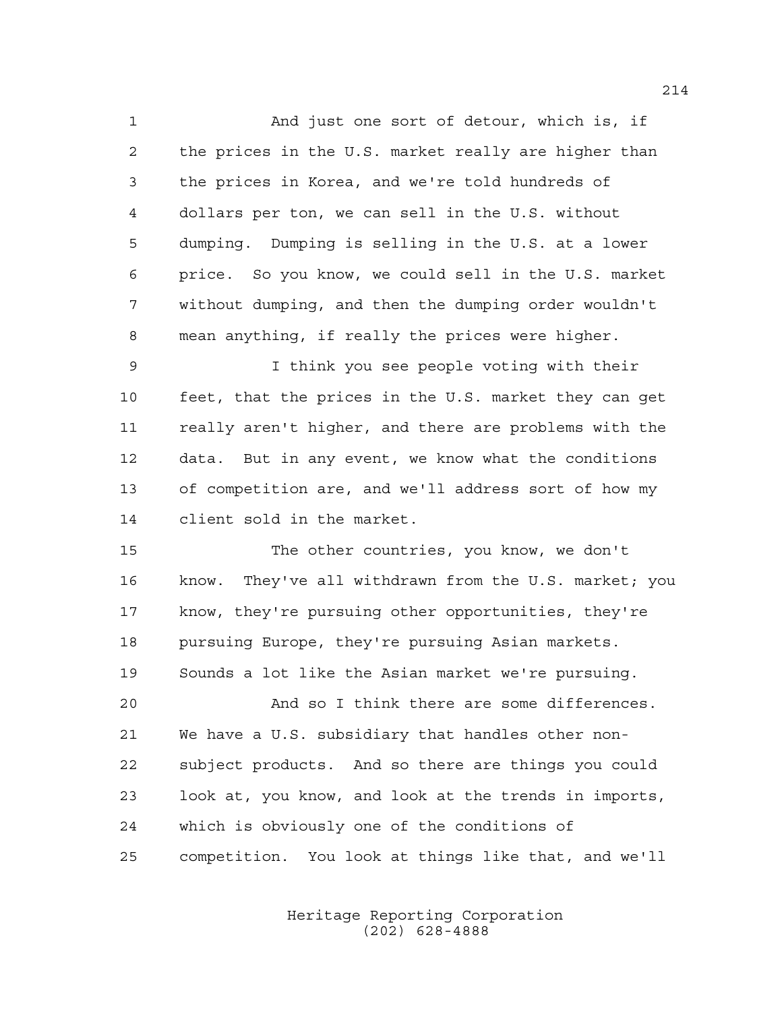And just one sort of detour, which is, if the prices in the U.S. market really are higher than the prices in Korea, and we're told hundreds of dollars per ton, we can sell in the U.S. without dumping. Dumping is selling in the U.S. at a lower price. So you know, we could sell in the U.S. market without dumping, and then the dumping order wouldn't mean anything, if really the prices were higher.

 I think you see people voting with their feet, that the prices in the U.S. market they can get really aren't higher, and there are problems with the data. But in any event, we know what the conditions of competition are, and we'll address sort of how my client sold in the market.

 The other countries, you know, we don't know. They've all withdrawn from the U.S. market; you know, they're pursuing other opportunities, they're pursuing Europe, they're pursuing Asian markets. Sounds a lot like the Asian market we're pursuing.

 And so I think there are some differences. We have a U.S. subsidiary that handles other non- subject products. And so there are things you could look at, you know, and look at the trends in imports, which is obviously one of the conditions of competition. You look at things like that, and we'll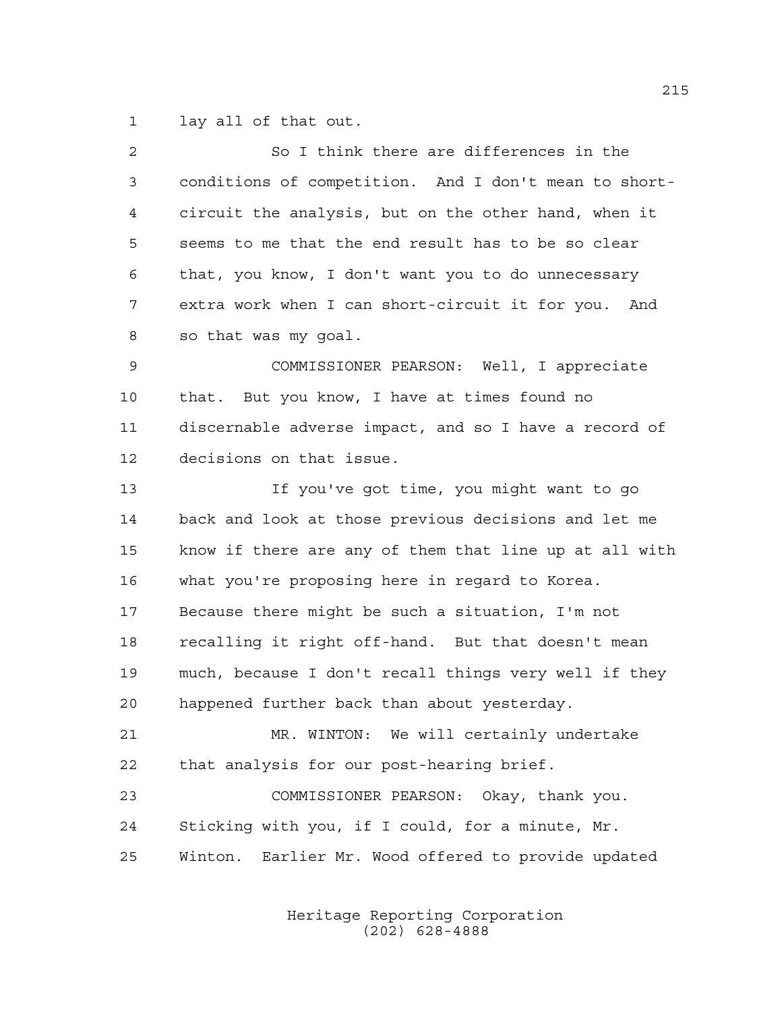lay all of that out.

| $\overline{2}$ | So I think there are differences in the                |
|----------------|--------------------------------------------------------|
| 3              | conditions of competition. And I don't mean to short-  |
| 4              | circuit the analysis, but on the other hand, when it   |
| 5              | seems to me that the end result has to be so clear     |
| 6              | that, you know, I don't want you to do unnecessary     |
| 7              | extra work when I can short-circuit it for you. And    |
| 8              | so that was my goal.                                   |
| 9              | COMMISSIONER PEARSON: Well, I appreciate               |
| 10             | that. But you know, I have at times found no           |
| 11             | discernable adverse impact, and so I have a record of  |
| 12             | decisions on that issue.                               |
| 13             | If you've got time, you might want to go               |
| 14             | back and look at those previous decisions and let me   |
| 15             | know if there are any of them that line up at all with |
| 16             | what you're proposing here in regard to Korea.         |
| 17             | Because there might be such a situation, I'm not       |
| 18             | recalling it right off-hand. But that doesn't mean     |
| 19             | much, because I don't recall things very well if they  |
| 20             | happened further back than about yesterday.            |
| 21             | MR. WINTON: We will certainly undertake                |
| 22             | that analysis for our post-hearing brief.              |
| 23             | COMMISSIONER PEARSON: Okay, thank you.                 |
| 24             | Sticking with you, if I could, for a minute, Mr.       |
| 25             | Winton. Earlier Mr. Wood offered to provide updated    |
|                |                                                        |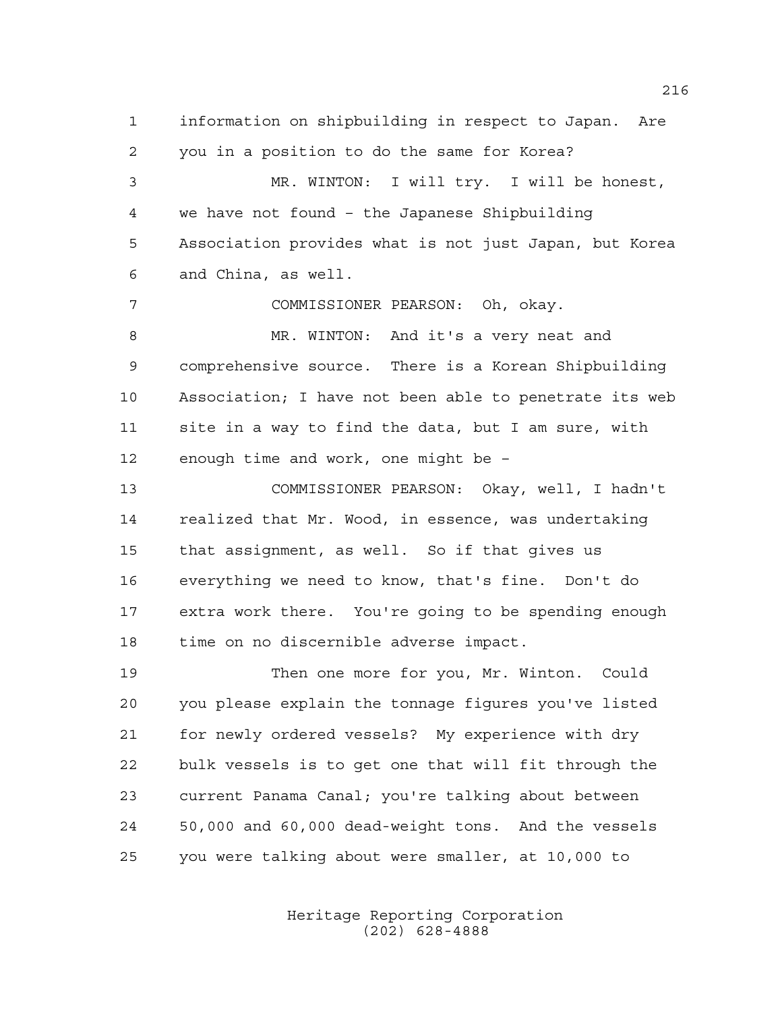information on shipbuilding in respect to Japan. Are you in a position to do the same for Korea? MR. WINTON: I will try. I will be honest, we have not found – the Japanese Shipbuilding Association provides what is not just Japan, but Korea and China, as well. COMMISSIONER PEARSON: Oh, okay. MR. WINTON: And it's a very neat and comprehensive source. There is a Korean Shipbuilding Association; I have not been able to penetrate its web site in a way to find the data, but I am sure, with enough time and work, one might be – COMMISSIONER PEARSON: Okay, well, I hadn't realized that Mr. Wood, in essence, was undertaking that assignment, as well. So if that gives us everything we need to know, that's fine. Don't do extra work there. You're going to be spending enough time on no discernible adverse impact. Then one more for you, Mr. Winton. Could you please explain the tonnage figures you've listed for newly ordered vessels? My experience with dry bulk vessels is to get one that will fit through the current Panama Canal; you're talking about between

you were talking about were smaller, at 10,000 to

50,000 and 60,000 dead-weight tons. And the vessels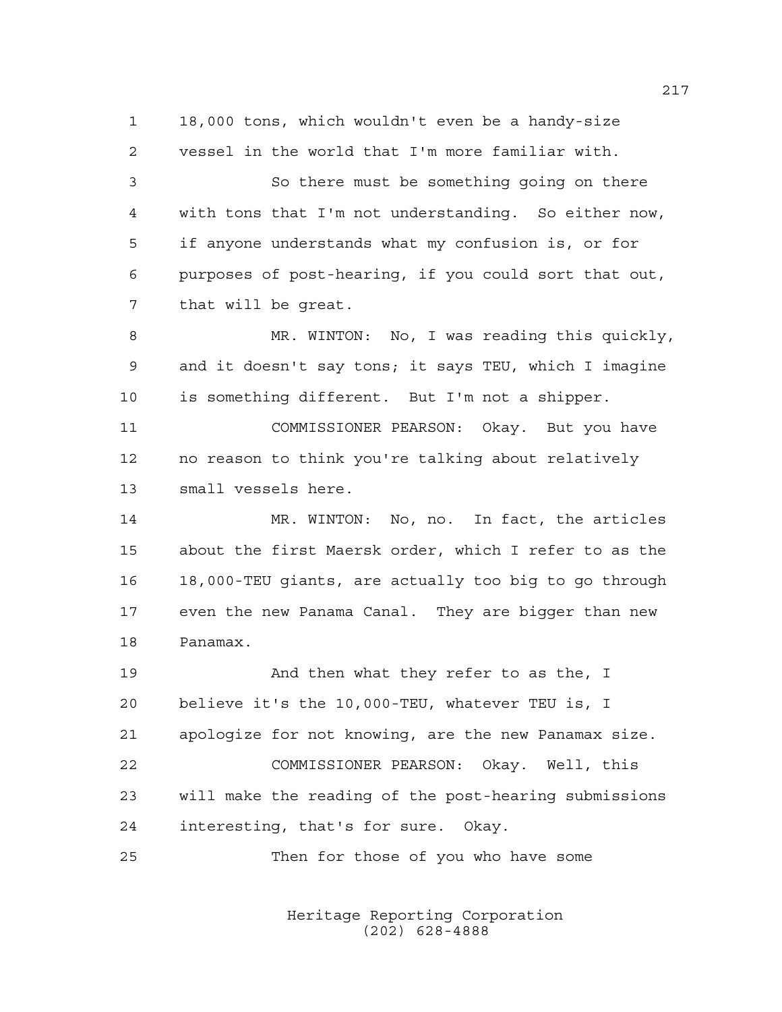18,000 tons, which wouldn't even be a handy-size vessel in the world that I'm more familiar with.

 So there must be something going on there with tons that I'm not understanding. So either now, if anyone understands what my confusion is, or for purposes of post-hearing, if you could sort that out, that will be great.

 MR. WINTON: No, I was reading this quickly, and it doesn't say tons; it says TEU, which I imagine is something different. But I'm not a shipper.

 COMMISSIONER PEARSON: Okay. But you have no reason to think you're talking about relatively small vessels here.

 MR. WINTON: No, no. In fact, the articles about the first Maersk order, which I refer to as the 18,000-TEU giants, are actually too big to go through even the new Panama Canal. They are bigger than new Panamax.

 And then what they refer to as the, I believe it's the 10,000-TEU, whatever TEU is, I apologize for not knowing, are the new Panamax size. COMMISSIONER PEARSON: Okay. Well, this will make the reading of the post-hearing submissions interesting, that's for sure. Okay.

Then for those of you who have some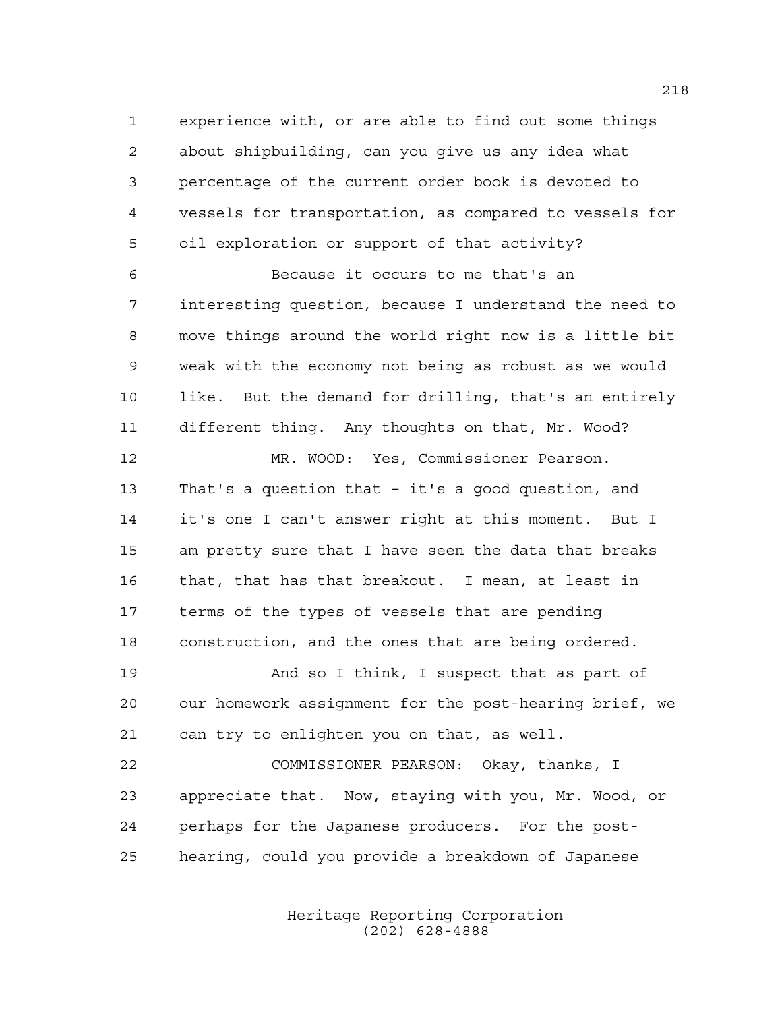experience with, or are able to find out some things about shipbuilding, can you give us any idea what percentage of the current order book is devoted to vessels for transportation, as compared to vessels for oil exploration or support of that activity?

 Because it occurs to me that's an interesting question, because I understand the need to move things around the world right now is a little bit weak with the economy not being as robust as we would like. But the demand for drilling, that's an entirely different thing. Any thoughts on that, Mr. Wood?

 MR. WOOD: Yes, Commissioner Pearson. That's a question that – it's a good question, and it's one I can't answer right at this moment. But I am pretty sure that I have seen the data that breaks that, that has that breakout. I mean, at least in terms of the types of vessels that are pending construction, and the ones that are being ordered.

19 And so I think, I suspect that as part of our homework assignment for the post-hearing brief, we can try to enlighten you on that, as well.

 COMMISSIONER PEARSON: Okay, thanks, I appreciate that. Now, staying with you, Mr. Wood, or perhaps for the Japanese producers. For the post-hearing, could you provide a breakdown of Japanese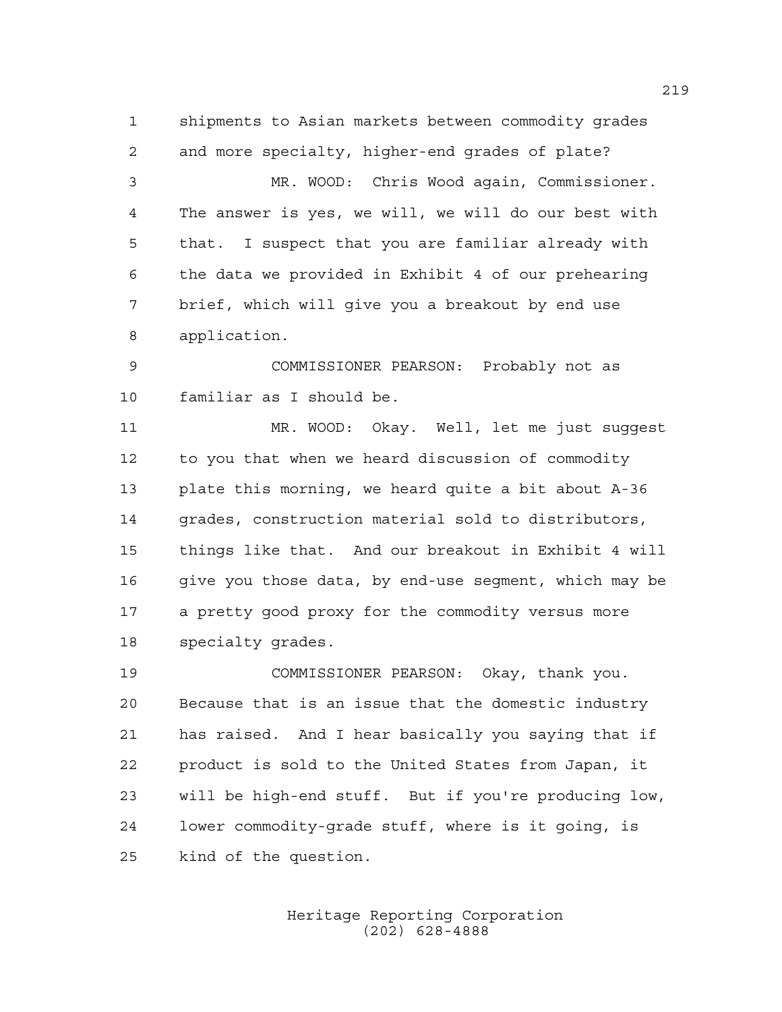shipments to Asian markets between commodity grades and more specialty, higher-end grades of plate?

 MR. WOOD: Chris Wood again, Commissioner. The answer is yes, we will, we will do our best with that. I suspect that you are familiar already with the data we provided in Exhibit 4 of our prehearing brief, which will give you a breakout by end use application.

 COMMISSIONER PEARSON: Probably not as familiar as I should be.

 MR. WOOD: Okay. Well, let me just suggest to you that when we heard discussion of commodity plate this morning, we heard quite a bit about A-36 grades, construction material sold to distributors, things like that. And our breakout in Exhibit 4 will give you those data, by end-use segment, which may be a pretty good proxy for the commodity versus more specialty grades.

 COMMISSIONER PEARSON: Okay, thank you. Because that is an issue that the domestic industry has raised. And I hear basically you saying that if product is sold to the United States from Japan, it will be high-end stuff. But if you're producing low, lower commodity-grade stuff, where is it going, is kind of the question.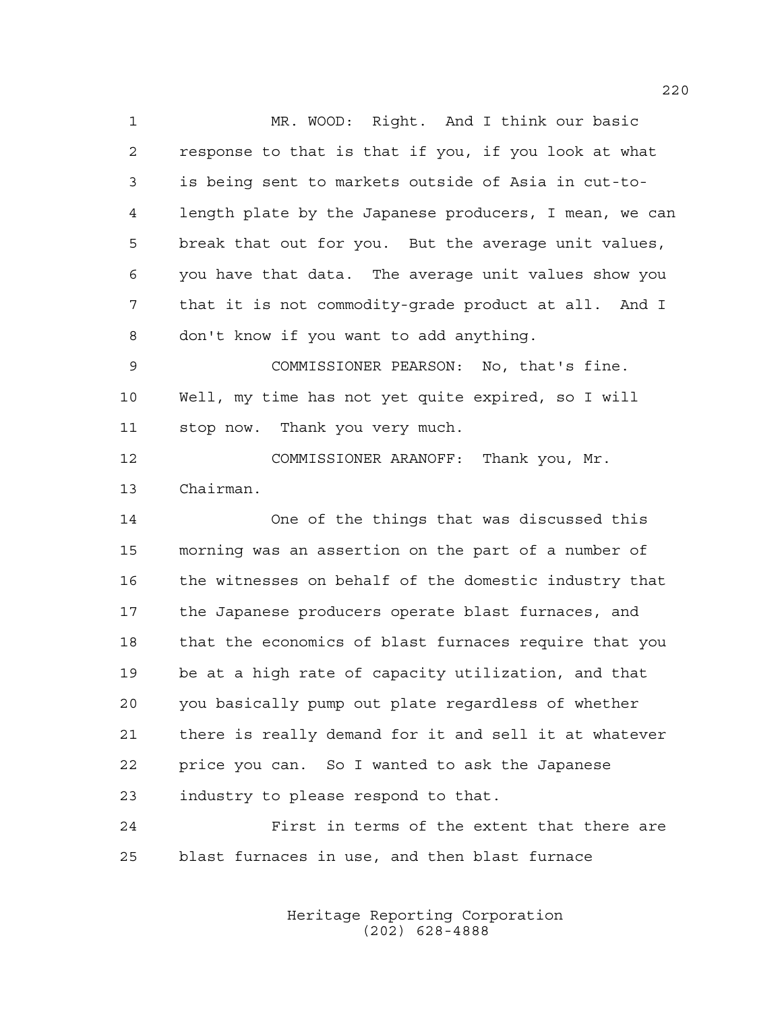MR. WOOD: Right. And I think our basic response to that is that if you, if you look at what is being sent to markets outside of Asia in cut-to- length plate by the Japanese producers, I mean, we can break that out for you. But the average unit values, you have that data. The average unit values show you that it is not commodity-grade product at all. And I don't know if you want to add anything. COMMISSIONER PEARSON: No, that's fine. Well, my time has not yet quite expired, so I will stop now. Thank you very much. COMMISSIONER ARANOFF: Thank you, Mr. Chairman. One of the things that was discussed this morning was an assertion on the part of a number of the witnesses on behalf of the domestic industry that the Japanese producers operate blast furnaces, and that the economics of blast furnaces require that you be at a high rate of capacity utilization, and that you basically pump out plate regardless of whether there is really demand for it and sell it at whatever price you can. So I wanted to ask the Japanese

 First in terms of the extent that there are blast furnaces in use, and then blast furnace

industry to please respond to that.

Heritage Reporting Corporation (202) 628-4888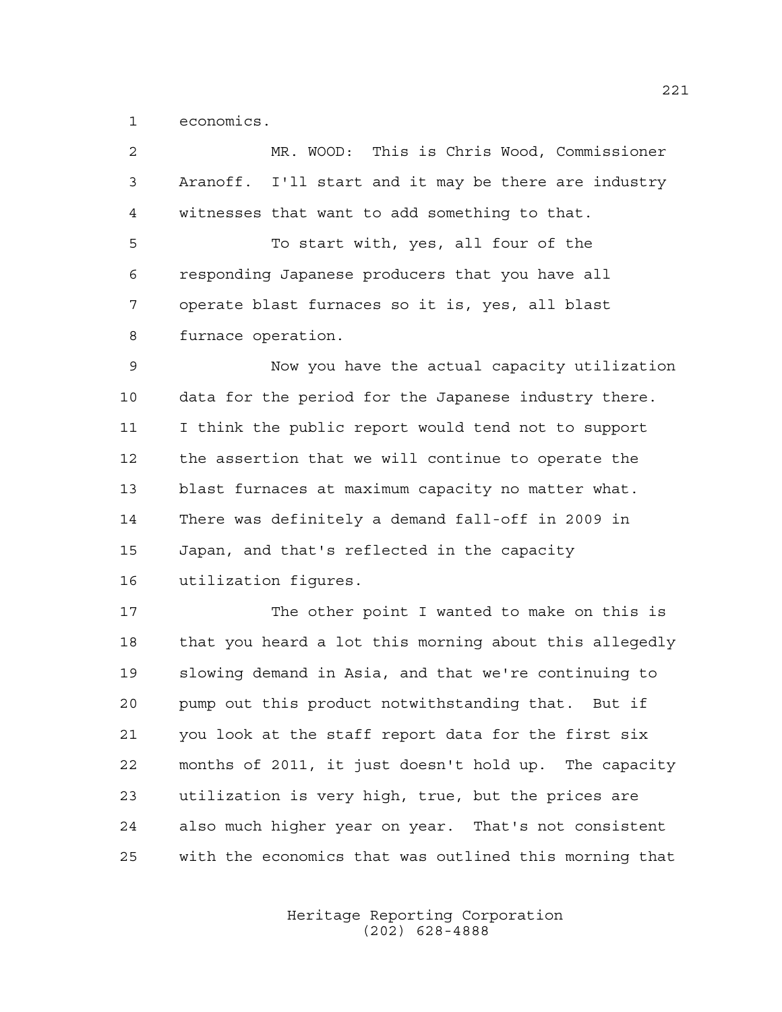economics.

| $\overline{2}$ | MR. WOOD: This is Chris Wood, Commissioner             |
|----------------|--------------------------------------------------------|
| 3              | Aranoff. I'll start and it may be there are industry   |
| $\overline{4}$ | witnesses that want to add something to that.          |
| 5              | To start with, yes, all four of the                    |
| 6              | responding Japanese producers that you have all        |
| 7              | operate blast furnaces so it is, yes, all blast        |
| 8              | furnace operation.                                     |
| 9              | Now you have the actual capacity utilization           |
| 10             | data for the period for the Japanese industry there.   |
| 11             | I think the public report would tend not to support    |
| 12             | the assertion that we will continue to operate the     |
| 13             | blast furnaces at maximum capacity no matter what.     |
| 14             | There was definitely a demand fall-off in 2009 in      |
| 15             | Japan, and that's reflected in the capacity            |
| 16             | utilization figures.                                   |
| 17             | The other point I wanted to make on this is            |
| 18             | that you heard a lot this morning about this allegedly |
| 19             | slowing demand in Asia, and that we're continuing to   |
| 20             | pump out this product notwithstanding that.<br>But if  |
| 21             | you look at the staff report data for the first six    |
| 22             | months of 2011, it just doesn't hold up. The capacity  |
| 23             | utilization is very high, true, but the prices are     |
| 24             | also much higher year on year. That's not consistent   |
|                |                                                        |

Heritage Reporting Corporation (202) 628-4888

with the economics that was outlined this morning that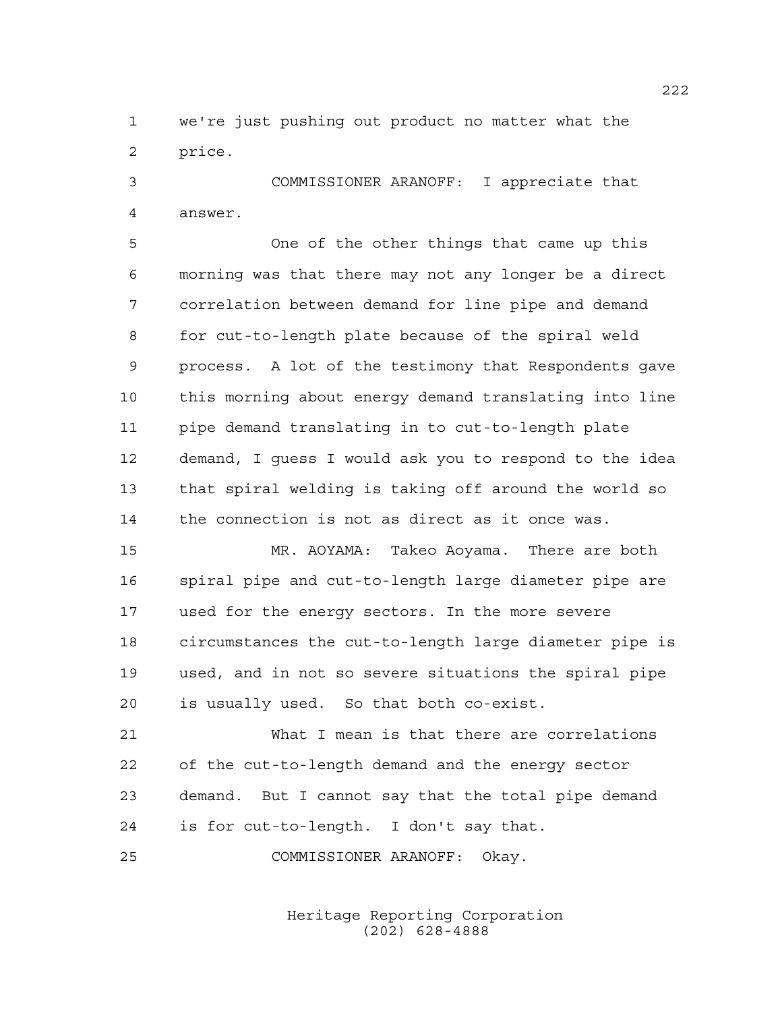we're just pushing out product no matter what the price.

 COMMISSIONER ARANOFF: I appreciate that answer.

 One of the other things that came up this morning was that there may not any longer be a direct correlation between demand for line pipe and demand for cut-to-length plate because of the spiral weld process. A lot of the testimony that Respondents gave this morning about energy demand translating into line pipe demand translating in to cut-to-length plate demand, I guess I would ask you to respond to the idea that spiral welding is taking off around the world so the connection is not as direct as it once was.

 MR. AOYAMA: Takeo Aoyama. There are both spiral pipe and cut-to-length large diameter pipe are used for the energy sectors. In the more severe circumstances the cut-to-length large diameter pipe is used, and in not so severe situations the spiral pipe is usually used. So that both co-exist.

 What I mean is that there are correlations of the cut-to-length demand and the energy sector demand. But I cannot say that the total pipe demand is for cut-to-length. I don't say that.

COMMISSIONER ARANOFF: Okay.

Heritage Reporting Corporation (202) 628-4888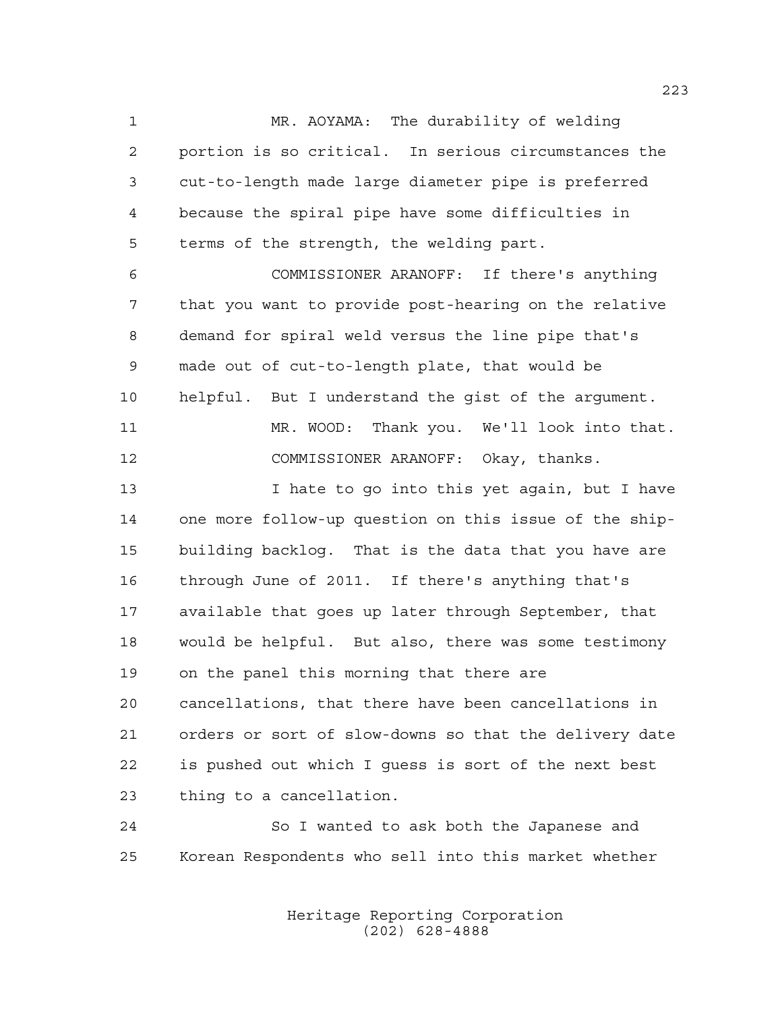MR. AOYAMA: The durability of welding portion is so critical. In serious circumstances the cut-to-length made large diameter pipe is preferred because the spiral pipe have some difficulties in terms of the strength, the welding part.

 COMMISSIONER ARANOFF: If there's anything that you want to provide post-hearing on the relative demand for spiral weld versus the line pipe that's made out of cut-to-length plate, that would be helpful. But I understand the gist of the argument. MR. WOOD: Thank you. We'll look into that.

COMMISSIONER ARANOFF: Okay, thanks.

 I hate to go into this yet again, but I have one more follow-up question on this issue of the ship- building backlog. That is the data that you have are through June of 2011. If there's anything that's available that goes up later through September, that would be helpful. But also, there was some testimony on the panel this morning that there are cancellations, that there have been cancellations in orders or sort of slow-downs so that the delivery date is pushed out which I guess is sort of the next best thing to a cancellation.

 So I wanted to ask both the Japanese and Korean Respondents who sell into this market whether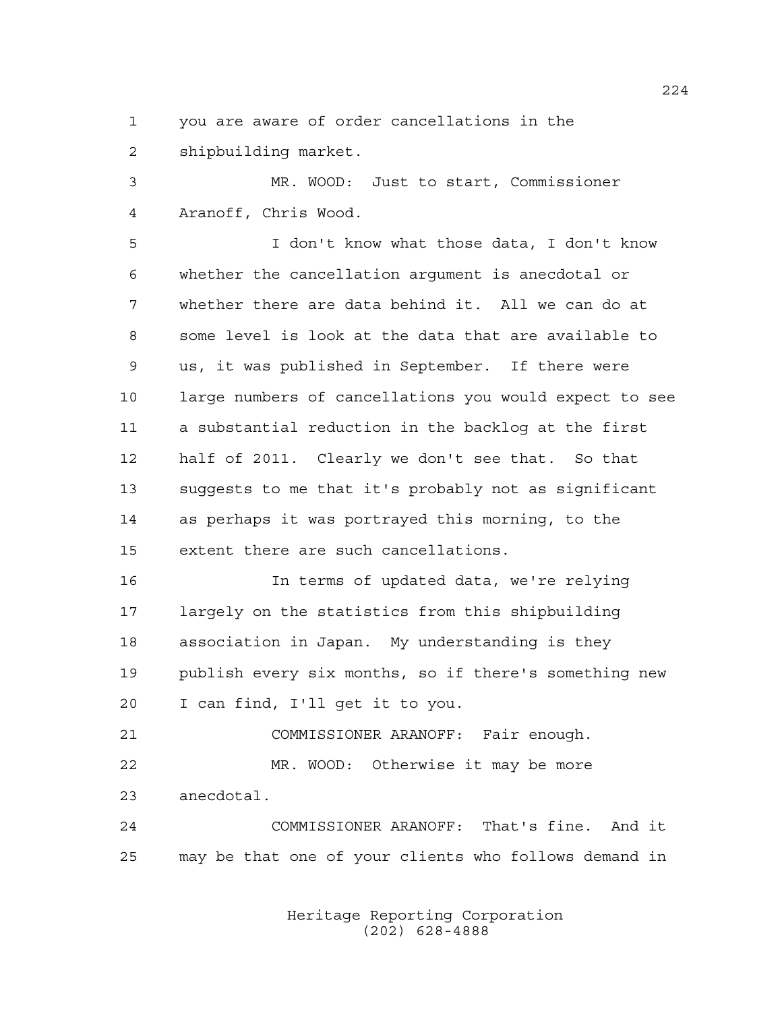you are aware of order cancellations in the shipbuilding market.

 MR. WOOD: Just to start, Commissioner Aranoff, Chris Wood.

 I don't know what those data, I don't know whether the cancellation argument is anecdotal or whether there are data behind it. All we can do at some level is look at the data that are available to us, it was published in September. If there were large numbers of cancellations you would expect to see a substantial reduction in the backlog at the first half of 2011. Clearly we don't see that. So that suggests to me that it's probably not as significant as perhaps it was portrayed this morning, to the extent there are such cancellations.

 In terms of updated data, we're relying largely on the statistics from this shipbuilding association in Japan. My understanding is they publish every six months, so if there's something new I can find, I'll get it to you.

 COMMISSIONER ARANOFF: Fair enough. MR. WOOD: Otherwise it may be more anecdotal.

 COMMISSIONER ARANOFF: That's fine. And it may be that one of your clients who follows demand in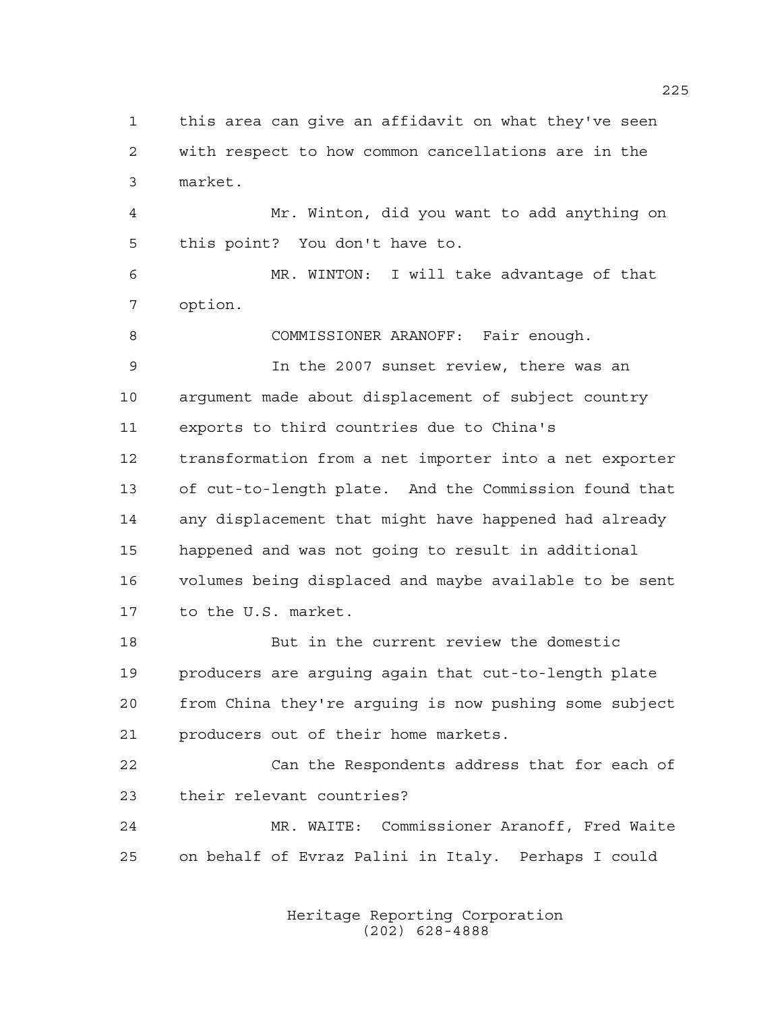this area can give an affidavit on what they've seen with respect to how common cancellations are in the market.

 Mr. Winton, did you want to add anything on this point? You don't have to.

 MR. WINTON: I will take advantage of that option.

COMMISSIONER ARANOFF: Fair enough.

 In the 2007 sunset review, there was an argument made about displacement of subject country exports to third countries due to China's transformation from a net importer into a net exporter of cut-to-length plate. And the Commission found that any displacement that might have happened had already happened and was not going to result in additional volumes being displaced and maybe available to be sent to the U.S. market.

 But in the current review the domestic producers are arguing again that cut-to-length plate from China they're arguing is now pushing some subject producers out of their home markets.

 Can the Respondents address that for each of their relevant countries?

 MR. WAITE: Commissioner Aranoff, Fred Waite on behalf of Evraz Palini in Italy. Perhaps I could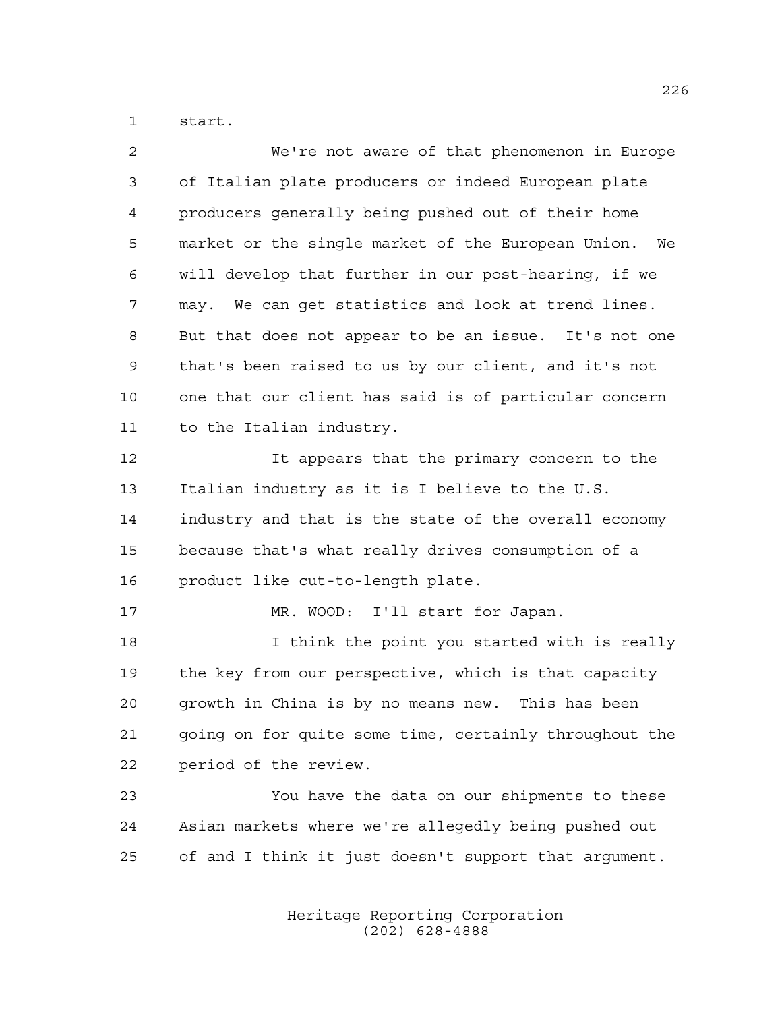start.

| $\overline{a}$ | We're not aware of that phenomenon in Europe           |
|----------------|--------------------------------------------------------|
| 3              | of Italian plate producers or indeed European plate    |
| 4              | producers generally being pushed out of their home     |
| 5              | market or the single market of the European Union. We  |
| 6              | will develop that further in our post-hearing, if we   |
| 7              | We can get statistics and look at trend lines.<br>may. |
| 8              | But that does not appear to be an issue. It's not one  |
| 9              | that's been raised to us by our client, and it's not   |
| 10             | one that our client has said is of particular concern  |
| 11             | to the Italian industry.                               |
| 12             | It appears that the primary concern to the             |
| 13             | Italian industry as it is I believe to the U.S.        |
| 14             | industry and that is the state of the overall economy  |
| 15             | because that's what really drives consumption of a     |
| 16             | product like cut-to-length plate.                      |
| 17             | MR. WOOD: I'll start for Japan.                        |
| 18             | I think the point you started with is really           |
| 19             | the key from our perspective, which is that capacity   |
| 20             | growth in China is by no means new. This has been      |
| 21             | going on for quite some time, certainly throughout the |
| 22             | period of the review.                                  |
| 23             | You have the data on our shipments to these            |
| 24             | Asian markets where we're allegedly being pushed out   |
| 25             | of and I think it just doesn't support that argument.  |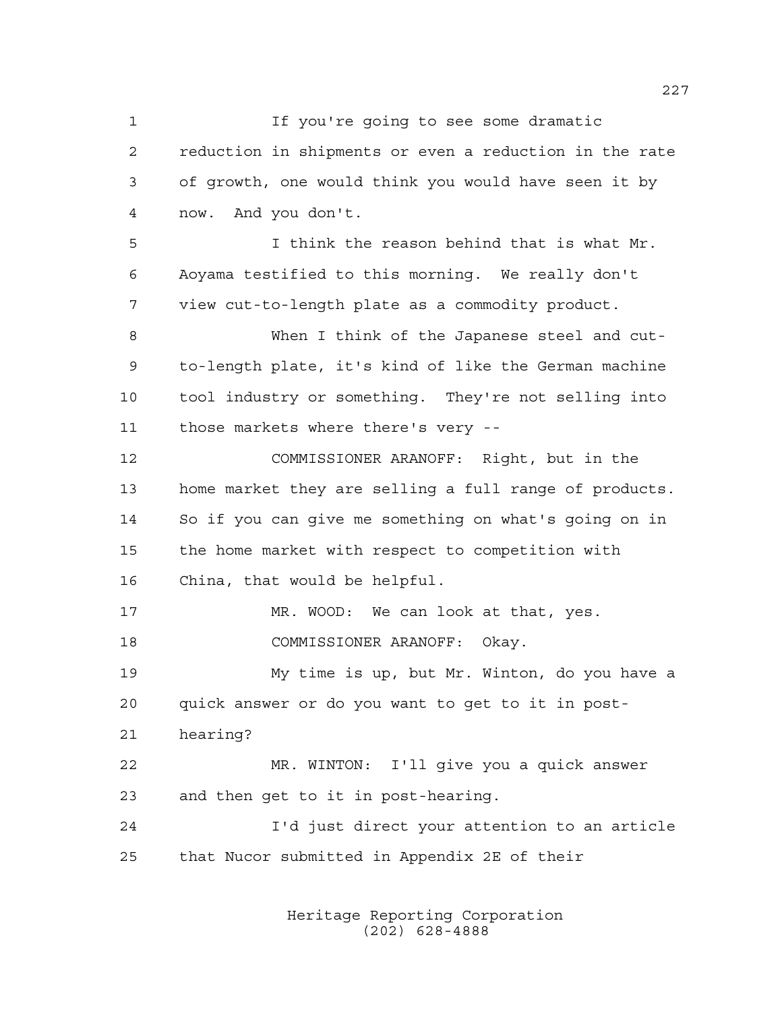1 If you're going to see some dramatic reduction in shipments or even a reduction in the rate of growth, one would think you would have seen it by now. And you don't. I think the reason behind that is what Mr. Aoyama testified to this morning. We really don't view cut-to-length plate as a commodity product. When I think of the Japanese steel and cut- to-length plate, it's kind of like the German machine tool industry or something. They're not selling into those markets where there's very -- COMMISSIONER ARANOFF: Right, but in the home market they are selling a full range of products. So if you can give me something on what's going on in the home market with respect to competition with China, that would be helpful. 17 MR. WOOD: We can look at that, yes. COMMISSIONER ARANOFF: Okay. My time is up, but Mr. Winton, do you have a quick answer or do you want to get to it in post- hearing? MR. WINTON: I'll give you a quick answer and then get to it in post-hearing. I'd just direct your attention to an article that Nucor submitted in Appendix 2E of their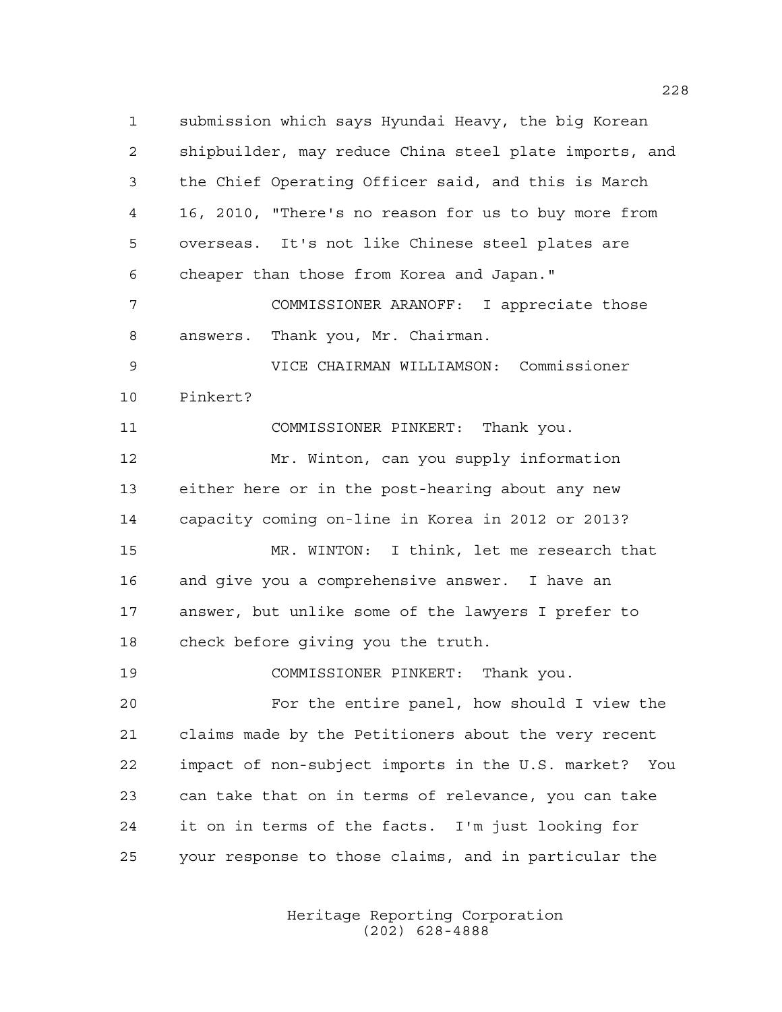submission which says Hyundai Heavy, the big Korean shipbuilder, may reduce China steel plate imports, and the Chief Operating Officer said, and this is March 16, 2010, "There's no reason for us to buy more from overseas. It's not like Chinese steel plates are cheaper than those from Korea and Japan." COMMISSIONER ARANOFF: I appreciate those answers. Thank you, Mr. Chairman. VICE CHAIRMAN WILLIAMSON: Commissioner Pinkert? COMMISSIONER PINKERT: Thank you. Mr. Winton, can you supply information either here or in the post-hearing about any new capacity coming on-line in Korea in 2012 or 2013? MR. WINTON: I think, let me research that and give you a comprehensive answer. I have an answer, but unlike some of the lawyers I prefer to check before giving you the truth. COMMISSIONER PINKERT: Thank you. For the entire panel, how should I view the claims made by the Petitioners about the very recent impact of non-subject imports in the U.S. market? You can take that on in terms of relevance, you can take it on in terms of the facts. I'm just looking for your response to those claims, and in particular the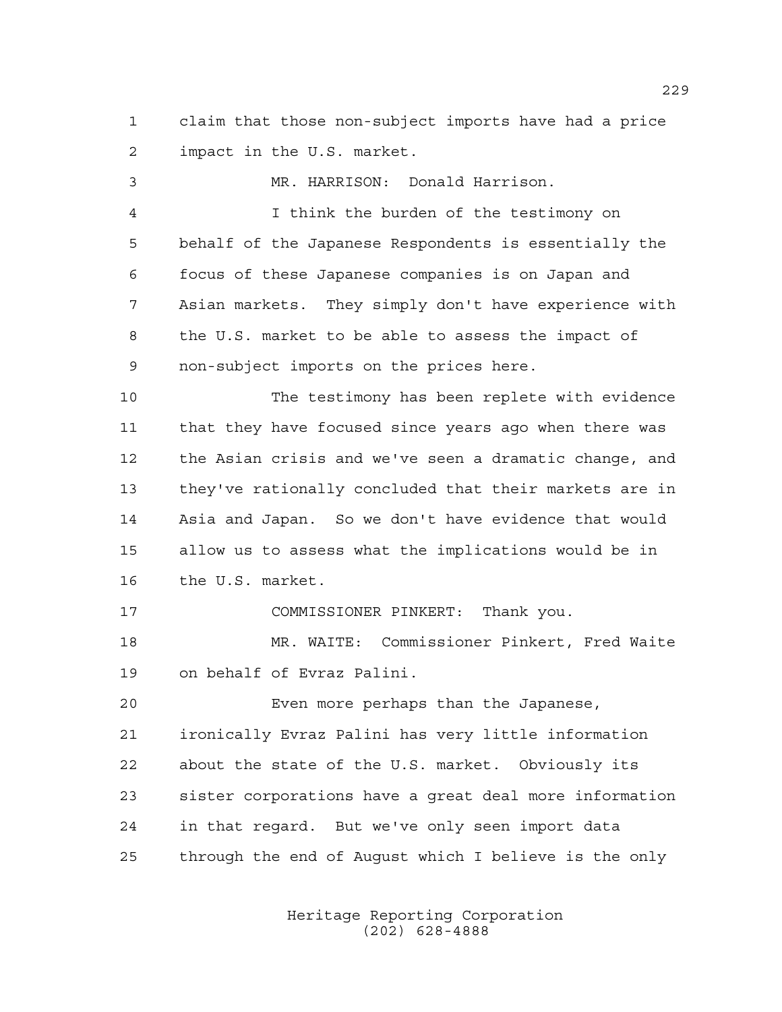claim that those non-subject imports have had a price impact in the U.S. market.

 MR. HARRISON: Donald Harrison. I think the burden of the testimony on behalf of the Japanese Respondents is essentially the focus of these Japanese companies is on Japan and Asian markets. They simply don't have experience with the U.S. market to be able to assess the impact of non-subject imports on the prices here. The testimony has been replete with evidence that they have focused since years ago when there was the Asian crisis and we've seen a dramatic change, and they've rationally concluded that their markets are in Asia and Japan. So we don't have evidence that would allow us to assess what the implications would be in the U.S. market. COMMISSIONER PINKERT: Thank you. MR. WAITE: Commissioner Pinkert, Fred Waite on behalf of Evraz Palini. Even more perhaps than the Japanese, ironically Evraz Palini has very little information about the state of the U.S. market. Obviously its sister corporations have a great deal more information in that regard. But we've only seen import data

> Heritage Reporting Corporation (202) 628-4888

through the end of August which I believe is the only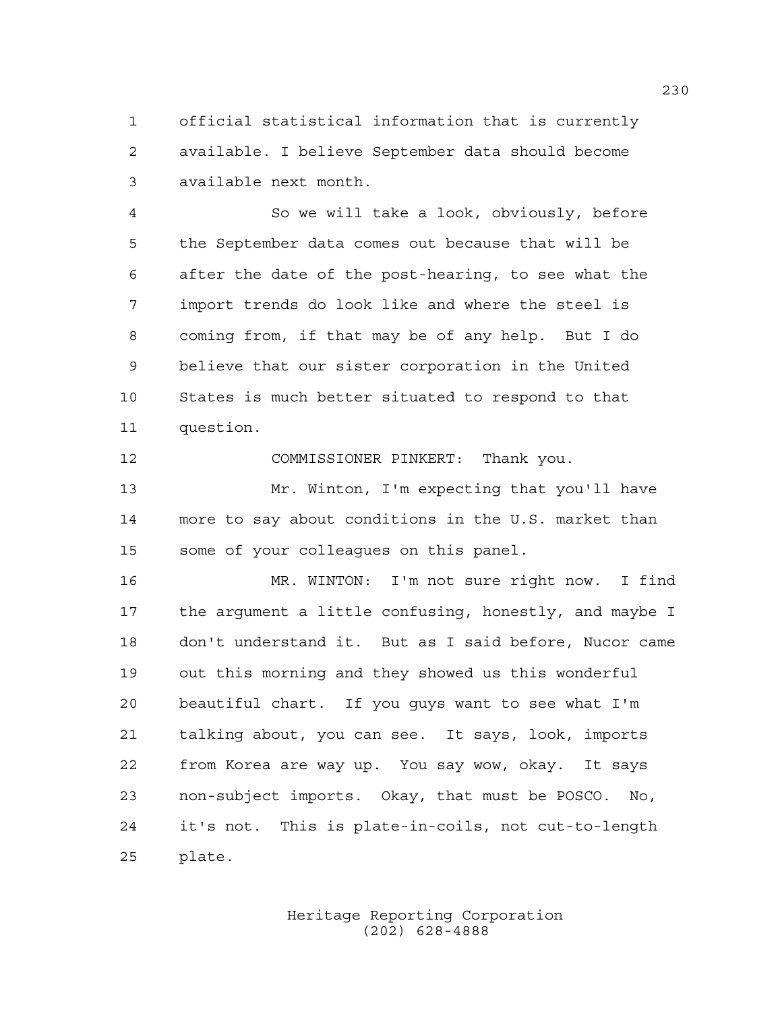official statistical information that is currently available. I believe September data should become available next month.

 So we will take a look, obviously, before the September data comes out because that will be after the date of the post-hearing, to see what the import trends do look like and where the steel is coming from, if that may be of any help. But I do believe that our sister corporation in the United States is much better situated to respond to that question.

COMMISSIONER PINKERT: Thank you.

 Mr. Winton, I'm expecting that you'll have more to say about conditions in the U.S. market than some of your colleagues on this panel.

 MR. WINTON: I'm not sure right now. I find the argument a little confusing, honestly, and maybe I don't understand it. But as I said before, Nucor came out this morning and they showed us this wonderful beautiful chart. If you guys want to see what I'm talking about, you can see. It says, look, imports from Korea are way up. You say wow, okay. It says non-subject imports. Okay, that must be POSCO. No, it's not. This is plate-in-coils, not cut-to-length plate.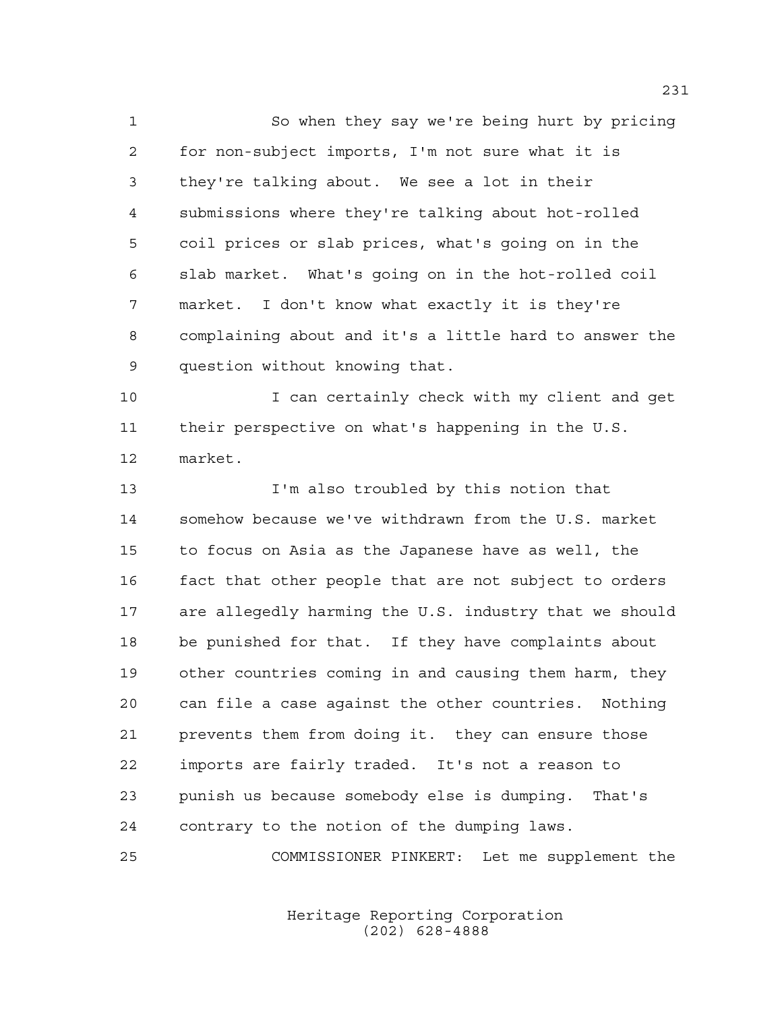So when they say we're being hurt by pricing for non-subject imports, I'm not sure what it is they're talking about. We see a lot in their submissions where they're talking about hot-rolled coil prices or slab prices, what's going on in the slab market. What's going on in the hot-rolled coil market. I don't know what exactly it is they're complaining about and it's a little hard to answer the question without knowing that.

 I can certainly check with my client and get their perspective on what's happening in the U.S. market.

 I'm also troubled by this notion that somehow because we've withdrawn from the U.S. market to focus on Asia as the Japanese have as well, the fact that other people that are not subject to orders are allegedly harming the U.S. industry that we should be punished for that. If they have complaints about other countries coming in and causing them harm, they can file a case against the other countries. Nothing prevents them from doing it. they can ensure those imports are fairly traded. It's not a reason to punish us because somebody else is dumping. That's contrary to the notion of the dumping laws.

COMMISSIONER PINKERT: Let me supplement the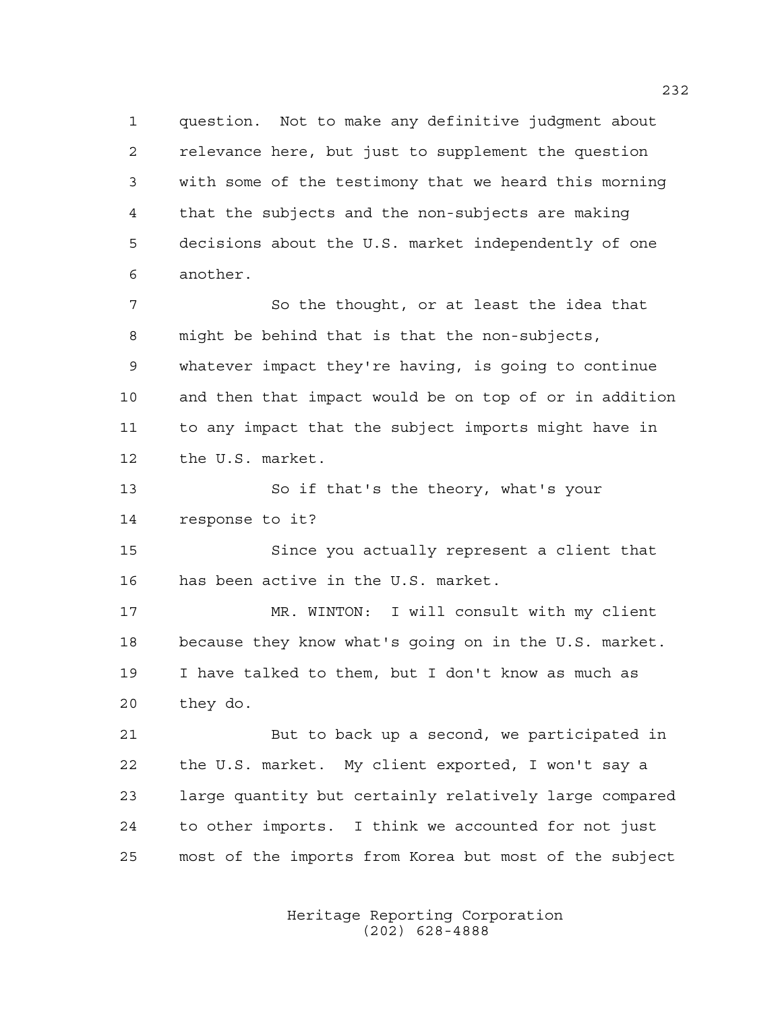question. Not to make any definitive judgment about relevance here, but just to supplement the question with some of the testimony that we heard this morning that the subjects and the non-subjects are making decisions about the U.S. market independently of one another.

 So the thought, or at least the idea that might be behind that is that the non-subjects, whatever impact they're having, is going to continue and then that impact would be on top of or in addition to any impact that the subject imports might have in the U.S. market.

 So if that's the theory, what's your response to it?

 Since you actually represent a client that has been active in the U.S. market.

 MR. WINTON: I will consult with my client because they know what's going on in the U.S. market. I have talked to them, but I don't know as much as they do.

 But to back up a second, we participated in the U.S. market. My client exported, I won't say a large quantity but certainly relatively large compared to other imports. I think we accounted for not just most of the imports from Korea but most of the subject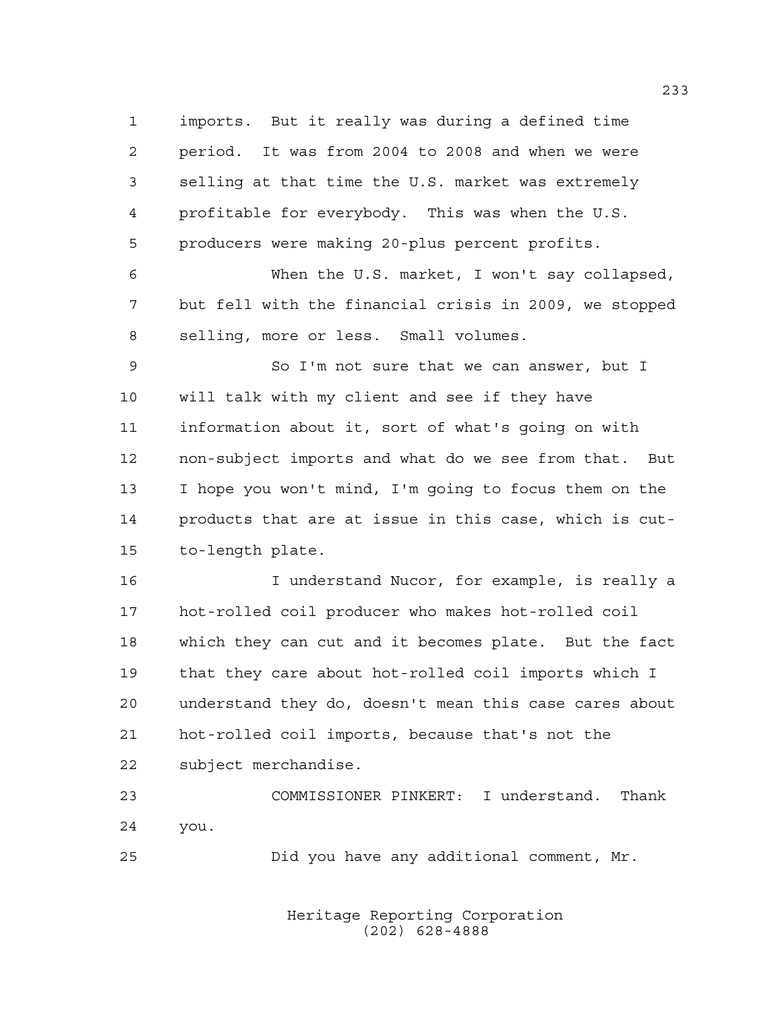imports. But it really was during a defined time period. It was from 2004 to 2008 and when we were selling at that time the U.S. market was extremely profitable for everybody. This was when the U.S. producers were making 20-plus percent profits. When the U.S. market, I won't say collapsed, but fell with the financial crisis in 2009, we stopped selling, more or less. Small volumes. So I'm not sure that we can answer, but I will talk with my client and see if they have information about it, sort of what's going on with non-subject imports and what do we see from that. But I hope you won't mind, I'm going to focus them on the products that are at issue in this case, which is cut- to-length plate. I understand Nucor, for example, is really a hot-rolled coil producer who makes hot-rolled coil which they can cut and it becomes plate. But the fact that they care about hot-rolled coil imports which I

 understand they do, doesn't mean this case cares about hot-rolled coil imports, because that's not the subject merchandise.

 COMMISSIONER PINKERT: I understand. Thank you.

Did you have any additional comment, Mr.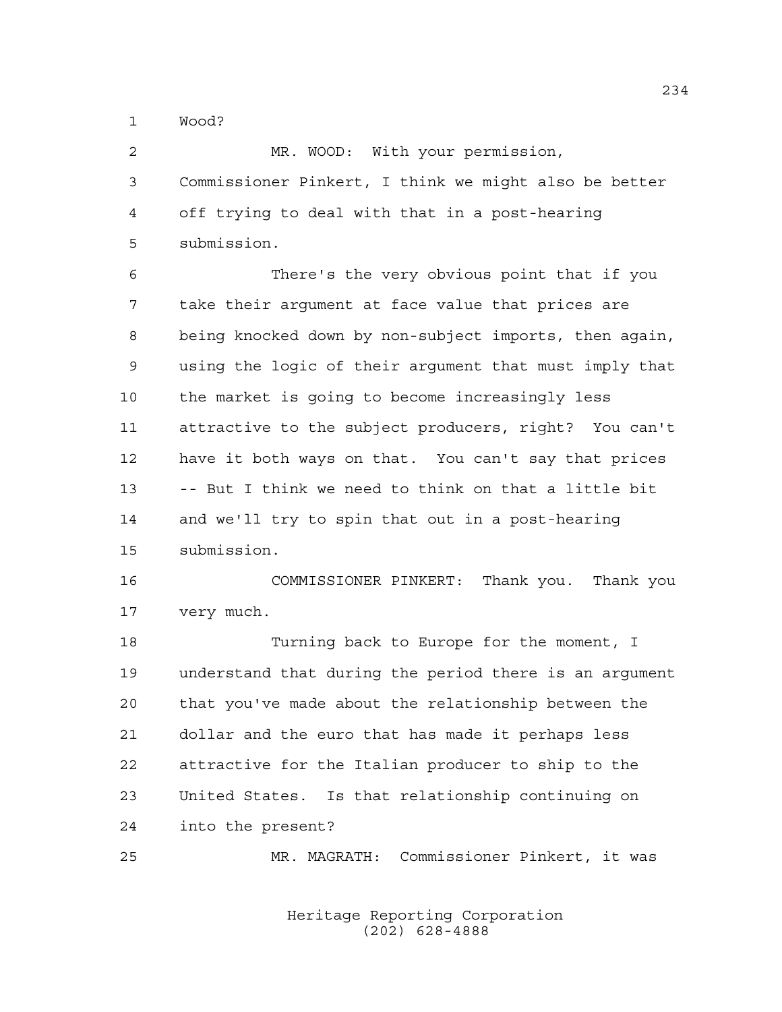Wood?

| -2           | MR. WOOD: With your permission,                       |
|--------------|-------------------------------------------------------|
| $\mathbf{3}$ | Commissioner Pinkert, I think we might also be better |
|              | 4 off trying to deal with that in a post-hearing      |
| 5            | submission.                                           |

 There's the very obvious point that if you take their argument at face value that prices are being knocked down by non-subject imports, then again, using the logic of their argument that must imply that the market is going to become increasingly less attractive to the subject producers, right? You can't have it both ways on that. You can't say that prices -- But I think we need to think on that a little bit and we'll try to spin that out in a post-hearing submission.

 COMMISSIONER PINKERT: Thank you. Thank you very much.

 Turning back to Europe for the moment, I understand that during the period there is an argument that you've made about the relationship between the dollar and the euro that has made it perhaps less attractive for the Italian producer to ship to the United States. Is that relationship continuing on into the present?

MR. MAGRATH: Commissioner Pinkert, it was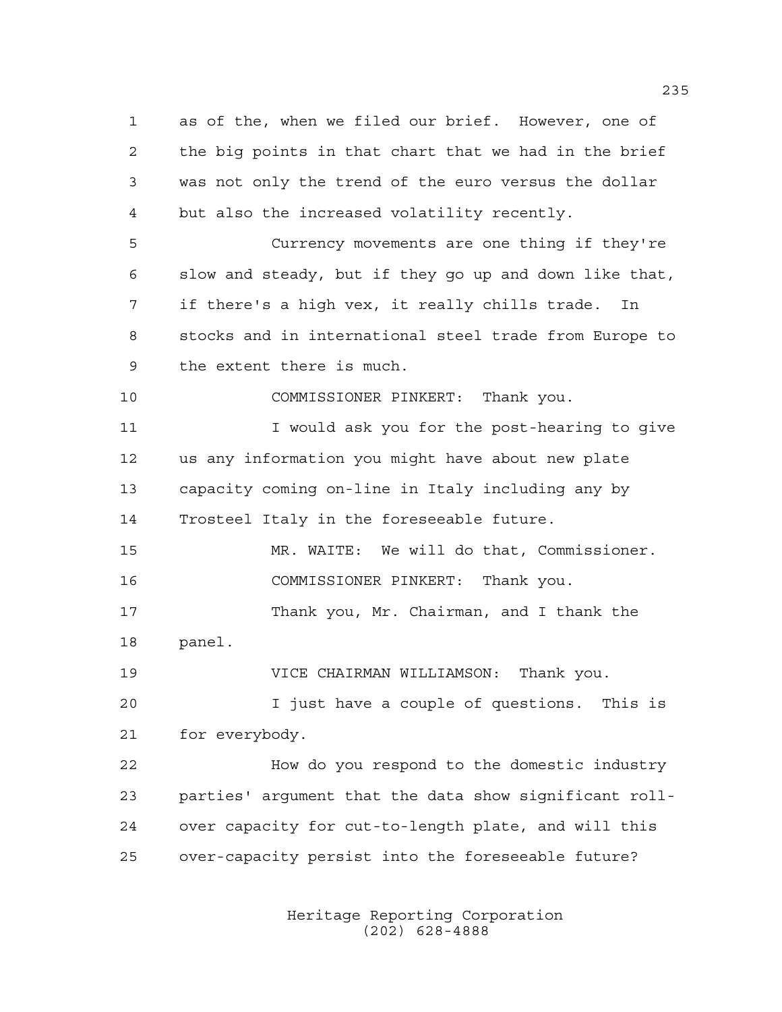as of the, when we filed our brief. However, one of the big points in that chart that we had in the brief was not only the trend of the euro versus the dollar but also the increased volatility recently. Currency movements are one thing if they're slow and steady, but if they go up and down like that, if there's a high vex, it really chills trade. In stocks and in international steel trade from Europe to the extent there is much. COMMISSIONER PINKERT: Thank you. 11 I vould ask you for the post-hearing to give us any information you might have about new plate capacity coming on-line in Italy including any by Trosteel Italy in the foreseeable future. MR. WAITE: We will do that, Commissioner. COMMISSIONER PINKERT: Thank you. Thank you, Mr. Chairman, and I thank the panel. VICE CHAIRMAN WILLIAMSON: Thank you. I just have a couple of questions. This is for everybody. How do you respond to the domestic industry parties' argument that the data show significant roll- over capacity for cut-to-length plate, and will this over-capacity persist into the foreseeable future?

> Heritage Reporting Corporation (202) 628-4888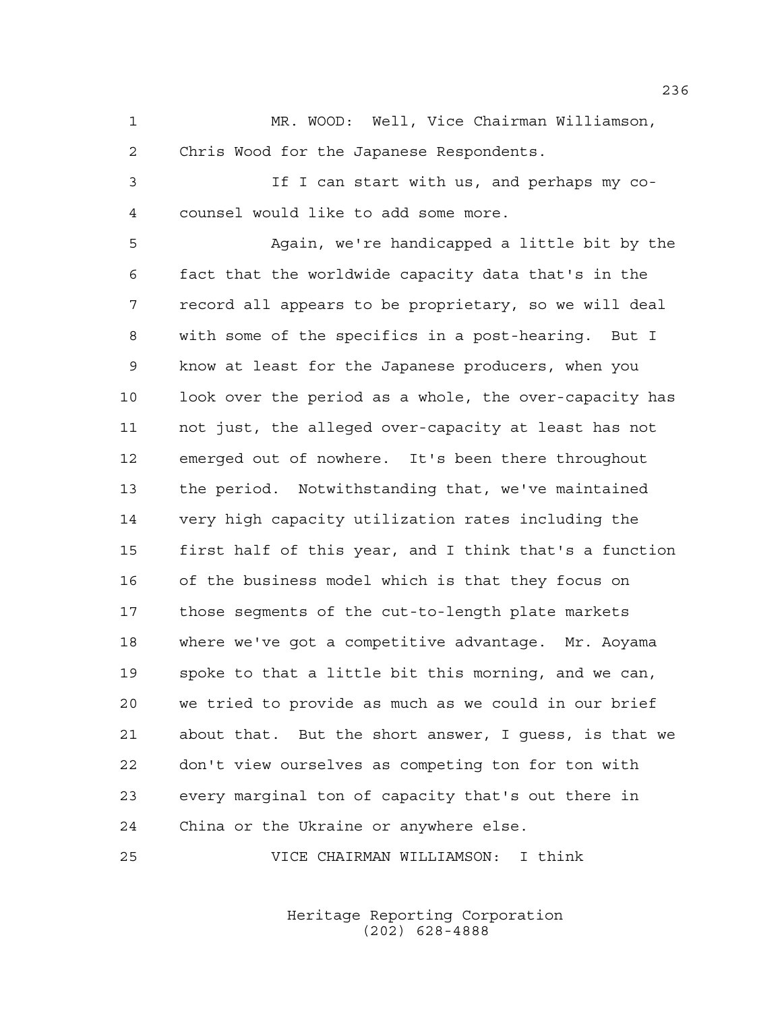MR. WOOD: Well, Vice Chairman Williamson, Chris Wood for the Japanese Respondents.

 If I can start with us, and perhaps my co-counsel would like to add some more.

 Again, we're handicapped a little bit by the fact that the worldwide capacity data that's in the record all appears to be proprietary, so we will deal with some of the specifics in a post-hearing. But I know at least for the Japanese producers, when you look over the period as a whole, the over-capacity has not just, the alleged over-capacity at least has not emerged out of nowhere. It's been there throughout the period. Notwithstanding that, we've maintained very high capacity utilization rates including the first half of this year, and I think that's a function of the business model which is that they focus on those segments of the cut-to-length plate markets where we've got a competitive advantage. Mr. Aoyama spoke to that a little bit this morning, and we can, we tried to provide as much as we could in our brief about that. But the short answer, I guess, is that we don't view ourselves as competing ton for ton with every marginal ton of capacity that's out there in China or the Ukraine or anywhere else.

VICE CHAIRMAN WILLIAMSON: I think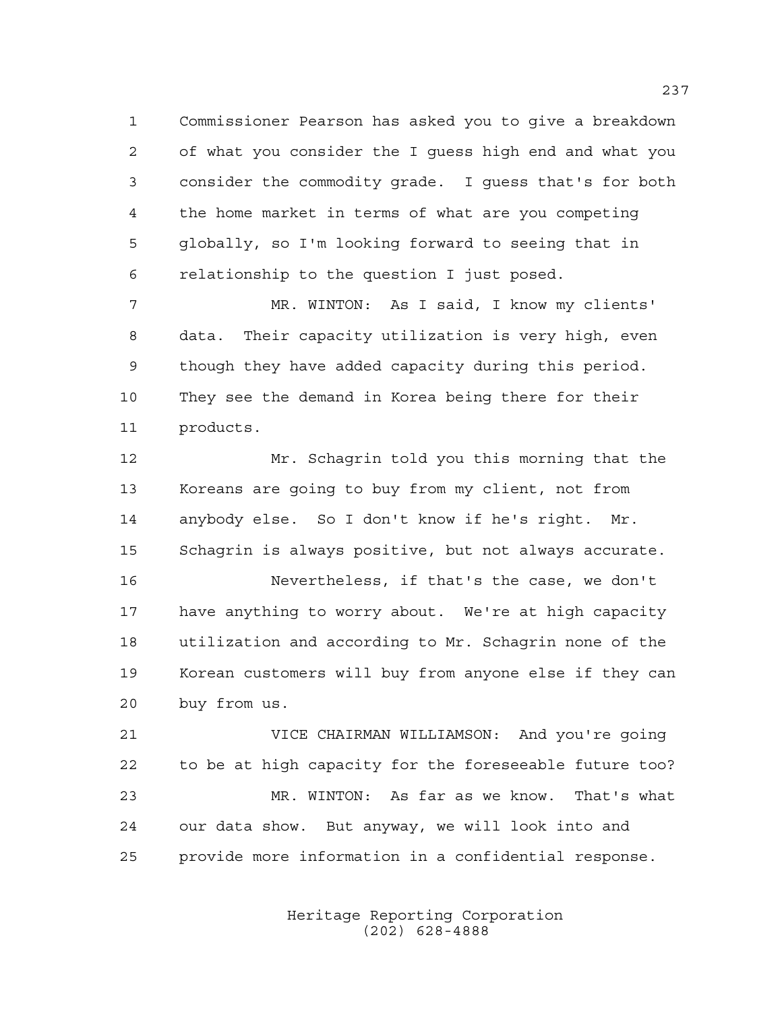Commissioner Pearson has asked you to give a breakdown of what you consider the I guess high end and what you consider the commodity grade. I guess that's for both the home market in terms of what are you competing globally, so I'm looking forward to seeing that in relationship to the question I just posed.

 MR. WINTON: As I said, I know my clients' data. Their capacity utilization is very high, even though they have added capacity during this period. They see the demand in Korea being there for their products.

 Mr. Schagrin told you this morning that the Koreans are going to buy from my client, not from anybody else. So I don't know if he's right. Mr. Schagrin is always positive, but not always accurate. Nevertheless, if that's the case, we don't have anything to worry about. We're at high capacity utilization and according to Mr. Schagrin none of the Korean customers will buy from anyone else if they can buy from us.

 VICE CHAIRMAN WILLIAMSON: And you're going to be at high capacity for the foreseeable future too? MR. WINTON: As far as we know. That's what our data show. But anyway, we will look into and provide more information in a confidential response.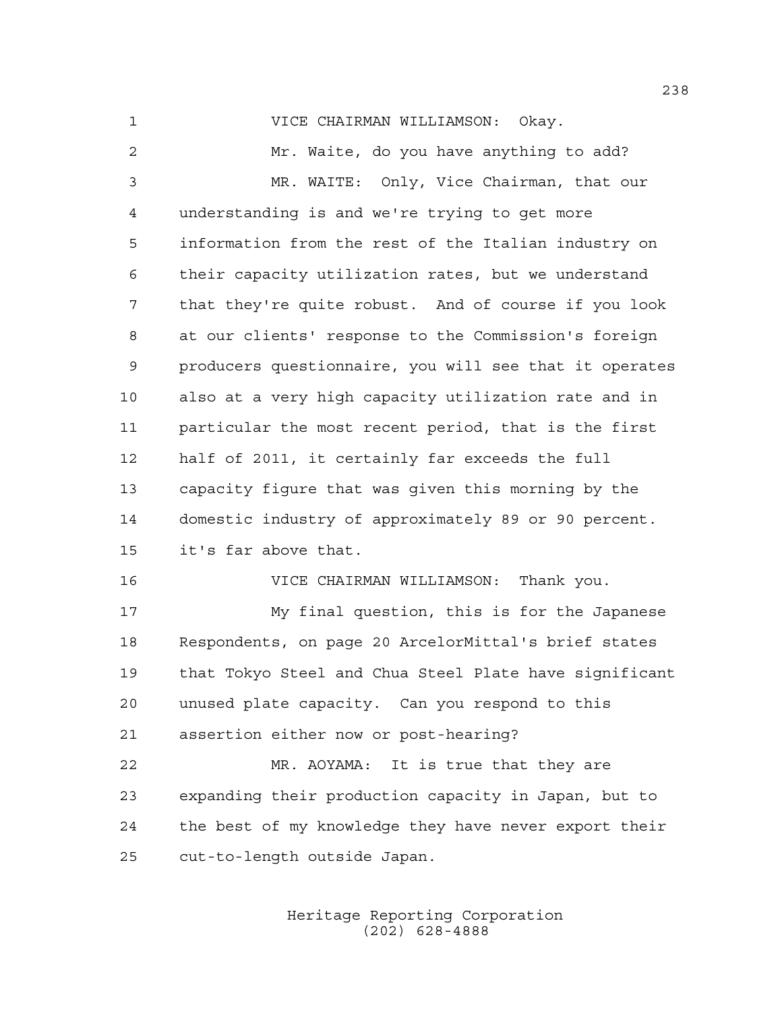VICE CHAIRMAN WILLIAMSON: Okay. Mr. Waite, do you have anything to add? MR. WAITE: Only, Vice Chairman, that our understanding is and we're trying to get more information from the rest of the Italian industry on their capacity utilization rates, but we understand that they're quite robust. And of course if you look at our clients' response to the Commission's foreign producers questionnaire, you will see that it operates also at a very high capacity utilization rate and in particular the most recent period, that is the first half of 2011, it certainly far exceeds the full capacity figure that was given this morning by the domestic industry of approximately 89 or 90 percent. it's far above that. VICE CHAIRMAN WILLIAMSON: Thank you. My final question, this is for the Japanese Respondents, on page 20 ArcelorMittal's brief states

 that Tokyo Steel and Chua Steel Plate have significant unused plate capacity. Can you respond to this assertion either now or post-hearing?

 MR. AOYAMA: It is true that they are expanding their production capacity in Japan, but to the best of my knowledge they have never export their cut-to-length outside Japan.

> Heritage Reporting Corporation (202) 628-4888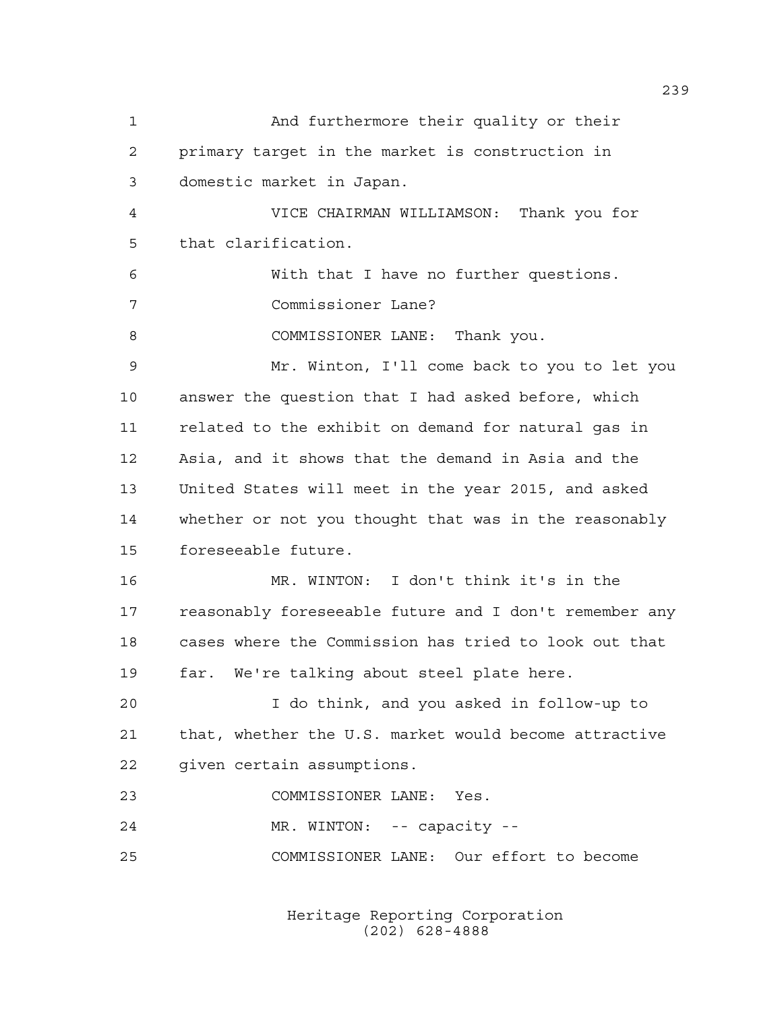And furthermore their quality or their primary target in the market is construction in domestic market in Japan. VICE CHAIRMAN WILLIAMSON: Thank you for that clarification. With that I have no further questions. Commissioner Lane? 8 COMMISSIONER LANE: Thank you. Mr. Winton, I'll come back to you to let you answer the question that I had asked before, which related to the exhibit on demand for natural gas in Asia, and it shows that the demand in Asia and the United States will meet in the year 2015, and asked whether or not you thought that was in the reasonably foreseeable future. MR. WINTON: I don't think it's in the reasonably foreseeable future and I don't remember any cases where the Commission has tried to look out that far. We're talking about steel plate here. I do think, and you asked in follow-up to that, whether the U.S. market would become attractive given certain assumptions. COMMISSIONER LANE: Yes. 24 MR. WINTON: -- capacity --COMMISSIONER LANE: Our effort to become

> Heritage Reporting Corporation (202) 628-4888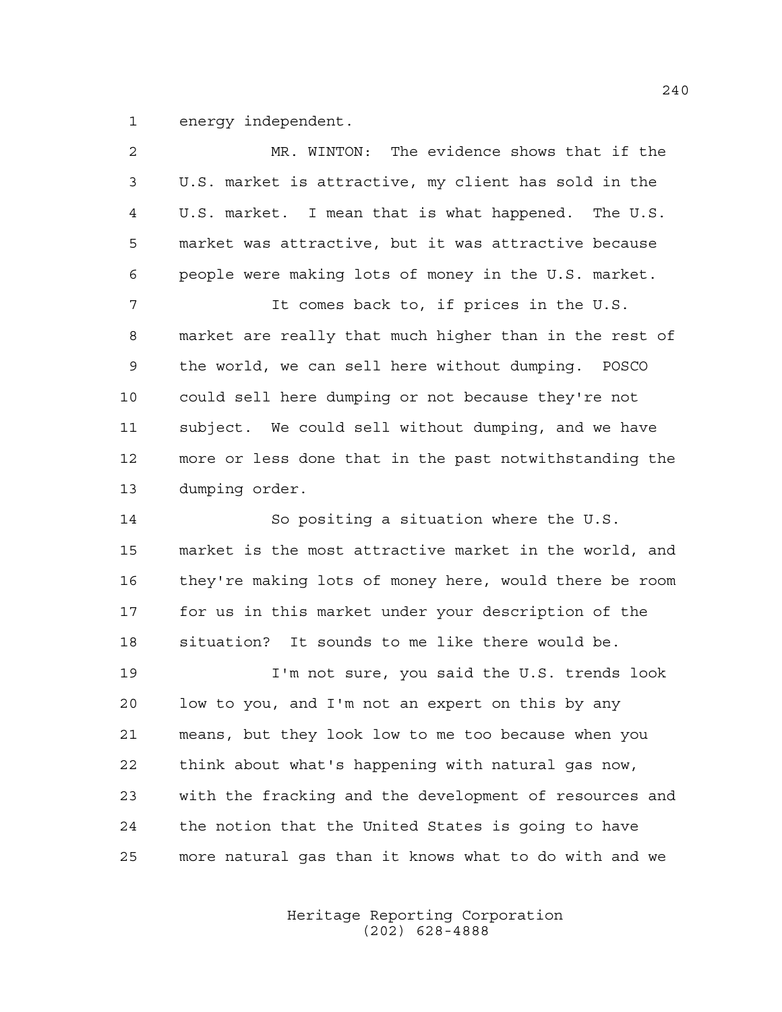energy independent.

| 2  | The evidence shows that if the<br>MR. WINTON:          |
|----|--------------------------------------------------------|
| 3  | U.S. market is attractive, my client has sold in the   |
| 4  | U.S. market. I mean that is what happened. The U.S.    |
| 5  | market was attractive, but it was attractive because   |
| 6  | people were making lots of money in the U.S. market.   |
| 7  | It comes back to, if prices in the U.S.                |
| 8  | market are really that much higher than in the rest of |
| 9  | the world, we can sell here without dumping. POSCO     |
| 10 | could sell here dumping or not because they're not     |
| 11 | subject. We could sell without dumping, and we have    |
| 12 | more or less done that in the past notwithstanding the |
| 13 | dumping order.                                         |
| 14 | So positing a situation where the U.S.                 |
| 15 | market is the most attractive market in the world, and |
| 16 | they're making lots of money here, would there be room |
| 17 | for us in this market under your description of the    |
| 18 | situation? It sounds to me like there would be.        |
| 19 | I'm not sure, you said the U.S. trends look            |
| 20 | low to you, and I'm not an expert on this by any       |
| 21 | means, but they look low to me too because when you    |
| 22 |                                                        |
|    | think about what's happening with natural gas now,     |
| 23 | with the fracking and the development of resources and |
| 24 | the notion that the United States is going to have     |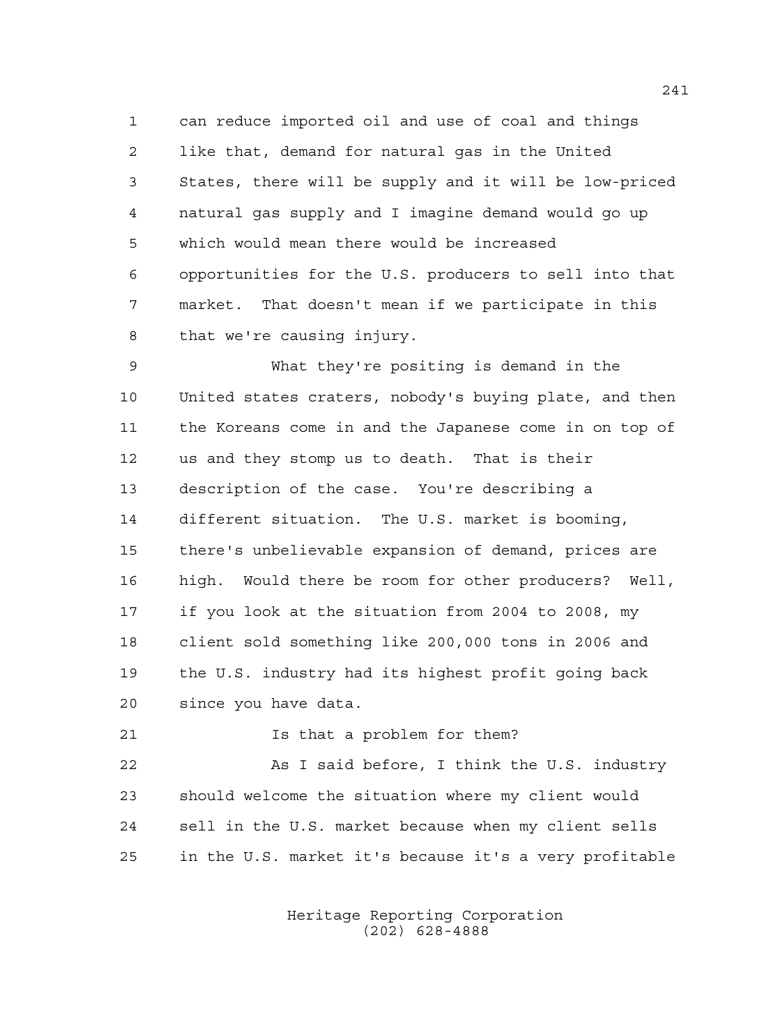can reduce imported oil and use of coal and things like that, demand for natural gas in the United States, there will be supply and it will be low-priced natural gas supply and I imagine demand would go up which would mean there would be increased opportunities for the U.S. producers to sell into that market. That doesn't mean if we participate in this that we're causing injury.

 What they're positing is demand in the United states craters, nobody's buying plate, and then the Koreans come in and the Japanese come in on top of us and they stomp us to death. That is their description of the case. You're describing a different situation. The U.S. market is booming, there's unbelievable expansion of demand, prices are high. Would there be room for other producers? Well, if you look at the situation from 2004 to 2008, my client sold something like 200,000 tons in 2006 and the U.S. industry had its highest profit going back since you have data.

**Is that a problem for them?** 

 As I said before, I think the U.S. industry should welcome the situation where my client would sell in the U.S. market because when my client sells in the U.S. market it's because it's a very profitable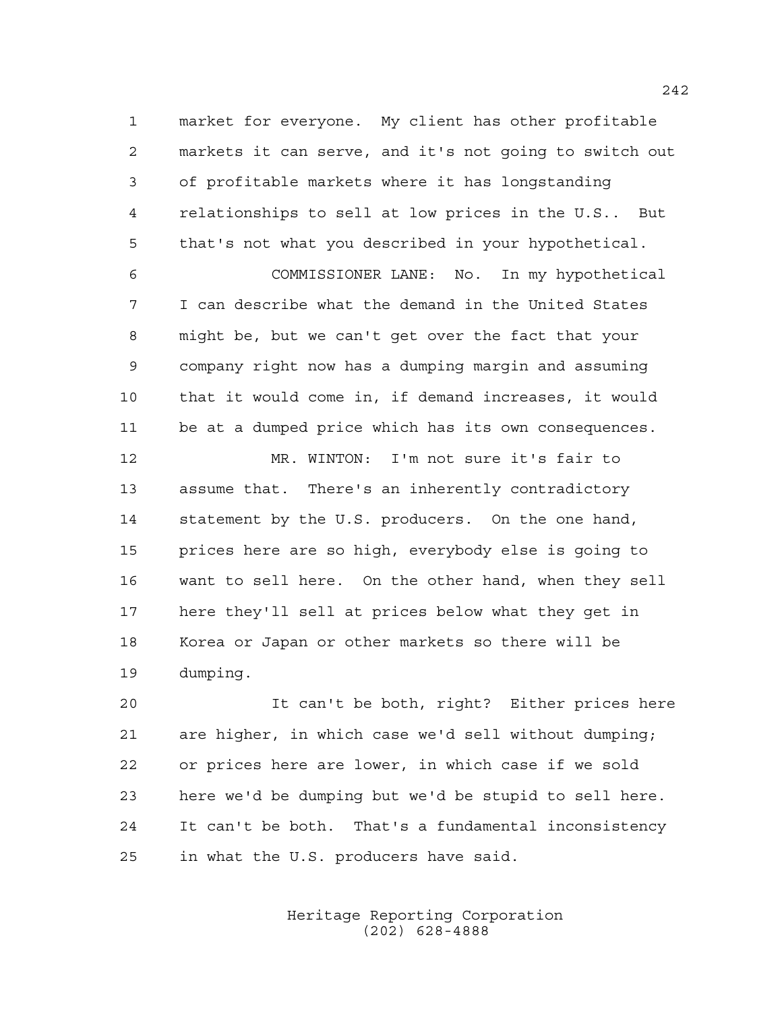market for everyone. My client has other profitable markets it can serve, and it's not going to switch out of profitable markets where it has longstanding relationships to sell at low prices in the U.S.. But that's not what you described in your hypothetical.

 COMMISSIONER LANE: No. In my hypothetical I can describe what the demand in the United States might be, but we can't get over the fact that your company right now has a dumping margin and assuming that it would come in, if demand increases, it would be at a dumped price which has its own consequences.

 MR. WINTON: I'm not sure it's fair to assume that. There's an inherently contradictory statement by the U.S. producers. On the one hand, prices here are so high, everybody else is going to want to sell here. On the other hand, when they sell here they'll sell at prices below what they get in Korea or Japan or other markets so there will be dumping.

 It can't be both, right? Either prices here are higher, in which case we'd sell without dumping; or prices here are lower, in which case if we sold here we'd be dumping but we'd be stupid to sell here. It can't be both. That's a fundamental inconsistency in what the U.S. producers have said.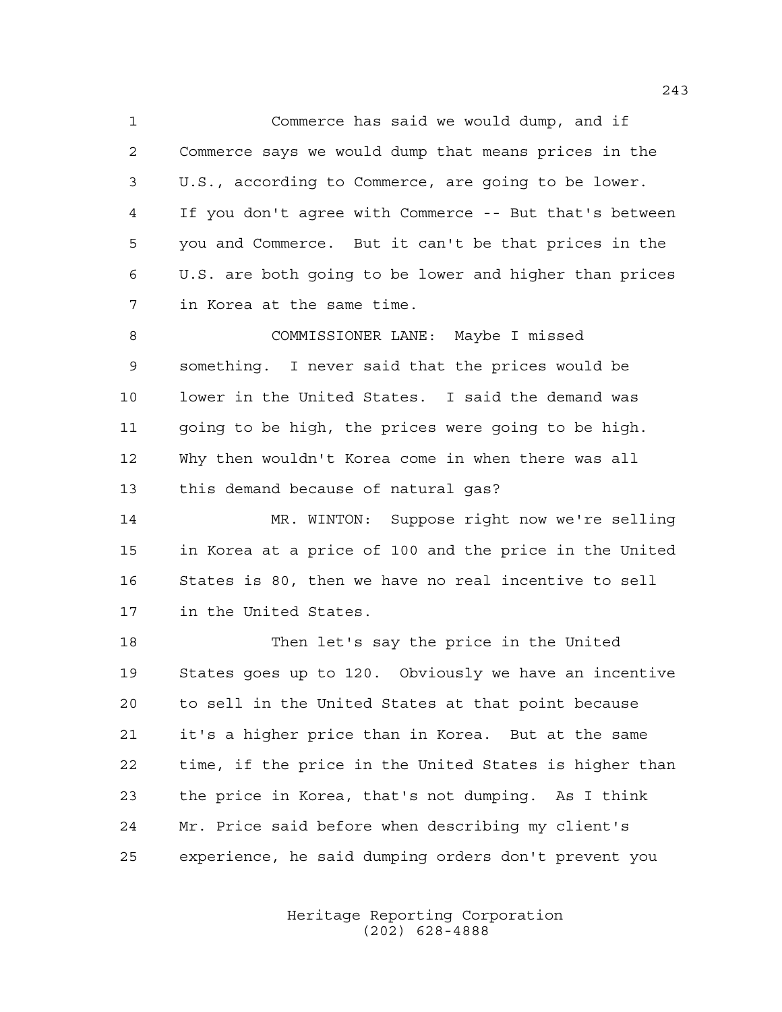Commerce has said we would dump, and if Commerce says we would dump that means prices in the U.S., according to Commerce, are going to be lower. If you don't agree with Commerce -- But that's between you and Commerce. But it can't be that prices in the U.S. are both going to be lower and higher than prices in Korea at the same time.

 COMMISSIONER LANE: Maybe I missed something. I never said that the prices would be lower in the United States. I said the demand was going to be high, the prices were going to be high. Why then wouldn't Korea come in when there was all this demand because of natural gas?

 MR. WINTON: Suppose right now we're selling in Korea at a price of 100 and the price in the United States is 80, then we have no real incentive to sell in the United States.

 Then let's say the price in the United States goes up to 120. Obviously we have an incentive to sell in the United States at that point because it's a higher price than in Korea. But at the same time, if the price in the United States is higher than the price in Korea, that's not dumping. As I think Mr. Price said before when describing my client's experience, he said dumping orders don't prevent you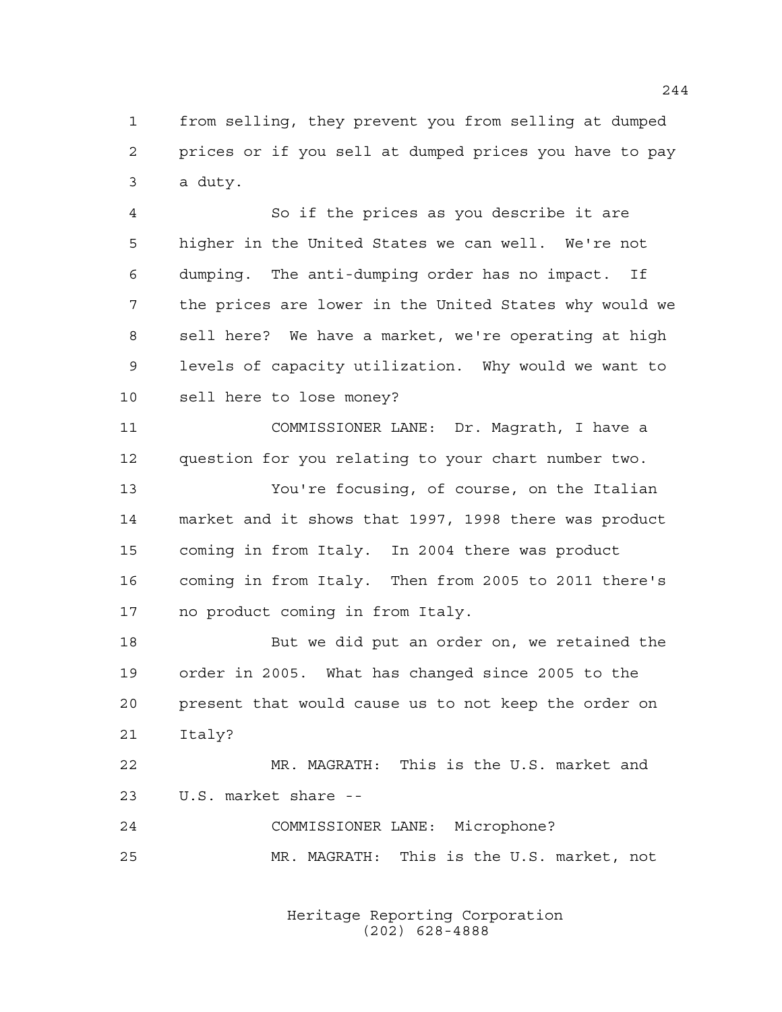from selling, they prevent you from selling at dumped prices or if you sell at dumped prices you have to pay a duty.

 So if the prices as you describe it are higher in the United States we can well. We're not dumping. The anti-dumping order has no impact. If the prices are lower in the United States why would we sell here? We have a market, we're operating at high levels of capacity utilization. Why would we want to sell here to lose money?

 COMMISSIONER LANE: Dr. Magrath, I have a question for you relating to your chart number two.

 You're focusing, of course, on the Italian market and it shows that 1997, 1998 there was product coming in from Italy. In 2004 there was product coming in from Italy. Then from 2005 to 2011 there's no product coming in from Italy.

 But we did put an order on, we retained the order in 2005. What has changed since 2005 to the present that would cause us to not keep the order on Italy?

 MR. MAGRATH: This is the U.S. market and U.S. market share --

 COMMISSIONER LANE: Microphone? MR. MAGRATH: This is the U.S. market, not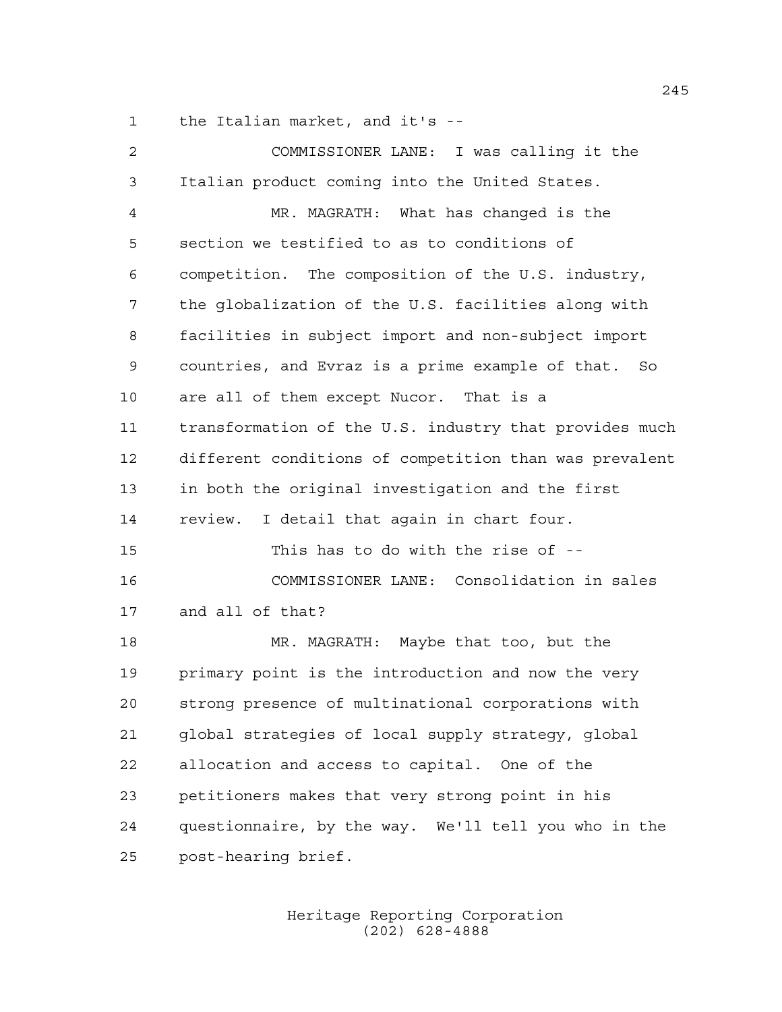the Italian market, and it's --

| 2    | COMMISSIONER LANE: I was calling it the                |
|------|--------------------------------------------------------|
| 3    | Italian product coming into the United States.         |
| 4    | MR. MAGRATH: What has changed is the                   |
| 5    | section we testified to as to conditions of            |
| 6    | competition. The composition of the U.S. industry,     |
| 7    | the globalization of the U.S. facilities along with    |
| 8    | facilities in subject import and non-subject import    |
| 9    | countries, and Evraz is a prime example of that. So    |
| $10$ | are all of them except Nucor. That is a                |
| 11   | transformation of the U.S. industry that provides much |
| 12   | different conditions of competition than was prevalent |
| 13   | in both the original investigation and the first       |
| 14   | review. I detail that again in chart four.             |
| 15   | This has to do with the rise of --                     |
| 16   | COMMISSIONER LANE: Consolidation in sales              |
| 17   | and all of that?                                       |
| 18   | MR. MAGRATH: Maybe that too, but the                   |
| 19   | primary point is the introduction and now the very     |
| 20   | strong presence of multinational corporations with     |
| 21   | global strategies of local supply strategy, global     |
| 22   | allocation and access to capital. One of the           |
| 23   | petitioners makes that very strong point in his        |
| 24   | questionnaire, by the way. We'll tell you who in the   |
| 25   | post-hearing brief.                                    |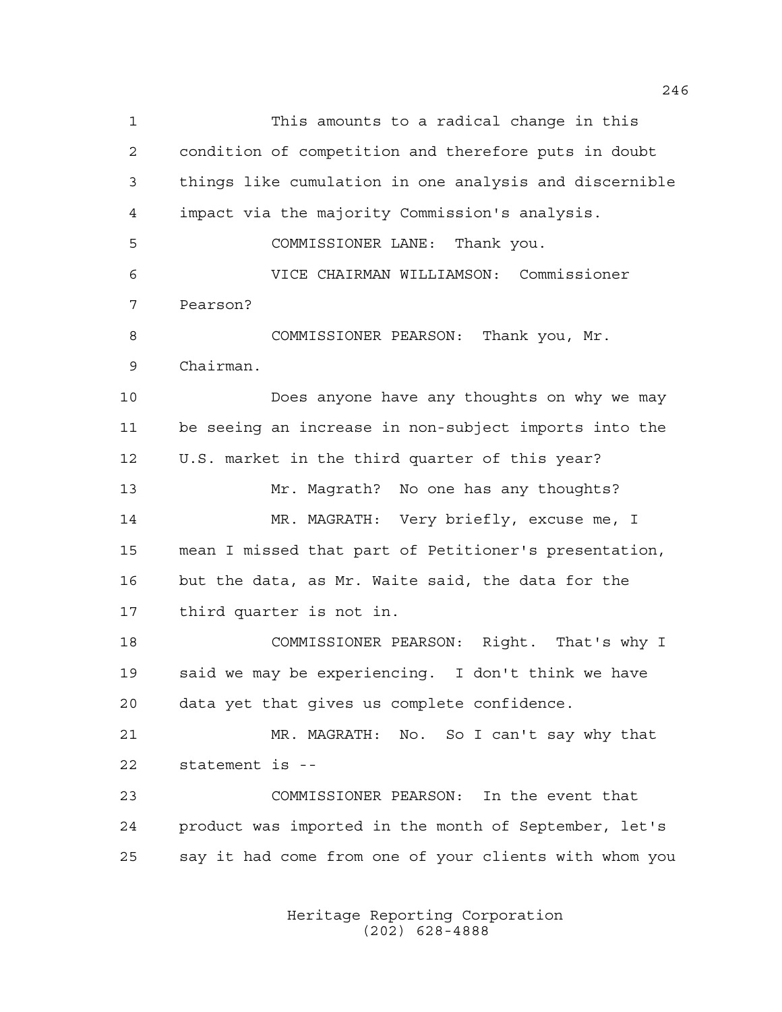This amounts to a radical change in this condition of competition and therefore puts in doubt things like cumulation in one analysis and discernible impact via the majority Commission's analysis. COMMISSIONER LANE: Thank you. VICE CHAIRMAN WILLIAMSON: Commissioner Pearson? COMMISSIONER PEARSON: Thank you, Mr. Chairman. Does anyone have any thoughts on why we may be seeing an increase in non-subject imports into the U.S. market in the third quarter of this year? Mr. Magrath? No one has any thoughts? MR. MAGRATH: Very briefly, excuse me, I mean I missed that part of Petitioner's presentation, but the data, as Mr. Waite said, the data for the third quarter is not in. COMMISSIONER PEARSON: Right. That's why I said we may be experiencing. I don't think we have data yet that gives us complete confidence. MR. MAGRATH: No. So I can't say why that statement is -- COMMISSIONER PEARSON: In the event that product was imported in the month of September, let's say it had come from one of your clients with whom you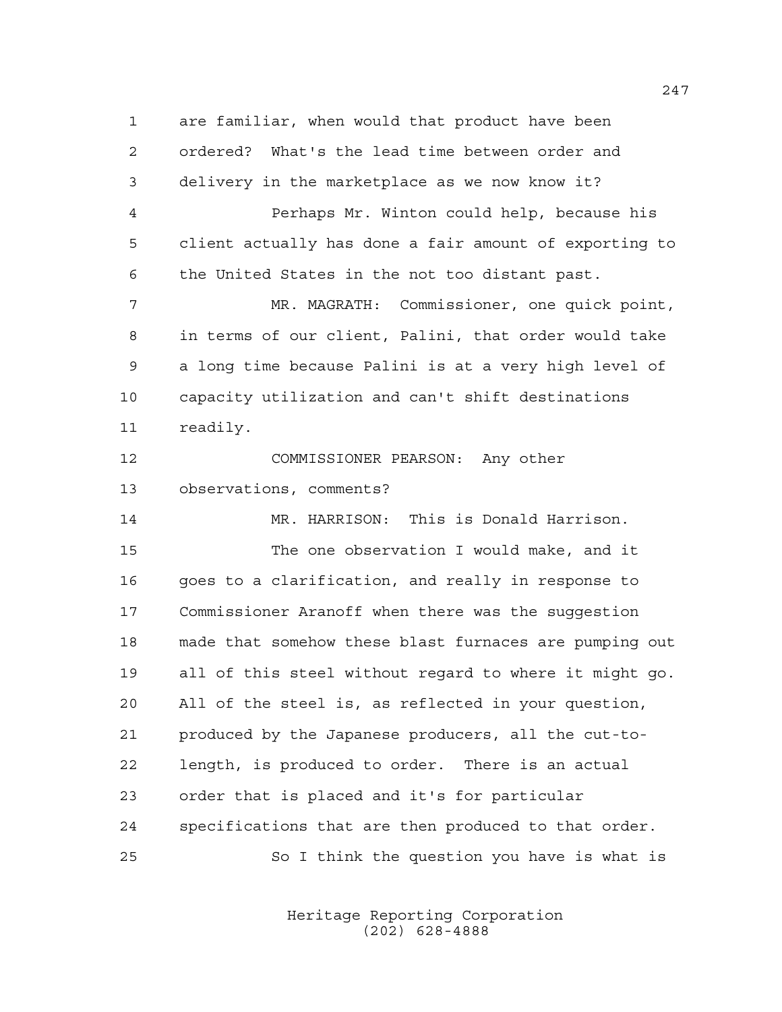are familiar, when would that product have been ordered? What's the lead time between order and delivery in the marketplace as we now know it? Perhaps Mr. Winton could help, because his client actually has done a fair amount of exporting to the United States in the not too distant past. MR. MAGRATH: Commissioner, one quick point, in terms of our client, Palini, that order would take a long time because Palini is at a very high level of capacity utilization and can't shift destinations readily. COMMISSIONER PEARSON: Any other observations, comments? MR. HARRISON: This is Donald Harrison. The one observation I would make, and it goes to a clarification, and really in response to Commissioner Aranoff when there was the suggestion made that somehow these blast furnaces are pumping out all of this steel without regard to where it might go. All of the steel is, as reflected in your question, produced by the Japanese producers, all the cut-to- length, is produced to order. There is an actual order that is placed and it's for particular specifications that are then produced to that order. So I think the question you have is what is

> Heritage Reporting Corporation (202) 628-4888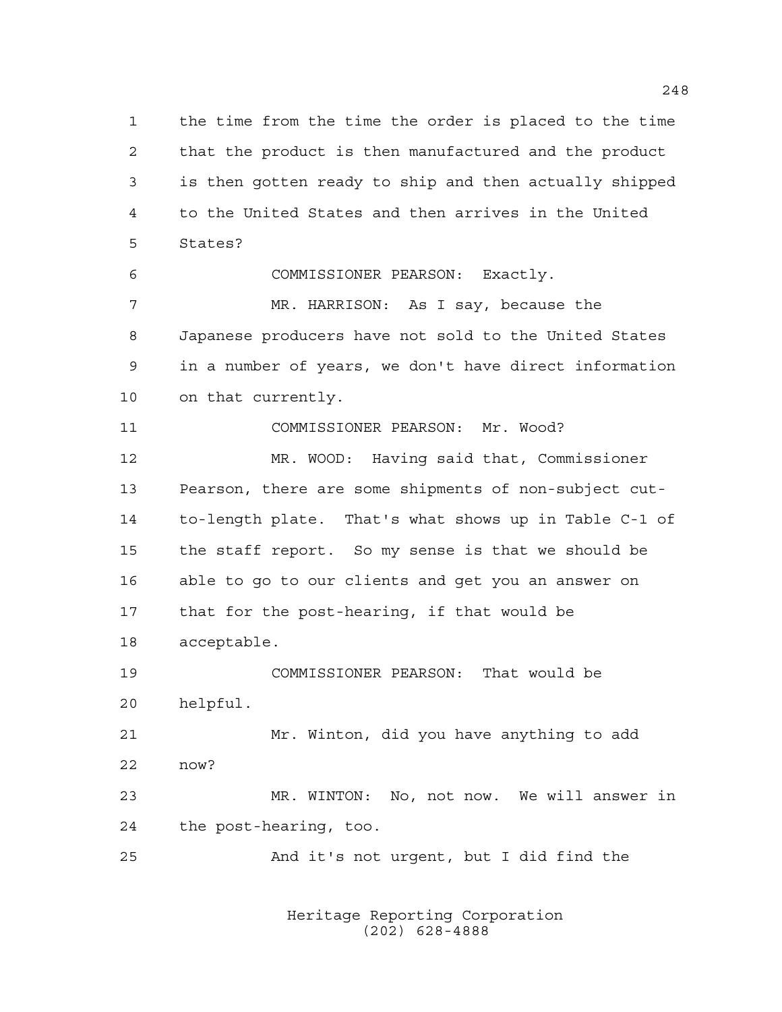the time from the time the order is placed to the time that the product is then manufactured and the product is then gotten ready to ship and then actually shipped to the United States and then arrives in the United States?

COMMISSIONER PEARSON: Exactly.

 MR. HARRISON: As I say, because the Japanese producers have not sold to the United States in a number of years, we don't have direct information on that currently.

COMMISSIONER PEARSON: Mr. Wood?

 MR. WOOD: Having said that, Commissioner Pearson, there are some shipments of non-subject cut- to-length plate. That's what shows up in Table C-1 of the staff report. So my sense is that we should be able to go to our clients and get you an answer on that for the post-hearing, if that would be acceptable.

 COMMISSIONER PEARSON: That would be helpful.

 Mr. Winton, did you have anything to add now?

 MR. WINTON: No, not now. We will answer in the post-hearing, too.

And it's not urgent, but I did find the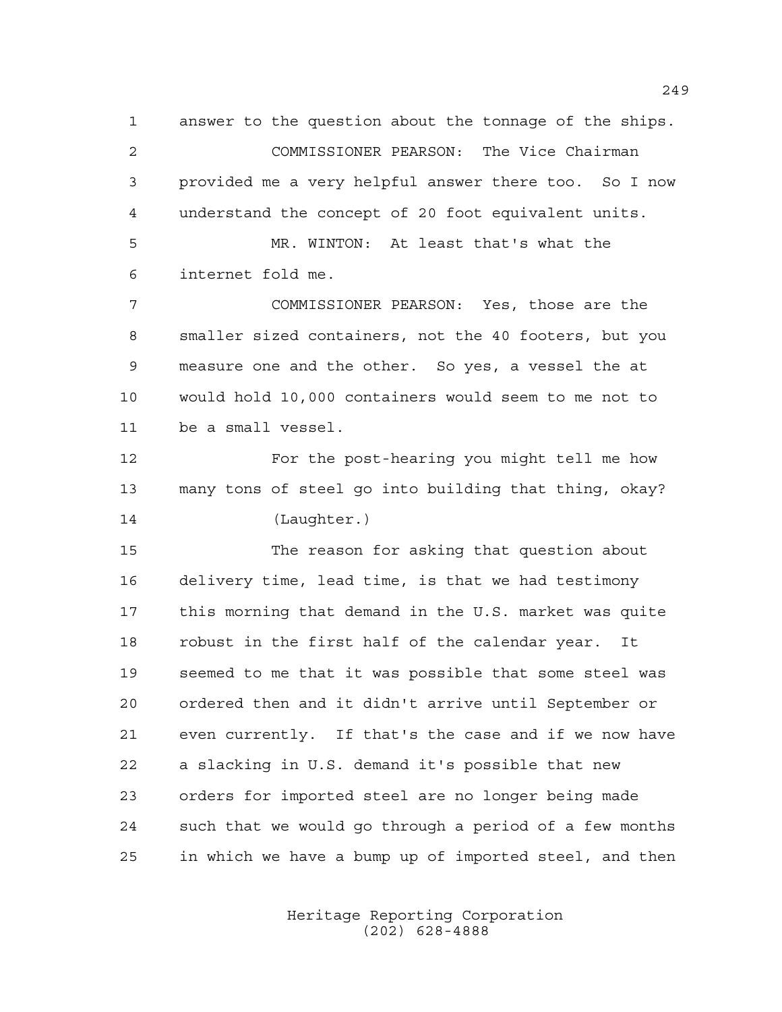answer to the question about the tonnage of the ships. COMMISSIONER PEARSON: The Vice Chairman provided me a very helpful answer there too. So I now understand the concept of 20 foot equivalent units. MR. WINTON: At least that's what the internet fold me. COMMISSIONER PEARSON: Yes, those are the

 smaller sized containers, not the 40 footers, but you measure one and the other. So yes, a vessel the at would hold 10,000 containers would seem to me not to be a small vessel.

 For the post-hearing you might tell me how many tons of steel go into building that thing, okay? (Laughter.)

 The reason for asking that question about delivery time, lead time, is that we had testimony this morning that demand in the U.S. market was quite robust in the first half of the calendar year. It seemed to me that it was possible that some steel was ordered then and it didn't arrive until September or even currently. If that's the case and if we now have a slacking in U.S. demand it's possible that new orders for imported steel are no longer being made such that we would go through a period of a few months in which we have a bump up of imported steel, and then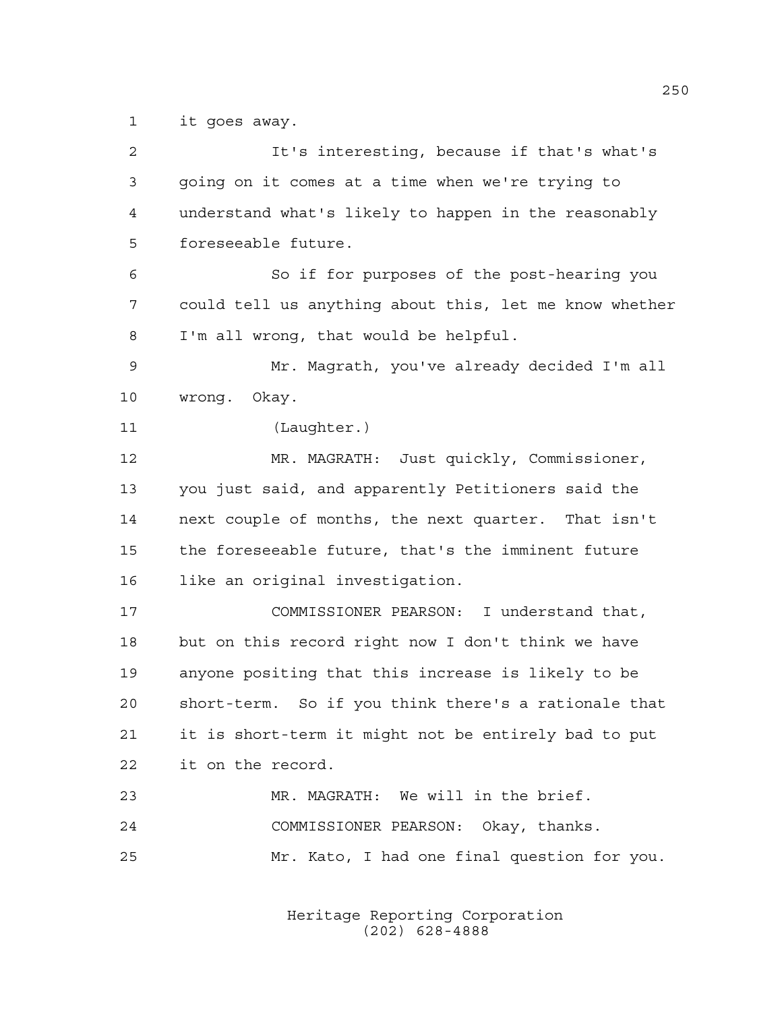it goes away.

| 2  | It's interesting, because if that's what's             |
|----|--------------------------------------------------------|
| 3  | going on it comes at a time when we're trying to       |
| 4  | understand what's likely to happen in the reasonably   |
| 5  | foreseeable future.                                    |
| 6  | So if for purposes of the post-hearing you             |
| 7  | could tell us anything about this, let me know whether |
| 8  | I'm all wrong, that would be helpful.                  |
| 9  | Mr. Magrath, you've already decided I'm all            |
| 10 | wrong. Okay.                                           |
| 11 | (Laughter.)                                            |
| 12 | MR. MAGRATH: Just quickly, Commissioner,               |
| 13 | you just said, and apparently Petitioners said the     |
| 14 | next couple of months, the next quarter. That isn't    |
| 15 | the foreseeable future, that's the imminent future     |
| 16 | like an original investigation.                        |
| 17 | COMMISSIONER PEARSON: I understand that,               |
| 18 | but on this record right now I don't think we have     |
| 19 | anyone positing that this increase is likely to be     |
| 20 | short-term. So if you think there's a rationale that   |
| 21 | it is short-term it might not be entirely bad to put   |
| 22 | it on the record.                                      |
| 23 | MR. MAGRATH: We will in the brief.                     |
| 24 | COMMISSIONER PEARSON: Okay, thanks.                    |
| 25 | Mr. Kato, I had one final question for you.            |
|    |                                                        |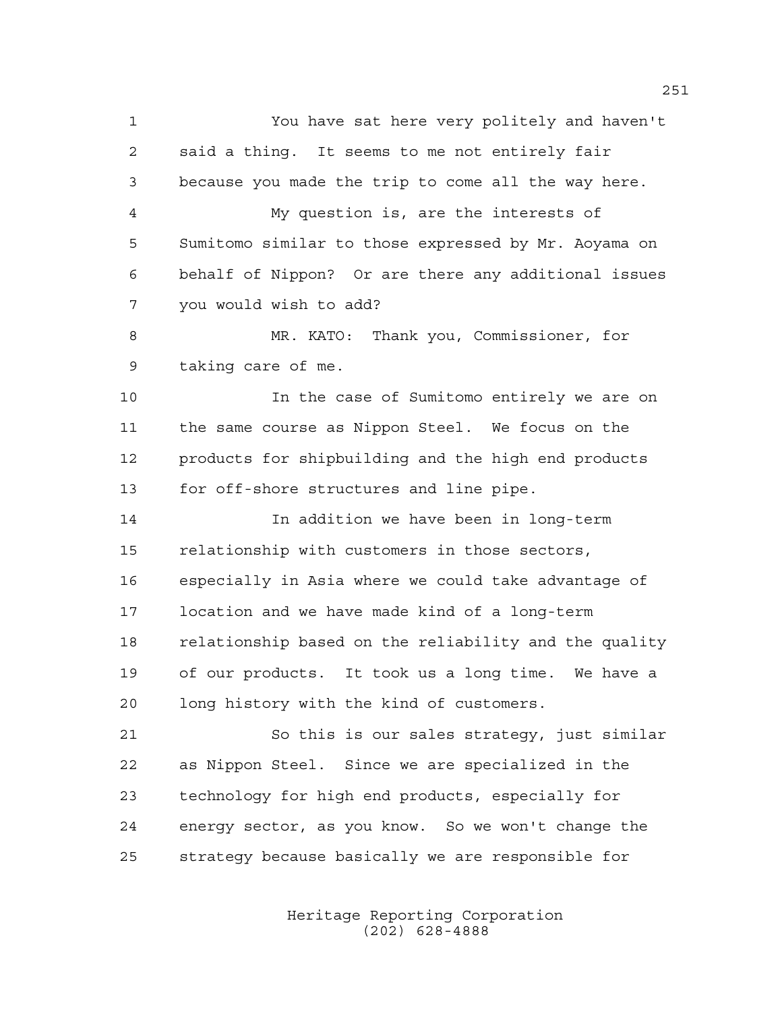You have sat here very politely and haven't said a thing. It seems to me not entirely fair because you made the trip to come all the way here. My question is, are the interests of Sumitomo similar to those expressed by Mr. Aoyama on behalf of Nippon? Or are there any additional issues you would wish to add? MR. KATO: Thank you, Commissioner, for taking care of me. In the case of Sumitomo entirely we are on the same course as Nippon Steel. We focus on the products for shipbuilding and the high end products for off-shore structures and line pipe. In addition we have been in long-term relationship with customers in those sectors, especially in Asia where we could take advantage of location and we have made kind of a long-term relationship based on the reliability and the quality of our products. It took us a long time. We have a long history with the kind of customers. So this is our sales strategy, just similar as Nippon Steel. Since we are specialized in the technology for high end products, especially for energy sector, as you know. So we won't change the strategy because basically we are responsible for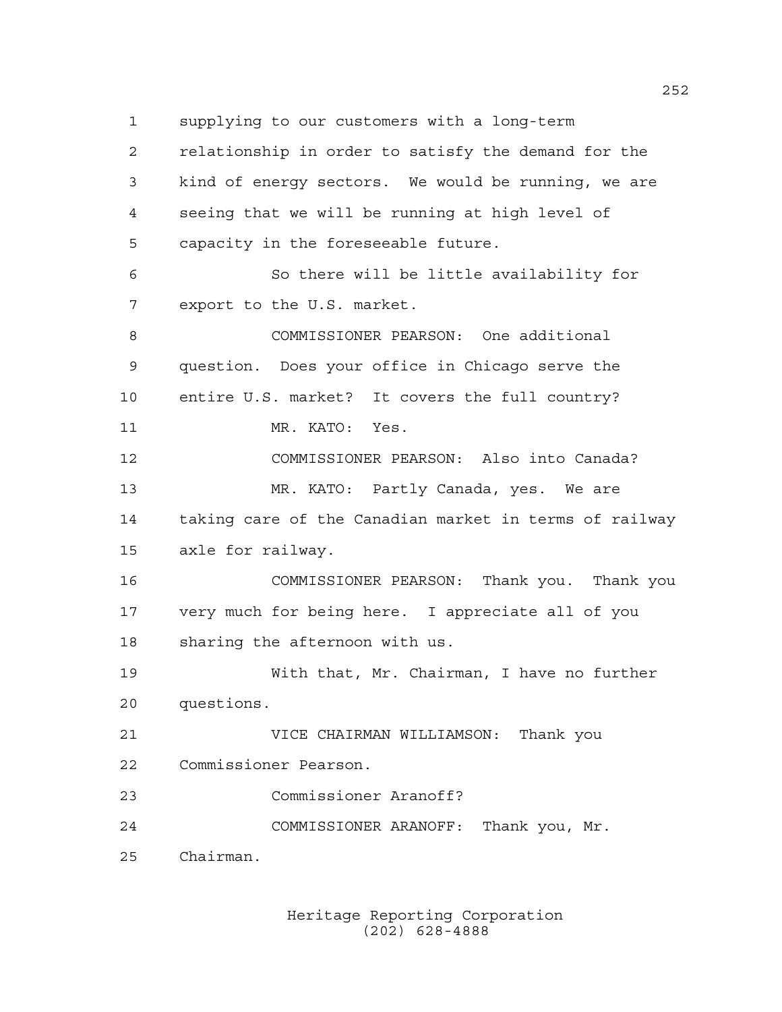supplying to our customers with a long-term

 relationship in order to satisfy the demand for the kind of energy sectors. We would be running, we are seeing that we will be running at high level of capacity in the foreseeable future. So there will be little availability for export to the U.S. market. COMMISSIONER PEARSON: One additional question. Does your office in Chicago serve the entire U.S. market? It covers the full country? 11 MR. KATO: Yes. COMMISSIONER PEARSON: Also into Canada? MR. KATO: Partly Canada, yes. We are taking care of the Canadian market in terms of railway axle for railway. COMMISSIONER PEARSON: Thank you. Thank you very much for being here. I appreciate all of you sharing the afternoon with us. With that, Mr. Chairman, I have no further questions. VICE CHAIRMAN WILLIAMSON: Thank you Commissioner Pearson. Commissioner Aranoff? COMMISSIONER ARANOFF: Thank you, Mr. Chairman.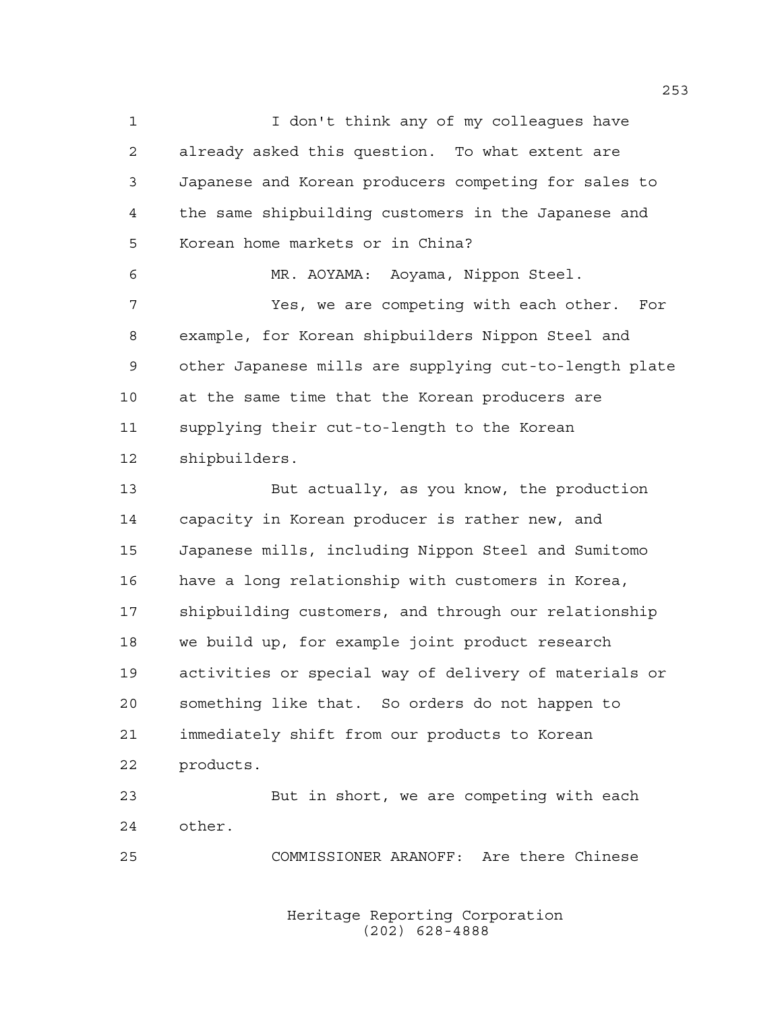I don't think any of my colleagues have already asked this question. To what extent are Japanese and Korean producers competing for sales to the same shipbuilding customers in the Japanese and Korean home markets or in China? MR. AOYAMA: Aoyama, Nippon Steel. Yes, we are competing with each other. For example, for Korean shipbuilders Nippon Steel and other Japanese mills are supplying cut-to-length plate at the same time that the Korean producers are supplying their cut-to-length to the Korean shipbuilders.

 But actually, as you know, the production capacity in Korean producer is rather new, and Japanese mills, including Nippon Steel and Sumitomo have a long relationship with customers in Korea, shipbuilding customers, and through our relationship we build up, for example joint product research activities or special way of delivery of materials or something like that. So orders do not happen to immediately shift from our products to Korean products.

 But in short, we are competing with each other.

COMMISSIONER ARANOFF: Are there Chinese

Heritage Reporting Corporation (202) 628-4888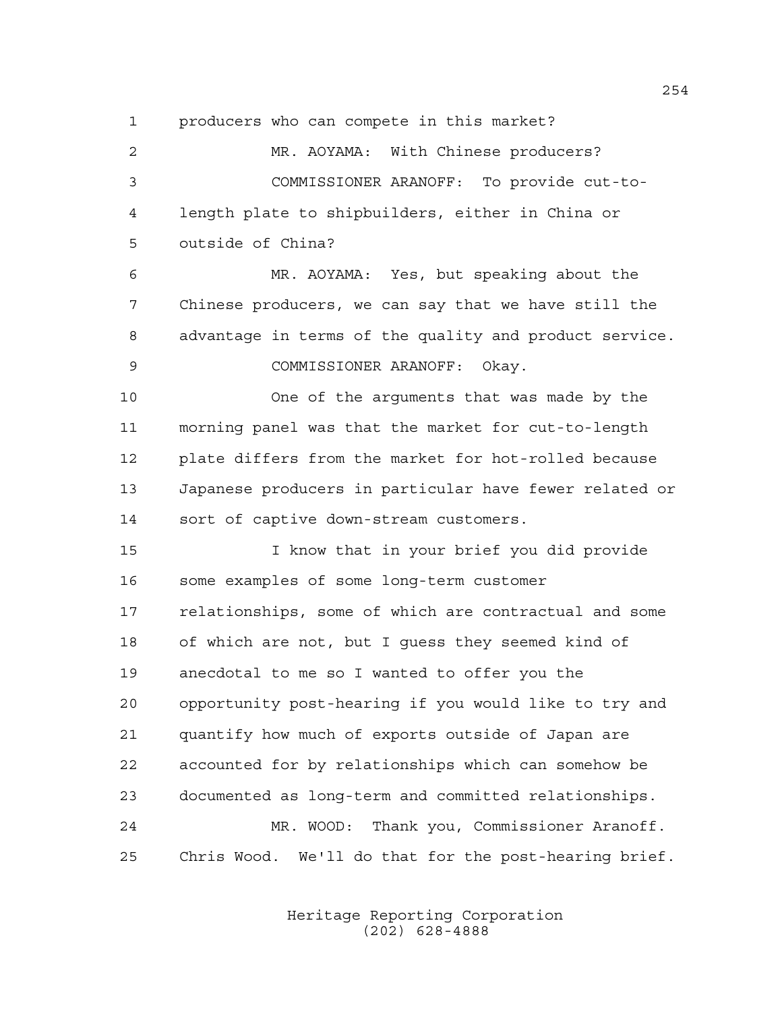producers who can compete in this market?

 MR. AOYAMA: With Chinese producers? COMMISSIONER ARANOFF: To provide cut-to- length plate to shipbuilders, either in China or outside of China? MR. AOYAMA: Yes, but speaking about the Chinese producers, we can say that we have still the advantage in terms of the quality and product service. COMMISSIONER ARANOFF: Okay. One of the arguments that was made by the morning panel was that the market for cut-to-length plate differs from the market for hot-rolled because Japanese producers in particular have fewer related or sort of captive down-stream customers. I know that in your brief you did provide some examples of some long-term customer relationships, some of which are contractual and some of which are not, but I guess they seemed kind of anecdotal to me so I wanted to offer you the opportunity post-hearing if you would like to try and quantify how much of exports outside of Japan are accounted for by relationships which can somehow be documented as long-term and committed relationships. MR. WOOD: Thank you, Commissioner Aranoff. Chris Wood. We'll do that for the post-hearing brief.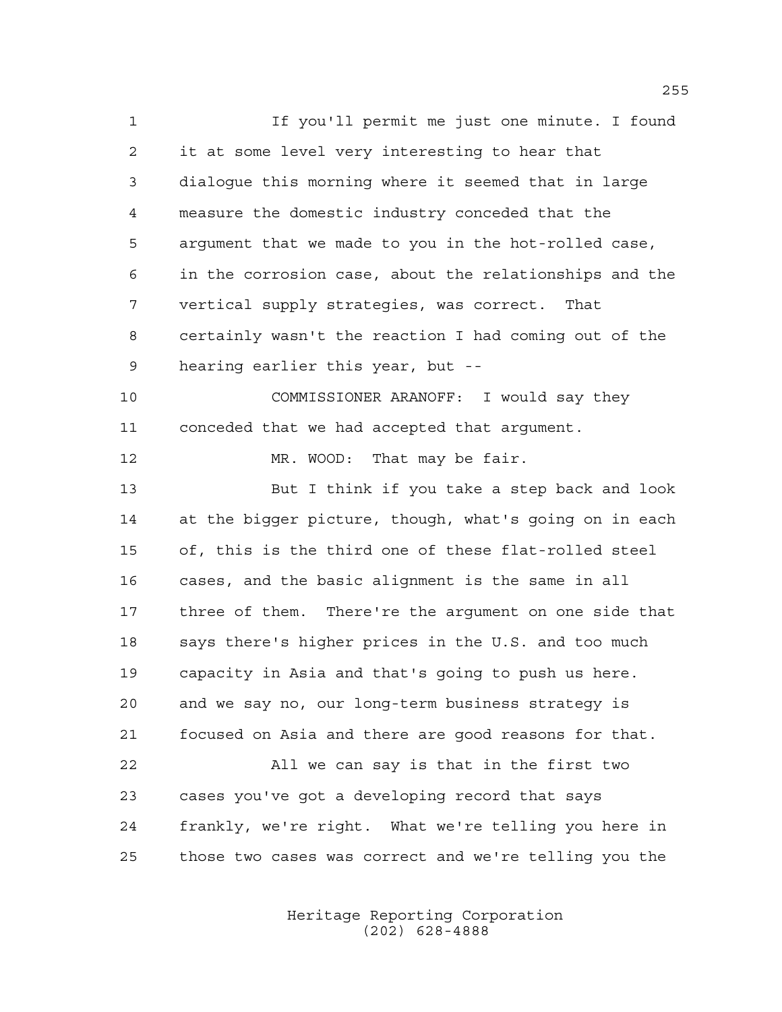If you'll permit me just one minute. I found it at some level very interesting to hear that dialogue this morning where it seemed that in large measure the domestic industry conceded that the argument that we made to you in the hot-rolled case, in the corrosion case, about the relationships and the vertical supply strategies, was correct. That certainly wasn't the reaction I had coming out of the hearing earlier this year, but -- COMMISSIONER ARANOFF: I would say they conceded that we had accepted that argument. 12 MR. WOOD: That may be fair. But I think if you take a step back and look at the bigger picture, though, what's going on in each of, this is the third one of these flat-rolled steel cases, and the basic alignment is the same in all three of them. There're the argument on one side that says there's higher prices in the U.S. and too much capacity in Asia and that's going to push us here. and we say no, our long-term business strategy is focused on Asia and there are good reasons for that. All we can say is that in the first two cases you've got a developing record that says frankly, we're right. What we're telling you here in those two cases was correct and we're telling you the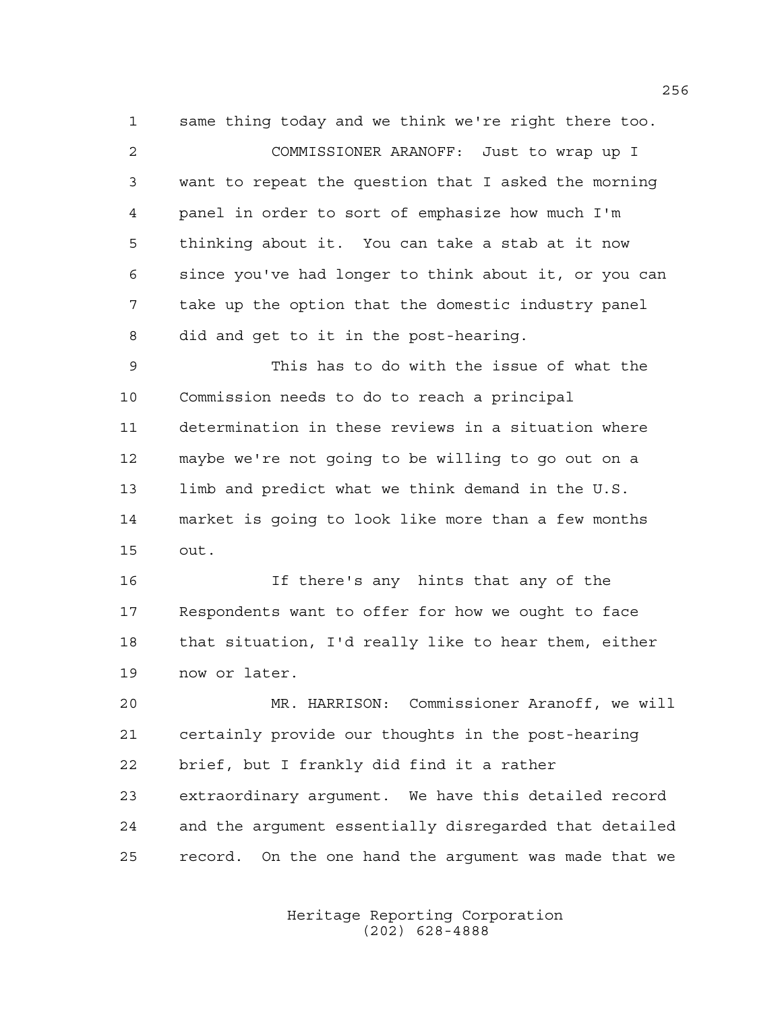same thing today and we think we're right there too. COMMISSIONER ARANOFF: Just to wrap up I want to repeat the question that I asked the morning panel in order to sort of emphasize how much I'm thinking about it. You can take a stab at it now since you've had longer to think about it, or you can take up the option that the domestic industry panel did and get to it in the post-hearing. This has to do with the issue of what the Commission needs to do to reach a principal determination in these reviews in a situation where

 maybe we're not going to be willing to go out on a limb and predict what we think demand in the U.S. market is going to look like more than a few months out.

 If there's any hints that any of the Respondents want to offer for how we ought to face that situation, I'd really like to hear them, either now or later.

 MR. HARRISON: Commissioner Aranoff, we will certainly provide our thoughts in the post-hearing brief, but I frankly did find it a rather extraordinary argument. We have this detailed record and the argument essentially disregarded that detailed record. On the one hand the argument was made that we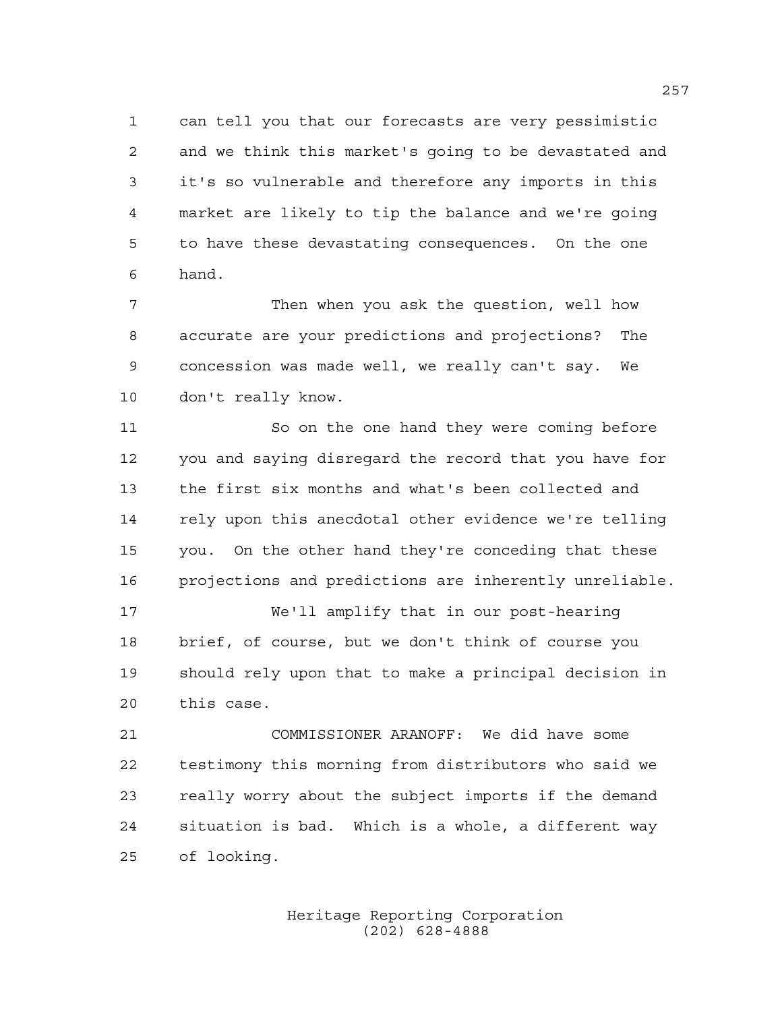can tell you that our forecasts are very pessimistic and we think this market's going to be devastated and it's so vulnerable and therefore any imports in this market are likely to tip the balance and we're going to have these devastating consequences. On the one hand.

 Then when you ask the question, well how accurate are your predictions and projections? The concession was made well, we really can't say. We don't really know.

 So on the one hand they were coming before you and saying disregard the record that you have for the first six months and what's been collected and rely upon this anecdotal other evidence we're telling you. On the other hand they're conceding that these projections and predictions are inherently unreliable.

 We'll amplify that in our post-hearing brief, of course, but we don't think of course you should rely upon that to make a principal decision in this case.

 COMMISSIONER ARANOFF: We did have some testimony this morning from distributors who said we really worry about the subject imports if the demand situation is bad. Which is a whole, a different way of looking.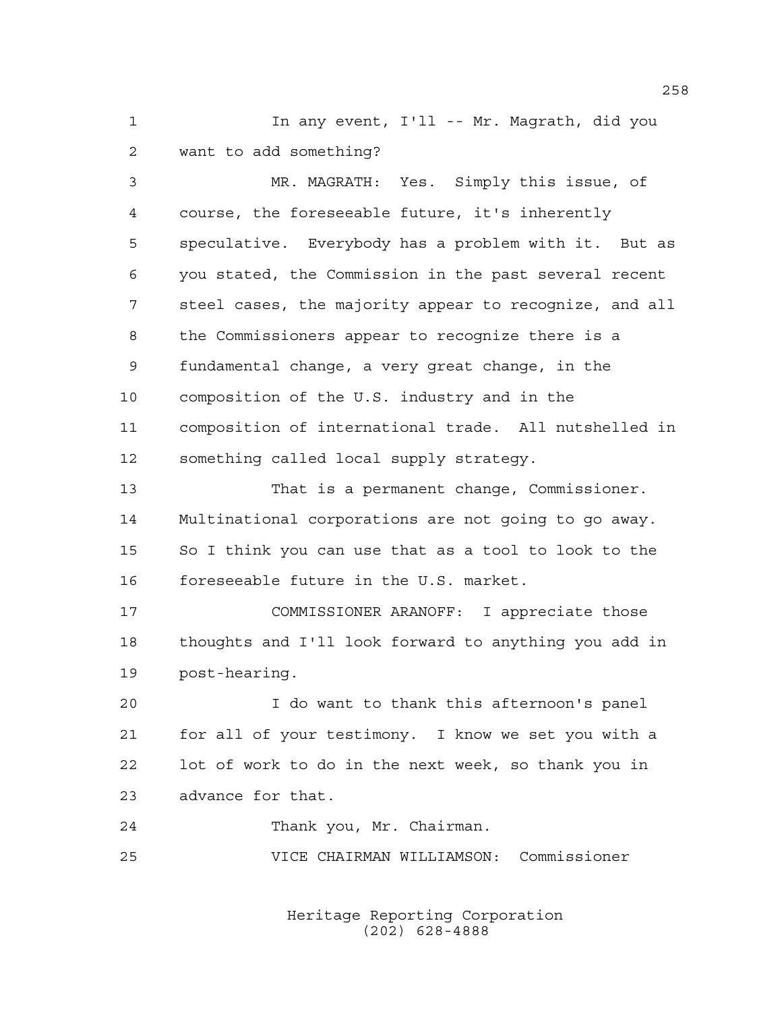1 1 In any event, I'll -- Mr. Magrath, did you want to add something?

 MR. MAGRATH: Yes. Simply this issue, of course, the foreseeable future, it's inherently speculative. Everybody has a problem with it. But as you stated, the Commission in the past several recent steel cases, the majority appear to recognize, and all the Commissioners appear to recognize there is a fundamental change, a very great change, in the composition of the U.S. industry and in the composition of international trade. All nutshelled in something called local supply strategy.

 That is a permanent change, Commissioner. Multinational corporations are not going to go away. So I think you can use that as a tool to look to the foreseeable future in the U.S. market.

 COMMISSIONER ARANOFF: I appreciate those thoughts and I'll look forward to anything you add in post-hearing.

 I do want to thank this afternoon's panel for all of your testimony. I know we set you with a lot of work to do in the next week, so thank you in advance for that.

Thank you, Mr. Chairman.

VICE CHAIRMAN WILLIAMSON: Commissioner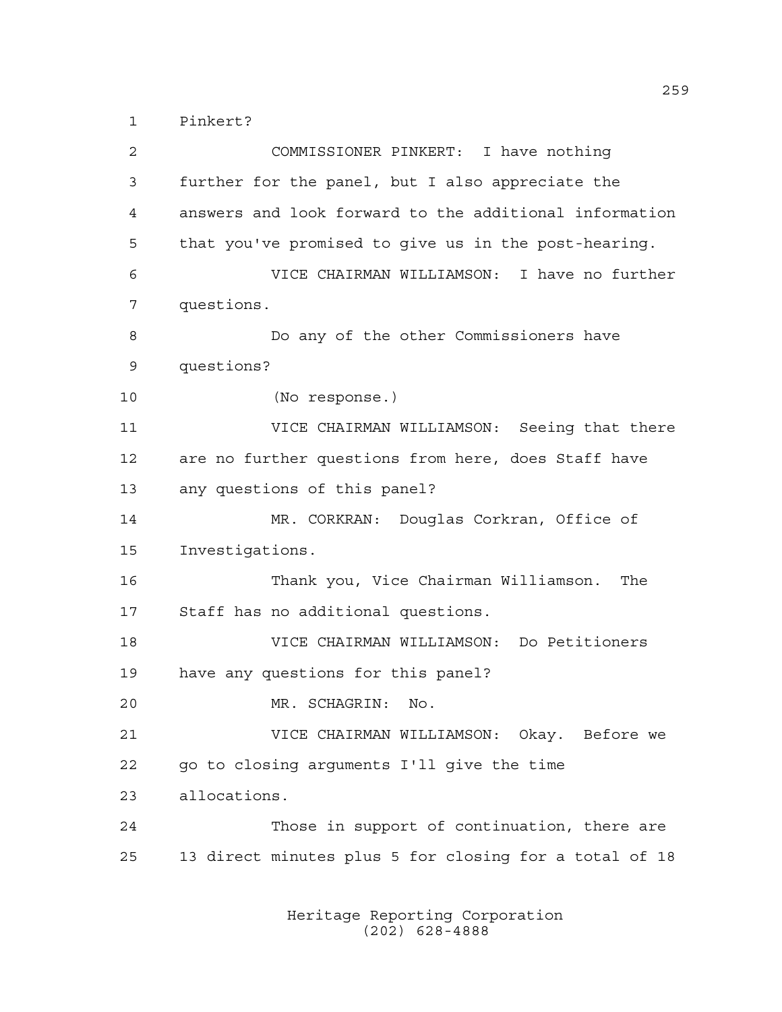Pinkert?

 COMMISSIONER PINKERT: I have nothing further for the panel, but I also appreciate the answers and look forward to the additional information that you've promised to give us in the post-hearing. VICE CHAIRMAN WILLIAMSON: I have no further questions. Do any of the other Commissioners have questions? (No response.) VICE CHAIRMAN WILLIAMSON: Seeing that there are no further questions from here, does Staff have any questions of this panel? MR. CORKRAN: Douglas Corkran, Office of Investigations. Thank you, Vice Chairman Williamson. The Staff has no additional questions. VICE CHAIRMAN WILLIAMSON: Do Petitioners have any questions for this panel? MR. SCHAGRIN: No. VICE CHAIRMAN WILLIAMSON: Okay. Before we go to closing arguments I'll give the time allocations. Those in support of continuation, there are 13 direct minutes plus 5 for closing for a total of 18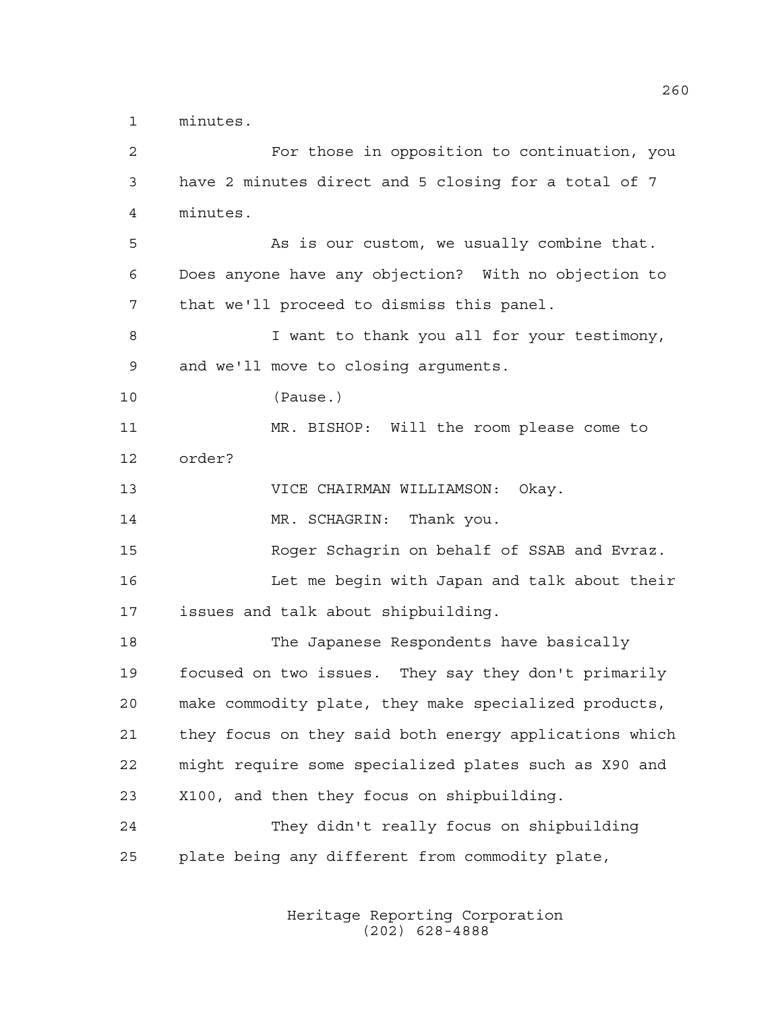minutes.

| $\overline{2}$ | For those in opposition to continuation, you           |
|----------------|--------------------------------------------------------|
| 3              | have 2 minutes direct and 5 closing for a total of 7   |
| 4              | minutes.                                               |
| 5              | As is our custom, we usually combine that.             |
| 6              | Does anyone have any objection? With no objection to   |
| 7              | that we'll proceed to dismiss this panel.              |
| 8              | I want to thank you all for your testimony,            |
| $\mathsf 9$    | and we'll move to closing arguments.                   |
| 10             | (Pause.)                                               |
| 11             | MR. BISHOP: Will the room please come to               |
| 12             | order?                                                 |
| 13             | VICE CHAIRMAN WILLIAMSON:<br>Okay.                     |
| 14             | MR. SCHAGRIN: Thank you.                               |
| 15             | Roger Schagrin on behalf of SSAB and Evraz.            |
| 16             | Let me begin with Japan and talk about their           |
| 17             | issues and talk about shipbuilding.                    |
| 18             | The Japanese Respondents have basically                |
| 19             | focused on two issues. They say they don't primarily   |
| 20             | make commodity plate, they make specialized products,  |
| 21             | they focus on they said both energy applications which |
| 22             | might require some specialized plates such as X90 and  |
| 23             | X100, and then they focus on shipbuilding.             |
| 24             | They didn't really focus on shipbuilding               |
| 25             | plate being any different from commodity plate,        |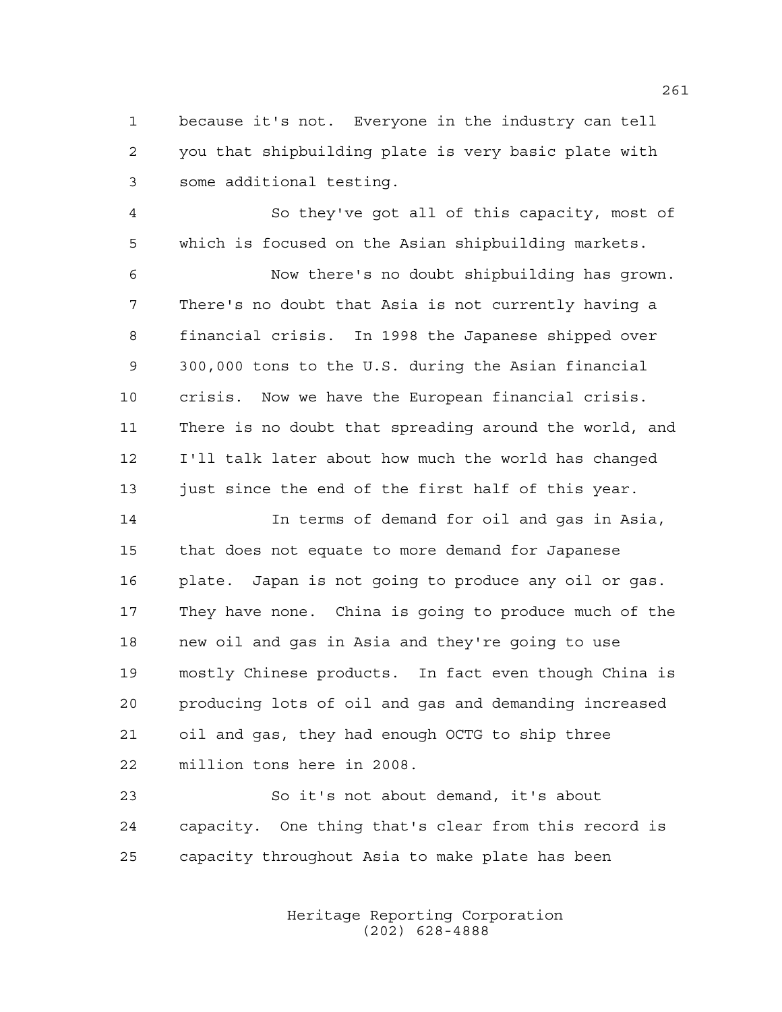because it's not. Everyone in the industry can tell you that shipbuilding plate is very basic plate with some additional testing.

 So they've got all of this capacity, most of which is focused on the Asian shipbuilding markets.

 Now there's no doubt shipbuilding has grown. There's no doubt that Asia is not currently having a financial crisis. In 1998 the Japanese shipped over 300,000 tons to the U.S. during the Asian financial crisis. Now we have the European financial crisis. There is no doubt that spreading around the world, and I'll talk later about how much the world has changed 13 just since the end of the first half of this year.

 In terms of demand for oil and gas in Asia, that does not equate to more demand for Japanese plate. Japan is not going to produce any oil or gas. They have none. China is going to produce much of the new oil and gas in Asia and they're going to use mostly Chinese products. In fact even though China is producing lots of oil and gas and demanding increased oil and gas, they had enough OCTG to ship three million tons here in 2008.

 So it's not about demand, it's about capacity. One thing that's clear from this record is capacity throughout Asia to make plate has been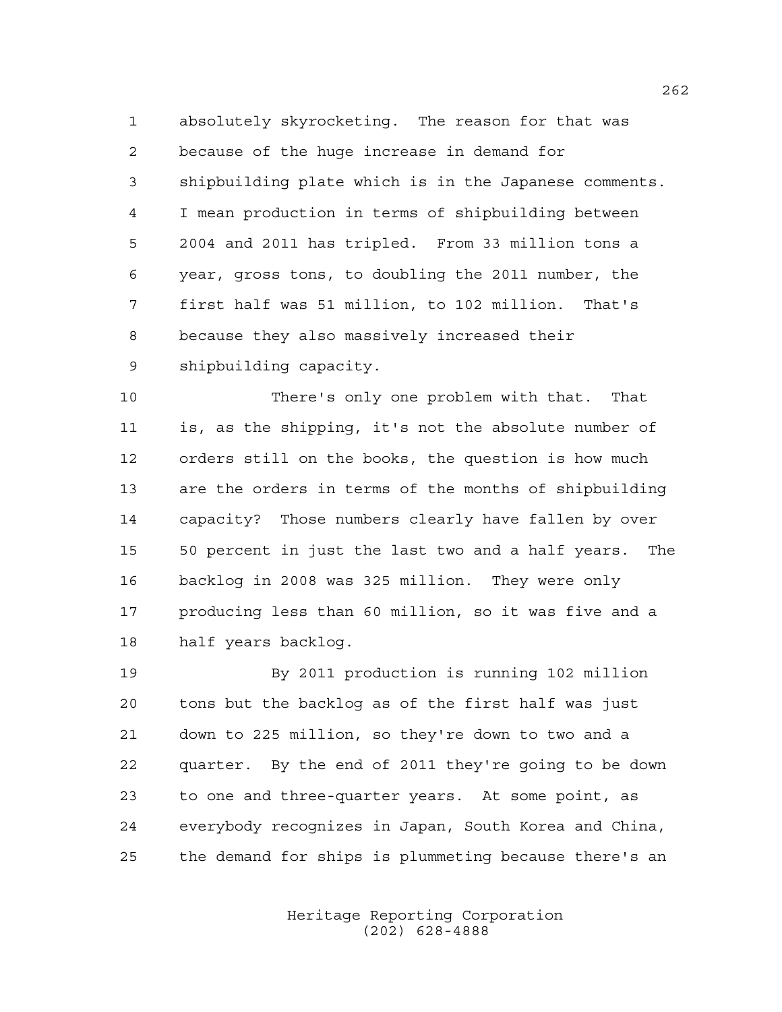absolutely skyrocketing. The reason for that was because of the huge increase in demand for shipbuilding plate which is in the Japanese comments. I mean production in terms of shipbuilding between 2004 and 2011 has tripled. From 33 million tons a year, gross tons, to doubling the 2011 number, the first half was 51 million, to 102 million. That's because they also massively increased their shipbuilding capacity.

 There's only one problem with that. That is, as the shipping, it's not the absolute number of orders still on the books, the question is how much are the orders in terms of the months of shipbuilding capacity? Those numbers clearly have fallen by over 50 percent in just the last two and a half years. The backlog in 2008 was 325 million. They were only producing less than 60 million, so it was five and a half years backlog.

 By 2011 production is running 102 million tons but the backlog as of the first half was just down to 225 million, so they're down to two and a quarter. By the end of 2011 they're going to be down to one and three-quarter years. At some point, as everybody recognizes in Japan, South Korea and China, the demand for ships is plummeting because there's an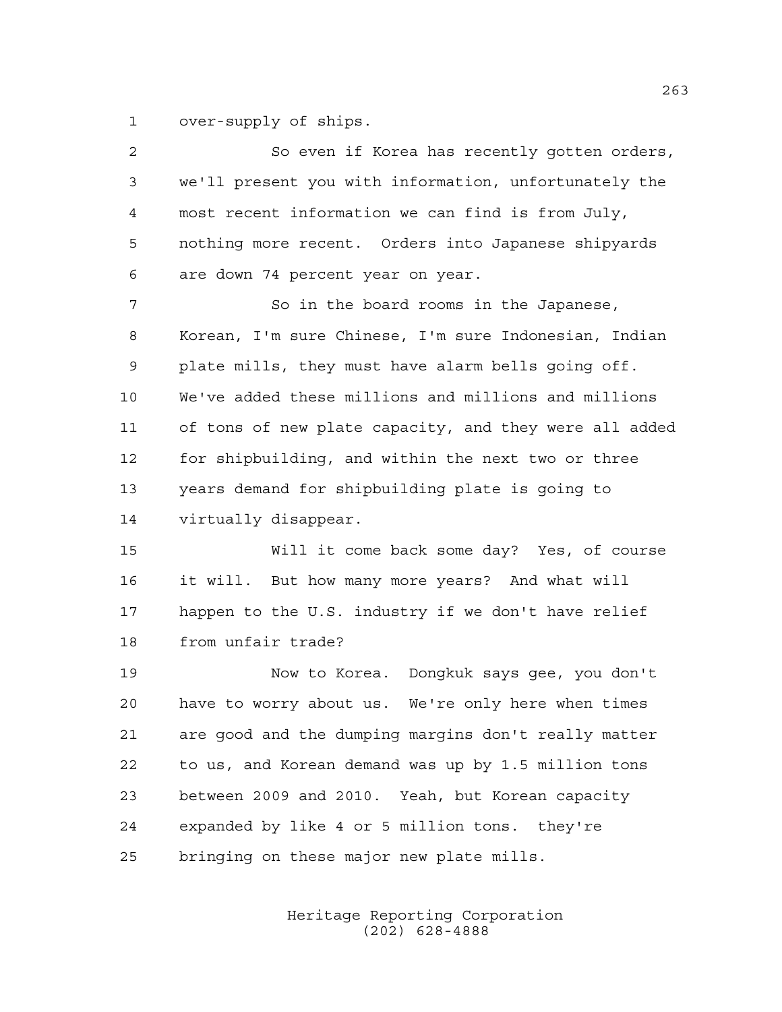over-supply of ships.

| $\overline{c}$ | So even if Korea has recently gotten orders,           |
|----------------|--------------------------------------------------------|
| 3              | we'll present you with information, unfortunately the  |
| 4              | most recent information we can find is from July,      |
| 5              | nothing more recent. Orders into Japanese shipyards    |
| 6              | are down 74 percent year on year.                      |
| 7              | So in the board rooms in the Japanese,                 |
| 8              | Korean, I'm sure Chinese, I'm sure Indonesian, Indian  |
| 9              | plate mills, they must have alarm bells going off.     |
| 10             | We've added these millions and millions and millions   |
| 11             | of tons of new plate capacity, and they were all added |
| 12             | for shipbuilding, and within the next two or three     |
| 13             | years demand for shipbuilding plate is going to        |
| 14             | virtually disappear.                                   |
| 15             | Will it come back some day? Yes, of course             |
| 16             | it will. But how many more years? And what will        |
| 17             | happen to the U.S. industry if we don't have relief    |
| 18             | from unfair trade?                                     |
| 19             | Now to Korea. Dongkuk says gee, you don't              |
| 20             | have to worry about us. We're only here when times     |
| 21             | are good and the dumping margins don't really matter   |
| 22             | to us, and Korean demand was up by 1.5 million tons    |
| 23             | between 2009 and 2010. Yeah, but Korean capacity       |
| 24             | expanded by like 4 or 5 million tons. they're          |
| 25             | bringing on these major new plate mills.               |
|                |                                                        |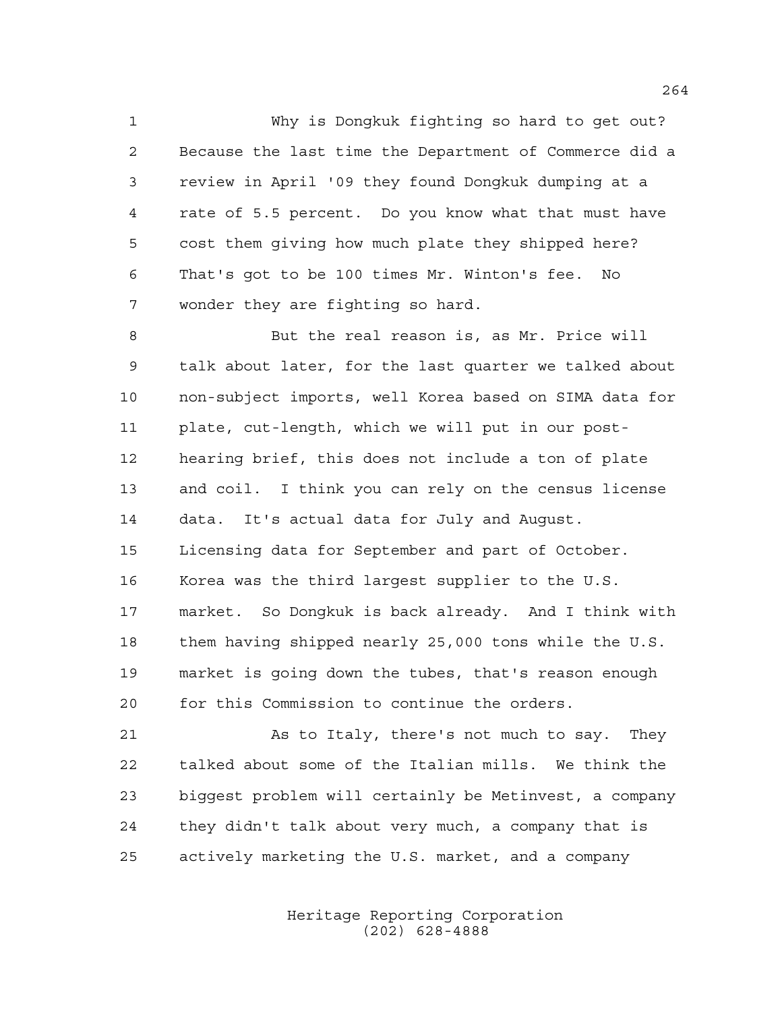Why is Dongkuk fighting so hard to get out? Because the last time the Department of Commerce did a review in April '09 they found Dongkuk dumping at a rate of 5.5 percent. Do you know what that must have cost them giving how much plate they shipped here? That's got to be 100 times Mr. Winton's fee. No wonder they are fighting so hard.

 But the real reason is, as Mr. Price will talk about later, for the last quarter we talked about non-subject imports, well Korea based on SIMA data for plate, cut-length, which we will put in our post- hearing brief, this does not include a ton of plate and coil. I think you can rely on the census license data. It's actual data for July and August. Licensing data for September and part of October. Korea was the third largest supplier to the U.S. market. So Dongkuk is back already. And I think with them having shipped nearly 25,000 tons while the U.S. market is going down the tubes, that's reason enough for this Commission to continue the orders.

21 As to Italy, there's not much to say. They talked about some of the Italian mills. We think the biggest problem will certainly be Metinvest, a company they didn't talk about very much, a company that is actively marketing the U.S. market, and a company

> Heritage Reporting Corporation (202) 628-4888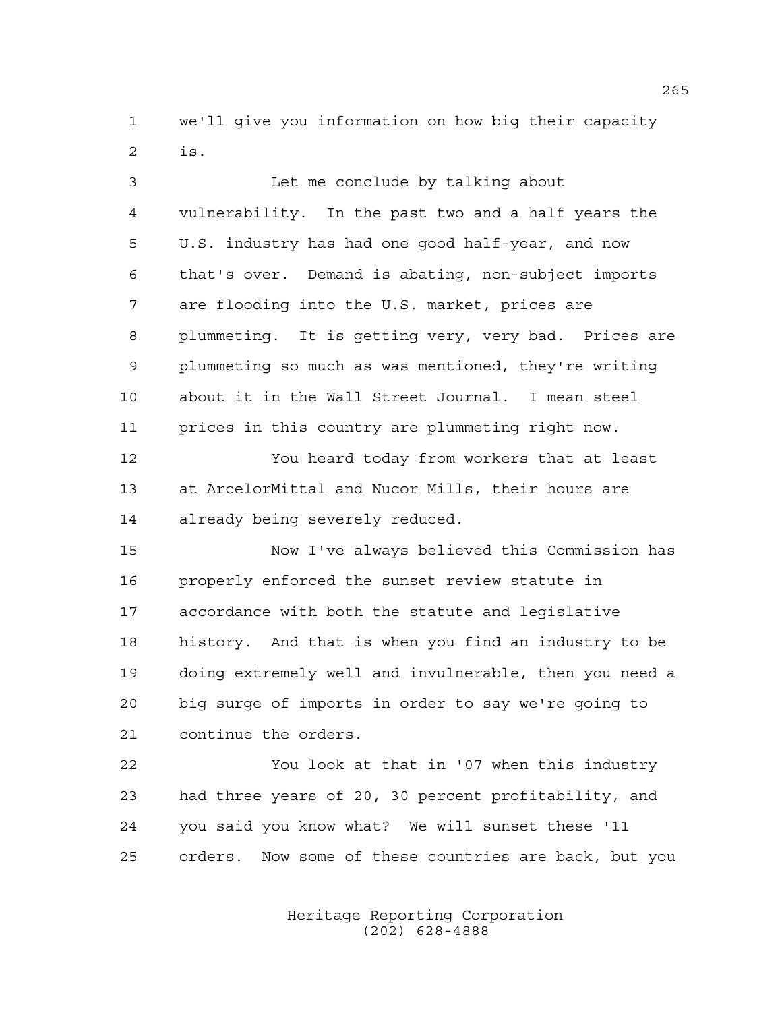we'll give you information on how big their capacity is.

| 3              | Let me conclude by talking about                       |
|----------------|--------------------------------------------------------|
| $\overline{4}$ | vulnerability. In the past two and a half years the    |
| 5              | U.S. industry has had one good half-year, and now      |
| 6              | that's over. Demand is abating, non-subject imports    |
| 7              | are flooding into the U.S. market, prices are          |
| 8              | plummeting. It is getting very, very bad. Prices are   |
| 9              | plummeting so much as was mentioned, they're writing   |
| 10             | about it in the Wall Street Journal. I mean steel      |
| 11             | prices in this country are plummeting right now.       |
| 12             | You heard today from workers that at least             |
| 13             | at ArcelorMittal and Nucor Mills, their hours are      |
| 14             | already being severely reduced.                        |
| 15             | Now I've always believed this Commission has           |
| 16             | properly enforced the sunset review statute in         |
| 17             | accordance with both the statute and legislative       |
| 18             | history. And that is when you find an industry to be   |
| 19             | doing extremely well and invulnerable, then you need a |
| 20             | big surge of imports in order to say we're going to    |
| 21             | continue the orders.                                   |
| 22             | You look at that in '07 when this industry             |
| 23             | had three years of 20, 30 percent profitability, and   |
| 24             | you said you know what? We will sunset these '11       |

Heritage Reporting Corporation (202) 628-4888

orders. Now some of these countries are back, but you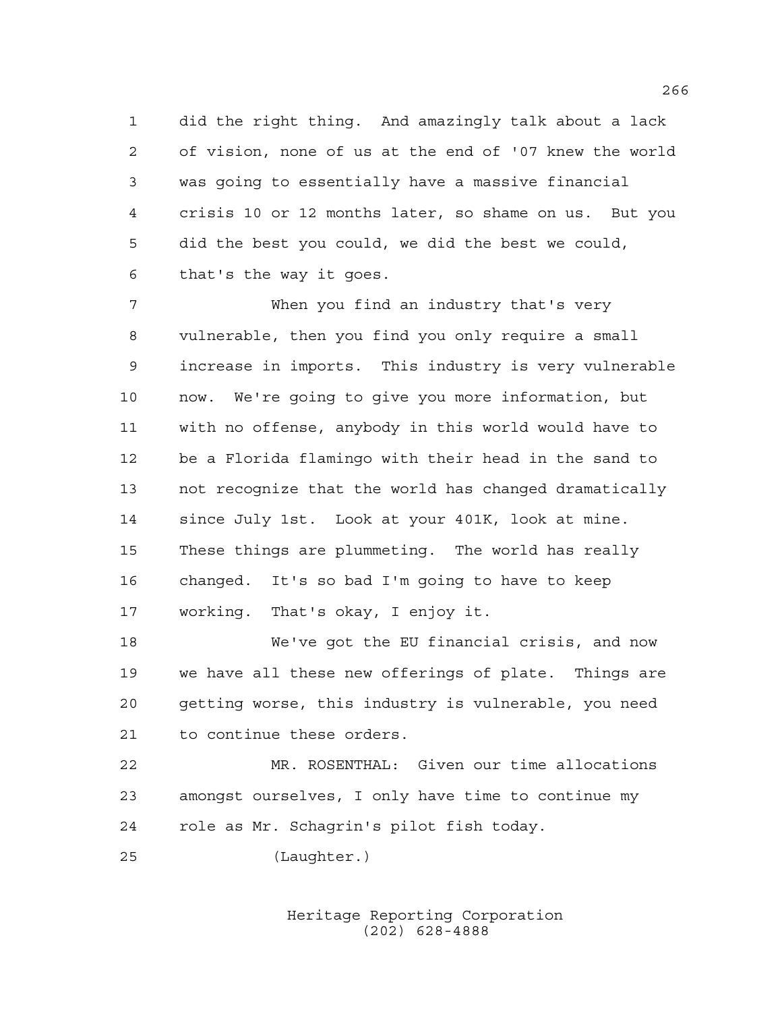did the right thing. And amazingly talk about a lack of vision, none of us at the end of '07 knew the world was going to essentially have a massive financial crisis 10 or 12 months later, so shame on us. But you did the best you could, we did the best we could, that's the way it goes.

 When you find an industry that's very vulnerable, then you find you only require a small increase in imports. This industry is very vulnerable now. We're going to give you more information, but with no offense, anybody in this world would have to be a Florida flamingo with their head in the sand to not recognize that the world has changed dramatically since July 1st. Look at your 401K, look at mine. These things are plummeting. The world has really changed. It's so bad I'm going to have to keep working. That's okay, I enjoy it.

 We've got the EU financial crisis, and now we have all these new offerings of plate. Things are getting worse, this industry is vulnerable, you need to continue these orders.

 MR. ROSENTHAL: Given our time allocations amongst ourselves, I only have time to continue my role as Mr. Schagrin's pilot fish today.

(Laughter.)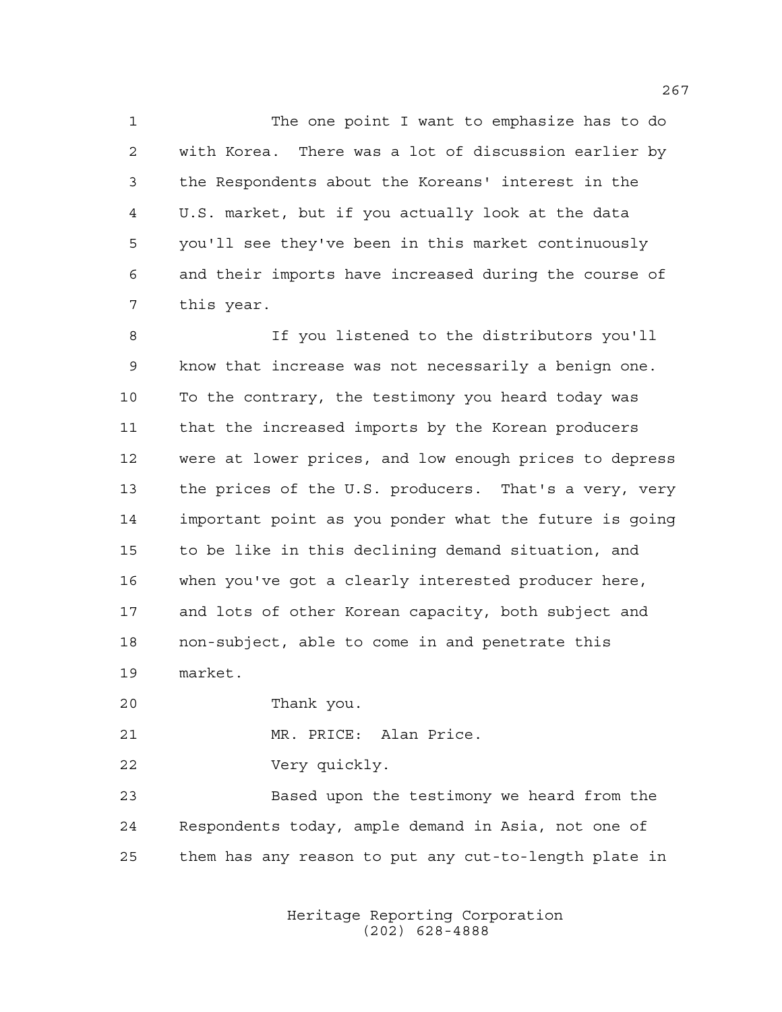The one point I want to emphasize has to do with Korea. There was a lot of discussion earlier by the Respondents about the Koreans' interest in the U.S. market, but if you actually look at the data you'll see they've been in this market continuously and their imports have increased during the course of this year.

 If you listened to the distributors you'll know that increase was not necessarily a benign one. To the contrary, the testimony you heard today was that the increased imports by the Korean producers were at lower prices, and low enough prices to depress the prices of the U.S. producers. That's a very, very important point as you ponder what the future is going to be like in this declining demand situation, and when you've got a clearly interested producer here, and lots of other Korean capacity, both subject and non-subject, able to come in and penetrate this market.

Thank you.

MR. PRICE: Alan Price.

Very quickly.

 Based upon the testimony we heard from the Respondents today, ample demand in Asia, not one of them has any reason to put any cut-to-length plate in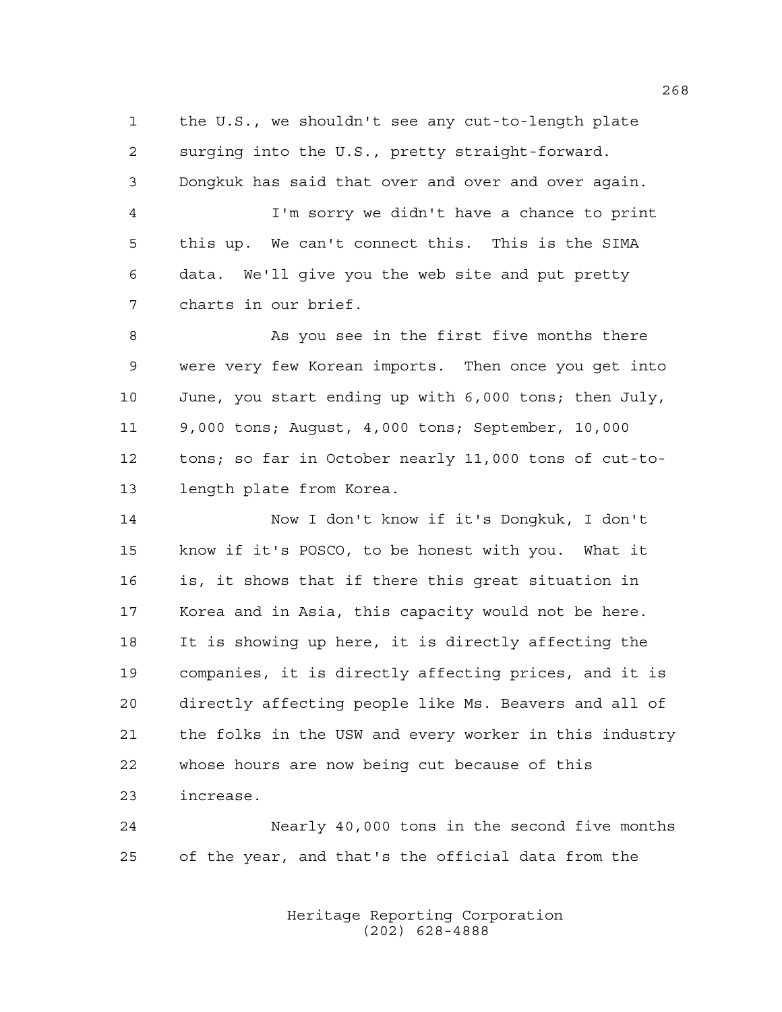the U.S., we shouldn't see any cut-to-length plate surging into the U.S., pretty straight-forward. Dongkuk has said that over and over and over again. I'm sorry we didn't have a chance to print this up. We can't connect this. This is the SIMA data. We'll give you the web site and put pretty charts in our brief. 8 As you see in the first five months there were very few Korean imports. Then once you get into June, you start ending up with 6,000 tons; then July, 9,000 tons; August, 4,000 tons; September, 10,000 tons; so far in October nearly 11,000 tons of cut-to- length plate from Korea. Now I don't know if it's Dongkuk, I don't know if it's POSCO, to be honest with you. What it

 is, it shows that if there this great situation in Korea and in Asia, this capacity would not be here. It is showing up here, it is directly affecting the companies, it is directly affecting prices, and it is directly affecting people like Ms. Beavers and all of the folks in the USW and every worker in this industry whose hours are now being cut because of this increase.

 Nearly 40,000 tons in the second five months of the year, and that's the official data from the

> Heritage Reporting Corporation (202) 628-4888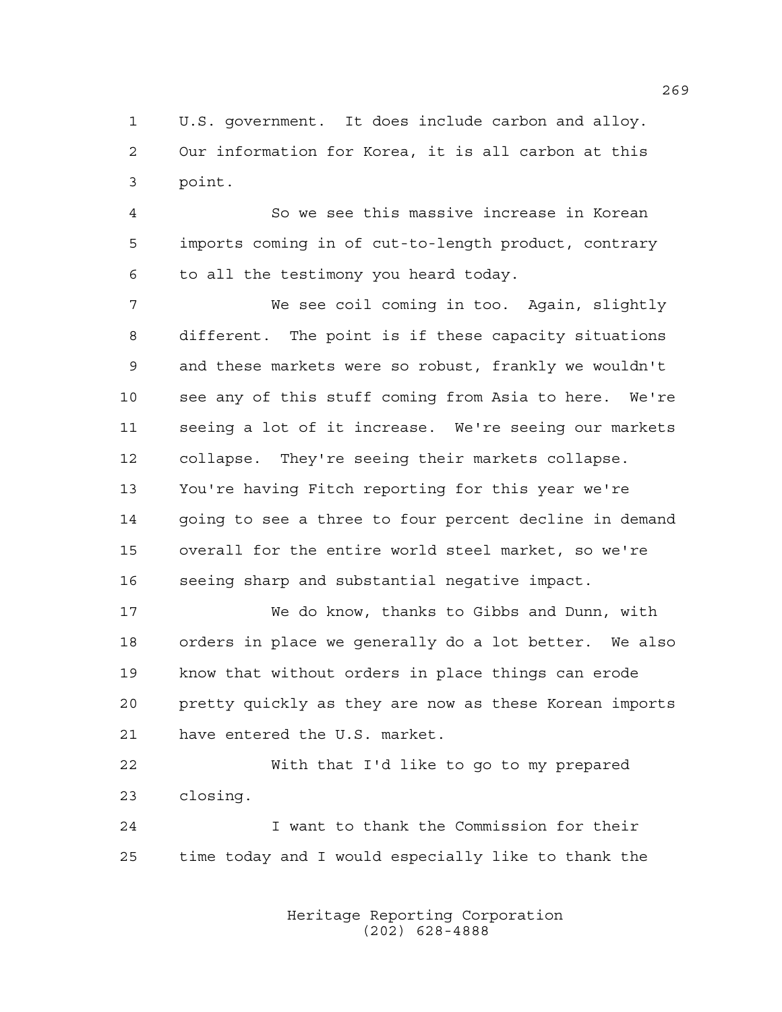U.S. government. It does include carbon and alloy. Our information for Korea, it is all carbon at this point.

 So we see this massive increase in Korean imports coming in of cut-to-length product, contrary to all the testimony you heard today.

 We see coil coming in too. Again, slightly different. The point is if these capacity situations and these markets were so robust, frankly we wouldn't see any of this stuff coming from Asia to here. We're seeing a lot of it increase. We're seeing our markets collapse. They're seeing their markets collapse. You're having Fitch reporting for this year we're going to see a three to four percent decline in demand overall for the entire world steel market, so we're seeing sharp and substantial negative impact.

 We do know, thanks to Gibbs and Dunn, with orders in place we generally do a lot better. We also know that without orders in place things can erode pretty quickly as they are now as these Korean imports have entered the U.S. market.

 With that I'd like to go to my prepared closing.

 I want to thank the Commission for their time today and I would especially like to thank the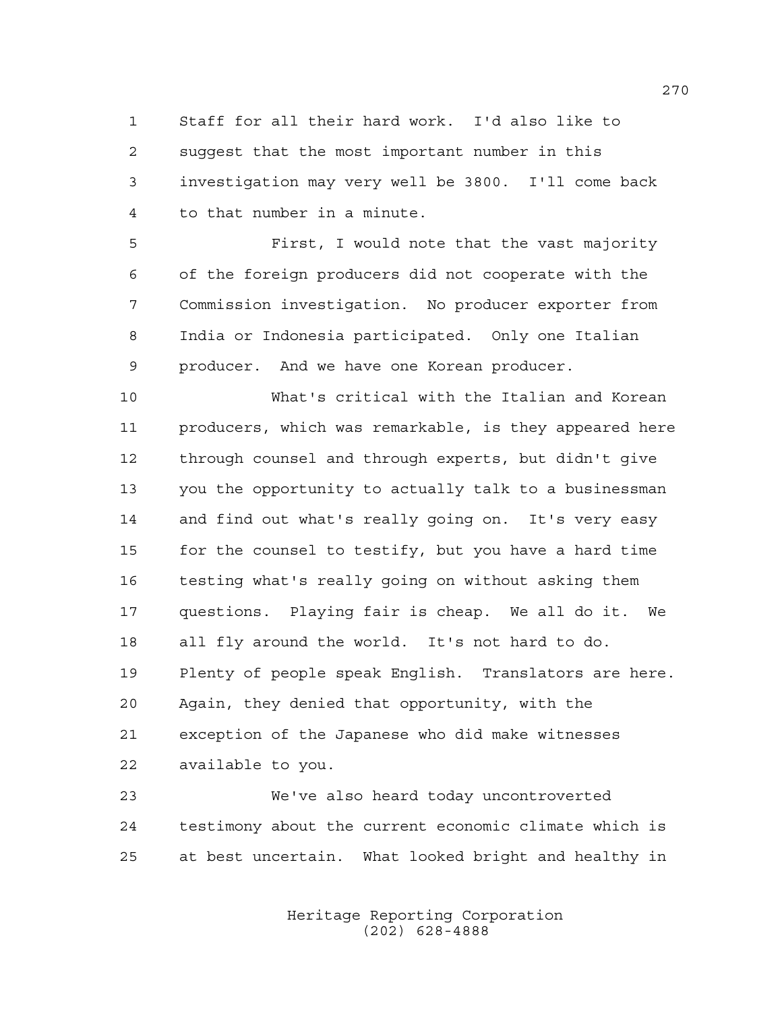Staff for all their hard work. I'd also like to suggest that the most important number in this investigation may very well be 3800. I'll come back to that number in a minute.

 First, I would note that the vast majority of the foreign producers did not cooperate with the Commission investigation. No producer exporter from India or Indonesia participated. Only one Italian producer. And we have one Korean producer.

 What's critical with the Italian and Korean producers, which was remarkable, is they appeared here through counsel and through experts, but didn't give you the opportunity to actually talk to a businessman and find out what's really going on. It's very easy for the counsel to testify, but you have a hard time testing what's really going on without asking them questions. Playing fair is cheap. We all do it. We all fly around the world. It's not hard to do. Plenty of people speak English. Translators are here. Again, they denied that opportunity, with the exception of the Japanese who did make witnesses available to you.

 We've also heard today uncontroverted testimony about the current economic climate which is at best uncertain. What looked bright and healthy in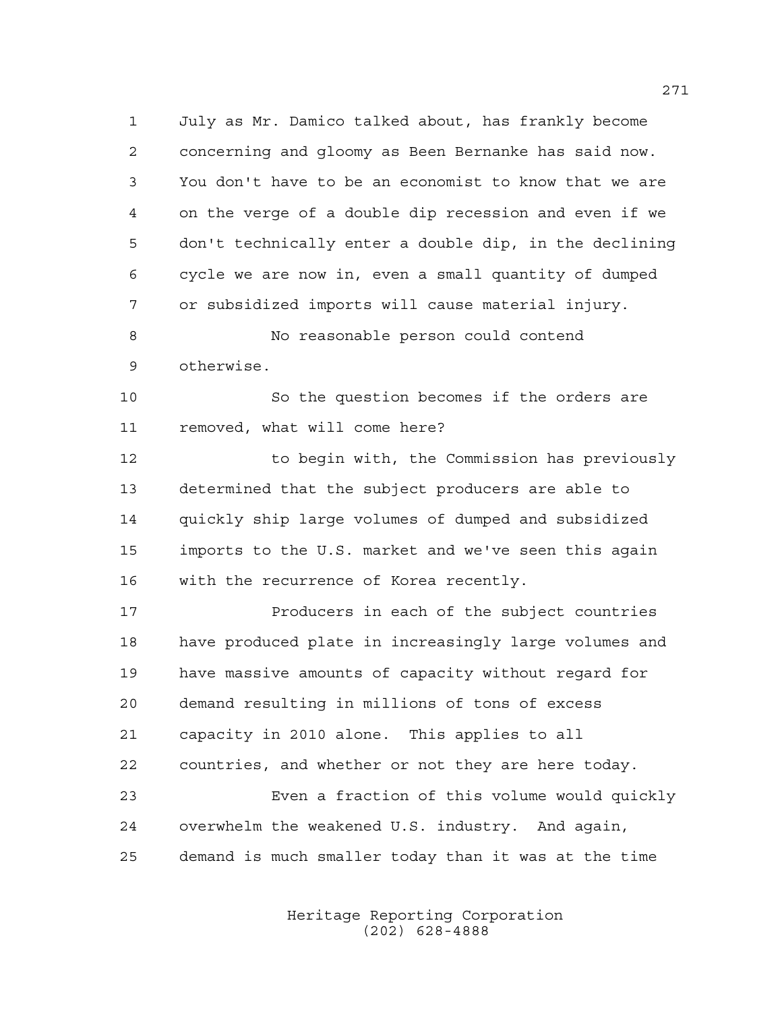July as Mr. Damico talked about, has frankly become concerning and gloomy as Been Bernanke has said now. You don't have to be an economist to know that we are on the verge of a double dip recession and even if we don't technically enter a double dip, in the declining cycle we are now in, even a small quantity of dumped or subsidized imports will cause material injury.

 No reasonable person could contend otherwise.

 So the question becomes if the orders are removed, what will come here?

 to begin with, the Commission has previously determined that the subject producers are able to quickly ship large volumes of dumped and subsidized imports to the U.S. market and we've seen this again with the recurrence of Korea recently.

17 Producers in each of the subject countries have produced plate in increasingly large volumes and have massive amounts of capacity without regard for demand resulting in millions of tons of excess capacity in 2010 alone. This applies to all countries, and whether or not they are here today. Even a fraction of this volume would quickly overwhelm the weakened U.S. industry. And again,

demand is much smaller today than it was at the time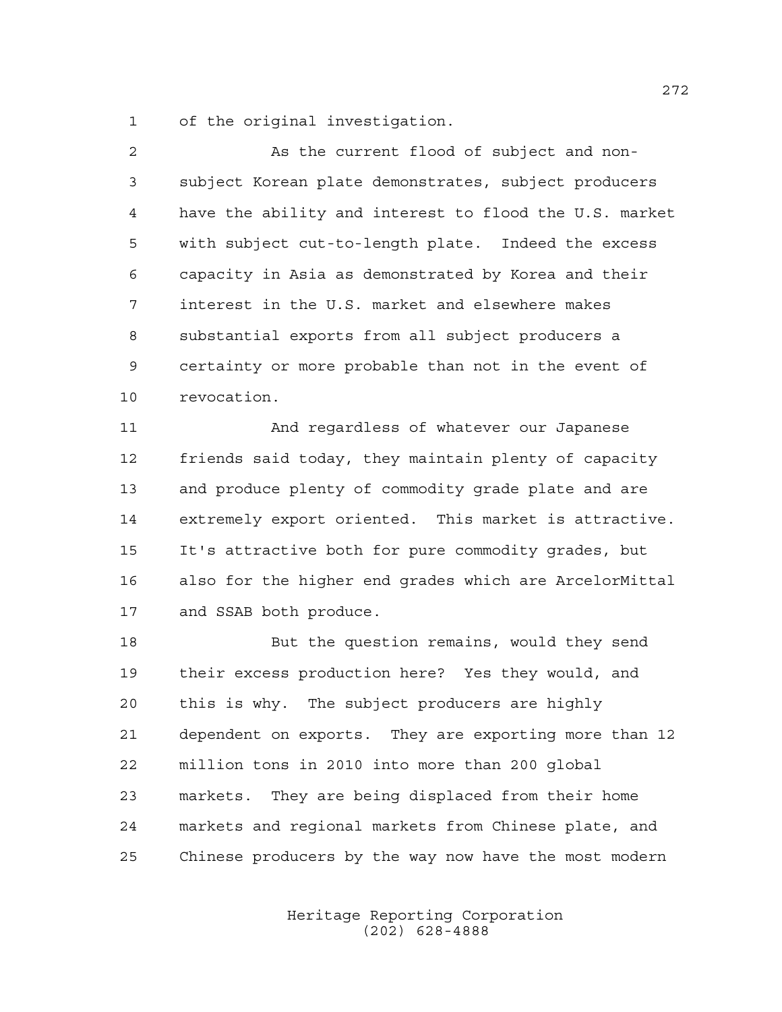of the original investigation.

| $\overline{a}$ | As the current flood of subject and non-               |
|----------------|--------------------------------------------------------|
| 3              | subject Korean plate demonstrates, subject producers   |
| 4              | have the ability and interest to flood the U.S. market |
| 5              | with subject cut-to-length plate. Indeed the excess    |
| 6              | capacity in Asia as demonstrated by Korea and their    |
| 7              | interest in the U.S. market and elsewhere makes        |
| 8              | substantial exports from all subject producers a       |
| 9              | certainty or more probable than not in the event of    |
| 10             | revocation.                                            |
| 11             | And regardless of whatever our Japanese                |
| 12             | friends said today, they maintain plenty of capacity   |
| 13             | and produce plenty of commodity grade plate and are    |
| 14             | extremely export oriented. This market is attractive.  |
| 15             | It's attractive both for pure commodity grades, but    |
| 16             | also for the higher end grades which are ArcelorMittal |
| 17             | and SSAB both produce.                                 |
| 18             | But the question remains, would they send              |
| 19             | their excess production here? Yes they would, and      |
| 20             | this is why. The subject producers are highly          |
| 21             | dependent on exports. They are exporting more than 12  |
| 22             | million tons in 2010 into more than 200 global         |
| 23             | They are being displaced from their home<br>markets.   |
| 24             | markets and regional markets from Chinese plate, and   |

Chinese producers by the way now have the most modern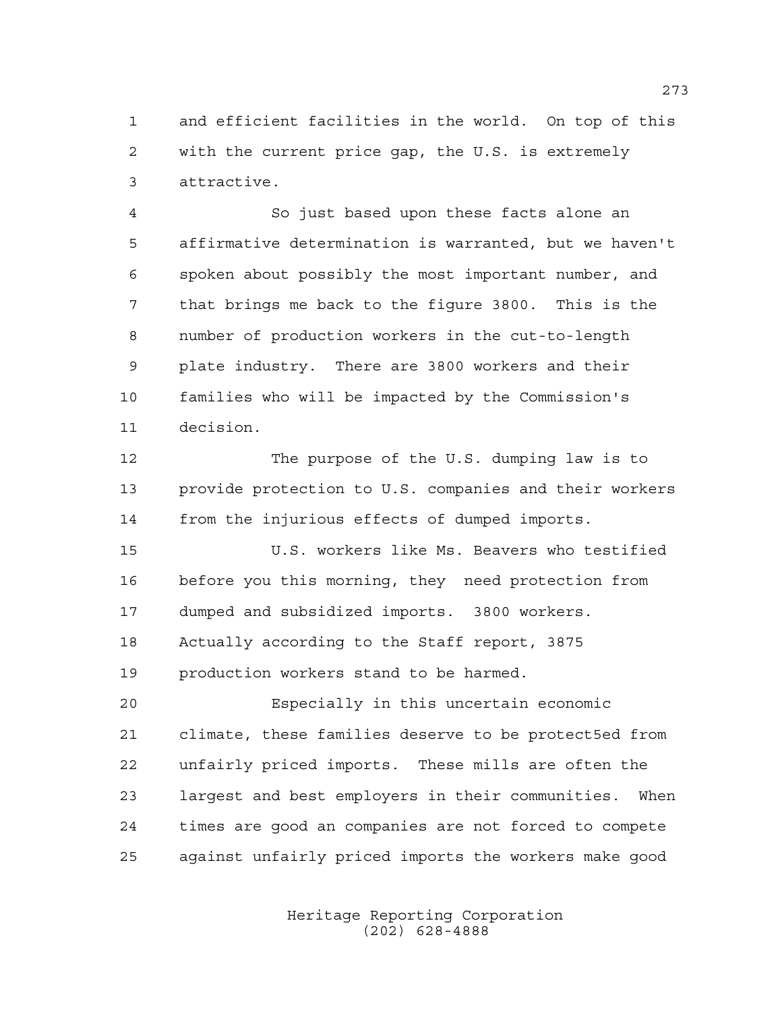and efficient facilities in the world. On top of this with the current price gap, the U.S. is extremely attractive.

 So just based upon these facts alone an affirmative determination is warranted, but we haven't spoken about possibly the most important number, and that brings me back to the figure 3800. This is the number of production workers in the cut-to-length plate industry. There are 3800 workers and their families who will be impacted by the Commission's decision.

 The purpose of the U.S. dumping law is to provide protection to U.S. companies and their workers from the injurious effects of dumped imports.

 U.S. workers like Ms. Beavers who testified before you this morning, they need protection from dumped and subsidized imports. 3800 workers. Actually according to the Staff report, 3875 production workers stand to be harmed.

 Especially in this uncertain economic climate, these families deserve to be protect5ed from unfairly priced imports. These mills are often the largest and best employers in their communities. When times are good an companies are not forced to compete against unfairly priced imports the workers make good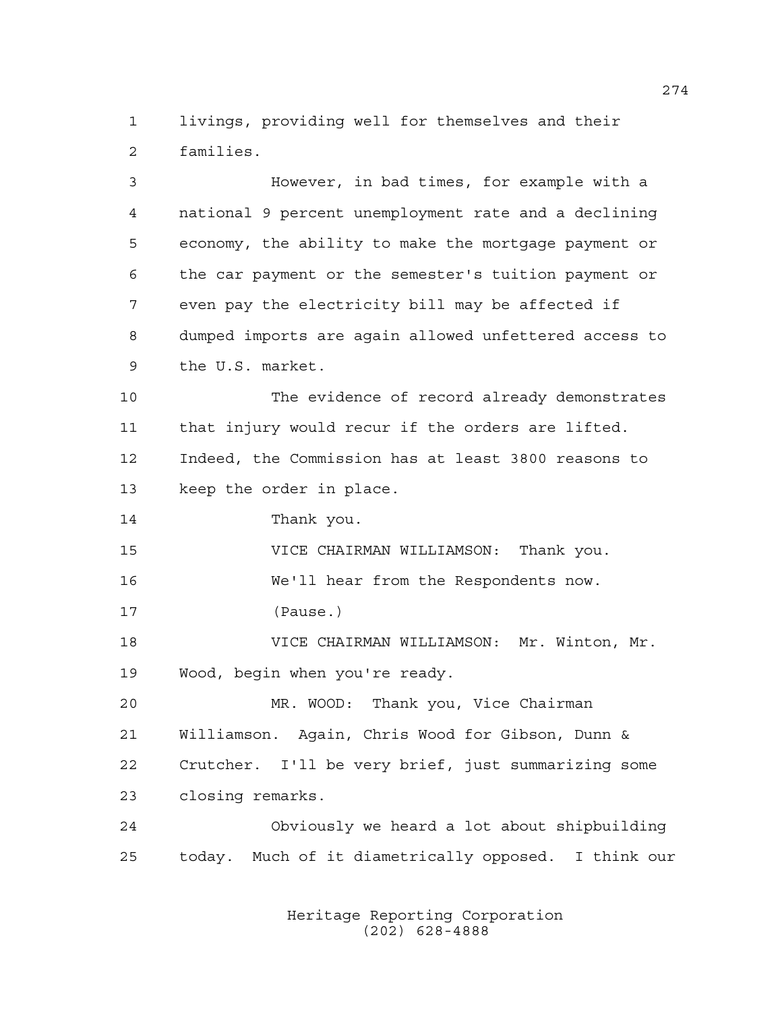livings, providing well for themselves and their families.

 However, in bad times, for example with a national 9 percent unemployment rate and a declining economy, the ability to make the mortgage payment or the car payment or the semester's tuition payment or even pay the electricity bill may be affected if dumped imports are again allowed unfettered access to the U.S. market. The evidence of record already demonstrates that injury would recur if the orders are lifted. Indeed, the Commission has at least 3800 reasons to keep the order in place. Thank you. VICE CHAIRMAN WILLIAMSON: Thank you. We'll hear from the Respondents now. (Pause.) VICE CHAIRMAN WILLIAMSON: Mr. Winton, Mr. Wood, begin when you're ready. MR. WOOD: Thank you, Vice Chairman Williamson. Again, Chris Wood for Gibson, Dunn & Crutcher. I'll be very brief, just summarizing some closing remarks. Obviously we heard a lot about shipbuilding today. Much of it diametrically opposed. I think our

> Heritage Reporting Corporation (202) 628-4888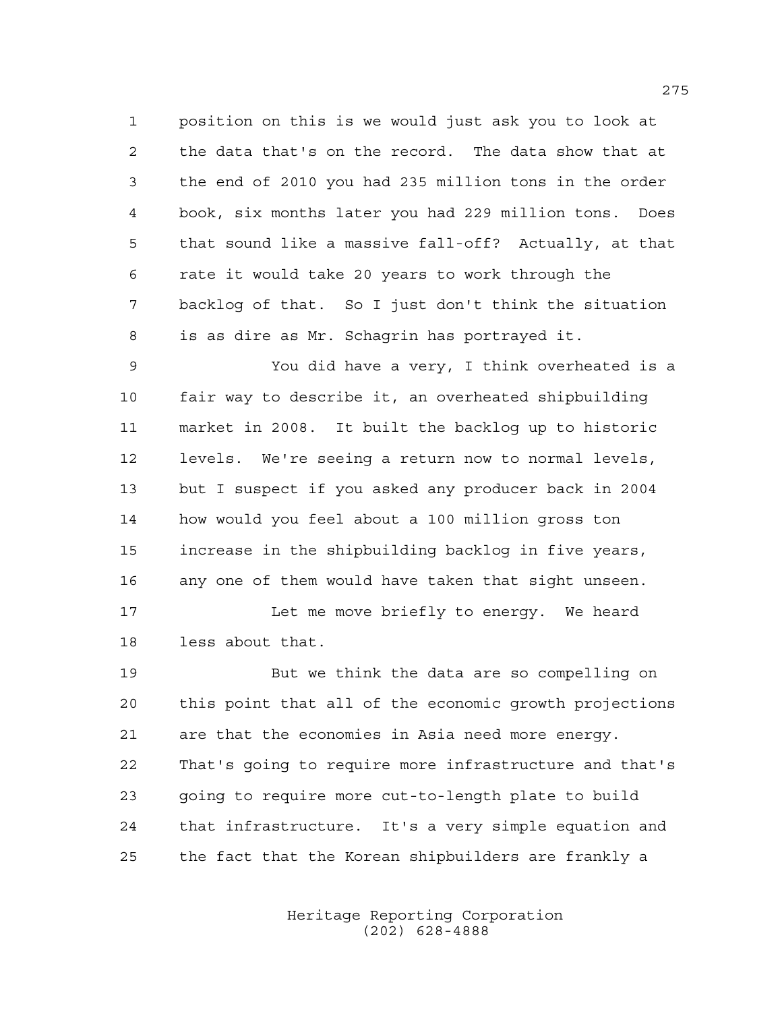position on this is we would just ask you to look at the data that's on the record. The data show that at the end of 2010 you had 235 million tons in the order book, six months later you had 229 million tons. Does that sound like a massive fall-off? Actually, at that rate it would take 20 years to work through the backlog of that. So I just don't think the situation is as dire as Mr. Schagrin has portrayed it.

 You did have a very, I think overheated is a fair way to describe it, an overheated shipbuilding market in 2008. It built the backlog up to historic levels. We're seeing a return now to normal levels, but I suspect if you asked any producer back in 2004 how would you feel about a 100 million gross ton increase in the shipbuilding backlog in five years, any one of them would have taken that sight unseen.

17 Let me move briefly to energy. We heard less about that.

 But we think the data are so compelling on this point that all of the economic growth projections are that the economies in Asia need more energy. That's going to require more infrastructure and that's going to require more cut-to-length plate to build that infrastructure. It's a very simple equation and the fact that the Korean shipbuilders are frankly a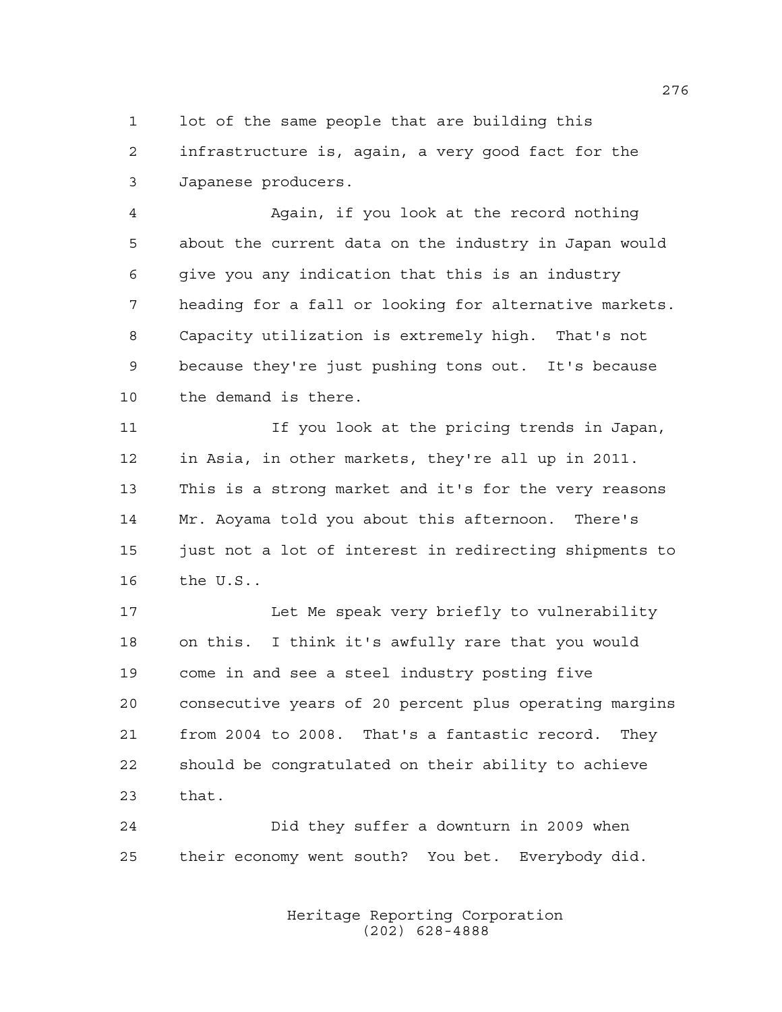lot of the same people that are building this infrastructure is, again, a very good fact for the Japanese producers.

 Again, if you look at the record nothing about the current data on the industry in Japan would give you any indication that this is an industry heading for a fall or looking for alternative markets. Capacity utilization is extremely high. That's not because they're just pushing tons out. It's because the demand is there.

 If you look at the pricing trends in Japan, in Asia, in other markets, they're all up in 2011. This is a strong market and it's for the very reasons Mr. Aoyama told you about this afternoon. There's just not a lot of interest in redirecting shipments to the U.S..

 Let Me speak very briefly to vulnerability on this. I think it's awfully rare that you would come in and see a steel industry posting five consecutive years of 20 percent plus operating margins from 2004 to 2008. That's a fantastic record. They should be congratulated on their ability to achieve that.

 Did they suffer a downturn in 2009 when their economy went south? You bet. Everybody did.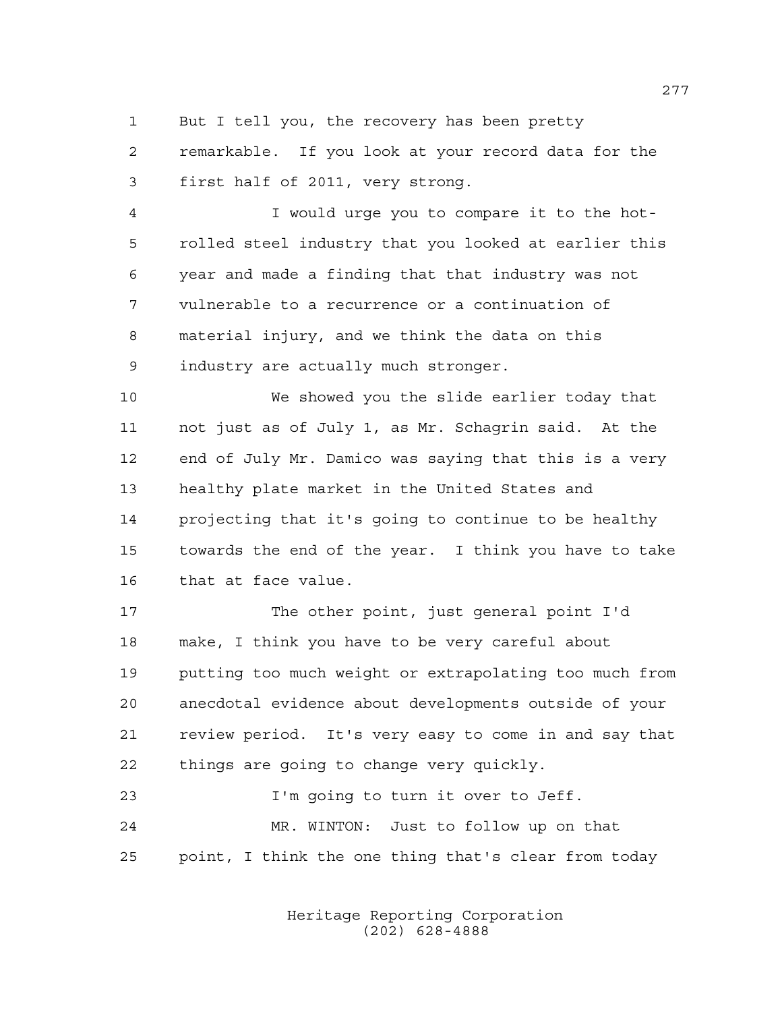But I tell you, the recovery has been pretty

 remarkable. If you look at your record data for the first half of 2011, very strong.

 I would urge you to compare it to the hot- rolled steel industry that you looked at earlier this year and made a finding that that industry was not vulnerable to a recurrence or a continuation of material injury, and we think the data on this industry are actually much stronger.

 We showed you the slide earlier today that not just as of July 1, as Mr. Schagrin said. At the end of July Mr. Damico was saying that this is a very healthy plate market in the United States and projecting that it's going to continue to be healthy towards the end of the year. I think you have to take that at face value.

 The other point, just general point I'd make, I think you have to be very careful about putting too much weight or extrapolating too much from anecdotal evidence about developments outside of your review period. It's very easy to come in and say that things are going to change very quickly.

 I'm going to turn it over to Jeff. MR. WINTON: Just to follow up on that point, I think the one thing that's clear from today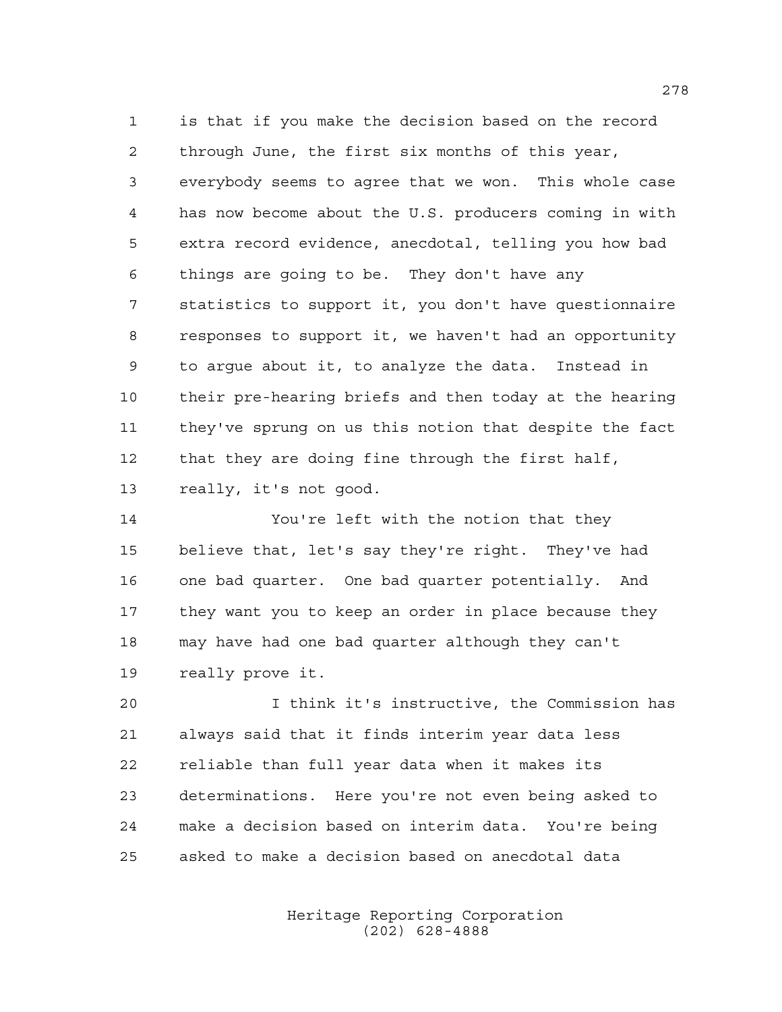is that if you make the decision based on the record through June, the first six months of this year, everybody seems to agree that we won. This whole case has now become about the U.S. producers coming in with extra record evidence, anecdotal, telling you how bad things are going to be. They don't have any statistics to support it, you don't have questionnaire responses to support it, we haven't had an opportunity to argue about it, to analyze the data. Instead in their pre-hearing briefs and then today at the hearing they've sprung on us this notion that despite the fact that they are doing fine through the first half, really, it's not good.

 You're left with the notion that they believe that, let's say they're right. They've had one bad quarter. One bad quarter potentially. And they want you to keep an order in place because they may have had one bad quarter although they can't really prove it.

 I think it's instructive, the Commission has always said that it finds interim year data less reliable than full year data when it makes its determinations. Here you're not even being asked to make a decision based on interim data. You're being asked to make a decision based on anecdotal data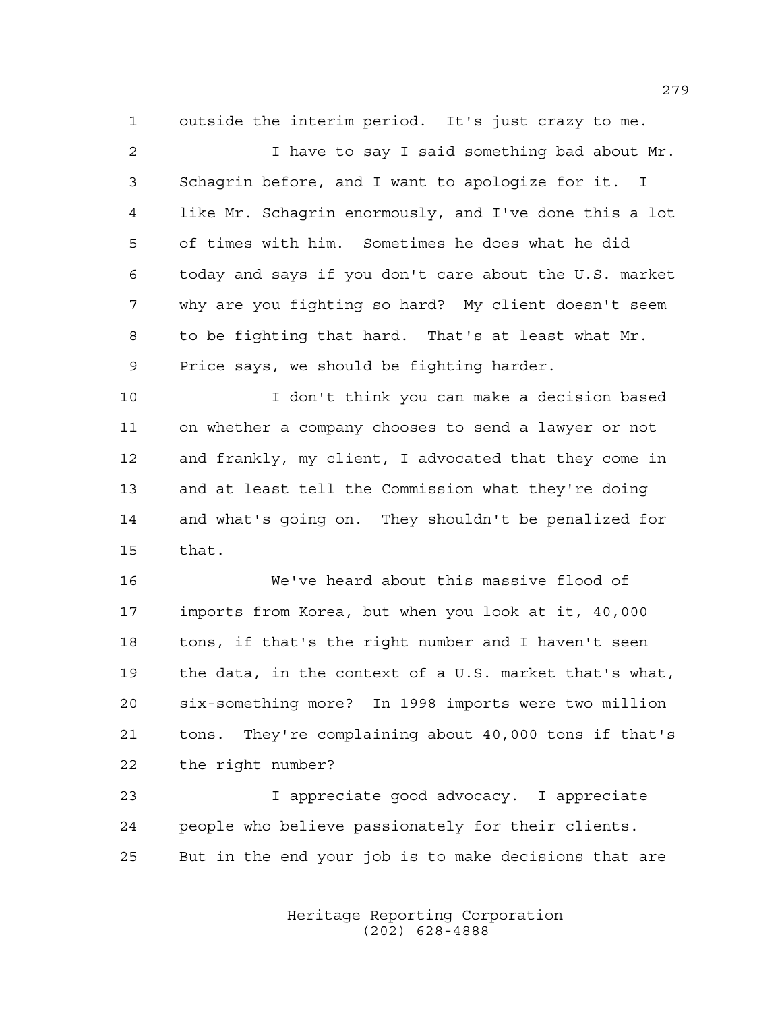outside the interim period. It's just crazy to me.

 I have to say I said something bad about Mr. Schagrin before, and I want to apologize for it. I like Mr. Schagrin enormously, and I've done this a lot of times with him. Sometimes he does what he did today and says if you don't care about the U.S. market why are you fighting so hard? My client doesn't seem to be fighting that hard. That's at least what Mr. Price says, we should be fighting harder.

 I don't think you can make a decision based on whether a company chooses to send a lawyer or not and frankly, my client, I advocated that they come in and at least tell the Commission what they're doing and what's going on. They shouldn't be penalized for that.

 We've heard about this massive flood of imports from Korea, but when you look at it, 40,000 tons, if that's the right number and I haven't seen the data, in the context of a U.S. market that's what, six-something more? In 1998 imports were two million tons. They're complaining about 40,000 tons if that's the right number?

 I appreciate good advocacy. I appreciate people who believe passionately for their clients. But in the end your job is to make decisions that are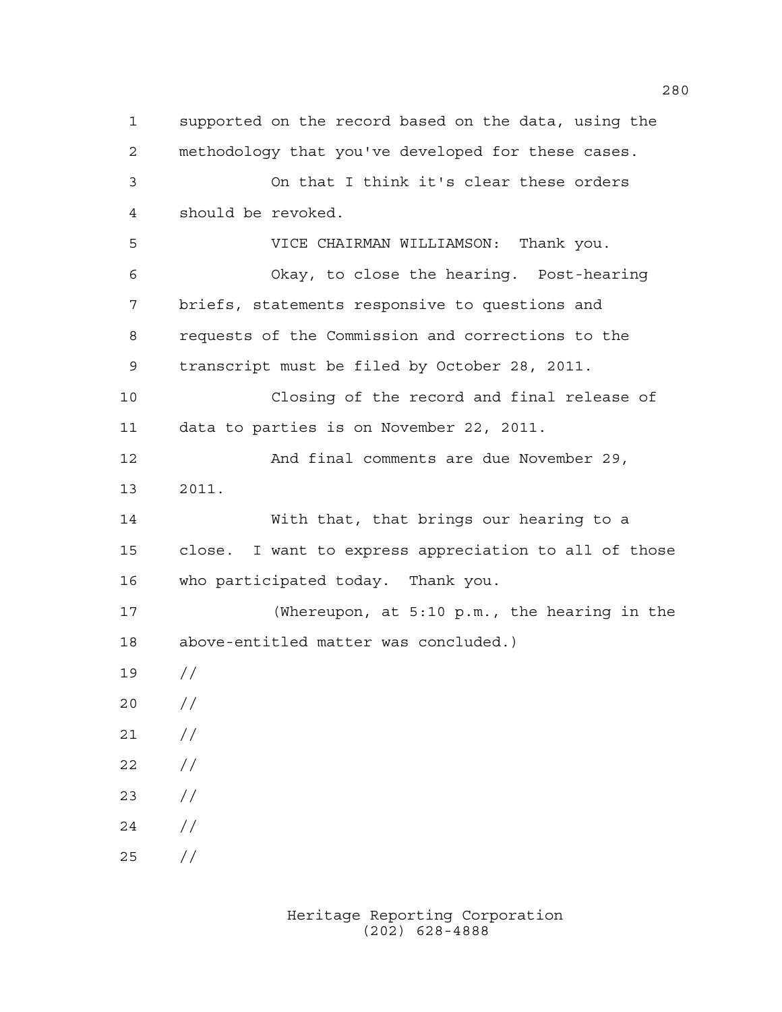supported on the record based on the data, using the methodology that you've developed for these cases. On that I think it's clear these orders should be revoked. VICE CHAIRMAN WILLIAMSON: Thank you. Okay, to close the hearing. Post-hearing briefs, statements responsive to questions and requests of the Commission and corrections to the transcript must be filed by October 28, 2011. Closing of the record and final release of data to parties is on November 22, 2011. And final comments are due November 29, 2011. With that, that brings our hearing to a close. I want to express appreciation to all of those who participated today. Thank you. (Whereupon, at 5:10 p.m., the hearing in the above-entitled matter was concluded.) //  $20 /$  $21 /$  $22 / /$  // // //